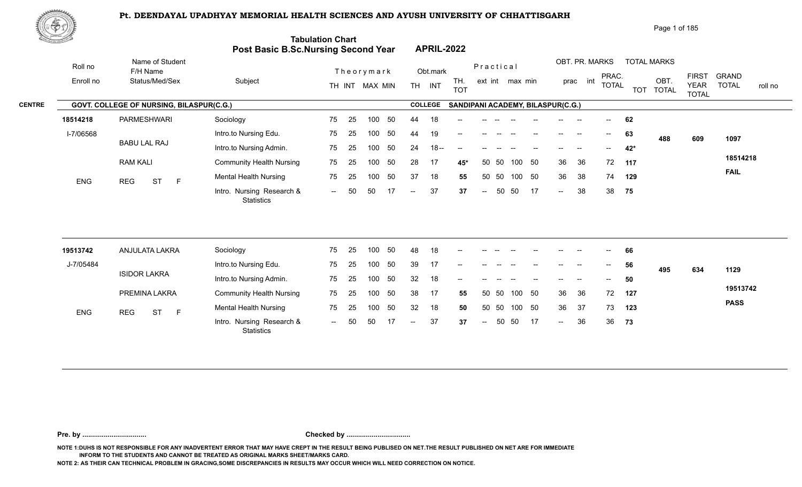

Page 1 of 185

| ES LA         |            |                                          | Post Basic B.Sc.Nursing Second Year            | <b>Tabulation Chart</b> |    |                |     |                          | <b>APRIL-2022</b> |                                   |                          |           |                 |        |                            |             |                         |            |                      |                             |                         |
|---------------|------------|------------------------------------------|------------------------------------------------|-------------------------|----|----------------|-----|--------------------------|-------------------|-----------------------------------|--------------------------|-----------|-----------------|--------|----------------------------|-------------|-------------------------|------------|----------------------|-----------------------------|-------------------------|
|               | Roll no    | Name of Student<br>F/H Name              |                                                |                         |    | Theorymark     |     |                          | Obt.mark          |                                   |                          | Practical |                 |        |                            |             | OBT. PR. MARKS<br>PRAC. |            | <b>TOTAL MARKS</b>   | <b>FIRST</b>                | <b>GRAND</b>            |
|               | Enroll no  | Status/Med/Sex                           | Subject                                        |                         |    | TH INT MAX MIN |     |                          | TH INT            | TH.<br><b>TOT</b>                 |                          |           | ext int max min |        |                            | int<br>prac | <b>TOTAL</b>            | <b>TOT</b> | OBT.<br><b>TOTAL</b> | <b>YEAR</b><br><b>TOTAL</b> | <b>TOTAL</b><br>roll no |
| <b>CENTRE</b> |            | GOVT. COLLEGE OF NURSING, BILASPUR(C.G.) |                                                |                         |    |                |     |                          | <b>COLLEGE</b>    | SANDIPANI ACADEMY, BILASPUR(C.G.) |                          |           |                 |        |                            |             |                         |            |                      |                             |                         |
|               | 18514218   | <b>PARMESHWARI</b>                       | Sociology                                      | 75                      | 25 | 100            | 50  | 44                       | 18                |                                   |                          |           |                 |        |                            |             |                         | 62         |                      |                             |                         |
|               | I-7/06568  |                                          | Intro.to Nursing Edu.                          | 75                      | 25 | 100            | 50  | 44                       | 19                |                                   |                          |           |                 |        |                            | --          | $--$                    | 63         | 488                  | 609                         | 1097                    |
|               |            | <b>BABU LAL RAJ</b>                      | Intro.to Nursing Admin.                        | 75                      | 25 | 100            | 50  | 24                       | $18 -$            |                                   |                          |           |                 |        |                            |             |                         | 42*        |                      |                             |                         |
|               |            | <b>RAM KALI</b>                          | <b>Community Health Nursing</b>                | 75                      | 25 | 100            | 50  | 28                       | -17               | 45*                               |                          | 50 50     |                 | 100 50 | 36                         | 36          | 72                      | 117        |                      |                             | 18514218                |
|               | ENG        | <b>REG</b><br><b>ST</b><br>F             | <b>Mental Health Nursing</b>                   | 75                      | 25 | 100            | 50  | 37                       | 18                | 55                                |                          | 50 50     |                 | 100 50 | 36                         | 38          | 74                      | 129        |                      |                             | <b>FAIL</b>             |
|               |            |                                          | Intro. Nursing Research &<br>Statistics        | $\sim$ $\sim$           | 50 | 50             | 17  | $\overline{\phantom{a}}$ | 37                | 37                                | $\overline{\phantom{a}}$ | 50        | 50              | 17     | $\sim$                     | 38          | 38                      | 75         |                      |                             |                         |
|               |            |                                          |                                                |                         |    |                |     |                          |                   |                                   |                          |           |                 |        |                            |             |                         |            |                      |                             |                         |
|               | 19513742   | ANJULATA LAKRA                           | Sociology                                      | 75                      | 25 | 100            | 50  | 48                       | 18                |                                   |                          |           |                 |        |                            |             |                         | 66         |                      |                             |                         |
|               | J-7/05484  |                                          | Intro.to Nursing Edu.                          | 75                      | 25 | 100            | 50  | 39                       | 17                |                                   |                          |           |                 |        |                            |             | $- -$                   | 56         | 495                  | 634                         | 1129                    |
|               |            | <b>ISIDOR LAKRA</b>                      | Intro.to Nursing Admin.                        | 75                      | 25 | 100            | 50  | 32                       | 18                |                                   |                          |           |                 |        |                            |             |                         | 50         |                      |                             |                         |
|               |            | PREMINA LAKRA                            | <b>Community Health Nursing</b>                | 75                      | 25 | 100            | 50  | 38                       | -17               | 55                                | 50                       | -50       | 100             | 50     | 36                         | 36          | 72                      | 127        |                      |                             | 19513742                |
|               | <b>ENG</b> | <b>ST</b><br><b>REG</b><br>$\mathsf F$   | <b>Mental Health Nursing</b>                   | 75                      | 25 | 100            | 50  | 32                       | 18                | 50                                |                          | 50 50     |                 | 100 50 | 36                         | 37          | 73                      | 123        |                      |                             | <b>PASS</b>             |
|               |            |                                          | Intro. Nursing Research &<br><b>Statistics</b> | $  \,$                  | 50 | 50             | -17 | $--$                     | 37                | 37                                | $\overline{\phantom{a}}$ | 50        | 50              | 17     | $\mathcal{L}(\mathcal{L})$ | 36          | 36                      | 73         |                      |                             |                         |
|               |            |                                          |                                                |                         |    |                |     |                          |                   |                                   |                          |           |                 |        |                            |             |                         |            |                      |                             |                         |

**Pre. by ................................. Checked by .................................**

**NOTE 1:DUHS IS NOT RESPONSIBLE FOR ANY INADVERTENT ERROR THAT MAY HAVE CREPT IN THE RESULT BEING PUBLISED ON NET.THE RESULT PUBLISHED ON NET ARE FOR IMMEDIATE INFORM TO THE STUDENTS AND CANNOT BE TREATED AS ORIGINAL MARKS SHEET/MARKS CARD.**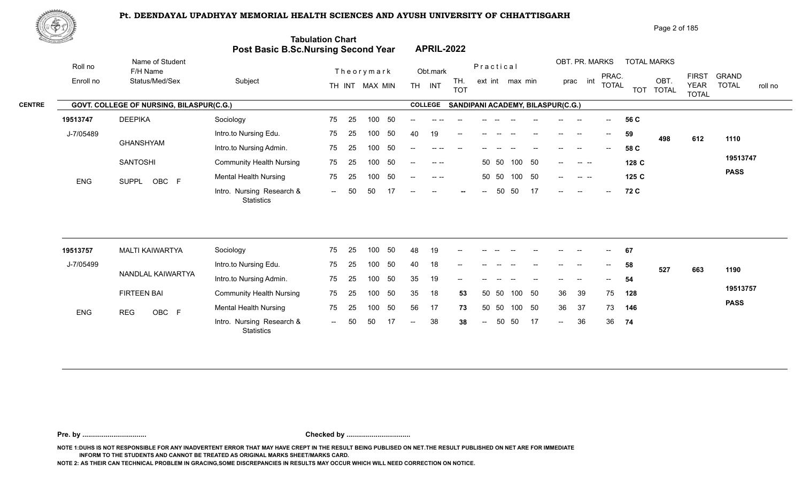

| 爬甲功           |            |                                          |                                            |                         |                                                           | Page 2 of 185                                                                                                                                                       |
|---------------|------------|------------------------------------------|--------------------------------------------|-------------------------|-----------------------------------------------------------|---------------------------------------------------------------------------------------------------------------------------------------------------------------------|
|               |            |                                          | <b>Post Basic B.Sc.Nursing Second Year</b> | <b>Tabulation Chart</b> | <b>APRIL-2022</b>                                         |                                                                                                                                                                     |
|               | Roll no    | Name of Student<br>F/H Name              |                                            | Theorymark              | Practical<br>Obt.mark                                     | OBT. PR. MARKS<br><b>TOTAL MARKS</b>                                                                                                                                |
|               | Enroll no  | Status/Med/Sex                           | Subject                                    | TH INT MAX MIN          | TH.<br>ext int max min<br><b>TH</b><br>INT<br><b>TOT</b>  | <b>GRAND</b><br><b>FIRST</b><br>PRAC.<br>OBT<br>int<br>prac<br><b>TOTAL</b><br><b>TOTAL</b><br><b>YEAR</b><br>roll no<br><b>TOT</b><br><b>TOTAL</b><br><b>TOTAL</b> |
| <b>CENTRE</b> |            | GOVT. COLLEGE OF NURSING, BILASPUR(C.G.) |                                            |                         | <b>COLLEGE</b><br>SANDIPANI ACADEMY, BILASPUR(C.G.)       |                                                                                                                                                                     |
|               | 19513747   | <b>DEEPIKA</b>                           | Sociology                                  | 50<br>75<br>100<br>-25  | --                                                        | 56 C<br>$--$<br>--                                                                                                                                                  |
|               | J-7/05489  |                                          | Intro.to Nursing Edu.                      | 50<br>75<br>100<br>25   | 40<br>19<br>$- -$                                         | 59<br>$\overline{\phantom{a}}$<br>--<br>498<br>612<br>1110                                                                                                          |
|               |            | GHANSHYAM                                | Intro.to Nursing Admin.                    | -50<br>100<br>75<br>-25 | $- -$                                                     | 58 C                                                                                                                                                                |
|               |            | <b>SANTOSHI</b>                          | <b>Community Health Nursing</b>            | 50<br>75<br>25<br>100   | 100 50<br>50 50<br>$\sim$ $\sim$<br>$\frac{1}{2}$         | 19513747<br>128 C<br><b>Contract Contract</b><br>$--$                                                                                                               |
|               | <b>ENG</b> | OBC F<br>SUPPL                           | <b>Mental Health Nursing</b>               | 50<br>75<br>25<br>100   | 100<br>- 50<br>50 50<br>$\sim$ $\sim$<br>$--$             | <b>PASS</b><br>125C<br>$--$<br>$\sim$ $\sim$ $\sim$                                                                                                                 |
|               |            |                                          | Intro. Nursing Research &                  | 50<br>50<br>$  \,$      | 17<br>50<br>50<br>$\overline{\phantom{a}}$<br>$- -$<br>-- | 72 C<br>$--$<br>$\overline{\phantom{a}}$<br>$- -$                                                                                                                   |

| 19513757   | MALTI KAIWARTYA    | Sociology                                      | 75     | 25  | 100 | -50 | 48     | 19 | $\overline{\phantom{a}}$ | $\frac{1}{2}$ | $- -$ | $- -$        | $\overline{\phantom{a}}$ | $\sim$ | $\sim$ | $\mathcal{L}_{\mathcal{L}}$                      | 67  |     |     |             |
|------------|--------------------|------------------------------------------------|--------|-----|-----|-----|--------|----|--------------------------|---------------|-------|--------------|--------------------------|--------|--------|--------------------------------------------------|-----|-----|-----|-------------|
| J-7/05499  |                    | Intro.to Nursing Edu.                          | 75     | 25  | 100 | -50 | 40     | 18 | $\overline{\phantom{a}}$ |               |       |              | $- -$                    | $--$   | $- -$  | $\mathrel{{\mathsf{--}}}\mathrel{{\mathsf{--}}}$ | 58  | 527 | 663 | 1190        |
|            | NANDLAL KAIWARTYA  | Intro.to Nursing Admin.                        | 75     | -25 | 100 | 50  | 35     | 19 | $- -$                    | $- -$         |       |              |                          | --     |        | $--$                                             | 54  |     |     |             |
|            | <b>FIRTEEN BAI</b> | <b>Community Health Nursing</b>                | 75     | 25  | 100 | -50 | 35     | 18 | 53                       | 50 50         |       | 100 50       |                          | 36     | 39     | 75                                               | 128 |     |     | 19513757    |
| <b>ENG</b> | <b>REG</b>         | <b>Mental Health Nursing</b>                   | 75     | 25  | 100 | 50  | 56     | 17 | 73                       |               |       | 50 50 100 50 |                          | 36     | -37    | 73                                               | 146 |     |     | <b>PASS</b> |
|            | OBC F              | Intro. Nursing Research &<br><b>Statistics</b> | $\sim$ | -50 | 50  |     | $\sim$ | 38 | 38                       | $\sim$        | 50 50 |              | 17                       | $\sim$ | 36     | 36                                               | 74  |     |     |             |

**Pre. by ................................. Checked by .................................**

**NOTE 1:DUHS IS NOT RESPONSIBLE FOR ANY INADVERTENT ERROR THAT MAY HAVE CREPT IN THE RESULT BEING PUBLISED ON NET.THE RESULT PUBLISHED ON NET ARE FOR IMMEDIATE INFORM TO THE STUDENTS AND CANNOT BE TREATED AS ORIGINAL MARKS SHEET/MARKS CARD.**

**NOTE 2: AS THEIR CAN TECHNICAL PROBLEM IN GRACING,SOME DISCREPANCIES IN RESULTS MAY OCCUR WHICH WILL NEED CORRECTION ON NOTICE.**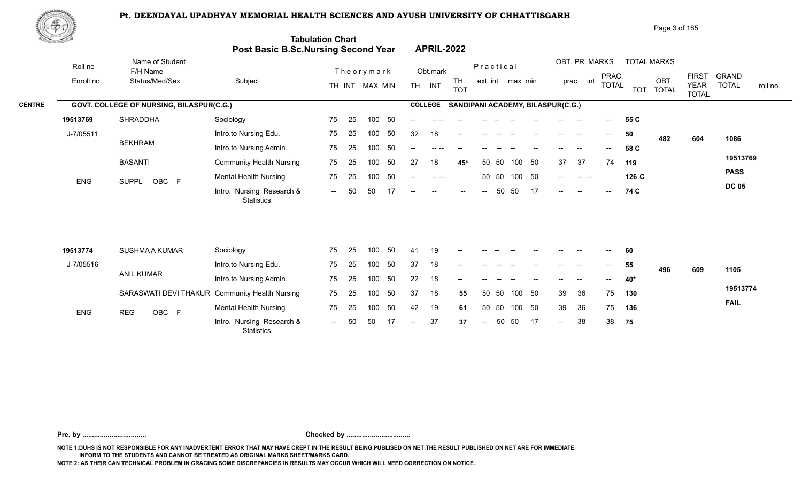

| ⊮P\$          |                      |                                                 |         | <b>Tabulation Chart</b><br>Post Basic B.Sc.Nursing Second Year | <b>APRIL-2022</b>                   |                                            |                                                        | Page 3 of 185                                            |                                                                      |         |
|---------------|----------------------|-------------------------------------------------|---------|----------------------------------------------------------------|-------------------------------------|--------------------------------------------|--------------------------------------------------------|----------------------------------------------------------|----------------------------------------------------------------------|---------|
|               | Roll no<br>Enroll no | Name of Student<br>F/H Name<br>Status/Med/Sex   | Subject | Theorymark<br>MAX MIN<br>TH INT                                | Obt.mark<br><b>INT</b><br><b>TH</b> | Practical<br>TH.<br>TOT<br>ext int max min | OBT. PR. MARKS<br>PRAC.<br>prac<br>int<br><b>TOTAL</b> | <b>TOTAL MARKS</b><br>OBT.<br><b>TOT</b><br><b>TOTAL</b> | GRAND<br><b>FIRST</b><br><b>YEAR</b><br><b>TOTAL</b><br><b>TOTAL</b> | roll no |
| <b>CENTRE</b> |                      | <b>GOVT. COLLEGE OF NURSING, BILASPUR(C.G.)</b> |         |                                                                | <b>COLLEGE</b>                      | <b>SANDIPANI ACADEMY, BILASPUR(C.G.)</b>   |                                                        |                                                          |                                                                      |         |

| 19513769   | SHRADDHA       | Sociology                                      | 75     | -25  | 100    | -50  | $--$ |               | $\sim$ $\sim$ | $- -$                    | $-$   | $- -$        | $\hspace{0.05cm}$ | $-$    | $-$                      | $\hspace{0.1em} \ldots \hspace{0.1em}$ | 55 C  |     |     |              |
|------------|----------------|------------------------------------------------|--------|------|--------|------|------|---------------|---------------|--------------------------|-------|--------------|-------------------|--------|--------------------------|----------------------------------------|-------|-----|-----|--------------|
| J-7/05511  |                | Intro.to Nursing Edu.                          | 75     | -25  | 100    | - 50 | 32   | 18            | $-$           |                          | $-$   |              |                   | $- -$  | $\overline{\phantom{a}}$ | $--$                                   | 50    | 482 | 604 | 1086         |
|            | <b>BEKHRAM</b> | Intro.to Nursing Admin.                        | 75     | 25   | 100    | - 50 | --   | -- --         |               |                          |       |              |                   | --     | $- -$                    | $- -$                                  | 58 C  |     |     |              |
|            | <b>BASANTI</b> | <b>Community Health Nursing</b>                | 75     | - 25 | 100 50 |      | 27   | 18            | 45*           |                          | 50 50 | 100          | - 50              | 37     | 37                       | 74                                     | 119   |     |     | 19513769     |
| <b>ENG</b> |                | <b>Mental Health Nursing</b>                   | 75     | -25  | 100    | - 50 | $--$ | $\sim$ $\sim$ |               |                          |       | 50 50 100 50 |                   | $\sim$ | $\sim$ $\sim$ $\sim$     |                                        | 126 C |     |     | <b>PASS</b>  |
|            | OBC F<br>SUPPL | Intro. Nursing Research &<br><b>Statistics</b> | $  \,$ |      | .50    |      | $--$ | $\sim$        | $\sim$ $\sim$ | $\overline{\phantom{a}}$ | 50    | - 50         |                   | $\sim$ | $-$                      | $\sim$                                 | 74 C  |     |     | <b>DC 05</b> |

| 19513774   | <b>SUSHMA A KUMAR</b>                          | Sociology                                      | 75                       | - 25 | 100 | 50  | -41    | 19 | $\overline{\phantom{a}}$ | $- -$                                 | $- -$ | $\sim$                   | $- -$ | $\sim$ $\sim$                                  | $ -$                     | $\sim$ | 60    |     |     |             |
|------------|------------------------------------------------|------------------------------------------------|--------------------------|------|-----|-----|--------|----|--------------------------|---------------------------------------|-------|--------------------------|-------|------------------------------------------------|--------------------------|--------|-------|-----|-----|-------------|
| J-7/05516  |                                                | Intro.to Nursing Edu.                          | 75                       | - 25 | 100 | -50 | 37     | 18 | $\sim$                   | $\hspace{0.05cm}$ – $\hspace{0.05cm}$ |       | $\overline{\phantom{a}}$ |       | $\hspace{0.1mm}-\hspace{0.1mm}-\hspace{0.1mm}$ | $\overline{\phantom{a}}$ | $\sim$ | 55    | 496 | 609 | 1105        |
|            | ANIL KUMAR                                     | Intro.to Nursing Admin.                        | 75                       | - 25 | 100 | 50  | 22     | 18 | $- -$                    |                                       |       |                          |       |                                                | $\hspace{0.05cm}$        | $- -$  | - 40* |     |     |             |
|            | SARASWATI DEVI THAKUR Community Health Nursing |                                                | 75                       | - 25 | 100 | -50 | -37    | 18 | 55                       | 50 50                                 |       | 100 50                   |       | 39                                             | -36                      | 75     | 130   |     |     | 19513774    |
| <b>ENG</b> | OBC F<br><b>REG</b>                            | <b>Mental Health Nursing</b>                   | 75                       | - 25 | 100 | -50 | 42     | 19 | 61                       | 50 50                                 |       | 100 50                   |       | -39                                            | -36                      | 75     | 136   |     |     | <b>FAIL</b> |
|            |                                                | Intro. Nursing Research &<br><b>Statistics</b> | $\overline{\phantom{a}}$ | 50   | 50  |     | $\sim$ | 37 | 37                       | $  \,$                                | 50 50 |                          | 17    | $\overline{\phantom{a}}$                       | 38                       | 38     | 75    |     |     |             |

**Pre. by ................................. Checked by .................................**

**NOTE 1:DUHS IS NOT RESPONSIBLE FOR ANY INADVERTENT ERROR THAT MAY HAVE CREPT IN THE RESULT BEING PUBLISED ON NET.THE RESULT PUBLISHED ON NET ARE FOR IMMEDIATE INFORM TO THE STUDENTS AND CANNOT BE TREATED AS ORIGINAL MARKS SHEET/MARKS CARD.**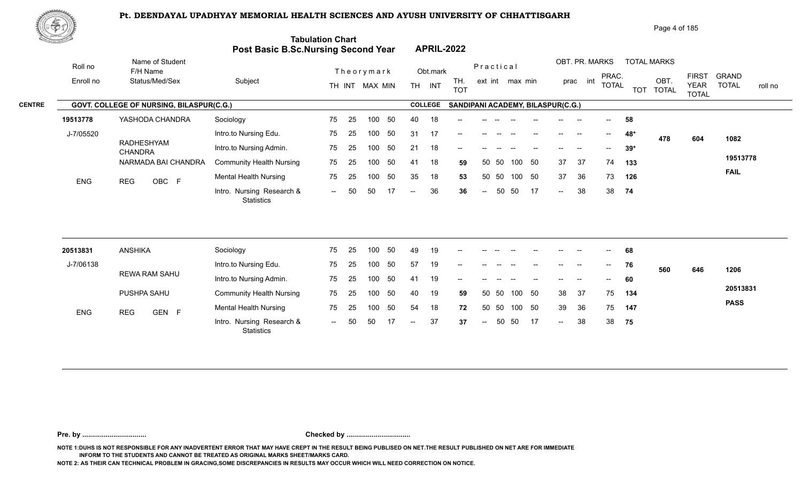

|               | 脚のり        |                                          |                                         |                                                                       |                                                           | Page 4 of 185                                                                                                                                       |
|---------------|------------|------------------------------------------|-----------------------------------------|-----------------------------------------------------------------------|-----------------------------------------------------------|-----------------------------------------------------------------------------------------------------------------------------------------------------|
|               |            |                                          |                                         | <b>Tabulation Chart</b><br><b>Post Basic B.Sc.Nursing Second Year</b> | <b>APRIL-2022</b>                                         |                                                                                                                                                     |
|               | Roll no    | Name of Student<br>F/H Name              |                                         | Theorymark                                                            | Practical<br>Obt.mark                                     | OBT. PR. MARKS<br><b>TOTAL MARKS</b>                                                                                                                |
|               | Enroll no  | Status/Med/Sex                           | Subject                                 | TH INT MAX MIN                                                        | TH.<br>ext int max min<br><b>TH</b><br>INT<br><b>TOT</b>  | <b>FIRST</b><br><b>GRAND</b><br>PRAC.<br>OBT.<br>int<br>prac<br><b>TOTAL</b><br><b>TOTAL</b><br><b>YEAR</b><br>roll no<br>TOT TOTAL<br><b>TOTAL</b> |
| <b>CENTRE</b> |            | GOVT. COLLEGE OF NURSING, BILASPUR(C.G.) |                                         |                                                                       | <b>COLLEGE</b><br>SANDIPANI ACADEMY, BILASPUR(C.G.)       |                                                                                                                                                     |
|               | 19513778   | YASHODA CHANDRA                          | Sociology                               | 50<br>75<br>-25<br>100                                                | 40<br>18                                                  | 58<br>$\hspace{0.05cm}$ – $\hspace{0.05cm}$                                                                                                         |
|               | J-7/05520  |                                          | Intro.to Nursing Edu.                   | 75<br>50<br>25<br>100                                                 | 31<br>-17<br>$-$                                          | 48*<br>$- -$<br>$-$<br>478<br>604<br>1082                                                                                                           |
|               |            | RADHESHYAM<br><b>CHANDRA</b>             | Intro.to Nursing Admin.                 | 75<br>50<br>-25<br>100                                                | 21<br>18<br>$-$                                           | $39*$                                                                                                                                               |
|               |            | NARMADA BAI CHANDRA                      | <b>Community Health Nursing</b>         | 50<br>75<br>25<br>100                                                 | 18<br>50<br>41<br>50 50<br>100<br>59                      | 19513778<br>37<br>37<br>74<br>133                                                                                                                   |
|               | <b>ENG</b> | OBC F<br><b>REG</b>                      | <b>Mental Health Nursing</b>            | 50<br>75<br>100<br>-25                                                | 35<br>18<br>50<br>50 50<br>100<br>53                      | <b>FAIL</b><br>36<br>37<br>73<br>126                                                                                                                |
|               |            |                                          | Intro. Nursing Research &<br>Statistics | 17<br>-50<br>50<br>$-$                                                | 36<br>17<br>50<br>50<br>36<br>$\sim$ $\sim$<br>$\sim$ $-$ | 38<br>38 74<br>$--$                                                                                                                                 |

| 20513831   | ANSHIKA             | Sociology                                      | 75     | - 25 | 100 | 50  | 49     | 19 | $\sim$ | $- -$  |    |        | $- -$ | $\overline{\phantom{a}}$ | $\overline{\phantom{a}}$ | $--$  | 68  |     |     |             |
|------------|---------------------|------------------------------------------------|--------|------|-----|-----|--------|----|--------|--------|----|--------|-------|--------------------------|--------------------------|-------|-----|-----|-----|-------------|
| J-7/06138  |                     | Intro.to Nursing Edu.                          | 75     | - 25 | 100 | -50 | 57     | 19 | $- -$  |        |    |        |       |                          |                          | $- -$ | 76  | 560 | 646 | 1206        |
|            | REWA RAM SAHU       | Intro.to Nursing Admin.                        | 75     | 25   | 100 | -50 | 41     | 19 | $-$    |        |    |        |       | --                       |                          | $--$  | 60  |     |     |             |
|            | PUSHPA SAHU         | <b>Community Health Nursing</b>                | 75     | - 25 | 100 | -50 | 40     | 19 | 59     | 50 50  |    | 100 50 |       | 38                       | -37                      | 75    | 134 |     |     | 20513831    |
| <b>ENG</b> | GEN F<br><b>REG</b> | <b>Mental Health Nursing</b>                   | 75     | -25  | 100 | -50 | 54     | 18 | 72     | 50 50  |    | 100 50 |       | -39                      | - 36                     | 75    | 147 |     |     | <b>PASS</b> |
|            |                     | Intro. Nursing Research &<br><b>Statistics</b> | $\sim$ | -50  | 50  |     | $\sim$ | 37 | 37     | $\sim$ | 50 | - 50   | 17    | $\sim$                   | 38                       | 38    | 75  |     |     |             |

**Pre. by ................................. Checked by .................................**

**NOTE 1:DUHS IS NOT RESPONSIBLE FOR ANY INADVERTENT ERROR THAT MAY HAVE CREPT IN THE RESULT BEING PUBLISED ON NET.THE RESULT PUBLISHED ON NET ARE FOR IMMEDIATE INFORM TO THE STUDENTS AND CANNOT BE TREATED AS ORIGINAL MARKS SHEET/MARKS CARD.**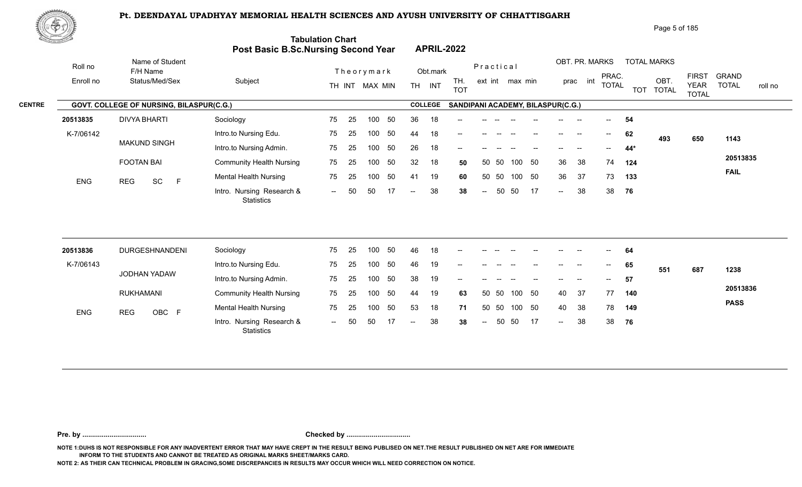

| Page 5 of 185 |  |
|---------------|--|
|               |  |

| Name of Student<br>Roll no<br>Practical                                                                                                                     |                                                                                                                                             |
|-------------------------------------------------------------------------------------------------------------------------------------------------------------|---------------------------------------------------------------------------------------------------------------------------------------------|
| Theorymark<br>F/H Name<br>Obt.mark                                                                                                                          | OBT. PR. MARKS<br><b>TOTAL MARKS</b><br>PRAC.<br><b>FIRST</b><br><b>GRAND</b>                                                               |
| Subject<br>Enroll no<br>Status/Med/Sex<br>TH.<br>TH INT<br>TH INT MAX MIN<br><b>TOT</b>                                                                     | OBT.<br>ext int max min<br>prac int<br><b>TOTAL</b><br><b>YEAR</b><br><b>TOTAL</b><br>roll no<br><b>TOT</b><br><b>TOTAL</b><br><b>TOTAL</b> |
| <b>COLLEGE</b><br>GOVT. COLLEGE OF NURSING, BILASPUR(C.G.)                                                                                                  | SANDIPANI ACADEMY, BILASPUR(C.G.)                                                                                                           |
| <b>DIVYA BHARTI</b><br>36<br>Sociology<br>25<br>50<br>20513835<br>75<br>100<br>18                                                                           | 54                                                                                                                                          |
| K-7/06142<br>Intro.to Nursing Edu.<br>75<br>25<br>100<br>50<br>18<br>44                                                                                     | 62<br>$--$<br>493<br>1143<br>650                                                                                                            |
| <b>MAKUND SINGH</b><br>Intro.to Nursing Admin.<br>50<br>26<br>75<br>25<br>100<br>18                                                                         | 44*                                                                                                                                         |
| <b>FOOTAN BAI</b><br><b>Community Health Nursing</b><br>75<br>25<br>50<br>32<br>18<br>50 50<br>100<br>50                                                    | 20513835<br>50<br>36<br>38<br>74<br>100<br>124                                                                                              |
| <b>Mental Health Nursing</b><br>50<br>19<br>50<br>50<br>75<br>25<br>100<br>41<br>60<br>ENG<br>SC<br>F<br><b>REG</b>                                         | <b>FAIL</b><br>100<br>50<br>36<br>37<br>73<br>133                                                                                           |
| Intro. Nursing Research &<br>38<br>50<br>50<br>50<br>17<br>38<br>$\sim$ $\sim$<br>$\overline{\phantom{a}}$<br>$\overline{\phantom{a}}$<br><b>Statistics</b> | 50<br>38<br>38<br>-17<br>76<br>$\sim$                                                                                                       |
|                                                                                                                                                             |                                                                                                                                             |
| DURGESHNANDENI<br>50<br>18<br>20513836<br>Sociology<br>75<br>25<br>100<br>46                                                                                | 64                                                                                                                                          |
| K-7/06143<br>Intro.to Nursing Edu.<br>75<br>25<br>50<br>46<br>100<br>19                                                                                     | 65<br>--<br>$\hspace{0.05cm}$ – $\hspace{0.05cm}$<br>551<br>687<br>1238                                                                     |
| JODHAN YADAW<br>Intro.to Nursing Admin.<br>50<br>38<br>19<br>75<br>25<br>100                                                                                | 57                                                                                                                                          |
| <b>RUKHAMANI</b><br>75<br><b>Community Health Nursing</b><br>25<br>50<br>19<br>50 50<br>100<br>44<br>63                                                     | 20513836<br>100 50<br>37<br>40<br>77<br>140                                                                                                 |
| <b>Mental Health Nursing</b><br>75<br>25<br>50<br>53<br>18<br>50 50<br>100<br>71<br>OBC F<br><b>ENG</b><br><b>REG</b>                                       | <b>PASS</b><br>100 50<br>40<br>38<br>78<br>149                                                                                              |
| Intro. Nursing Research &<br>38<br>50<br>-50<br>50<br>17<br>38<br>$\overline{\phantom{a}}$<br>$ -$<br>Statistics                                            | 38<br>50<br>-17<br>38<br>76<br>$\mathcal{L}(\mathcal{L})$                                                                                   |

**Pre. by ................................. Checked by .................................**

**NOTE 1:DUHS IS NOT RESPONSIBLE FOR ANY INADVERTENT ERROR THAT MAY HAVE CREPT IN THE RESULT BEING PUBLISED ON NET.THE RESULT PUBLISHED ON NET ARE FOR IMMEDIATE INFORM TO THE STUDENTS AND CANNOT BE TREATED AS ORIGINAL MARKS SHEET/MARKS CARD.**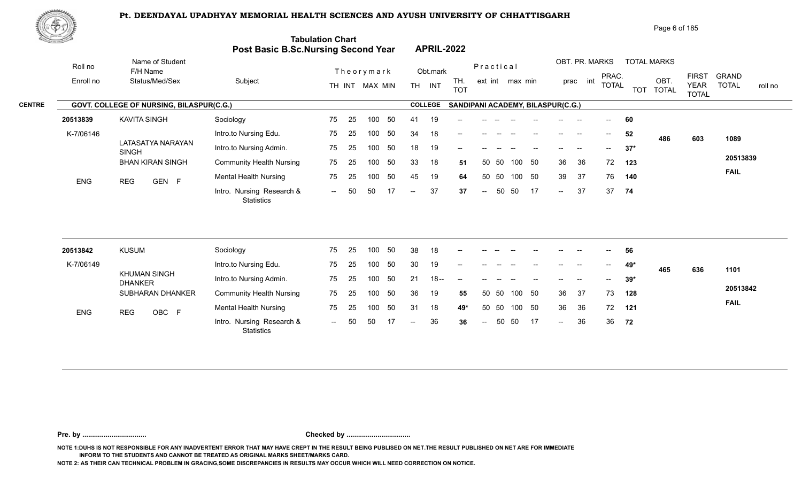

|               | 政学の        |                                          |                                            |                         |                                                          | Page 6 of 185                                                                                                                                       |
|---------------|------------|------------------------------------------|--------------------------------------------|-------------------------|----------------------------------------------------------|-----------------------------------------------------------------------------------------------------------------------------------------------------|
|               |            |                                          | <b>Post Basic B.Sc.Nursing Second Year</b> | <b>Tabulation Chart</b> | <b>APRIL-2022</b>                                        |                                                                                                                                                     |
|               | Roll no    | Name of Student<br>F/H Name              |                                            | Theorymark              | Practical<br>Obt.mark                                    | OBT. PR. MARKS<br><b>TOTAL MARKS</b>                                                                                                                |
|               | Enroll no  | Status/Med/Sex                           | Subject                                    | TH INT MAX MIN          | TH.<br>ext int max min<br><b>TH</b><br>INT<br><b>TOT</b> | <b>GRAND</b><br><b>FIRST</b><br>PRAC.<br>OBT.<br>int<br>prac<br><b>TOTAL</b><br><b>TOTAL</b><br><b>YEAR</b><br>roll no<br>TOT TOTAL<br><b>TOTAL</b> |
| <b>CENTRE</b> |            | GOVT. COLLEGE OF NURSING, BILASPUR(C.G.) |                                            |                         | <b>COLLEGE</b><br>SANDIPANI ACADEMY, BILASPUR(C.G.)      |                                                                                                                                                     |
|               | 20513839   | <b>KAVITA SINGH</b>                      | Sociology                                  | 50<br>75<br>25<br>100   | 19<br>41<br>$- -$                                        | 60<br>$- -$                                                                                                                                         |
|               | K-7/06146  |                                          | Intro.to Nursing Edu.                      | 75<br>50<br>25<br>100   | 34<br>18<br>$- -$                                        | 52<br>$\hspace{0.05cm}$<br>$\sim$<br>486<br>603<br>1089                                                                                             |
|               |            | LATASATYA NARAYAN<br><b>SINGH</b>        | Intro.to Nursing Admin.                    | 50<br>75<br>-25<br>100  | 18<br>19<br>$-$                                          | $37*$                                                                                                                                               |
|               |            | <b>BHAN KIRAN SINGH</b>                  | <b>Community Health Nursing</b>            | 75<br>50<br>-25<br>100  | 33<br>18<br>- 50<br>50 50<br>100<br>51                   | 20513839<br>36<br>36<br>72<br>123                                                                                                                   |
|               | <b>ENG</b> | GEN F<br><b>REG</b>                      | <b>Mental Health Nursing</b>               | 50<br>75<br>100<br>-25  | 45<br>19<br>- 50<br>50<br>-50<br>100<br>64               | <b>FAIL</b><br>39<br>37<br>76<br>140                                                                                                                |
|               |            |                                          | Intro. Nursing Research &<br>Statistics    | 50<br>50<br>17<br>$-$   | 37<br>17<br>50<br>50<br>37<br>$\sim$ $\sim$<br>$\sim$    | 37<br>37<br>74<br>$\sim$                                                                                                                            |

| 20513842   | <b>KUSUM</b>                   | Sociology                                      | 75                       | -25 | 100 | 50  | 38    | 18     | $- -$ |      |       |     |      | $- -$                    | -- | $- -$ | 56    |     |     |             |
|------------|--------------------------------|------------------------------------------------|--------------------------|-----|-----|-----|-------|--------|-------|------|-------|-----|------|--------------------------|----|-------|-------|-----|-----|-------------|
| K-7/06149  |                                | Intro.to Nursing Edu.                          | 75                       | 25  | 100 | -50 | 30    | 19     |       |      |       |     |      |                          | -- | $- -$ | 49*   | 465 | 636 | 1101        |
|            | KHUMAN SINGH<br><b>DHANKER</b> | Intro.to Nursing Admin.                        | 75                       | -25 | 100 | 50  | 21    | $18 -$ | $- -$ |      |       |     |      |                          | -- | $--$  | $39*$ |     |     |             |
|            | <b>SUBHARAN DHANKER</b>        | <b>Community Health Nursing</b>                | 75                       | -25 | 100 | -50 | -36   | 19     | 55    |      | 50 50 | 100 | - 50 | 36                       | 37 | 73    | 128   |     |     | 20513842    |
| <b>ENG</b> | OBC F<br><b>REG</b>            | <b>Mental Health Nursing</b>                   | 75                       | -25 | 100 | -50 | 31    | 18     | 49*   |      | 50 50 | 100 | -50  | 36                       | 36 | 72    | 121   |     |     | <b>FAIL</b> |
|            |                                | Intro. Nursing Research &<br><b>Statistics</b> | $\overline{\phantom{a}}$ | 50  | 50  |     | $- -$ | 36     | 36    | $--$ | 50    | -50 | 17   | $\overline{\phantom{a}}$ | 36 | 36    | 72    |     |     |             |

**Pre. by ................................. Checked by .................................**

**NOTE 1:DUHS IS NOT RESPONSIBLE FOR ANY INADVERTENT ERROR THAT MAY HAVE CREPT IN THE RESULT BEING PUBLISED ON NET.THE RESULT PUBLISHED ON NET ARE FOR IMMEDIATE INFORM TO THE STUDENTS AND CANNOT BE TREATED AS ORIGINAL MARKS SHEET/MARKS CARD.**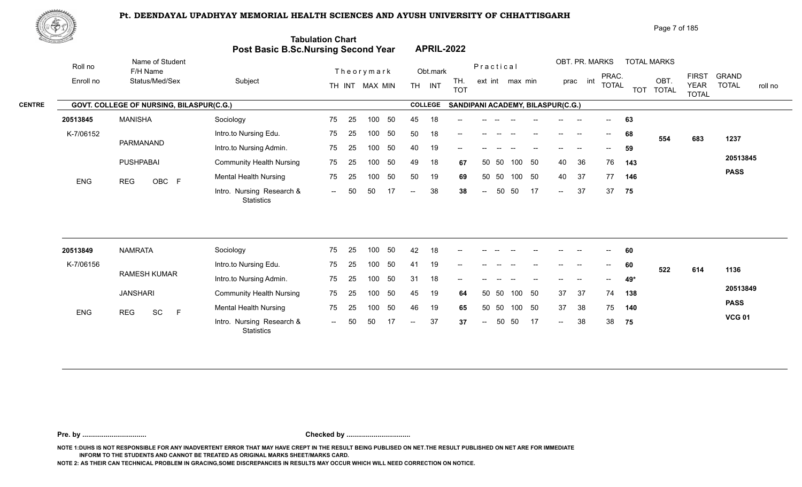

Page 7 of 185

| <u>tornal di</u> |            |                                          | Post Basic B.Sc.Nursing Second Year            | <b>Tabulation Chart</b> |    |                |     |                          | <b>APRIL-2022</b> |                                   |                          |       |                 |        |        |                |                                       |     |                    |                             |                         |
|------------------|------------|------------------------------------------|------------------------------------------------|-------------------------|----|----------------|-----|--------------------------|-------------------|-----------------------------------|--------------------------|-------|-----------------|--------|--------|----------------|---------------------------------------|-----|--------------------|-----------------------------|-------------------------|
|                  | Roll no    | Name of Student<br>F/H Name              |                                                |                         |    | Theorymark     |     |                          | Obt.mark          |                                   | Practical                |       |                 |        |        | OBT. PR. MARKS | PRAC.                                 |     | <b>TOTAL MARKS</b> | <b>FIRST</b>                | <b>GRAND</b>            |
|                  | Enroll no  | Status/Med/Sex                           | Subject                                        |                         |    | TH INT MAX MIN |     |                          | TH INT            | TH.<br><b>TOT</b>                 |                          |       | ext int max min |        |        | int<br>prac    | <b>TOTAL</b>                          |     | OBT.<br>TOT TOTAL  | <b>YEAR</b><br><b>TOTAL</b> | <b>TOTAL</b><br>roll no |
| <b>CENTRE</b>    |            | GOVT. COLLEGE OF NURSING, BILASPUR(C.G.) |                                                |                         |    |                |     |                          | <b>COLLEGE</b>    | SANDIPANI ACADEMY, BILASPUR(C.G.) |                          |       |                 |        |        |                |                                       |     |                    |                             |                         |
|                  | 20513845   | <b>MANISHA</b>                           | Sociology                                      | 75                      | 25 | 100            | 50  | 45                       | 18                |                                   |                          |       |                 |        |        |                |                                       | 63  |                    |                             |                         |
|                  | K-7/06152  |                                          | Intro.to Nursing Edu.                          | 75                      | 25 | 100            | 50  | 50                       | 18                | --                                |                          |       |                 |        |        |                | $\hspace{0.05cm}$ – $\hspace{0.05cm}$ | 68  | 554                | 683                         | 1237                    |
|                  |            | PARMANAND                                | Intro.to Nursing Admin.                        | 75                      | 25 | 100            | 50  | 40                       | 19                |                                   |                          |       |                 |        |        |                |                                       | 59  |                    |                             |                         |
|                  |            | PUSHPABAI                                | <b>Community Health Nursing</b>                | 75                      | 25 | 100            | 50  | 49                       | 18                | 67                                |                          | 50 50 |                 | 100 50 | 40     | 36             | 76                                    | 143 |                    |                             | 20513845                |
|                  | ENG        | OBC F<br><b>REG</b>                      | <b>Mental Health Nursing</b>                   | 75                      | 25 | 100            | 50  | 50                       | 19                | 69                                |                          | 50 50 |                 | 100 50 | 40     | -37            | 77                                    | 146 |                    |                             | <b>PASS</b>             |
|                  |            |                                          | Intro. Nursing Research &<br><b>Statistics</b> | $  \,$                  | 50 | 50             | 17  | $\overline{\phantom{a}}$ | 38                | 38                                | $\overline{\phantom{a}}$ | 50    | 50              | -17    | $\sim$ | 37             | 37                                    | 75  |                    |                             |                         |
|                  |            |                                          |                                                |                         |    |                |     |                          |                   |                                   |                          |       |                 |        |        |                |                                       |     |                    |                             |                         |
|                  | 20513849   | <b>NAMRATA</b>                           | Sociology                                      | 75                      | 25 | 100            | 50  | 42                       | 18                |                                   |                          |       |                 |        |        |                |                                       | 60  |                    |                             |                         |
|                  | K-7/06156  |                                          | Intro.to Nursing Edu.                          | 75                      | 25 | 100            | 50  | 41                       | 19                |                                   |                          |       |                 |        |        |                |                                       | 60  | 522                | 614                         | 1136                    |
|                  |            | <b>RAMESH KUMAR</b>                      | Intro.to Nursing Admin.                        | 75                      | 25 | 100            | 50  | 31                       | 18                |                                   |                          |       |                 |        |        |                |                                       | 49* |                    |                             |                         |
|                  |            | <b>JANSHARI</b>                          | <b>Community Health Nursing</b>                | 75                      | 25 | 100            | 50  | 45                       | 19                | 64                                | 50                       | 50    | 100             | 50     | 37     | 37             | 74                                    | 138 |                    |                             | 20513849                |
|                  | <b>ENG</b> | SC<br><b>REG</b><br>F                    | <b>Mental Health Nursing</b>                   | 75                      | 25 | 100            | 50  | 46                       | 19                | 65                                | 50                       | 50    |                 | 100 50 | 37     | 38             | 75                                    | 140 |                    |                             | <b>PASS</b>             |
|                  |            |                                          | Intro. Nursing Research &<br>Statistics        | $  \,$                  | 50 | 50             | -17 | $-$                      | 37                | 37                                | $\sim$                   | 50    | 50              | 17     | $\sim$ | 38             | 38                                    | 75  |                    |                             | <b>VCG 01</b>           |
|                  |            |                                          |                                                |                         |    |                |     |                          |                   |                                   |                          |       |                 |        |        |                |                                       |     |                    |                             |                         |

**Pre. by ................................. Checked by .................................**

**NOTE 1:DUHS IS NOT RESPONSIBLE FOR ANY INADVERTENT ERROR THAT MAY HAVE CREPT IN THE RESULT BEING PUBLISED ON NET.THE RESULT PUBLISHED ON NET ARE FOR IMMEDIATE INFORM TO THE STUDENTS AND CANNOT BE TREATED AS ORIGINAL MARKS SHEET/MARKS CARD.**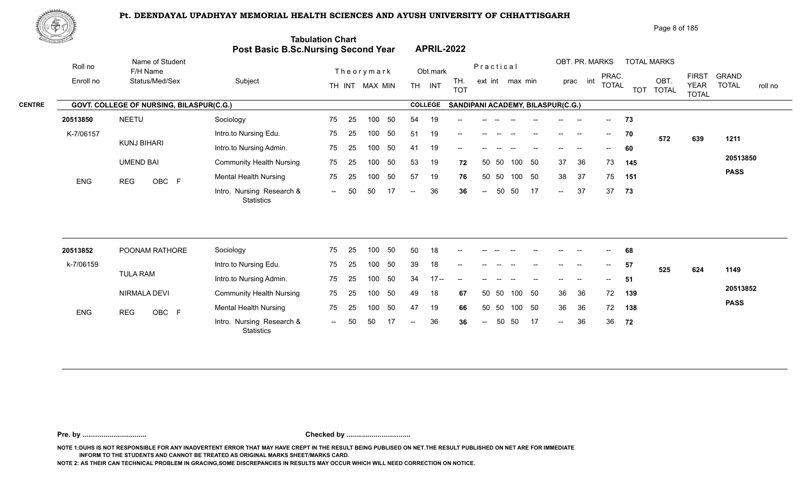

| <u>Contraction of the Contraction of the Contraction of the Contraction of the Contraction of the Contraction of the Contraction of the Contraction of the Contraction of the Contraction of the Contraction of the Contraction </u> |           |                    |                                          | Post Basic B.Sc.Nursing Second Year     | <b>Tabulation Chart</b> |    |                |    |                | <b>APRIL-2022</b> |                                       |                          |      |                 |                                   |                   |                          |                                       |     |                    |                                             |                              |         |
|--------------------------------------------------------------------------------------------------------------------------------------------------------------------------------------------------------------------------------------|-----------|--------------------|------------------------------------------|-----------------------------------------|-------------------------|----|----------------|----|----------------|-------------------|---------------------------------------|--------------------------|------|-----------------|-----------------------------------|-------------------|--------------------------|---------------------------------------|-----|--------------------|---------------------------------------------|------------------------------|---------|
|                                                                                                                                                                                                                                      | Roll no   |                    | Name of Student<br>F/H Name              |                                         |                         |    | Theorymark     |    |                | Obt.mark          |                                       | Practical                |      |                 |                                   |                   | OBT. PR. MARKS           |                                       |     | <b>TOTAL MARKS</b> |                                             |                              |         |
|                                                                                                                                                                                                                                      | Enroll no |                    | Status/Med/Sex                           | Subject                                 |                         |    | TH INT MAX MIN |    |                | TH INT            | TH.<br><b>TOT</b>                     |                          |      | ext int max min |                                   |                   | prac int                 | PRAC.<br><b>TOTAL</b>                 |     | OBT.<br>TOT TOTAL  | <b>FIRST</b><br><b>YEAR</b><br><b>TOTAL</b> | <b>GRAND</b><br><b>TOTAL</b> | roll no |
| <b>CENTRE</b>                                                                                                                                                                                                                        |           |                    | GOVT. COLLEGE OF NURSING, BILASPUR(C.G.) |                                         |                         |    |                |    |                | <b>COLLEGE</b>    |                                       |                          |      |                 | SANDIPANI ACADEMY, BILASPUR(C.G.) |                   |                          |                                       |     |                    |                                             |                              |         |
|                                                                                                                                                                                                                                      | 20513850  | <b>NEETU</b>       |                                          | Sociology                               | 75                      | 25 | 100            | 50 | 54             | 19                |                                       |                          |      |                 |                                   |                   | --                       | $\overline{\phantom{a}}$              | 73  |                    |                                             |                              |         |
|                                                                                                                                                                                                                                      | K-7/06157 |                    |                                          | Intro.to Nursing Edu.                   | 75                      | 25 | 100            | 50 | 51             | 19                |                                       |                          |      |                 |                                   | $- -$             | --                       | $--$                                  | 70  | 572                | 639                                         | 1211                         |         |
|                                                                                                                                                                                                                                      |           | <b>KUNJ BIHARI</b> |                                          | Intro.to Nursing Admin.                 | 75                      | 25 | 100            | 50 | 41             | 19                | $-$                                   |                          |      |                 |                                   |                   |                          | $\hspace{0.05cm}$ – $\hspace{0.05cm}$ | 60  |                    |                                             |                              |         |
|                                                                                                                                                                                                                                      |           | <b>UMEND BAI</b>   |                                          | <b>Community Health Nursing</b>         | 75                      | 25 | 100            | 50 | 53             | 19                | 72                                    | 50                       | - 50 | 100             | 50                                | 37                | 36                       | 73                                    | 145 |                    |                                             | 20513850                     |         |
|                                                                                                                                                                                                                                      | ENG       | <b>REG</b>         | OBC F                                    | <b>Mental Health Nursing</b>            | 75                      | 25 | 100            | 50 | 57             | 19                | 76                                    | 50                       | 50   | 100 50          |                                   | 38                | 37                       | 75                                    | 151 |                    |                                             | <b>PASS</b>                  |         |
|                                                                                                                                                                                                                                      |           |                    |                                          | Intro. Nursing Research &<br>Statistics | $\sim$                  | 50 | 50             | 17 | $\overline{a}$ | 36                | 36                                    | $\overline{\phantom{a}}$ | 50   | 50              | 17                                | $\sim$            | 37                       | 37                                    | 73  |                    |                                             |                              |         |
|                                                                                                                                                                                                                                      |           |                    |                                          |                                         |                         |    |                |    |                |                   |                                       |                          |      |                 |                                   |                   |                          |                                       |     |                    |                                             |                              |         |
|                                                                                                                                                                                                                                      | 20513852  |                    | POONAM RATHORE                           | Sociology                               | 75                      | 25 | 100            | 50 | 50             | 18                |                                       |                          |      |                 |                                   |                   |                          |                                       | 68  |                    |                                             |                              |         |
|                                                                                                                                                                                                                                      | k-7/06159 |                    |                                          | Intro.to Nursing Edu.                   | 75                      | 25 | 100            | 50 | 39             | 18                | --                                    |                          |      |                 |                                   | $\qquad \qquad -$ | $\overline{\phantom{a}}$ | $--$                                  | 57  | 525                | 624                                         | 1149                         |         |
|                                                                                                                                                                                                                                      |           | <b>TULA RAM</b>    |                                          | Intro.to Nursing Admin.                 | 75                      | 25 | 100            | 50 | 34             | $17 -$            | $\hspace{0.05cm}$ – $\hspace{0.05cm}$ |                          |      |                 |                                   |                   |                          | $- -$                                 | 51  |                    |                                             |                              |         |

|            | .                   | Intro.to Nursing Admin.                        |  |  |                         |                                  |                 |  |              | المناسبة المناسبة المناسبة المناسبة المناسبة المناسبة المناسبة المناسبة المناسبة المناسبة المناسبة ا | and the state of the state of |      | <b>Section</b> |     |             |
|------------|---------------------|------------------------------------------------|--|--|-------------------------|----------------------------------|-----------------|--|--------------|------------------------------------------------------------------------------------------------------|-------------------------------|------|----------------|-----|-------------|
|            | NIRMALA DEVI        | <b>Community Health Nursing</b>                |  |  | - 49                    | 18                               | 67              |  | 50 50 100 50 |                                                                                                      | - 36                          | - 36 | 72             | 139 | 20513852    |
| <b>ENG</b> | OBC F<br><b>REG</b> | <b>Mental Health Nursing</b>                   |  |  | 75  25  100  50  47  19 |                                  | 66 50 50 100 50 |  |              |                                                                                                      | -36                           | -36  | 72             | 138 | <b>PASS</b> |
|            |                     | Intro. Nursing Research &<br><b>Statistics</b> |  |  |                         | -- 50 50 17 -- 36 36 -- 50 50 17 |                 |  |              |                                                                                                      | $\sim$ $\sim$                 | -36  | 36 72          |     |             |

**Pre. by ................................. Checked by .................................**

**NOTE 1:DUHS IS NOT RESPONSIBLE FOR ANY INADVERTENT ERROR THAT MAY HAVE CREPT IN THE RESULT BEING PUBLISED ON NET.THE RESULT PUBLISHED ON NET ARE FOR IMMEDIATE INFORM TO THE STUDENTS AND CANNOT BE TREATED AS ORIGINAL MARKS SHEET/MARKS CARD.**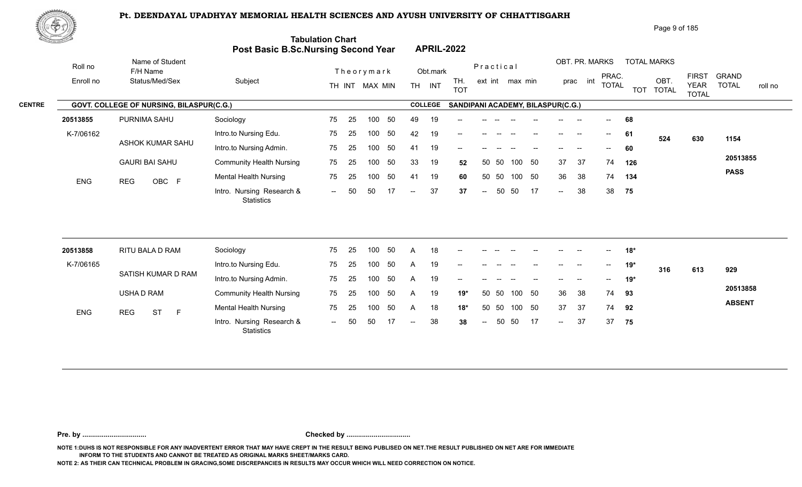

| Page 9 of 185 |  |
|---------------|--|
|---------------|--|

**ABSENT**

|               | <u>tan masa</u>      |                                               | Post Basic B.Sc.Nursing Second Year     | <b>Tabulation Chart</b> |    |                              |    |              | <b>APRIL-2022</b>  |                                   |           |                   |                 |    |                                       |                            |                          |            |                                            |                                             |                                         |
|---------------|----------------------|-----------------------------------------------|-----------------------------------------|-------------------------|----|------------------------------|----|--------------|--------------------|-----------------------------------|-----------|-------------------|-----------------|----|---------------------------------------|----------------------------|--------------------------|------------|--------------------------------------------|---------------------------------------------|-----------------------------------------|
|               | Roll no<br>Enroll no | Name of Student<br>F/H Name<br>Status/Med/Sex | Subject                                 |                         |    | Theorymark<br>TH INT MAX MIN |    |              | Obt.mark<br>TH INT | TH.<br><b>TOT</b>                 | Practical |                   | ext int max min |    |                                       | OBT. PR. MARKS<br>prac int | PRAC.<br><b>TOTAL</b>    | <b>TOT</b> | <b>TOTAL MARKS</b><br>OBT.<br><b>TOTAL</b> | <b>FIRST</b><br><b>YEAR</b><br><b>TOTAL</b> | <b>GRAND</b><br><b>TOTAL</b><br>roll no |
| <b>CENTRE</b> |                      | GOVT. COLLEGE OF NURSING, BILASPUR(C.G.)      |                                         |                         |    |                              |    |              | <b>COLLEGE</b>     | SANDIPANI ACADEMY, BILASPUR(C.G.) |           |                   |                 |    |                                       |                            |                          |            |                                            |                                             |                                         |
|               | 20513855             | PURNIMA SAHU                                  | Sociology                               | 75                      | 25 | 100                          | 50 | 49           | 19                 |                                   |           |                   |                 |    |                                       |                            |                          | 68         |                                            |                                             |                                         |
|               | K-7/06162            |                                               | Intro.to Nursing Edu.                   | 75                      | 25 | 100                          | 50 | 42           | 19                 | $\overline{\phantom{a}}$          |           | $\hspace{0.05cm}$ |                 |    | $\hspace{0.05cm}$ – $\hspace{0.05cm}$ | --                         | $\overline{\phantom{a}}$ | 61         | 524                                        | 630                                         | 1154                                    |
|               |                      | ASHOK KUMAR SAHU                              | Intro.to Nursing Admin.                 | 75                      | 25 | 100                          | 50 | 41           | 19                 | --                                |           |                   |                 |    |                                       |                            | $- -$                    | 60         |                                            |                                             |                                         |
|               |                      | <b>GAURI BAI SAHU</b>                         | <b>Community Health Nursing</b>         | 75                      | 25 | 100                          | 50 | 33           | 19                 | 52                                |           | 50 50             | 100 50          |    | 37                                    | 37                         | 74                       | 126        |                                            |                                             | 20513855                                |
|               | <b>ENG</b>           | OBC F<br><b>REG</b>                           | <b>Mental Health Nursing</b>            | 75                      | 25 | 100                          | 50 | 41           | 19                 | 60                                | 50        | 50                | 100 50          |    | 36                                    | 38                         | 74                       | 134        |                                            |                                             | <b>PASS</b>                             |
|               |                      |                                               | Intro. Nursing Research &<br>Statistics | $\sim$ $\sim$           | 50 | 50                           | 17 | $- -$ .      | 37                 | 37                                | $--$      | 50                | 50              | 17 | $\sim$                                | 38                         | 38                       | 75         |                                            |                                             |                                         |
|               |                      |                                               |                                         |                         |    |                              |    |              |                    |                                   |           |                   |                 |    |                                       |                            |                          |            |                                            |                                             |                                         |
|               | 20513858             | RITU BALA D RAM                               | Sociology                               | 75                      | 25 | 100                          | 50 | A            | 18                 | --                                |           |                   |                 |    |                                       | $\overline{\phantom{a}}$   | $--$                     | $18*$      |                                            |                                             |                                         |
|               | K-7/06165            |                                               | Intro.to Nursing Edu.                   | 75                      | 25 | 100                          | 50 | A            | 19                 |                                   |           |                   |                 |    | $\qquad \qquad -$                     |                            | $--$                     | $19*$      | 316                                        | 613                                         | 929                                     |
|               |                      | SATISH KUMAR D RAM                            | Intro.to Nursing Admin.                 | 75                      | 25 | 100                          | 50 | $\mathsf{A}$ | 19                 | --                                |           |                   |                 |    |                                       |                            | $-$                      | $19*$      |                                            |                                             |                                         |
|               |                      | USHA D RAM                                    | <b>Community Health Nursing</b>         | 75                      | 25 | 100                          | 50 | A            | 19                 | $19*$                             | 50        | 50                | 100             | 50 | 36                                    | 38                         | 74                       | 93         |                                            |                                             | 20513858                                |

**Pre. by ................................. Checked by .................................**

Intro. Nursing Research & -- -- ST

25 75

-- 50 50 17 -- 38 38

100 50 50 50 A 18 **18\*** 37 37 74 **92**

-- 50 38 37 **38** 37

 $-37$ 

37 37 74 **92** 

**75**

**NOTE 1:DUHS IS NOT RESPONSIBLE FOR ANY INADVERTENT ERROR THAT MAY HAVE CREPT IN THE RESULT BEING PUBLISED ON NET.THE RESULT PUBLISHED ON NET ARE FOR IMMEDIATE INFORM TO THE STUDENTS AND CANNOT BE TREATED AS ORIGINAL MARKS SHEET/MARKS CARD.**

**NOTE 2: AS THEIR CAN TECHNICAL PROBLEM IN GRACING,SOME DISCREPANCIES IN RESULTS MAY OCCUR WHICH WILL NEED CORRECTION ON NOTICE.**

Mental Health Nursing **75** 25

**Statistics** 

ENG REG ST F Montail House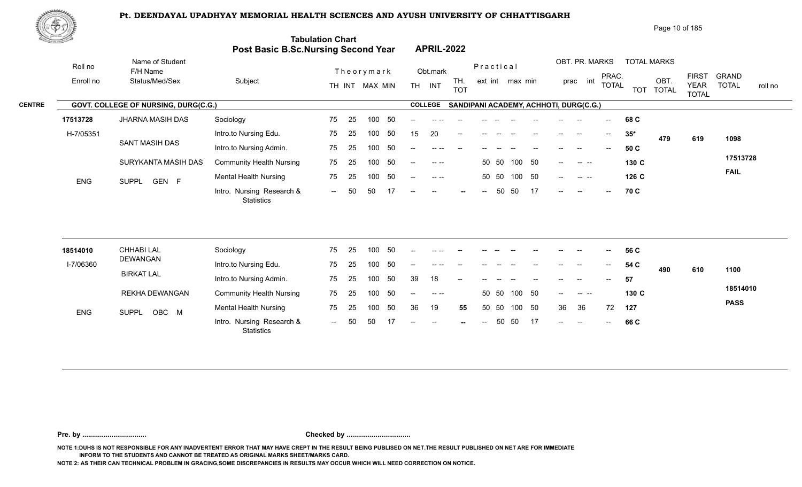

| ぷやが           |            |                                      |                                     |                              |                                                                                                                                                                                                                                                                                                                                                                                                      | Page 10 of 185                                                                                                                                                         |
|---------------|------------|--------------------------------------|-------------------------------------|------------------------------|------------------------------------------------------------------------------------------------------------------------------------------------------------------------------------------------------------------------------------------------------------------------------------------------------------------------------------------------------------------------------------------------------|------------------------------------------------------------------------------------------------------------------------------------------------------------------------|
|               |            |                                      | Post Basic B.Sc.Nursing Second Year | <b>Tabulation Chart</b>      | <b>APRIL-2022</b>                                                                                                                                                                                                                                                                                                                                                                                    |                                                                                                                                                                        |
|               | Roll no    | Name of Student<br>F/H Name          |                                     | Theorymark                   | Obt.mark                                                                                                                                                                                                                                                                                                                                                                                             | OBT. PR. MARKS<br><b>TOTAL MARKS</b><br>Practical                                                                                                                      |
|               | Enroll no  | Status/Med/Sex                       | Subject                             | TH INT MAX MIN               | TH.<br>INT<br><b>TH</b><br><b>TOT</b>                                                                                                                                                                                                                                                                                                                                                                | <b>FIRST</b><br><b>GRAND</b><br>PRAC.<br>OBT.<br>int<br>ext int max min<br>prac<br><b>TOTAL</b><br><b>TOTAL</b><br><b>YEAR</b><br>roll no<br>TOT TOTAL<br><b>TOTAL</b> |
| <b>CENTRE</b> |            | GOVT. COLLEGE OF NURSING, DURG(C.G.) |                                     |                              | <b>COLLEGE</b>                                                                                                                                                                                                                                                                                                                                                                                       | SANDIPANI ACADEMY, ACHHOTI, DURG(C.G.)                                                                                                                                 |
|               | 17513728   | JHARNA MASIH DAS                     | Sociology                           | 50<br>100<br>75<br>-25       | $- -$                                                                                                                                                                                                                                                                                                                                                                                                | 68 C<br>$- -$                                                                                                                                                          |
|               | H-7/05351  |                                      | Intro.to Nursing Edu.               | 25<br>50<br>75<br>100        | 20<br>15<br>$- -$                                                                                                                                                                                                                                                                                                                                                                                    | $35*$<br>$\overline{\phantom{a}}$<br>$\hspace{0.05cm}$<br>479<br>619<br>1098                                                                                           |
|               |            | SANT MASIH DAS                       | Intro.to Nursing Admin.             | -50<br>100<br>75<br>-25      | -- --                                                                                                                                                                                                                                                                                                                                                                                                | 50 C<br>$- -$                                                                                                                                                          |
|               |            | SURYKANTA MASIH DAS                  | <b>Community Health Nursing</b>     | 50<br>75<br>100<br>25        | $\frac{1}{2} \frac{1}{2} \frac{1}{2} \frac{1}{2} \frac{1}{2} \frac{1}{2} \frac{1}{2} \frac{1}{2} \frac{1}{2} \frac{1}{2} \frac{1}{2} \frac{1}{2} \frac{1}{2} \frac{1}{2} \frac{1}{2} \frac{1}{2} \frac{1}{2} \frac{1}{2} \frac{1}{2} \frac{1}{2} \frac{1}{2} \frac{1}{2} \frac{1}{2} \frac{1}{2} \frac{1}{2} \frac{1}{2} \frac{1}{2} \frac{1}{2} \frac{1}{2} \frac{1}{2} \frac{1}{2} \frac{$<br>$--$ | 17513728<br>50<br>50 50<br>100<br>130 C<br>. <u>.</u><br>$\qquad \qquad -$                                                                                             |
|               | <b>ENG</b> | GEN F<br><b>SUPPL</b>                | <b>Mental Health Nursing</b>        | -50<br>75<br>100<br>-25      | $--- - - - -$<br>$- -$                                                                                                                                                                                                                                                                                                                                                                               | <b>FAIL</b><br>100 50<br>50 50<br>126 C<br>$--$<br>$\begin{array}{ccc} - & - & - \end{array}$                                                                          |
|               |            |                                      | Intro. Nursing Research &           | 17<br>50<br>50<br>$\sim$ $-$ | $--$<br>$\hspace{0.1mm}-\hspace{0.1mm}-\hspace{0.1mm}$<br>$\sim$                                                                                                                                                                                                                                                                                                                                     | 50<br>50<br>17<br>70 C<br>$--$<br>$--$<br>$-$<br>$--$                                                                                                                  |

| 18514010   | CHHABI LAL            | Sociology                                      | 75             | - 25 | 100 | -50 | $\overline{\phantom{a}}$ |          | $\sim$ $-$ |        |       | $\overline{\phantom{a}}$ | $\overline{\phantom{a}}$ | $--$   | $\overline{\phantom{a}}$ | $\overline{\phantom{a}}$ | 56 C  |     |     |             |
|------------|-----------------------|------------------------------------------------|----------------|------|-----|-----|--------------------------|----------|------------|--------|-------|--------------------------|--------------------------|--------|--------------------------|--------------------------|-------|-----|-----|-------------|
| I-7/06360  | DEWANGAN              | Intro.to Nursing Edu.                          | 75             | 25   | 100 |     | $\overline{\phantom{a}}$ | $\cdots$ | $- -$      | $- -$  |       |                          | $\overline{\phantom{a}}$ | $--$   | $\overline{\phantom{a}}$ | $\sim$                   | 54 C  | 490 | 610 | 1100        |
|            | <b>BIRKAT LAL</b>     | Intro.to Nursing Admin.                        | 75             | 25   | 100 |     | 39                       | 18       | $- -$      |        |       |                          |                          | $- -$  |                          | $\overline{\phantom{a}}$ | 57    |     |     |             |
|            | REKHA DEWANGAN        | <b>Community Health Nursing</b>                | 75             | -25  | 100 | -50 | $\qquad \qquad -$        |          |            |        | 50 50 | 100 50                   |                          | $--$   |                          |                          | 130 C |     |     | 18514010    |
| <b>ENG</b> | OBC M<br><b>SUPPL</b> | <b>Mental Health Nursing</b>                   | 75             | -25  | 100 | 50  | 36                       | 19       | 55         | 50     | - 50  | 100 50                   |                          | 36     | 36                       | 72                       | 127   |     |     | <b>PASS</b> |
|            |                       | Intro. Nursing Research &<br><b>Statistics</b> | $\overline{a}$ | 50   | 50  |     | $\overline{\phantom{a}}$ | $\sim$   | $\sim$     | $  \,$ | 50    | - 50                     | $\overline{17}$          | $\sim$ | $\sim$ $\sim$            | $\sim$                   | 66 C  |     |     |             |

**Pre. by ................................. Checked by .................................**

**NOTE 1:DUHS IS NOT RESPONSIBLE FOR ANY INADVERTENT ERROR THAT MAY HAVE CREPT IN THE RESULT BEING PUBLISED ON NET.THE RESULT PUBLISHED ON NET ARE FOR IMMEDIATE INFORM TO THE STUDENTS AND CANNOT BE TREATED AS ORIGINAL MARKS SHEET/MARKS CARD.**

**NOTE 2: AS THEIR CAN TECHNICAL PROBLEM IN GRACING,SOME DISCREPANCIES IN RESULTS MAY OCCUR WHICH WILL NEED CORRECTION ON NOTICE.**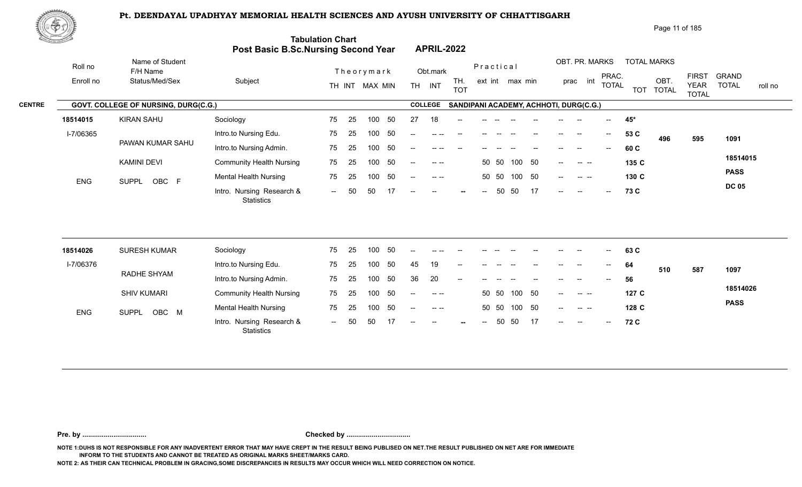

|               | 脚やり        |                                      |                                     |                          |                                                          | Page 11 of 185                                                                                                                                                       |
|---------------|------------|--------------------------------------|-------------------------------------|--------------------------|----------------------------------------------------------|----------------------------------------------------------------------------------------------------------------------------------------------------------------------|
|               |            |                                      | Post Basic B.Sc.Nursing Second Year | <b>Tabulation Chart</b>  | <b>APRIL-2022</b>                                        |                                                                                                                                                                      |
|               | Roll no    | Name of Student<br>F/H Name          |                                     | Theorymark               | Practical<br>Obt.mark                                    | OBT. PR. MARKS<br><b>TOTAL MARKS</b>                                                                                                                                 |
|               | Enroll no  | Status/Med/Sex                       | Subject                             | MAX MIN<br>TH INT        | TH.<br>ext int max min<br><b>TH</b><br>INT<br><b>TOT</b> | <b>FIRST</b><br><b>GRAND</b><br>PRAC.<br>OBT.<br>int<br>prac<br><b>TOTAL</b><br><b>TOTAL</b><br><b>YEAR</b><br>roll no<br><b>TOTAL</b><br><b>TOT</b><br><b>TOTAL</b> |
| <b>CENTRE</b> |            | GOVT. COLLEGE OF NURSING, DURG(C.G.) |                                     |                          | <b>COLLEGE</b><br>SANDIPANI ACADEMY, ACHHOTI, DURG(C.G.) |                                                                                                                                                                      |
|               | 18514015   | <b>KIRAN SAHU</b>                    | Sociology                           | 75<br>50<br>-25<br>100   | 27<br>18<br>--                                           | 45*                                                                                                                                                                  |
|               | I-7/06365  |                                      | Intro.to Nursing Edu.               | -50<br>75<br>25<br>100   | $-$<br>-- --                                             | 53 C<br>$--$<br>$\hspace{0.05cm}$<br>1091<br>496<br>595                                                                                                              |
|               |            | PAWAN KUMAR SAHU                     | Intro.to Nursing Admin.             | -50<br>75<br>100<br>25   | --<br>-- --                                              | 60 C<br>$- -$                                                                                                                                                        |
|               |            | <b>KAMINI DEVI</b>                   | <b>Community Health Nursing</b>     | 50<br>75<br>25<br>100    | 50<br>50 50<br>100<br>$--$                               | 18514015<br>135 C<br><b>Contract Contract</b><br>$--$                                                                                                                |
|               | <b>ENG</b> | OBC F<br><b>SUPPL</b>                | <b>Mental Health Nursing</b>        | -50<br>75<br>100<br>-25  | 50<br>50 50<br>100<br>$- -$                              | <b>PASS</b><br>130 C<br>$--$<br>$\begin{array}{ccc} - & - & - \end{array}$                                                                                           |
|               |            |                                      | Intro. Nursing Research &           | 17<br>50<br>50<br>$  \,$ | 17<br>50<br>50<br>$--$<br>$--$<br>$--$<br>$\sim$         | <b>DC 05</b><br>73 C<br>$--$<br>$- -$<br>$--$                                                                                                                        |

| 18514026   | <b>SURESH KUMAR</b>   | Sociology                                      | 75     | 25  | 100 | -50 | $- -$         | -- --     |        |                          |       |        |      | $- -$  | $\overline{\phantom{m}}$                                                                                                                                                                                                                                                                                                                                                                                                          | $\overline{\phantom{a}}$ | 63 C  |     |     |             |
|------------|-----------------------|------------------------------------------------|--------|-----|-----|-----|---------------|-----------|--------|--------------------------|-------|--------|------|--------|-----------------------------------------------------------------------------------------------------------------------------------------------------------------------------------------------------------------------------------------------------------------------------------------------------------------------------------------------------------------------------------------------------------------------------------|--------------------------|-------|-----|-----|-------------|
| I-7/06376  |                       | Intro.to Nursing Edu.                          | 75     | 25  | 100 | 50  | 45            | 19        | $- -$  |                          |       |        |      |        |                                                                                                                                                                                                                                                                                                                                                                                                                                   | $--$                     | 64    | 510 | 587 | 1097        |
|            | RADHE SHYAM           | Intro.to Nursing Admin.                        | 75     | 25  | 100 | -50 | 36            | 20        | $- -$  |                          |       |        |      | $- -$  | $\hspace{0.05cm}$                                                                                                                                                                                                                                                                                                                                                                                                                 | $\overline{\phantom{a}}$ | 56    |     |     |             |
|            | <b>SHIV KUMARI</b>    | <b>Community Health Nursing</b>                | 75     | -25 | 100 | -50 | $-$ – $\,$    | $  -$     |        |                          | 50 50 | 100 50 |      | $--$   | $\begin{array}{ccc} -\mathbf{1} & \mathbf{1} & \mathbf{1} & \mathbf{1} & \mathbf{1} & \mathbf{1} & \mathbf{1} & \mathbf{1} & \mathbf{1} & \mathbf{1} & \mathbf{1} & \mathbf{1} & \mathbf{1} & \mathbf{1} & \mathbf{1} & \mathbf{1} & \mathbf{1} & \mathbf{1} & \mathbf{1} & \mathbf{1} & \mathbf{1} & \mathbf{1} & \mathbf{1} & \mathbf{1} & \mathbf{1} & \mathbf{1} & \mathbf{1} & \mathbf{1} & \mathbf{1} & \mathbf{1} & \math$ |                          | 127C  |     |     | 18514026    |
| <b>ENG</b> | OBC M<br><b>SUPPL</b> | <b>Mental Health Nursing</b>                   | 75     | 25  | 100 | 50  | $\sim$ $\sim$ | $- - - -$ |        |                          | 50 50 | 100 50 |      | $\sim$ | $\sim$ $\sim$ $\sim$                                                                                                                                                                                                                                                                                                                                                                                                              |                          | 128 C |     |     | <b>PASS</b> |
|            |                       | Intro. Nursing Research &<br><b>Statistics</b> | $\sim$ | 50  | 50  |     | $\sim$ $\sim$ | $\sim$    | $\sim$ | $\overline{\phantom{a}}$ | 50    | - 50   | - 17 | $\sim$ | $--$                                                                                                                                                                                                                                                                                                                                                                                                                              | $\sim$                   | 72 C  |     |     |             |

**Pre. by ................................. Checked by .................................**

**NOTE 1:DUHS IS NOT RESPONSIBLE FOR ANY INADVERTENT ERROR THAT MAY HAVE CREPT IN THE RESULT BEING PUBLISED ON NET.THE RESULT PUBLISHED ON NET ARE FOR IMMEDIATE INFORM TO THE STUDENTS AND CANNOT BE TREATED AS ORIGINAL MARKS SHEET/MARKS CARD.**

**NOTE 2: AS THEIR CAN TECHNICAL PROBLEM IN GRACING,SOME DISCREPANCIES IN RESULTS MAY OCCUR WHICH WILL NEED CORRECTION ON NOTICE.**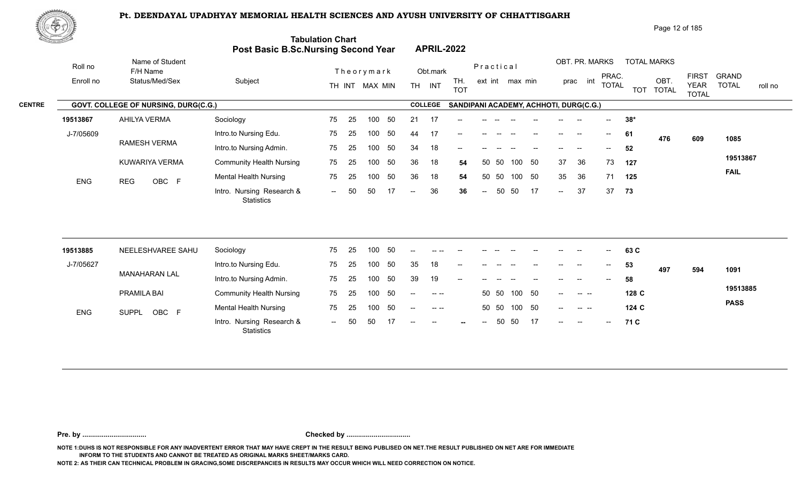

| Page 12 of 185 |  |
|----------------|--|
|                |  |

| <u>tan yana da</u> |            |                                      | Post Basic B.Sc.Nursing Second Year            | <b>Tabulation Chart</b> |    |                  |    |                          |                                                                     | <b>APRIL-2022</b> |                            |           |                 |    |                          |                                                |                                       |       |                    |                                             |                         |
|--------------------|------------|--------------------------------------|------------------------------------------------|-------------------------|----|------------------|----|--------------------------|---------------------------------------------------------------------|-------------------|----------------------------|-----------|-----------------|----|--------------------------|------------------------------------------------|---------------------------------------|-------|--------------------|---------------------------------------------|-------------------------|
|                    | Roll no    | Name of Student<br>F/H Name          |                                                |                         |    | Theorymark       |    |                          | Obt.mark                                                            |                   |                            | Practical |                 |    |                          | OBT. PR. MARKS                                 |                                       |       | <b>TOTAL MARKS</b> |                                             | <b>GRAND</b>            |
|                    | Enroll no  | Status/Med/Sex                       | Subject                                        |                         |    | TH INT MAX MIN   |    |                          | TH INT                                                              | TH.<br><b>TOT</b> |                            |           | ext int max min |    |                          | prac int                                       | PRAC.<br><b>TOTAL</b>                 |       | OBT.<br>TOT TOTAL  | <b>FIRST</b><br><b>YEAR</b><br><b>TOTAL</b> | <b>TOTAL</b><br>roll no |
| <b>CENTRE</b>      |            | GOVT. COLLEGE OF NURSING, DURG(C.G.) |                                                |                         |    |                  |    |                          | <b>COLLEGE</b>                                                      |                   |                            |           |                 |    |                          | SANDIPANI ACADEMY, ACHHOTI, DURG(C.G.)         |                                       |       |                    |                                             |                         |
|                    | 19513867   | AHILYA VERMA                         | Sociology                                      | 75                      | 25 | 100              | 50 | 21                       | -17                                                                 |                   |                            |           |                 |    |                          |                                                | $\overline{\phantom{a}}$              | $38*$ |                    |                                             |                         |
|                    | J-7/05609  |                                      | Intro.to Nursing Edu.                          | 75                      | 25 | 100              | 50 | 44                       | 17                                                                  | --                |                            |           |                 |    | $\overline{\phantom{a}}$ | $\sim$                                         | $--$                                  | 61    | 476                | 609                                         | 1085                    |
|                    |            | RAMESH VERMA                         | Intro.to Nursing Admin.                        | 75                      | 25 | 100              | 50 | 34                       | 18                                                                  | --                |                            |           |                 |    |                          |                                                | $-$                                   | 52    |                    |                                             |                         |
|                    |            | KUWARIYA VERMA                       | <b>Community Health Nursing</b>                | 75                      | 25 | 100              | 50 | 36                       | 18                                                                  | 54                | 50                         | 50        | 100             | 50 | 37                       | 36                                             | 73                                    | 127   |                    |                                             | 19513867                |
|                    | <b>ENG</b> | <b>REG</b><br>OBC F                  | <b>Mental Health Nursing</b>                   | 75                      | 25 | 100              | 50 | 36                       | 18                                                                  | 54                |                            | 50 50     | 100 50          |    | 35                       | 36                                             | 71                                    | 125   |                    |                                             | <b>FAIL</b>             |
|                    |            |                                      | Intro. Nursing Research &<br><b>Statistics</b> | $\sim$                  | 50 | 50               | 17 | $\overline{\phantom{a}}$ | 36                                                                  | 36                | $\mathcal{L}(\mathcal{L})$ | 50        | 50              | 17 | $\sim$                   | 37                                             | 37                                    | 73    |                    |                                             |                         |
|                    |            |                                      |                                                |                         |    |                  |    |                          |                                                                     |                   |                            |           |                 |    |                          |                                                |                                       |       |                    |                                             |                         |
|                    | 19513885   | NEELESHVAREE SAHU                    | Sociology                                      | 75                      | 25 | 100              | 50 |                          |                                                                     |                   |                            |           |                 |    |                          |                                                |                                       | 63 C  |                    |                                             |                         |
|                    | J-7/05627  |                                      | Intro.to Nursing Edu.                          | 75                      | 25 | 100 <sub>1</sub> | 50 | 35                       | 18                                                                  |                   |                            |           |                 |    |                          |                                                |                                       | 53    | 497                | 594                                         | 1091                    |
|                    |            | <b>MANAHARAN LAL</b>                 | Intro.to Nursing Admin.                        | 75                      | 25 | 100              | 50 | 39                       | 19                                                                  | $-$               |                            |           |                 |    |                          |                                                | $\hspace{0.05cm}$ – $\hspace{0.05cm}$ | 58    |                    |                                             |                         |
|                    |            | PRAMILA BAI                          | <b>Community Health Nursing</b>                | 75                      | 25 | 100              | 50 | $-$                      | $--- - - -$                                                         |                   |                            | 50 50     | 100             | 50 | $-$                      | $\sim$ $\sim$ $\sim$                           |                                       | 128 C |                    |                                             | 19513885                |
|                    | <b>ENG</b> | SUPPL OBC F                          | <b>Mental Health Nursing</b>                   | 75                      | 25 | 100              | 50 | $\overline{\phantom{a}}$ | $\begin{array}{cccccccc}\n-1 & -1 & -1 & -1 & -1 & -1\n\end{array}$ |                   |                            | 50 50     | 100 50          |    | $\overline{\phantom{a}}$ | $\begin{array}{ccc} - & - & - \end{array}$     |                                       | 124 C |                    |                                             | <b>PASS</b>             |
|                    |            |                                      | Intro. Nursing Research &                      | $\sim$                  | 50 | 50               |    |                          |                                                                     |                   | $\overline{\phantom{a}}$   | 50        | 50              | 17 | $--$                     | $\hspace{0.1mm}-\hspace{0.1mm}-\hspace{0.1mm}$ | $\hspace{0.05cm} \textbf{--}$         | 71 C  |                    |                                             |                         |

**Pre. by ................................. Checked by .................................**

**NOTE 1:DUHS IS NOT RESPONSIBLE FOR ANY INADVERTENT ERROR THAT MAY HAVE CREPT IN THE RESULT BEING PUBLISED ON NET.THE RESULT PUBLISHED ON NET ARE FOR IMMEDIATE INFORM TO THE STUDENTS AND CANNOT BE TREATED AS ORIGINAL MARKS SHEET/MARKS CARD.**

**NOTE 2: AS THEIR CAN TECHNICAL PROBLEM IN GRACING,SOME DISCREPANCIES IN RESULTS MAY OCCUR WHICH WILL NEED CORRECTION ON NOTICE.**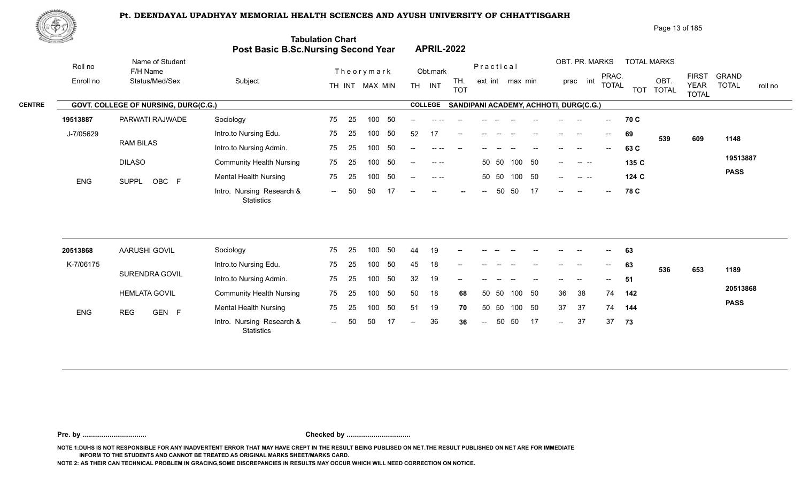

| 爬甲功           |            |                                      |                                            |                         |                                                          | Page 13 of 185                                                                                                                                     |
|---------------|------------|--------------------------------------|--------------------------------------------|-------------------------|----------------------------------------------------------|----------------------------------------------------------------------------------------------------------------------------------------------------|
|               |            |                                      | <b>Post Basic B.Sc.Nursing Second Year</b> | <b>Tabulation Chart</b> | <b>APRIL-2022</b>                                        |                                                                                                                                                    |
|               | Roll no    | Name of Student<br>F/H Name          |                                            | Theorymark              | Practical<br>Obt.mark                                    | OBT. PR. MARKS<br><b>TOTAL MARKS</b>                                                                                                               |
|               | Enroll no  | Status/Med/Sex                       | Subject                                    | TH INT MAX MIN          | TH.<br>ext int max min<br><b>TH</b><br>INT<br><b>TOT</b> | <b>GRAND</b><br><b>FIRST</b><br>PRAC.<br>OBT<br>int<br>prac<br><b>TOTAL</b><br><b>TOTAL</b><br><b>YEAR</b><br>roll no<br>TOT TOTAL<br><b>TOTAL</b> |
| <b>CENTRE</b> |            | GOVT. COLLEGE OF NURSING, DURG(C.G.) |                                            |                         | <b>COLLEGE</b><br>SANDIPANI ACADEMY, ACHHOTI, DURG(C.G.) |                                                                                                                                                    |
|               | 19513887   | PARWATI RAJWADE                      | Sociology                                  | -50<br>75<br>100<br>-25 | --                                                       | 70 C<br>$--$                                                                                                                                       |
|               | J-7/05629  |                                      | Intro.to Nursing Edu.                      | 50<br>75<br>25<br>100   | 52<br>17<br>$\qquad \qquad -$                            | 69<br>$\overline{\phantom{a}}$<br>--<br>539<br>609<br>1148                                                                                         |
|               |            | <b>RAM BILAS</b>                     | Intro.to Nursing Admin.                    | -50<br>100<br>75<br>-25 | --                                                       | 63 C                                                                                                                                               |
|               |            | <b>DILASO</b>                        | <b>Community Health Nursing</b>            | 50<br>75<br>-25<br>100  | 100 50<br>50 50<br>$\sim$ $\sim$<br>$--$                 | 19513887<br>135 C<br><b>Contract Contract</b><br>$--$                                                                                              |
|               | <b>ENG</b> | OBC F<br>SUPPL                       | <b>Mental Health Nursing</b>               | 50<br>75<br>25<br>100   | 100<br>- 50<br>50 50<br>$\sim$ $\sim$<br>$--$            | <b>PASS</b><br>124 C<br>$--$<br>$\sim$ $\sim$ $\sim$                                                                                               |
|               |            |                                      | Intro. Nursing Research &                  | 50<br>50<br>$  \,$      | 17<br>50<br>50<br>$--$<br>$- -$<br>--                    | 78 C<br>$--$<br>$--$<br>$- -$                                                                                                                      |

| 20513868   | AARUSHI GOVIL        | Sociology                                      | 75                          | - 25 | 100 | -50 | 44     | 19 | $\sim$                                         | $\frac{1}{2}$ . | $- -$ | $\sim$ 100 $\sim$ | $--$                     | $\sim$ | $\overline{\phantom{a}}$ | $\overline{\phantom{a}}$ | 63  |     |     |             |
|------------|----------------------|------------------------------------------------|-----------------------------|------|-----|-----|--------|----|------------------------------------------------|-----------------|-------|-------------------|--------------------------|--------|--------------------------|--------------------------|-----|-----|-----|-------------|
| K-7/06175  |                      | Intro.to Nursing Edu.                          | 75                          | -25  | 100 |     | 45     | 18 | $\hspace{0.1mm}-\hspace{0.1mm}-\hspace{0.1mm}$ | $--$            | $- -$ | $\sim$ $-$        | $\overline{\phantom{a}}$ | $--$   | $\sim$                   | $\sim$                   | 63  | 536 | 653 | 1189        |
|            | SURENDRA GOVIL       | Intro.to Nursing Admin.                        | 75                          | 25   | 100 | 50  | 32     | 19 | $- -$                                          |                 |       |                   |                          | $- -$  | $- -$                    | $--$                     | 51  |     |     |             |
|            | <b>HEMLATA GOVIL</b> | <b>Community Health Nursing</b>                | 75                          | - 25 | 100 | -50 | 50     | 18 | 68                                             |                 | 50 50 | 100 50            |                          | 36     | -38                      | 74                       | 142 |     |     | 20513868    |
| <b>ENG</b> | GEN F<br><b>REG</b>  | <b>Mental Health Nursing</b>                   | 75                          | - 25 | 100 | 50  | 51     | 19 | 70                                             | 50              | - 50  | 100 50            |                          | 37     | 37                       | 74                       | 144 |     |     | <b>PASS</b> |
|            |                      | Intro. Nursing Research &<br><b>Statistics</b> | $\mathcal{L}_{\mathcal{F}}$ | 50   | 50  |     | $\sim$ | 36 | 36                                             | $\sim$ $\sim$   | 50    | 50 17             |                          | $\sim$ | 37                       | 37                       | 73  |     |     |             |

**Pre. by ................................. Checked by .................................**

**NOTE 1:DUHS IS NOT RESPONSIBLE FOR ANY INADVERTENT ERROR THAT MAY HAVE CREPT IN THE RESULT BEING PUBLISED ON NET.THE RESULT PUBLISHED ON NET ARE FOR IMMEDIATE INFORM TO THE STUDENTS AND CANNOT BE TREATED AS ORIGINAL MARKS SHEET/MARKS CARD.**

**NOTE 2: AS THEIR CAN TECHNICAL PROBLEM IN GRACING,SOME DISCREPANCIES IN RESULTS MAY OCCUR WHICH WILL NEED CORRECTION ON NOTICE.**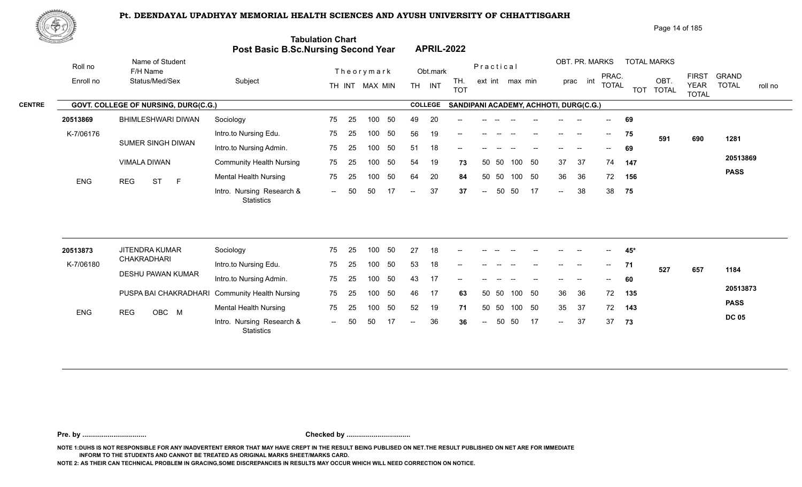

|               | NGV),      |                                      |                                            |                          |                                       |                                                     | Page 14 of 185                                                                                                    |             |
|---------------|------------|--------------------------------------|--------------------------------------------|--------------------------|---------------------------------------|-----------------------------------------------------|-------------------------------------------------------------------------------------------------------------------|-------------|
|               |            |                                      | <b>Post Basic B.Sc.Nursing Second Year</b> | <b>Tabulation Chart</b>  | <b>APRIL-2022</b>                     |                                                     |                                                                                                                   |             |
|               | Roll no    | Name of Student<br>F/H Name          |                                            | Theorymark               | Obt.mark                              | OBT. PR. MARKS<br>Practical                         | <b>TOTAL MARKS</b>                                                                                                |             |
|               | Enroll no  | Status/Med/Sex                       | Subject                                    | TH INT MAX MIN           | TH.<br>INT<br><b>TH</b><br><b>TOT</b> | PRAC.<br>int<br>ext int max min<br>prac<br>total    | <b>GRAND</b><br><b>FIRST</b><br>OBT.<br><b>TOTAL</b><br><b>YEAR</b><br><b>TOTAL</b><br><b>TOT</b><br><b>TOTAL</b> | roll no     |
| <b>CENTRE</b> |            | GOVT. COLLEGE OF NURSING, DURG(C.G.) |                                            |                          | <b>COLLEGE</b>                        | SANDIPANI ACADEMY, ACHHOTI, DURG(C.G.)              |                                                                                                                   |             |
|               | 20513869   | <b>BHIMLESHWARI DIWAN</b>            | Sociology                                  | 50<br>25<br>75<br>100    | 49<br>20<br>$\qquad \qquad -$         |                                                     | 69                                                                                                                |             |
|               | K-7/06176  |                                      | Intro.to Nursing Edu.                      | 75<br>25<br>100<br>50    | 56<br>19<br>--                        | $\overline{\phantom{a}}$<br>--                      | 75<br>591<br>690                                                                                                  | 1281        |
|               |            | <b>SUMER SINGH DIWAN</b>             | Intro.to Nursing Admin.                    | 75<br>-50<br>25<br>100   | 18<br>51<br>--                        | --                                                  | 69                                                                                                                |             |
|               |            | VIMALA DIWAN                         | <b>Community Health Nursing</b>            | 50<br>75<br>25<br>100    | 54<br>19<br>73                        | 50<br>37<br>37<br>-50<br>74<br>100<br>50            | 147                                                                                                               | 20513869    |
|               | <b>ENG</b> | <b>ST</b><br><b>REG</b><br>E         | <b>Mental Health Nursing</b>               | 50<br>75<br>100<br>-25   | 20<br>64<br>84                        | 36<br>50<br>36<br>72<br>-50<br>50<br>100            | 156                                                                                                               | <b>PASS</b> |
|               |            |                                      | Intro. Nursing Research &                  | 17<br>50<br>50<br>$  \,$ | 37<br>37<br>$\sim$                    | 38<br>17<br>38<br>50<br>50<br>$--$<br>$\sim$ $\sim$ | 75                                                                                                                |             |

| 20513873   | JITENDRA KUMAR |                   | Sociology                                      | 75             | -25  | 100 |     | 27     | 18 | $- -$                    |               |       |        |                          |        |                          | $- -$                      | 45* |     |     |              |
|------------|----------------|-------------------|------------------------------------------------|----------------|------|-----|-----|--------|----|--------------------------|---------------|-------|--------|--------------------------|--------|--------------------------|----------------------------|-----|-----|-----|--------------|
| K-7/06180  | CHAKRADHARI    |                   | Intro.to Nursing Edu.                          | 75             | -25  | 100 |     | 53     | 18 | $- -$                    | $- -$         |       |        | $- -$                    | $- -$  | $- -$                    | $\overline{\phantom{a}}$   | 71  | 527 | 657 | 1184         |
|            |                | DESHU PAWAN KUMAR | Intro.to Nursing Admin.                        | 75             | -25  | 100 |     |        | 17 | $\overline{\phantom{a}}$ | $- -$         | $- -$ | $- -$  | $\overline{\phantom{a}}$ | $- -$  | $\overline{\phantom{a}}$ | $\mathcal{L}(\mathcal{L})$ | 60  |     |     |              |
|            |                |                   | PUSPA BAI CHAKRADHARI Community Health Nursing | 75             | - 25 | 100 | -50 | 46     | 17 | 63                       | 50 50         |       | 100 50 |                          | 36     | - 36                     | 72                         | 135 |     |     | 20513873     |
| <b>ENG</b> | <b>REG</b>     | OBC M             | <b>Mental Health Nursing</b>                   | 75             | 25   | 100 | 50  | 52     | 19 | 71                       | 50 50         |       | 100 50 |                          | 35     | -37                      | 72                         | 143 |     |     | <b>PASS</b>  |
|            |                |                   | Intro. Nursing Research &<br><b>Statistics</b> | $\overline{a}$ | -50  | 50  |     | $  \,$ | 36 | 36                       | $\sim$ $\sim$ | 50    | - 50   | 17                       | $\sim$ | 37                       | 37                         | 73  |     |     | <b>DC 05</b> |

**Pre. by ................................. Checked by .................................**

**NOTE 1:DUHS IS NOT RESPONSIBLE FOR ANY INADVERTENT ERROR THAT MAY HAVE CREPT IN THE RESULT BEING PUBLISED ON NET.THE RESULT PUBLISHED ON NET ARE FOR IMMEDIATE INFORM TO THE STUDENTS AND CANNOT BE TREATED AS ORIGINAL MARKS SHEET/MARKS CARD.**

**NOTE 2: AS THEIR CAN TECHNICAL PROBLEM IN GRACING,SOME DISCREPANCIES IN RESULTS MAY OCCUR WHICH WILL NEED CORRECTION ON NOTICE.**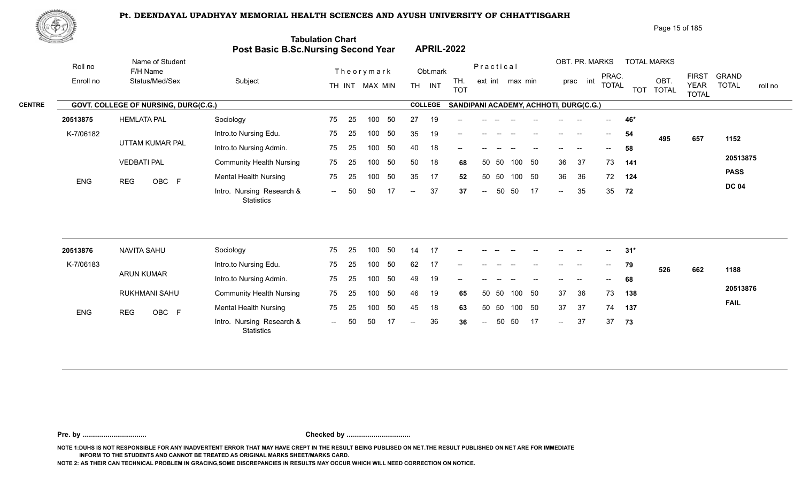

| Page 15 of 185 |  |
|----------------|--|
|----------------|--|

| RE STATISTICS OF THE STATISTICS OF THE STATISTICS OF THE STATISTICS OF THE STATISTICS OF THE STATISTICS OF THE |                                               | Post Basic B.Sc.Nursing Second Year                           | <b>Tabulation Chart</b> |                |                              |                |                            |                    | <b>APRIL-2022</b>                      |                            |       |                 |    |                           |                            |                                  |                   |                                         |                             |                                         |
|----------------------------------------------------------------------------------------------------------------|-----------------------------------------------|---------------------------------------------------------------|-------------------------|----------------|------------------------------|----------------|----------------------------|--------------------|----------------------------------------|----------------------------|-------|-----------------|----|---------------------------|----------------------------|----------------------------------|-------------------|-----------------------------------------|-----------------------------|-----------------------------------------|
| Roll no<br>Enroll no                                                                                           | Name of Student<br>F/H Name<br>Status/Med/Sex | Subject                                                       |                         |                | Theorymark<br>TH INT MAX MIN |                |                            | Obt.mark<br>TH INT | TH.<br><b>TOT</b>                      | Practical                  |       | ext int max min |    |                           | OBT. PR. MARKS<br>prac int | PRAC.<br><b>TOTAL</b>            |                   | <b>TOTAL MARKS</b><br>OBT.<br>TOT TOTAL | <b>FIRST</b><br><b>YEAR</b> | <b>GRAND</b><br><b>TOTAL</b><br>roll no |
|                                                                                                                | GOVT. COLLEGE OF NURSING, DURG(C.G.)          |                                                               |                         |                |                              |                |                            | <b>COLLEGE</b>     | SANDIPANI ACADEMY, ACHHOTI, DURG(C.G.) |                            |       |                 |    |                           |                            |                                  |                   |                                         | <b>TOTAL</b>                |                                         |
| 20513875                                                                                                       | <b>HEMLATA PAL</b>                            | Sociology                                                     | 75                      | 25             | 100                          | 50             | 27                         | 19                 |                                        |                            |       |                 |    |                           |                            |                                  | 46*               |                                         |                             |                                         |
| K-7/06182                                                                                                      |                                               | Intro.to Nursing Edu.                                         | 75                      | 25             | 100                          | 50             | 35                         | 19                 | --                                     |                            |       |                 |    |                           | $\overline{\phantom{a}}$   | $--$                             | 54                |                                         |                             |                                         |
|                                                                                                                | UTTAM KUMAR PAL                               | Intro.to Nursing Admin.                                       | 75                      | 25             | 100                          | 50             | 40                         | 18                 |                                        |                            |       |                 |    |                           |                            |                                  | 58                | 495                                     | 657                         | 1152                                    |
|                                                                                                                | <b>VEDBATI PAL</b>                            | <b>Community Health Nursing</b>                               | 75                      | 25             | 100                          | 50             | 50                         | 18                 | 68                                     |                            | 50 50 | 100             | 50 | 36                        | 37                         | 73                               | 141               |                                         |                             | 20513875                                |
|                                                                                                                |                                               | <b>Mental Health Nursing</b>                                  | 75                      | 25             | 100                          | 50             | 35                         | 17                 | 52                                     |                            | 50 50 | 100 50          |    | 36                        | 36                         | 72                               | 124               |                                         |                             | <b>PASS</b>                             |
| ENG                                                                                                            | OBC F<br><b>REG</b>                           | Intro. Nursing Research &<br><b>Statistics</b>                | $\sim$ $\sim$           | 50             | 50                           | 17             | $\sim$                     | 37                 | 37                                     | $\mathcal{L}(\mathcal{L})$ | 50    | 50              | 17 | $\sim$                    | 35                         | 35                               | 72                |                                         |                             | <b>DC 04</b>                            |
| 20513876<br>K-7/06183                                                                                          | <b>NAVITA SAHU</b><br><b>ARUN KUMAR</b>       | Sociology<br>Intro.to Nursing Edu.<br>Intro.to Nursing Admin. | 75<br>75<br>75          | 25<br>25<br>25 | 100<br>100<br>100            | 50<br>50<br>50 | 14<br>62<br>49             | 17<br>17<br>19     |                                        |                            |       |                 |    |                           | $\overline{\phantom{a}}$   | $--$<br>$\overline{\phantom{a}}$ | $31*$<br>79<br>68 | 526                                     | 662                         | 1188                                    |
|                                                                                                                | RUKHMANI SAHU                                 | <b>Community Health Nursing</b>                               | 75                      | 25             | 100                          | 50             | 46                         | 19                 | 65                                     |                            | 50 50 | 100             | 50 | 37                        | 36                         | 73                               | 138               |                                         |                             | 20513876                                |
| ENG                                                                                                            | OBC F<br><b>REG</b>                           | <b>Mental Health Nursing</b>                                  | 75                      | 25             | 100                          | 50             | 45                         | 18                 | 63                                     |                            | 50 50 | 100 50          |    | 37                        | 37                         | 74                               | 137               |                                         |                             | <b>FAIL</b>                             |
|                                                                                                                |                                               | Intro. Nursing Research &<br><b>Statistics</b>                | $\sim$                  | 50             | 50                           | 17             | $\mathcal{L}(\mathcal{L})$ | 36                 | 36                                     | $\mathrel{{-}-}$           | 50    | 50              | 17 | $\mathbb{H}^{\mathbb{H}}$ | 37                         | 37                               | 73                |                                         |                             |                                         |

**Pre. by ................................. Checked by .................................**

**NOTE 1:DUHS IS NOT RESPONSIBLE FOR ANY INADVERTENT ERROR THAT MAY HAVE CREPT IN THE RESULT BEING PUBLISED ON NET.THE RESULT PUBLISHED ON NET ARE FOR IMMEDIATE INFORM TO THE STUDENTS AND CANNOT BE TREATED AS ORIGINAL MARKS SHEET/MARKS CARD.**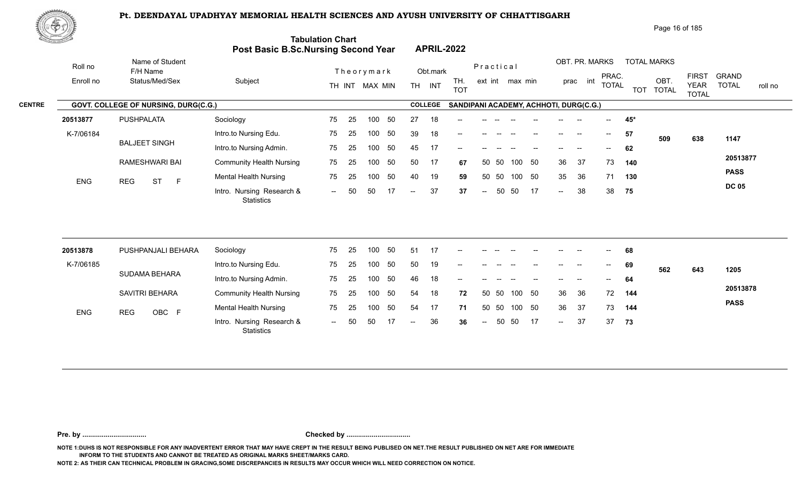

Page 16 of 185

|               | <u>Carl Carl Co</u> |                                      | Post Basic B.Sc.Nursing Second Year            | <b>Tabulation Chart</b> |    |                |    |                |                | <b>APRIL-2022</b>                      |                          |       |                 |     |        |                |              |            |                      |                             |                         |
|---------------|---------------------|--------------------------------------|------------------------------------------------|-------------------------|----|----------------|----|----------------|----------------|----------------------------------------|--------------------------|-------|-----------------|-----|--------|----------------|--------------|------------|----------------------|-----------------------------|-------------------------|
|               | Roll no             | Name of Student<br>F/H Name          |                                                |                         |    | Theorymark     |    |                | Obt.mark       |                                        | Practical                |       |                 |     |        | OBT. PR. MARKS | PRAC.        |            | <b>TOTAL MARKS</b>   | <b>FIRST</b>                | <b>GRAND</b>            |
|               | Enroll no           | Status/Med/Sex                       | Subject                                        |                         |    | TH INT MAX MIN |    |                | TH INT         | TH.<br><b>TOT</b>                      |                          |       | ext int max min |     |        | prac int       | <b>TOTAL</b> | <b>TOT</b> | OBT.<br><b>TOTAL</b> | <b>YEAR</b><br><b>TOTAL</b> | <b>TOTAL</b><br>roll no |
| <b>CENTRE</b> |                     | GOVT. COLLEGE OF NURSING, DURG(C.G.) |                                                |                         |    |                |    |                | <b>COLLEGE</b> | SANDIPANI ACADEMY, ACHHOTI, DURG(C.G.) |                          |       |                 |     |        |                |              |            |                      |                             |                         |
|               | 20513877            | <b>PUSHPALATA</b>                    | Sociology                                      | 75                      | 25 | 100            | 50 | 27             | 18             |                                        |                          |       |                 |     |        |                |              | $45*$      |                      |                             |                         |
|               | K-7/06184           |                                      | Intro.to Nursing Edu.                          | 75                      | 25 | 100            | 50 | 39             | 18             | --                                     |                          |       |                 |     |        |                | $--$         | 57         | 509                  | 638                         | 1147                    |
|               |                     | <b>BALJEET SINGH</b>                 | Intro.to Nursing Admin.                        | 75                      | 25 | 100            | 50 | 45             | 17             |                                        |                          |       |                 |     |        |                |              | 62         |                      |                             |                         |
|               |                     | RAMESHWARI BAI                       | <b>Community Health Nursing</b>                | 75                      | 25 | 100            | 50 | 50             | 17             | 67                                     |                          | 50 50 | 100 50          |     | 36     | 37             | 73           | 140        |                      |                             | 20513877                |
|               | <b>ENG</b>          | <b>ST</b><br>F<br><b>REG</b>         | <b>Mental Health Nursing</b>                   | 75                      | 25 | 100            | 50 | 40             | 19             | 59                                     |                          | 50 50 | 100             | 50  | 35     | 36             | 71           | 130        |                      |                             | <b>PASS</b>             |
|               |                     |                                      | Intro. Nursing Research &<br><b>Statistics</b> | $\sim$                  | 50 | 50             | 17 | $\sim$         | 37             | 37                                     | $\overline{\phantom{m}}$ | 50    | 50              | 17  | $\sim$ | 38             | 38           | 75         |                      |                             | <b>DC 05</b>            |
|               |                     |                                      |                                                |                         |    |                |    |                |                |                                        |                          |       |                 |     |        |                |              |            |                      |                             |                         |
|               | 20513878            | PUSHPANJALI BEHARA                   | Sociology                                      | 75                      | 25 | 100            | 50 | 51             | 17             |                                        |                          |       |                 |     |        |                |              | 68         |                      |                             |                         |
|               | K-7/06185           |                                      | Intro.to Nursing Edu.                          | 75                      | 25 | 100            | 50 | 50             | 19             |                                        |                          |       |                 |     |        |                |              | 69         | 562                  | 643                         | 1205                    |
|               |                     | SUDAMA BEHARA                        | Intro.to Nursing Admin.                        | 75                      | 25 | 100            | 50 | 46             | 18             | --                                     |                          |       |                 |     |        |                |              | 64         |                      |                             |                         |
|               |                     | SAVITRI BEHARA                       | <b>Community Health Nursing</b>                | 75                      | 25 | 100            | 50 | 54             | 18             | 72                                     |                          | 50 50 | 100             | 50  | 36     | 36             | 72           | 144        |                      |                             | 20513878                |
|               | <b>ENG</b>          | <b>REG</b><br>OBC F                  | <b>Mental Health Nursing</b>                   | 75                      | 25 | 100            | 50 | 54             | 17             | 71                                     | 50                       | 50    | 100 50          |     | 36     | 37             | 73           | 144        |                      |                             | <b>PASS</b>             |
|               |                     |                                      | Intro. Nursing Research &<br><b>Statistics</b> | $  \,$                  | 50 | 50             |    | $\overline{a}$ | 36             | 36                                     | $\overline{\phantom{a}}$ | 50    | 50              | -17 | $\sim$ | 37             | 37           | 73         |                      |                             |                         |
|               |                     |                                      |                                                |                         |    |                |    |                |                |                                        |                          |       |                 |     |        |                |              |            |                      |                             |                         |

**Pre. by ................................. Checked by .................................**

**NOTE 1:DUHS IS NOT RESPONSIBLE FOR ANY INADVERTENT ERROR THAT MAY HAVE CREPT IN THE RESULT BEING PUBLISED ON NET.THE RESULT PUBLISHED ON NET ARE FOR IMMEDIATE INFORM TO THE STUDENTS AND CANNOT BE TREATED AS ORIGINAL MARKS SHEET/MARKS CARD.**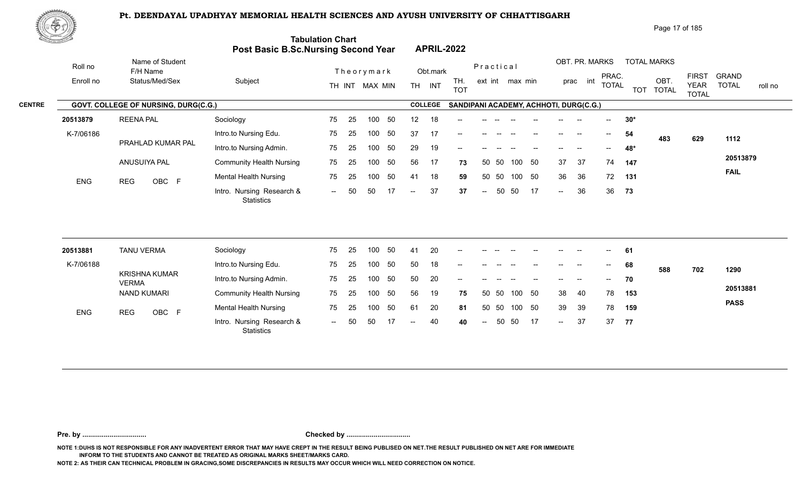

| Page 17 of 185 |
|----------------|
|----------------|

| <u> Ernst Starten (</u> |            |                                      | Post Basic B.Sc.Nursing Second Year            | <b>Tabulation Chart</b> |    |                |     |                          |                | <b>APRIL-2022</b>                      |           |       |                 |    |        |                |                                       |       |                    |                             |              |         |
|-------------------------|------------|--------------------------------------|------------------------------------------------|-------------------------|----|----------------|-----|--------------------------|----------------|----------------------------------------|-----------|-------|-----------------|----|--------|----------------|---------------------------------------|-------|--------------------|-----------------------------|--------------|---------|
|                         | Roll no    | Name of Student<br>F/H Name          |                                                |                         |    | Theorymark     |     |                          | Obt.mark       |                                        | Practical |       |                 |    |        | OBT. PR. MARKS | PRAC.                                 |       | <b>TOTAL MARKS</b> | <b>FIRST</b>                | <b>GRAND</b> |         |
|                         | Enroll no  | Status/Med/Sex                       | Subject                                        |                         |    | TH INT MAX MIN |     |                          | TH INT         | TH.<br><b>TOT</b>                      |           |       | ext int max min |    |        | prac int       | <b>TOTAL</b>                          |       | OBT.<br>TOT TOTAL  | <b>YEAR</b><br><b>TOTAL</b> | <b>TOTAL</b> | roll no |
| <b>CENTRE</b>           |            | GOVT. COLLEGE OF NURSING, DURG(C.G.) |                                                |                         |    |                |     |                          | <b>COLLEGE</b> | SANDIPANI ACADEMY, ACHHOTI, DURG(C.G.) |           |       |                 |    |        |                |                                       |       |                    |                             |              |         |
|                         | 20513879   | <b>REENA PAL</b>                     | Sociology                                      | 75                      | 25 | 100            | 50  | 12                       | 18             |                                        |           |       |                 |    |        |                |                                       | $30*$ |                    |                             |              |         |
|                         | K-7/06186  |                                      | Intro.to Nursing Edu.                          | 75                      | 25 | 100            | 50  | 37                       | 17             |                                        |           |       |                 |    |        |                | $\hspace{0.05cm}$ – $\hspace{0.05cm}$ | 54    | 483                | 629                         | 1112         |         |
|                         |            | PRAHLAD KUMAR PAL                    | Intro.to Nursing Admin.                        | 75                      | 25 | 100            | 50  | 29                       | 19             | --                                     |           |       |                 |    |        |                | $- -$                                 | 48*   |                    |                             |              |         |
|                         |            | ANUSUIYA PAL                         | <b>Community Health Nursing</b>                | 75                      | 25 | 100            | 50  | 56                       | 17             | 73                                     |           | 50 50 | 100             | 50 | 37     | 37             | 74                                    | 147   |                    |                             | 20513879     |         |
|                         | <b>ENG</b> | OBC F<br><b>REG</b>                  | <b>Mental Health Nursing</b>                   | 75                      | 25 | 100            | 50  | 41                       | 18             | 59                                     |           | 50 50 | 100 50          |    | 36     | 36             | 72                                    | 131   |                    |                             | <b>FAIL</b>  |         |
|                         |            |                                      | Intro. Nursing Research &<br><b>Statistics</b> | $\sim$                  | 50 | 50             | 17  | $\overline{a}$           | 37             | 37                                     | $\sim$    | 50    | 50              | 17 | $\sim$ | 36             | 36                                    | 73    |                    |                             |              |         |
|                         |            |                                      |                                                |                         |    |                |     |                          |                |                                        |           |       |                 |    |        |                |                                       |       |                    |                             |              |         |
|                         | 20513881   | <b>TANU VERMA</b>                    | Sociology                                      | 75                      | 25 | 100            | -50 | 41                       | 20             |                                        |           |       |                 |    |        |                |                                       | 61    |                    |                             |              |         |
|                         | K-7/06188  |                                      | Intro.to Nursing Edu.                          | 75                      | 25 | 100            | 50  | 50                       | 18             | --                                     |           |       |                 |    |        |                | $\overline{\phantom{a}}$              | 68    | 588                | 702                         | 1290         |         |
|                         |            | <b>KRISHNA KUMAR</b><br><b>VERMA</b> | Intro.to Nursing Admin.                        | 75                      | 25 | 100            | 50  | 50                       | 20             |                                        |           |       |                 |    |        |                |                                       | 70    |                    |                             |              |         |
|                         |            | <b>NAND KUMARI</b>                   | <b>Community Health Nursing</b>                | 75                      | 25 | 100            | 50  | 56                       | 19             | 75                                     |           | 50 50 | 100             | 50 | 38     | 40             | 78                                    | 153   |                    |                             | 20513881     |         |
|                         | <b>ENG</b> | OBC F<br><b>REG</b>                  | <b>Mental Health Nursing</b>                   | 75                      | 25 | 100            | 50  | 61                       | 20             | 81                                     |           | 50 50 | 100             | 50 | 39     | 39             | 78                                    | 159   |                    |                             | <b>PASS</b>  |         |
|                         |            |                                      | Intro. Nursing Research &<br><b>Statistics</b> | $--$                    | 50 | 50             | 17  | $\overline{\phantom{a}}$ | 40             | 40                                     | $\sim$    | 50    | 50              | 17 | $\sim$ | 37             | 37                                    | 77    |                    |                             |              |         |
|                         |            |                                      |                                                |                         |    |                |     |                          |                |                                        |           |       |                 |    |        |                |                                       |       |                    |                             |              |         |

**Pre. by ................................. Checked by .................................**

**NOTE 1:DUHS IS NOT RESPONSIBLE FOR ANY INADVERTENT ERROR THAT MAY HAVE CREPT IN THE RESULT BEING PUBLISED ON NET.THE RESULT PUBLISHED ON NET ARE FOR IMMEDIATE INFORM TO THE STUDENTS AND CANNOT BE TREATED AS ORIGINAL MARKS SHEET/MARKS CARD.**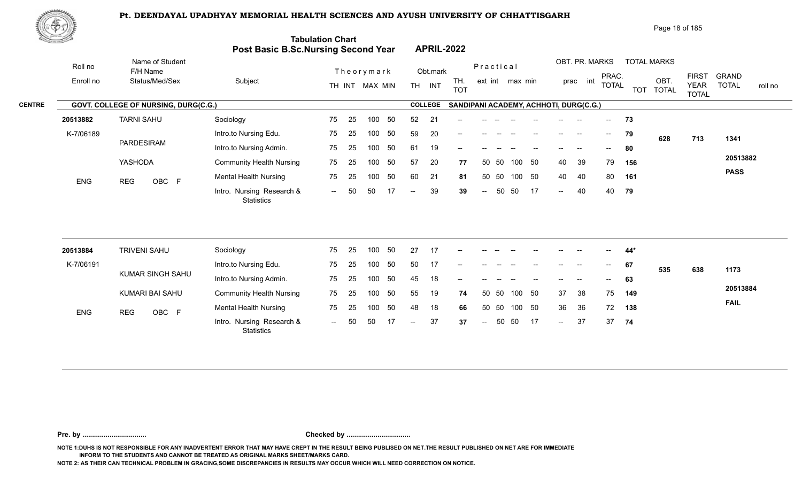

| <u> Karatan Ing</u> |                                      | Post Basic B.Sc.Nursing Second Year            | <b>Tabulation Chart</b> |    |                  |     |                          |                | <b>APRIL-2022</b>                      |                          |           |                 |        |                          |                |                                       |     |                    |                             |                         |
|---------------------|--------------------------------------|------------------------------------------------|-------------------------|----|------------------|-----|--------------------------|----------------|----------------------------------------|--------------------------|-----------|-----------------|--------|--------------------------|----------------|---------------------------------------|-----|--------------------|-----------------------------|-------------------------|
| Roll no             | Name of Student<br>F/H Name          |                                                |                         |    | Theorymark       |     |                          | Obt.mark       |                                        |                          | Practical |                 |        |                          | OBT. PR. MARKS | PRAC.                                 |     | <b>TOTAL MARKS</b> | <b>FIRST</b>                | <b>GRAND</b>            |
| Enroll no           | Status/Med/Sex                       | Subject                                        |                         |    | TH INT MAX MIN   |     | <b>TH</b>                | INT            | TH.<br><b>TOT</b>                      |                          |           | ext int max min |        |                          | int<br>prac    | <b>TOTAL</b>                          |     | OBT.<br>TOT TOTAL  | <b>YEAR</b><br><b>TOTAL</b> | <b>TOTAL</b><br>roll no |
|                     | GOVT. COLLEGE OF NURSING, DURG(C.G.) |                                                |                         |    |                  |     |                          | <b>COLLEGE</b> | SANDIPANI ACADEMY, ACHHOTI, DURG(C.G.) |                          |           |                 |        |                          |                |                                       |     |                    |                             |                         |
| 20513882            | <b>TARNI SAHU</b>                    | Sociology                                      | 75                      | 25 | 100              | 50  | 52                       | 21             |                                        |                          |           |                 |        |                          |                | $- -$                                 | 73  |                    |                             |                         |
| K-7/06189           |                                      | Intro.to Nursing Edu.                          | 75                      | 25 | 100              | 50  | 59                       | 20             | --                                     |                          |           |                 |        |                          | <b>-</b>       | $--$                                  | 79  | 628                | 713                         | 1341                    |
|                     | PARDESIRAM                           | Intro.to Nursing Admin.                        | 75                      | 25 | 100              | 50  | 61                       | 19             | --                                     |                          |           |                 |        |                          |                | $\overline{\phantom{a}}$              | 80  |                    |                             |                         |
|                     | YASHODA                              | <b>Community Health Nursing</b>                | 75                      | 25 | 100              | 50  | 57                       | 20             | 77                                     |                          | 50 50     | 100             | 50     | 40                       | 39             | 79                                    | 156 |                    |                             | 20513882                |
| <b>ENG</b>          | <b>REG</b><br>OBC F                  | <b>Mental Health Nursing</b>                   | 75                      | 25 | 100              | 50  | 60                       | 21             | 81                                     |                          | 50 50     |                 | 100 50 | 40                       | 40             | 80                                    | 161 |                    |                             | <b>PASS</b>             |
|                     |                                      | Intro. Nursing Research &<br>Statistics        | $\sim$                  | 50 | 50               | -17 | $\overline{\phantom{a}}$ | 39             | 39                                     | $\overline{\phantom{a}}$ | 50        | 50              | 17     | $\overline{a}$           | 40             | 40                                    | 79  |                    |                             |                         |
|                     |                                      |                                                |                         |    |                  |     |                          |                |                                        |                          |           |                 |        |                          |                |                                       |     |                    |                             |                         |
| 20513884            | <b>TRIVENI SAHU</b>                  | Sociology                                      | 75                      | 25 | 100              | 50  | 27                       | 17             |                                        |                          |           |                 |        |                          |                |                                       | 44* |                    |                             |                         |
| K-7/06191           |                                      | Intro.to Nursing Edu.                          | 75                      | 25 | 100              | 50  | 50                       | 17             |                                        |                          |           |                 |        | $\overline{\phantom{a}}$ | $\sim$         | $\hspace{0.05cm}$ – $\hspace{0.05cm}$ | 67  | 535                | 638                         | 1173                    |
|                     | KUMAR SINGH SAHU                     | Intro.to Nursing Admin.                        | 75                      | 25 | 100 <sub>1</sub> | 50  | 45                       | 18             |                                        |                          |           |                 |        |                          |                |                                       | 63  |                    |                             |                         |
|                     | KUMARI BAI SAHU                      | <b>Community Health Nursing</b>                | 75                      | 25 | 100              | 50  | 55                       | 19             | 74                                     |                          | 50 50     | 100             | 50     | 37                       | 38             | 75                                    | 149 |                    |                             | 20513884                |
| ENG                 | OBC F<br><b>REG</b>                  | <b>Mental Health Nursing</b>                   | 75                      | 25 | 100              | 50  | 48                       | 18             | 66                                     |                          | 50 50     | 100             | 50     | 36                       | 36             | 72                                    | 138 |                    |                             | <b>FAIL</b>             |
|                     |                                      | Intro. Nursing Research &<br><b>Statistics</b> | $--$                    | 50 | 50               |     | $\overline{\phantom{a}}$ | 37             | 37                                     | $\overline{a}$           | 50        | 50              | 17     | $\overline{a}$           | 37             | 37                                    | 74  |                    |                             |                         |

**Pre. by ................................. Checked by .................................**

**NOTE 1:DUHS IS NOT RESPONSIBLE FOR ANY INADVERTENT ERROR THAT MAY HAVE CREPT IN THE RESULT BEING PUBLISED ON NET.THE RESULT PUBLISHED ON NET ARE FOR IMMEDIATE INFORM TO THE STUDENTS AND CANNOT BE TREATED AS ORIGINAL MARKS SHEET/MARKS CARD.**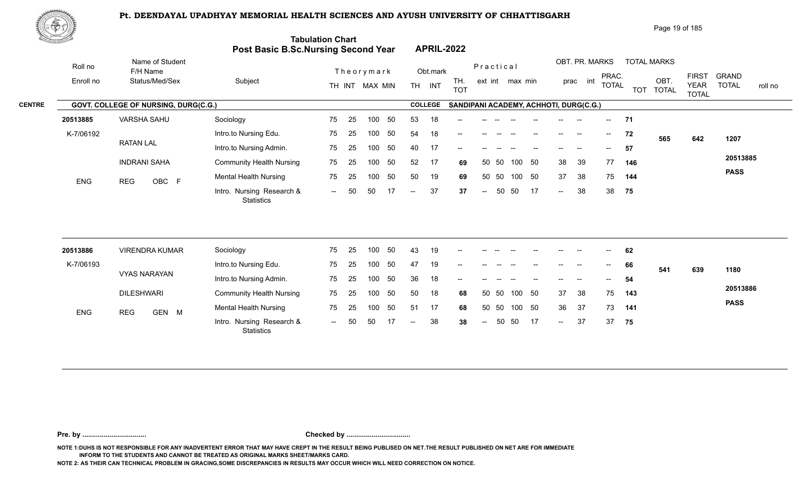0BC F Montain Research & The Ed Too of the Control of the Control of the Control of the Control of The Termina<br>Intro. Nursing Research & The Control of The Termina S7 37 -- 50 50 17 --

25 75

-- 50 50 17 -- 37 37



|               | ⋓⋖⋗ҵ                |                                             |                                            |                         |            |                |                   |                                        |     |    |       |                   |                          |            | Page 19 of 185       |                                             |                       |         |
|---------------|---------------------|---------------------------------------------|--------------------------------------------|-------------------------|------------|----------------|-------------------|----------------------------------------|-----|----|-------|-------------------|--------------------------|------------|----------------------|---------------------------------------------|-----------------------|---------|
|               | to Anterior Service |                                             | <b>Post Basic B.Sc.Nursing Second Year</b> | <b>Tabulation Chart</b> |            |                | <b>APRIL-2022</b> |                                        |     |    |       |                   |                          |            |                      |                                             |                       |         |
|               | Roll no             | Name of Student<br>F/H Name                 |                                            | Theorymark              |            | Obt.mark       |                   | Practical                              |     |    |       | OBT. PR. MARKS    |                          |            | <b>TOTAL MARKS</b>   |                                             |                       |         |
|               | Enroll no           | Status/Med/Sex                              | Subject                                    | TH INT                  | MAX MIN    | INT<br>TH      | TH.<br><b>TOT</b> | ext int max min                        |     |    |       | prac int          | PRAC.<br><b>TOTAL</b>    | <b>TOT</b> | OBT.<br><b>TOTAL</b> | <b>FIRST</b><br><b>YEAR</b><br><b>TOTAL</b> | GRAND<br><b>TOTAL</b> | roll no |
| <b>CENTRE</b> |                     | <b>GOVT. COLLEGE OF NURSING, DURG(C.G.)</b> |                                            |                         |            | <b>COLLEGE</b> |                   | SANDIPANI ACADEMY, ACHHOTI, DURG(C.G.) |     |    |       |                   |                          |            |                      |                                             |                       |         |
|               | 20513885            | <b>VARSHA SAHU</b>                          | Sociology                                  | 75<br>-25               | 100<br>-50 | 18<br>53       | $- -$             |                                        |     |    |       |                   | $-$                      | - 71       |                      |                                             |                       |         |
|               | K-7/06192           |                                             | Intro.to Nursing Edu.                      | 75<br>-25               | 100<br>-50 | 18<br>54       | $--$              |                                        |     |    | $- -$ | $\hspace{0.05cm}$ | $\overline{\phantom{a}}$ | 72         | 565                  | 642                                         | 1207                  |         |
|               |                     | <b>RATAN LAL</b>                            | Intro.to Nursing Admin.                    | 75<br>-25               | -50<br>100 | 40<br>17       | --                |                                        |     |    |       |                   | $- -$                    | 57         |                      |                                             |                       |         |
|               |                     | <b>INDRANI SAHA</b>                         | <b>Community Health Nursing</b>            | 75<br>-25               | -50<br>100 | 52<br>17       | 69                | -50<br>50                              | 100 | 50 | 38    | 39                | 77                       | 146        |                      |                                             | 20513885              |         |

100 50 50 19 **69** 37 38 75 **144**

-- 50 37 38 **37** 38

37 38 75 144  $-38$  38 75

**PASS**

**75**

50 50

| 20513886   | <b>VIRENDRA KUMAR</b> | Sociology                                      | 75   | -25 | 100 | 50  | -43                      | 19 | $\hspace{0.1mm}-\hspace{0.1mm}-\hspace{0.1mm}$ | $- -$ |       |     |        | $\qquad \qquad -$        | $\overline{\phantom{a}}$ | $\mathcal{L}(\mathcal{L})$ | 62  |     |     |             |
|------------|-----------------------|------------------------------------------------|------|-----|-----|-----|--------------------------|----|------------------------------------------------|-------|-------|-----|--------|--------------------------|--------------------------|----------------------------|-----|-----|-----|-------------|
| K-7/06193  |                       | Intro.to Nursing Edu.                          | 75   | -25 | 100 | 50  | 47                       | 19 | $- -$                                          |       |       |     |        | $- -$                    | $-$                      | $--$                       | 66  | 541 | 639 | 1180        |
|            | <b>VYAS NARAYAN</b>   | Intro.to Nursing Admin.                        | 75   | -25 | 100 | -50 | 36                       | 18 | $\sim$                                         |       |       |     |        | $- -$                    |                          | $\overline{\phantom{a}}$   | 54  |     |     |             |
|            | <b>DILESHWARI</b>     | <b>Community Health Nursing</b>                | 75   | -25 | 100 | -50 | 50                       | 18 | 68                                             |       | 50 50 |     | 100 50 | 37                       | -38                      | 75                         | 143 |     |     | 20513886    |
| <b>ENG</b> | GEN M<br><b>REG</b>   | <b>Mental Health Nursing</b>                   | 75   | -25 | 100 | -50 | -51                      | 17 | 68                                             |       | 50 50 |     | 100 50 | 36                       | -37                      | 73                         | 141 |     |     | <b>PASS</b> |
|            |                       | Intro. Nursing Research &<br><b>Statistics</b> | $--$ | 50  | 50  |     | $\overline{\phantom{a}}$ | 38 | 38                                             | $--$  | 50    | -50 | 17     | $\overline{\phantom{a}}$ | 37                       | 37                         | 75  |     |     |             |

**Pre. by ................................. Checked by .................................**

**NOTE 1:DUHS IS NOT RESPONSIBLE FOR ANY INADVERTENT ERROR THAT MAY HAVE CREPT IN THE RESULT BEING PUBLISED ON NET.THE RESULT PUBLISHED ON NET ARE FOR IMMEDIATE INFORM TO THE STUDENTS AND CANNOT BE TREATED AS ORIGINAL MARKS SHEET/MARKS CARD.**

**NOTE 2: AS THEIR CAN TECHNICAL PROBLEM IN GRACING,SOME DISCREPANCIES IN RESULTS MAY OCCUR WHICH WILL NEED CORRECTION ON NOTICE.**

Mental Health Nursing **75** 25

**Statistics** 

ENG REG OBC F Montail House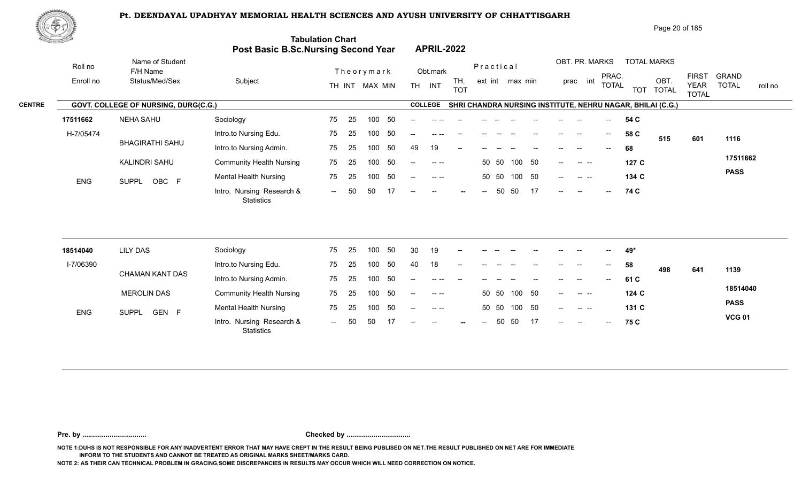

|               | 脚やり        |                                      |                                     |                          |                                                                                                                                                                                                                                                                                                                                                                                                      | Page 20 of 185                                                                                                                                                                          |
|---------------|------------|--------------------------------------|-------------------------------------|--------------------------|------------------------------------------------------------------------------------------------------------------------------------------------------------------------------------------------------------------------------------------------------------------------------------------------------------------------------------------------------------------------------------------------------|-----------------------------------------------------------------------------------------------------------------------------------------------------------------------------------------|
|               |            |                                      | Post Basic B.Sc.Nursing Second Year | <b>Tabulation Chart</b>  | <b>APRIL-2022</b>                                                                                                                                                                                                                                                                                                                                                                                    |                                                                                                                                                                                         |
|               | Roll no    | Name of Student<br>F/H Name          |                                     | Theorymark               | Obt.mark                                                                                                                                                                                                                                                                                                                                                                                             | OBT. PR. MARKS<br><b>TOTAL MARKS</b><br>Practical                                                                                                                                       |
|               | Enroll no  | Status/Med/Sex                       | Subject                             | MAX MIN<br>TH INT        | TH.<br><b>TH</b><br>INT<br><b>TOT</b>                                                                                                                                                                                                                                                                                                                                                                | <b>FIRST</b><br><b>GRAND</b><br>PRAC.<br>OBT.<br>int<br>ext int max min<br>prac<br><b>TOTAL</b><br><b>TOTAL</b><br><b>YEAR</b><br>roll no<br><b>TOTAL</b><br><b>TOT</b><br><b>TOTAL</b> |
| <b>CENTRE</b> |            | GOVT. COLLEGE OF NURSING, DURG(C.G.) |                                     |                          | <b>COLLEGE</b>                                                                                                                                                                                                                                                                                                                                                                                       | SHRI CHANDRA NURSING INSTITUTE, NEHRU NAGAR, BHILAI (C.G.)                                                                                                                              |
|               | 17511662   | <b>NEHA SAHU</b>                     | Sociology                           | - 50<br>75<br>100<br>-25 |                                                                                                                                                                                                                                                                                                                                                                                                      | 54 C                                                                                                                                                                                    |
|               | H-7/05474  |                                      | Intro.to Nursing Edu.               | -50<br>25<br>100<br>75   | $-$                                                                                                                                                                                                                                                                                                                                                                                                  | 58 C<br>$--$<br>$\hspace{0.05cm}$<br>601<br>1116<br>515                                                                                                                                 |
|               |            | <b>BHAGIRATHI SAHU</b>               | Intro.to Nursing Admin.             | -50<br>75<br>100<br>-25  | 19<br>49<br>$--$                                                                                                                                                                                                                                                                                                                                                                                     | 68                                                                                                                                                                                      |
|               |            | KALINDRI SAHU                        | <b>Community Health Nursing</b>     | 50<br>75<br>25<br>100    | $\frac{1}{2} \frac{1}{2} \frac{1}{2} \frac{1}{2} \frac{1}{2} \frac{1}{2} \frac{1}{2} \frac{1}{2} \frac{1}{2} \frac{1}{2} \frac{1}{2} \frac{1}{2} \frac{1}{2} \frac{1}{2} \frac{1}{2} \frac{1}{2} \frac{1}{2} \frac{1}{2} \frac{1}{2} \frac{1}{2} \frac{1}{2} \frac{1}{2} \frac{1}{2} \frac{1}{2} \frac{1}{2} \frac{1}{2} \frac{1}{2} \frac{1}{2} \frac{1}{2} \frac{1}{2} \frac{1}{2} \frac{$<br>$--$ | 17511662<br>50<br>50 50<br>100<br>127C<br><b>Contract Contract</b><br>$\qquad \qquad -$                                                                                                 |
|               | <b>ENG</b> | OBC F<br><b>SUPPL</b>                | <b>Mental Health Nursing</b>        | -50<br>75<br>100<br>-25  | $\begin{array}{cccccccccc} - & & - & & - & - & \end{array}$<br>$- -$                                                                                                                                                                                                                                                                                                                                 | <b>PASS</b><br>100 50<br>50 50<br>134 C<br>$--$<br>$\begin{array}{ccc} - & - & - \end{array}$                                                                                           |
|               |            |                                      | Intro. Nursing Research &           | 17<br>50<br>50<br>$  \,$ | $--$<br>$--$<br>$--$<br>$\sim$                                                                                                                                                                                                                                                                                                                                                                       | 17<br>50<br>50<br>74 C<br>$\sim$<br>$--$<br>$-$                                                                                                                                         |

| 18514040   | <b>LILY DAS</b>                    | Sociology                                      | 75     | 25 | 100 | -50 | 30                                    | 19                                                                                                                                                                                                                                                                                                                                                                                           | $- -$  |       |       |              |       |        |                          | $- -$                      | 49*   |     |     |               |
|------------|------------------------------------|------------------------------------------------|--------|----|-----|-----|---------------------------------------|----------------------------------------------------------------------------------------------------------------------------------------------------------------------------------------------------------------------------------------------------------------------------------------------------------------------------------------------------------------------------------------------|--------|-------|-------|--------------|-------|--------|--------------------------|----------------------------|-------|-----|-----|---------------|
| I-7/06390  |                                    | Intro.to Nursing Edu.                          | 75     | 25 | 100 |     | 40                                    | 18                                                                                                                                                                                                                                                                                                                                                                                           | $\sim$ | $- -$ |       |              | $- -$ | $- -$  | $- -$                    | $\overline{\phantom{m}}$   | 58    | 498 | 641 | 1139          |
|            | CHAMAN KANT DAS                    | Intro.to Nursing Admin.                        | 75     | 25 | 100 | 50  | $\overline{\phantom{a}}$              | $- - - -$                                                                                                                                                                                                                                                                                                                                                                                    | $- -$  | $- -$ |       |              | $- -$ | $- -$  | $\overline{\phantom{a}}$ | $\mathcal{L}(\mathcal{L})$ | 61 C  |     |     |               |
|            | <b>MEROLIN DAS</b>                 | <b>Community Health Nursing</b>                | 75     | 25 | 100 | -50 | $\overline{\phantom{a}}$              | $\sim$ $\sim$                                                                                                                                                                                                                                                                                                                                                                                |        |       | 50 50 | 100 50       |       | $---$  |                          |                            | 124 C |     |     | 18514040      |
| <b>ENG</b> | <b>GEN</b><br><b>SUPPL</b><br>$-F$ | <b>Mental Health Nursing</b>                   | 75     | 25 | 100 | 50  | $\hspace{0.05cm}$ – $\hspace{0.05cm}$ | $\frac{1}{2} \frac{1}{2} \frac{1}{2} \frac{1}{2} \frac{1}{2} \frac{1}{2} \frac{1}{2} \frac{1}{2} \frac{1}{2} \frac{1}{2} \frac{1}{2} \frac{1}{2} \frac{1}{2} \frac{1}{2} \frac{1}{2} \frac{1}{2} \frac{1}{2} \frac{1}{2} \frac{1}{2} \frac{1}{2} \frac{1}{2} \frac{1}{2} \frac{1}{2} \frac{1}{2} \frac{1}{2} \frac{1}{2} \frac{1}{2} \frac{1}{2} \frac{1}{2} \frac{1}{2} \frac{1}{2} \frac{$ |        |       |       | 50 50 100 50 |       | $---$  |                          |                            | 131 C |     |     | <b>PASS</b>   |
|            |                                    | Intro. Nursing Research &<br><b>Statistics</b> | $\sim$ | 50 | 50  |     | $- -$                                 | $- -$                                                                                                                                                                                                                                                                                                                                                                                        | $-$    | $- -$ |       | 50 50 17     |       | $\sim$ | $\overline{\phantom{a}}$ | $\mathcal{L}(\mathcal{L})$ | 75 C  |     |     | <b>VCG 01</b> |

**Pre. by ................................. Checked by .................................**

**NOTE 1:DUHS IS NOT RESPONSIBLE FOR ANY INADVERTENT ERROR THAT MAY HAVE CREPT IN THE RESULT BEING PUBLISED ON NET.THE RESULT PUBLISHED ON NET ARE FOR IMMEDIATE INFORM TO THE STUDENTS AND CANNOT BE TREATED AS ORIGINAL MARKS SHEET/MARKS CARD.**

**NOTE 2: AS THEIR CAN TECHNICAL PROBLEM IN GRACING,SOME DISCREPANCIES IN RESULTS MAY OCCUR WHICH WILL NEED CORRECTION ON NOTICE.**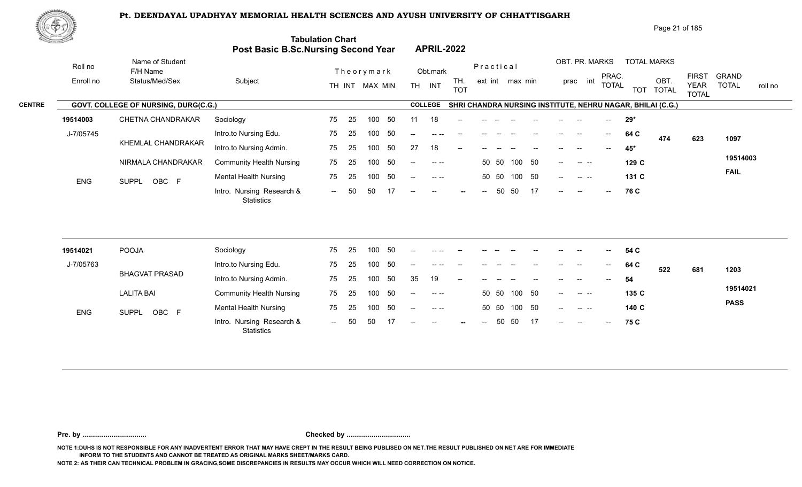Intro. Nursing Research & -- -- OBC

ENG SUPPL OBC F **And Montan Monday of the COV COV** COV COV<br>Lintro. Nursing Research & -- 50 50 17 -- -- -- -- -- 50 50 17 -- -- 76 C



SUPPL OBC F

|                                               | ⊮ආ≴       |                                      |                         |                                                                       |                                |                                                            |                                                         |                                   | Page 21 of 185                              |              |         |
|-----------------------------------------------|-----------|--------------------------------------|-------------------------|-----------------------------------------------------------------------|--------------------------------|------------------------------------------------------------|---------------------------------------------------------|-----------------------------------|---------------------------------------------|--------------|---------|
| $\mathcal{O}_{\mathcal{M}_0}$ , and the lines |           |                                      |                         | <b>Tabulation Chart</b><br><b>Post Basic B.Sc.Nursing Second Year</b> | <b>APRIL-2022</b>              |                                                            |                                                         |                                   |                                             |              |         |
|                                               | Roll no   | Name of Student<br>F/H Name          |                         | Theorymark                                                            | Obt.mark                       | Practical                                                  | OBT. PR. MARKS                                          | <b>TOTAL MARKS</b>                |                                             | <b>GRAND</b> |         |
|                                               | Enroll no | Status/Med/Sex                       | Subject                 | MAX MIN<br>TH INT                                                     | TH.<br>INT<br>TH<br><b>TOT</b> | ext int max min                                            | PRAC.<br>int<br>prac<br><b>TOTAL</b>                    | OBT<br><b>TOTAL</b><br><b>TOT</b> | <b>FIRST</b><br><b>YEAR</b><br><b>TOTAL</b> | <b>TOTAL</b> | roll no |
| <b>CENTRE</b>                                 |           | GOVT. COLLEGE OF NURSING, DURG(C.G.) |                         |                                                                       | <b>COLLEGE</b>                 | SHRI CHANDRA NURSING INSTITUTE, NEHRU NAGAR, BHILAI (C.G.) |                                                         |                                   |                                             |              |         |
|                                               | 19514003  | CHETNA CHANDRAKAR                    | Sociology               | 75<br>100<br>-50<br>-25                                               |                                |                                                            |                                                         | 29*                               |                                             |              |         |
|                                               | J-7/05745 |                                      | Intro.to Nursing Edu.   | 50<br>100<br>75<br>-25                                                |                                |                                                            | $\sim$<br>$\hspace{0.05cm}$<br>$\overline{\phantom{a}}$ | 64 C<br>474                       | 623                                         | 1097         |         |
|                                               |           | KHEMLAL CHANDRAKAR                   | Intro.to Nursing Admin. | 75 -<br>-50<br>100<br>- 25                                            | 18<br>27<br>$\hspace{0.05cm}$  |                                                            | $\hspace{0.05cm}$ – $\hspace{0.05cm}$                   | 45*                               |                                             |              |         |

50 50 100 50

-- -- -- 50 50 100 50 -- -- -- 1**29 C** 

-- -- -- 50 50 17 -- -- -- <mark>;</mark>

-- -- -- 50 50 100 50 -- -- -- 1**31 C** 17 C

-- 50 50 100 50 -- -- -- 1**29 C** -- 129 C

**76**

**C**

**19514003**

**FAIL**

 $17 \t - \t - \t - \t - \t - \t -$ 

| 19514021  | POOJA                 | Sociology                               | 75     | 25  | 100 | -50  | $\hspace{0.05cm}$ – $\hspace{0.05cm}$ | -- --     |        |      |              |       | $- -$  | $- -$                | $\sim$                   | 54 C  |     |     |             |
|-----------|-----------------------|-----------------------------------------|--------|-----|-----|------|---------------------------------------|-----------|--------|------|--------------|-------|--------|----------------------|--------------------------|-------|-----|-----|-------------|
| J-7/05763 |                       | Intro.to Nursing Edu.                   | 75     | 25  | 100 | -50  | $- -$                                 | $\cdots$  | $- -$  |      |              | $- -$ | $- -$  | $- -$                | $\sim$                   | 64 C  | 522 | 681 | 1203        |
|           | <b>BHAGVAT PRASAD</b> | Intro.to Nursing Admin.                 | 75     | -25 | 100 | 50   | 35                                    | 19        | $- -$  |      |              |       | $- -$  | $\hspace{0.05cm}$    | $--$                     | 54    |     |     |             |
|           | <b>LALITA BAI</b>     | <b>Community Health Nursing</b>         | 75     | 25  | 100 | -50  | $\overline{\phantom{a}}$              | $---$     |        |      | 50 50 100 50 |       | $--$   | -- --                |                          | 135 C |     |     | 19514021    |
| ENG       | OBC F<br><b>SUPPL</b> | <b>Mental Health Nursing</b>            | 75     | 25  | 100 | - 50 | $\mathbf{u}$                          | $-1$ $-1$ |        |      | 50 50 100 50 |       | $--$   | $\sim$ $\sim$ $\sim$ |                          | 140 C |     |     | <b>PASS</b> |
|           |                       | Intro. Nursing Research &<br>Statistics | $\sim$ | 50  | 50  |      | $\overline{\phantom{a}}$              | $- -$     | $\sim$ | $--$ | 50 50 17     |       | $\sim$ | $\sim$ $\sim$        | $\overline{\phantom{a}}$ | 75 C  |     |     |             |

25 100 50 75 25 100 50 75 -- 50 50 17

**Pre. by ................................. Checked by .................................**

**NOTE 1:DUHS IS NOT RESPONSIBLE FOR ANY INADVERTENT ERROR THAT MAY HAVE CREPT IN THE RESULT BEING PUBLISED ON NET.THE RESULT PUBLISHED ON NET ARE FOR IMMEDIATE INFORM TO THE STUDENTS AND CANNOT BE TREATED AS ORIGINAL MARKS SHEET/MARKS CARD.**

**NOTE 2: AS THEIR CAN TECHNICAL PROBLEM IN GRACING,SOME DISCREPANCIES IN RESULTS MAY OCCUR WHICH WILL NEED CORRECTION ON NOTICE.**

NIRMALA CHANDRAKAR Community Health Nursing 75 25 10

**Statistics** 

Mental Health Nursing 25 75 25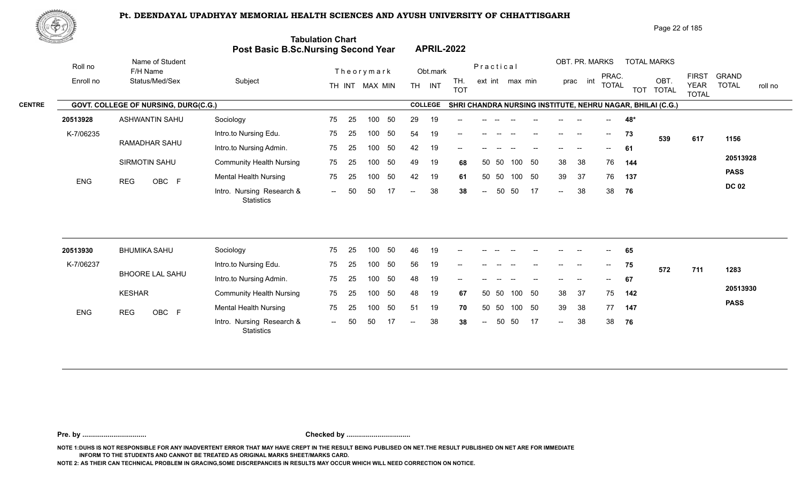

| Page 22 of 185 |  |
|----------------|--|
|                |  |

| <u>Contraction of the Contraction of the Contraction of the Contraction of the Contraction of the Contraction of the Contraction of the Contraction of the Contraction of the Contraction of the Contraction of the Contraction </u> |                                       | Post Basic B.Sc.Nursing Second Year            | <b>Tabulation Chart</b> |    |                |    |                          |                | <b>APRIL-2022</b> |                |       |                 |    |        |                          |                          |     |                                                            |                             |                         |
|--------------------------------------------------------------------------------------------------------------------------------------------------------------------------------------------------------------------------------------|---------------------------------------|------------------------------------------------|-------------------------|----|----------------|----|--------------------------|----------------|-------------------|----------------|-------|-----------------|----|--------|--------------------------|--------------------------|-----|------------------------------------------------------------|-----------------------------|-------------------------|
| Roll no                                                                                                                                                                                                                              | Name of Student<br>F/H Name           |                                                |                         |    | Theorymark     |    |                          | Obt.mark       |                   | Practical      |       |                 |    |        | OBT. PR. MARKS           | PRAC.                    |     | <b>TOTAL MARKS</b>                                         | <b>FIRST</b>                | <b>GRAND</b>            |
| Enroll no                                                                                                                                                                                                                            | Status/Med/Sex                        | Subject                                        |                         |    | TH INT MAX MIN |    |                          | TH INT         | TH.<br><b>TOT</b> |                |       | ext int max min |    |        | prac int                 | <b>TOTAL</b>             |     | OBT.<br>TOT TOTAL                                          | <b>YEAR</b><br><b>TOTAL</b> | <b>TOTAL</b><br>roll no |
|                                                                                                                                                                                                                                      | GOVT. COLLEGE OF NURSING, DURG(C.G.)  |                                                |                         |    |                |    |                          | <b>COLLEGE</b> |                   |                |       |                 |    |        |                          |                          |     | SHRI CHANDRA NURSING INSTITUTE, NEHRU NAGAR, BHILAI (C.G.) |                             |                         |
| 20513928                                                                                                                                                                                                                             | <b>ASHWANTIN SAHU</b>                 | Sociology                                      | 75                      | 25 | 100            | 50 | 29                       | 19             |                   |                |       |                 |    |        |                          |                          | 48* |                                                            |                             |                         |
| K-7/06235                                                                                                                                                                                                                            |                                       | Intro.to Nursing Edu.                          | 75                      | 25 | 100            | 50 | 54                       | 19             | --                |                |       |                 |    | $-$    | $\sim$                   | $\overline{\phantom{a}}$ | 73  | 539                                                        | 617                         | 1156                    |
|                                                                                                                                                                                                                                      | <b>RAMADHAR SAHU</b><br>SIRMOTIN SAHU | Intro.to Nursing Admin.                        | 75                      | 25 | 100            | 50 | 42                       | 19             |                   |                |       |                 |    |        | $\overline{\phantom{a}}$ | $- -$                    | 61  |                                                            |                             |                         |
|                                                                                                                                                                                                                                      |                                       | <b>Community Health Nursing</b>                | 75                      | 25 | 100            | 50 | 49                       | 19             | 68                | 50             | 50    | 100             | 50 | 38     | 38                       | 76                       | 144 |                                                            |                             | 20513928                |
| <b>ENG</b>                                                                                                                                                                                                                           | <b>REG</b><br>OBC F                   | <b>Mental Health Nursing</b>                   | 75                      | 25 | 100            | 50 | 42                       | 19             | 61                | 50             | 50    | 100 50          |    | 39     | 37                       | 76                       | 137 |                                                            |                             | <b>PASS</b>             |
|                                                                                                                                                                                                                                      |                                       | Intro. Nursing Research &<br><b>Statistics</b> | $\sim$ $\sim$           | 50 | 50             | 17 | $\overline{\phantom{a}}$ | 38             | 38                | $\sim$         | 50    | 50              | 17 | $\sim$ | 38                       | 38                       | 76  |                                                            |                             | <b>DC 02</b>            |
|                                                                                                                                                                                                                                      |                                       |                                                |                         |    |                |    |                          |                |                   |                |       |                 |    |        |                          |                          |     |                                                            |                             |                         |
| 20513930                                                                                                                                                                                                                             | <b>BHUMIKA SAHU</b>                   | Sociology                                      | 75                      | 25 | 100            | 50 | 46                       | 19             |                   |                |       |                 |    |        |                          |                          | 65  |                                                            |                             |                         |
| K-7/06237                                                                                                                                                                                                                            |                                       | Intro.to Nursing Edu.                          | 75                      | 25 | 100            | 50 | 56                       | 19             |                   |                |       |                 |    |        |                          | $--$                     | 75  | 572                                                        | 711                         | 1283                    |
|                                                                                                                                                                                                                                      | BHOORE LAL SAHU                       | Intro.to Nursing Admin.                        | 75                      | 25 | 100            | 50 | 48                       | 19             |                   |                |       |                 |    |        |                          | $-$                      | 67  |                                                            |                             |                         |
|                                                                                                                                                                                                                                      | <b>KESHAR</b>                         | <b>Community Health Nursing</b>                | 75                      | 25 | 100            | 50 | 48                       | 19             | 67                |                | 50 50 | 100             | 50 | 38     | 37                       | 75                       | 142 |                                                            |                             | 20513930                |
| ENG                                                                                                                                                                                                                                  | OBC F<br><b>REG</b>                   | <b>Mental Health Nursing</b>                   | 75                      | 25 | 100            | 50 | 51                       | 19             | 70                |                | 50 50 | 100 50          |    | 39     | 38                       | 77                       | 147 |                                                            |                             | <b>PASS</b>             |
|                                                                                                                                                                                                                                      |                                       | Intro. Nursing Research &<br><b>Statistics</b> | $\sim$                  | 50 | 50             |    | $\overline{\phantom{a}}$ | 38             | 38                | $\overline{a}$ | 50    | 50              | 17 | $\sim$ | 38                       | 38                       | 76  |                                                            |                             |                         |

**Pre. by ................................. Checked by .................................**

**NOTE 1:DUHS IS NOT RESPONSIBLE FOR ANY INADVERTENT ERROR THAT MAY HAVE CREPT IN THE RESULT BEING PUBLISED ON NET.THE RESULT PUBLISHED ON NET ARE FOR IMMEDIATE INFORM TO THE STUDENTS AND CANNOT BE TREATED AS ORIGINAL MARKS SHEET/MARKS CARD.**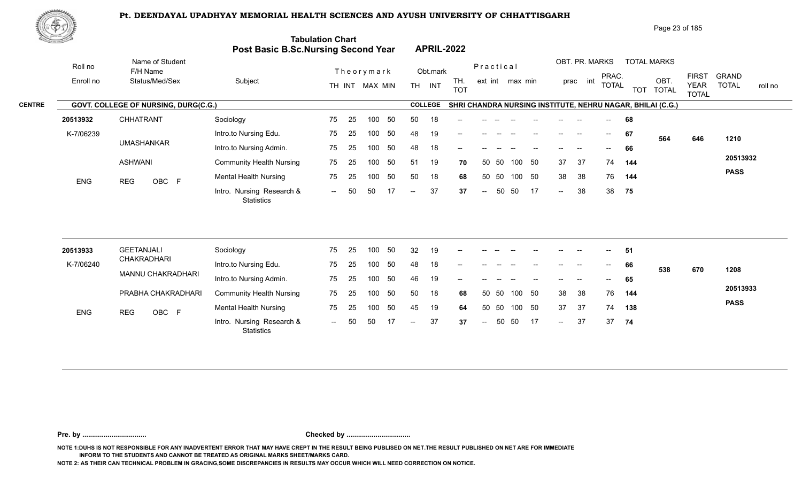

|               | ぷやり)"      |                                      |                                            |                         |                |               |                |                   |            |                 |     |    |                |                   |                          |            | Page 23 of 185                                             |                                             |                              |         |
|---------------|------------|--------------------------------------|--------------------------------------------|-------------------------|----------------|---------------|----------------|-------------------|------------|-----------------|-----|----|----------------|-------------------|--------------------------|------------|------------------------------------------------------------|---------------------------------------------|------------------------------|---------|
|               |            |                                      | <b>Post Basic B.Sc.Nursing Second Year</b> | <b>Tabulation Chart</b> |                |               |                | <b>APRIL-2022</b> |            |                 |     |    |                |                   |                          |            |                                                            |                                             |                              |         |
|               | Roll no    | Name of Student<br>F/H Name          |                                            |                         | Theorymark     |               | Obt.mark       |                   | Practical  |                 |     |    | OBT. PR. MARKS |                   |                          |            | <b>TOTAL MARKS</b>                                         |                                             |                              |         |
|               | Enroll no  | Status/Med/Sex                       | Subject                                    |                         | TH INT MAX MIN | TH.           | INT            | TH.<br><b>TOT</b> |            | ext int max min |     |    | prac           | int               | PRAC.<br>TOTAL           | <b>TOT</b> | OBT.<br><b>TOTAL</b>                                       | <b>FIRST</b><br><b>YEAR</b><br><b>TOTAL</b> | <b>GRAND</b><br><b>TOTAL</b> | roll no |
| <b>CENTRE</b> |            | GOVT. COLLEGE OF NURSING, DURG(C.G.) |                                            |                         |                |               | <b>COLLEGE</b> |                   |            |                 |     |    |                |                   |                          |            | SHRI CHANDRA NURSING INSTITUTE, NEHRU NAGAR, BHILAI (C.G.) |                                             |                              |         |
|               | 20513932   | <b>CHHATRANT</b>                     | Sociology                                  | 75<br>25                | 50<br>100      | 50            | 18             | $\qquad \qquad -$ |            |                 |     |    |                |                   | $--$                     | 68         |                                                            |                                             |                              |         |
|               | K-7/06239  |                                      | Intro.to Nursing Edu.                      | 75<br>25                | 50<br>100      | 48            | 19             | $--$              |            |                 |     |    |                | $\hspace{0.05cm}$ | $\overline{\phantom{a}}$ | 67         | 564                                                        | 646                                         | 1210                         |         |
|               |            | <b>UMASHANKAR</b>                    | Intro.to Nursing Admin.                    | 75<br>25                | 50<br>100      | 48            | 18             | $- -$             |            |                 |     |    |                |                   |                          | 66         |                                                            |                                             |                              |         |
|               |            | <b>ASHWANI</b>                       | <b>Community Health Nursing</b>            | 75<br>25                | 50<br>100      | 51            | 19             | 70                | 50 50      |                 | 100 | 50 | 37             | 37                | 74                       | 144        |                                                            |                                             | 20513932                     |         |
|               | <b>ENG</b> | <b>REG</b><br>OBC F                  | <b>Mental Health Nursing</b>               | 75<br>25                | 50<br>100      | 50            | 18             | 68                | 50         | 50              | 100 | 50 | 38             | 38                | 76                       | 144        |                                                            |                                             | <b>PASS</b>                  |         |
|               |            |                                      | Intro. Nursing Research &<br>Statistics    | 50<br>$\sim$ $-$        | 50<br>17       | $\sim$ $\sim$ | 37             | 37                | $\sim$ $-$ | 50              | 50  | 17 | $\sim$         | 38                |                          | 38 75      |                                                            |                                             |                              |         |
|               |            |                                      |                                            |                         |                |               |                |                   |            |                 |     |    |                |                   |                          |            |                                                            |                                             |                              |         |

| 20513933   | GEETANJALI          | Sociology                               | 75                       | 25  | 100 | 50  | 32   | 19 | $- -$ |        |       |        |    | $- -$  | $- -$ | $\sim$                   | -51 |     |     |             |
|------------|---------------------|-----------------------------------------|--------------------------|-----|-----|-----|------|----|-------|--------|-------|--------|----|--------|-------|--------------------------|-----|-----|-----|-------------|
| K-7/06240  | CHAKRADHARI         | Intro.to Nursing Edu.                   | 75                       | 25  | 00  | 50  | 48   | 18 | $-$   |        |       |        |    |        |       | $--$                     | 66  | 538 | 670 | 1208        |
|            | MANNU CHAKRADHARI   | Intro.to Nursing Admin.                 | 75                       | 25  | 100 | 50  | 46   | 19 | $- -$ | --     |       |        |    | $- -$  | $- -$ | $\overline{\phantom{a}}$ | 65  |     |     |             |
|            | PRABHA CHAKRADHARI  | <b>Community Health Nursing</b>         | 75                       | -25 | 100 | -50 | -50  | 18 | 68    |        | 50 50 | 100 50 |    | 38     | - 38  | 76                       | 144 |     |     | 20513933    |
| <b>ENG</b> | OBC F<br><b>REG</b> | <b>Mental Health Nursing</b>            | 75                       | 25  | 100 | -50 | 45   | 19 | 64    |        | 50 50 | 100 50 |    | 37     | -37   | 74                       | 138 |     |     | <b>PASS</b> |
|            |                     | Intro. Nursing Research &<br>Statistics | $\overline{\phantom{a}}$ | 50  |     |     | $--$ | 37 | 37    | $\sim$ |       | 50 50  | 17 | $\sim$ | 37    | 37                       | 74  |     |     |             |

**Pre. by ................................. Checked by .................................**

**NOTE 1:DUHS IS NOT RESPONSIBLE FOR ANY INADVERTENT ERROR THAT MAY HAVE CREPT IN THE RESULT BEING PUBLISED ON NET.THE RESULT PUBLISHED ON NET ARE FOR IMMEDIATE INFORM TO THE STUDENTS AND CANNOT BE TREATED AS ORIGINAL MARKS SHEET/MARKS CARD.**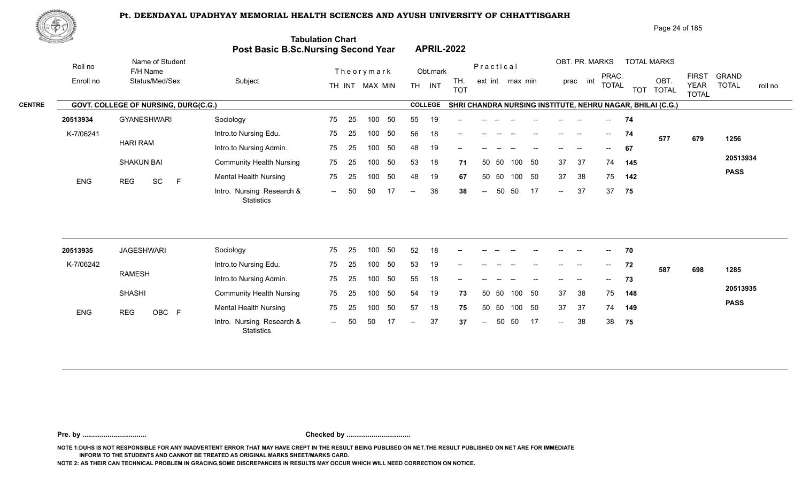

| .@♥!/`    |                             |                                         |                                      |                                                                                     |                                                          | Page 24 of 185                                                    |                                                                                        |
|-----------|-----------------------------|-----------------------------------------|--------------------------------------|-------------------------------------------------------------------------------------|----------------------------------------------------------|-------------------------------------------------------------------|----------------------------------------------------------------------------------------|
|           |                             |                                         |                                      |                                                                                     |                                                          |                                                                   |                                                                                        |
| Roll no   | Name of Student<br>F/H Name |                                         |                                      | Obt.mark                                                                            | Practical                                                | OBT. PR. MARKS<br><b>TOTAL MARKS</b>                              |                                                                                        |
| Enroll no | Status/Med/Sex              | Subject                                 | TH INT MAX MIN                       | TH.<br>INT<br><b>TH</b><br><b>TOT</b>                                               | ext int max min                                          | OBT.<br>int<br>prac<br><b>TOTAL</b><br><b>TOTAL</b><br><b>TOT</b> | <b>FIRST</b><br><b>GRAND</b><br><b>TOTAL</b><br><b>YEAR</b><br>roll no<br><b>TOTAL</b> |
|           |                             |                                         |                                      | <b>COLLEGE</b>                                                                      |                                                          |                                                                   |                                                                                        |
| 20513934  | <b>GYANESHWARI</b>          | Sociology                               | 75<br>25<br>50<br>100                | 55<br>19<br>$\qquad \qquad -$                                                       |                                                          | 74<br>$- -$                                                       |                                                                                        |
| K-7/06241 |                             | Intro.to Nursing Edu.                   | 50<br>75<br>25<br>100                | 56<br>18<br>$--$                                                                    |                                                          | 74<br>--<br>$\overline{\phantom{a}}$                              | 679<br>1256                                                                            |
|           |                             | Intro.to Nursing Admin.                 | 75<br>25<br>50<br>100                | 48<br>19<br>$- -$                                                                   |                                                          | 67                                                                |                                                                                        |
|           | <b>SHAKUN BAI</b>           | <b>Community Health Nursing</b>         | 50<br>75<br>25<br>100                | 53<br>18                                                                            | 50 50<br>50<br>100                                       | 37<br>37<br>74<br>145                                             | 20513934                                                                               |
|           | E                           | Mental Health Nursing                   | 50<br>75<br>25<br>100                | 48<br>19                                                                            | 50<br>50<br>100<br>50                                    | 38<br>37<br>75<br>142                                             | <b>PASS</b>                                                                            |
|           |                             | Intro. Nursing Research &<br>Statistics | 17<br>50<br>50<br>$\sim$ $\sim$      | 38<br>$\sim$ $-$                                                                    | 17<br>50<br>50<br>$\hspace{0.1em} \ldots \hspace{0.1em}$ | 37<br>37<br>75<br>$\sim$                                          |                                                                                        |
|           | <b>ENG</b>                  | <b>HARI RAM</b><br>SC<br>REG            | GOVT. COLLEGE OF NURSING, DURG(C.G.) | <b>Tabulation Chart</b><br><b>Post Basic B.Sc.Nursing Second Year</b><br>Theorymark |                                                          | <b>APRIL-2022</b><br>71<br>67<br>38                               | PRAC.<br>SHRI CHANDRA NURSING INSTITUTE, NEHRU NAGAR, BHILAI (C.G.)<br>577             |

| 20513935   | JAGESHWARI    | Sociology                                      | 75     | 25  | 100 | 50  | 52   | 18 | $- -$ |               |       |        |    | $- -$         | $- -$ | $\sim$ | 70  |     |     |             |
|------------|---------------|------------------------------------------------|--------|-----|-----|-----|------|----|-------|---------------|-------|--------|----|---------------|-------|--------|-----|-----|-----|-------------|
| K-7/06242  |               | Intro.to Nursing Edu.                          | 75     | 25  | 100 | 50  | 53   | 19 | $- -$ |               |       |        |    |               |       | $--$   | 72  | 587 | 698 | 1285        |
|            | RAMESH        | Intro.to Nursing Admin.                        | 75     | 25  | 100 | 50  | 55   | 18 | $- -$ | --            |       |        |    | $- -$         | $- -$ | $--$   | 73  |     |     |             |
|            | <b>SHASHI</b> | <b>Community Health Nursing</b>                | 75     | -25 | 100 | -50 | 54   | 19 | 73    | 50 50         |       | 100 50 |    | 37            | -38   | 75     | 148 |     |     | 20513935    |
| <b>ENG</b> | OBC F<br>REG  | <b>Mental Health Nursing</b>                   | 75     | -25 | 100 | 50  | 57   | 18 | 75    | 50 50         |       | 100 50 |    | 37            | -37   | 74     | 149 |     |     | <b>PASS</b> |
|            |               | Intro. Nursing Research &<br><b>Statistics</b> | $\sim$ | 50  | 50  |     | $--$ | 37 | 37    | $\sim$ $\sim$ | 50 50 |        | 17 | $\rightarrow$ | 38    | 38     | 75  |     |     |             |

**Pre. by ................................. Checked by .................................**

**NOTE 1:DUHS IS NOT RESPONSIBLE FOR ANY INADVERTENT ERROR THAT MAY HAVE CREPT IN THE RESULT BEING PUBLISED ON NET.THE RESULT PUBLISHED ON NET ARE FOR IMMEDIATE INFORM TO THE STUDENTS AND CANNOT BE TREATED AS ORIGINAL MARKS SHEET/MARKS CARD.**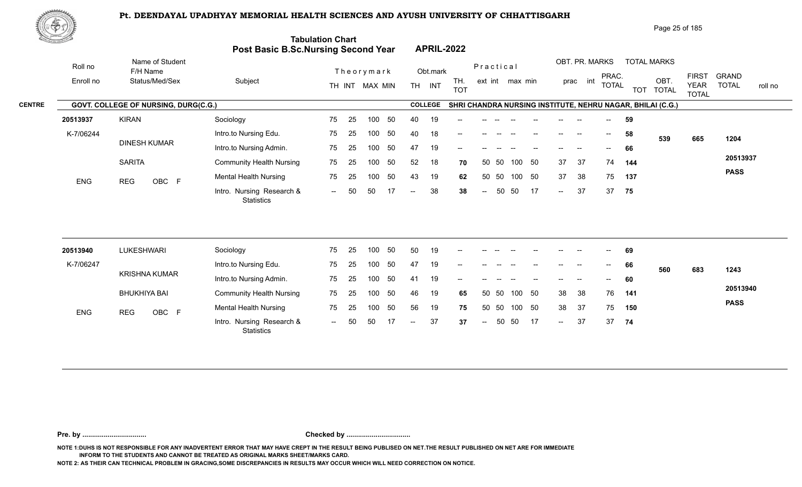

|               | ₩ФӮ        |                                      |                                            |                                 |                                       |                                    | Page 25 of 185                                                             |                                                                                        |
|---------------|------------|--------------------------------------|--------------------------------------------|---------------------------------|---------------------------------------|------------------------------------|----------------------------------------------------------------------------|----------------------------------------------------------------------------------------|
|               |            |                                      | <b>Post Basic B.Sc.Nursing Second Year</b> | <b>Tabulation Chart</b>         | <b>APRIL-2022</b>                     |                                    |                                                                            |                                                                                        |
|               | Roll no    | Name of Student<br>F/H Name          |                                            | Theorymark                      | Obt.mark                              | Practical                          | OBT. PR. MARKS<br><b>TOTAL MARKS</b>                                       |                                                                                        |
|               | Enroll no  | Status/Med/Sex                       | Subject                                    | TH INT MAX MIN                  | TH.<br><b>TH</b><br>INT<br><b>TOT</b> | ext int max min                    | PRAC.<br>int<br>OBT.<br>prac<br><b>TOTAL</b><br><b>TOTAL</b><br><b>TOT</b> | <b>FIRST</b><br><b>GRAND</b><br><b>TOTAL</b><br><b>YEAR</b><br>roll no<br><b>TOTAL</b> |
| <b>CENTRE</b> |            | GOVT. COLLEGE OF NURSING, DURG(C.G.) |                                            |                                 | <b>COLLEGE</b>                        |                                    | SHRI CHANDRA NURSING INSTITUTE, NEHRU NAGAR, BHILAI (C.G.)                 |                                                                                        |
|               | 20513937   | <b>KIRAN</b>                         | Sociology                                  | 25<br>50<br>75<br>100           | 40<br>19                              |                                    | 59                                                                         |                                                                                        |
|               | K-7/06244  |                                      | Intro.to Nursing Edu.                      | 50<br>75<br>25<br>100           | 40<br>18<br>$--$                      | $- -$                              | 58<br>$--$<br>$\overline{\phantom{a}}$<br>--<br>539                        | 665<br>1204                                                                            |
|               |            | DINESH KUMAR                         | Intro.to Nursing Admin.                    | 50<br>75<br>25<br>100           | 19<br>47<br>$- -$                     |                                    | 66<br>$\sim$                                                               |                                                                                        |
|               |            | <b>SARITA</b>                        | <b>Community Health Nursing</b>            | 50<br>75<br>25<br>100           | 52<br>18                              | 50<br>50 50<br>100<br>70           | 37<br>37<br>74<br>144                                                      | 20513937                                                                               |
|               | <b>ENG</b> | <b>REG</b><br>OBC F                  | <b>Mental Health Nursing</b>               | 50<br>75<br>25<br>100           | 43<br>19                              | 50 50<br>100 50<br>62              | 38<br>37<br>75<br>137                                                      | <b>PASS</b>                                                                            |
|               |            |                                      | Intro. Nursing Research &<br>Statistics    | 50<br>50<br>17<br>$\sim$ $\sim$ | 38<br>$--$                            | 50<br>50<br>17<br>38<br>$\sim$ $-$ | 37<br>37<br>75<br>$\sim$                                                   |                                                                                        |
|               |            |                                      |                                            |                                 |                                       |                                    |                                                                            |                                                                                        |

| 20513940   | LUKESHWARI          | Sociology                                      | 75                       | 25  | 100 | 50  | 50     | 19 | $- -$ | --            |       |        |    | $- -$  | $- -$ | $\overline{\phantom{a}}$ | 69  |     |     |             |
|------------|---------------------|------------------------------------------------|--------------------------|-----|-----|-----|--------|----|-------|---------------|-------|--------|----|--------|-------|--------------------------|-----|-----|-----|-------------|
| K-7/06247  |                     | Intro.to Nursing Edu.                          | 75                       | 25  | 100 | 50  | 47     | 19 | $- -$ |               |       |        |    | --     |       | $--$                     | 66  | 560 | 683 | 1243        |
|            | KRISHNA KUMAR       | Intro.to Nursing Admin.                        | 75                       | 25  | 100 | 50  | 41     | 19 | $- -$ |               |       |        |    | $- -$  | $- -$ | $- -$                    | 60  |     |     |             |
|            | <b>BHUKHIYA BAI</b> | <b>Community Health Nursing</b>                | 75                       | -25 | 100 | -50 | 46     | 19 | 65    |               | 50 50 | 100 50 |    | 38     | - 38  | 76                       | 141 |     |     | 20513940    |
| <b>ENG</b> | OBC F<br>REG        | <b>Mental Health Nursing</b>                   | 75                       | 25  | 100 | 50  | 56     | 19 | 75    |               | 50 50 | 100 50 |    | 38     | -37   | 75                       | 150 |     |     | <b>PASS</b> |
|            |                     | Intro. Nursing Research &<br><b>Statistics</b> | $\overline{\phantom{a}}$ | 50  | 50  |     | $  \,$ | 37 | 37    | $\sim$ $\sim$ |       | 50 50  | 17 | $\sim$ | 37    | 37                       | 74  |     |     |             |

**Pre. by ................................. Checked by .................................**

**NOTE 1:DUHS IS NOT RESPONSIBLE FOR ANY INADVERTENT ERROR THAT MAY HAVE CREPT IN THE RESULT BEING PUBLISED ON NET.THE RESULT PUBLISHED ON NET ARE FOR IMMEDIATE INFORM TO THE STUDENTS AND CANNOT BE TREATED AS ORIGINAL MARKS SHEET/MARKS CARD.**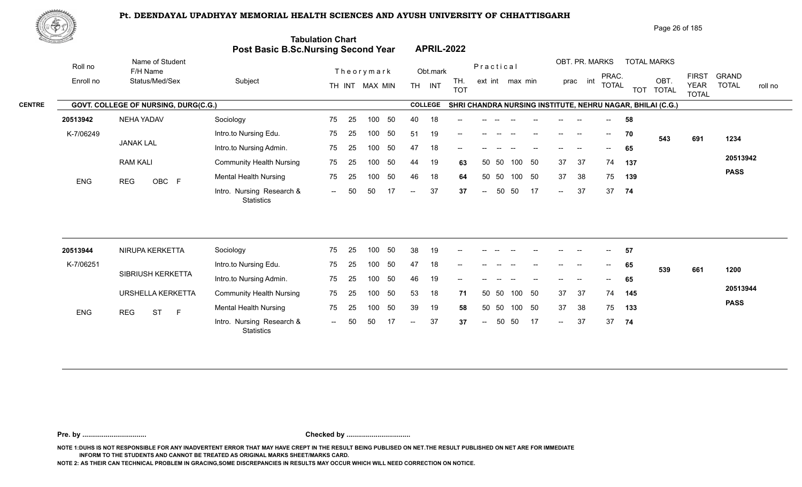

| 心のが       |                             |                                         |                                      |                                                                                     | Page 26 of 185                                                                                                                                                         |
|-----------|-----------------------------|-----------------------------------------|--------------------------------------|-------------------------------------------------------------------------------------|------------------------------------------------------------------------------------------------------------------------------------------------------------------------|
|           |                             |                                         |                                      | <b>APRIL-2022</b>                                                                   |                                                                                                                                                                        |
| Roll no   | Name of Student<br>F/H Name |                                         |                                      | Obt.mark                                                                            | OBT. PR. MARKS<br><b>TOTAL MARKS</b><br>Practical                                                                                                                      |
| Enroll no | Status/Med/Sex              | Subject                                 | TH INT MAX MIN                       | TH.<br><b>TH</b><br>INT<br><b>TOT</b>                                               | <b>FIRST</b><br><b>GRAND</b><br>PRAC.<br>OBT.<br>int<br>ext int max min<br>prac<br><b>TOTAL</b><br><b>TOTAL</b><br><b>YEAR</b><br>roll no<br>TOT TOTAL<br><b>TOTAL</b> |
|           |                             |                                         |                                      | <b>COLLEGE</b>                                                                      | SHRI CHANDRA NURSING INSTITUTE, NEHRU NAGAR, BHILAI (C.G.)                                                                                                             |
| 20513942  | NEHA YADAV                  | Sociology                               | 75<br>25<br>50<br>100                | 18<br>40<br>--                                                                      | 58                                                                                                                                                                     |
| K-7/06249 |                             | Intro.to Nursing Edu.                   | 25<br>50<br>75<br>100                | 19<br>51<br>$--$                                                                    | 70<br>$--$<br>$--$<br>$\hspace{0.05cm}$<br>$- -$<br>$\hspace{0.05cm}$<br>543<br>691<br>1234                                                                            |
|           |                             | Intro.to Nursing Admin.                 | 75<br>50<br>25<br>100                | 47<br>18<br>$--$                                                                    | 65                                                                                                                                                                     |
|           | <b>RAM KALI</b>             | <b>Community Health Nursing</b>         | 50<br>75<br>25<br>100                | 19<br>44<br>63                                                                      | 20513942<br>37<br>50<br>37<br>50 50<br>74<br>137<br>100                                                                                                                |
|           |                             | <b>Mental Health Nursing</b>            | 50<br>75<br>25<br>100                | 46<br>18<br>64                                                                      | <b>PASS</b><br>38<br>50<br>37<br>75<br>-50<br>100<br>139<br>50                                                                                                         |
|           |                             | Intro. Nursing Research &<br>Statistics | -50<br>50<br>$  \,$                  | 37<br>37<br>$--$                                                                    | 37<br>17<br>37<br>50<br>50<br>74<br>$\sim$<br>$--$                                                                                                                     |
|           | <b>ENG</b>                  | <b>JANAK LAL</b><br>OBC F<br><b>REG</b> | GOVT. COLLEGE OF NURSING, DURG(C.G.) | <b>Tabulation Chart</b><br><b>Post Basic B.Sc.Nursing Second Year</b><br>Theorymark |                                                                                                                                                                        |

| 20513944   | NIRUPA KERKETTA       | Sociology                                      | 75                       | -25 | 100 | 50  | 38   | 19 | $- -$ | --     |       |        |    | $- -$  | $- -$ | $\sim$ | 57  |     |     |             |
|------------|-----------------------|------------------------------------------------|--------------------------|-----|-----|-----|------|----|-------|--------|-------|--------|----|--------|-------|--------|-----|-----|-----|-------------|
| K-7/06251  |                       | Intro.to Nursing Edu.                          | 75                       | 25  | 100 | 50  | 47   | 18 | $- -$ |        |       |        |    |        |       | $--$   | 65  | 539 | 661 | 1200        |
|            | SIBRIUSH KERKETTA     | Intro.to Nursing Admin.                        | 75                       | 25  | 100 | 50  | 46   | 19 | $- -$ | --     |       |        |    | $- -$  | $- -$ | $--$   | 65  |     |     |             |
|            | URSHELLA KERKETTA     | <b>Community Health Nursing</b>                | 75                       | -25 | 100 | -50 | 53   | 18 | 71    | 50 50  |       | 100 50 |    | 37     | -37   | 74     | 145 |     |     | 20513944    |
| <b>ENG</b> | <b>ST</b><br>REG<br>- | <b>Mental Health Nursing</b>                   | 75                       | -25 | 100 | 50  | 39   | 19 | 58    | 50 50  |       | 100 50 |    | 37     | -38   | 75     | 133 |     |     | <b>PASS</b> |
|            |                       | Intro. Nursing Research &<br><b>Statistics</b> | $\overline{\phantom{a}}$ | 50  | 50  |     | $--$ | 37 | 37    | $  \,$ | 50 50 |        | 17 | $\sim$ | 37    | 37     | 74  |     |     |             |

**Pre. by ................................. Checked by .................................**

**NOTE 1:DUHS IS NOT RESPONSIBLE FOR ANY INADVERTENT ERROR THAT MAY HAVE CREPT IN THE RESULT BEING PUBLISED ON NET.THE RESULT PUBLISHED ON NET ARE FOR IMMEDIATE INFORM TO THE STUDENTS AND CANNOT BE TREATED AS ORIGINAL MARKS SHEET/MARKS CARD.**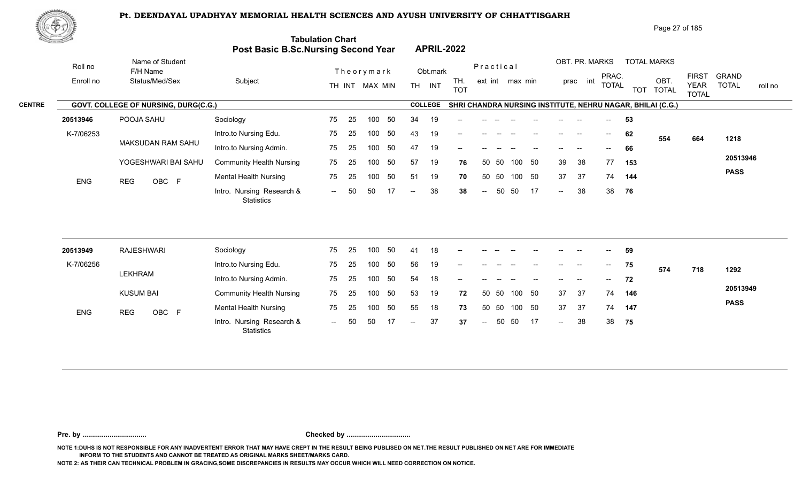

|               | ₩ФӮ        |                                      |                                            |                           |           |                |                   |                   |                 |          |        |        |                |                          |            | Page 27 of 185                                             |                                             |                                         |  |
|---------------|------------|--------------------------------------|--------------------------------------------|---------------------------|-----------|----------------|-------------------|-------------------|-----------------|----------|--------|--------|----------------|--------------------------|------------|------------------------------------------------------------|---------------------------------------------|-----------------------------------------|--|
|               |            |                                      | <b>Post Basic B.Sc.Nursing Second Year</b> | <b>Tabulation Chart</b>   |           |                | <b>APRIL-2022</b> |                   |                 |          |        |        |                |                          |            |                                                            |                                             |                                         |  |
|               | Roll no    | Name of Student<br>F/H Name          |                                            | Theorymark                |           |                | Obt.mark          |                   | Practical       |          |        |        | OBT. PR. MARKS |                          |            | <b>TOTAL MARKS</b>                                         |                                             |                                         |  |
|               | Enroll no  | Status/Med/Sex                       | Subject                                    | TH INT MAX MIN            |           | <b>TH</b>      | INT               | TH.<br><b>TOT</b> | ext int max min |          |        | prac   | int            | PRAC.<br><b>TOTAL</b>    | <b>TOT</b> | OBT.<br><b>TOTAL</b>                                       | <b>FIRST</b><br><b>YEAR</b><br><b>TOTAL</b> | <b>GRAND</b><br><b>TOTAL</b><br>roll no |  |
| <b>CENTRE</b> |            | GOVT. COLLEGE OF NURSING, DURG(C.G.) |                                            |                           |           | <b>COLLEGE</b> |                   |                   |                 |          |        |        |                |                          |            | SHRI CHANDRA NURSING INSTITUTE, NEHRU NAGAR, BHILAI (C.G.) |                                             |                                         |  |
|               | 20513946   | POOJA SAHU                           | Sociology                                  | 75<br>-25                 | 50<br>100 | 34             | 19                | --                |                 |          |        |        |                |                          | 53         |                                                            |                                             |                                         |  |
|               | K-7/06253  |                                      | Intro.to Nursing Edu.                      | 75<br>25                  | 50<br>100 | 43             | 19                | $--$              |                 |          |        | $--$   | --             | $\overline{\phantom{a}}$ | 62         | 554                                                        | 664                                         | 1218                                    |  |
|               |            | MAKSUDAN RAM SAHU                    | Intro.to Nursing Admin.                    | 75<br>25                  | 50<br>100 | 47             | 19                | $- -$             |                 |          |        |        |                | $\sim$                   | 66         |                                                            |                                             |                                         |  |
|               |            | YOGESHWARI BAI SAHU                  | <b>Community Health Nursing</b>            | 75<br>25<br>100           | 50        | 57             | 19                | 76                | 50 50           | 100      | - 50   | 39     | 38             | 77                       | 153        |                                                            |                                             | 20513946                                |  |
|               | <b>ENG</b> | OBC F<br><b>REG</b>                  | <b>Mental Health Nursing</b>               | 75<br>25                  | 50<br>100 | 51             | 19                | 70                | 50 50           |          | 100 50 | 37     | 37             | 74                       | 144        |                                                            |                                             | <b>PASS</b>                             |  |
|               |            |                                      | Intro. Nursing Research &<br>Statistics    | 50<br>50<br>$\sim$ $\sim$ | 17        | $--$           | 38                | 38                | $\sim$ $-$      | 50<br>50 | 17     | $\sim$ | 38             | 38                       | 76         |                                                            |                                             |                                         |  |
|               |            |                                      |                                            |                           |           |                |                   |                   |                 |          |        |        |                |                          |            |                                                            |                                             |                                         |  |

| 20513949   | RAJESHWARI          | Sociology                                      | 75     | - 25 | 100 | 50  | 41     | 18 | $- -$                    |               |       |          |                          | $- -$         |        | $--$                      | 59  |     |     |             |
|------------|---------------------|------------------------------------------------|--------|------|-----|-----|--------|----|--------------------------|---------------|-------|----------|--------------------------|---------------|--------|---------------------------|-----|-----|-----|-------------|
| K-7/06256  |                     | Intro.to Nursing Edu.                          | 75     | 25   | 100 | 50  | 56     | 19 | $\overline{\phantom{a}}$ | $- -$         | $- -$ |          | $- -$                    | $- -$         | $- -$  | $\overline{\phantom{a}}$  | 75  | 574 | 718 | 1292        |
|            | LEKHRAM             | Intro.to Nursing Admin.                        | 75     | -25  | 100 | 50  | 54     | 18 | $\sim$                   | $- -$         | $- -$ | $- -$    | $\overline{\phantom{a}}$ | $\frac{1}{2}$ | $\sim$ | $\mathbf{u} = \mathbf{u}$ | 72  |     |     |             |
|            | <b>KUSUM BAI</b>    | <b>Community Health Nursing</b>                | 75     | - 25 | 100 | -50 | 53     | 19 | 72                       | 50 50         |       | 100 50   |                          | 37            | 37     | 74                        | 146 |     |     | 20513949    |
| <b>ENG</b> | OBC F<br><b>REG</b> | <b>Mental Health Nursing</b>                   | 75     | -25  | 100 | -50 | 55     | 18 | 73                       | 50 50         |       | 100 50   |                          | 37            | -37    | 74                        | 147 |     |     | <b>PASS</b> |
|            |                     | Intro. Nursing Research &<br><b>Statistics</b> | $  \,$ | 50   | -50 |     | $\sim$ | 37 | 37                       | $\sim$ $\sim$ |       | 50 50 17 |                          | $\sim$        | 38     | 38                        | 75  |     |     |             |

**Pre. by ................................. Checked by .................................**

**NOTE 1:DUHS IS NOT RESPONSIBLE FOR ANY INADVERTENT ERROR THAT MAY HAVE CREPT IN THE RESULT BEING PUBLISED ON NET.THE RESULT PUBLISHED ON NET ARE FOR IMMEDIATE INFORM TO THE STUDENTS AND CANNOT BE TREATED AS ORIGINAL MARKS SHEET/MARKS CARD.**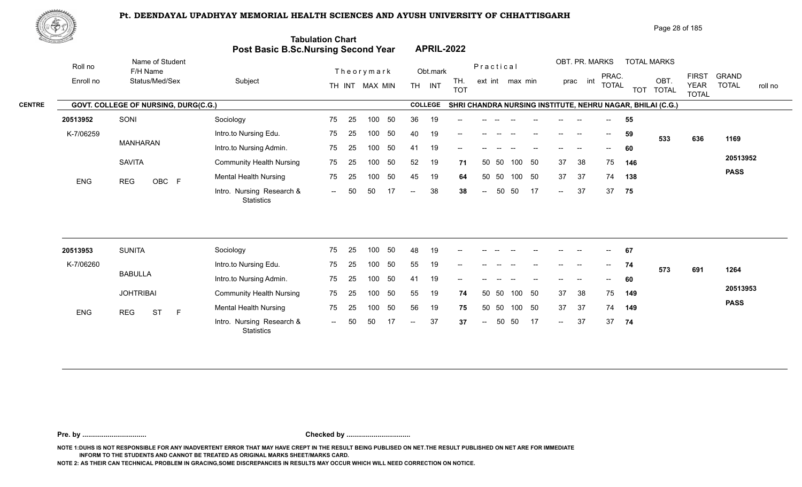

|               | ₩ФӮ        |                                      |                                            |                                 |                                       |                                    | Page 28 of 185                                                             |                                                                                        |
|---------------|------------|--------------------------------------|--------------------------------------------|---------------------------------|---------------------------------------|------------------------------------|----------------------------------------------------------------------------|----------------------------------------------------------------------------------------|
|               |            |                                      | <b>Post Basic B.Sc.Nursing Second Year</b> | <b>Tabulation Chart</b>         | <b>APRIL-2022</b>                     |                                    |                                                                            |                                                                                        |
|               | Roll no    | Name of Student<br>F/H Name          |                                            | Theorymark                      | Obt.mark                              | Practical                          | OBT. PR. MARKS<br><b>TOTAL MARKS</b>                                       |                                                                                        |
|               | Enroll no  | Status/Med/Sex                       | Subject                                    | TH INT MAX MIN                  | TH.<br><b>TH</b><br>INT<br><b>TOT</b> | ext int max min                    | PRAC.<br>int<br>OBT.<br>prac<br><b>TOTAL</b><br><b>TOTAL</b><br><b>TOT</b> | <b>FIRST</b><br><b>GRAND</b><br><b>TOTAL</b><br><b>YEAR</b><br>roll no<br><b>TOTAL</b> |
| <b>CENTRE</b> |            | GOVT. COLLEGE OF NURSING, DURG(C.G.) |                                            |                                 | <b>COLLEGE</b>                        |                                    | SHRI CHANDRA NURSING INSTITUTE, NEHRU NAGAR, BHILAI (C.G.)                 |                                                                                        |
|               | 20513952   | SONI                                 | Sociology                                  | 50<br>75<br>25<br>100           | 36<br>19<br>--                        |                                    | 55                                                                         |                                                                                        |
|               | K-7/06259  |                                      | Intro.to Nursing Edu.                      | 50<br>75<br>25<br>100           | 40<br>19<br>$--$                      | $- -$                              | 59<br>$\overline{\phantom{a}}$<br>$--$<br>--<br>533                        | 636<br>1169                                                                            |
|               |            | MANHARAN                             | Intro.to Nursing Admin.                    | 50<br>75<br>25<br>100           | 19<br>41<br>--                        |                                    | 60<br>$\sim$                                                               |                                                                                        |
|               |            | <b>SAVITA</b>                        | <b>Community Health Nursing</b>            | 50<br>75<br>25<br>100           | 52<br>19                              | 50<br>50 50<br>100<br>71           | 38<br>75<br>37<br>146                                                      | 20513952                                                                               |
|               | <b>ENG</b> | <b>REG</b><br>OBC F                  | <b>Mental Health Nursing</b>               | 50<br>75<br>25<br>100           | 45<br>19                              | 50 50<br>50<br>100<br>64           | 37<br>37<br>74<br>138                                                      | <b>PASS</b>                                                                            |
|               |            |                                      | Intro. Nursing Research &<br>Statistics    | 50<br>50<br>17<br>$\sim$ $\sim$ | 38<br>$--$                            | 50<br>50<br>17<br>38<br>$\sim$ $-$ | 37<br>37<br>75<br>$\sim$                                                   |                                                                                        |
|               |            |                                      |                                            |                                 |                                       |                                    |                                                                            |                                                                                        |

| 20513953   | <b>SUNITA</b>    |           |   | Sociology                                      | 75     | - 25 | 100 | -50 | 48     | 19 | $\sim$                                         | $- -$         | $- -$ | $\overline{\phantom{a}}$ | $- -$                                 | $\frac{1}{2}$ | $- -$ | $\sim$        | 67  |     |     |             |
|------------|------------------|-----------|---|------------------------------------------------|--------|------|-----|-----|--------|----|------------------------------------------------|---------------|-------|--------------------------|---------------------------------------|---------------|-------|---------------|-----|-----|-----|-------------|
| K-7/06260  |                  |           |   | Intro.to Nursing Edu.                          | 75     | - 25 | 100 | 50  | 55     | 19 | $\hspace{0.1mm}-\hspace{0.1mm}-\hspace{0.1mm}$ | $- -$         | $- -$ |                          | $- -$                                 | $--$          | $- -$ | $\rightarrow$ | 74  | 573 | 691 | 1264        |
|            | BABULLA          |           |   | Intro.to Nursing Admin.                        | 75     | -25  | 100 | 50  | 41     | 19 | $- -$                                          | $- -$         |       |                          | $\hspace{0.05cm}$ – $\hspace{0.05cm}$ | $- -$         | $- -$ | $--$          | 60  |     |     |             |
|            | <b>JOHTRIBAI</b> |           |   | <b>Community Health Nursing</b>                | 75     | - 25 | 100 | -50 | 55     | 19 | 74                                             | 50 50         |       | 100 50                   |                                       | 37            | 38    | 75            | 149 |     |     | 20513953    |
| <b>ENG</b> | REG              | <b>ST</b> | E | <b>Mental Health Nursing</b>                   | 75     | -25  | 100 | -50 | 56     | 19 | 75                                             | 50 50         |       | 100 50                   |                                       | 37            | -37   | 74            | 149 |     |     | <b>PASS</b> |
|            |                  |           |   | Intro. Nursing Research &<br><b>Statistics</b> | $  \,$ | 50   | 50  |     | $\sim$ | 37 | 37                                             | $\sim$ $\sim$ |       | 50 50 17                 |                                       | $\sim$        | 37    | 37            | 74  |     |     |             |

**Pre. by ................................. Checked by .................................**

**NOTE 1:DUHS IS NOT RESPONSIBLE FOR ANY INADVERTENT ERROR THAT MAY HAVE CREPT IN THE RESULT BEING PUBLISED ON NET.THE RESULT PUBLISHED ON NET ARE FOR IMMEDIATE INFORM TO THE STUDENTS AND CANNOT BE TREATED AS ORIGINAL MARKS SHEET/MARKS CARD.**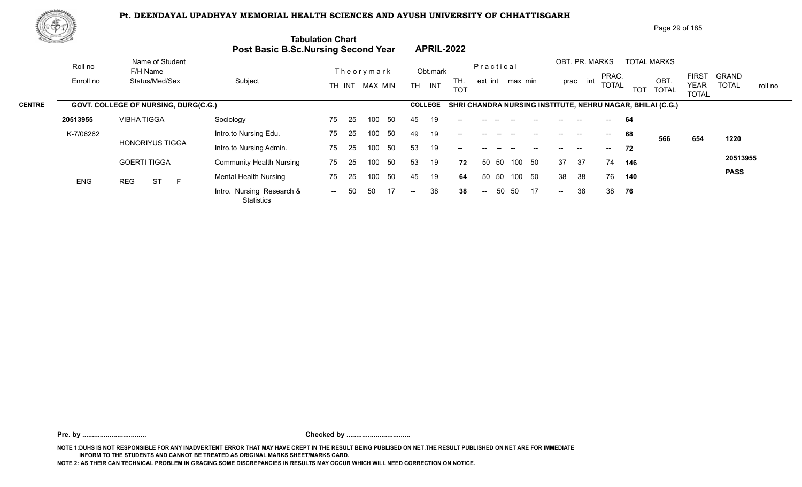

| 脾の功           |            |                                      |                                     |                              |                                                          | Page 29 of 185                                                                                                                                                       |
|---------------|------------|--------------------------------------|-------------------------------------|------------------------------|----------------------------------------------------------|----------------------------------------------------------------------------------------------------------------------------------------------------------------------|
|               |            |                                      | Post Basic B.Sc.Nursing Second Year | <b>Tabulation Chart</b>      | <b>APRIL-2022</b>                                        |                                                                                                                                                                      |
|               | Roll no    | Name of Student<br>F/H Name          |                                     | Theorymark                   | Practical<br>Obt.mark                                    | OBT. PR. MARKS<br><b>TOTAL MARKS</b>                                                                                                                                 |
|               | Enroll no  | Status/Med/Sex                       | Subject                             | TH INT MAX MIN               | TH.<br>ext int max min<br><b>TH</b><br>INT<br><b>TOT</b> | <b>FIRST</b><br><b>GRAND</b><br>PRAC.<br>OBT.<br>int<br>prac<br><b>TOTAL</b><br><b>TOTAL</b><br><b>YEAR</b><br>roll no<br><b>TOT</b><br><b>TOTAL</b><br><b>TOTAL</b> |
| <b>CENTRE</b> |            | GOVT. COLLEGE OF NURSING, DURG(C.G.) |                                     |                              | <b>COLLEGE</b>                                           | SHRI CHANDRA NURSING INSTITUTE, NEHRU NAGAR, BHILAI (C.G.)                                                                                                           |
|               | 20513955   | <b>VIBHATIGGA</b>                    | Sociology                           | 75<br>-50<br>-25<br>100      | 45<br>19<br>--                                           | 64                                                                                                                                                                   |
|               | K-7/06262  |                                      | Intro.to Nursing Edu.               | 50<br>75<br>-25<br>100       | 49<br>19<br>$--$                                         | 68<br>$\hspace{0.05cm}$<br>$- -$<br>566<br>654<br>1220                                                                                                               |
|               |            | <b>HONORIYUS TIGGA</b>               | Intro.to Nursing Admin.             | -50<br>75<br>25<br>100       | 53<br>19<br>--                                           | 72                                                                                                                                                                   |
|               |            | <b>GOERTI TIGGA</b>                  | <b>Community Health Nursing</b>     | 50<br>75<br>25<br>100        | 53<br>19<br>50 50<br>100<br>72                           | 20513955<br>37<br>50<br>37<br>74<br>146                                                                                                                              |
|               | <b>ENG</b> | <b>ST</b><br><b>REG</b><br>E         | <b>Mental Health Nursing</b>        | 50<br>75<br>100<br>25        | 45<br>19<br>-50<br>50<br>100<br>64                       | <b>PASS</b><br>50<br>38<br>38<br>76<br>140                                                                                                                           |
|               |            |                                      | Intro. Nursing Research &           | 17<br>50<br>50<br>$\sim$ $-$ | 38<br>50<br>50<br>38<br>$\sim$ $\sim$<br>$--$            | 38<br>38<br>17<br>76<br>$--$                                                                                                                                         |

**Pre. by ................................. Checked by .................................**

**NOTE 1:DUHS IS NOT RESPONSIBLE FOR ANY INADVERTENT ERROR THAT MAY HAVE CREPT IN THE RESULT BEING PUBLISED ON NET.THE RESULT PUBLISHED ON NET ARE FOR IMMEDIATE INFORM TO THE STUDENTS AND CANNOT BE TREATED AS ORIGINAL MARKS SHEET/MARKS CARD.**

**NOTE 2: AS THEIR CAN TECHNICAL PROBLEM IN GRACING,SOME DISCREPANCIES IN RESULTS MAY OCCUR WHICH WILL NEED CORRECTION ON NOTICE.**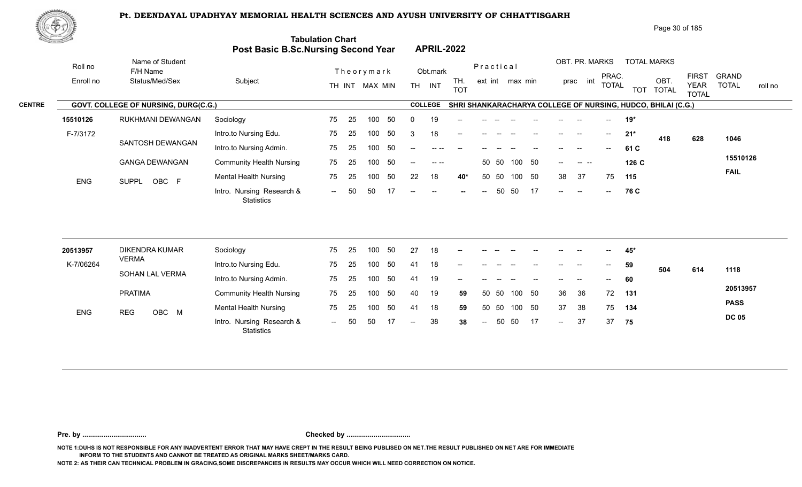

|               | 悪やり        |                                             |                                            |                         |     |                |     |           |                                                                                                                                                                                                                                                                                                                                                                                              |                   |                          |       |                 |    |     |                          |                          |       |                                                              | Page 30 of 185                              |                              |         |
|---------------|------------|---------------------------------------------|--------------------------------------------|-------------------------|-----|----------------|-----|-----------|----------------------------------------------------------------------------------------------------------------------------------------------------------------------------------------------------------------------------------------------------------------------------------------------------------------------------------------------------------------------------------------------|-------------------|--------------------------|-------|-----------------|----|-----|--------------------------|--------------------------|-------|--------------------------------------------------------------|---------------------------------------------|------------------------------|---------|
|               |            |                                             | <b>Post Basic B.Sc.Nursing Second Year</b> | <b>Tabulation Chart</b> |     |                |     |           | <b>APRIL-2022</b>                                                                                                                                                                                                                                                                                                                                                                            |                   |                          |       |                 |    |     |                          |                          |       |                                                              |                                             |                              |         |
|               | Roll no    | Name of Student<br>F/H Name                 |                                            |                         |     | Theorymark     |     |           | Obt.mark                                                                                                                                                                                                                                                                                                                                                                                     |                   | Practical                |       |                 |    |     | OBT. PR. MARKS           |                          |       | <b>TOTAL MARKS</b>                                           |                                             |                              |         |
|               | Enroll no  | Status/Med/Sex                              | Subject                                    |                         |     | TH INT MAX MIN |     | <b>TH</b> | INT                                                                                                                                                                                                                                                                                                                                                                                          | TH.<br><b>TOT</b> |                          |       | ext int max min |    |     | int<br>prac              | PRAC.<br><b>TOTAL</b>    |       | OBT.<br>TOT TOTAL                                            | <b>FIRST</b><br><b>YEAR</b><br><b>TOTAL</b> | <b>GRAND</b><br><b>TOTAL</b> | roll no |
| <b>CENTRE</b> |            | <b>GOVT. COLLEGE OF NURSING, DURG(C.G.)</b> |                                            |                         |     |                |     |           | <b>COLLEGE</b>                                                                                                                                                                                                                                                                                                                                                                               |                   |                          |       |                 |    |     |                          |                          |       | SHRI SHANKARACHARYA COLLEGE OF NURSING, HUDCO, BHILAI (C.G.) |                                             |                              |         |
|               | 15510126   | RUKHMANI DEWANGAN                           | Sociology                                  | 75                      | -25 | 100            | -50 | -0        | 19                                                                                                                                                                                                                                                                                                                                                                                           |                   |                          |       |                 |    |     |                          |                          | 19*   |                                                              |                                             |                              |         |
|               | F-7/3172   |                                             | Intro.to Nursing Edu.                      | 75                      | -25 | 100            | 50  | 3         | 18                                                                                                                                                                                                                                                                                                                                                                                           | $- -$             |                          |       |                 |    |     | $-$                      | $\overline{\phantom{a}}$ | $21*$ | 418                                                          | 628                                         | 1046                         |         |
|               |            | SANTOSH DEWANGAN                            | Intro.to Nursing Admin.                    | 75                      | -25 | 100            | -50 | $-$       |                                                                                                                                                                                                                                                                                                                                                                                              |                   |                          |       |                 |    |     |                          |                          | 61 C  |                                                              |                                             |                              |         |
|               |            | <b>GANGA DEWANGAN</b>                       | <b>Community Health Nursing</b>            | 75                      | -25 | 100            | 50  | $--$      | $\frac{1}{2} \frac{1}{2} \frac{1}{2} \frac{1}{2} \frac{1}{2} \frac{1}{2} \frac{1}{2} \frac{1}{2} \frac{1}{2} \frac{1}{2} \frac{1}{2} \frac{1}{2} \frac{1}{2} \frac{1}{2} \frac{1}{2} \frac{1}{2} \frac{1}{2} \frac{1}{2} \frac{1}{2} \frac{1}{2} \frac{1}{2} \frac{1}{2} \frac{1}{2} \frac{1}{2} \frac{1}{2} \frac{1}{2} \frac{1}{2} \frac{1}{2} \frac{1}{2} \frac{1}{2} \frac{1}{2} \frac{$ |                   |                          | 50 50 | 100 50          |    | $-$ | <b>Contract Contract</b> |                          | 126 C |                                                              |                                             | 15510126                     |         |
|               | <b>ENG</b> | OBC F<br><b>SUPPL</b>                       | <b>Mental Health Nursing</b>               | 75                      | 25  | 100            | -50 | 22        | 18                                                                                                                                                                                                                                                                                                                                                                                           | 40*               |                          | 50 50 | 100             | 50 | 38  | 37                       | 75                       | 115   |                                                              |                                             | <b>FAIL</b>                  |         |
|               |            |                                             | Intro. Nursing Research &<br>Statistics    | $\sim$ $\sim$           | 50  | 50             | 17  | $--$      | ---                                                                                                                                                                                                                                                                                                                                                                                          |                   | $\overline{\phantom{a}}$ | 50    | 50              | 17 | $-$ | $\sim$                   | $--$                     | 76 C  |                                                              |                                             |                              |         |

| 20513957   | <b>DIKENDRA KUMAR</b> | Sociology                                      | 75                       | 25  | 100 | 50  | 27     | 18 | $\sim$                   | $- -$  | $\hspace{0.1mm}-\hspace{0.1mm}-\hspace{0.1mm}$ | $- -$  | $\hspace{0.1mm}-\hspace{0.1mm}-\hspace{0.1mm}$ | $- -$  | $-$               | $\overline{\phantom{a}}$ | 45* |     |     |              |
|------------|-----------------------|------------------------------------------------|--------------------------|-----|-----|-----|--------|----|--------------------------|--------|------------------------------------------------|--------|------------------------------------------------|--------|-------------------|--------------------------|-----|-----|-----|--------------|
| K-7/06264  | <b>VERMA</b>          | Intro.to Nursing Edu.                          | 75                       | 25  | 100 | 50  | 41     | 18 | $\overline{\phantom{a}}$ |        |                                                |        |                                                | $--$   | $-$               | $\overline{\phantom{a}}$ | 59  | 504 | 614 | 1118         |
|            | SOHAN LAL VERMA       | Intro.to Nursing Admin.                        | 75                       | 25  | 100 | 50  | 41     | 19 | $\sim$                   | --     |                                                |        |                                                | $- -$  | $\hspace{0.05cm}$ | $\overline{\phantom{a}}$ | 60  |     |     |              |
|            | PRATIMA               | <b>Community Health Nursing</b>                | 75                       | -25 | 100 | -50 | 40     | 19 | 59                       |        | 50 50                                          | 100 50 |                                                | 36     | -36               | 72                       | 131 |     |     | 20513957     |
| <b>ENG</b> | OBC M<br>REG          | <b>Mental Health Nursing</b>                   | 75                       | 25  | 100 | 50  | 41     | 18 | 59                       |        | 50 50                                          | 100 50 |                                                | 37     | -38               | 75                       | 134 |     |     | <b>PASS</b>  |
|            |                       | Intro. Nursing Research &<br><b>Statistics</b> | $\overline{\phantom{a}}$ | 50  | 50  |     | $  \,$ | 38 | 38                       | $\sim$ | 50                                             | - 50   | 17                                             | $\sim$ | 37                | 37                       | 75  |     |     | <b>DC 05</b> |

**Pre. by ................................. Checked by .................................**

**NOTE 1:DUHS IS NOT RESPONSIBLE FOR ANY INADVERTENT ERROR THAT MAY HAVE CREPT IN THE RESULT BEING PUBLISED ON NET.THE RESULT PUBLISHED ON NET ARE FOR IMMEDIATE INFORM TO THE STUDENTS AND CANNOT BE TREATED AS ORIGINAL MARKS SHEET/MARKS CARD.**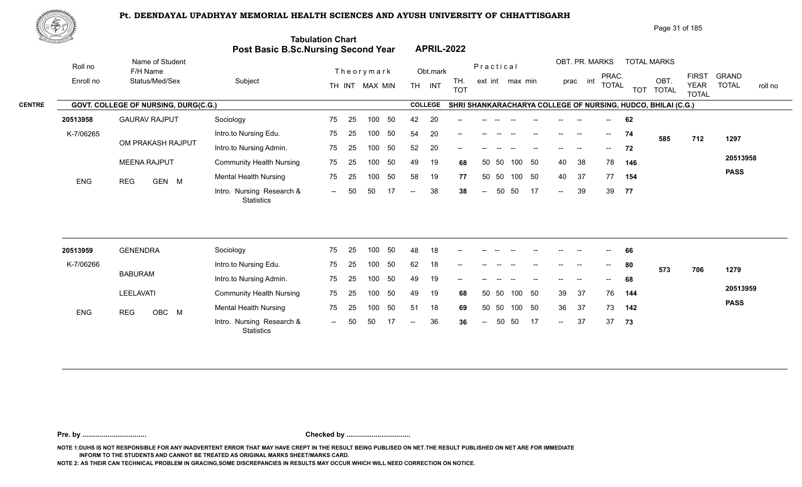

Enroll no Roll no

|                                               |         |                                                                       |                                                          |                                 |                                                                                                                   | Page 31 of 185                                                       |         |
|-----------------------------------------------|---------|-----------------------------------------------------------------------|----------------------------------------------------------|---------------------------------|-------------------------------------------------------------------------------------------------------------------|----------------------------------------------------------------------|---------|
|                                               |         | <b>Tabulation Chart</b><br><b>Post Basic B.Sc.Nursing Second Year</b> | <b>APRIL-2022</b>                                        |                                 |                                                                                                                   |                                                                      |         |
| Name of Student<br>F/H Name<br>Status/Med/Sex | Subject | Theorymark<br>MAX MIN<br>TH INT                                       | Obt.mark<br>TH.<br><b>TH</b><br><b>INT</b><br><b>TOT</b> | Practical<br>max min<br>ext int | OBT. PR. MARKS<br><b>TOTAL MARKS</b><br>PRAC.<br>OBT<br>prac<br>int<br><b>TOTAL</b><br><b>TOT</b><br><b>TOTAL</b> | <b>GRAND</b><br>FIRS1<br><b>YEAR</b><br><b>TOTAL</b><br><b>TOTAL</b> | roll no |
| $A = 1111BAB11A$                              |         |                                                                       | 0011000                                                  |                                 | AUBLAULULULULA AULENIA AALLEAE AE UUBAIUA. UUBAA BUULALIA AN                                                      |                                                                      |         |

|               |            |                                             |                                                |       | IN IN I WAA WIIN |     | IП.           | - 11 V 1       | <b>TOT</b>                            |        |       |        |      |      |      | 1017L                                 | <b>TOT</b> | <b>TOTAL</b>                                                 | $1$ LAIV<br><b>TOTAL</b> | 101AL<br>טוו ווט ו |
|---------------|------------|---------------------------------------------|------------------------------------------------|-------|------------------|-----|---------------|----------------|---------------------------------------|--------|-------|--------|------|------|------|---------------------------------------|------------|--------------------------------------------------------------|--------------------------|--------------------|
| <b>CENTRE</b> |            | <b>GOVT. COLLEGE OF NURSING, DURG(C.G.)</b> |                                                |       |                  |     |               | <b>COLLEGE</b> |                                       |        |       |        |      |      |      |                                       |            | SHRI SHANKARACHARYA COLLEGE OF NURSING, HUDCO, BHILAI (C.G.) |                          |                    |
|               | 20513958   | <b>GAURAV RAJPUT</b>                        | Sociology                                      | 75 25 | 100              | 50  | 42            | 20             | $- -$                                 |        |       |        |      |      |      | $\sim$                                | 62         |                                                              |                          |                    |
|               | K-7/06265  |                                             | Intro.to Nursing Edu.                          | 75 25 | 100              | 50  | 54            | 20             | $\hspace{0.05cm}$ – $\hspace{0.05cm}$ |        |       |        |      |      |      | $- -$                                 | 74         | 585                                                          | 712                      | 1297               |
|               |            | OM PRAKASH RAJPUT                           | Intro.to Nursing Admin.                        | 75 25 | 100              | -50 | 52            | 20             | $- -$                                 |        |       |        |      |      |      | $\hspace{0.05cm}$ – $\hspace{0.05cm}$ | 72         |                                                              |                          |                    |
|               |            | <b>MEENA RAJPUT</b>                         | <b>Community Health Nursing</b>                | 75 25 | 100              | -50 | 49            | 19             | 68                                    |        | 50 50 | 100    | - 50 | 40   | -38  | 78                                    | 146        |                                                              |                          | 20513958           |
|               | <b>ENG</b> | GEN M<br><b>REG</b>                         | Mental Health Nursing                          | 75 25 | 100              | 50  | 58            | 19             | 77                                    |        | 50 50 | 100 50 |      | 40   | - 37 | 77                                    | 154        |                                                              |                          | <b>PASS</b>        |
|               |            |                                             | Intro. Nursing Research &<br><b>Statistics</b> | -- 50 | -50              |     | $\sim$ $\sim$ | 38             | 38                                    | $\sim$ | 50 50 |        | 17   | $--$ | 39   | 39                                    | 77         |                                                              |                          |                    |

| 20513959   | <b>GENENDRA</b>     | Sociology                                      | 75   | 25  | 100 | 50  | 48    | 18 | $- -$  |      |       |        |                                       | $- -$                    | $\overline{\phantom{m}}$ | $\overline{\phantom{a}}$ | 66  |     |     |             |
|------------|---------------------|------------------------------------------------|------|-----|-----|-----|-------|----|--------|------|-------|--------|---------------------------------------|--------------------------|--------------------------|--------------------------|-----|-----|-----|-------------|
| K-7/06266  |                     | Intro.to Nursing Edu.                          | 75   | 25  | 100 | 50  | 62    | 18 | $- -$  |      |       |        |                                       | --                       |                          | $--$                     | 80  | 573 | 706 | 1279        |
|            | <b>BABURAM</b>      | Intro.to Nursing Admin.                        | 75   | 25  | 100 | 50  | 49    | 19 | $\sim$ | $-$  |       |        | $\hspace{0.05cm}$ – $\hspace{0.05cm}$ | $- -$                    | $-$                      | $\sim$                   | 68  |     |     |             |
|            | LEELAVATI           | <b>Community Health Nursing</b>                | 75   | -25 | 100 | -50 | 49    | 19 | 68     |      | 50 50 | 100 50 |                                       | 39                       | -37                      | 76                       | 144 |     |     | 20513959    |
| <b>ENG</b> | OBC M<br><b>REG</b> | <b>Mental Health Nursing</b>                   | 75   | 25  | 100 | 50  | -51   | 18 | 69     |      | 50 50 | 100 50 |                                       | 36                       | 37                       | 73                       | 142 |     |     | <b>PASS</b> |
|            |                     | Intro. Nursing Research &<br><b>Statistics</b> | $--$ | 50  | 50  |     | $- -$ | 36 | 36     | $--$ | 50    | -50    | 17                                    | $\overline{\phantom{a}}$ | 37                       | 37                       | 73  |     |     |             |

**Pre. by ................................. Checked by .................................**

**NOTE 1:DUHS IS NOT RESPONSIBLE FOR ANY INADVERTENT ERROR THAT MAY HAVE CREPT IN THE RESULT BEING PUBLISED ON NET.THE RESULT PUBLISHED ON NET ARE FOR IMMEDIATE INFORM TO THE STUDENTS AND CANNOT BE TREATED AS ORIGINAL MARKS SHEET/MARKS CARD.**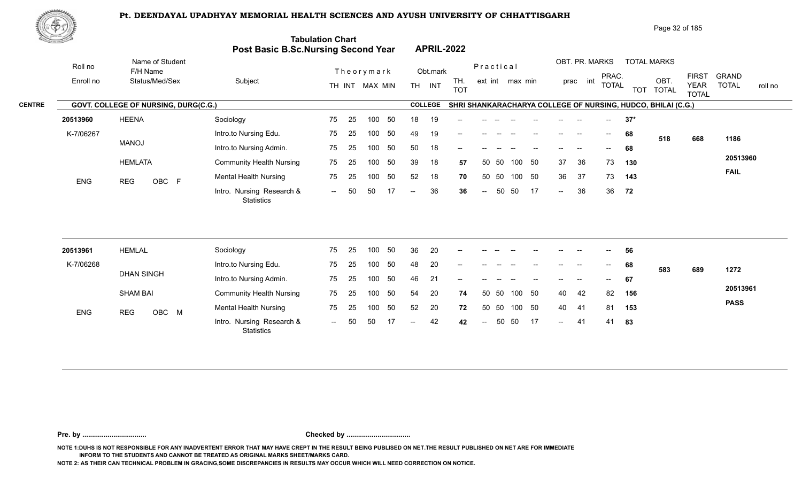

| ₩ФӮ       |                             |                                         |                                      |                                                                                     |                          |                                                                   | Page 32 of 185                                                                         |
|-----------|-----------------------------|-----------------------------------------|--------------------------------------|-------------------------------------------------------------------------------------|--------------------------|-------------------------------------------------------------------|----------------------------------------------------------------------------------------|
|           |                             |                                         |                                      |                                                                                     |                          |                                                                   |                                                                                        |
| Roll no   | Name of Student<br>F/H Name |                                         |                                      | Obt.mark                                                                            | Practical                | OBT. PR. MARKS<br><b>TOTAL MARKS</b>                              |                                                                                        |
| Enroll no | Status/Med/Sex              | Subject                                 | TH INT MAX MIN                       | TH.<br>INT<br><b>TH</b>                                                             | ext int max min          | OBT.<br>int<br>prac<br><b>TOTAL</b><br><b>TOTAL</b><br><b>TOT</b> | <b>FIRST</b><br><b>GRAND</b><br><b>TOTAL</b><br><b>YEAR</b><br>roll no<br><b>TOTAL</b> |
|           |                             |                                         |                                      | <b>COLLEGE</b>                                                                      |                          |                                                                   |                                                                                        |
| 20513960  | <b>HEENA</b>                | Sociology                               | 25<br>75<br>50<br>100                | 18<br>19<br>$--$                                                                    |                          | $37*$                                                             |                                                                                        |
| K-7/06267 |                             | Intro.to Nursing Edu.                   | 50<br>75<br>25<br>100                | 49<br>19<br>$--$                                                                    |                          | 68<br>--<br>$\hspace{0.05cm}$ – $\hspace{0.05cm}$                 | 668<br>1186                                                                            |
|           |                             | Intro.to Nursing Admin.                 | 75<br>50<br>25<br>100                | 18<br>50<br>$- -$                                                                   |                          | 68                                                                |                                                                                        |
|           | <b>HEMLATA</b>              | <b>Community Health Nursing</b>         | 50<br>75<br>25<br>100                | 39<br>18                                                                            | -50<br>50<br>100<br>50   | 36<br>73<br>37<br>130                                             | 20513960                                                                               |
|           |                             | Mental Health Nursing                   | 50<br>75<br>25<br>100                | 52<br>18                                                                            | -50<br>100<br>50<br>50   | 37<br>36<br>73<br>143                                             | <b>FAIL</b>                                                                            |
|           |                             | Intro. Nursing Research &<br>Statistics | 17<br>50<br>50<br>$\sim$ $\sim$      | 36<br>$\sim$ $-$                                                                    | 50<br>50<br>17<br>$\sim$ | 36<br>36<br>72<br>$\sim$                                          |                                                                                        |
|           | <b>ENG</b>                  | <b>MANOJ</b><br>OBC F<br><b>REG</b>     | GOVT. COLLEGE OF NURSING, DURG(C.G.) | <b>Tabulation Chart</b><br><b>Post Basic B.Sc.Nursing Second Year</b><br>Theorymark |                          | <b>APRIL-2022</b><br><b>TOT</b><br>57<br>70<br>36                 | PRAC.<br>SHRI SHANKARACHARYA COLLEGE OF NURSING, HUDCO, BHILAI (C.G.)<br>518           |

| 20513961   | <b>HEMLAL</b>     | Sociology                                      | 75                       | 25  | 100 | -50 | 36     | 20 | $\sim$ | $\overline{\phantom{a}}$ | $- -$ | $- -$  | $\hspace{0.1mm}-\hspace{0.1mm}-\hspace{0.1mm}$ | $- -$  | $-$   | $\mathcal{L}(\mathcal{L})$ | 56   |     |     |             |
|------------|-------------------|------------------------------------------------|--------------------------|-----|-----|-----|--------|----|--------|--------------------------|-------|--------|------------------------------------------------|--------|-------|----------------------------|------|-----|-----|-------------|
| K-7/06268  |                   | Intro.to Nursing Edu.                          | 75                       | -25 | 100 | 50  | 48     | 20 | $- -$  | $- -$                    |       |        | $\hspace{0.1mm}-\hspace{0.1mm}-\hspace{0.1mm}$ | $--$   | $-$   | $\sim$                     | 68   | 583 | 689 | 1272        |
|            | <b>DHAN SINGH</b> | Intro.to Nursing Admin.                        | 75                       | 25  | 100 | 50  | 46     | 21 | $\sim$ | $- -$                    |       |        |                                                | $- -$  | $- -$ | $--$                       | 67   |     |     |             |
|            | SHAM BAI          | <b>Community Health Nursing</b>                | 75                       | -25 | 100 | 50  | 54     | 20 | 74     | 50 50                    |       | 100 50 |                                                | 40     | -42   | 82                         | 156  |     |     | 20513961    |
| <b>ENG</b> | OBC M<br>REG      | <b>Mental Health Nursing</b>                   | 75                       | -25 | 100 | -50 | 52     | 20 | 72     | 50 50                    |       | 100 50 |                                                | 40     | -41   | 81                         | 153  |     |     | <b>PASS</b> |
|            |                   | Intro. Nursing Research &<br><b>Statistics</b> | $\overline{\phantom{a}}$ | 50  | 50  |     | $  \,$ | 42 | 42     | $\sim$ $\sim$            |       | 50 50  | 17                                             | $\sim$ | -41   | 41                         | - 83 |     |     |             |

**Pre. by ................................. Checked by .................................**

**NOTE 1:DUHS IS NOT RESPONSIBLE FOR ANY INADVERTENT ERROR THAT MAY HAVE CREPT IN THE RESULT BEING PUBLISED ON NET.THE RESULT PUBLISHED ON NET ARE FOR IMMEDIATE INFORM TO THE STUDENTS AND CANNOT BE TREATED AS ORIGINAL MARKS SHEET/MARKS CARD.**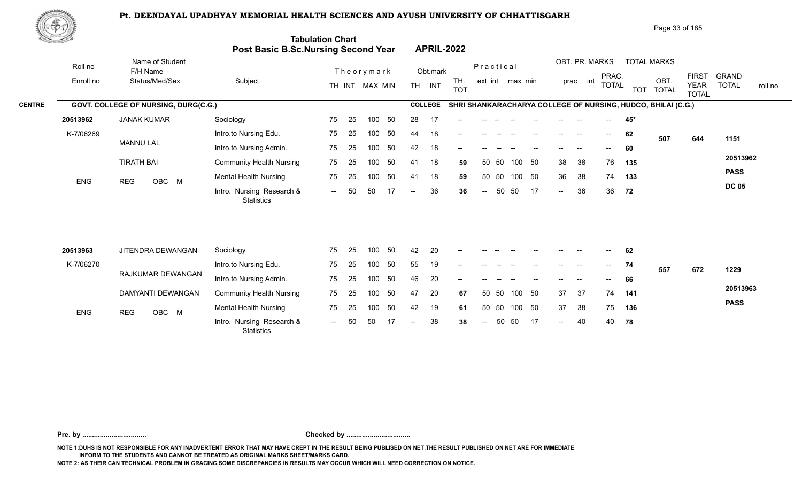

|               | <u>to Samuel I</u> |                                      | Post Basic B.Sc.Nursing Second Year            | <b>Tabulation Chart</b> |    |                |    |                          |                | <b>APRIL-2022</b> |                          |       |                 |        |                            |                |                          |     |                                                              |                             |                         |
|---------------|--------------------|--------------------------------------|------------------------------------------------|-------------------------|----|----------------|----|--------------------------|----------------|-------------------|--------------------------|-------|-----------------|--------|----------------------------|----------------|--------------------------|-----|--------------------------------------------------------------|-----------------------------|-------------------------|
|               | Roll no            | Name of Student<br>F/H Name          |                                                |                         |    | Theorymark     |    |                          | Obt.mark       |                   | Practical                |       |                 |        |                            | OBT. PR. MARKS | PRAC.                    |     | <b>TOTAL MARKS</b>                                           | <b>FIRST</b>                | <b>GRAND</b>            |
|               | Enroll no          | Status/Med/Sex                       | Subject                                        |                         |    | TH INT MAX MIN |    |                          | TH INT         | TH.<br><b>TOT</b> |                          |       | ext int max min |        |                            | prac int       | <b>TOTAL</b>             |     | OBT.<br>TOT TOTAL                                            | <b>YEAR</b><br><b>TOTAL</b> | <b>TOTAL</b><br>roll no |
| <b>CENTRE</b> |                    | GOVT. COLLEGE OF NURSING, DURG(C.G.) |                                                |                         |    |                |    |                          | <b>COLLEGE</b> |                   |                          |       |                 |        |                            |                |                          |     | SHRI SHANKARACHARYA COLLEGE OF NURSING, HUDCO, BHILAI (C.G.) |                             |                         |
|               | 20513962           | <b>JANAK KUMAR</b>                   | Sociology                                      | 75                      | 25 | 100            | 50 | 28                       | 17             |                   |                          |       |                 |        |                            |                |                          | 45* |                                                              |                             |                         |
|               | K-7/06269          |                                      | Intro.to Nursing Edu.                          | 75                      | 25 | 100            | 50 | 44                       | 18             |                   |                          |       |                 |        |                            |                | $\overline{\phantom{a}}$ | 62  | 507                                                          | 644                         | 1151                    |
|               |                    | <b>MANNU LAL</b>                     | Intro.to Nursing Admin.                        | 75                      | 25 | 100            | 50 | 42                       | 18             |                   |                          |       |                 |        |                            |                |                          | 60  |                                                              |                             |                         |
|               |                    | <b>TIRATH BAI</b>                    | <b>Community Health Nursing</b>                | 75                      | 25 | 100            | 50 | 41                       | 18             | 59                |                          | 50 50 |                 | 100 50 | 38                         | 38             | 76                       | 135 |                                                              |                             | 20513962                |
|               | <b>ENG</b>         | OBC M<br><b>REG</b>                  | <b>Mental Health Nursing</b>                   | 75                      | 25 | 100            | 50 | 41                       | 18             | 59                | 50                       | 50    | 100             | 50     | 36                         | 38             | 74                       | 133 |                                                              |                             | <b>PASS</b>             |
|               |                    |                                      | Intro. Nursing Research &<br><b>Statistics</b> | $\sim$                  | 50 | 50             | 17 | $\overline{\phantom{m}}$ | 36             | 36                | $\overline{\phantom{m}}$ | 50    | 50              | 17     | $\sim$                     | 36             | 36                       | 72  |                                                              |                             | <b>DC 05</b>            |
|               |                    |                                      |                                                |                         |    |                |    |                          |                |                   |                          |       |                 |        |                            |                |                          |     |                                                              |                             |                         |
|               | 20513963           | JITENDRA DEWANGAN                    | Sociology                                      | 75                      | 25 | 100            | 50 | 42                       | 20             |                   |                          |       |                 |        |                            |                |                          | 62  |                                                              |                             |                         |
|               | K-7/06270          |                                      | Intro.to Nursing Edu.                          | 75                      | 25 | 100            | 50 | 55                       | 19             | --                |                          |       |                 |        |                            |                | $--$                     | 74  | 557                                                          | 672                         | 1229                    |
|               |                    | RAJKUMAR DEWANGAN                    | Intro.to Nursing Admin.                        | 75                      | 25 | 100            | 50 | 46                       | 20             |                   |                          |       |                 |        |                            |                |                          | 66  |                                                              |                             |                         |
|               |                    | DAMYANTI DEWANGAN                    | <b>Community Health Nursing</b>                | 75                      | 25 | 100            | 50 | 47                       | 20             | 67                |                          | 50 50 |                 | 100 50 | 37                         | -37            | 74                       | 141 |                                                              |                             | 20513963                |
|               | <b>ENG</b>         | OBC M<br><b>REG</b>                  | <b>Mental Health Nursing</b>                   | 75                      | 25 | 100            | 50 | 42                       | 19             | 61                | 50                       | 50    | 100             | 50     | 37                         | 38             | 75                       | 136 |                                                              |                             | <b>PASS</b>             |
|               |                    |                                      | Intro. Nursing Research &<br><b>Statistics</b> | $\sim$ $\sim$           | 50 | 50             | 17 | $\overline{\phantom{a}}$ | 38             | 38                | $\overline{\phantom{a}}$ | 50    | 50              | 17     | $\mathcal{L}(\mathcal{L})$ | 40             | 40                       | 78  |                                                              |                             |                         |
|               |                    |                                      |                                                |                         |    |                |    |                          |                |                   |                          |       |                 |        |                            |                |                          |     |                                                              |                             |                         |

**Pre. by ................................. Checked by .................................**

**NOTE 1:DUHS IS NOT RESPONSIBLE FOR ANY INADVERTENT ERROR THAT MAY HAVE CREPT IN THE RESULT BEING PUBLISED ON NET.THE RESULT PUBLISHED ON NET ARE FOR IMMEDIATE INFORM TO THE STUDENTS AND CANNOT BE TREATED AS ORIGINAL MARKS SHEET/MARKS CARD.**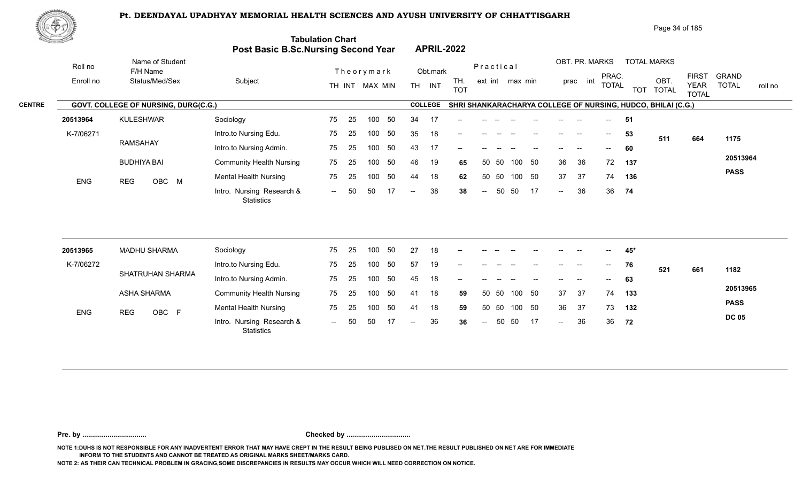

|               | ぷやり        |                                      |                                            |                          |                                       | Page 34 of 185                                                                                                                                                                         |
|---------------|------------|--------------------------------------|--------------------------------------------|--------------------------|---------------------------------------|----------------------------------------------------------------------------------------------------------------------------------------------------------------------------------------|
|               |            |                                      | <b>Post Basic B.Sc.Nursing Second Year</b> | <b>Tabulation Chart</b>  | <b>APRIL-2022</b>                     |                                                                                                                                                                                        |
|               | Roll no    | Name of Student<br>F/H Name          |                                            | Theorymark               | Obt.mark                              | OBT. PR. MARKS<br><b>TOTAL MARKS</b><br>Practical                                                                                                                                      |
|               | Enroll no  | Status/Med/Sex                       | Subject                                    | MAX MIN<br>TH INT        | TH.<br>INT<br><b>TH</b><br><b>TOT</b> | <b>FIRST</b><br><b>GRAND</b><br>PRAC.<br>int<br>OBT<br>ext int max min<br>prac<br><b>TOTAL</b><br><b>TOTAL</b><br><b>YEAR</b><br>roll no<br><b>TOTAL</b><br><b>TOT</b><br><b>TOTAL</b> |
| <b>CENTRE</b> |            | GOVT. COLLEGE OF NURSING, DURG(C.G.) |                                            |                          | <b>COLLEGE</b>                        | SHRI SHANKARACHARYA COLLEGE OF NURSING, HUDCO, BHILAI (C.G.)                                                                                                                           |
|               | 20513964   | <b>KULESHWAR</b>                     | Sociology                                  | 75<br>50<br>-25<br>100   | 34<br>17<br>$- -$                     | 51<br>$\sim$                                                                                                                                                                           |
|               | K-7/06271  |                                      | Intro.to Nursing Edu.                      | 75<br>25<br>50<br>100    | 35<br>18<br>--                        | 53<br>$\overline{\phantom{a}}$<br>--<br>511<br>664<br>1175                                                                                                                             |
|               |            | <b>RAMSAHAY</b>                      | Intro.to Nursing Admin.                    | 50<br>75<br>100<br>-25   | 43<br>17<br>--                        | 60<br>--                                                                                                                                                                               |
|               |            | <b>BUDHIYA BAI</b>                   | <b>Community Health Nursing</b>            | 50<br>75<br>25<br>100    | 46<br>19<br>65                        | 20513964<br>50<br>36<br>36<br>72<br>-50<br>100<br>137<br>50                                                                                                                            |
|               | <b>ENG</b> | OBC M<br><b>REG</b>                  | <b>Mental Health Nursing</b>               | 50<br>75<br>100<br>-25   | 18<br>44<br>62                        | <b>PASS</b><br>50<br>37<br>37<br>-50<br>74<br>136<br>50<br>100                                                                                                                         |
|               |            |                                      | Intro. Nursing Research &                  | 17<br>50<br>50<br>$  \,$ | 38<br>38<br>$--$                      | 36<br>36<br>17<br>50<br>50<br>74<br>$--$<br>$--$                                                                                                                                       |

| 20513965   | MADHU SHARMA        | Sociology                               | 75  | -25 | 100 | 50 | 27    | 18 | $\overline{\phantom{a}}$ |       |       |      |                                       | $- -$ |       | $\hspace{0.1mm}-\hspace{0.1mm}-\hspace{0.1mm}$ | 45* |     |     |              |
|------------|---------------------|-----------------------------------------|-----|-----|-----|----|-------|----|--------------------------|-------|-------|------|---------------------------------------|-------|-------|------------------------------------------------|-----|-----|-----|--------------|
| K-7/06272  |                     | Intro.to Nursing Edu.                   | 75  | -25 | 100 |    | 57    | 19 | $- -$                    |       |       |      |                                       | $- -$ | $- -$ | $\overline{a}$                                 | 76  | 521 | 661 | 1182         |
|            | SHATRUHAN SHARMA    | Intro.to Nursing Admin.                 | 75  | 25  | 100 | 50 | 45    | 18 | $\overline{\phantom{a}}$ | $- -$ |       |      | $\hspace{0.05cm}$ – $\hspace{0.05cm}$ | $--$  | $-$   | $\mathcal{L}(\mathcal{L})$                     | 63  |     |     |              |
|            | ASHA SHARMA         | <b>Community Health Nursing</b>         | 75  | -25 | 100 | 50 | 41    | 18 | 59                       |       | 50 50 | 100  | - 50                                  | 37    | -37   | 74                                             | 133 |     |     | 20513965     |
| <b>ENG</b> | OBC F<br><b>REG</b> | <b>Mental Health Nursing</b>            | 75  | -25 | 100 | 50 | 41    | 18 | 59                       |       | 50 50 | 100  | - 50                                  | 36    | 37    | 73                                             | 132 |     |     | <b>PASS</b>  |
|            |                     | Intro. Nursing Research &<br>Statistics | $-$ | -50 | 50  |    | $- -$ | 36 | 36                       | $---$ | 50    | - 50 | - 17                                  | $--$  | 36    | 36                                             | 72  |     |     | <b>DC 05</b> |

**Pre. by ................................. Checked by .................................**

**NOTE 1:DUHS IS NOT RESPONSIBLE FOR ANY INADVERTENT ERROR THAT MAY HAVE CREPT IN THE RESULT BEING PUBLISED ON NET.THE RESULT PUBLISHED ON NET ARE FOR IMMEDIATE INFORM TO THE STUDENTS AND CANNOT BE TREATED AS ORIGINAL MARKS SHEET/MARKS CARD.**

**Statistics**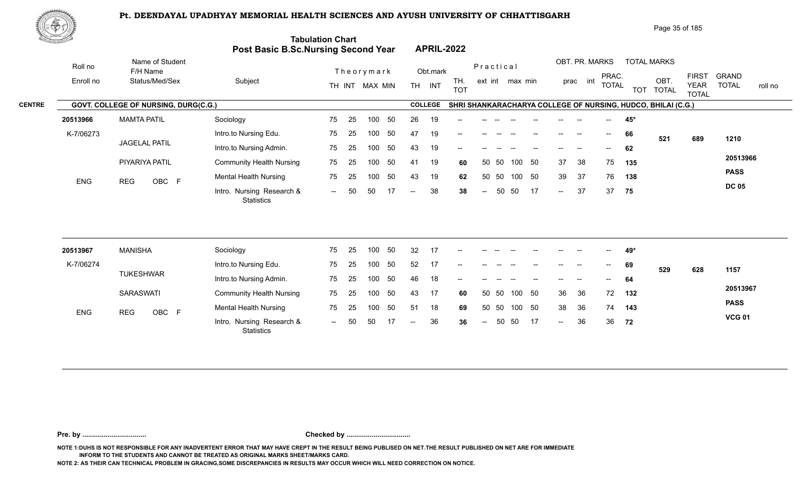

| <u>Cardinal Co</u> |            |                                      | Post Basic B.Sc.Nursing Second Year            | <b>Tabulation Chart</b> |    |                |    |                          |                | <b>APRIL-2022</b> |                          |           |                 |    |                   |                          |                          |     |                                                              |                             |                         |
|--------------------|------------|--------------------------------------|------------------------------------------------|-------------------------|----|----------------|----|--------------------------|----------------|-------------------|--------------------------|-----------|-----------------|----|-------------------|--------------------------|--------------------------|-----|--------------------------------------------------------------|-----------------------------|-------------------------|
|                    | Roll no    | Name of Student<br>F/H Name          |                                                |                         |    | Theorymark     |    |                          | Obt.mark       |                   |                          | Practical |                 |    |                   | OBT. PR. MARKS           | PRAC.                    |     | <b>TOTAL MARKS</b>                                           | <b>FIRST</b>                | <b>GRAND</b>            |
|                    | Enroll no  | Status/Med/Sex                       | Subject                                        |                         |    | TH INT MAX MIN |    |                          | TH INT         | TH.<br><b>TOT</b> |                          |           | ext int max min |    |                   | prac int                 | <b>TOTAL</b>             |     | OBT.<br>TOT TOTAL                                            | <b>YEAR</b><br><b>TOTAL</b> | <b>TOTAL</b><br>roll no |
| <b>CENTRE</b>      |            | GOVT. COLLEGE OF NURSING, DURG(C.G.) |                                                |                         |    |                |    |                          | <b>COLLEGE</b> |                   |                          |           |                 |    |                   |                          |                          |     | SHRI SHANKARACHARYA COLLEGE OF NURSING, HUDCO, BHILAI (C.G.) |                             |                         |
|                    | 20513966   | <b>MAMTA PATIL</b>                   | Sociology                                      | 75                      | 25 | 100            | 50 | 26                       | 19             | --                |                          |           |                 |    |                   |                          |                          | 45* |                                                              |                             |                         |
|                    | K-7/06273  |                                      | Intro.to Nursing Edu.                          | 75                      | 25 | 100            | 50 | 47                       | 19             |                   |                          |           |                 |    |                   |                          | $\overline{\phantom{a}}$ | 66  | 521                                                          | 689                         | 1210                    |
|                    |            | <b>JAGELAL PATIL</b>                 | Intro.to Nursing Admin.                        | 75                      | 25 | 100            | 50 | 43                       | 19             | --                |                          |           |                 |    | $\qquad \qquad -$ | $\overline{\phantom{a}}$ | $--$                     | 62  |                                                              |                             |                         |
|                    |            | PIYARIYA PATIL                       | <b>Community Health Nursing</b>                | 75                      | 25 | 100            | 50 | 41                       | 19             | 60                | 50                       | 50        | 100             | 50 | 37                | 38                       | 75                       | 135 |                                                              |                             | 20513966                |
|                    | <b>ENG</b> | OBC F<br><b>REG</b>                  | <b>Mental Health Nursing</b>                   | 75                      | 25 | 100            | 50 | 43                       | 19             | 62                | 50                       | 50        | 100 50          |    | 39                | 37                       | 76                       | 138 |                                                              |                             | <b>PASS</b>             |
|                    |            |                                      | Intro. Nursing Research &<br><b>Statistics</b> | $  \,$                  | 50 | 50             | 17 | $\overline{\phantom{a}}$ | 38             | 38                | $\overline{\phantom{a}}$ | 50        | 50              | 17 | $\sim$            | 37                       | 37                       | 75  |                                                              |                             | <b>DC 05</b>            |
|                    |            |                                      |                                                |                         |    |                |    |                          |                |                   |                          |           |                 |    |                   |                          |                          |     |                                                              |                             |                         |
|                    | 20513967   | <b>MANISHA</b>                       | Sociology                                      | 75                      | 25 | 100            | 50 | 32                       | 17             | --                |                          |           |                 |    |                   |                          |                          | 49* |                                                              |                             |                         |
|                    | K-7/06274  | <b>TUKESHWAR</b>                     | Intro.to Nursing Edu.                          | 75                      | 25 | 100            | 50 | 52                       | 17             |                   |                          |           |                 |    |                   |                          |                          | 69  | 529                                                          | 628                         | 1157                    |
|                    |            |                                      | Intro.to Nursing Admin.                        | 75                      | 25 | 100            | 50 | 46                       | 18             |                   |                          |           |                 |    |                   |                          |                          | 64  |                                                              |                             | 20513967                |
|                    |            | <b>SARASWATI</b>                     | <b>Community Health Nursing</b>                | 75                      | 25 | 100            | 50 | 43                       | 17             | 60                | 50                       | 50        | 100             | 50 | 36                | 36                       | 72                       | 132 |                                                              |                             | <b>PASS</b>             |
|                    | <b>ENG</b> | OBC F<br><b>REG</b>                  | <b>Mental Health Nursing</b>                   | 75                      | 25 | 100            | 50 | 51                       | 18             | 69                |                          | 50 50     | 100 50          |    | 38                | 36                       | 74                       | 143 |                                                              |                             |                         |
|                    |            |                                      | Intro. Nursing Research &<br><b>Statistics</b> | $\sim$ $\sim$           | 50 | 50             | 17 | $\overline{\phantom{a}}$ | 36             | 36                | $\overline{\phantom{a}}$ | 50        | 50              | 17 | $\sim$            | 36                       | 36                       | 72  |                                                              |                             | <b>VCG 01</b>           |
|                    |            |                                      |                                                |                         |    |                |    |                          |                |                   |                          |           |                 |    |                   |                          |                          |     |                                                              |                             |                         |

**Pre. by ................................. Checked by .................................**

**NOTE 1:DUHS IS NOT RESPONSIBLE FOR ANY INADVERTENT ERROR THAT MAY HAVE CREPT IN THE RESULT BEING PUBLISED ON NET.THE RESULT PUBLISHED ON NET ARE FOR IMMEDIATE INFORM TO THE STUDENTS AND CANNOT BE TREATED AS ORIGINAL MARKS SHEET/MARKS CARD.**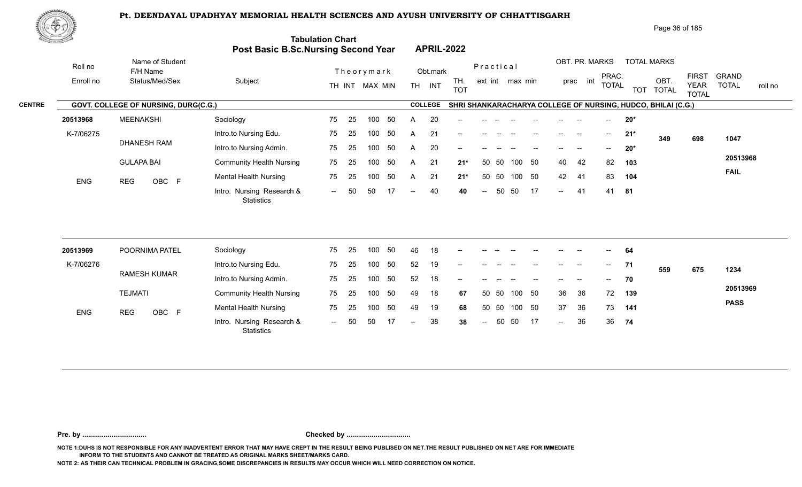

|               | 心やり        |                                      |                                            |                          |                                       | Page 36 of 185                                                                                                                                                         |
|---------------|------------|--------------------------------------|--------------------------------------------|--------------------------|---------------------------------------|------------------------------------------------------------------------------------------------------------------------------------------------------------------------|
|               |            |                                      | <b>Post Basic B.Sc.Nursing Second Year</b> | <b>Tabulation Chart</b>  | <b>APRIL-2022</b>                     |                                                                                                                                                                        |
|               | Roll no    | Name of Student<br>F/H Name          |                                            | Theorymark               | Obt.mark                              | OBT. PR. MARKS<br><b>TOTAL MARKS</b><br>Practical                                                                                                                      |
|               | Enroll no  | Status/Med/Sex                       | Subject                                    | TH INT MAX MIN           | TH.<br><b>TH</b><br>INT<br><b>TOT</b> | <b>FIRST</b><br><b>GRAND</b><br>PRAC.<br>int<br>OBT.<br>ext int max min<br>prac<br><b>TOTAL</b><br><b>TOTAL</b><br><b>YEAR</b><br>roll no<br>TOT TOTAL<br><b>TOTAL</b> |
| <b>CENTRE</b> |            | GOVT. COLLEGE OF NURSING, DURG(C.G.) |                                            |                          | <b>COLLEGE</b>                        | SHRI SHANKARACHARYA COLLEGE OF NURSING, HUDCO, BHILAI (C.G.)                                                                                                           |
|               | 20513968   | <b>MEENAKSHI</b>                     | Sociology                                  | 50<br>75<br>-25<br>100   | 20<br>A<br>$-$                        | $20*$                                                                                                                                                                  |
|               | K-7/06275  |                                      | Intro.to Nursing Edu.                      | 75<br>50<br>-25<br>100   | 21<br>A<br>$--$                       | $21*$<br>--<br>$\overline{\phantom{a}}$<br>698<br>349<br>1047                                                                                                          |
|               |            | <b>DHANESH RAM</b>                   | Intro.to Nursing Admin.                    | 50<br>75<br>-25<br>100   | 20<br>A<br>$-$                        | $20*$                                                                                                                                                                  |
|               |            | <b>GULAPA BAI</b>                    | <b>Community Health Nursing</b>            | 75<br>50<br>-25<br>100   | 21<br>$21*$<br>$\mathsf{A}$           | 20513968<br>- 50<br>40<br>42<br>82<br>50 50<br>100<br>103                                                                                                              |
|               | <b>ENG</b> | OBC F<br><b>REG</b>                  | <b>Mental Health Nursing</b>               | 75<br>-50<br>100<br>25   | 21<br>$21*$<br>A                      | <b>FAIL</b><br>50<br>42<br>83<br>50 50<br>100<br>-41<br>104                                                                                                            |
|               |            |                                      | Intro. Nursing Research &<br>Statistics    | 50<br>50<br>17<br>$\sim$ | 40<br>40<br>$- -$ .                   | 50<br>17<br>50<br>41<br>41<br>81<br>$\sim$<br>$\sim$                                                                                                                   |

| 20513969   | POORNIMA PATEL      | Sociology                                      | 75     | -25  | 100 | 50  | 46     | 18 | $- -$                    |               |       |        |                          | $- -$         |        | $\overline{\phantom{a}}$ | 64   |     |     |             |
|------------|---------------------|------------------------------------------------|--------|------|-----|-----|--------|----|--------------------------|---------------|-------|--------|--------------------------|---------------|--------|--------------------------|------|-----|-----|-------------|
| K-7/06276  |                     | Intro.to Nursing Edu.                          | 75     | 25   | 100 | 50  | 52     | 19 | $\overline{\phantom{a}}$ | $- -$         | $- -$ |        | $- -$                    | $- -$         | $- -$  | $\sim$                   | 71   | 559 | 675 | 1234        |
|            | <b>RAMESH KUMAR</b> | Intro.to Nursing Admin.                        | 75     | -25  | 100 | 50  | 52     | 18 | $\sim$                   | $- -$         | $- -$ | $- -$  | $\overline{\phantom{a}}$ | $\frac{1}{2}$ | $\sim$ | $\overline{\phantom{a}}$ | 70   |     |     |             |
|            | <b>TEJMATI</b>      | <b>Community Health Nursing</b>                | 75     | - 25 | 100 | -50 | 49     | 18 | 67                       | 50 50         |       | 100 50 |                          | 36            | 36     | 72                       | 139  |     |     | 20513969    |
| <b>ENG</b> | OBC F<br><b>REG</b> | <b>Mental Health Nursing</b>                   | 75     | -25  | 100 | -50 | 49     | 19 | 68                       | 50 50         |       | 100 50 |                          | 37            | 36     | 73                       | 141  |     |     | <b>PASS</b> |
|            |                     | Intro. Nursing Research &<br><b>Statistics</b> | $\sim$ | 50   | 50  |     | $\sim$ | 38 | 38                       | $\sim$ $\sim$ | 50    | 50 17  |                          | $\sim$        | -36    | 36                       | - 74 |     |     |             |

**Pre. by ................................. Checked by .................................**

**NOTE 1:DUHS IS NOT RESPONSIBLE FOR ANY INADVERTENT ERROR THAT MAY HAVE CREPT IN THE RESULT BEING PUBLISED ON NET.THE RESULT PUBLISHED ON NET ARE FOR IMMEDIATE INFORM TO THE STUDENTS AND CANNOT BE TREATED AS ORIGINAL MARKS SHEET/MARKS CARD.**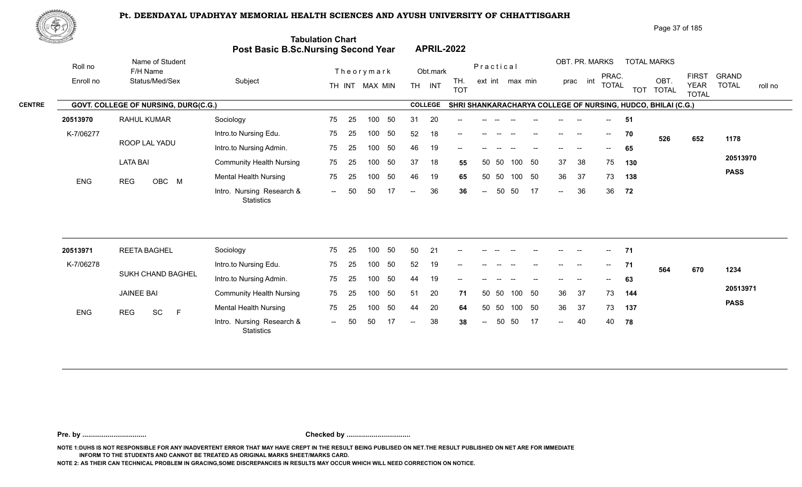Intro. Nursing Research & -- -- OBC

75

25 100 50 75 -- 50 50 17 -- 36 36

100 50



ENG REG OBC M Montain National Processing

LATA BAI

|               | しむむ       |                                      |                         |                                                                       |                                |                                                              |                                                                | Page 37 of 185                    |                                                                      |         |
|---------------|-----------|--------------------------------------|-------------------------|-----------------------------------------------------------------------|--------------------------------|--------------------------------------------------------------|----------------------------------------------------------------|-----------------------------------|----------------------------------------------------------------------|---------|
|               |           |                                      |                         | <b>Tabulation Chart</b><br><b>Post Basic B.Sc.Nursing Second Year</b> | <b>APRIL-2022</b>              |                                                              |                                                                |                                   |                                                                      |         |
|               | Roll no   | Name of Student<br>F/H Name          |                         | Theorymark                                                            | Obt.mark                       | Practical                                                    | OBT. PR. MARKS                                                 | <b>TOTAL MARKS</b>                |                                                                      |         |
|               | Enroll no | Status/Med/Sex                       | Subject                 | MAX MIN<br>TH INT                                                     | TH.<br>INT<br>TH<br><b>TOT</b> | ext int max min                                              | PRAC.<br>prac int<br><b>TOTAL</b>                              | OBT<br><b>TOTAL</b><br><b>TOT</b> | GRAND<br><b>FIRST</b><br><b>TOTAL</b><br><b>YEAR</b><br><b>TOTAL</b> | roll no |
| <b>CENTRE</b> |           | GOVT. COLLEGE OF NURSING, DURG(C.G.) |                         |                                                                       | <b>COLLEGE</b>                 | SHRI SHANKARACHARYA COLLEGE OF NURSING, HUDCO, BHILAI (C.G.) |                                                                |                                   |                                                                      |         |
|               | 20513970  | RAHUL KUMAR                          | Sociology               | 75<br>-50<br>100<br>-25                                               | 20<br>31<br>$- -$              |                                                              | $- -$                                                          | -51                               |                                                                      |         |
|               | K-7/06277 |                                      | Intro.to Nursing Edu.   | -50<br>75<br>100<br>-25                                               | 52<br>18<br>--                 |                                                              | $\sim$<br>$\overline{\phantom{a}}$<br>$\overline{\phantom{a}}$ | 70<br>526                         | 1178<br>652                                                          |         |
|               |           | ROOP LAL YADU                        | Intro.to Nursing Admin. | -50<br>75<br>100<br>- 25                                              | 46<br>19<br>$- -$              |                                                              | $- -$                                                          | 65                                |                                                                      |         |

50 50 37 18 **55** 37 38 75 **130** 50 50 46 19 **65** 36 37 73 **138** -- 50 36 36 **36** 36

 $- 36$ 

37 38 75 130 36 37 73 138

**72**

**20513970 PASS**

| 20513971   | <b>REETA BAGHEL</b>   | Sociology                                      | 75     | -25  | 100 | 50  | 50            | -21 | $- -$ |        |       |        | $\hspace{0.05cm}$ – $\hspace{0.05cm}$ | $--$   | $\overline{\phantom{a}}$ | $\sim$                   | 71   |     |     |             |
|------------|-----------------------|------------------------------------------------|--------|------|-----|-----|---------------|-----|-------|--------|-------|--------|---------------------------------------|--------|--------------------------|--------------------------|------|-----|-----|-------------|
| K-7/06278  |                       | Intro.to Nursing Edu.                          | 75     | - 25 | 100 | 50  | 52            | 19  | $- -$ |        |       |        |                                       |        |                          | $- -$                    |      | 564 | 670 | 1234        |
|            | SUKH CHAND BAGHEL     | Intro.to Nursing Admin.                        | 75     | 25   | 100 | 50  | 44            | 19  |       |        |       |        |                                       |        |                          | $\overline{\phantom{a}}$ | 63   |     |     |             |
|            | <b>JAINEE BAI</b>     | <b>Community Health Nursing</b>                | 75     | - 25 | 100 | -50 | 51            | 20  | 71    |        | 50 50 | 100 50 |                                       | 36     | -37                      | 73                       | 144  |     |     | 20513971    |
| <b>ENG</b> | SC<br><b>REG</b><br>E | <b>Mental Health Nursing</b>                   | 75     | - 25 | 100 | -50 | 44            | 20  | 64    |        | 50 50 | 100 50 |                                       | 36     | -37                      | 73                       | 137  |     |     | <b>PASS</b> |
|            |                       | Intro. Nursing Research &<br><b>Statistics</b> | $\sim$ | 50   | -50 |     | $\sim$ $\sim$ | 38  | 38    | $\sim$ | 50    | - 50   | 17                                    | $\sim$ | 40                       | 40                       | - 78 |     |     |             |

37 18 55

**Pre. by ................................. Checked by .................................**

**NOTE 1:DUHS IS NOT RESPONSIBLE FOR ANY INADVERTENT ERROR THAT MAY HAVE CREPT IN THE RESULT BEING PUBLISED ON NET.THE RESULT PUBLISHED ON NET ARE FOR IMMEDIATE INFORM TO THE STUDENTS AND CANNOT BE TREATED AS ORIGINAL MARKS SHEET/MARKS CARD.**

**NOTE 2: AS THEIR CAN TECHNICAL PROBLEM IN GRACING,SOME DISCREPANCIES IN RESULTS MAY OCCUR WHICH WILL NEED CORRECTION ON NOTICE.**

Intro.to Nursing Edu. Intro.to Nursing Admin. Community Health Nursing

**Statistics** 

Mental Health Nursing 25 75 25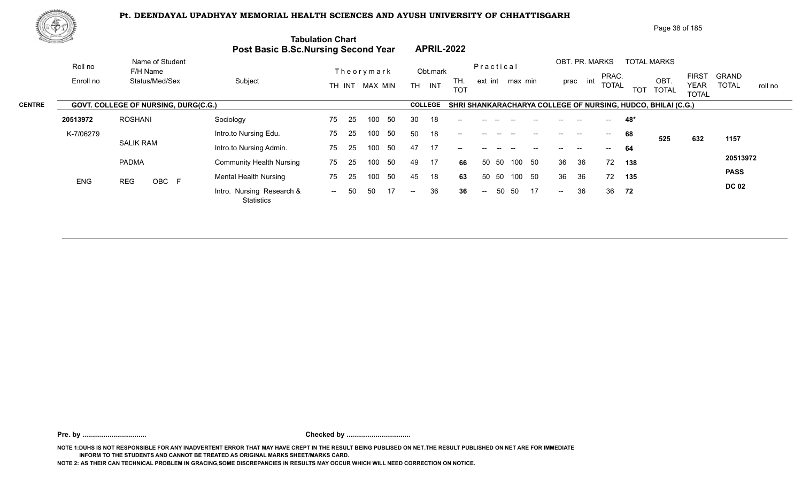0BC F Montain Research & The Ed Too of The Ten Co of the Co of Ten Co of the Co<br>Intro. Nursing Research & -- 50 50 17 -- 36 36 -- 50 50 17 --



|               | 東空功       |                                      |                                 |                                                                       |                                       |                        | Page 38 of 185                                                            |                                                                                        |
|---------------|-----------|--------------------------------------|---------------------------------|-----------------------------------------------------------------------|---------------------------------------|------------------------|---------------------------------------------------------------------------|----------------------------------------------------------------------------------------|
|               |           |                                      |                                 | <b>Tabulation Chart</b><br><b>Post Basic B.Sc.Nursing Second Year</b> | <b>APRIL-2022</b>                     |                        |                                                                           |                                                                                        |
|               | Roll no   | Name of Student<br>F/H Name          |                                 | Theorymark                                                            | Obt.mark                              | Practical              | OBT. PR. MARKS<br><b>TOTAL MARKS</b>                                      |                                                                                        |
|               | Enroll no | Status/Med/Sex                       | Subject                         | MAX MIN<br>TH INT                                                     | TH.<br>INT<br><b>TH</b><br><b>TOT</b> | ext int max min        | PRAC.<br>OBT<br>int<br>prac<br><b>TOTAL</b><br><b>TOT</b><br><b>TOTAL</b> | <b>FIRST</b><br><b>GRAND</b><br><b>TOTAL</b><br><b>YEAR</b><br>roll no<br><b>TOTAL</b> |
| <b>CENTRE</b> |           | GOVT. COLLEGE OF NURSING, DURG(C.G.) |                                 |                                                                       | <b>COLLEGE</b>                        |                        | SHRI SHANKARACHARYA COLLEGE OF NURSING, HUDCO, BHILAI (C.G.)              |                                                                                        |
|               | 20513972  | <b>ROSHANI</b>                       | Sociology                       | -50<br>75<br>100<br>-25                                               | 30<br>18<br>--                        |                        | 48*                                                                       |                                                                                        |
|               | K-7/06279 |                                      | Intro.to Nursing Edu.           | 75<br>50<br>-25<br>100                                                | 18<br>50<br>--                        |                        | 68<br>$- -$<br>525                                                        | 1157<br>632                                                                            |
|               |           | <b>SALIK RAM</b>                     | Intro.to Nursing Admin.         | 50<br>75<br>-25<br>100                                                | 47<br>17<br>--                        |                        | 64<br>$- -$<br>$\hspace{0.05cm}$<br>$\overline{\phantom{a}}$              |                                                                                        |
|               |           | <b>PADMA</b>                         | <b>Community Health Nursing</b> | 75<br>50<br>100<br>-25                                                | 49<br>17<br>66                        | 50<br>-50<br>100<br>50 | 72<br>36<br>36<br>138                                                     | 20513972                                                                               |
|               | F10       | $n = 0$<br>$\sim$ $\sim$ $\sim$      | Mental Health Nursing           | 50<br>75<br>- 25<br>100                                               | 45<br>18<br>63                        | 50 50<br>100<br>50     | 36<br>36<br>72<br>135                                                     | <b>PASS</b>                                                                            |

-- 50 50 17 -- 36 36

-- 50 50 17

50 17 36 36 **36** 36

**72**

**DC 02**

**Pre. by ................................. Checked by .................................**

**NOTE 1:DUHS IS NOT RESPONSIBLE FOR ANY INADVERTENT ERROR THAT MAY HAVE CREPT IN THE RESULT BEING PUBLISED ON NET.THE RESULT PUBLISHED ON NET ARE FOR IMMEDIATE INFORM TO THE STUDENTS AND CANNOT BE TREATED AS ORIGINAL MARKS SHEET/MARKS CARD.**

**NOTE 2: AS THEIR CAN TECHNICAL PROBLEM IN GRACING,SOME DISCREPANCIES IN RESULTS MAY OCCUR WHICH WILL NEED CORRECTION ON NOTICE.**

**Statistics** 

ENG REG OBC F Montail House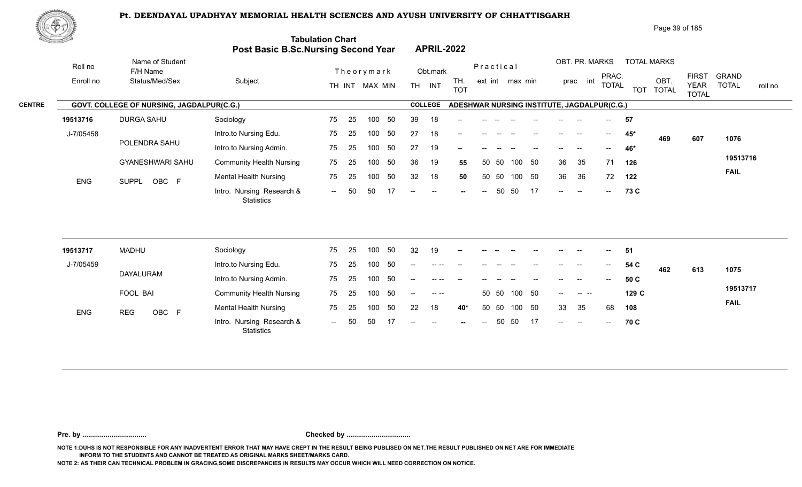

|               | ぷやり        |                                           |                                            |                         |     |                                                        |                   |                                             |    |                |                          |                    | Page 39 of 185      |                                             |                              |         |
|---------------|------------|-------------------------------------------|--------------------------------------------|-------------------------|-----|--------------------------------------------------------|-------------------|---------------------------------------------|----|----------------|--------------------------|--------------------|---------------------|---------------------------------------------|------------------------------|---------|
|               |            |                                           | <b>Post Basic B.Sc.Nursing Second Year</b> | <b>Tabulation Chart</b> |     | <b>APRIL-2022</b>                                      |                   |                                             |    |                |                          |                    |                     |                                             |                              |         |
|               | Roll no    | Name of Student<br>F/H Name               |                                            | Theorymark              |     | Obt.mark                                               |                   | Practical                                   |    | OBT. PR. MARKS |                          | <b>TOTAL MARKS</b> |                     |                                             |                              |         |
|               | Enroll no  | Status/Med/Sex                            | Subject                                    | MAX MIN<br>TH INT       |     | INT<br><b>TH</b>                                       | TH.<br><b>TOT</b> | ext int max min                             |    | int<br>prac    | PRAC.<br><b>TOTAL</b>    | <b>TOT</b>         | OBT<br><b>TOTAL</b> | <b>FIRST</b><br><b>YEAR</b><br><b>TOTAL</b> | <b>GRAND</b><br><b>TOTAL</b> | roll no |
| <b>CENTRE</b> |            | GOVT. COLLEGE OF NURSING, JAGDALPUR(C.G.) |                                            |                         |     | <b>COLLEGE</b>                                         |                   | ADESHWAR NURSING INSTITUTE, JAGDALPUR(C.G.) |    |                |                          |                    |                     |                                             |                              |         |
|               | 19513716   | <b>DURGA SAHU</b>                         | Sociology                                  | 25<br>75<br>100         | 50  | 39<br>18                                               | $- -$             |                                             |    |                | $\sim$                   | 57                 |                     |                                             |                              |         |
|               | J-7/05458  |                                           | Intro.to Nursing Edu.                      | 75<br>25<br>100         | 50  | 27<br>18                                               | $- -$             |                                             |    | --             | $\overline{\phantom{a}}$ | 45*                | 469                 | 607                                         | 1076                         |         |
|               |            | POLENDRA SAHU                             | Intro.to Nursing Admin.                    | 75<br>100<br>-25        | -50 | 27<br>19                                               | --                |                                             |    |                | --                       | 46*                |                     |                                             |                              |         |
|               |            | <b>GYANESHWARI SAHU</b>                   | <b>Community Health Nursing</b>            | 75<br>25<br>100         | 50  | 36<br>19                                               | 55                | -50<br>100<br>50                            | 50 | 36<br>35       | 71                       | 126                |                     |                                             | 19513716                     |         |
|               | <b>ENG</b> | OBC F<br><b>SUPPL</b>                     | <b>Mental Health Nursing</b>               | 75<br>100<br>-25        | 50  | 32<br>18                                               | 50                | -50<br>50<br>100                            | 50 | 36<br>36       | 72                       | 122                |                     |                                             | <b>FAIL</b>                  |         |
|               |            |                                           | Intro. Nursing Research &                  | 50<br>50<br>$\sim$ $-$  | 17  | $--$<br>$\hspace{0.1mm}-\hspace{0.1mm}-\hspace{0.1mm}$ | $- -$             | 50<br>50<br>$--$                            | 17 | $--$<br>$-$    | $- -$ .                  | 73 C               |                     |                                             |                              |         |

| 19513717   | <b>MADHU</b> | Sociology                                      | 75                       | -25 | 100 | 50   | 32                       | 19            | $- -$                    | $- -$  |                                       |                          |       | $- -$  | $-$                      | $  \,$                   | -51   |     |     |             |
|------------|--------------|------------------------------------------------|--------------------------|-----|-----|------|--------------------------|---------------|--------------------------|--------|---------------------------------------|--------------------------|-------|--------|--------------------------|--------------------------|-------|-----|-----|-------------|
| J-7/05459  |              | Intro.to Nursing Edu.                          | 75                       | -25 | 100 | -50  | $\overline{\phantom{a}}$ | $--- - - - -$ | $\overline{\phantom{a}}$ | $--$   | $\hspace{0.05cm}$ – $\hspace{0.05cm}$ | $\overline{\phantom{a}}$ | $- -$ | $\sim$ | $\overline{\phantom{a}}$ | $\overline{\phantom{a}}$ | 54 C  | 462 | 613 | 1075        |
|            | DAYALURAM    | Intro.to Nursing Admin.                        | 75                       | -25 | 100 | -50  | $\sim$                   |               |                          |        |                                       |                          |       | $- -$  | $- -$                    | $--$                     | 50 C  |     |     |             |
|            | FOOL BAI     | <b>Community Health Nursing</b>                | 75                       | -25 | 100 | - 50 | $- -$                    |               |                          |        | 50 50                                 | 100 50                   |       | $- -$  |                          |                          | 129 C |     |     | 19513717    |
| <b>ENG</b> | OBC F<br>REG | <b>Mental Health Nursing</b>                   | 75                       | -25 | 100 | -50  | 22                       | 18            | 40*                      |        | 50 50                                 | 100                      | - 50  | 33     | - 35                     | 68                       | 108   |     |     | <b>FAIL</b> |
|            |              | Intro. Nursing Research &<br><b>Statistics</b> | $\overline{\phantom{a}}$ | 50  | 50  |      | $--$                     | $\sim$        | $\sim$                   | $  \,$ |                                       | 50 50                    | 17    | $--$   | $\sim$                   | $\sim$                   | 70 C  |     |     |             |

**Pre. by ................................. Checked by .................................**

**NOTE 1:DUHS IS NOT RESPONSIBLE FOR ANY INADVERTENT ERROR THAT MAY HAVE CREPT IN THE RESULT BEING PUBLISED ON NET.THE RESULT PUBLISHED ON NET ARE FOR IMMEDIATE INFORM TO THE STUDENTS AND CANNOT BE TREATED AS ORIGINAL MARKS SHEET/MARKS CARD.**

**NOTE 2: AS THEIR CAN TECHNICAL PROBLEM IN GRACING,SOME DISCREPANCIES IN RESULTS MAY OCCUR WHICH WILL NEED CORRECTION ON NOTICE.**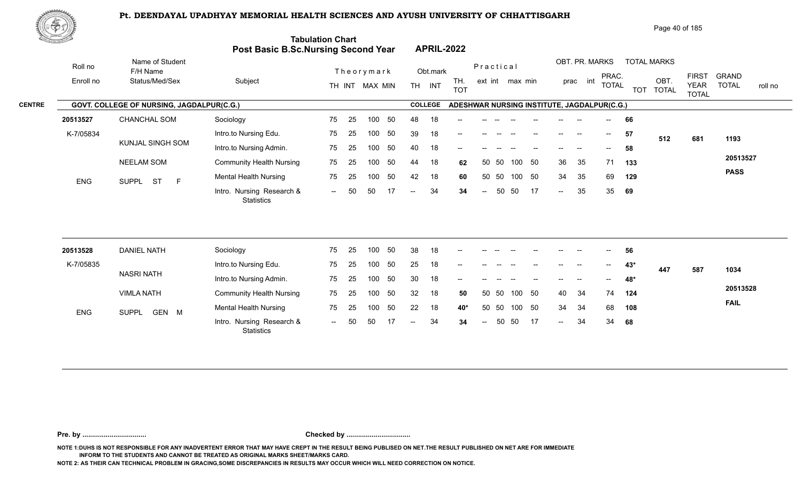

Roll no

Name of Student

|                                                   |                   |           |                | Page 40 of 185 |  |
|---------------------------------------------------|-------------------|-----------|----------------|----------------|--|
| <b>Tabulation Chart</b>                           |                   |           |                |                |  |
| <b>Post Basic B.Sc.Nursing Second Year</b>        | <b>APRIL-2022</b> |           |                |                |  |
| $\mathbf{r}$ . The set of the set of $\mathbf{r}$ | $\sim$ $\sim$     | Practical | OBT. PR. MARKS | TOTAL MARKS    |  |

| <b>CENTRE</b> |  |  |  |
|---------------|--|--|--|

|               | RUILIU     | F/H Name                                         |                                         |        |      | Theorymark |     |      | Obt.mark       |                                             |        | Piactical |                 |      |                            |                          |     | PRAC.                    |     |                  | <b>FIRST</b>                | <b>GRAND</b> |         |
|---------------|------------|--------------------------------------------------|-----------------------------------------|--------|------|------------|-----|------|----------------|---------------------------------------------|--------|-----------|-----------------|------|----------------------------|--------------------------|-----|--------------------------|-----|------------------|-----------------------------|--------------|---------|
|               | Enroll no  | Status/Med/Sex                                   | Subject                                 | TH INT |      | MAX MIN    |     | TH   | INT            | TH.<br><b>TOT</b>                           |        |           | ext int max min |      |                            | prac                     | int | <b>TOTAL</b>             |     | OBT<br>TOT TOTAL | <b>YEAR</b><br><b>TOTAL</b> | <b>TOTAL</b> | roll no |
| <b>CENTRE</b> |            | <b>GOVT. COLLEGE OF NURSING, JAGDALPUR(C.G.)</b> |                                         |        |      |            |     |      | <b>COLLEGE</b> | ADESHWAR NURSING INSTITUTE, JAGDALPUR(C.G.) |        |           |                 |      |                            |                          |     |                          |     |                  |                             |              |         |
|               | 20513527   | <b>CHANCHAL SOM</b>                              | Sociology                               | 75     | -25  | 100        | 50  | 48   | 18             | $- -$                                       |        |           |                 |      |                            |                          |     |                          | 66  |                  |                             |              |         |
|               | K-7/05834  |                                                  | Intro.to Nursing Edu.                   | 75     | - 25 | 100        | -50 | 39   | 18             | $- -$                                       |        |           |                 |      |                            | $\overline{\phantom{a}}$ |     | $\overline{\phantom{a}}$ | 57  | 512              | 681                         | 1193         |         |
|               |            | KUNJAL SINGH SOM                                 | Intro.to Nursing Admin.                 | 75     | - 25 | 100        | -50 | 40   | 18             | $- -$                                       |        |           |                 |      |                            |                          |     | $- -$                    | 58  |                  |                             |              |         |
|               |            | <b>NEELAM SOM</b>                                | <b>Community Health Nursing</b>         | 75     | - 25 | 100        | 50  | 44   | 18             | 62                                          |        | 50 50     | 100             | - 50 | 36                         | 35                       |     | 71 133                   |     |                  |                             | 20513527     |         |
|               | <b>ENG</b> | SUPPL ST<br>E                                    | <b>Mental Health Nursing</b>            | 75     | -25  | 100        | 50  | 42   | 18             | 60                                          |        | 50 50     | 100             | - 50 | 34                         | 35                       |     | 69                       | 129 |                  |                             | <b>PASS</b>  |         |
|               |            |                                                  | Intro. Nursing Research &<br>Statistics | $-$    | -50  | -50        |     | $--$ | 34             | 34                                          | $\sim$ | -50       | - 50            | 17   | $\mathcal{L}(\mathcal{L})$ | 35                       |     | 35                       | 69  |                  |                             |              |         |

| 20513528   | <b>DANIEL NATH</b>    | Sociology                                      | 75   | - 25 | 100 | -50 | 38                       | 18 | $\sim$ | $---$  | $\sim$ | $-$  | $\sim$ | $\sim$ | $\hspace{0.05cm} -\hspace{0.05cm} -\hspace{0.05cm}$ | $\sim$        | 56  |     |     |             |
|------------|-----------------------|------------------------------------------------|------|------|-----|-----|--------------------------|----|--------|--------|--------|------|--------|--------|-----------------------------------------------------|---------------|-----|-----|-----|-------------|
| K-7/05835  |                       | Intro.to Nursing Edu.                          | 75   | -25  |     | -50 | 25                       | 18 | $- -$  | $- -$  |        |      |        | $- -$  | --                                                  | $\frac{1}{2}$ | 43* | 447 | 587 | 1034        |
|            | NASRI NATH            | Intro.to Nursing Admin.                        | 75   | -25  |     | -50 | 30                       | 18 |        | --     |        |      |        | $- -$  | --                                                  | $- -$         | 48* |     |     |             |
|            | <b>VIMLA NATH</b>     | <b>Community Health Nursing</b>                | 75   | - 25 | 100 | -50 | 32                       | 18 | 50     |        | 50 50  | 100  | -50    | 40     | -34                                                 | 74            | 124 |     |     | 20513528    |
| <b>ENG</b> | GEN M<br><b>SUPPL</b> | <b>Mental Health Nursing</b>                   | 75   | -25  | 100 | -50 | 22                       | 18 | 40*    |        | 50 50  | 100  | -50    | 34     | -34                                                 | 68            | 108 |     |     | <b>FAIL</b> |
|            |                       | Intro. Nursing Research &<br><b>Statistics</b> | $--$ | 50   | 50  |     | $\overline{\phantom{a}}$ | 34 | 34     | $  \,$ | 50     | - 50 | 17     | $\sim$ | 34                                                  | 34            | 68  |     |     |             |

**Pre. by ................................. Checked by .................................**

**NOTE 1:DUHS IS NOT RESPONSIBLE FOR ANY INADVERTENT ERROR THAT MAY HAVE CREPT IN THE RESULT BEING PUBLISED ON NET.THE RESULT PUBLISHED ON NET ARE FOR IMMEDIATE INFORM TO THE STUDENTS AND CANNOT BE TREATED AS ORIGINAL MARKS SHEET/MARKS CARD.**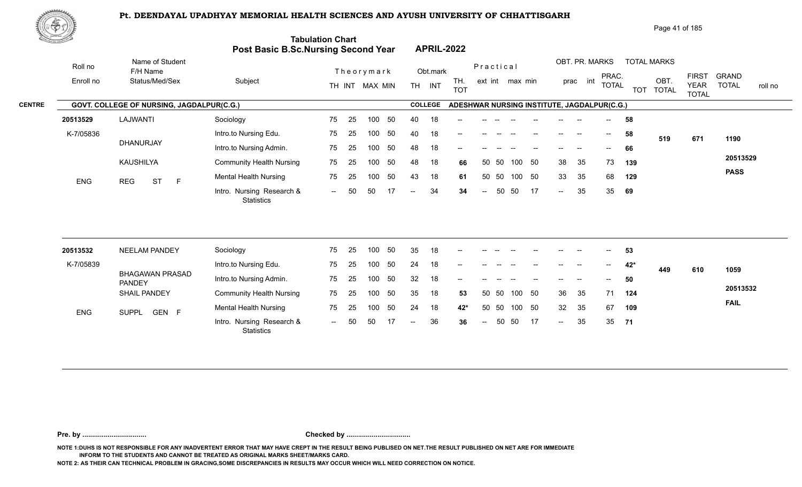

| Page 41 of 185 |  |
|----------------|--|
|----------------|--|

|               | <u> Karabatan Ing</u> |                                           | <b>Post Basic B.Sc.Nursing Second Year</b>     | <b>Tabulation Chart</b> |            |                                    |    |               |                          | <b>APRIL-2022</b>                           |           |       |                                    |    |        |                             |                          |            |                      |                                             |                                         |
|---------------|-----------------------|-------------------------------------------|------------------------------------------------|-------------------------|------------|------------------------------------|----|---------------|--------------------------|---------------------------------------------|-----------|-------|------------------------------------|----|--------|-----------------------------|--------------------------|------------|----------------------|---------------------------------------------|-----------------------------------------|
|               | Roll no               | Name of Student<br>F/H Name               |                                                |                         |            | Theorymark                         |    |               | Obt.mark                 |                                             | Practical |       |                                    |    |        | OBT. PR. MARKS              |                          |            | <b>TOTAL MARKS</b>   |                                             |                                         |
|               | Enroll no             | Status/Med/Sex                            | Subject                                        |                         |            | TH INT MAX MIN                     |    |               | TH INT                   | TH.<br><b>TOT</b>                           |           |       | ext int max min                    |    |        | prac int                    | PRAC.<br><b>TOTAL</b>    | <b>TOT</b> | OBT.<br><b>TOTAL</b> | <b>FIRST</b><br><b>YEAR</b><br><b>TOTAL</b> | <b>GRAND</b><br><b>TOTAL</b><br>roll no |
| <b>CENTRE</b> |                       | GOVT. COLLEGE OF NURSING, JAGDALPUR(C.G.) |                                                |                         |            |                                    |    |               | <b>COLLEGE</b>           | ADESHWAR NURSING INSTITUTE, JAGDALPUR(C.G.) |           |       |                                    |    |        |                             |                          |            |                      |                                             |                                         |
|               | 20513529              | LAJWANTI                                  | Sociology                                      | 75                      | 25         | 100                                | 50 | 40            | 18                       |                                             |           |       |                                    |    |        |                             |                          | 58         |                      |                                             |                                         |
|               | K-7/05836             |                                           | Intro.to Nursing Edu.                          | 75                      | 25         | 100                                | 50 | 40            | 18                       |                                             |           |       |                                    |    |        |                             | $--$                     | 58         | 519                  | 671                                         | 1190                                    |
|               |                       | DHANURJAY                                 | Intro.to Nursing Admin.                        | 75                      | 25         | 100                                | 50 | 48            | 18                       | --                                          |           |       |                                    |    |        |                             |                          | 66         |                      |                                             |                                         |
|               |                       | KAUSHILYA                                 | <b>Community Health Nursing</b>                | 75                      | 25         | 100                                | 50 | 48            | 18                       | 66                                          | 50        | - 50  | 100 50                             |    | 38     | 35                          | 73                       | 139        |                      |                                             | 20513529                                |
|               | <b>ENG</b>            | <b>REG</b><br><b>ST</b><br>$\mathsf{F}$   | Mental Health Nursing                          | 75                      | 25         | 100                                | 50 | 43            | 18                       | 61                                          | 50        | 50    | 100 50                             |    | 33     | 35                          | 68                       | 129        |                      |                                             | <b>PASS</b>                             |
|               |                       |                                           | Intro. Nursing Research &<br><b>Statistics</b> | $\sim$                  | 50         | 50                                 | 17 | $-$           | 34                       | 34                                          | $\sim$    | 50    | 50                                 | 17 | $\sim$ | 35                          | 35                       | 69         |                      |                                             |                                         |
|               |                       |                                           |                                                |                         |            |                                    |    |               |                          |                                             |           |       |                                    |    |        |                             |                          |            |                      |                                             |                                         |
|               | 20513532              | NEELAM PANDEY                             | Sociology                                      | 75                      | 25         | 100                                | 50 | 35            | 18                       |                                             |           |       |                                    |    |        |                             |                          | 53         |                      |                                             |                                         |
|               | K-7/05839             |                                           | Intro.to Nursing Edu.                          | 75                      | 25         | 100                                | 50 | 24            | 18                       |                                             |           |       |                                    |    |        |                             | $\overline{\phantom{a}}$ | 42*        | 449                  | 610                                         | 1059                                    |
|               |                       | <b>BHAGAWAN PRASAD</b><br><b>PANDEY</b>   | Intro.to Nursing Admin.                        | 75                      | 25         | 100                                | 50 | 32            | 18                       |                                             |           |       |                                    |    |        |                             |                          | 50         |                      |                                             |                                         |
|               |                       | <b>SHAIL PANDEY</b>                       | <b>Community Health Nursing</b>                | 75                      | 25         | 100                                | 50 | 35            | 18                       | 53                                          |           | 50 50 | 100 50                             |    | 36     | 35                          | 71                       | 124        |                      |                                             | 20513532                                |
|               |                       |                                           |                                                | $- -$                   | $\sim$ $-$ | $\sim$ $\sim$ $\sim$ $\sim$ $\sim$ |    | $\sim$ $\sim$ | $\overline{\phantom{a}}$ |                                             |           |       | $-1$ $-1$ $-1$ $-1$ $-1$ $-1$ $-1$ |    |        | $\sim$ $\sim$ $\sim$ $\sim$ |                          |            |                      |                                             | <b>FAIL</b>                             |

 $- 36$ 

100 50 50 50 100 50 24 18 **42\*** 32 35 67 **109**

-- 50 36 35 **36** 35

 $- 35$ 

**71**

**Pre. by ................................. Checked by .................................**

1993 - CEN F --- Michail Hodian Harbing --- Centre 100 --- Centre 100 --- Centre 100 -- Centre 100 -- Centre 1<br>-- General Munder -- Centre 100 -- Centre 100 -- Centre 100 -- Centre 100 -- Centre 100 -- Centre 100 -- Centr

-- 50 50 17

25 75

**NOTE 1:DUHS IS NOT RESPONSIBLE FOR ANY INADVERTENT ERROR THAT MAY HAVE CREPT IN THE RESULT BEING PUBLISED ON NET.THE RESULT PUBLISHED ON NET ARE FOR IMMEDIATE INFORM TO THE STUDENTS AND CANNOT BE TREATED AS ORIGINAL MARKS SHEET/MARKS CARD.**

**NOTE 2: AS THEIR CAN TECHNICAL PROBLEM IN GRACING,SOME DISCREPANCIES IN RESULTS MAY OCCUR WHICH WILL NEED CORRECTION ON NOTICE.**

Mental Health Nursing **75** 25

**Statistics** 

ENG SUPPL GEN F Montail Houndaille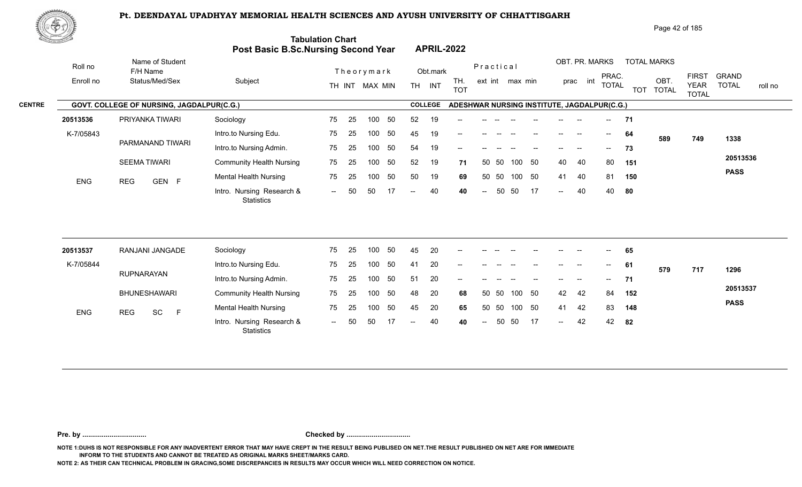

| Page 42 of 185 |
|----------------|
|----------------|

| <u>to Sand</u> |            |                                           | Post Basic B.Sc.Nursing Second Year            | <b>Tabulation Chart</b> |    |                |    |                          |                | <b>APRIL-2022</b>                           |                          |       |                 |    |                            |                          |                                       |            |                      |                             |              |         |
|----------------|------------|-------------------------------------------|------------------------------------------------|-------------------------|----|----------------|----|--------------------------|----------------|---------------------------------------------|--------------------------|-------|-----------------|----|----------------------------|--------------------------|---------------------------------------|------------|----------------------|-----------------------------|--------------|---------|
|                | Roll no    | Name of Student<br>F/H Name               |                                                |                         |    | Theorymark     |    |                          | Obt.mark       |                                             | Practical                |       |                 |    |                            |                          | OBT. PR. MARKS<br>PRAC.               |            | <b>TOTAL MARKS</b>   | <b>FIRST</b>                | <b>GRAND</b> |         |
|                | Enroll no  | Status/Med/Sex                            | Subject                                        |                         |    | TH INT MAX MIN |    |                          | TH INT         | TH.<br><b>TOT</b>                           |                          |       | ext int max min |    |                            | prac int                 | <b>TOTAL</b>                          | <b>TOT</b> | OBT.<br><b>TOTAL</b> | <b>YEAR</b><br><b>TOTAL</b> | <b>TOTAL</b> | roll no |
|                |            | GOVT. COLLEGE OF NURSING, JAGDALPUR(C.G.) |                                                |                         |    |                |    |                          | <b>COLLEGE</b> | ADESHWAR NURSING INSTITUTE, JAGDALPUR(C.G.) |                          |       |                 |    |                            |                          |                                       |            |                      |                             |              |         |
|                | 20513536   | PRIYANKA TIWARI                           | Sociology                                      | 75                      | 25 | 100            | 50 | 52                       | 19             |                                             |                          |       |                 |    |                            |                          | $--$                                  | 71         |                      |                             |              |         |
|                | K-7/05843  |                                           | Intro.to Nursing Edu.                          | 75                      | 25 | 100            | 50 | 45                       | 19             |                                             |                          |       |                 |    |                            |                          | $\hspace{0.05cm}$ – $\hspace{0.05cm}$ | 64         | 589                  | 749                         | 1338         |         |
|                |            | PARMANAND TIWARI                          | Intro.to Nursing Admin.                        | 75                      | 25 | 100            | 50 | 54                       | 19             |                                             |                          |       |                 |    |                            |                          | $- -$                                 | 73         |                      |                             |              |         |
|                |            | <b>SEEMA TIWARI</b>                       | <b>Community Health Nursing</b>                | 75                      | 25 | 100            | 50 | 52                       | 19             | 71                                          |                          | 50 50 | 100             | 50 | 40                         | 40                       | 80                                    | 151        |                      |                             | 20513536     |         |
|                | <b>ENG</b> | GEN F<br><b>REG</b>                       | <b>Mental Health Nursing</b>                   | 75                      | 25 | 100            | 50 | 50                       | 19             | 69                                          |                          | 50 50 | 100 50          |    | 41                         | 40                       | 81                                    | 150        |                      |                             | <b>PASS</b>  |         |
|                |            |                                           | Intro. Nursing Research &<br>Statistics        | $\sim$                  | 50 | 50             | 17 | $\overline{\phantom{a}}$ | 40             | 40                                          | $\overline{\phantom{a}}$ | 50    | 50              | 17 | $\mathcal{L}(\mathcal{L})$ | 40                       | 40                                    | 80         |                      |                             |              |         |
|                |            |                                           |                                                |                         |    |                |    |                          |                |                                             |                          |       |                 |    |                            |                          |                                       |            |                      |                             |              |         |
|                | 20513537   | RANJANI JANGADE                           | Sociology                                      | 75                      | 25 | 100            | 50 | 45                       | 20             |                                             |                          |       |                 |    |                            |                          |                                       | 65         |                      |                             |              |         |
|                | K-7/05844  |                                           | Intro.to Nursing Edu.                          | 75                      | 25 | 100            | 50 | 41                       | 20             |                                             |                          |       |                 |    | $\qquad \qquad -$          | $\overline{\phantom{a}}$ | $\overline{\phantom{a}}$              | 61         | 579                  | 717                         | 1296         |         |
|                |            | <b>RUPNARAYAN</b>                         | Intro.to Nursing Admin.                        | 75                      | 25 | 100            | 50 | 51                       | 20             |                                             |                          |       |                 |    |                            |                          |                                       | 71         |                      |                             |              |         |
|                |            | <b>BHUNESHAWARI</b>                       | <b>Community Health Nursing</b>                | 75                      | 25 | 100            | 50 | 48                       | 20             | 68                                          | 50                       | 50    | 100             | 50 | 42                         | 42                       | 84                                    | 152        |                      |                             | 20513537     |         |
|                | <b>ENG</b> | SC<br><b>REG</b><br>F                     | <b>Mental Health Nursing</b>                   | 75                      | 25 | 100            | 50 | 45                       | 20             | 65                                          | 50                       | 50    | 100 50          |    | 41                         | 42                       | 83                                    | 148        |                      |                             | <b>PASS</b>  |         |
|                |            |                                           | Intro. Nursing Research &<br><b>Statistics</b> | $\sim$ $\sim$           | 50 | 50             | 17 | $\overline{a}$           | 40             | 40                                          | $\overline{a}$           | 50    | 50              | 17 | $\mathcal{L}(\mathcal{L})$ | 42                       | 42                                    | 82         |                      |                             |              |         |
|                |            |                                           |                                                |                         |    |                |    |                          |                |                                             |                          |       |                 |    |                            |                          |                                       |            |                      |                             |              |         |

**Pre. by ................................. Checked by .................................**

**NOTE 1:DUHS IS NOT RESPONSIBLE FOR ANY INADVERTENT ERROR THAT MAY HAVE CREPT IN THE RESULT BEING PUBLISED ON NET.THE RESULT PUBLISHED ON NET ARE FOR IMMEDIATE INFORM TO THE STUDENTS AND CANNOT BE TREATED AS ORIGINAL MARKS SHEET/MARKS CARD.**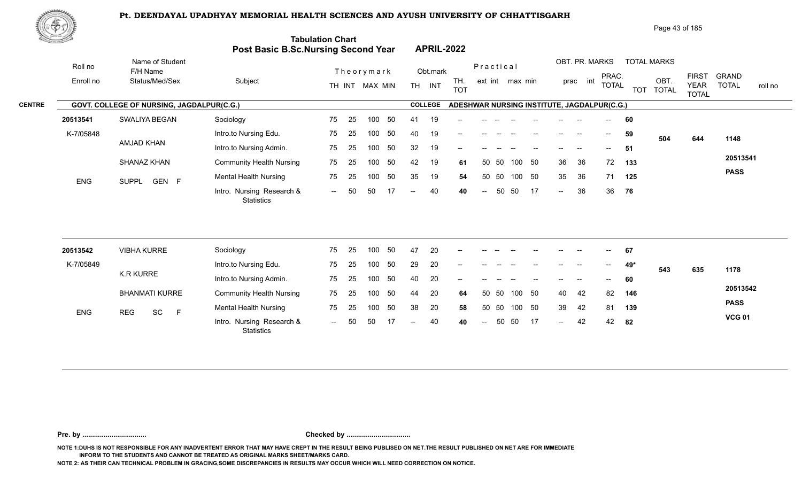

| Page 43 of 185 |  |
|----------------|--|
|                |  |

| E. September 1987.<br>September 1987. |                                           | Post Basic B.Sc.Nursing Second Year            | <b>Tabulation Chart</b>  |     |                  |     |                   |                | <b>APRIL-2022</b>                           |                          |           |                 |        |        |                |                                       |            |                      |                             |                         |
|---------------------------------------|-------------------------------------------|------------------------------------------------|--------------------------|-----|------------------|-----|-------------------|----------------|---------------------------------------------|--------------------------|-----------|-----------------|--------|--------|----------------|---------------------------------------|------------|----------------------|-----------------------------|-------------------------|
| Roll no                               | Name of Student<br>F/H Name               |                                                |                          |     | Theorymark       |     |                   | Obt.mark       |                                             |                          | Practical |                 |        |        | OBT. PR. MARKS | PRAC.                                 |            | <b>TOTAL MARKS</b>   | <b>FIRST</b>                | <b>GRAND</b>            |
| Enroll no                             | Status/Med/Sex                            | Subject                                        |                          |     | TH INT MAX MIN   |     | <b>TH</b>         | INT            | TH.<br><b>TOT</b>                           |                          |           | ext int max min |        |        | int<br>prac    | <b>TOTAL</b>                          | <b>TOT</b> | OBT.<br><b>TOTAL</b> | <b>YEAR</b><br><b>TOTAL</b> | <b>TOTAL</b><br>roll no |
|                                       | GOVT. COLLEGE OF NURSING, JAGDALPUR(C.G.) |                                                |                          |     |                  |     |                   | <b>COLLEGE</b> | ADESHWAR NURSING INSTITUTE, JAGDALPUR(C.G.) |                          |           |                 |        |        |                |                                       |            |                      |                             |                         |
| 20513541                              | SWALIYA BEGAN                             | Sociology                                      | 75                       | 25  | 100              | 50  | 41                | 19             |                                             |                          |           |                 |        |        |                |                                       | 60         |                      |                             |                         |
| K-7/05848                             |                                           | Intro.to Nursing Edu.                          | 75                       | 25  | 100              | 50  | 40                | 19             |                                             |                          |           |                 |        |        |                | $- -$                                 | 59         | 504                  | 644                         | 1148                    |
|                                       | AMJAD KHAN                                | Intro.to Nursing Admin.                        | 75                       | 25  | 100              | 50  | 32                | 19             | --                                          |                          |           |                 |        |        |                |                                       | 51         |                      |                             |                         |
|                                       | SHANAZ KHAN                               | <b>Community Health Nursing</b>                | 75                       | 25  | 100              | 50  | 42                | 19             | 61                                          | 50                       | 50        | 100             | 50     | 36     | 36             | 72                                    | 133        |                      |                             | 20513541                |
| <b>ENG</b>                            | SUPPL GEN F                               | <b>Mental Health Nursing</b>                   | 75                       | 25  | 100              | 50  | 35                | 19             | 54                                          | 50                       | 50        |                 | 100 50 | 35     | 36             | 71                                    | 125        |                      |                             | <b>PASS</b>             |
|                                       |                                           | Intro. Nursing Research &<br><b>Statistics</b> | $\sim$ $\sim$            | 50  | 50               | -17 | $\qquad \qquad -$ | 40             | 40                                          | $\overline{\phantom{a}}$ | 50        | 50              | -17    | $\sim$ | 36             | 36                                    | 76         |                      |                             |                         |
|                                       |                                           |                                                |                          |     |                  |     |                   |                |                                             |                          |           |                 |        |        |                |                                       |            |                      |                             |                         |
| 20513542                              | <b>VIBHA KURRE</b>                        | Sociology                                      | 75                       | 25  | 100              | 50  | 47                | 20             |                                             |                          |           |                 |        |        |                |                                       | 67         |                      |                             |                         |
| K-7/05849                             | <b>K.R KURRE</b>                          | Intro.to Nursing Edu.                          | 75                       | 25  | 100              | 50  | 29                | 20             | --                                          |                          |           |                 |        |        | --             | $\hspace{0.05cm}$ – $\hspace{0.05cm}$ | 49*        | 543                  | 635                         | 1178                    |
|                                       |                                           | Intro.to Nursing Admin.                        | 75                       | 25  | 100 <sub>1</sub> | 50  | 40                | 20             |                                             |                          |           |                 |        |        |                |                                       | 60         |                      |                             |                         |
|                                       | <b>BHANMATI KURRE</b>                     | <b>Community Health Nursing</b>                | 75                       | 25  | 100              | 50  | 44                | 20             | 64                                          |                          | 50 50     |                 | 100 50 | 40     | 42             | 82                                    | 146        |                      |                             | 20513542                |
| <b>ENG</b>                            | SC<br><b>REG</b><br>$\mathsf F$           | <b>Mental Health Nursing</b>                   | 75                       | 25  | 100              | 50  | 38                | 20             | 58                                          |                          | 50 50     |                 | 100 50 | 39     | 42             | 81                                    | 139        |                      |                             | <b>PASS</b>             |
|                                       |                                           | Intro. Nursing Research &<br>Statistics        | $\overline{\phantom{a}}$ | .50 | 50               | 17  |                   | 40             | 40                                          | $\sim$                   | 50        | 50              | -17    | $\sim$ | 42             | 42                                    | 82         |                      |                             | <b>VCG 01</b>           |

**Pre. by ................................. Checked by .................................**

**NOTE 1:DUHS IS NOT RESPONSIBLE FOR ANY INADVERTENT ERROR THAT MAY HAVE CREPT IN THE RESULT BEING PUBLISED ON NET.THE RESULT PUBLISHED ON NET ARE FOR IMMEDIATE INFORM TO THE STUDENTS AND CANNOT BE TREATED AS ORIGINAL MARKS SHEET/MARKS CARD.**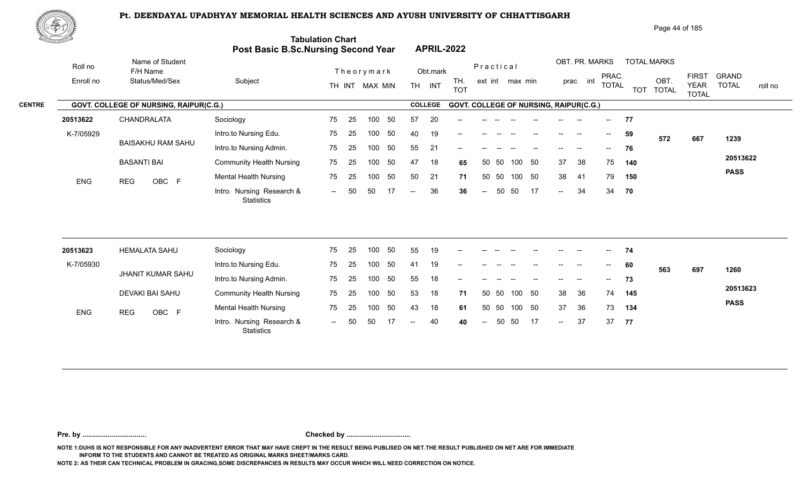**Tabulation Chart** 



|                   | Page 44 of 185 |
|-------------------|----------------|
| <b>APRIL-2022</b> |                |

|            |                                               | <b>Post Basic B.Sc.Nursing Second Year</b> |        |     |                |     |           | <b>APRIL-2022</b> |                                               |            |       |                 |    |               |                   |                          |     |                    |                                             |                              |         |
|------------|-----------------------------------------------|--------------------------------------------|--------|-----|----------------|-----|-----------|-------------------|-----------------------------------------------|------------|-------|-----------------|----|---------------|-------------------|--------------------------|-----|--------------------|---------------------------------------------|------------------------------|---------|
| Roll no    | Name of Student<br>F/H Name                   |                                            |        |     | Theorymark     |     |           | Obt.mark          |                                               | Practical  |       |                 |    |               | OBT. PR. MARKS    |                          |     | <b>TOTAL MARKS</b> |                                             |                              |         |
| Enroll no  | Status/Med/Sex                                | Subject                                    |        |     | TH INT MAX MIN |     | <b>TH</b> | <b>INT</b>        | TH.<br><b>TOT</b>                             |            |       | ext int max min |    |               | int<br>prac       | PRAC.<br><b>TOTAL</b>    |     | OBT.<br>TOT TOTAL  | <b>FIRST</b><br><b>YEAR</b><br><b>TOTAL</b> | <b>GRAND</b><br><b>TOTAL</b> | roll no |
|            | <b>GOVT. COLLEGE OF NURSING, RAIPUR(C.G.)</b> |                                            |        |     |                |     |           | <b>COLLEGE</b>    | <b>GOVT. COLLEGE OF NURSING, RAIPUR(C.G.)</b> |            |       |                 |    |               |                   |                          |     |                    |                                             |                              |         |
| 20513622   | CHANDRALATA                                   | Sociology                                  | 75     | 25  | 100            | -50 | 57        | 20                | $\qquad \qquad -$                             |            |       |                 |    |               |                   | $- -$                    | 77  |                    |                                             |                              |         |
| K-7/05929  |                                               | Intro.to Nursing Edu.                      | 75     | 25  | 100            | 50  | 40        | 19                | $\qquad \qquad -$                             |            |       |                 |    |               | $\hspace{0.05cm}$ | $\overline{\phantom{a}}$ | 59  | 572                | 667                                         | 1239                         |         |
|            | <b>BAISAKHU RAM SAHU</b>                      | Intro.to Nursing Admin.                    | 75     | 25  | 100            | 50  | 55        | 21                | $\qquad \qquad -$                             |            |       |                 |    |               | --                | $--$                     | 76  |                    |                                             |                              |         |
|            | <b>BASANTI BAI</b>                            | <b>Community Health Nursing</b>            | 75     | -25 | 100            | 50  | 47        | 18                | 65                                            |            | 50 50 | 100             | 50 | 37            | 38                | 75                       | 140 |                    |                                             | 20513622                     |         |
| <b>ENG</b> | OBC F<br><b>REG</b>                           | <b>Mental Health Nursing</b>               | 75     | 25  | 100            | 50  | 50        | 21                | 71                                            |            | 50 50 | 100             | 50 | 38            | 41                | 79                       | 150 |                    |                                             | <b>PASS</b>                  |         |
|            |                                               | Intro. Nursing Research &<br>Statistics    | $  \,$ | 50  | 50             | 17  | $--$      | 36                | 36                                            | $\sim$ $-$ | 50    | 50              | 17 | $\sim$ $\sim$ | 34                | 34                       | 70  |                    |                                             |                              |         |

| 20513623   | <b>HEMALATA SAHU</b> | Sociology                                      | 75  | 25  | 100 | 50 | 55     | 19 | $- -$  |                          |       |        |                          | $- -$         | $- -$                    | $--$                     | 74  |     |     |             |
|------------|----------------------|------------------------------------------------|-----|-----|-----|----|--------|----|--------|--------------------------|-------|--------|--------------------------|---------------|--------------------------|--------------------------|-----|-----|-----|-------------|
| K-7/05930  |                      | Intro.to Nursing Edu.                          | 75  | 25  | 100 | 50 | 41     | 19 | $- -$  | $-$                      |       |        |                          | $- -$         | $- -$                    | $\overline{\phantom{a}}$ | 60  | 563 | 697 | 1260        |
|            | JHANIT KUMAR SAHU    | Intro.to Nursing Admin.                        | 75  | -25 | 100 | 50 | 55     | 18 | $\sim$ | $\overline{\phantom{a}}$ |       | $\sim$ | $\overline{\phantom{a}}$ | $\sim$ $\sim$ | $\overline{\phantom{a}}$ | $\sim$                   | 73  |     |     |             |
|            | DEVAKI BAI SAHU      | <b>Community Health Nursing</b>                | 75  | 25  | 100 | 50 | 53     | 18 | 71     |                          | 50 50 | 100 50 |                          | 38            | -36                      | 74                       | 145 |     |     | 20513623    |
| <b>ENG</b> | OBC F<br><b>REG</b>  | <b>Mental Health Nursing</b>                   | 75  | 25  | 100 | 50 | 43     | 18 | 61     |                          | 50 50 | 100    | - 50                     | 37            | 36                       | 73                       | 134 |     |     | <b>PASS</b> |
|            |                      | Intro. Nursing Research &<br><b>Statistics</b> | $-$ | 50  | 50  |    | $\sim$ | 40 | 40     | $--$                     | 50    | - 50   | 17                       | $--$          | 37                       | 37                       | 77  |     |     |             |

**Pre. by ................................. Checked by .................................**

**NOTE 1:DUHS IS NOT RESPONSIBLE FOR ANY INADVERTENT ERROR THAT MAY HAVE CREPT IN THE RESULT BEING PUBLISED ON NET.THE RESULT PUBLISHED ON NET ARE FOR IMMEDIATE INFORM TO THE STUDENTS AND CANNOT BE TREATED AS ORIGINAL MARKS SHEET/MARKS CARD.**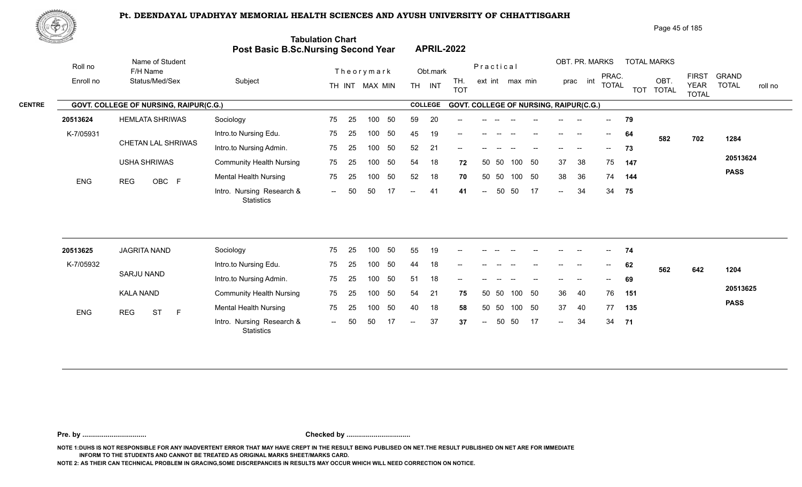

| <u>Cardinal Co</u> |                                        |           | Post Basic B.Sc.Nursing Second Year            | <b>Tabulation Chart</b>  |    |                  |     |     |                | <b>APRIL-2022</b>                      |                          |       |                 |     |        |                |              |     |                    |                             |              |         |
|--------------------|----------------------------------------|-----------|------------------------------------------------|--------------------------|----|------------------|-----|-----|----------------|----------------------------------------|--------------------------|-------|-----------------|-----|--------|----------------|--------------|-----|--------------------|-----------------------------|--------------|---------|
| Roll no            | Name of Student<br>F/H Name            |           |                                                |                          |    | Theorymark       |     |     | Obt.mark       |                                        | Practical                |       |                 |     |        | OBT. PR. MARKS | PRAC.        |     | <b>TOTAL MARKS</b> | <b>FIRST</b>                | <b>GRAND</b> |         |
| Enroll no          | Status/Med/Sex                         |           | Subject                                        |                          |    | TH INT MAX MIN   |     |     | TH INT         | TH.<br><b>TOT</b>                      |                          |       | ext int max min |     |        | prac int       | <b>TOTAL</b> |     | OBT.<br>TOT TOTAL  | <b>YEAR</b><br><b>TOTAL</b> | <b>TOTAL</b> | roll no |
| <b>CENTRE</b>      | GOVT. COLLEGE OF NURSING, RAIPUR(C.G.) |           |                                                |                          |    |                  |     |     | <b>COLLEGE</b> | GOVT. COLLEGE OF NURSING, RAIPUR(C.G.) |                          |       |                 |     |        |                |              |     |                    |                             |              |         |
| 20513624           | <b>HEMLATA SHRIWAS</b>                 |           | Sociology                                      | 75                       | 25 | 100              | 50  | 59  | 20             |                                        |                          |       |                 |     |        |                |              | 79  |                    |                             |              |         |
| K-7/05931          |                                        |           | Intro.to Nursing Edu.                          | 75                       | 25 | 100              | 50  | 45  | 19             |                                        |                          |       |                 |     |        |                | $--$         | 64  | 582                | 702                         | 1284         |         |
|                    | CHETAN LAL SHRIWAS                     |           | Intro.to Nursing Admin.                        | 75                       | 25 | 100              | 50  | 52  | 21             | --                                     |                          |       |                 |     |        |                |              | 73  |                    |                             |              |         |
|                    | <b>USHA SHRIWAS</b>                    |           | <b>Community Health Nursing</b>                | 75                       | 25 | 100              | 50  | 54  | 18             | 72                                     | 50                       | 50    | 100             | 50  | 37     | 38             | 75           | 147 |                    |                             | 20513624     |         |
| <b>ENG</b>         | OBC F<br><b>REG</b>                    |           | <b>Mental Health Nursing</b>                   | 75                       | 25 | 100              | 50  | 52  | 18             | 70                                     | 50                       | 50    | 100 50          |     | 38     | 36             | 74           | 144 |                    |                             | <b>PASS</b>  |         |
|                    |                                        |           | Intro. Nursing Research &<br><b>Statistics</b> | $--$                     | 50 | 50               | -17 | $-$ | 41             | 41                                     | $\overline{\phantom{a}}$ | 50    | 50              | -17 | $\sim$ | 34             | 34           | 75  |                    |                             |              |         |
| 20513625           | <b>JAGRITA NAND</b>                    | Sociology |                                                | 75                       | 25 | 100              | 50  | 55  | 19             |                                        |                          |       |                 |     |        |                | $-$          | 74  |                    |                             |              |         |
| K-7/05932          |                                        |           | Intro.to Nursing Edu.                          | 75                       | 25 | 100              | 50  | 44  | 18             |                                        |                          |       |                 |     |        | --             | $- -$        | 62  | 562                | 642                         | 1204         |         |
|                    | <b>SARJU NAND</b>                      |           | Intro.to Nursing Admin.                        | 75                       | 25 | 100 <sub>1</sub> | 50  | 51  | 18             | --                                     |                          |       |                 |     |        |                |              | 69  |                    |                             |              |         |
|                    | <b>KALA NAND</b>                       |           | <b>Community Health Nursing</b>                | 75                       | 25 | 100              | 50  | 54  | 21             | 75                                     |                          | 50 50 | 100             | 50  | 36     | 40             | 76           | 151 |                    |                             | 20513625     |         |
| ENG                | <b>ST</b><br><b>REG</b>                | F         | <b>Mental Health Nursing</b>                   | 75                       | 25 | 100              | 50  | 40  | 18             | 58                                     |                          | 50 50 | 100             | 50  | 37     | 40             | 77           | 135 |                    |                             | <b>PASS</b>  |         |
|                    |                                        |           | Intro. Nursing Research &<br>Statistics        | $\overline{\phantom{a}}$ |    | 50               |     | $-$ | 37             | 37                                     | $\overline{a}$           | 50    | 50              | -17 | $-$    | 34             | 34           | 71  |                    |                             |              |         |

**Pre. by ................................. Checked by .................................**

**NOTE 1:DUHS IS NOT RESPONSIBLE FOR ANY INADVERTENT ERROR THAT MAY HAVE CREPT IN THE RESULT BEING PUBLISED ON NET.THE RESULT PUBLISHED ON NET ARE FOR IMMEDIATE INFORM TO THE STUDENTS AND CANNOT BE TREATED AS ORIGINAL MARKS SHEET/MARKS CARD.**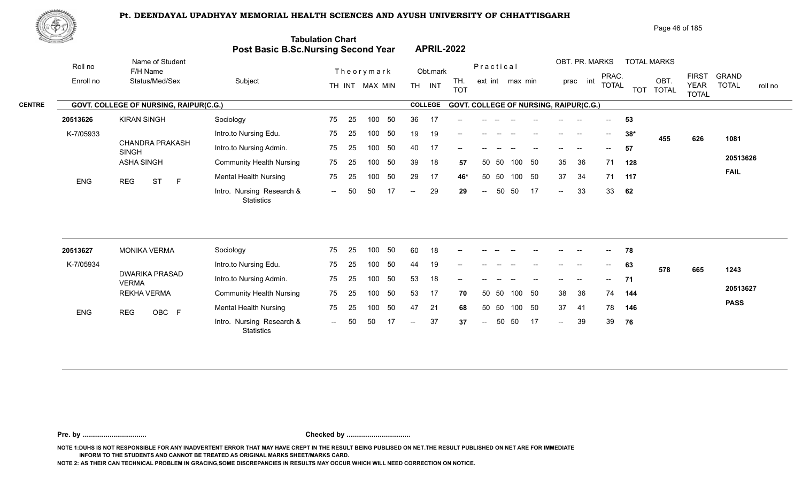1. Intro. Nursing Research & The Ed Too of the Control of Control of Control of Control of Control of Control o<br>Intro. Nursing Research & The Control of Control of Control of Control of Control of Control of Control of Con

75 25 100 50 39 18 **57** 

-- 50 50 17 -- 29 29

25 75



|                                            | ₩ආ        |                                        |                                                  |                                                                       |                                |                                               |                                                          | Page 46 of 185                                                                  |
|--------------------------------------------|-----------|----------------------------------------|--------------------------------------------------|-----------------------------------------------------------------------|--------------------------------|-----------------------------------------------|----------------------------------------------------------|---------------------------------------------------------------------------------|
| $\mathcal{H}_{\mathcal{G}}$ , denotes then |           |                                        |                                                  | <b>Tabulation Chart</b><br><b>Post Basic B.Sc.Nursing Second Year</b> | <b>APRIL-2022</b>              |                                               |                                                          |                                                                                 |
|                                            | Roll no   | Name of Student<br>F/H Name            |                                                  | Theorymark                                                            | Obt.mark                       | Practical                                     | OBT. PR. MARKS<br><b>TOTAL MARKS</b>                     |                                                                                 |
|                                            | Enroll no | Status/Med/Sex                         | Subject                                          | MAX MIN<br>TH INT                                                     | TH.<br>INT<br>TH<br><b>TOT</b> | ext int max min                               | PRAC.<br>OBT<br>int<br>prac<br><b>TOTAL</b><br>TOT TOTAL | <b>FIRST</b><br>GRAND<br><b>TOTAL</b><br><b>YEAR</b><br>roll no<br><b>TOTAL</b> |
| <b>CENTRE</b>                              |           | GOVT. COLLEGE OF NURSING, RAIPUR(C.G.) |                                                  |                                                                       | <b>COLLEGE</b>                 | <b>GOVT. COLLEGE OF NURSING, RAIPUR(C.G.)</b> |                                                          |                                                                                 |
|                                            | 20513626  | <b>KIRAN SINGH</b>                     | Sociology                                        | 75<br>-50<br>100<br>-25                                               | 36<br>$- -$                    |                                               | 53<br>$\sim$                                             |                                                                                 |
|                                            | K-7/05933 |                                        | Intro.to Nursing Edu.                            | 75<br>-50<br>100<br>-25                                               | 19<br>19<br>$- -$              |                                               | $38*$<br>$\sim$<br>$\hspace{0.05cm}$<br>455              | 1081<br>626                                                                     |
|                                            |           | CHANDRA PRAKASH<br><b>SINGH</b>        | Intro.to Nursing Admin.                          | -50<br>75<br>100<br>-25                                               | 40<br>17                       |                                               | 57<br>$- -$                                              |                                                                                 |
|                                            |           |                                        | $\sim$ $\sim$ $\sim$ $\sim$ $\sim$ $\sim$ $\sim$ | -- ^- 100 -00 00 10                                                   |                                | __ __ __ __ __                                | $\sim$ $\sim$                                            | 20513626                                                                        |

100 50 50 50 29 17 **46\*** 37 34 71 **117**

50 50 100 50 39 18 **57** 35 36 71 **128**

37 34 71 117

**62**

**FAIL**

29 **29** -- 50 50 17 -- 33 33 **62** 

 $- 33$ 

| 20513627   | <b>MONIKA VERMA</b>                   | Sociology                                      | 75   | -25 | 100 | 50  | 60     | 18 | $\sim$ |              |       |        |    | $- -$                    | $- -$             | $\overline{\phantom{a}}$ | 78  |     |     |             |
|------------|---------------------------------------|------------------------------------------------|------|-----|-----|-----|--------|----|--------|--------------|-------|--------|----|--------------------------|-------------------|--------------------------|-----|-----|-----|-------------|
| K-7/05934  |                                       | Intro.to Nursing Edu.                          | 75   | -25 | 100 | -50 | 44     | 19 | $-$    |              |       |        |    |                          |                   | $\overline{\phantom{a}}$ | 63  | 578 | 665 | 1243        |
|            | <b>DWARIKA PRASAD</b><br><b>VERMA</b> | Intro.to Nursing Admin.                        | 75   | 25  | 100 | -50 | 53     | 18 | $\sim$ |              |       |        |    | $- -$                    | $\hspace{0.05cm}$ | $  \,$                   | 71  |     |     |             |
|            | <b>REKHA VERMA</b>                    | <b>Community Health Nursing</b>                | 75   | 25  | 100 | -50 | 53     | 17 | 70     |              | 50 50 | 100 50 |    | -38                      | - 36              | 74                       | 144 |     |     | 20513627    |
| <b>ENG</b> | OBC F<br>REG                          | <b>Mental Health Nursing</b>                   | 75   | -25 | 100 | 50  | 47     | 21 | 68     |              | 50 50 | 100 50 |    | 37                       | 41                | 78                       | 146 |     |     | <b>PASS</b> |
|            |                                       | Intro. Nursing Research &<br><b>Statistics</b> | $--$ | 50  | 50  |     | $\sim$ | 37 | 37     | $\mathbf{u}$ | 50    | -50    | 17 | $\overline{\phantom{a}}$ | 39                | 39                       | 76  |     |     |             |

**Pre. by ................................. Checked by .................................**

**NOTE 1:DUHS IS NOT RESPONSIBLE FOR ANY INADVERTENT ERROR THAT MAY HAVE CREPT IN THE RESULT BEING PUBLISED ON NET.THE RESULT PUBLISHED ON NET ARE FOR IMMEDIATE INFORM TO THE STUDENTS AND CANNOT BE TREATED AS ORIGINAL MARKS SHEET/MARKS CARD.**

**NOTE 2: AS THEIR CAN TECHNICAL PROBLEM IN GRACING,SOME DISCREPANCIES IN RESULTS MAY OCCUR WHICH WILL NEED CORRECTION ON NOTICE.**

ASHA SINGH Community Health Nursing 75 25 10 Mental Health Nursing

ENG REG ST F Montail House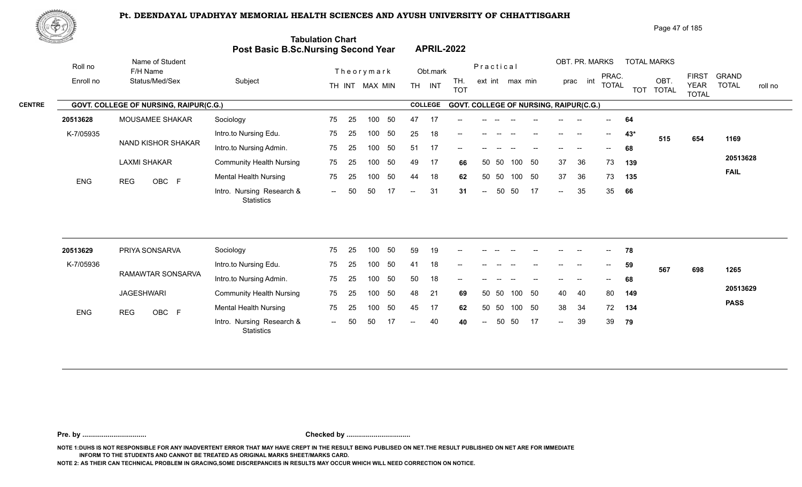

| <u>tores and</u> |                                        | Post Basic B.Sc.Nursing Second Year            | <b>Tabulation Chart</b> |    |                |    |                          |                | <b>APRIL-2022</b>                      |                          |       |                 |    |                   |                          |              |       |                    |                             |                         |
|------------------|----------------------------------------|------------------------------------------------|-------------------------|----|----------------|----|--------------------------|----------------|----------------------------------------|--------------------------|-------|-----------------|----|-------------------|--------------------------|--------------|-------|--------------------|-----------------------------|-------------------------|
| Roll no          | Name of Student<br>F/H Name            |                                                |                         |    | Theorymark     |    |                          | Obt.mark       |                                        | Practical                |       |                 |    |                   | OBT. PR. MARKS           | PRAC.        |       | <b>TOTAL MARKS</b> | <b>FIRST</b>                | <b>GRAND</b>            |
| Enroll no        | Status/Med/Sex                         | Subject                                        |                         |    | TH INT MAX MIN |    |                          | TH INT         | TH.<br><b>TOT</b>                      |                          |       | ext int max min |    |                   | prac int                 | <b>TOTAL</b> |       | OBT.<br>TOT TOTAL  | <b>YEAR</b><br><b>TOTAL</b> | <b>TOTAL</b><br>roll no |
|                  | GOVT. COLLEGE OF NURSING, RAIPUR(C.G.) |                                                |                         |    |                |    |                          | <b>COLLEGE</b> | GOVT. COLLEGE OF NURSING, RAIPUR(C.G.) |                          |       |                 |    |                   |                          |              |       |                    |                             |                         |
| 20513628         | MOUSAMEE SHAKAR                        | Sociology                                      | 75                      | 25 | 100            | 50 | 47                       | -17            |                                        |                          |       |                 |    |                   |                          |              | 64    |                    |                             |                         |
| K-7/05935        |                                        | Intro.to Nursing Edu.                          | 75                      | 25 | 100            | 50 | 25                       | 18             |                                        |                          |       |                 |    | $\qquad \qquad -$ | $\overline{\phantom{a}}$ | $--$         | $43*$ | 515                | 654                         | 1169                    |
|                  | NAND KISHOR SHAKAR                     | Intro.to Nursing Admin.                        | 75                      | 25 | 100            | 50 | 51                       | 17             | --                                     |                          |       |                 |    |                   | $\overline{\phantom{a}}$ | $- -$        | 68    |                    |                             |                         |
|                  | <b>LAXMI SHAKAR</b>                    | <b>Community Health Nursing</b>                | 75                      | 25 | 100            | 50 | 49                       | 17             | 66                                     | 50                       | 50    | 100             | 50 | 37                | 36                       | 73           | 139   |                    |                             | 20513628                |
| ENG              | OBC F<br><b>REG</b>                    | <b>Mental Health Nursing</b>                   | 75                      | 25 | 100            | 50 | 44                       | 18             | 62                                     |                          | 50 50 | 100 50          |    | 37                | 36                       | 73           | 135   |                    |                             | <b>FAIL</b>             |
|                  |                                        | Intro. Nursing Research &<br><b>Statistics</b> | $\sim$                  | 50 | 50             |    | $\overline{\phantom{a}}$ | 31             | 31                                     | $\overline{\phantom{a}}$ | 50    | 50              | 17 | $\sim$ $\sim$     | 35                       | 35           | 66    |                    |                             |                         |
|                  |                                        |                                                |                         |    |                |    |                          |                |                                        |                          |       |                 |    |                   |                          |              |       |                    |                             |                         |
| 20513629         | PRIYA SONSARVA                         | Sociology                                      | 75                      | 25 | 100            | 50 | 59                       | 19             |                                        |                          |       |                 |    |                   |                          |              | 78    |                    |                             |                         |
| K-7/05936        | RAMAWTAR SONSARVA                      | Intro.to Nursing Edu.                          | 75                      | 25 | 100            | 50 | 41                       | 18             |                                        |                          |       |                 |    |                   |                          |              | 59    | 567                | 698                         | 1265                    |
|                  |                                        | Intro.to Nursing Admin.                        | 75                      | 25 | 100            | 50 | 50                       | 18             |                                        |                          |       |                 |    |                   |                          |              | 68    |                    |                             |                         |
|                  | <b>JAGESHWARI</b>                      | <b>Community Health Nursing</b>                | 75                      | 25 | 100            | 50 | 48                       | 21             | 69                                     |                          | 50 50 | 100 50          |    | 40                | 40                       | 80           | 149   |                    |                             | 20513629                |
| <b>ENG</b>       | OBC F<br><b>REG</b>                    | <b>Mental Health Nursing</b>                   | 75                      | 25 | 100            | 50 | 45                       | 17             | 62                                     | 50                       | 50    | 100 50          |    | 38                | 34                       | 72           | 134   |                    |                             | <b>PASS</b>             |
|                  |                                        | Intro. Nursing Research &<br><b>Statistics</b> | $\sim$                  | 50 | 50             | 17 | $-$                      | 40             | 40                                     | $\sim$                   | 50    | 50              | 17 | $\sim$            | 39                       | 39           | 79    |                    |                             |                         |

**Pre. by ................................. Checked by .................................**

**NOTE 1:DUHS IS NOT RESPONSIBLE FOR ANY INADVERTENT ERROR THAT MAY HAVE CREPT IN THE RESULT BEING PUBLISED ON NET.THE RESULT PUBLISHED ON NET ARE FOR IMMEDIATE INFORM TO THE STUDENTS AND CANNOT BE TREATED AS ORIGINAL MARKS SHEET/MARKS CARD.**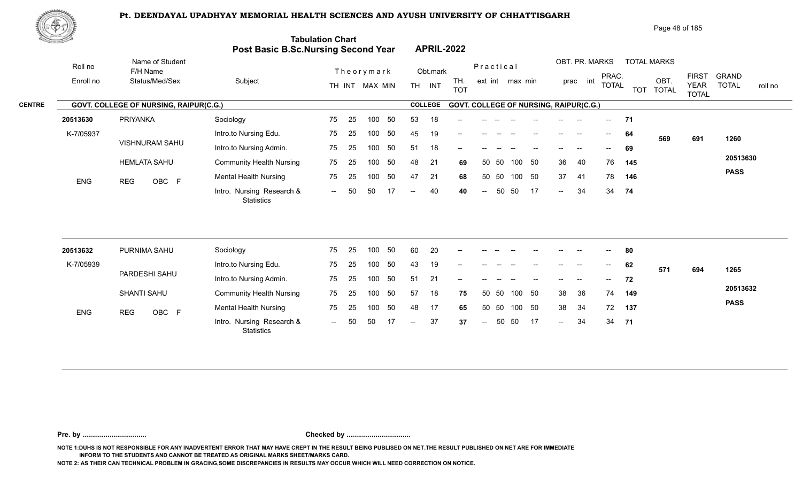

| Page 48 of 185 |  |
|----------------|--|
|----------------|--|

| <u>Contraction of the Contract of the Contract of the Contract of the Contract of the Contract of the Contract of The Contract of The Contract of The Contract of The Contract of The Contract of The Contract of The Contract o</u> |                                        | Post Basic B.Sc.Nursing Second Year            | <b>Tabulation Chart</b>  |    |                  |     |     |                | <b>APRIL-2022</b>                      |                          |       |                 |     |        |                          |              |            |                      |                             |                         |
|--------------------------------------------------------------------------------------------------------------------------------------------------------------------------------------------------------------------------------------|----------------------------------------|------------------------------------------------|--------------------------|----|------------------|-----|-----|----------------|----------------------------------------|--------------------------|-------|-----------------|-----|--------|--------------------------|--------------|------------|----------------------|-----------------------------|-------------------------|
| Roll no                                                                                                                                                                                                                              | Name of Student<br>F/H Name            |                                                |                          |    | Theorymark       |     |     | Obt.mark       |                                        | Practical                |       |                 |     |        | OBT. PR. MARKS           | PRAC.        |            | <b>TOTAL MARKS</b>   | <b>FIRST</b>                | <b>GRAND</b>            |
| Enroll no                                                                                                                                                                                                                            | Status/Med/Sex                         | Subject                                        |                          |    | TH INT MAX MIN   |     |     | TH INT         | TH.<br><b>TOT</b>                      |                          |       | ext int max min |     | prac   | int                      | <b>TOTAL</b> | <b>TOT</b> | OBT.<br><b>TOTAL</b> | <b>YEAR</b><br><b>TOTAL</b> | <b>TOTAL</b><br>roll no |
|                                                                                                                                                                                                                                      | GOVT. COLLEGE OF NURSING, RAIPUR(C.G.) |                                                |                          |    |                  |     |     | <b>COLLEGE</b> | GOVT. COLLEGE OF NURSING, RAIPUR(C.G.) |                          |       |                 |     |        |                          |              |            |                      |                             |                         |
| 20513630                                                                                                                                                                                                                             | <b>PRIYANKA</b>                        | Sociology                                      | 75                       | 25 | 100              | 50  | 53  | 18             |                                        |                          |       |                 |     |        |                          |              | 71         |                      |                             |                         |
| K-7/05937                                                                                                                                                                                                                            |                                        | Intro.to Nursing Edu.                          | 75                       | 25 | 100              | 50  | 45  | 19             | --                                     |                          |       |                 |     |        |                          | $--$         | 64         | 569                  | 691                         | 1260                    |
|                                                                                                                                                                                                                                      | <b>VISHNURAM SAHU</b>                  | Intro.to Nursing Admin.                        | 75                       | 25 | 100              | 50  | 51  | 18             | --                                     |                          |       |                 |     |        |                          |              | 69         |                      |                             |                         |
|                                                                                                                                                                                                                                      | <b>HEMLATA SAHU</b>                    | <b>Community Health Nursing</b>                | 75                       | 25 | 100              | 50  | 48  | 21             | 69                                     | 50                       | - 50  | 100             | 50  | 36     | 40                       | 76           | 145        |                      |                             | 20513630                |
| <b>ENG</b>                                                                                                                                                                                                                           | OBC F<br><b>REG</b>                    | <b>Mental Health Nursing</b>                   | 75                       | 25 | 100              | 50  | 47  | 21             | 68                                     | 50                       | 50    | 100 50          |     | 37     | -41                      | 78           | 146        |                      |                             | <b>PASS</b>             |
|                                                                                                                                                                                                                                      |                                        | Intro. Nursing Research &<br><b>Statistics</b> | $--$                     | 50 | 50               | -17 |     | 40             | 40                                     | $\overline{\phantom{a}}$ | 50    | 50              | -17 | $\sim$ | 34                       | 34           | 74         |                      |                             |                         |
| 20513632                                                                                                                                                                                                                             | PURNIMA SAHU                           | Sociology                                      | 75                       | 25 | 100              | 50  | 60  | 20             |                                        |                          |       |                 |     |        |                          |              | 80         |                      |                             |                         |
| K-7/05939                                                                                                                                                                                                                            |                                        | Intro.to Nursing Edu.                          | 75                       | 25 | 100              | 50  | 43  | 19             |                                        |                          |       |                 |     |        | $\overline{\phantom{a}}$ |              |            |                      |                             |                         |
|                                                                                                                                                                                                                                      | PARDESHI SAHU                          |                                                |                          |    |                  |     |     |                |                                        |                          |       |                 |     |        |                          |              | 62         | 571                  | 694                         | 1265                    |
|                                                                                                                                                                                                                                      |                                        | Intro.to Nursing Admin.                        | 75                       | 25 | 100 <sub>1</sub> | 50  | 51  | 21             | --                                     |                          |       |                 |     |        |                          | $-$          | 72         |                      |                             | 20513632                |
|                                                                                                                                                                                                                                      | SHANTI SAHU                            | <b>Community Health Nursing</b>                | 75                       | 25 | 100              | 50  | 57  | 18             | 75                                     | 50                       | 50    | 100             | 50  | 38     | 36                       | 74           | 149        |                      |                             | <b>PASS</b>             |
| ENG                                                                                                                                                                                                                                  | OBC F<br><b>REG</b>                    | <b>Mental Health Nursing</b>                   | 75                       | 25 | 100              | 50  | 48  | 17             | 65                                     |                          | 50 50 | 100             | 50  | 38     | 34                       | 72           | 137        |                      |                             |                         |
|                                                                                                                                                                                                                                      |                                        | Intro. Nursing Research &<br>Statistics        | $\overline{\phantom{a}}$ |    | 50               |     | $-$ | 37             | 37                                     | $\overline{a}$           | 50    | 50              | -17 | $-$    | 34                       | 34           | 71         |                      |                             |                         |

**Pre. by ................................. Checked by .................................**

**NOTE 1:DUHS IS NOT RESPONSIBLE FOR ANY INADVERTENT ERROR THAT MAY HAVE CREPT IN THE RESULT BEING PUBLISED ON NET.THE RESULT PUBLISHED ON NET ARE FOR IMMEDIATE INFORM TO THE STUDENTS AND CANNOT BE TREATED AS ORIGINAL MARKS SHEET/MARKS CARD.**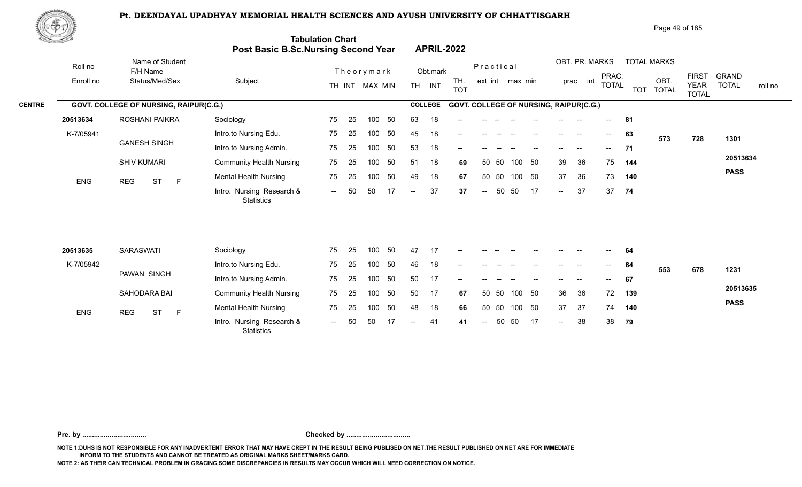

| <u>tana a</u> h |            |                                               | Post Basic B.Sc.Nursing Second Year     | <b>Tabulation Chart</b> |    |                |    |      |                | <b>APRIL-2022</b> |                                |                 |                                               |                           |                |                                       |              |                    |                      |                             |                         |
|-----------------|------------|-----------------------------------------------|-----------------------------------------|-------------------------|----|----------------|----|------|----------------|-------------------|--------------------------------|-----------------|-----------------------------------------------|---------------------------|----------------|---------------------------------------|--------------|--------------------|----------------------|-----------------------------|-------------------------|
|                 | Roll no    | Name of Student<br>F/H Name                   |                                         |                         |    | Theorymark     |    |      | Obt.mark       |                   | Practical                      |                 |                                               |                           | OBT. PR. MARKS |                                       | PRAC.        | <b>TOTAL MARKS</b> |                      | <b>FIRST</b>                | <b>GRAND</b>            |
|                 | Enroll no  | Status/Med/Sex                                | Subject                                 |                         |    | TH INT MAX MIN |    |      | TH INT         | TH.<br><b>TOT</b> |                                | ext int max min |                                               |                           | int<br>prac    |                                       | <b>TOTAL</b> | <b>TOT</b>         | OBT.<br><b>TOTAL</b> | <b>YEAR</b><br><b>TOTAL</b> | <b>TOTAL</b><br>roll no |
| <b>CENTRE</b>   |            | <b>GOVT. COLLEGE OF NURSING, RAIPUR(C.G.)</b> |                                         |                         |    |                |    |      | <b>COLLEGE</b> |                   |                                |                 | <b>GOVT. COLLEGE OF NURSING, RAIPUR(C.G.)</b> |                           |                |                                       |              |                    |                      |                             |                         |
|                 | 20513634   | ROSHANI PAIKRA                                | Sociology                               | 75                      | 25 | 100            | 50 | 63   | 18             |                   |                                |                 |                                               |                           |                | $\hspace{0.05cm}$ – $\hspace{0.05cm}$ |              | 81                 |                      |                             |                         |
|                 | K-7/05941  |                                               | Intro.to Nursing Edu.                   | 75                      | 25 | 100            | 50 | 45   | 18             |                   |                                |                 |                                               |                           |                | $\hspace{0.05cm}$ – $\hspace{0.05cm}$ |              | 63                 | 573                  | 728                         | 1301                    |
|                 |            | <b>GANESH SINGH</b>                           | Intro.to Nursing Admin.                 | 75                      | 25 | 100            | 50 | 53   | 18             | --                |                                |                 |                                               |                           |                | $- -$                                 |              | 71                 |                      |                             |                         |
|                 |            | <b>SHIV KUMARI</b>                            | <b>Community Health Nursing</b>         | 75                      | 25 | 100            | 50 | 51   | 18             | 69                | 50 50                          |                 | 100 50                                        | 39                        | 36             |                                       | 75           | 144                |                      |                             | 20513634                |
|                 | ENG        | <b>REG</b><br><b>ST</b><br>$\mathsf{F}$       | Mental Health Nursing                   | 75                      | 25 | 100            | 50 | 49   | 18             | 67                | 50 50                          |                 | 100 50                                        | 37                        | 36             |                                       | 73           | 140                |                      |                             | <b>PASS</b>             |
|                 |            |                                               | Intro. Nursing Research &<br>Statistics | $\sim$                  | 50 | 50             | 17 | $--$ | 37             | 37                | 50<br>$\overline{\phantom{a}}$ | 50              | 17                                            | $\mathbb{Z}^{\mathbb{Z}}$ | 37             |                                       | 37<br>74     |                    |                      |                             |                         |
|                 |            |                                               |                                         |                         |    |                |    |      |                |                   |                                |                 |                                               |                           |                |                                       |              |                    |                      |                             |                         |
|                 | 20513635   | <b>SARASWATI</b>                              | Sociology                               | 75                      | 25 | 100            | 50 | 47   | 17             | --                |                                |                 |                                               |                           |                |                                       |              | 64                 |                      |                             |                         |
|                 | K-7/05942  |                                               | Intro.to Nursing Edu.                   | 75                      | 25 | 100            | 50 | 46   | 18             | $\qquad \qquad -$ |                                |                 |                                               | $\qquad \qquad -$         | --             | $--$                                  |              | 64                 | 553                  | 678                         | 1231                    |
|                 |            | PAWAN SINGH                                   | Intro.to Nursing Admin.                 | 75                      | 25 | 100            | 50 | 50   | 17             |                   |                                |                 |                                               |                           |                |                                       |              | 67                 |                      |                             |                         |
|                 |            | SAHODARA BAI                                  | <b>Community Health Nursing</b>         | 75                      | 25 | 100            | 50 | 50   | 17             | 67                | 50 50                          |                 | 100 50                                        | 36                        | 36             |                                       | 72           | 139                |                      |                             | 20513635                |
|                 | <b>FMO</b> | $DCD = C T$                                   | <b>Mental Health Nursing</b>            | 75                      | 25 | 100            | 50 | 48   | 18             | 66                | 50<br>50                       | 100             | 50                                            | 37                        | 37             |                                       | 74           | 140                |                      |                             | <b>PASS</b>             |

 $- 41$  41

41 41 -- 50 50 17 -- 38 38 **79** 

 $-38$ 

**79**

**Pre. by ................................. Checked by .................................**

1.0 Intro. Nursing Research & The Ed Too of The Too Control of Control of Control of Control of Too Control of<br>Intro. Nursing Research & The Control of The Too Control of Too Control of Too Control of Too Control of Too C

-- 50

**NOTE 1:DUHS IS NOT RESPONSIBLE FOR ANY INADVERTENT ERROR THAT MAY HAVE CREPT IN THE RESULT BEING PUBLISED ON NET.THE RESULT PUBLISHED ON NET ARE FOR IMMEDIATE INFORM TO THE STUDENTS AND CANNOT BE TREATED AS ORIGINAL MARKS SHEET/MARKS CARD.**

**NOTE 2: AS THEIR CAN TECHNICAL PROBLEM IN GRACING,SOME DISCREPANCIES IN RESULTS MAY OCCUR WHICH WILL NEED CORRECTION ON NOTICE.**

**Statistics** 

ENG REG ST F Montail House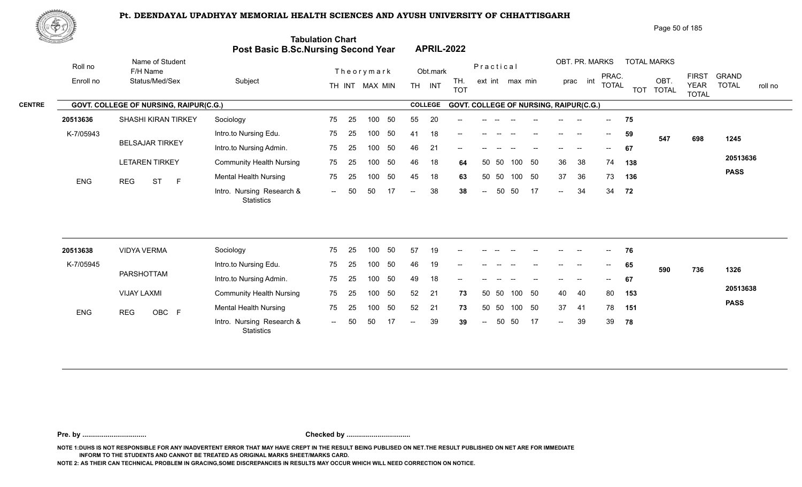

| <u>to Samuel I</u>   |                                               | Post Basic B.Sc.Nursing Second Year     | <b>Tabulation Chart</b> |    |                |     |                          |                | <b>APRIL-2022</b>                             |                          |       |                 |    |                            |                                                |              |     |                            |                             |                         |
|----------------------|-----------------------------------------------|-----------------------------------------|-------------------------|----|----------------|-----|--------------------------|----------------|-----------------------------------------------|--------------------------|-------|-----------------|----|----------------------------|------------------------------------------------|--------------|-----|----------------------------|-----------------------------|-------------------------|
| Roll no<br>Enroll no | Name of Student<br>F/H Name<br>Status/Med/Sex | Subject                                 |                         |    | Theorymark     |     |                          | Obt.mark       | TH.                                           | Practical                |       | ext int max min |    |                            | OBT. PR. MARKS<br>prac int                     | PRAC.        |     | <b>TOTAL MARKS</b><br>OBT. | <b>FIRST</b>                | <b>GRAND</b>            |
|                      |                                               |                                         |                         |    | TH INT MAX MIN |     |                          | TH INT         | <b>TOT</b>                                    |                          |       |                 |    |                            |                                                | <b>TOTAL</b> |     | TOT TOTAL                  | <b>YEAR</b><br><b>TOTAL</b> | <b>TOTAL</b><br>roll no |
|                      | GOVT. COLLEGE OF NURSING, RAIPUR(C.G.)        |                                         |                         |    |                |     |                          | <b>COLLEGE</b> | <b>GOVT. COLLEGE OF NURSING, RAIPUR(C.G.)</b> |                          |       |                 |    |                            |                                                |              |     |                            |                             |                         |
| 20513636             | <b>SHASHI KIRAN TIRKEY</b>                    | Sociology                               | 75                      | 25 | 100            | 50  | 55                       | 20             |                                               |                          |       |                 |    |                            |                                                |              | 75  |                            |                             |                         |
| K-7/05943            |                                               | Intro.to Nursing Edu.                   | 75                      | 25 | 100            | 50  | 41                       | 18             |                                               |                          |       |                 |    | $\qquad \qquad -$          | $\hspace{0.1mm}-\hspace{0.1mm}-\hspace{0.1mm}$ | $--$         | 59  | 547                        | 698                         | 1245                    |
|                      | <b>BELSAJAR TIRKEY</b>                        | Intro.to Nursing Admin.                 | 75                      | 25 | 100            | 50  | 46                       | 21             |                                               |                          |       |                 |    |                            |                                                | $- -$        | 67  |                            |                             |                         |
|                      | <b>LETAREN TIRKEY</b>                         | <b>Community Health Nursing</b>         | 75                      | 25 | 100            | 50  | 46                       | 18             | 64                                            |                          | 50 50 | 100 50          |    | 36                         | 38                                             | 74           | 138 |                            |                             | 20513636                |
| ENG                  | <b>ST</b><br>$\mathsf F$<br><b>REG</b>        | <b>Mental Health Nursing</b>            | 75                      | 25 | 100            | 50  | 45                       | 18             | 63                                            |                          | 50 50 | 100 50          |    | 37                         | 36                                             | 73           | 136 |                            |                             | <b>PASS</b>             |
|                      |                                               | Intro. Nursing Research &<br>Statistics | $\sim$                  | 50 | 50             | 17  | $\overline{a}$           | 38             | 38                                            | $\sim$                   | 50    | 50              | 17 | $\sim$                     | 34                                             | 34           | 72  |                            |                             |                         |
| 20513638             | <b>VIDYA VERMA</b>                            | Sociology                               | 75                      | 25 | 100            | 50  | 57                       | 19             |                                               |                          |       |                 |    |                            |                                                |              | 76  |                            |                             |                         |
| K-7/05945            |                                               | Intro.to Nursing Edu.                   | 75                      | 25 | 100            | 50  | 46                       | 19             |                                               |                          |       |                 |    |                            |                                                |              | 65  |                            |                             |                         |
|                      | PARSHOTTAM                                    | Intro.to Nursing Admin.                 | 75                      | 25 | 100            | 50  | 49                       | 18             |                                               |                          |       |                 |    |                            |                                                |              |     | 590                        | 736                         | 1326                    |
|                      |                                               |                                         |                         |    |                |     |                          |                | --                                            |                          |       |                 |    |                            |                                                |              | 67  |                            |                             | 20513638                |
|                      | <b>VIJAY LAXMI</b>                            | <b>Community Health Nursing</b>         | 75                      | 25 | 100            | 50  | 52                       | 21             | 73                                            |                          | 50 50 | 100             | 50 | 40                         | 40                                             | 80           | 153 |                            |                             | <b>PASS</b>             |
| <b>ENG</b>           | OBC F<br><b>REG</b>                           | <b>Mental Health Nursing</b>            | 75                      | 25 | 100            | 50  | 52                       | 21             | 73                                            |                          | 50 50 | 100 50          |    | 37                         | -41                                            | 78           | 151 |                            |                             |                         |
|                      |                                               | Intro. Nursing Research &<br>Statistics | $\sim$ $\sim$           | 50 | 50             | -17 | $\overline{\phantom{a}}$ | 39             | 39                                            | $\overline{\phantom{a}}$ | 50    | 50              | 17 | $\mathcal{L}(\mathcal{L})$ | 39                                             | 39           | 78  |                            |                             |                         |

**Pre. by ................................. Checked by .................................**

**NOTE 1:DUHS IS NOT RESPONSIBLE FOR ANY INADVERTENT ERROR THAT MAY HAVE CREPT IN THE RESULT BEING PUBLISED ON NET.THE RESULT PUBLISHED ON NET ARE FOR IMMEDIATE INFORM TO THE STUDENTS AND CANNOT BE TREATED AS ORIGINAL MARKS SHEET/MARKS CARD.**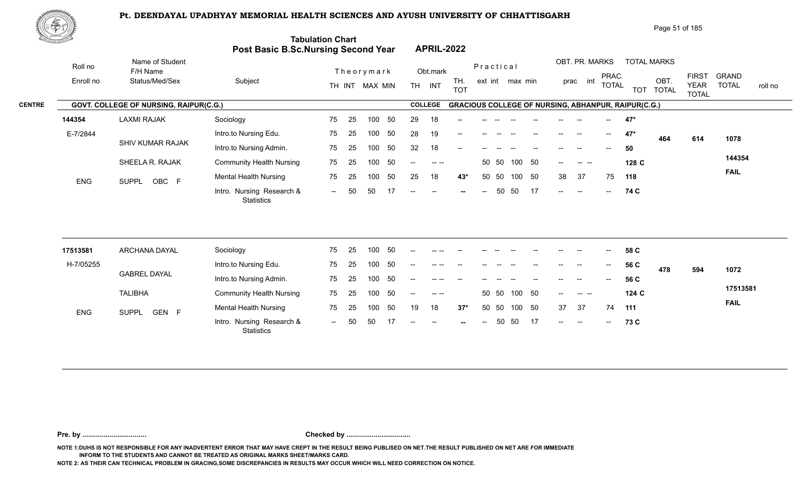

|               |            |                                               |                                 | <b>Tabulation Chart</b><br>Post Basic B.Sc.Nursing Second Year | <b>APRIL-2022</b>                                      |                              | , ago o , o, ,oo                                                   |                                                                                        |
|---------------|------------|-----------------------------------------------|---------------------------------|----------------------------------------------------------------|--------------------------------------------------------|------------------------------|--------------------------------------------------------------------|----------------------------------------------------------------------------------------|
|               | Roll no    | Name of Student<br>F/H Name                   |                                 | Theorymark                                                     | Obt.mark                                               | Practical                    | OBT. PR. MARKS<br><b>TOTAL MARKS</b>                               |                                                                                        |
|               | Enroll no  | Status/Med/Sex                                | Subject                         | TH INT MAX MIN                                                 | TH.<br><b>INT</b><br><b>TH</b><br><b>TOT</b>           | ext int max min              | PRAC.<br>OBT<br>int<br>prac<br>TOTAL<br><b>TOTAL</b><br><b>TOT</b> | <b>GRAND</b><br><b>FIRST</b><br><b>TOTAL</b><br><b>YEAR</b><br>roll no<br><b>TOTAL</b> |
| <b>CENTRE</b> |            | <b>GOVT. COLLEGE OF NURSING, RAIPUR(C.G.)</b> |                                 |                                                                | <b>COLLEGE</b>                                         |                              | <b>GRACIOUS COLLEGE OF NURSING, ABHANPUR, RAIPUR(C.G.)</b>         |                                                                                        |
|               | 144354     | <b>LAXMI RAJAK</b>                            | Sociology                       | 50<br>75<br>-25<br>100                                         | 29<br>18<br>$- -$                                      |                              | $47*$<br>$\overline{\phantom{a}}$                                  |                                                                                        |
|               | E-7/2844   |                                               | Intro.to Nursing Edu.           | 50<br>75<br>25<br>100                                          | 28<br>19<br>$- -$                                      |                              | 47*<br>$\overline{\phantom{a}}$<br>--<br>464                       | 1078<br>614                                                                            |
|               |            | SHIV KUMAR RAJAK                              | Intro.to Nursing Admin.         | 50<br>75<br>-25<br>100                                         | 32<br>18<br>$-$                                        |                              | 50                                                                 |                                                                                        |
|               |            | SHEELA R. RAJAK                               | <b>Community Health Nursing</b> | 50<br>75<br>-25<br>100                                         | $\sim$ $\sim$<br>$- -$ .                               | 100 50<br>50 50              | 128 C<br>$--$<br>$\sim$ $\sim$                                     | 144354                                                                                 |
|               | <b>ENG</b> | OBC F<br><b>SUPPL</b>                         | <b>Mental Health Nursing</b>    | 50<br>75<br>100<br>25                                          | 18<br>25<br>43*                                        | 50 50<br>100<br>50           | 37<br>38<br>75<br>118                                              | <b>FAIL</b>                                                                            |
|               |            |                                               | Intro. Nursing Research &       | 50<br>50<br>$  \,$                                             | $--$<br>$\hspace{0.1mm}-\hspace{0.1mm}-\hspace{0.1mm}$ | 17<br>50 50<br>$--$<br>$- -$ | 74 C<br>$\sim$<br>$\frac{1}{2}$ and $\frac{1}{2}$<br>$--$          |                                                                                        |

| 17513581   | ARCHANA DAYAL         | Sociology                                      | 75                       | 25 | 100 | 50  | $- -$             |        |        |       |       |       |       | $- -$                                          | --                       | $- -$                    | 58 C  |     |     |             |
|------------|-----------------------|------------------------------------------------|--------------------------|----|-----|-----|-------------------|--------|--------|-------|-------|-------|-------|------------------------------------------------|--------------------------|--------------------------|-------|-----|-----|-------------|
| H-7/05255  |                       | Intro.to Nursing Edu.                          | 75                       | 25 | 100 | 50  | $- -$             |        |        |       |       |       |       | $- -$                                          | --                       | $--$                     | 56 C  | 478 | 594 | 1072        |
|            | <b>GABREL DAYAL</b>   | Intro.to Nursing Admin.                        | 75                       | 25 | 100 | 50  | $--$              |        |        | $- -$ |       |       | $- -$ | $\overline{\phantom{a}}$                       | $-$                      | $\overline{\phantom{a}}$ | 56 C  |     |     |             |
|            | <b>TALIBHA</b>        | <b>Community Health Nursing</b>                | 75                       | 25 | 100 | -50 | $--$              |        |        |       | 50 50 | 100   | - 50  | $\hspace{0.1mm}-\hspace{0.1mm}-\hspace{0.1mm}$ |                          |                          | 124 C |     |     | 17513581    |
| <b>ENG</b> | GEN F<br><b>SUPPL</b> | <b>Mental Health Nursing</b>                   | 75                       | 25 | 100 | 50  | 19                | 18     | $37^*$ |       | 50 50 | 100   | -50   | 37                                             | - 37                     | 74                       | 111   |     |     | <b>FAIL</b> |
|            |                       | Intro. Nursing Research &<br><b>Statistics</b> | $\overline{\phantom{a}}$ | 50 | -50 |     | $\qquad \qquad -$ | $  \,$ | $\sim$ | $---$ |       | 50 50 | -17   | $\overline{\phantom{a}}$                       | $\overline{\phantom{a}}$ | $\sim$                   | 73 C  |     |     |             |

**Pre. by ................................. Checked by .................................**

**NOTE 1:DUHS IS NOT RESPONSIBLE FOR ANY INADVERTENT ERROR THAT MAY HAVE CREPT IN THE RESULT BEING PUBLISED ON NET.THE RESULT PUBLISHED ON NET ARE FOR IMMEDIATE INFORM TO THE STUDENTS AND CANNOT BE TREATED AS ORIGINAL MARKS SHEET/MARKS CARD.**

**NOTE 2: AS THEIR CAN TECHNICAL PROBLEM IN GRACING,SOME DISCREPANCIES IN RESULTS MAY OCCUR WHICH WILL NEED CORRECTION ON NOTICE.**

**Statistics** 

Page 51 of 185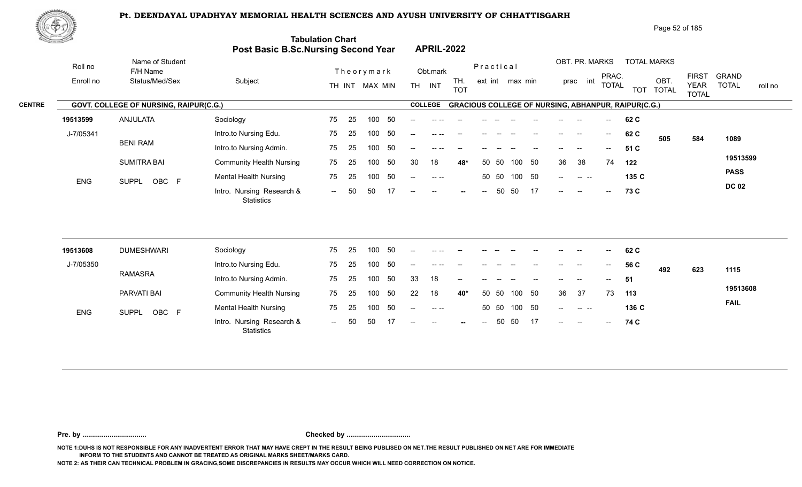

|               | 脚やり        |                                        |                                     |                          |                                                                      |                        | Page 52 of 185                                                                                                            |                                         |
|---------------|------------|----------------------------------------|-------------------------------------|--------------------------|----------------------------------------------------------------------|------------------------|---------------------------------------------------------------------------------------------------------------------------|-----------------------------------------|
|               |            |                                        | Post Basic B.Sc.Nursing Second Year | <b>Tabulation Chart</b>  | <b>APRIL-2022</b>                                                    |                        |                                                                                                                           |                                         |
|               | Roll no    | Name of Student<br>F/H Name            |                                     | Theorymark               | Obt.mark                                                             | Practical              | OBT. PR. MARKS<br><b>TOTAL MARKS</b>                                                                                      |                                         |
|               | Enroll no  | Status/Med/Sex                         | Subject                             | MAX MIN<br>TH INT        | TH.<br><b>TH</b><br>INT<br><b>TOT</b>                                | ext int max min        | <b>FIRST</b><br>PRAC.<br>OBT.<br>int<br>prac<br><b>TOTAL</b><br><b>YEAR</b><br><b>TOTAL</b><br><b>TOT</b><br><b>TOTAL</b> | <b>GRAND</b><br><b>TOTAL</b><br>roll no |
| <b>CENTRE</b> |            | GOVT. COLLEGE OF NURSING, RAIPUR(C.G.) |                                     |                          | <b>COLLEGE</b>                                                       |                        | <b>GRACIOUS COLLEGE OF NURSING, ABHANPUR, RAIPUR(C.G.)</b>                                                                |                                         |
|               | 19513599   | ANJULATA                               | Sociology                           | - 50<br>75<br>100<br>-25 |                                                                      |                        | 62 C                                                                                                                      |                                         |
|               | J-7/05341  |                                        | Intro.to Nursing Edu.               | -50<br>75<br>25<br>100   | --                                                                   |                        | 62 C<br>$--$<br>$\hspace{0.05cm}$<br>505<br>584                                                                           | 1089                                    |
|               |            | BENI RAM                               | Intro.to Nursing Admin.             | 50<br>75<br>100<br>-25   | --                                                                   |                        | 51 C<br>$\sim$                                                                                                            |                                         |
|               |            | <b>SUMITRA BAI</b>                     | <b>Community Health Nursing</b>     | 50<br>75<br>25<br>100    | 18<br>30<br>48*                                                      | 50<br>50<br>100<br>50  | 36<br>38<br>74<br>122                                                                                                     | 19513599                                |
|               | <b>ENG</b> | OBC F<br><b>SUPPL</b>                  | <b>Mental Health Nursing</b>        | -50<br>75<br>100<br>-25  | $\begin{array}{cccccccccc} - & & - & & - & - & \end{array}$<br>$- -$ | - 50<br>50 50<br>100   | 135 C<br>$--$<br>$\begin{array}{ccc} - & - & - \end{array}$                                                               | <b>PASS</b>                             |
|               |            |                                        | Intro. Nursing Research &           | 17<br>50<br>50<br>$  \,$ | $--$<br>$\hspace{0.1mm}-\hspace{0.1mm}-\hspace{0.1mm}$<br>$- -$      | 17<br>50<br>50<br>$--$ | 73 C<br>$--$<br>$\sim$<br>$--$                                                                                            | <b>DC 02</b>                            |

| 19513608   | <b>DUMESHWARI</b>     | Sociology                               | 75     | 25  | 100 | 50  | $- -$ | -- --    |                          |                |       |     |       |                                                  | --                       | $- -$                               | 62 C  |     |     |             |
|------------|-----------------------|-----------------------------------------|--------|-----|-----|-----|-------|----------|--------------------------|----------------|-------|-----|-------|--------------------------------------------------|--------------------------|-------------------------------------|-------|-----|-----|-------------|
| J-7/05350  |                       | Intro.to Nursing Edu.                   | 75     | 25  | 100 | 50  | $- -$ | $\cdots$ | $- -$                    | $- -$          |       |     | $- -$ | $- -$                                            | $--$                     | $  \,$                              | 56 C  | 492 | 623 | 1115        |
|            | RAMASRA               | Intro.to Nursing Admin.                 | 75     | -25 | 100 | -50 | 33    | 18       | $\overline{\phantom{a}}$ | $- -$          |       |     | $- -$ | $\overline{\phantom{a}}$                         | $\overline{\phantom{a}}$ | $\mathrel{\mathop{\longleftarrow}}$ | 51    |     |     |             |
|            | PARVATI BAI           | <b>Community Health Nursing</b>         | 75     | -25 | 100 | 50  | 22    | 18       | 40*                      |                | 50 50 | 100 | -50   | -36                                              | - 37                     | 73                                  | 113   |     |     | 19513608    |
| <b>ENG</b> | OBC F<br><b>SUPPL</b> | <b>Mental Health Nursing</b>            | 75     | 25  | 100 | 50  | $--$  | $ -$     |                          |                | 50 50 | 100 | 50    | $\sim$ $\sim$                                    |                          |                                     | 136 C |     |     | <b>FAIL</b> |
|            |                       | Intro. Nursing Research &<br>Statistics | $\sim$ | 50  | 50  |     | $- -$ | $  \,$   | $-$                      | $\overline{a}$ | 50    | -50 | 17    | $\hspace{0.1em} -\hspace{0.1em} -\hspace{0.1em}$ | $\sim$                   | $\sim$                              | 74 C  |     |     |             |

**Pre. by ................................. Checked by .................................**

**NOTE 1:DUHS IS NOT RESPONSIBLE FOR ANY INADVERTENT ERROR THAT MAY HAVE CREPT IN THE RESULT BEING PUBLISED ON NET.THE RESULT PUBLISHED ON NET ARE FOR IMMEDIATE INFORM TO THE STUDENTS AND CANNOT BE TREATED AS ORIGINAL MARKS SHEET/MARKS CARD.**

**NOTE 2: AS THEIR CAN TECHNICAL PROBLEM IN GRACING,SOME DISCREPANCIES IN RESULTS MAY OCCUR WHICH WILL NEED CORRECTION ON NOTICE.**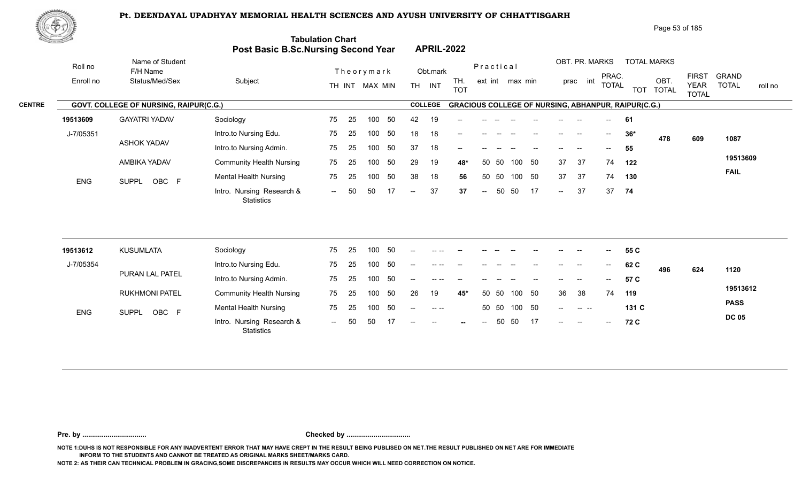

|               | ぷやり        |                                        |                                            |                          |                                       |                                                            | Page 53 of 185                                                |                                                                                        |
|---------------|------------|----------------------------------------|--------------------------------------------|--------------------------|---------------------------------------|------------------------------------------------------------|---------------------------------------------------------------|----------------------------------------------------------------------------------------|
|               |            |                                        | <b>Post Basic B.Sc.Nursing Second Year</b> | <b>Tabulation Chart</b>  | <b>APRIL-2022</b>                     |                                                            |                                                               |                                                                                        |
|               | Roll no    | Name of Student<br>F/H Name            |                                            | Theorymark               | Obt.mark                              | Practical                                                  | OBT. PR. MARKS<br><b>TOTAL MARKS</b>                          |                                                                                        |
|               | Enroll no  | Status/Med/Sex                         | Subject                                    | MAX MIN<br>TH INT        | TH.<br>INT<br><b>TH</b><br><b>TOT</b> | ext int max min                                            | PRAC.<br>OBT<br>int<br>prac<br><b>TOTAL</b><br>TOT TOTAL      | <b>FIRST</b><br><b>GRAND</b><br><b>TOTAL</b><br><b>YEAR</b><br>roll no<br><b>TOTAL</b> |
| <b>CENTRE</b> |            | GOVT. COLLEGE OF NURSING, RAIPUR(C.G.) |                                            |                          | <b>COLLEGE</b>                        | <b>GRACIOUS COLLEGE OF NURSING, ABHANPUR, RAIPUR(C.G.)</b> |                                                               |                                                                                        |
|               | 19513609   | <b>GAYATRI YADAV</b>                   | Sociology                                  | 50<br>75<br>25<br>100    | 42<br>19<br>$- -$                     |                                                            | 61<br>$\sim$                                                  |                                                                                        |
|               | J-7/05351  |                                        | Intro.to Nursing Edu.                      | 75<br>25<br>50<br>100    | 18<br>18<br>$- -$                     |                                                            | $36*$<br>$\overline{\phantom{a}}$<br>$\hspace{0.05cm}$<br>478 | 609<br>1087                                                                            |
|               |            | <b>ASHOK YADAV</b>                     | Intro.to Nursing Admin.                    | 50<br>75<br>100<br>-25   | 37<br>18<br>--                        |                                                            | 55<br>--                                                      |                                                                                        |
|               |            | AMBIKA YADAV                           | <b>Community Health Nursing</b>            | 50<br>75<br>25<br>100    | 29<br>19<br>48*                       | 50<br>37<br>50<br>100<br>50                                | 37<br>74<br>122                                               | 19513609                                                                               |
|               | <b>ENG</b> | OBC F<br><b>SUPPL</b>                  | <b>Mental Health Nursing</b>               | 50<br>75<br>100<br>-25   | 38<br>18<br>56                        | 50<br>37<br>-50<br>50<br>100                               | 37<br>74<br>130                                               | <b>FAIL</b>                                                                            |
|               |            |                                        | Intro. Nursing Research &                  | 17<br>50<br>50<br>$  \,$ | 37<br>37<br>$\sim$ $-$                | 17<br>50<br>50<br>$--$<br>$\sim$ $-$                       | 37<br>37<br>74                                                |                                                                                        |

| 19513612   | KUSUMLATA             | Sociology                                      | 75  | -25 | 100 |     | $\overline{a}$ |           | $- -$  | $- -$ |       |        | $- -$ | $- -$         | $- -$                    | $\overline{\phantom{a}}$                            | 55 C  |     |     |              |
|------------|-----------------------|------------------------------------------------|-----|-----|-----|-----|----------------|-----------|--------|-------|-------|--------|-------|---------------|--------------------------|-----------------------------------------------------|-------|-----|-----|--------------|
| J-7/05354  |                       | Intro.to Nursing Edu.                          | 75  | -25 | 100 |     | $\overline{a}$ |           | $- -$  | $- -$ |       |        | $- -$ | $- -$         | $- -$                    | $\hspace{0.05cm} -\hspace{0.05cm} -\hspace{0.05cm}$ | 62 C  | 496 | 624 | 1120         |
|            | PURAN LAL PATEL       | Intro.to Nursing Admin.                        | 75  | -25 | 100 | -50 | $-$            |           | $- -$  |       |       |        |       | $\frac{1}{2}$ | $\overline{\phantom{a}}$ | $\overline{\phantom{a}}$                            | 57 C  |     |     |              |
|            | <b>RUKHMONI PATEL</b> | <b>Community Health Nursing</b>                | 75  | -25 | 100 | -50 | 26             | 19        | 45*    | 50    | - 50  | 100 50 |       | 36            | -38                      | 74                                                  | 119   |     |     | 19513612     |
| <b>ENG</b> | OBC F<br><b>SUPPL</b> | <b>Mental Health Nursing</b>                   | 75  | 25  | 100 | -50 | $- -$          | $- - - -$ |        |       | 50 50 | 100 50 |       | $\sim$ $\sim$ |                          |                                                     | 131 C |     |     | <b>PASS</b>  |
|            |                       | Intro. Nursing Research &<br><b>Statistics</b> | $-$ | -50 | 50  |     | $- -$          | $\sim$    | $\sim$ | $- -$ | 50    | -50    | 17    | $--$          | $- -$                    | $\mathbf{u}$                                        | 72 C  |     |     | <b>DC 05</b> |

**Pre. by ................................. Checked by .................................**

**NOTE 1:DUHS IS NOT RESPONSIBLE FOR ANY INADVERTENT ERROR THAT MAY HAVE CREPT IN THE RESULT BEING PUBLISED ON NET.THE RESULT PUBLISHED ON NET ARE FOR IMMEDIATE INFORM TO THE STUDENTS AND CANNOT BE TREATED AS ORIGINAL MARKS SHEET/MARKS CARD.**

**NOTE 2: AS THEIR CAN TECHNICAL PROBLEM IN GRACING,SOME DISCREPANCIES IN RESULTS MAY OCCUR WHICH WILL NEED CORRECTION ON NOTICE.**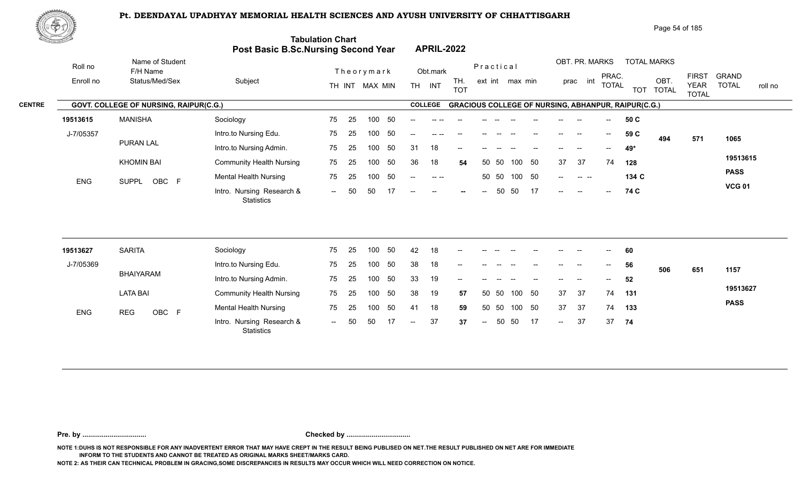

|               | 脚やり        |                                        |                                     |                          |                                                                      |                        | Page 54 of 185                                                             |                                                                                        |
|---------------|------------|----------------------------------------|-------------------------------------|--------------------------|----------------------------------------------------------------------|------------------------|----------------------------------------------------------------------------|----------------------------------------------------------------------------------------|
|               |            |                                        | Post Basic B.Sc.Nursing Second Year | <b>Tabulation Chart</b>  | <b>APRIL-2022</b>                                                    |                        |                                                                            |                                                                                        |
|               | Roll no    | Name of Student<br>F/H Name            |                                     | Theorymark               | Obt.mark                                                             | Practical              | OBT. PR. MARKS<br><b>TOTAL MARKS</b>                                       |                                                                                        |
|               | Enroll no  | Status/Med/Sex                         | Subject                             | MAX MIN<br>TH INT        | TH.<br><b>TH</b><br>INT<br><b>TOT</b>                                | ext int max min        | PRAC.<br>OBT.<br>int<br>prac<br><b>TOTAL</b><br><b>TOTAL</b><br><b>TOT</b> | <b>FIRST</b><br><b>GRAND</b><br><b>TOTAL</b><br><b>YEAR</b><br>roll no<br><b>TOTAL</b> |
| <b>CENTRE</b> |            | GOVT. COLLEGE OF NURSING, RAIPUR(C.G.) |                                     |                          | <b>COLLEGE</b>                                                       |                        | <b>GRACIOUS COLLEGE OF NURSING, ABHANPUR, RAIPUR(C.G.)</b>                 |                                                                                        |
|               | 19513615   | <b>MANISHA</b>                         | Sociology                           | - 50<br>75<br>100<br>-25 |                                                                      |                        | 50 C                                                                       |                                                                                        |
|               | J-7/05357  |                                        | Intro.to Nursing Edu.               | -50<br>75<br>25<br>100   | $-$                                                                  |                        | 59 C<br>$--$<br>$\hspace{0.05cm}$<br>494                                   | 571<br>1065                                                                            |
|               |            | <b>PURAN LAL</b>                       | Intro.to Nursing Admin.             | -50<br>75<br>25<br>100   | 18<br>31<br>--                                                       |                        | 49*<br>--                                                                  |                                                                                        |
|               |            | <b>KHOMIN BAI</b>                      | <b>Community Health Nursing</b>     | 50<br>75<br>25<br>100    | 36<br>18<br>54                                                       | 50<br>50<br>100<br>50  | 37<br>37<br>74<br>128                                                      | 19513615                                                                               |
|               | <b>ENG</b> | OBC F<br><b>SUPPL</b>                  | <b>Mental Health Nursing</b>        | -50<br>75<br>100<br>-25  | $\begin{array}{cccccccccc} - & & - & & - & - & \end{array}$<br>$- -$ | - 50<br>50 50<br>100   | 134 C<br>$--$<br>$\begin{array}{ccc} - & - & - \end{array}$                | <b>PASS</b>                                                                            |
|               |            |                                        | Intro. Nursing Research &           | 17<br>50<br>50<br>$  \,$ | $--$<br>$\hspace{0.1mm}-\hspace{0.1mm}-\hspace{0.1mm}$<br>$- -$      | 17<br>50<br>50<br>$--$ | 74 C<br>$--$<br>$-$<br>$--$                                                | <b>VCG 01</b>                                                                          |

| 19513627   | <b>SARITA</b>       | Sociology                                      | 75  | -25 | 100 | 50  | 42     | 18 | $- -$ |       |       |                                                |       | --    |       | $\overline{\phantom{a}}$   | 60  |     |     |             |
|------------|---------------------|------------------------------------------------|-----|-----|-----|-----|--------|----|-------|-------|-------|------------------------------------------------|-------|-------|-------|----------------------------|-----|-----|-----|-------------|
| J-7/05369  |                     | Intro.to Nursing Edu.                          | 75  | 25  | 100 | 50  | 38     | 18 | $- -$ |       |       |                                                |       | --    | $- -$ | $--$                       | 56  | 506 | 651 | 1157        |
|            | BHAIYARAM           | Intro.to Nursing Admin.                        | 75  | 25  | 100 | 50  | 33     | 19 | $- -$ | $- -$ | $- -$ | $\hspace{0.1mm}-\hspace{0.1mm}-\hspace{0.1mm}$ | $- -$ | $- -$ | $-$   | $\mathcal{L}(\mathcal{L})$ | 52  |     |     |             |
|            | <b>LATA BAI</b>     | <b>Community Health Nursing</b>                | 75  | -25 | 100 | -50 | 38     | 19 | 57    |       | 50 50 | 100 50                                         |       | 37    | 37    | 74                         | 131 |     |     | 19513627    |
| <b>ENG</b> | OBC F<br><b>REG</b> | <b>Mental Health Nursing</b>                   | 75  | 25  | 100 | 50  | 41     | 18 | 59    |       | 50 50 | 100 50                                         |       | 37    | 37    | 74                         | 133 |     |     | <b>PASS</b> |
|            |                     | Intro. Nursing Research &<br><b>Statistics</b> | $-$ | 50  | 50  | 17  | $\sim$ | 37 | 37    | $---$ | 50    | - 50                                           | -17   | $--$  | 37    | 37                         | 74  |     |     |             |

**Pre. by ................................. Checked by .................................**

**NOTE 1:DUHS IS NOT RESPONSIBLE FOR ANY INADVERTENT ERROR THAT MAY HAVE CREPT IN THE RESULT BEING PUBLISED ON NET.THE RESULT PUBLISHED ON NET ARE FOR IMMEDIATE INFORM TO THE STUDENTS AND CANNOT BE TREATED AS ORIGINAL MARKS SHEET/MARKS CARD.**

**NOTE 2: AS THEIR CAN TECHNICAL PROBLEM IN GRACING,SOME DISCREPANCIES IN RESULTS MAY OCCUR WHICH WILL NEED CORRECTION ON NOTICE.**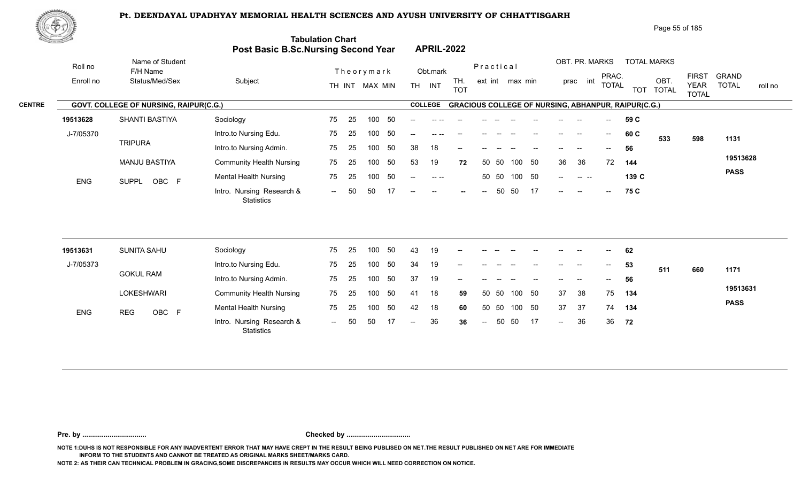

|               | 心やり        |                                               |                                            |                         |                |      |                   |                                                                                                                                                                                                                                                                                                                                                                                              |                   |           |       |                 |    |      |                          |                          |                                                            | Page 55 of 185     |                                             |                              |         |
|---------------|------------|-----------------------------------------------|--------------------------------------------|-------------------------|----------------|------|-------------------|----------------------------------------------------------------------------------------------------------------------------------------------------------------------------------------------------------------------------------------------------------------------------------------------------------------------------------------------------------------------------------------------|-------------------|-----------|-------|-----------------|----|------|--------------------------|--------------------------|------------------------------------------------------------|--------------------|---------------------------------------------|------------------------------|---------|
|               |            |                                               | <b>Post Basic B.Sc.Nursing Second Year</b> | <b>Tabulation Chart</b> |                |      |                   | <b>APRIL-2022</b>                                                                                                                                                                                                                                                                                                                                                                            |                   |           |       |                 |    |      |                          |                          |                                                            |                    |                                             |                              |         |
|               | Roll no    | Name of Student<br>F/H Name                   |                                            |                         | Theorymark     |      |                   | Obt.mark                                                                                                                                                                                                                                                                                                                                                                                     |                   | Practical |       |                 |    |      | OBT. PR. MARKS           |                          |                                                            | <b>TOTAL MARKS</b> |                                             |                              |         |
|               | Enroll no  | Status/Med/Sex                                | Subject                                    |                         | TH INT MAX MIN |      | <b>TH</b>         | INT                                                                                                                                                                                                                                                                                                                                                                                          | TH.<br><b>TOT</b> |           |       | ext int max min |    | prac | int                      | PRAC.<br><b>TOTAL</b>    |                                                            | OBT.<br>TOT TOTAL  | <b>FIRST</b><br><b>YEAR</b><br><b>TOTAL</b> | <b>GRAND</b><br><b>TOTAL</b> | roll no |
| <b>CENTRE</b> |            | <b>GOVT. COLLEGE OF NURSING, RAIPUR(C.G.)</b> |                                            |                         |                |      |                   | <b>COLLEGE</b>                                                                                                                                                                                                                                                                                                                                                                               |                   |           |       |                 |    |      |                          |                          | <b>GRACIOUS COLLEGE OF NURSING, ABHANPUR, RAIPUR(C.G.)</b> |                    |                                             |                              |         |
|               | 19513628   | SHANTI BASTIYA                                | Sociology                                  | 75                      | -25<br>100     | - 50 | --                |                                                                                                                                                                                                                                                                                                                                                                                              |                   |           |       |                 |    |      |                          |                          | 59 C                                                       |                    |                                             |                              |         |
|               | J-7/05370  |                                               | Intro.to Nursing Edu.                      | 75                      | 100<br>-25     | -50  | $- -$             |                                                                                                                                                                                                                                                                                                                                                                                              |                   |           |       |                 |    |      | $\hspace{0.05cm}$        | $\overline{\phantom{a}}$ | 60 C                                                       | 533                | 598                                         | 1131                         |         |
|               |            | <b>TRIPURA</b>                                | Intro.to Nursing Admin.                    | 75                      | 100<br>-25     | 50   | 38                | 18                                                                                                                                                                                                                                                                                                                                                                                           | $-$               |           |       |                 |    |      |                          |                          | 56                                                         |                    |                                             |                              |         |
|               |            | MANJU BASTIYA                                 | <b>Community Health Nursing</b>            | 75                      | 25<br>100      | 50   | 53                | 19                                                                                                                                                                                                                                                                                                                                                                                           | 72                |           | 50 50 | 100             | 50 | 36   | 36                       | 72                       | 144                                                        |                    |                                             | 19513628                     |         |
|               | <b>ENG</b> | OBC F<br><b>SUPPL</b>                         | <b>Mental Health Nursing</b>               | 75                      | 25<br>100      | 50   | $- -$             | $\frac{1}{2} \frac{1}{2} \frac{1}{2} \frac{1}{2} \frac{1}{2} \frac{1}{2} \frac{1}{2} \frac{1}{2} \frac{1}{2} \frac{1}{2} \frac{1}{2} \frac{1}{2} \frac{1}{2} \frac{1}{2} \frac{1}{2} \frac{1}{2} \frac{1}{2} \frac{1}{2} \frac{1}{2} \frac{1}{2} \frac{1}{2} \frac{1}{2} \frac{1}{2} \frac{1}{2} \frac{1}{2} \frac{1}{2} \frac{1}{2} \frac{1}{2} \frac{1}{2} \frac{1}{2} \frac{1}{2} \frac{$ |                   |           | 50 50 | 100 50          |    | $-$  | <b>Contract Contract</b> |                          | 139 C                                                      |                    |                                             | <b>PASS</b>                  |         |
|               |            |                                               | Intro. Nursing Research &<br>Statistics    | $\sim$                  | 50<br>50       | 17   | $\qquad \qquad -$ | $\sim$                                                                                                                                                                                                                                                                                                                                                                                       | $\sim$            | $--$      | 50    | 50              | 17 | $--$ | $\sim$                   | $--$                     | 75 C                                                       |                    |                                             |                              |         |

| 19513631   | <b>SUNITA SAHU</b>  | Sociology                                      | 75     | -25 | 100 | -50 | 43             | 19 | $- -$                                          |                                       |       |        |       |        |        | $--$                     | 62  |     |     |             |
|------------|---------------------|------------------------------------------------|--------|-----|-----|-----|----------------|----|------------------------------------------------|---------------------------------------|-------|--------|-------|--------|--------|--------------------------|-----|-----|-----|-------------|
| J-7/05373  |                     | Intro.to Nursing Edu.                          | 75     | 25  | 100 | 50  | 34             | 19 | $\hspace{0.1mm}-\hspace{0.1mm}-\hspace{0.1mm}$ | $\hspace{0.05cm}$ – $\hspace{0.05cm}$ |       |        | $-$   | $- -$  | $- -$  | $\overline{\phantom{a}}$ | 53  | 511 | 660 | 1171        |
|            | <b>GOKUL RAM</b>    | Intro.to Nursing Admin.                        | 75     | 25  | 100 | -50 | 37             | 19 | $\overline{\phantom{a}}$                       | $- -$                                 | $- -$ | $- -$  | $- -$ | $- -$  | $\sim$ | $\overline{\phantom{a}}$ | 56  |     |     |             |
|            | LOKESHWARI          | <b>Community Health Nursing</b>                | 75     | -25 | 100 | -50 | 41             | 18 | 59                                             | 50 50                                 |       | 100 50 |       | 37     | 38     | 75                       | 134 |     |     | 19513631    |
| <b>ENG</b> | OBC F<br><b>REG</b> | <b>Mental Health Nursing</b>                   | 75     | -25 | 100 | -50 | 42             | 18 | 60                                             |                                       | 50 50 | 100 50 |       | 37     | -37    | 74                       | 134 |     |     | <b>PASS</b> |
|            |                     | Intro. Nursing Research &<br><b>Statistics</b> | $\sim$ | 50  | 50  |     | $\overline{a}$ | 36 | 36                                             | $\sim$                                | 50 50 |        | 17    | $\sim$ | 36     | 36                       | 72  |     |     |             |

**Pre. by ................................. Checked by .................................**

**NOTE 1:DUHS IS NOT RESPONSIBLE FOR ANY INADVERTENT ERROR THAT MAY HAVE CREPT IN THE RESULT BEING PUBLISED ON NET.THE RESULT PUBLISHED ON NET ARE FOR IMMEDIATE INFORM TO THE STUDENTS AND CANNOT BE TREATED AS ORIGINAL MARKS SHEET/MARKS CARD.**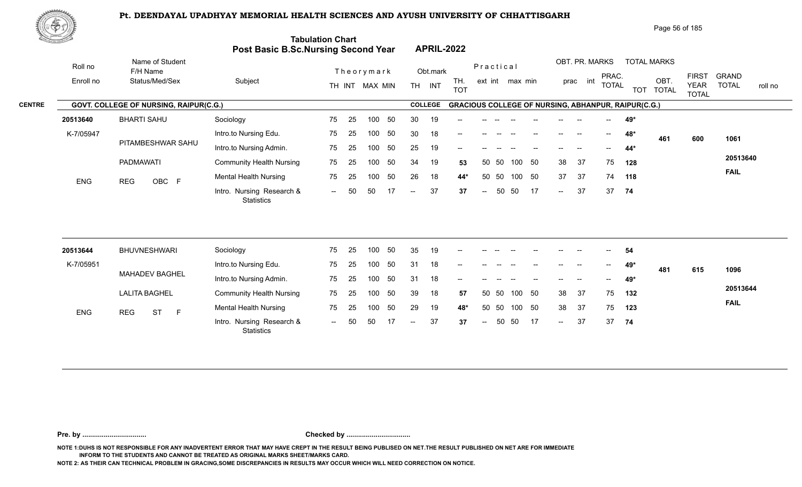

|               | ₩やヷ        |                                        |                                            |                         |                |            |                |                   |                                                            |          |    |                                       |                   |                          |       | Page 56 of 185     |                                             |                              |         |
|---------------|------------|----------------------------------------|--------------------------------------------|-------------------------|----------------|------------|----------------|-------------------|------------------------------------------------------------|----------|----|---------------------------------------|-------------------|--------------------------|-------|--------------------|---------------------------------------------|------------------------------|---------|
|               |            |                                        | <b>Post Basic B.Sc.Nursing Second Year</b> | <b>Tabulation Chart</b> |                |            |                | <b>APRIL-2022</b> |                                                            |          |    |                                       |                   |                          |       |                    |                                             |                              |         |
|               | Roll no    | Name of Student<br>F/H Name            |                                            |                         | Theorymark     |            | Obt.mark       |                   | Practical                                                  |          |    |                                       |                   | OBT. PR. MARKS           |       | <b>TOTAL MARKS</b> |                                             |                              |         |
|               | Enroll no  | Status/Med/Sex                         | Subject                                    |                         | TH INT MAX MIN | <b>TH</b>  | <b>INT</b>     | TH.<br><b>TOT</b> | ext int max min                                            |          |    |                                       | prac int          | PRAC.<br><b>TOTAL</b>    |       | OBT.<br>TOT TOTAL  | <b>FIRST</b><br><b>YEAR</b><br><b>TOTAL</b> | <b>GRAND</b><br><b>TOTAL</b> | roll no |
| <b>CENTRE</b> |            | GOVT. COLLEGE OF NURSING, RAIPUR(C.G.) |                                            |                         |                |            | <b>COLLEGE</b> |                   | <b>GRACIOUS COLLEGE OF NURSING, ABHANPUR, RAIPUR(C.G.)</b> |          |    |                                       |                   |                          |       |                    |                                             |                              |         |
|               | 20513640   | <b>BHARTI SAHU</b>                     | Sociology                                  | 75<br>25                | 100            | 50<br>30   | 19             | $-$               |                                                            |          |    |                                       |                   | $-$                      | 49*   |                    |                                             |                              |         |
|               | K-7/05947  |                                        | Intro.to Nursing Edu.                      | 75<br>25                | 100            | 30<br>50   | 18             | $- -$             | $- -$                                                      | $- -$    |    | $\hspace{0.05cm}$ – $\hspace{0.05cm}$ | $\hspace{0.05cm}$ | $\overline{\phantom{a}}$ | 48*   | 461                | 600                                         | 1061                         |         |
|               |            | PITAMBESHWAR SAHU                      | Intro.to Nursing Admin.                    | 75<br>25                | 100            | 25<br>50   | 19             | $- -$             |                                                            |          |    |                                       |                   |                          | $44*$ |                    |                                             |                              |         |
|               |            | <b>PADMAWATI</b>                       | <b>Community Health Nursing</b>            | 75<br>25                | 100            | 50<br>34   | 19             | 53                | 50 50                                                      | 100      | 50 | 38                                    | 37                | 75                       | 128   |                    |                                             | 20513640                     |         |
|               | <b>ENG</b> | OBC F<br><b>REG</b>                    | Mental Health Nursing                      | 75<br>25                | 100            | 26<br>50   | 18             | 44*               | - 50<br>50                                                 | 100      | 50 | 37                                    | 37                | 74                       | 118   |                    |                                             | <b>FAIL</b>                  |         |
|               |            |                                        | Intro. Nursing Research &<br>Statistics    | 50<br>$--$              | 50             | 17<br>$--$ | 37             | 37                | $\sim$ $-$                                                 | 50<br>50 | 17 | $\sim$                                | 37                |                          | 37 74 |                    |                                             |                              |         |
|               |            |                                        |                                            |                         |                |            |                |                   |                                                            |          |    |                                       |                   |                          |       |                    |                                             |                              |         |

| 20513644   | <b>BHUVNESHWARI</b>          | Sociology                               | 75      | 25 | 100 | -50 | 35             | 19 | $- -$                    |       |       |       |       |                          | --    | $- -$ | 54  |     |     |             |
|------------|------------------------------|-----------------------------------------|---------|----|-----|-----|----------------|----|--------------------------|-------|-------|-------|-------|--------------------------|-------|-------|-----|-----|-----|-------------|
| K-7/05951  |                              | Intro.to Nursing Edu.                   | 75      | 25 | 100 | 50  | 31             | 18 | $- -$                    | --    |       |       |       | $- -$                    | $- -$ | $--$  | 49* | 481 | 615 | 1096        |
|            | MAHADEV BAGHEL               | Intro.to Nursing Admin.                 | 75      | 25 | 100 | 50  | 31             | 18 | $\overline{\phantom{a}}$ | $- -$ | $- -$ | $- -$ | $- -$ | $\overline{\phantom{a}}$ | $- -$ | $--$  | 49* |     |     |             |
|            | <b>LALITA BAGHEL</b>         | <b>Community Health Nursing</b>         | 75      | 25 | 100 | 50  | 39             | 18 | 57                       | 50 50 |       | 100   | -50   | 38                       | - 37  | 75    | 132 |     |     | 20513644    |
| <b>ENG</b> | REG<br><b>ST</b><br><b>1</b> | <b>Mental Health Nursing</b>            | 75      | 25 | 100 | -50 | 29             | 19 | 48*                      | 50 50 |       | 100   | -50   | 38                       | - 37  | 75    | 123 |     |     | <b>FAIL</b> |
|            |                              | Intro. Nursing Research &<br>Statistics | $ \sim$ | 50 | 50  |     | $\overline{a}$ | 37 | 37                       | $--$  | 50    | -50   | 17    | $\sim$                   | 37    | 37    | -74 |     |     |             |

**Pre. by ................................. Checked by .................................**

**NOTE 1:DUHS IS NOT RESPONSIBLE FOR ANY INADVERTENT ERROR THAT MAY HAVE CREPT IN THE RESULT BEING PUBLISED ON NET.THE RESULT PUBLISHED ON NET ARE FOR IMMEDIATE INFORM TO THE STUDENTS AND CANNOT BE TREATED AS ORIGINAL MARKS SHEET/MARKS CARD.**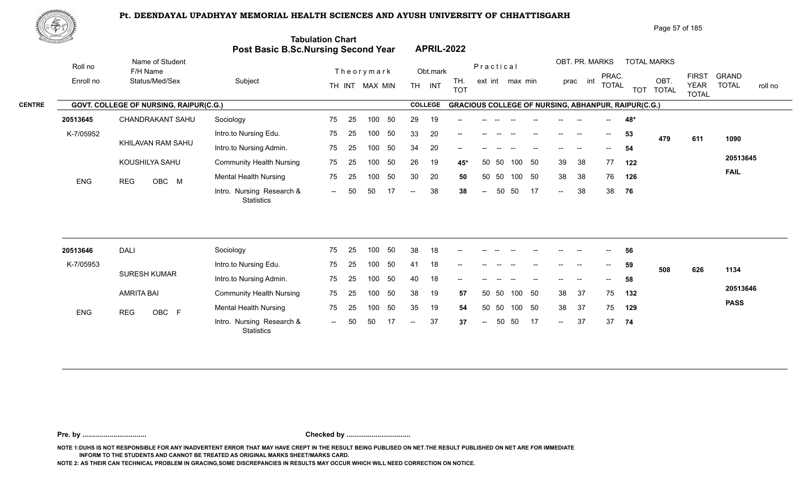

| Page 57 of 185 |
|----------------|
|----------------|

| <u>to Samuel I</u>   |                                               | Post Basic B.Sc.Nursing Second Year            | <b>Tabulation Chart</b> |    |                              |    |                          |                    | <b>APRIL-2022</b>                                          |                          |       |                 |    |        |                            |                                       |     |                            |                             |                                         |
|----------------------|-----------------------------------------------|------------------------------------------------|-------------------------|----|------------------------------|----|--------------------------|--------------------|------------------------------------------------------------|--------------------------|-------|-----------------|----|--------|----------------------------|---------------------------------------|-----|----------------------------|-----------------------------|-----------------------------------------|
| Roll no<br>Enroll no | Name of Student<br>F/H Name<br>Status/Med/Sex | Subject                                        |                         |    | Theorymark<br>TH INT MAX MIN |    |                          | Obt.mark<br>TH INT | TH.                                                        | Practical                |       | ext int max min |    |        | OBT. PR. MARKS<br>prac int | PRAC.<br><b>TOTAL</b>                 |     | <b>TOTAL MARKS</b><br>OBT. | <b>FIRST</b><br><b>YEAR</b> | <b>GRAND</b><br><b>TOTAL</b><br>roll no |
|                      |                                               |                                                |                         |    |                              |    |                          | <b>COLLEGE</b>     | <b>TOT</b>                                                 |                          |       |                 |    |        |                            |                                       |     | TOT TOTAL                  | <b>TOTAL</b>                |                                         |
|                      | GOVT. COLLEGE OF NURSING, RAIPUR(C.G.)        |                                                |                         |    |                              |    |                          |                    | <b>GRACIOUS COLLEGE OF NURSING, ABHANPUR, RAIPUR(C.G.)</b> |                          |       |                 |    |        |                            |                                       |     |                            |                             |                                         |
| 20513645             | CHANDRAKANT SAHU                              | Sociology                                      | 75                      | 25 | 100                          | 50 | 29                       | 19                 |                                                            |                          |       |                 |    |        |                            |                                       | 48* |                            |                             |                                         |
| K-7/05952            | KHILAVAN RAM SAHU                             | Intro.to Nursing Edu.                          | 75                      | 25 | 100                          | 50 | 33                       | 20                 |                                                            |                          |       |                 |    |        |                            | $\hspace{0.05cm}$ – $\hspace{0.05cm}$ | 53  | 479                        | 611                         | 1090                                    |
|                      |                                               | Intro.to Nursing Admin.                        | 75                      | 25 | 100                          | 50 | 34                       | 20                 |                                                            |                          |       |                 |    |        |                            | $- -$                                 | 54  |                            |                             | 20513645                                |
|                      | KOUSHILYA SAHU                                | <b>Community Health Nursing</b>                | 75                      | 25 | 100                          | 50 | 26                       | 19                 | 45*                                                        | 50                       | -50   | 100             | 50 | 39     | 38                         | 77                                    | 122 |                            |                             | <b>FAIL</b>                             |
| <b>ENG</b>           | OBC M<br><b>REG</b>                           | <b>Mental Health Nursing</b>                   | 75                      | 25 | 100                          | 50 | 30                       | 20                 | 50                                                         |                          | 50 50 | 100 50          |    | 38     | 38                         | 76                                    | 126 |                            |                             |                                         |
|                      |                                               | Intro. Nursing Research &<br><b>Statistics</b> | $\sim$ $\sim$           | 50 | 50                           | 17 | $-$                      | 38                 | 38                                                         | $\sim$                   | 50    | 50              | 17 | $\sim$ | 38                         | 38                                    | 76  |                            |                             |                                         |
|                      |                                               |                                                |                         |    |                              |    |                          |                    |                                                            |                          |       |                 |    |        |                            |                                       |     |                            |                             |                                         |
| 20513646             | <b>DALI</b>                                   | Sociology                                      | 75                      | 25 | 100                          | 50 | 38                       | 18                 |                                                            |                          |       |                 |    |        |                            |                                       | 56  |                            |                             |                                         |
| K-7/05953            |                                               | Intro.to Nursing Edu.                          | 75                      | 25 | 100                          | 50 | 41                       | 18                 |                                                            |                          |       |                 |    |        |                            | $\hspace{0.05cm}$ – $\hspace{0.05cm}$ | 59  | 508                        | 626                         | 1134                                    |
|                      | <b>SURESH KUMAR</b>                           | Intro.to Nursing Admin.                        | 75                      | 25 | 100                          | 50 | 40                       | 18                 |                                                            |                          |       |                 |    |        |                            |                                       | 58  |                            |                             |                                         |
|                      | <b>AMRITA BAI</b>                             | <b>Community Health Nursing</b>                | 75                      | 25 | 100                          | 50 | 38                       | 19                 | 57                                                         |                          | 50 50 | 100 50          |    | 38     | 37                         | 75                                    | 132 |                            |                             | 20513646                                |
| ENG                  | <b>REG</b><br>OBC F                           | <b>Mental Health Nursing</b>                   | 75                      | 25 | 100                          | 50 | 35                       | 19                 | 54                                                         |                          | 50 50 | 100 50          |    | 38     | 37                         | 75                                    | 129 |                            |                             | <b>PASS</b>                             |
|                      |                                               | Intro. Nursing Research &<br>Statistics        | $\sim$ $\sim$           | 50 | 50                           |    | $\overline{\phantom{m}}$ | 37                 | 37                                                         | $\overline{\phantom{m}}$ | 50    | 50              | 17 | $\sim$ | 37                         | 37                                    | 74  |                            |                             |                                         |
|                      |                                               |                                                |                         |    |                              |    |                          |                    |                                                            |                          |       |                 |    |        |                            |                                       |     |                            |                             |                                         |

**Pre. by ................................. Checked by .................................**

**NOTE 1:DUHS IS NOT RESPONSIBLE FOR ANY INADVERTENT ERROR THAT MAY HAVE CREPT IN THE RESULT BEING PUBLISED ON NET.THE RESULT PUBLISHED ON NET ARE FOR IMMEDIATE INFORM TO THE STUDENTS AND CANNOT BE TREATED AS ORIGINAL MARKS SHEET/MARKS CARD.**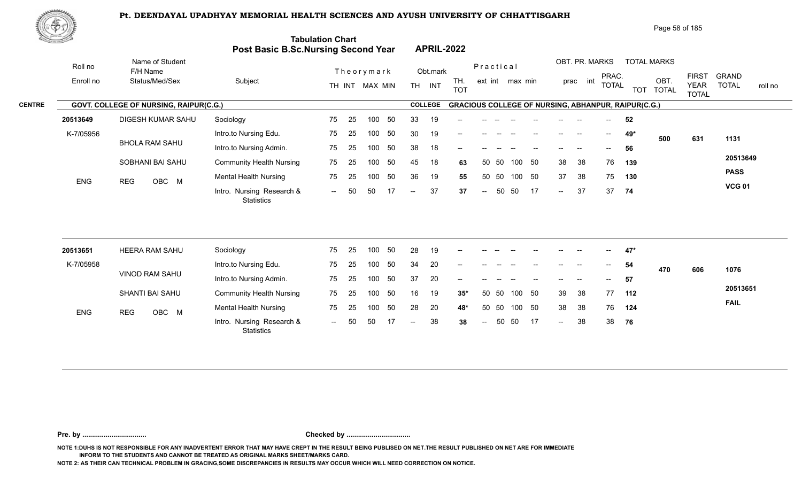

|               | ₩ <del>Ф</del> Ф |                                        |                                            |                                 |                                       | Page 58 of 185                                                                                                                                                         |
|---------------|------------------|----------------------------------------|--------------------------------------------|---------------------------------|---------------------------------------|------------------------------------------------------------------------------------------------------------------------------------------------------------------------|
|               |                  |                                        | <b>Post Basic B.Sc.Nursing Second Year</b> | <b>Tabulation Chart</b>         | <b>APRIL-2022</b>                     |                                                                                                                                                                        |
|               | Roll no          | Name of Student<br>F/H Name            |                                            | Theorymark                      | Obt.mark                              | OBT. PR. MARKS<br><b>TOTAL MARKS</b><br>Practical                                                                                                                      |
|               | Enroll no        | Status/Med/Sex                         | Subject                                    | TH INT MAX MIN                  | TH.<br><b>TH</b><br>INT<br><b>TOT</b> | <b>FIRST</b><br><b>GRAND</b><br>PRAC.<br>OBT.<br>int<br>ext int max min<br>prac<br><b>TOTAL</b><br><b>TOTAL</b><br><b>YEAR</b><br>roll no<br>TOT TOTAL<br><b>TOTAL</b> |
| <b>CENTRE</b> |                  | GOVT. COLLEGE OF NURSING, RAIPUR(C.G.) |                                            |                                 | <b>COLLEGE</b>                        | <b>GRACIOUS COLLEGE OF NURSING, ABHANPUR, RAIPUR(C.G.)</b>                                                                                                             |
|               | 20513649         | DIGESH KUMAR SAHU                      | Sociology                                  | 25<br>50<br>75<br>100           | 33<br>19<br>$\qquad \qquad -$         | 52<br>$--$                                                                                                                                                             |
|               | K-7/05956        |                                        | Intro.to Nursing Edu.                      | 75<br>50<br>25<br>100           | 30<br>19<br>$-$                       | 49*<br>$- -$<br>500<br>631<br>1131                                                                                                                                     |
|               |                  | <b>BHOLA RAM SAHU</b>                  | Intro.to Nursing Admin.                    | 75<br>25<br>50<br>100           | 38<br>18<br>$\qquad \qquad -$         | 56<br>$- -$                                                                                                                                                            |
|               |                  | SOBHANI BAI SAHU                       | <b>Community Health Nursing</b>            | 75<br>50<br>25<br>100           | 45<br>18<br>63                        | 20513649<br>50<br>38<br>38<br>76<br>50 50<br>100<br>139                                                                                                                |
|               | <b>ENG</b>       | OBC M<br><b>REG</b>                    | <b>Mental Health Nursing</b>               | 50<br>75<br>25<br>100           | 36<br>19<br>55                        | <b>PASS</b><br>37<br>38<br>50 50<br>50<br>75<br>100<br>130                                                                                                             |
|               |                  |                                        | Intro. Nursing Research &<br>Statistics    | 50<br>17<br>50<br>$\sim$ $\sim$ | 37<br>37<br>$--$                      | <b>VCG 01</b><br>37<br>17<br>50<br>37<br>- 50<br>74<br>$\sim$<br>$\sim$ $-$                                                                                            |

| 20513651   | <b>HEERA RAM SAHU</b> | Sociology                                      | 75  | 25  | 100 | -50 | 28     | 19 | $- -$ |       |       |     |      |                                                | --    | --            | $47*$ |     |     |             |
|------------|-----------------------|------------------------------------------------|-----|-----|-----|-----|--------|----|-------|-------|-------|-----|------|------------------------------------------------|-------|---------------|-------|-----|-----|-------------|
| K-7/05958  |                       | Intro.to Nursing Edu.                          | 75  | 25  | 100 | 50  | 34     | 20 |       |       |       |     |      |                                                | --    | $- -$         | 54    | 470 | 606 | 1076        |
|            | <b>VINOD RAM SAHU</b> | Intro.to Nursing Admin.                        | 75  | -25 | 100 | -50 | 37     | 20 | $- -$ | $- -$ |       |     | --   | $\hspace{0.1mm}-\hspace{0.1mm}-\hspace{0.1mm}$ | $- -$ | $\sim$ $\sim$ | 57    |     |     |             |
|            | SHANTI BAI SAHU       | <b>Community Health Nursing</b>                | 75  | -25 | 100 | -50 | 16     | 19 | $35*$ |       | 50 50 | 100 | - 50 | -39                                            | - 38  | 77            | 112   |     |     | 20513651    |
| <b>ENG</b> | OBC M<br><b>REG</b>   | <b>Mental Health Nursing</b>                   | 75  | 25  | 100 | -50 | 28     | 20 | 48*   |       | 50 50 | 100 | -50  | 38                                             | -38   | 76            | 124   |     |     | <b>FAIL</b> |
|            |                       | Intro. Nursing Research &<br><b>Statistics</b> | $-$ | 50  | .50 |     | $\sim$ | 38 | 38    | $--$  | 50    | -50 | 17   | $\sim$ $\sim$                                  | 38    | 38            | 76    |     |     |             |

**Pre. by ................................. Checked by .................................**

**NOTE 1:DUHS IS NOT RESPONSIBLE FOR ANY INADVERTENT ERROR THAT MAY HAVE CREPT IN THE RESULT BEING PUBLISED ON NET.THE RESULT PUBLISHED ON NET ARE FOR IMMEDIATE INFORM TO THE STUDENTS AND CANNOT BE TREATED AS ORIGINAL MARKS SHEET/MARKS CARD.**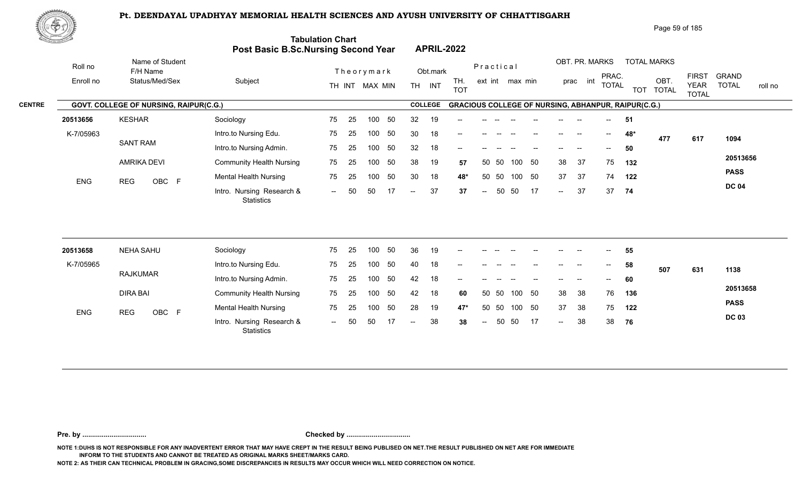

| Page 59 of 185 |  |  |
|----------------|--|--|
|                |  |  |

| <u>tan masara</u> |            |                                        | Post Basic B.Sc.Nursing Second Year            | <b>Tabulation Chart</b> |    |                |    |                |                | <b>APRIL-2022</b> |                          |       |                 |    |               |                |                                       |                                                            |                    |                             |              |         |
|-------------------|------------|----------------------------------------|------------------------------------------------|-------------------------|----|----------------|----|----------------|----------------|-------------------|--------------------------|-------|-----------------|----|---------------|----------------|---------------------------------------|------------------------------------------------------------|--------------------|-----------------------------|--------------|---------|
|                   | Roll no    | Name of Student<br>F/H Name            |                                                |                         |    | Theorymark     |    |                | Obt.mark       |                   | Practical                |       |                 |    |               | OBT. PR. MARKS | PRAC.                                 |                                                            | <b>TOTAL MARKS</b> | <b>FIRST</b>                | <b>GRAND</b> |         |
|                   | Enroll no  | Status/Med/Sex                         | Subject                                        |                         |    | TH INT MAX MIN |    |                | TH INT         | TH.<br><b>TOT</b> |                          |       | ext int max min |    |               | prac int       | <b>TOTAL</b>                          |                                                            | OBT.<br>TOT TOTAL  | <b>YEAR</b><br><b>TOTAL</b> | <b>TOTAL</b> | roll no |
| <b>CENTRE</b>     |            | GOVT. COLLEGE OF NURSING, RAIPUR(C.G.) |                                                |                         |    |                |    |                | <b>COLLEGE</b> |                   |                          |       |                 |    |               |                |                                       | <b>GRACIOUS COLLEGE OF NURSING, ABHANPUR, RAIPUR(C.G.)</b> |                    |                             |              |         |
|                   | 20513656   | <b>KESHAR</b>                          | Sociology                                      | 75                      | 25 | 100            | 50 | 32             | 19             |                   |                          |       |                 |    |               |                |                                       | 51                                                         |                    |                             |              |         |
|                   | K-7/05963  |                                        | Intro.to Nursing Edu.                          | 75                      | 25 | 100            | 50 | 30             | 18             | --                |                          |       |                 |    |               |                | $\hspace{0.05cm}$ – $\hspace{0.05cm}$ | 48*                                                        | 477                | 617                         | 1094         |         |
|                   |            | <b>SANT RAM</b>                        | Intro.to Nursing Admin.                        | 75                      | 25 | 100            | 50 | 32             | 18             | --                |                          |       |                 |    |               |                | $- -$                                 | 50                                                         |                    |                             |              |         |
|                   |            | <b>AMRIKA DEVI</b>                     | <b>Community Health Nursing</b>                | 75                      | 25 | 100            | 50 | 38             | 19             | 57                |                          | 50 50 | 100             | 50 | 38            | 37             | 75                                    | 132                                                        |                    |                             | 20513656     |         |
|                   | ENG        | OBC F<br><b>REG</b>                    | <b>Mental Health Nursing</b>                   | 75                      | 25 | 100            | 50 | 30             | 18             | 48*               | 50                       | 50    | 100             | 50 | 37            | 37             | 74                                    | 122                                                        |                    |                             | <b>PASS</b>  |         |
|                   |            |                                        | Intro. Nursing Research &<br><b>Statistics</b> | $\sim$                  | 50 | 50             | 17 | $\overline{a}$ | 37             | 37                | $\overline{\phantom{a}}$ | 50    | 50              | 17 | $\sim$        | 37             | 37                                    | 74                                                         |                    |                             | <b>DC 04</b> |         |
|                   |            |                                        |                                                |                         |    |                |    |                |                |                   |                          |       |                 |    |               |                |                                       |                                                            |                    |                             |              |         |
|                   | 20513658   | <b>NEHA SAHU</b>                       | Sociology                                      | 75                      | 25 | 100            | 50 | 36             | 19             |                   |                          |       |                 |    |               |                |                                       | 55                                                         |                    |                             |              |         |
|                   | K-7/05965  |                                        | Intro.to Nursing Edu.                          | 75                      | 25 | 100            | 50 | 40             | 18             | --                |                          |       |                 |    |               |                | $\hspace{0.05cm}$ – $\hspace{0.05cm}$ | 58                                                         | 507                | 631                         | 1138         |         |
|                   |            | <b>RAJKUMAR</b>                        | Intro.to Nursing Admin.                        | 75                      | 25 | 100            | 50 | 42             | 18             |                   |                          |       |                 |    |               |                |                                       | 60                                                         |                    |                             |              |         |
|                   |            | <b>DIRA BAI</b>                        | <b>Community Health Nursing</b>                | 75                      | 25 | 100            | 50 | 42             | 18             | 60                | 50                       | 50    | 100             | 50 | 38            | 38             | 76                                    | 136                                                        |                    |                             | 20513658     |         |
|                   | <b>ENG</b> | OBC F<br><b>REG</b>                    | <b>Mental Health Nursing</b>                   | 75                      | 25 | 100            | 50 | 28             | 19             | 47*               | 50                       | 50    | 100             | 50 | 37            | 38             | 75                                    | 122                                                        |                    |                             | <b>PASS</b>  |         |
|                   |            |                                        | Intro. Nursing Research &<br><b>Statistics</b> | $\sim$ $\sim$           | 50 | 50             | 17 | $-$            | 38             | 38                | $\overline{\phantom{m}}$ | 50    | 50              | 17 | $\sim$ $\sim$ | 38             | 38                                    | 76                                                         |                    |                             | <b>DC 03</b> |         |
|                   |            |                                        |                                                |                         |    |                |    |                |                |                   |                          |       |                 |    |               |                |                                       |                                                            |                    |                             |              |         |

**Pre. by ................................. Checked by .................................**

**NOTE 1:DUHS IS NOT RESPONSIBLE FOR ANY INADVERTENT ERROR THAT MAY HAVE CREPT IN THE RESULT BEING PUBLISED ON NET.THE RESULT PUBLISHED ON NET ARE FOR IMMEDIATE INFORM TO THE STUDENTS AND CANNOT BE TREATED AS ORIGINAL MARKS SHEET/MARKS CARD.**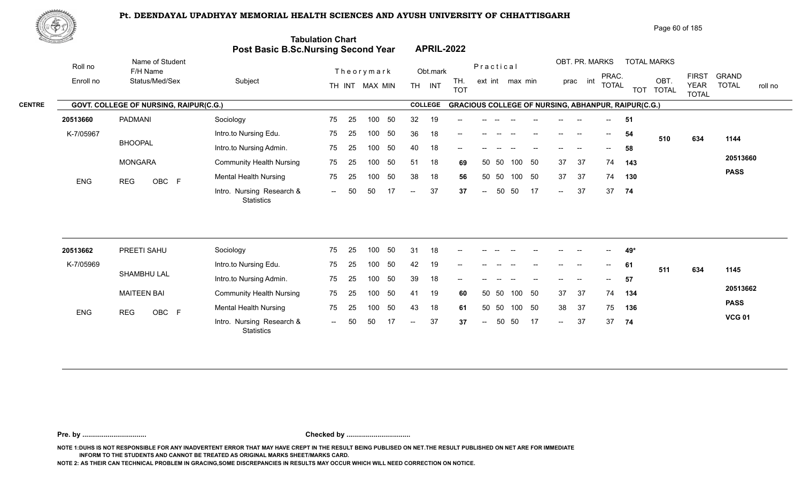

| 東中央           |            |                                        |                                            |                                  |                                                          | Page 60 of 185                                                                                                                                                       |
|---------------|------------|----------------------------------------|--------------------------------------------|----------------------------------|----------------------------------------------------------|----------------------------------------------------------------------------------------------------------------------------------------------------------------------|
|               |            |                                        | <b>Post Basic B.Sc.Nursing Second Year</b> | <b>Tabulation Chart</b>          | <b>APRIL-2022</b>                                        |                                                                                                                                                                      |
|               | Roll no    | Name of Student<br>F/H Name            |                                            | Theorymark                       | Practical<br>Obt.mark                                    | OBT. PR. MARKS<br><b>TOTAL MARKS</b>                                                                                                                                 |
|               | Enroll no  | Status/Med/Sex                         | Subject                                    | TH INT MAX MIN                   | TH.<br>ext int max min<br><b>TH</b><br>INT<br><b>TOT</b> | <b>FIRST</b><br><b>GRAND</b><br>PRAC.<br>int<br>OBT.<br>prac<br><b>TOTAL</b><br><b>TOTAL</b><br><b>YEAR</b><br>roll no<br><b>TOT</b><br><b>TOTAL</b><br><b>TOTAL</b> |
| <b>CENTRE</b> |            | GOVT. COLLEGE OF NURSING, RAIPUR(C.G.) |                                            |                                  | <b>COLLEGE</b>                                           | <b>GRACIOUS COLLEGE OF NURSING, ABHANPUR, RAIPUR(C.G.)</b>                                                                                                           |
|               | 20513660   | PADMANI                                | Sociology                                  | 75<br>25<br>50<br>100            | 32<br>19<br>--                                           | 51<br>$- -$                                                                                                                                                          |
|               | K-7/05967  |                                        | Intro.to Nursing Edu.                      | 75<br>25<br>50<br>100            | 36<br>18<br>$- -$<br>$\hspace{0.05cm}$                   | 54<br>$\overline{\phantom{a}}$<br>$- -$<br>--<br>634<br>510<br>1144                                                                                                  |
|               |            | <b>BHOOPAL</b>                         | Intro.to Nursing Admin.                    | 50<br>75<br>25<br>100            | 18<br>40<br>--                                           | 58<br>$\overline{\phantom{a}}$                                                                                                                                       |
|               |            | <b>MONGARA</b>                         | <b>Community Health Nursing</b>            | 75<br>25<br>50<br>100            | 51<br>18<br>- 50<br>50 50<br>100<br>69                   | 20513660<br>37<br>37<br>74<br>143                                                                                                                                    |
|               | <b>ENG</b> | OBC F<br><b>REG</b>                    | Mental Health Nursing                      | 50<br>75<br>25<br>100            | 38<br>18<br>50 50<br>100<br>- 50<br>56                   | <b>PASS</b><br>37<br>37<br>74<br>130                                                                                                                                 |
|               |            |                                        | Intro. Nursing Research &<br>Statistics    | -50<br>50<br>17<br>$\sim$ $\sim$ | 37<br>17<br>50<br>50<br>37<br>$\sim$<br>$\sim$           | 37<br>37<br>74<br>$\sim$                                                                                                                                             |
|               |            |                                        |                                            |                                  |                                                          |                                                                                                                                                                      |

| 20513662   | PREETI SAHU         | Sociology                                      | 75                       | -25 | 100 | 50  | 31            | 18 | $\overline{\phantom{a}}$ |               |       |        |                   |               |       | $\hspace{0.1mm}-\hspace{0.1mm}-\hspace{0.1mm}$ | 49* |     |     |               |
|------------|---------------------|------------------------------------------------|--------------------------|-----|-----|-----|---------------|----|--------------------------|---------------|-------|--------|-------------------|---------------|-------|------------------------------------------------|-----|-----|-----|---------------|
| K-7/05969  |                     | Intro.to Nursing Edu.                          | 75                       | -25 | 100 |     | 42            | 19 | $\overline{\phantom{a}}$ | --            |       |        | $- -$             | $- -$         | $- -$ | $\sim$                                         | 61  | 511 | 634 | 1145          |
|            | SHAMBHU LAL         | Intro.to Nursing Admin.                        | 75                       | -25 | 100 | 50  | 39            | 18 | $- -$                    | $- -$         | $- -$ | $- -$  | $\hspace{0.05cm}$ | $\frac{1}{2}$ | $-$   | $\overline{\phantom{a}}$                       | 57  |     |     |               |
|            | MAITEEN BAI         | <b>Community Health Nursing</b>                | 75                       | 25  | 100 | 50  | 41            | 19 | 60                       |               | 50 50 | 100    | - 50              | 37            | -37   | 74                                             | 134 |     |     | 20513662      |
| <b>ENG</b> | OBC F<br><b>REG</b> | <b>Mental Health Nursing</b>                   | 75                       | 25  | 100 | -50 | 43            | 18 | 61                       |               | 50 50 | 100 50 |                   | 38            | -37   | 75                                             | 136 |     |     | <b>PASS</b>   |
|            |                     | Intro. Nursing Research &<br><b>Statistics</b> | $\overline{\phantom{a}}$ | 50  | -50 |     | $\sim$ $\sim$ | 37 | 37                       | $\sim$ $\sim$ | 50    | - 50   | 17                | $\sim$        | 37    | 37                                             | 74  |     |     | <b>VCG 01</b> |

**Pre. by ................................. Checked by .................................**

**NOTE 1:DUHS IS NOT RESPONSIBLE FOR ANY INADVERTENT ERROR THAT MAY HAVE CREPT IN THE RESULT BEING PUBLISED ON NET.THE RESULT PUBLISHED ON NET ARE FOR IMMEDIATE INFORM TO THE STUDENTS AND CANNOT BE TREATED AS ORIGINAL MARKS SHEET/MARKS CARD.**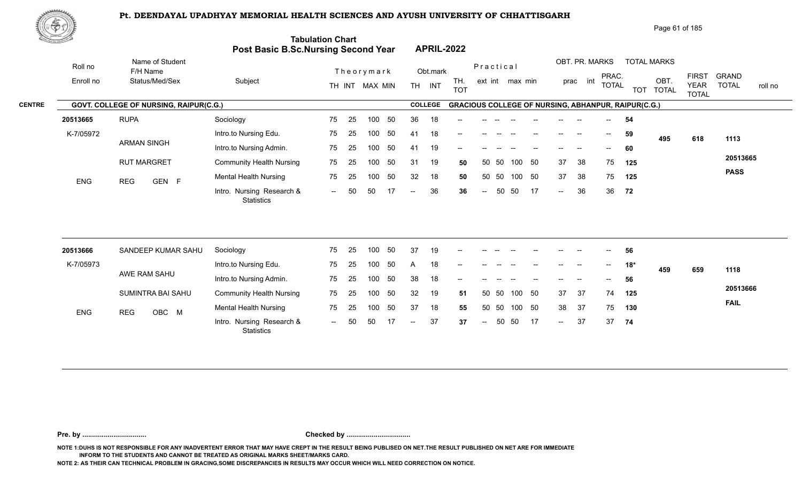

|               | 脚のり        |                                               |                                            |                                 |                                                          | Page 61 of 185                                                                                                                                      |
|---------------|------------|-----------------------------------------------|--------------------------------------------|---------------------------------|----------------------------------------------------------|-----------------------------------------------------------------------------------------------------------------------------------------------------|
|               |            |                                               | <b>Post Basic B.Sc.Nursing Second Year</b> | <b>Tabulation Chart</b>         | <b>APRIL-2022</b>                                        |                                                                                                                                                     |
|               | Roll no    | Name of Student<br>F/H Name                   |                                            | Theorymark                      | Practical<br>Obt.mark                                    | OBT. PR. MARKS<br><b>TOTAL MARKS</b>                                                                                                                |
|               | Enroll no  | Status/Med/Sex                                | Subject                                    | TH INT MAX MIN                  | TH.<br>ext int max min<br><b>TH</b><br>INT<br><b>TOT</b> | <b>FIRST</b><br><b>GRAND</b><br>PRAC.<br>OBT.<br>int<br>prac<br><b>TOTAL</b><br><b>TOTAL</b><br><b>YEAR</b><br>roll no<br>TOT TOTAL<br><b>TOTAL</b> |
| <b>CENTRE</b> |            | <b>GOVT. COLLEGE OF NURSING, RAIPUR(C.G.)</b> |                                            |                                 | <b>COLLEGE</b>                                           | <b>GRACIOUS COLLEGE OF NURSING, ABHANPUR, RAIPUR(C.G.)</b>                                                                                          |
|               | 20513665   | <b>RUPA</b>                                   | Sociology                                  | 50<br>75<br>-25<br>100          | 36<br>18<br>$-$                                          | 54<br>$- -$                                                                                                                                         |
|               | K-7/05972  |                                               | Intro.to Nursing Edu.                      | 50<br>75<br>-25<br>100          | 41<br>18<br>$- -$                                        | 59<br>--<br>$\overline{\phantom{a}}$<br>495<br>618<br>1113                                                                                          |
|               |            | <b>ARMAN SINGH</b>                            | Intro.to Nursing Admin.                    | 50<br>75<br>-25<br>100          | 19<br>41<br>$-$                                          | 60                                                                                                                                                  |
|               |            | <b>RUT MARGRET</b>                            | <b>Community Health Nursing</b>            | 75<br>50<br>-25<br>100          | 31<br>19<br>50 50<br>100<br>50                           | 20513665<br>50<br>37<br>38<br>75<br>125                                                                                                             |
|               | <b>ENG</b> | GEN F<br><b>REG</b>                           | <b>Mental Health Nursing</b>               | 75<br>-50<br>25<br>100          | 32<br>18<br>- 50<br>100<br>50<br>50                      | <b>PASS</b><br>50<br>37<br>38<br>75<br>125                                                                                                          |
|               |            |                                               | Intro. Nursing Research &<br>Statistics    | 50<br>50<br>17<br>$\sim$ $\sim$ | 36<br>-50<br>50<br>36<br>$\sim$ $\sim$<br>$\sim$         | 36<br>17<br>36<br>72<br>$\sim$                                                                                                                      |

| 20513666   | SANDEEP KUMAR SAHU  | Sociology                                      | 75   | -25 | 100 | 50  | -37                      | 19 | $\sim$ |       | the company of | $--$ | $\sim$                                | $-  \,$                  | $\overline{\phantom{a}}$ | $\sim$ $\sim$ | 56   |     |     |          |
|------------|---------------------|------------------------------------------------|------|-----|-----|-----|--------------------------|----|--------|-------|----------------|------|---------------------------------------|--------------------------|--------------------------|---------------|------|-----|-----|----------|
| K-7/05973  |                     | Intro.to Nursing Edu.                          | 75   | 25  | 100 | 50  | A                        | 18 |        | $- -$ |                |      | $\hspace{0.05cm}$ – $\hspace{0.05cm}$ | $- -$                    | $- -$                    | $--$          | 18*  | 459 | 659 | 1118     |
|            | AWE RAM SAHU        | Intro.to Nursing Admin.                        | 75   | 25  | 100 | -50 | 38                       | 18 |        |       |                |      |                                       | $- -$                    | --                       | $- -$         | 56   |     |     |          |
|            | SUMINTRA BAI SAHU   | <b>Community Health Nursing</b>                | 75   | -25 | 100 | -50 | 32                       | 19 | 51     | 50 50 |                | 100  | - 50                                  | 37                       | - 37                     | 74            | 125  |     |     | 20513666 |
| <b>ENG</b> | <b>REG</b><br>OBC M | <b>Mental Health Nursing</b>                   | 75   | -25 | 100 | -50 | -37                      | 18 | 55     | 50 50 |                | 100  | - 50                                  | -38                      | - 37                     | 75            | 130  |     |     | FAIL     |
|            |                     | Intro. Nursing Research &<br><b>Statistics</b> | $--$ | 50  | 50  |     | $\overline{\phantom{a}}$ | 37 | 37     | $-$   | 50             | -50  | 17                                    | $\overline{\phantom{a}}$ | 37                       | 37            | - 74 |     |     |          |

**Pre. by ................................. Checked by .................................**

**NOTE 1:DUHS IS NOT RESPONSIBLE FOR ANY INADVERTENT ERROR THAT MAY HAVE CREPT IN THE RESULT BEING PUBLISED ON NET.THE RESULT PUBLISHED ON NET ARE FOR IMMEDIATE INFORM TO THE STUDENTS AND CANNOT BE TREATED AS ORIGINAL MARKS SHEET/MARKS CARD.**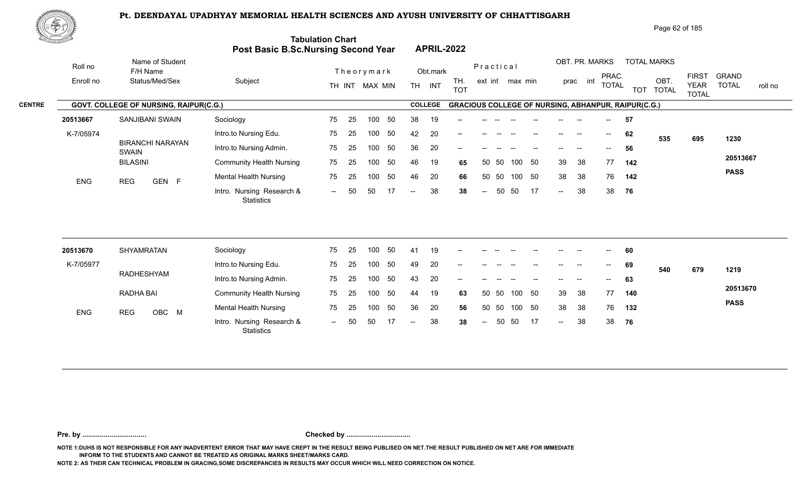

| ₩ФӮ           |            |                                        |                                         |                                                                       |                                       |                              | Page 62 of 185                                                             |                                                                                        |
|---------------|------------|----------------------------------------|-----------------------------------------|-----------------------------------------------------------------------|---------------------------------------|------------------------------|----------------------------------------------------------------------------|----------------------------------------------------------------------------------------|
|               |            |                                        |                                         | <b>Tabulation Chart</b><br><b>Post Basic B.Sc.Nursing Second Year</b> | <b>APRIL-2022</b>                     |                              |                                                                            |                                                                                        |
|               | Roll no    | Name of Student<br>F/H Name            |                                         | Theorymark                                                            | Obt.mark                              | Practical                    | OBT. PR. MARKS<br><b>TOTAL MARKS</b>                                       |                                                                                        |
|               | Enroll no  | Status/Med/Sex                         | Subject                                 | TH INT MAX MIN                                                        | TH.<br><b>TH</b><br>INT<br><b>TOT</b> | ext int max min              | PRAC.<br>int<br>OBT.<br>prac<br><b>TOTAL</b><br><b>TOTAL</b><br><b>TOT</b> | <b>FIRST</b><br><b>GRAND</b><br><b>TOTAL</b><br><b>YEAR</b><br>roll no<br><b>TOTAL</b> |
| <b>CENTRE</b> |            | GOVT. COLLEGE OF NURSING, RAIPUR(C.G.) |                                         |                                                                       | <b>COLLEGE</b>                        |                              | <b>GRACIOUS COLLEGE OF NURSING, ABHANPUR, RAIPUR(C.G.)</b>                 |                                                                                        |
|               | 20513667   | SANJIBANI SWAIN                        | Sociology                               | 50<br>75<br>25<br>100                                                 | 38<br>19<br>--                        |                              | 57                                                                         |                                                                                        |
|               | K-7/05974  |                                        | Intro.to Nursing Edu.                   | 50<br>75<br>25<br>100                                                 | 42<br>20<br>$- -$                     | $- -$                        | 62<br>$- -$<br>$\overline{\phantom{a}}$<br>--<br>535                       | 695<br>1230                                                                            |
|               |            | <b>BIRANCHI NARAYAN</b><br>SWAIN       | Intro.to Nursing Admin.                 | 50<br>75<br>25<br>100                                                 | 20<br>36<br>$- -$                     |                              | 56<br>$\sim$                                                               |                                                                                        |
|               |            | <b>BILASINI</b>                        | <b>Community Health Nursing</b>         | 50<br>75<br>25<br>100                                                 | 46<br>19<br>65                        | 50 50<br>- 50<br>100         | 38<br>77<br>39<br>142                                                      | 20513667                                                                               |
|               | <b>ENG</b> | <b>REG</b><br>GEN F                    | Mental Health Nursing                   | 50<br>75<br>25<br>100                                                 | 46<br>20<br>66                        | 50 50<br>100 50              | 38<br>38<br>76<br>142                                                      | <b>PASS</b>                                                                            |
|               |            |                                        | Intro. Nursing Research &<br>Statistics | 50<br>50<br>17<br>$\sim$ $\sim$                                       | 38<br>38<br>$--$                      | 17<br>50<br>50<br>$\sim$ $-$ | 38<br>38<br>76<br>$\sim$                                                   |                                                                                        |
|               |            |                                        |                                         |                                                                       |                                       |                              |                                                                            |                                                                                        |

| 20513670   | SHYAMRATAN   | Sociology                                      | 75     | -25 | 100 | 50  | 41     | 19 | $-$    | $- -$                    |       |        | $\hspace{0.05cm}$ – $\hspace{0.05cm}$ | $\overline{\phantom{a}}$ | $- -$                    | $  \,$                   | 60  |     |     |             |
|------------|--------------|------------------------------------------------|--------|-----|-----|-----|--------|----|--------|--------------------------|-------|--------|---------------------------------------|--------------------------|--------------------------|--------------------------|-----|-----|-----|-------------|
| K-7/05977  |              | Intro.to Nursing Edu.                          | 75     | -25 | 100 | -50 | 49     | 20 | $\sim$ | $\overline{\phantom{a}}$ |       |        | $\overline{\phantom{a}}$              | $\mathbf{m}$             | $\overline{\phantom{a}}$ | $\sim$                   | 69  | 540 | 679 | 1219        |
|            | RADHESHYAM   | Intro.to Nursing Admin.                        | 75     | -25 | 100 | 50  | 43     | 20 | $\sim$ |                          |       |        |                                       | $- -$                    | $- -$                    | $\overline{\phantom{a}}$ | 63  |     |     |             |
|            | RADHA BAI    | <b>Community Health Nursing</b>                | 75     | -25 | 100 | -50 | 44     | 19 | 63     |                          | 50 50 | 100 50 |                                       | 39                       | -38                      | 77                       | 140 |     |     | 20513670    |
| <b>ENG</b> | OBC M<br>REG | <b>Mental Health Nursing</b>                   | 75     | -25 | 100 | -50 | 36     | 20 | 56     |                          | 50 50 | 100 50 |                                       | 38                       | -38                      | 76                       | 132 |     |     | <b>PASS</b> |
|            |              | Intro. Nursing Research &<br><b>Statistics</b> | $\sim$ | 50  | 50  |     | $  \,$ | 38 | 38     | $\sim$ $-$               |       | 50 50  | 17                                    | $\sim$                   | 38                       | 38                       | 76  |     |     |             |

**Pre. by ................................. Checked by .................................**

**NOTE 1:DUHS IS NOT RESPONSIBLE FOR ANY INADVERTENT ERROR THAT MAY HAVE CREPT IN THE RESULT BEING PUBLISED ON NET.THE RESULT PUBLISHED ON NET ARE FOR IMMEDIATE INFORM TO THE STUDENTS AND CANNOT BE TREATED AS ORIGINAL MARKS SHEET/MARKS CARD.**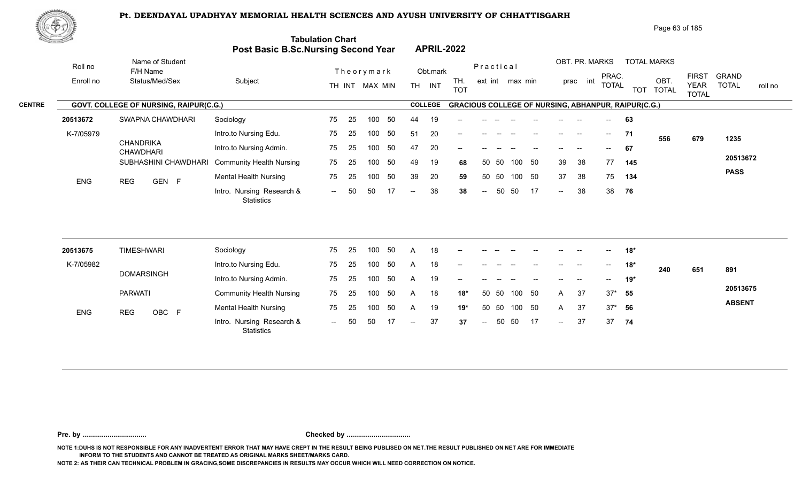

|               | ℝҾ҈҃҃҄҄҄   |                                        |                                            |                         |                |      |                |                   |           |              |                 |                                                            |             |                                       |     | Page 63 of 185     |                                             |                              |         |
|---------------|------------|----------------------------------------|--------------------------------------------|-------------------------|----------------|------|----------------|-------------------|-----------|--------------|-----------------|------------------------------------------------------------|-------------|---------------------------------------|-----|--------------------|---------------------------------------------|------------------------------|---------|
|               |            |                                        | <b>Post Basic B.Sc.Nursing Second Year</b> | <b>Tabulation Chart</b> |                |      |                | <b>APRIL-2022</b> |           |              |                 |                                                            |             |                                       |     |                    |                                             |                              |         |
|               | Roll no    | Name of Student<br>F/H Name            |                                            |                         | Theorymark     |      | Obt.mark       |                   | Practical |              |                 |                                                            |             | OBT. PR. MARKS                        |     | <b>TOTAL MARKS</b> |                                             |                              |         |
|               | Enroll no  | Status/Med/Sex                         | Subject                                    |                         | TH INT MAX MIN | TH.  | <b>INT</b>     | TH.<br><b>TOT</b> |           |              | ext int max min |                                                            | int<br>prac | PRAC.<br><b>TOTAL</b>                 |     | OBT.<br>TOT TOTAL  | <b>FIRST</b><br><b>YEAR</b><br><b>TOTAL</b> | <b>GRAND</b><br><b>TOTAL</b> | roll no |
| <b>CENTRE</b> |            | GOVT. COLLEGE OF NURSING, RAIPUR(C.G.) |                                            |                         |                |      | <b>COLLEGE</b> |                   |           |              |                 | <b>GRACIOUS COLLEGE OF NURSING, ABHANPUR, RAIPUR(C.G.)</b> |             |                                       |     |                    |                                             |                              |         |
|               | 20513672   | SWAPNA CHAWDHARI                       | Sociology                                  | 75<br>25                | 50<br>100      | 44   | 19             | $- -$             |           |              |                 |                                                            |             |                                       | 63  |                    |                                             |                              |         |
|               | K-7/05979  |                                        | Intro.to Nursing Edu.                      | 25<br>75                | 50<br>100      | 51   | 20             | $- -$             | $- -$     | $- -$<br>$-$ |                 | $- -$                                                      | --          | $--$                                  | 71  | 556                | 679                                         | 1235                         |         |
|               |            | <b>CHANDRIKA</b><br>CHAWDHARI          | Intro.to Nursing Admin.                    | 75<br>25                | 50<br>100      | 47   | 20             | $\qquad \qquad -$ |           |              |                 |                                                            |             | $\hspace{0.05cm}$ – $\hspace{0.05cm}$ | 67  |                    |                                             |                              |         |
|               |            | SUBHASHINI CHAWDHARI                   | <b>Community Health Nursing</b>            | 75<br>-25               | 50<br>100      | 49   | 19             | 68                | 50 50     |              | 50<br>100       | 39                                                         | 38          | 77                                    | 145 |                    |                                             | 20513672                     |         |
|               | <b>ENG</b> | GEN F<br>REG                           | <b>Mental Health Nursing</b>               | 75<br>25                | 50<br>100      | 39   | 20             | 59                | 50 50     |              | 50<br>100       | 37                                                         | 38          | 75                                    | 134 |                    |                                             | <b>PASS</b>                  |         |
|               |            |                                        | Intro. Nursing Research &<br>Statistics    | 50<br>$  \,$            | 50             | $--$ | 38             | 38                | $- -$ .   | 50<br>-50    | -17             | $\sim$                                                     | 38          | 38                                    | 76  |                    |                                             |                              |         |

| 20513675   | TIMESHWARI          | Sociology                                      | 75      | 25  | 100  |      |       | 18 | $- -$                                          | --    |       |     |      |       | --                       | $--$      | 18*   |     |     |               |
|------------|---------------------|------------------------------------------------|---------|-----|------|------|-------|----|------------------------------------------------|-------|-------|-----|------|-------|--------------------------|-----------|-------|-----|-----|---------------|
| K-7/05982  |                     | Intro.to Nursing Edu.                          | 75      | 25  | 100  |      |       | 18 | $- -$                                          |       |       |     |      |       | --                       | $  \,$    | $18*$ | 240 | 651 | 891           |
|            | <b>DOMARSINGH</b>   | Intro.to Nursing Admin.                        | 75      | -25 | 100. |      |       | 19 | $\hspace{0.1mm}-\hspace{0.1mm}-\hspace{0.1mm}$ | --    |       |     |      | $- -$ | $\overline{\phantom{a}}$ | $  \,$    | 19*   |     |     |               |
|            | <b>PARWATI</b>      | <b>Community Health Nursing</b>                | 75      | -25 | 100  | - 50 | A     | 18 | 18*                                            |       | 50 50 | 100 | 50   | A     | 37                       | $37^*$ 55 |       |     |     | 20513675      |
| <b>ENG</b> | OBC F<br><b>REG</b> | <b>Mental Health Nursing</b>                   | 75      | -25 | 100  | -50  |       | 19 | $19*$                                          | 50 50 |       | 100 | - 50 | A     | 37                       | $37^*$ 56 |       |     |     | <b>ABSENT</b> |
|            |                     | Intro. Nursing Research &<br><b>Statistics</b> | $- -$ . | 50  |      |      | $- -$ | 37 | 37                                             | $ -$  | 50 50 |     | 17   | $--$  | 37                       | 37 74     |       |     |     |               |

**Pre. by ................................. Checked by .................................**

**NOTE 1:DUHS IS NOT RESPONSIBLE FOR ANY INADVERTENT ERROR THAT MAY HAVE CREPT IN THE RESULT BEING PUBLISED ON NET.THE RESULT PUBLISHED ON NET ARE FOR IMMEDIATE INFORM TO THE STUDENTS AND CANNOT BE TREATED AS ORIGINAL MARKS SHEET/MARKS CARD.**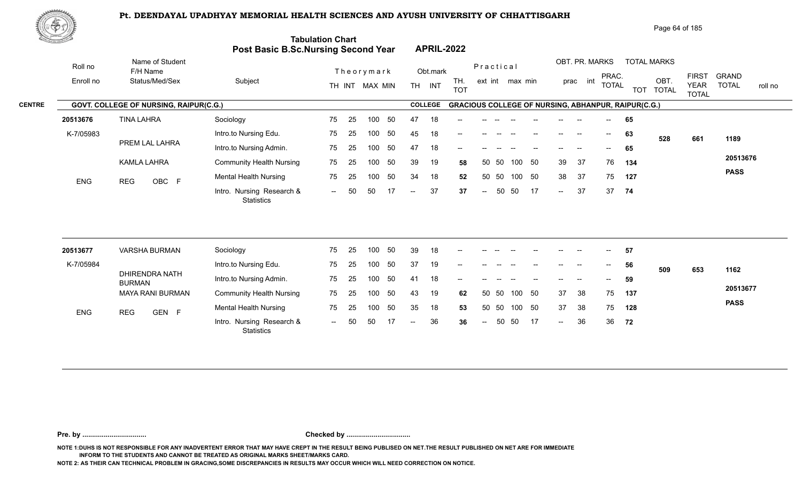

|               | ℳ℗ℐ        |                                        |                                            |                         |                |    |                |            |                                                            |               |       |                 |      |      |                   |                |                          |            | Page 64 of 185       |                                             |                              |         |
|---------------|------------|----------------------------------------|--------------------------------------------|-------------------------|----------------|----|----------------|------------|------------------------------------------------------------|---------------|-------|-----------------|------|------|-------------------|----------------|--------------------------|------------|----------------------|---------------------------------------------|------------------------------|---------|
|               |            |                                        | <b>Post Basic B.Sc.Nursing Second Year</b> | <b>Tabulation Chart</b> |                |    |                |            | <b>APRIL-2022</b>                                          |               |       |                 |      |      |                   |                |                          |            |                      |                                             |                              |         |
|               | Roll no    | Name of Student<br>F/H Name            |                                            |                         | Theorymark     |    |                | Obt.mark   |                                                            | Practical     |       |                 |      |      |                   | OBT. PR. MARKS |                          |            | <b>TOTAL MARKS</b>   |                                             |                              |         |
|               | Enroll no  | Status/Med/Sex                         | Subject                                    |                         | TH INT MAX MIN |    | <b>TH</b>      | <b>INT</b> | TH.<br><b>TOT</b>                                          |               |       | ext int max min |      |      | prac int          |                | PRAC.<br><b>TOTAL</b>    | <b>TOT</b> | OBT.<br><b>TOTAL</b> | <b>FIRST</b><br><b>YEAR</b><br><b>TOTAL</b> | <b>GRAND</b><br><b>TOTAL</b> | roll no |
| <b>CENTRE</b> |            | GOVT. COLLEGE OF NURSING, RAIPUR(C.G.) |                                            |                         |                |    | <b>COLLEGE</b> |            | <b>GRACIOUS COLLEGE OF NURSING, ABHANPUR, RAIPUR(C.G.)</b> |               |       |                 |      |      |                   |                |                          |            |                      |                                             |                              |         |
|               | 20513676   | <b>TINA LAHRA</b>                      | Sociology                                  | 75<br>25                | 100            | 50 | 47             | 18         | --                                                         |               |       |                 |      |      |                   |                | $--$                     | 65         |                      |                                             |                              |         |
|               | K-7/05983  |                                        | Intro.to Nursing Edu.                      | 25<br>75                | 100            | 50 | 45             | 18         | $\qquad \qquad -$                                          |               |       |                 |      |      | $\hspace{0.05cm}$ |                | $\overline{\phantom{a}}$ | 63         | 528                  | 661                                         | 1189                         |         |
|               |            | PREM LAL LAHRA                         | Intro.to Nursing Admin.                    | 75<br>25                | 100            | 50 | 47             | 18         | $- -$                                                      |               |       |                 |      |      |                   |                |                          | 65         |                      |                                             |                              |         |
|               |            | KAMLA LAHRA                            | <b>Community Health Nursing</b>            | 75<br>25                | 100            | 50 | 39             | 19         | 58                                                         |               | 50 50 | 100             | - 50 | 39   | 37                |                | 76                       | 134        |                      |                                             | 20513676                     |         |
|               | <b>ENG</b> | OBC F<br><b>REG</b>                    | Mental Health Nursing                      | 75<br>25                | 100            | 50 | 34             | 18         | 52                                                         | 50            | 50    | 100             | 50   | 38   | 37                |                | 75                       | 127        |                      |                                             | <b>PASS</b>                  |         |
|               |            |                                        | Intro. Nursing Research &<br>Statistics    | 50<br>$\sim$ $-$        | 50             | 17 | $\sim$ $\sim$  | 37         | 37                                                         | $\sim$ $\sim$ | 50    | 50              | 17   | $--$ | 37                |                | 37                       | 74         |                      |                                             |                              |         |
|               |            |                                        |                                            |                         |                |    |                |            |                                                            |               |       |                 |      |      |                   |                |                          |            |                      |                                             |                              |         |

| 20513677   | <b>VARSHA BURMAN</b>     | Sociology                                      | 75             | -25  | 100 | 50  | 39     | 18 | $- -$  |        |       |        |       | $- -$         |       | $\overline{\phantom{a}}$ | 57  |     |     |             |
|------------|--------------------------|------------------------------------------------|----------------|------|-----|-----|--------|----|--------|--------|-------|--------|-------|---------------|-------|--------------------------|-----|-----|-----|-------------|
| K-7/05984  |                          | Intro.to Nursing Edu.                          | 75             | 25   | 100 |     | 37     | 19 | $- -$  | $- -$  |       |        | $- -$ | $- -$         | $- -$ | $\overline{\phantom{a}}$ | 56  | 509 | 653 | 1162        |
|            | DHIRENDRA NATH<br>BURMAN | Intro.to Nursing Admin.                        | 75             | 25   | 100 |     | 41     | 18 | $\sim$ | $- -$  | $- -$ | $- -$  | $- -$ | $\frac{1}{2}$ | $- -$ | $\overline{\phantom{a}}$ | 59  |     |     |             |
|            | MAYA RANI BURMAN         | <b>Community Health Nursing</b>                | 75             | - 25 | 100 | -50 | 43     | 19 | 62     | 50 50  |       | 100 50 |       | 37            | 38    | 75                       | 137 |     |     | 20513677    |
| <b>ENG</b> | GEN F<br><b>REG</b>      | <b>Mental Health Nursing</b>                   | 75             | -25  | 100 | 50  | 35     | 18 | 53     | 50 50  |       | 100 50 |       | 37            | 38    | 75                       | 128 |     |     | <b>PASS</b> |
|            |                          | Intro. Nursing Research &<br><b>Statistics</b> | $\overline{a}$ | -50  | 50  |     | $  \,$ | 36 | 36     | $\sim$ | 50    | - 50   | 17    | $\sim$        | 36    | 36                       | 72  |     |     |             |

**Pre. by ................................. Checked by .................................**

**NOTE 1:DUHS IS NOT RESPONSIBLE FOR ANY INADVERTENT ERROR THAT MAY HAVE CREPT IN THE RESULT BEING PUBLISED ON NET.THE RESULT PUBLISHED ON NET ARE FOR IMMEDIATE INFORM TO THE STUDENTS AND CANNOT BE TREATED AS ORIGINAL MARKS SHEET/MARKS CARD.**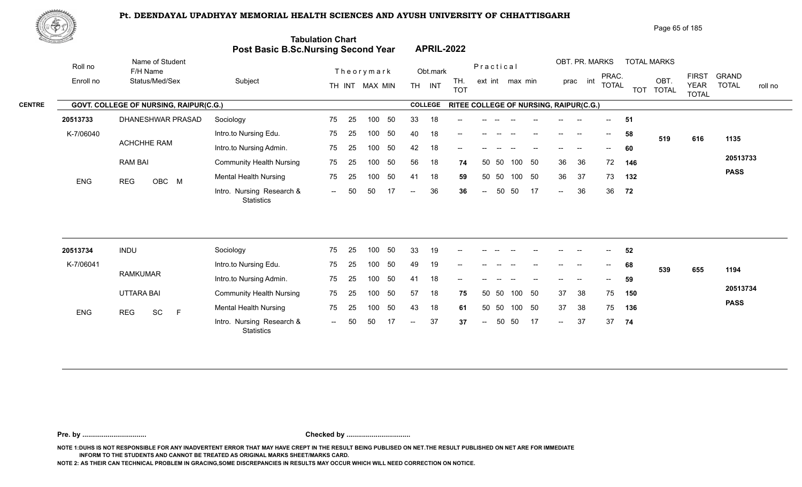

| Page 65 of 185 |  |
|----------------|--|
|                |  |

| <u>tomach a</u> |                                        | Post Basic B.Sc.Nursing Second Year     | <b>Tabulation Chart</b> |    |                |    |                |                | <b>APRIL-2022</b>                      |                          |       |                 |    |                            |                |              |     |                    |                             |                         |
|-----------------|----------------------------------------|-----------------------------------------|-------------------------|----|----------------|----|----------------|----------------|----------------------------------------|--------------------------|-------|-----------------|----|----------------------------|----------------|--------------|-----|--------------------|-----------------------------|-------------------------|
| Roll no         | Name of Student<br>F/H Name            |                                         |                         |    | Theorymark     |    |                | Obt.mark       |                                        | Practical                |       |                 |    |                            | OBT. PR. MARKS | PRAC.        |     | <b>TOTAL MARKS</b> | <b>FIRST</b>                | <b>GRAND</b>            |
| Enroll no       | Status/Med/Sex                         | Subject                                 |                         |    | TH INT MAX MIN |    |                | TH INT         | TH.<br><b>TOT</b>                      |                          |       | ext int max min |    |                            | prac int       | <b>TOTAL</b> |     | OBT.<br>TOT TOTAL  | <b>YEAR</b><br><b>TOTAL</b> | <b>TOTAL</b><br>roll no |
|                 | GOVT. COLLEGE OF NURSING, RAIPUR(C.G.) |                                         |                         |    |                |    |                | <b>COLLEGE</b> | RITEE COLLEGE OF NURSING, RAIPUR(C.G.) |                          |       |                 |    |                            |                |              |     |                    |                             |                         |
| 20513733        | DHANESHWAR PRASAD                      | Sociology                               | 75                      | 25 | 100            | 50 | 33             | 18             | --                                     |                          |       |                 |    |                            |                |              | 51  |                    |                             |                         |
| K-7/06040       |                                        | Intro.to Nursing Edu.                   | 75                      | 25 | 100            | 50 | 40             | 18             |                                        |                          |       |                 |    |                            |                | $--$         | 58  | 519                | 616                         | 1135                    |
|                 | ACHCHHE RAM                            | Intro.to Nursing Admin.                 | 75                      | 25 | 100            | 50 | 42             | 18             | --                                     |                          |       |                 |    |                            |                | $- -$        | 60  |                    |                             |                         |
|                 | <b>RAM BAI</b>                         | <b>Community Health Nursing</b>         | 75                      | 25 | 100            | 50 | 56             | 18             | 74                                     | 50                       | -50   | 100             | 50 | 36                         | 36             | 72           | 146 |                    |                             | 20513733                |
| ENG             | <b>REG</b><br>OBC M                    | <b>Mental Health Nursing</b>            | 75                      | 25 | 100            | 50 | 41             | 18             | 59                                     |                          | 50 50 | 100 50          |    | 36                         | 37             | 73           | 132 |                    |                             | <b>PASS</b>             |
|                 |                                        | Intro. Nursing Research &<br>Statistics | $\sim$                  | 50 | 50             |    | $\overline{a}$ | 36             | 36                                     | $\overline{\phantom{a}}$ | 50    | 50              | 17 | $\sim$                     | 36             | 36           | 72  |                    |                             |                         |
|                 |                                        |                                         |                         |    |                |    |                |                |                                        |                          |       |                 |    |                            |                |              |     |                    |                             |                         |
| 20513734        | <b>INDU</b>                            | Sociology                               | 75                      | 25 | 100            | 50 | 33             | 19             |                                        |                          |       |                 |    |                            |                |              | 52  |                    |                             |                         |
| K-7/06041       | <b>RAMKUMAR</b>                        | Intro.to Nursing Edu.                   | 75                      | 25 | 100            | 50 | 49             | 19             |                                        |                          |       |                 |    |                            |                |              | 68  | 539                | 655                         | 1194                    |
|                 |                                        | Intro.to Nursing Admin.                 | 75                      | 25 | 100            | 50 | 41             | 18             |                                        |                          |       |                 |    |                            |                |              | 59  |                    |                             | 20513734                |
|                 | UTTARA BAI                             | <b>Community Health Nursing</b>         | 75                      | 25 | 100            | 50 | 57             | 18             | 75                                     |                          | 50 50 | 100 50          |    | 37                         | 38             | 75           | 150 |                    |                             | <b>PASS</b>             |
| <b>ENG</b>      | SC<br>F<br><b>REG</b>                  | <b>Mental Health Nursing</b>            | 75                      | 25 | 100            | 50 | 43             | 18             | 61                                     | 50                       | 50    | 100 50          |    | 37                         | 38             | 75           | 136 |                    |                             |                         |
|                 |                                        | Intro. Nursing Research &<br>Statistics | $\sim$ $\sim$           | 50 | 50             | 17 | $--$           | 37             | 37                                     | $\overline{\phantom{a}}$ | 50    | 50              | 17 | $\mathcal{L}(\mathcal{L})$ | 37             | 37           | 74  |                    |                             |                         |

**Pre. by ................................. Checked by .................................**

**NOTE 1:DUHS IS NOT RESPONSIBLE FOR ANY INADVERTENT ERROR THAT MAY HAVE CREPT IN THE RESULT BEING PUBLISED ON NET.THE RESULT PUBLISHED ON NET ARE FOR IMMEDIATE INFORM TO THE STUDENTS AND CANNOT BE TREATED AS ORIGINAL MARKS SHEET/MARKS CARD.**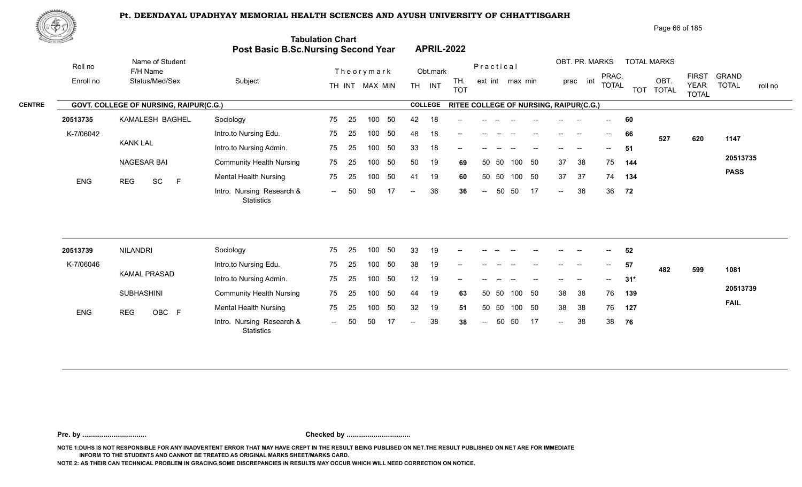

| Page 66 of 185 |  |
|----------------|--|
|                |  |

| <u>Carl Carl Co</u> |                                        | Post Basic B.Sc.Nursing Second Year            | <b>Tabulation Chart</b> |    |                |     |                          | <b>APRIL-2022</b> |                                        |                          |       |                 |     |                          |                |                          |       |                    |                             |                         |
|---------------------|----------------------------------------|------------------------------------------------|-------------------------|----|----------------|-----|--------------------------|-------------------|----------------------------------------|--------------------------|-------|-----------------|-----|--------------------------|----------------|--------------------------|-------|--------------------|-----------------------------|-------------------------|
| Roll no             | Name of Student<br>F/H Name            |                                                |                         |    | Theorymark     |     |                          | Obt.mark          |                                        | Practical                |       |                 |     |                          | OBT. PR. MARKS | PRAC.                    |       | <b>TOTAL MARKS</b> | <b>FIRST</b>                | <b>GRAND</b>            |
| Enroll no           | Status/Med/Sex                         | Subject                                        |                         |    | TH INT MAX MIN |     |                          | TH INT            | TH.<br><b>TOT</b>                      |                          |       | ext int max min |     |                          | prac int       | <b>TOTAL</b>             |       | OBT.<br>TOT TOTAL  | <b>YEAR</b><br><b>TOTAL</b> | <b>TOTAL</b><br>roll no |
|                     | GOVT. COLLEGE OF NURSING, RAIPUR(C.G.) |                                                |                         |    |                |     |                          | <b>COLLEGE</b>    | RITEE COLLEGE OF NURSING, RAIPUR(C.G.) |                          |       |                 |     |                          |                |                          |       |                    |                             |                         |
| 20513735            | KAMALESH BAGHEL                        | Sociology                                      | 75                      | 25 | 100            | 50  | 42                       | 18                |                                        |                          |       |                 |     |                          |                |                          | 60    |                    |                             |                         |
| K-7/06042           |                                        | Intro.to Nursing Edu.                          | 75                      | 25 | 100            | 50  | 48                       | 18                | --                                     |                          |       |                 | $-$ | $\overline{\phantom{a}}$ | $\sim$         | $\overline{\phantom{a}}$ | 66    | 527                | 620                         | 1147                    |
|                     | <b>KANK LAL</b>                        | Intro.to Nursing Admin.                        | 75                      | 25 | 100            | 50  | 33                       | 18                |                                        |                          |       |                 |     |                          |                | $--$                     | 51    |                    |                             |                         |
|                     | <b>NAGESAR BAI</b>                     | <b>Community Health Nursing</b>                | 75                      | 25 | 100            | 50  | 50                       | 19                | 69                                     |                          | 50 50 | 100 50          |     | 37                       | 38             | 75                       | 144   |                    |                             | 20513735                |
| ENG                 | $\mathsf F$<br>SC<br><b>REG</b>        | <b>Mental Health Nursing</b>                   | 75                      | 25 | 100            | 50  | 41                       | 19                | 60                                     | 50                       | 50    | 100 50          |     | 37                       | -37            | 74                       | 134   |                    |                             | <b>PASS</b>             |
|                     |                                        | Intro. Nursing Research &<br><b>Statistics</b> | $\sim$                  | 50 | 50             | -17 | $-$                      | 36                | 36                                     | $\overline{\phantom{m}}$ | 50    | 50              | 17  | $\sim$                   | 36             | 36                       | 72    |                    |                             |                         |
| 20513739            | <b>NILANDRI</b>                        | Sociology                                      | 75                      | 25 | 100            | 50  | 33                       | 19                |                                        |                          |       |                 |     |                          |                |                          | 52    |                    |                             |                         |
| K-7/06046           |                                        | Intro.to Nursing Edu.                          | 75                      | 25 | 100            | 50  | 38                       | 19                |                                        |                          |       |                 |     |                          |                | $- -$                    | 57    |                    |                             |                         |
|                     | <b>KAMAL PRASAD</b>                    | Intro.to Nursing Admin.                        | 75                      | 25 | 100            | 50  | 12                       | 19                |                                        |                          |       |                 |     |                          |                |                          | $31*$ | 482                | 599                         | 1081                    |
|                     | <b>SUBHASHINI</b>                      | <b>Community Health Nursing</b>                | 75                      | 25 | 100            | 50  | 44                       | 19                | 63                                     |                          | 50 50 | 100 50          |     | 38                       | 38             | 76                       | 139   |                    |                             | 20513739                |
|                     |                                        | <b>Mental Health Nursing</b>                   | 75                      | 25 | 100            | 50  | 32                       | 19                | 51                                     | 50                       | 50    | 100             | 50  | 38                       | 38             | 76                       | 127   |                    |                             | <b>FAIL</b>             |
| <b>ENG</b>          | OBC F<br><b>REG</b>                    | Intro. Nursing Research &<br>Statistics        | $\sim$                  | 50 | 50             | 17  | $\overline{\phantom{a}}$ | 38                | 38                                     | $\sim$                   | 50    | 50              | 17  | $\sim$                   | 38             | 38                       | 76    |                    |                             |                         |

**Pre. by ................................. Checked by .................................**

**NOTE 1:DUHS IS NOT RESPONSIBLE FOR ANY INADVERTENT ERROR THAT MAY HAVE CREPT IN THE RESULT BEING PUBLISED ON NET.THE RESULT PUBLISHED ON NET ARE FOR IMMEDIATE INFORM TO THE STUDENTS AND CANNOT BE TREATED AS ORIGINAL MARKS SHEET/MARKS CARD.**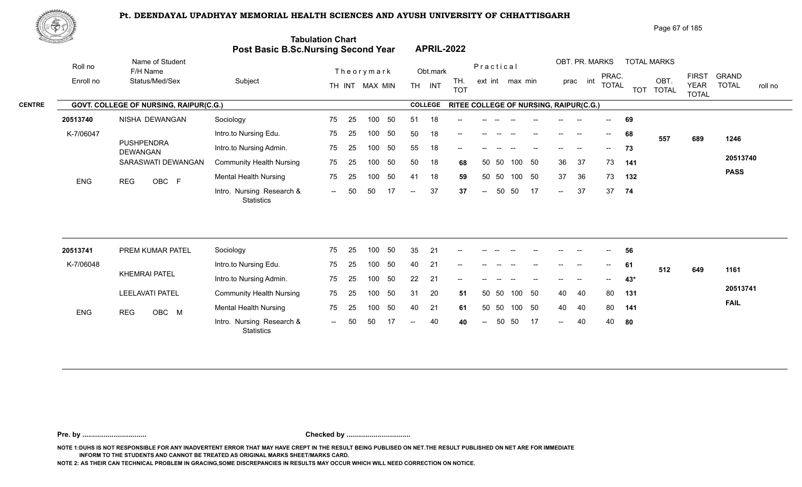

| Page 67 of 185 |  |
|----------------|--|
|                |  |

| <u>tores and</u> |                                        | Post Basic B.Sc.Nursing Second Year            | <b>Tabulation Chart</b> |    |                |    |                          |                | <b>APRIL-2022</b>                      |                          |       |                 |    |                            |                          |                          |       |                    |                             |                         |
|------------------|----------------------------------------|------------------------------------------------|-------------------------|----|----------------|----|--------------------------|----------------|----------------------------------------|--------------------------|-------|-----------------|----|----------------------------|--------------------------|--------------------------|-------|--------------------|-----------------------------|-------------------------|
| Roll no          | Name of Student<br>F/H Name            |                                                |                         |    | Theorymark     |    |                          | Obt.mark       |                                        | Practical                |       |                 |    |                            | OBT. PR. MARKS           | PRAC.                    |       | <b>TOTAL MARKS</b> | <b>FIRST</b>                | <b>GRAND</b>            |
| Enroll no        | Status/Med/Sex                         | Subject                                        |                         |    | TH INT MAX MIN |    |                          | TH INT         | TH.<br><b>TOT</b>                      |                          |       | ext int max min |    |                            | prac int                 | <b>TOTAL</b>             |       | OBT.<br>TOT TOTAL  | <b>YEAR</b><br><b>TOTAL</b> | <b>TOTAL</b><br>roll no |
|                  | GOVT. COLLEGE OF NURSING, RAIPUR(C.G.) |                                                |                         |    |                |    |                          | <b>COLLEGE</b> | RITEE COLLEGE OF NURSING, RAIPUR(C.G.) |                          |       |                 |    |                            |                          |                          |       |                    |                             |                         |
| 20513740         | NISHA DEWANGAN                         | Sociology                                      | 75                      | 25 | 100            | 50 | 51                       | 18             |                                        |                          |       |                 |    |                            |                          |                          | 69    |                    |                             |                         |
| K-7/06047        |                                        | Intro.to Nursing Edu.                          | 75                      | 25 | 100            | 50 | 50                       | 18             | --                                     |                          |       |                 |    | $\overline{\phantom{a}}$   | $\overline{\phantom{a}}$ | $--$                     | 68    | 557                | 689                         | 1246                    |
|                  | <b>PUSHPENDRA</b><br><b>DEWANGAN</b>   | Intro.to Nursing Admin.                        | 75                      | 25 | 100            | 50 | 55                       | 18             |                                        |                          |       |                 |    |                            |                          | $\overline{\phantom{a}}$ | 73    |                    |                             |                         |
|                  | SARASWATI DEWANGAN                     | <b>Community Health Nursing</b>                | 75                      | 25 | 100            | 50 | 50                       | 18             | 68                                     |                          | 50 50 | 100             | 50 | 36                         | 37                       | 73                       | 141   |                    |                             | 20513740                |
| ENG              | OBC F<br><b>REG</b>                    | <b>Mental Health Nursing</b>                   | 75                      | 25 | 100            | 50 | 41                       | 18             | 59                                     |                          | 50 50 | 100 50          |    | 37                         | 36                       | 73                       | 132   |                    |                             | <b>PASS</b>             |
|                  |                                        | Intro. Nursing Research &<br><b>Statistics</b> | $\sim$                  | 50 | 50             | 17 | $\overline{\phantom{a}}$ | 37             | 37                                     | $\overline{\phantom{m}}$ | 50    | 50              | 17 | $\sim$                     | 37                       | 37                       | 74    |                    |                             |                         |
| 20513741         | PREM KUMAR PATEL                       | Sociology                                      | 75                      | 25 | 100            | 50 | 35                       | 21             |                                        |                          |       |                 |    |                            |                          |                          | 56    |                    |                             |                         |
| K-7/06048        |                                        | Intro.to Nursing Edu.                          | 75                      |    | 100            | 50 | 40                       | 21             |                                        |                          |       |                 |    |                            |                          |                          |       |                    |                             |                         |
|                  | <b>KHEMRAI PATEL</b>                   |                                                |                         | 25 |                |    |                          |                |                                        |                          |       |                 |    |                            |                          |                          | 61    | 512                | 649                         | 1161                    |
|                  |                                        | Intro.to Nursing Admin.                        | 75                      | 25 | 100            | 50 | 22                       | 21             | --                                     |                          |       |                 |    |                            |                          | $- -$                    | $43*$ |                    |                             | 20513741                |
|                  | <b>LEELAVATI PATEL</b>                 | <b>Community Health Nursing</b>                | 75                      | 25 | 100            | 50 | 31                       | 20             | 51                                     |                          | 50 50 | 100 50          |    | 40                         | 40                       | 80                       | 131   |                    |                             | <b>FAIL</b>             |
| <b>ENG</b>       | OBC M<br><b>REG</b>                    | <b>Mental Health Nursing</b>                   | 75                      | 25 | 100            | 50 | 40                       | 21             | 61                                     |                          | 50 50 | 100 50          |    | 40                         | 40                       | 80                       | 141   |                    |                             |                         |
|                  |                                        | Intro. Nursing Research &<br>Statistics        | $\sim$                  | 50 | 50             | 17 | $-$                      | 40             | 40                                     | $\overline{\phantom{a}}$ | 50    | 50              | 17 | $\mathcal{L}(\mathcal{L})$ | 40                       | 40                       | 80    |                    |                             |                         |

**Pre. by ................................. Checked by .................................**

**NOTE 1:DUHS IS NOT RESPONSIBLE FOR ANY INADVERTENT ERROR THAT MAY HAVE CREPT IN THE RESULT BEING PUBLISED ON NET.THE RESULT PUBLISHED ON NET ARE FOR IMMEDIATE INFORM TO THE STUDENTS AND CANNOT BE TREATED AS ORIGINAL MARKS SHEET/MARKS CARD.**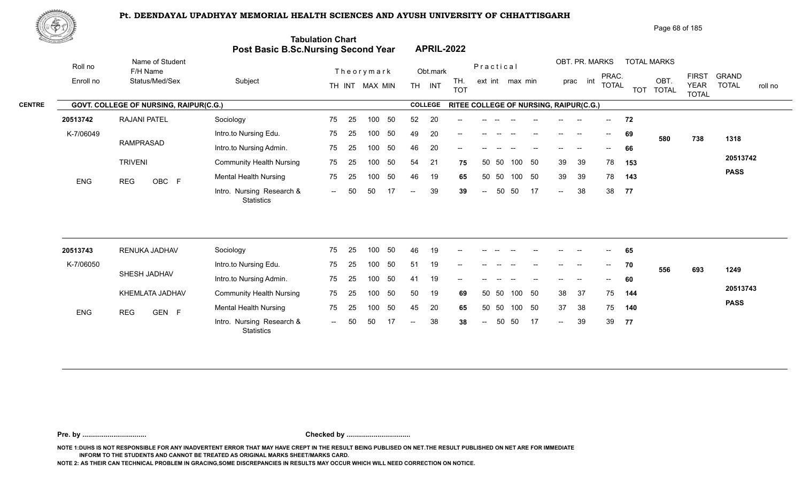

| Page 68 of 185 |
|----------------|
|----------------|

| <u> Karatan Ing</u> |                                        | Post Basic B.Sc.Nursing Second Year            | <b>Tabulation Chart</b> |    |                  |     |                          |                | <b>APRIL-2022</b>                      |                          |           |                 |        |                   |                          |                                       |     |                    |                                             |                         |
|---------------------|----------------------------------------|------------------------------------------------|-------------------------|----|------------------|-----|--------------------------|----------------|----------------------------------------|--------------------------|-----------|-----------------|--------|-------------------|--------------------------|---------------------------------------|-----|--------------------|---------------------------------------------|-------------------------|
| Roll no             | Name of Student<br>F/H Name            |                                                |                         |    | Theorymark       |     |                          | Obt.mark       |                                        |                          | Practical |                 |        |                   | OBT. PR. MARKS           | PRAC.                                 |     | <b>TOTAL MARKS</b> |                                             | <b>GRAND</b>            |
| Enroll no           | Status/Med/Sex                         | Subject                                        |                         |    | TH INT MAX MIN   |     | <b>TH</b>                | INT            | TH.<br><b>TOT</b>                      |                          |           | ext int max min |        |                   | int<br>prac              | <b>TOTAL</b>                          |     | OBT.<br>TOT TOTAL  | <b>FIRST</b><br><b>YEAR</b><br><b>TOTAL</b> | <b>TOTAL</b><br>roll no |
|                     | GOVT. COLLEGE OF NURSING, RAIPUR(C.G.) |                                                |                         |    |                  |     |                          | <b>COLLEGE</b> | RITEE COLLEGE OF NURSING, RAIPUR(C.G.) |                          |           |                 |        |                   |                          |                                       |     |                    |                                             |                         |
| 20513742            | <b>RAJANI PATEL</b>                    | Sociology                                      | 75                      | 25 | 100              | 50  | 52                       | 20             |                                        |                          |           |                 |        |                   |                          | $- -$                                 | 72  |                    |                                             |                         |
| K-7/06049           |                                        | Intro.to Nursing Edu.                          | 75                      | 25 | 100              | 50  | 49                       | 20             | --                                     |                          |           |                 |        |                   |                          | $\hspace{0.05cm}$ – $\hspace{0.05cm}$ | 69  | 580                | 738                                         | 1318                    |
|                     | <b>RAMPRASAD</b>                       | Intro.to Nursing Admin.                        | 75                      | 25 | 100              | 50  | 46                       | 20             | --                                     |                          |           |                 |        |                   |                          |                                       | 66  |                    |                                             |                         |
|                     | <b>TRIVENI</b>                         | <b>Community Health Nursing</b>                | 75                      | 25 | 100              | 50  | 54                       | 21             | 75                                     |                          | 50 50     | 100             | 50     | 39                | 39                       | 78                                    | 153 |                    |                                             | 20513742                |
| <b>ENG</b>          | <b>REG</b><br>OBC F                    | <b>Mental Health Nursing</b>                   | 75                      | 25 | 100              | 50  | 46                       | 19             | 65                                     | 50                       | 50        |                 | 100 50 | 39                | 39                       | 78                                    | 143 |                    |                                             | <b>PASS</b>             |
|                     |                                        | Intro. Nursing Research &<br><b>Statistics</b> | $\sim$                  | 50 | 50               | -17 | $\overline{\phantom{a}}$ | 39             | 39                                     | $\overline{\phantom{a}}$ | 50        | 50              | 17     | $\sim$            | 38                       | 38                                    | 77  |                    |                                             |                         |
|                     |                                        |                                                |                         |    |                  |     |                          |                |                                        |                          |           |                 |        |                   |                          |                                       |     |                    |                                             |                         |
| 20513743            | RENUKA JADHAV                          | Sociology                                      | 75                      | 25 | 100              | 50  | 46                       | 19             |                                        |                          |           |                 |        |                   |                          |                                       | 65  |                    |                                             |                         |
| K-7/06050           | SHESH JADHAV                           | Intro.to Nursing Edu.                          | 75                      | 25 | 100              | 50  | 51                       | 19             |                                        |                          |           |                 |        | $\qquad \qquad -$ | $\overline{\phantom{a}}$ | $\hspace{0.05cm}$ – $\hspace{0.05cm}$ | 70  | 556                | 693                                         | 1249                    |
|                     |                                        | Intro.to Nursing Admin.                        | 75                      | 25 | 100 <sub>1</sub> | 50  | 41                       | 19             |                                        |                          |           |                 |        |                   |                          |                                       | 60  |                    |                                             |                         |
|                     | KHEMLATA JADHAV                        | <b>Community Health Nursing</b>                | 75                      | 25 | 100              | 50  | 50                       | 19             | 69                                     |                          | 50 50     | 100             | 50     | 38                | 37                       | 75                                    | 144 |                    |                                             | 20513743                |
| ENG                 | GEN F<br><b>REG</b>                    | <b>Mental Health Nursing</b>                   | 75                      | 25 | 100              | 50  | 45                       | 20             | 65                                     |                          | 50 50     | 100             | 50     | 37                | 38                       | 75                                    | 140 |                    |                                             | <b>PASS</b>             |
|                     |                                        | Intro. Nursing Research &<br><b>Statistics</b> | $--$                    | 50 | 50               |     |                          | 38             | 38                                     | $\overline{a}$           | 50        | 50              | 17     | $\overline{a}$    | 39                       | 39                                    | 77  |                    |                                             |                         |

**Pre. by ................................. Checked by .................................**

**NOTE 1:DUHS IS NOT RESPONSIBLE FOR ANY INADVERTENT ERROR THAT MAY HAVE CREPT IN THE RESULT BEING PUBLISED ON NET.THE RESULT PUBLISHED ON NET ARE FOR IMMEDIATE INFORM TO THE STUDENTS AND CANNOT BE TREATED AS ORIGINAL MARKS SHEET/MARKS CARD.**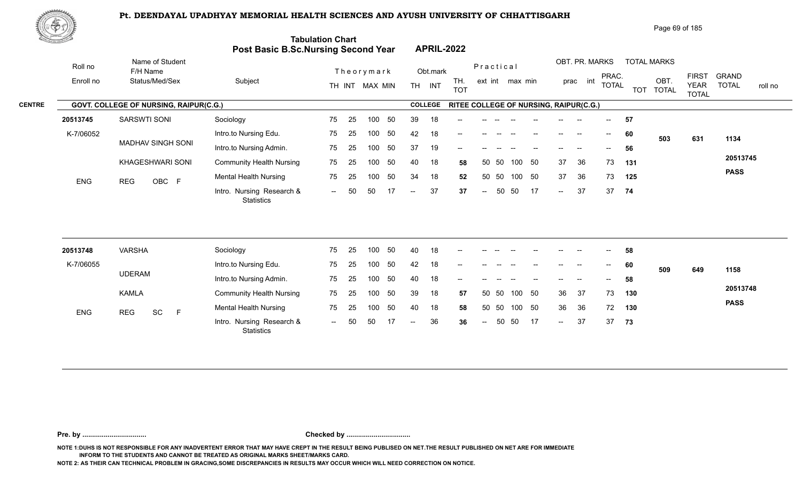

|               | <u> Serial S</u> |                                        | Post Basic B.Sc.Nursing Second Year     | <b>Tabulation Chart</b> |     |                |     |                          | <b>APRIL-2022</b> |                                        |                          |       |                 |     |                            |                |                                       |            |                      |                             |                         |
|---------------|------------------|----------------------------------------|-----------------------------------------|-------------------------|-----|----------------|-----|--------------------------|-------------------|----------------------------------------|--------------------------|-------|-----------------|-----|----------------------------|----------------|---------------------------------------|------------|----------------------|-----------------------------|-------------------------|
|               | Roll no          | Name of Student<br>F/H Name            |                                         |                         |     | Theorymark     |     |                          | Obt.mark          |                                        | Practical                |       |                 |     |                            | OBT. PR. MARKS | PRAC.                                 |            | <b>TOTAL MARKS</b>   | <b>FIRST</b>                | <b>GRAND</b>            |
|               | Enroll no        | Status/Med/Sex                         | Subject                                 |                         |     | TH INT MAX MIN |     | <b>TH</b>                | INT               | TH.<br><b>TOT</b>                      |                          |       | ext int max min |     | prac                       | int            | <b>TOTAL</b>                          | <b>TOT</b> | OBT.<br><b>TOTAL</b> | <b>YEAR</b><br><b>TOTAL</b> | <b>TOTAL</b><br>roll no |
| <b>CENTRE</b> |                  | GOVT. COLLEGE OF NURSING, RAIPUR(C.G.) |                                         |                         |     |                |     |                          | <b>COLLEGE</b>    | RITEE COLLEGE OF NURSING, RAIPUR(C.G.) |                          |       |                 |     |                            |                |                                       |            |                      |                             |                         |
|               | 20513745         | <b>SARSWTI SONI</b>                    | Sociology                               | 75                      | 25  | 100            | 50  | 39                       | 18                |                                        |                          |       |                 |     |                            |                |                                       | 57         |                      |                             |                         |
|               | K-7/06052        |                                        | Intro.to Nursing Edu.                   | 75                      | 25  | 100            | 50  | 42                       | 18                |                                        |                          |       |                 |     |                            |                | $\hspace{0.05cm}$ – $\hspace{0.05cm}$ | 60         | 503                  | 631                         | 1134                    |
|               |                  | MADHAV SINGH SONI                      | Intro.to Nursing Admin.                 | 75                      | 25  | 100            | 50  | 37                       | 19                | --                                     |                          |       |                 |     |                            |                |                                       | 56         |                      |                             |                         |
|               |                  | KHAGESHWARI SONI                       | <b>Community Health Nursing</b>         | 75                      | 25  | 100            | 50  | 40                       | 18                | 58                                     | 50                       | 50    | 100             | 50  | 37                         | 36             | 73                                    | 131        |                      |                             | 20513745                |
|               | ENG              | OBC F<br><b>REG</b>                    | <b>Mental Health Nursing</b>            | 75                      | 25  | 100            | 50  | 34                       | 18                | 52                                     | 50                       | 50    | 100 50          |     | 37                         | 36             | 73                                    | 125        |                      |                             | <b>PASS</b>             |
|               |                  |                                        | Intro. Nursing Research &<br>Statistics | $\sim$ $\sim$           | 50  | 50             | -17 | $\overline{\phantom{a}}$ | 37                | 37                                     | $\overline{\phantom{a}}$ | 50    | 50              | -17 | $\mathcal{L}(\mathcal{L})$ | 37             | 37                                    | 74         |                      |                             |                         |
|               |                  |                                        |                                         |                         |     |                |     |                          |                   |                                        |                          |       |                 |     |                            |                |                                       |            |                      |                             |                         |
|               | 20513748         | <b>VARSHA</b>                          | Sociology                               | 75                      | 25  | 100            | 50  | 40                       | 18                | --                                     |                          |       |                 |     |                            |                |                                       | 58         |                      |                             |                         |
|               | K-7/06055        | <b>UDERAM</b>                          | Intro.to Nursing Edu.                   | 75                      | 25  | 100            | 50  | 42                       | 18                |                                        |                          |       |                 |     |                            |                |                                       | 60         | 509                  | 649                         | 1158                    |
|               |                  |                                        | Intro.to Nursing Admin.                 | 75                      | 25  | 100            | 50  | 40                       | 18                | --                                     |                          |       |                 |     |                            |                |                                       | 58         |                      |                             |                         |
|               |                  | <b>KAMLA</b>                           | <b>Community Health Nursing</b>         | 75                      | 25  | 100            | 50  | 39                       | 18                | 57                                     |                          | 50 50 | 100             | 50  | 36                         | 37             | 73                                    | 130        |                      |                             | 20513748                |
|               | ENG              | SC<br><b>REG</b><br>$\mathsf{F}$       | <b>Mental Health Nursing</b>            | 75                      | 25  | 100            | 50  | 40                       | 18                | 58                                     |                          | 50 50 | 100 50          |     | 36                         | 36             | 72                                    | 130        |                      |                             | <b>PASS</b>             |
|               |                  |                                        | Intro. Nursing Research &               | $\sim$                  | -50 | 50             |     | $\overline{\phantom{a}}$ | 36                | 36                                     | $\overline{\phantom{a}}$ | 50    | 50              | -17 | $\mathcal{L}(\mathcal{L})$ | 37             | 37                                    | 73         |                      |                             |                         |

**Pre. by ................................. Checked by .................................**

**NOTE 1:DUHS IS NOT RESPONSIBLE FOR ANY INADVERTENT ERROR THAT MAY HAVE CREPT IN THE RESULT BEING PUBLISED ON NET.THE RESULT PUBLISHED ON NET ARE FOR IMMEDIATE INFORM TO THE STUDENTS AND CANNOT BE TREATED AS ORIGINAL MARKS SHEET/MARKS CARD.**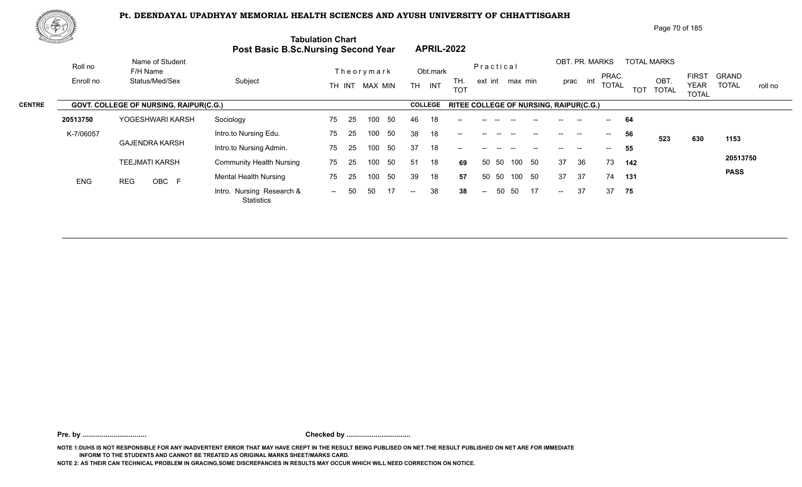

| Page 70 of 185 |
|----------------|
|----------------|

|               | <u>the games of the </u> |                                        |                                                | <b>Tabulation Chart</b><br><b>Post Basic B.Sc.Nursing Second Year</b> | <b>APRIL-2022</b>                     |                                        |                                                                |                                                        |
|---------------|--------------------------|----------------------------------------|------------------------------------------------|-----------------------------------------------------------------------|---------------------------------------|----------------------------------------|----------------------------------------------------------------|--------------------------------------------------------|
|               | Roll no                  | Name of Student<br>F/H Name            |                                                | Theorymark                                                            | Obt.mark                              | Practical                              | OBT. PR. MARKS<br><b>TOTAL MARKS</b><br>PRAC.                  | <b>FIRST</b><br><b>GRAND</b>                           |
|               | Enroll no                | Status/Med/Sex                         | Subject                                        | TH INT MAX MIN                                                        | TH.<br><b>TH</b><br>INT<br><b>TOT</b> | ext int max min                        | OBT.<br>prac int<br><b>TOTAL</b><br><b>TOT</b><br><b>TOTAL</b> | <b>TOTAL</b><br><b>YEAR</b><br>roll no<br><b>TOTAL</b> |
| <b>CENTRE</b> |                          | GOVT. COLLEGE OF NURSING, RAIPUR(C.G.) |                                                |                                                                       | <b>COLLEGE</b>                        | RITEE COLLEGE OF NURSING, RAIPUR(C.G.) |                                                                |                                                        |
|               | 20513750                 | YOGESHWARI KARSH                       | Sociology                                      | 50<br>75<br>-25<br>100                                                | 46<br>18<br>$- -$                     |                                        | 64<br>$- -$                                                    |                                                        |
|               | K-7/06057                |                                        | Intro.to Nursing Edu.                          | 50<br>75<br>25<br>100                                                 | 38<br>18<br>$- -$                     |                                        | 56<br>$\hspace{0.05cm}$ – $\hspace{0.05cm}$<br>523             | 630<br>1153                                            |
|               |                          | <b>GAJENDRA KARSH</b>                  | Intro.to Nursing Admin.                        | 50<br>25<br>75<br>100                                                 | 37<br>18<br>$\qquad \qquad -$         |                                        | 55<br>--<br>$- -$                                              |                                                        |
|               |                          | <b>TEEJMATI KARSH</b>                  | <b>Community Health Nursing</b>                | 75<br>50<br>100<br>-25                                                | 18<br>51<br>69                        | 50<br>50 50<br>100                     | 36<br>37<br>73<br>142                                          | 20513750                                               |
|               | <b>ENG</b>               | OBC F<br><b>REG</b>                    | <b>Mental Health Nursing</b>                   | 50<br>75<br>-25<br>100                                                | 39<br>18<br>57                        | 50 50<br>50<br>100                     | 37<br>37<br>74<br>131                                          | <b>PASS</b>                                            |
|               |                          |                                        | Intro. Nursing Research &<br><b>Statistics</b> | 50<br>50<br>17<br>$\sim$ $\sim$                                       | 38<br>38<br>$--$                      | 17<br>50<br>50<br>$\sim$               | 37<br>37<br>75<br>$\sim$                                       |                                                        |
|               |                          |                                        |                                                |                                                                       |                                       |                                        |                                                                |                                                        |

**Pre. by ................................. Checked by .................................**

**NOTE 1:DUHS IS NOT RESPONSIBLE FOR ANY INADVERTENT ERROR THAT MAY HAVE CREPT IN THE RESULT BEING PUBLISED ON NET.THE RESULT PUBLISHED ON NET ARE FOR IMMEDIATE INFORM TO THE STUDENTS AND CANNOT BE TREATED AS ORIGINAL MARKS SHEET/MARKS CARD.**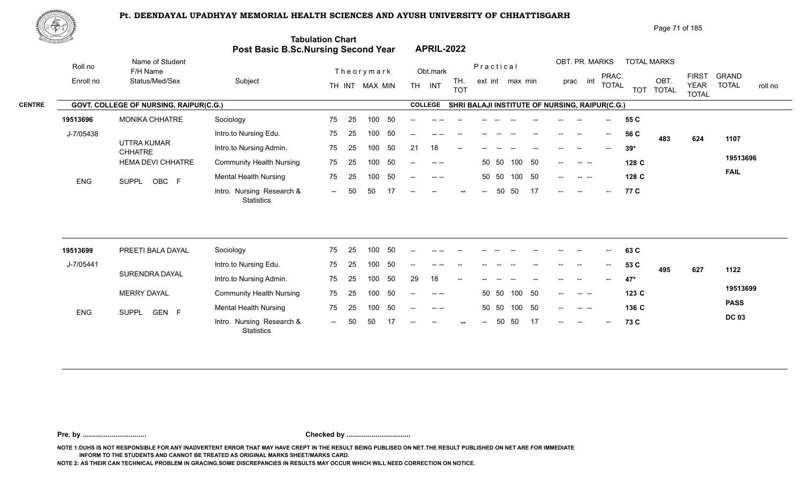Intro. Nursing Research & -- -- OBC

ENG SUPPL OBC F **And Musical Musical Controls and Altitude**<br>
Intro. Nursing Research & -- 50 50 17 -- -- -- -- -- 50 50 17 -- -- T7 C



| ぷやが                     |           |                                        |                                 |                                                                       |                                              |                                                | Page 71 of 185                                                                                             |
|-------------------------|-----------|----------------------------------------|---------------------------------|-----------------------------------------------------------------------|----------------------------------------------|------------------------------------------------|------------------------------------------------------------------------------------------------------------|
| <b>Co., Andrew Line</b> |           |                                        |                                 | <b>Tabulation Chart</b><br><b>Post Basic B.Sc.Nursing Second Year</b> | <b>APRIL-2022</b>                            |                                                |                                                                                                            |
|                         | Roll no   | Name of Student<br>F/H Name            |                                 | Theorymark                                                            | Obt.mark                                     | Practical                                      | OBT. PR. MARKS<br><b>TOTAL MARKS</b><br><b>GRAND</b><br><b>FIRST</b><br>PRAC.                              |
|                         | Enroll no | Status/Med/Sex                         | Subject                         | TH INT MAX MIN                                                        | TH.<br><b>INT</b><br><b>TH</b><br><b>TOT</b> | ext int max min                                | int<br>OBT.<br>prac<br><b>TOTAL</b><br><b>TOTAL</b><br><b>YEAR</b><br>roll no<br>TOT TOTAL<br><b>TOTAL</b> |
| <b>CENTRE</b>           |           | GOVT. COLLEGE OF NURSING, RAIPUR(C.G.) |                                 |                                                                       | <b>COLLEGE</b>                               | SHRI BALAJI INSTITUTE OF NURSING, RAIPUR(C.G.) |                                                                                                            |
|                         | 19513696  | <b>MONIKA CHHATRE</b>                  | Sociology                       | -50<br>75<br>100<br>-25                                               |                                              |                                                | 55 C                                                                                                       |
|                         | J-7/05438 |                                        | Intro.to Nursing Edu.           | -50<br>75<br>100<br>-25                                               | --                                           |                                                | 56 C<br>$\overline{\phantom{a}}$<br>483<br>1107<br>624                                                     |
|                         |           | UTTRA KUMAR<br><b>CHHATRE</b>          | Intro.to Nursing Admin.         | 50<br>75<br>100<br>-25                                                | 18<br>21<br>$--$                             |                                                | $39*$<br>$- -$<br>$\hspace{0.05cm}$<br>$\overline{\phantom{a}}$                                            |
|                         |           | <b>HEMA DEVI CHHATRE</b>               | <b>Community Health Nursing</b> | -50<br>75<br>100<br>25                                                | $- - - -$<br>$- -$                           | 100<br>- 50<br>50 50                           | 19513696<br>128 C<br><b>Contract Contract</b><br>$--$                                                      |
|                         | F10       | $O(10D)$ $O(2D)$ $C$                   | Mental Health Nursing           | 50<br>75<br>100<br>- 25                                               | $--$                                         | 100 50<br>50 50                                | <b>FAIL</b><br>128 C<br>$--$                                                                               |

-- 50 50 17

-- -- -- 50 50 17 -- -- -- <mark>;</mark>

**77**

**C**

| 19513699   | PREETI BALA DAYAL     | Sociology                                      | 75     | 25  | 100 | - 50 | $-  \,$                  |               | $- -$ | --    |       |        | $- -$ | $- -$         | $- -$                    | $\sim$                    | 63 C  |     |     |              |
|------------|-----------------------|------------------------------------------------|--------|-----|-----|------|--------------------------|---------------|-------|-------|-------|--------|-------|---------------|--------------------------|---------------------------|-------|-----|-----|--------------|
| J-7/05441  |                       | Intro.to Nursing Edu.                          | 75     | -25 | 100 |      | $\overline{\phantom{a}}$ | $--- - - -$   | $- -$ | $- -$ |       |        | $- -$ | $--$          | $\overline{\phantom{a}}$ | $\mathbf{H}^{\mathbf{H}}$ | 53 C  | 495 | 627 | 1122         |
|            | SURENDRA DAYAL        | Intro.to Nursing Admin.                        | 75     | 25  | 100 | - 50 | 29                       | 18            | $- -$ |       |       |        |       |               |                          | $--$                      | 47*   |     |     |              |
|            | <b>MERRY DAYAL</b>    | <b>Community Health Nursing</b>                | 75     | 25  | 100 | -50  | $\overline{\phantom{a}}$ | $-1 - 1 - 1$  |       |       | 50 50 | 100    | - 50  | $--$          | $\sim$ $\sim$ $\sim$     |                           | 123C  |     |     | 19513699     |
| <b>ENG</b> | GEN F<br><b>SUPPL</b> | <b>Mental Health Nursing</b>                   | 75     | -25 | 100 | -50  | $\overline{\phantom{a}}$ | $\sim$ $\sim$ |       |       | 50 50 | 100 50 |       | $\sim$ $\sim$ | المسترد السمار           |                           | 136 C |     |     | <b>PASS</b>  |
|            |                       | Intro. Nursing Research &<br><b>Statistics</b> | $\sim$ | .50 | 50  |      | $- -$                    | $- -$         | $-$   | $- -$ |       | 50 50  |       | $- -$         | $- -$                    | $\overline{a}$            | 73 C  |     |     | <b>DC 03</b> |

-- 50 50 17

SUPPL OBC F

**Pre. by ................................. Checked by .................................**

**NOTE 1:DUHS IS NOT RESPONSIBLE FOR ANY INADVERTENT ERROR THAT MAY HAVE CREPT IN THE RESULT BEING PUBLISED ON NET.THE RESULT PUBLISHED ON NET ARE FOR IMMEDIATE INFORM TO THE STUDENTS AND CANNOT BE TREATED AS ORIGINAL MARKS SHEET/MARKS CARD.**

**NOTE 2: AS THEIR CAN TECHNICAL PROBLEM IN GRACING,SOME DISCREPANCIES IN RESULTS MAY OCCUR WHICH WILL NEED CORRECTION ON NOTICE.**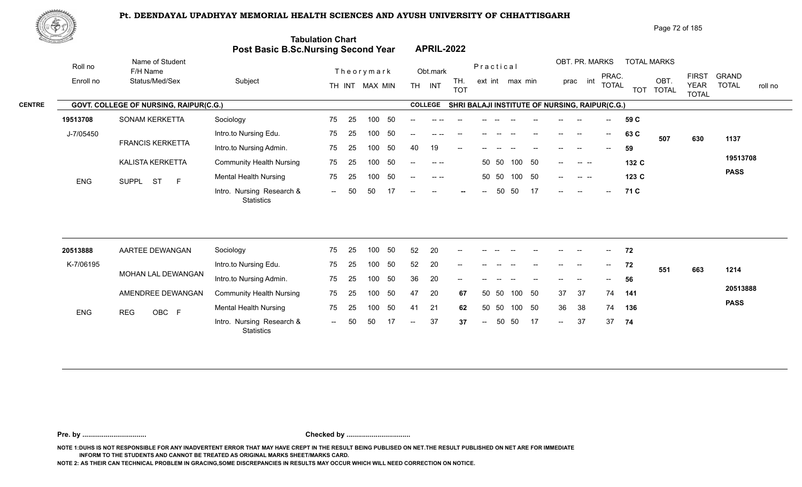

|               | 脚やり                                    |                                |                                     |                          |                                                                                                                                                                                                                                                                                                                                                                                                      | Page 72 of 185                                                                                                                                                                          |
|---------------|----------------------------------------|--------------------------------|-------------------------------------|--------------------------|------------------------------------------------------------------------------------------------------------------------------------------------------------------------------------------------------------------------------------------------------------------------------------------------------------------------------------------------------------------------------------------------------|-----------------------------------------------------------------------------------------------------------------------------------------------------------------------------------------|
|               |                                        |                                | Post Basic B.Sc.Nursing Second Year | <b>Tabulation Chart</b>  | <b>APRIL-2022</b>                                                                                                                                                                                                                                                                                                                                                                                    |                                                                                                                                                                                         |
|               | Roll no                                | Name of Student<br>F/H Name    |                                     | Theorymark               | Obt.mark                                                                                                                                                                                                                                                                                                                                                                                             | OBT. PR. MARKS<br><b>TOTAL MARKS</b><br>Practical                                                                                                                                       |
|               | Enroll no                              | Status/Med/Sex                 | Subject                             | MAX MIN<br>TH INT        | TH.<br><b>TH</b><br>INT<br><b>TOT</b>                                                                                                                                                                                                                                                                                                                                                                | <b>FIRST</b><br><b>GRAND</b><br>PRAC.<br>OBT.<br>int<br>ext int max min<br>prac<br><b>TOTAL</b><br><b>TOTAL</b><br><b>YEAR</b><br>roll no<br><b>TOTAL</b><br><b>TOT</b><br><b>TOTAL</b> |
| <b>CENTRE</b> | GOVT. COLLEGE OF NURSING, RAIPUR(C.G.) |                                |                                     |                          | <b>COLLEGE</b>                                                                                                                                                                                                                                                                                                                                                                                       | SHRI BALAJI INSTITUTE OF NURSING, RAIPUR(C.G.)                                                                                                                                          |
|               | 19513708                               | SONAM KERKETTA                 | Sociology                           | - 50<br>75<br>100<br>-25 |                                                                                                                                                                                                                                                                                                                                                                                                      | 59 C                                                                                                                                                                                    |
|               | J-7/05450                              |                                | Intro.to Nursing Edu.               | -50<br>25<br>100<br>75   | $-$                                                                                                                                                                                                                                                                                                                                                                                                  | 63 C<br>$--$<br>$\hspace{0.05cm}$<br>507<br>630<br>1137                                                                                                                                 |
|               |                                        | <b>FRANCIS KERKETTA</b>        | Intro.to Nursing Admin.             | 50<br>75<br>100<br>-25   | 19<br>40<br>$- -$                                                                                                                                                                                                                                                                                                                                                                                    | 59<br>$- -$                                                                                                                                                                             |
|               |                                        | KALISTA KERKETTA               | <b>Community Health Nursing</b>     | 50<br>75<br>25<br>100    | $\frac{1}{2} \frac{1}{2} \frac{1}{2} \frac{1}{2} \frac{1}{2} \frac{1}{2} \frac{1}{2} \frac{1}{2} \frac{1}{2} \frac{1}{2} \frac{1}{2} \frac{1}{2} \frac{1}{2} \frac{1}{2} \frac{1}{2} \frac{1}{2} \frac{1}{2} \frac{1}{2} \frac{1}{2} \frac{1}{2} \frac{1}{2} \frac{1}{2} \frac{1}{2} \frac{1}{2} \frac{1}{2} \frac{1}{2} \frac{1}{2} \frac{1}{2} \frac{1}{2} \frac{1}{2} \frac{1}{2} \frac{$<br>$--$ | 19513708<br>50<br>50 50<br>100<br>132 C<br><b>Contract Contract</b><br>$\qquad \qquad -$                                                                                                |
|               | <b>ENG</b>                             | <b>ST</b><br>E<br><b>SUPPL</b> | <b>Mental Health Nursing</b>        | -50<br>75<br>100<br>-25  | $\begin{array}{cccccccccc} - & & - & & - & - & \end{array}$<br>$- -$                                                                                                                                                                                                                                                                                                                                 | <b>PASS</b><br>100 50<br>50 50<br>123 C<br>$--$<br>$\begin{array}{ccc} - & - & - \end{array}$                                                                                           |
|               |                                        |                                | Intro. Nursing Research &           | 17<br>50<br>50<br>$  \,$ | $--$<br>$--$<br>$\sim$                                                                                                                                                                                                                                                                                                                                                                               | 17<br>50<br>50<br>71 C<br>$--$<br>$--$<br>$--$<br>$-$                                                                                                                                   |

| 20513888   | AARTEE DEWANGAN     | Sociology                                      | 75     | - 25 | 100 | -50 | 52                       | 20 | $\sim$                   |               |       |        | $--$ | $--$   | $- -$ | $\frac{1}{2}$ .           | 72  |            |             |
|------------|---------------------|------------------------------------------------|--------|------|-----|-----|--------------------------|----|--------------------------|---------------|-------|--------|------|--------|-------|---------------------------|-----|------------|-------------|
| K-7/06195  |                     | Intro.to Nursing Edu.                          | 75     | -25  | 100 |     | 52                       | 20 | $\overline{\phantom{a}}$ |               |       |        |      | $- -$  | $- -$ | $\mathbf{u} = \mathbf{v}$ | 72  | 551<br>663 | 1214        |
|            | MOHAN LAL DEWANGAN  | Intro.to Nursing Admin.                        | 75     | -25  | 100 |     | 36                       | 20 | $- -$                    |               |       |        |      | $- -$  |       | $\overline{\phantom{a}}$  | 56  |            |             |
|            | AMENDREE DEWANGAN   | <b>Community Health Nursing</b>                | 75     | - 25 | 100 | -50 | 47                       | 20 | 67                       |               | 50 50 | 100 50 |      | 37     | 37    | 74                        | 141 |            | 20513888    |
| <b>ENG</b> | OBC F<br><b>REG</b> | <b>Mental Health Nursing</b>                   | 75     | - 25 | 100 | 50  | -41                      | 21 | 62                       |               | 50 50 | 100 50 |      | 36     | -38   | 74                        | 136 |            | <b>PASS</b> |
|            |                     | Intro. Nursing Research &<br><b>Statistics</b> | $\sim$ | 50   | -50 |     | $\overline{\phantom{a}}$ | 37 | 37                       | $\sim$ $\sim$ | 50    | - 50   | 17   | $\sim$ | 37    | 37                        | -74 |            |             |

**Pre. by ................................. Checked by .................................**

**NOTE 1:DUHS IS NOT RESPONSIBLE FOR ANY INADVERTENT ERROR THAT MAY HAVE CREPT IN THE RESULT BEING PUBLISED ON NET.THE RESULT PUBLISHED ON NET ARE FOR IMMEDIATE INFORM TO THE STUDENTS AND CANNOT BE TREATED AS ORIGINAL MARKS SHEET/MARKS CARD.**

**NOTE 2: AS THEIR CAN TECHNICAL PROBLEM IN GRACING,SOME DISCREPANCIES IN RESULTS MAY OCCUR WHICH WILL NEED CORRECTION ON NOTICE.**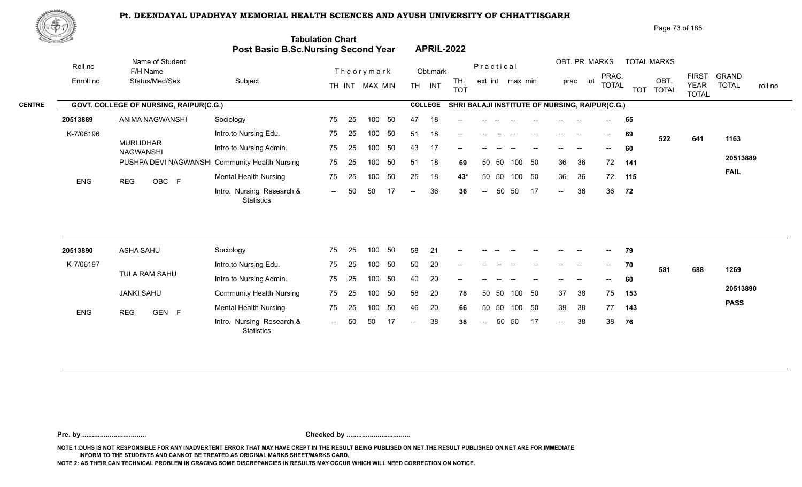

|               | ₩†         |                                        |                                                |                         |           |                                       |                                                |                                      | Page 73 of 185     |                                                                                        |
|---------------|------------|----------------------------------------|------------------------------------------------|-------------------------|-----------|---------------------------------------|------------------------------------------------|--------------------------------------|--------------------|----------------------------------------------------------------------------------------|
|               |            |                                        | <b>Post Basic B.Sc.Nursing Second Year</b>     | <b>Tabulation Chart</b> |           | <b>APRIL-2022</b>                     |                                                |                                      |                    |                                                                                        |
|               | Roll no    | Name of Student<br>F/H Name            |                                                | Theorymark              |           | Obt.mark                              | Practical                                      | OBT. PR. MARKS                       | <b>TOTAL MARKS</b> |                                                                                        |
|               | Enroll no  | Status/Med/Sex                         | Subject                                        | TH INT MAX MIN          |           | TH.<br><b>TH</b><br>INT<br><b>TOT</b> | ext int max min                                | PRAC.<br>int<br>prac<br><b>TOTAL</b> | OBT.<br>TOT TOTAL  | <b>FIRST</b><br><b>GRAND</b><br><b>TOTAL</b><br><b>YEAR</b><br>roll no<br><b>TOTAL</b> |
| <b>CENTRE</b> |            | GOVT. COLLEGE OF NURSING, RAIPUR(C.G.) |                                                |                         |           | <b>COLLEGE</b>                        | SHRI BALAJI INSTITUTE OF NURSING, RAIPUR(C.G.) |                                      |                    |                                                                                        |
|               | 20513889   | ANIMA NAGWANSHI                        | Sociology                                      | 75<br>25                | 50<br>100 | 18<br>47<br>$- -$                     |                                                |                                      | 65                 |                                                                                        |
|               | K-7/06196  |                                        | Intro.to Nursing Edu.                          | 75<br>25                | 50<br>100 | 18<br>51<br>$- -$                     |                                                | $\hspace{0.05cm}$<br>$\sim$          | 69<br>522          | 1163<br>641                                                                            |
|               |            | <b>MURLIDHAR</b><br><b>NAGWANSHI</b>   | Intro.to Nursing Admin.                        | 75<br>-25               | 50<br>100 | 43<br>17<br>$-$                       |                                                |                                      | 60                 |                                                                                        |
|               |            |                                        | PUSHPA DEVI NAGWANSHI Community Health Nursing | 75<br>25                | 50<br>100 | 18<br>51<br>69                        | - 50<br>50 50<br>100                           | 36<br>36<br>72                       | 141                | 20513889                                                                               |
|               | <b>ENG</b> | OBC F<br><b>REG</b>                    | <b>Mental Health Nursing</b>                   | 75<br>25                | 50<br>100 | 25<br>18<br>43*                       | - 50<br>-50<br>100<br>50                       | 36<br>36<br>72                       | 115                | <b>FAIL</b>                                                                            |
|               |            |                                        | Intro. Nursing Research &<br>Statistics        | 50<br>$\sim$            | 50<br>17  | 36<br>36<br>$\sim$ $\sim$             | 17<br>50<br>50<br>$\sim$                       | 36<br>36<br>$\sim$                   | 72                 |                                                                                        |

| 20513890   | ASHA SAHU         | Sociology                                      | 75                       | 25  | 100 | 50  | 58     | 21 | $- -$ | --            |       |        |    | $- -$         | $- -$ | $--$  | 79  |     |     |             |
|------------|-------------------|------------------------------------------------|--------------------------|-----|-----|-----|--------|----|-------|---------------|-------|--------|----|---------------|-------|-------|-----|-----|-----|-------------|
| K-7/06197  |                   | Intro.to Nursing Edu.                          | 75                       | -25 | 100 | 50  | 50     | 20 | $- -$ |               |       |        |    | --            |       | $--$  | 70  | 581 | 688 | 1269        |
|            | TULA RAM SAHU     | Intro.to Nursing Admin.                        | 75                       | 25  | 100 | 50  | 40     | 20 | $- -$ |               |       |        |    | $- -$         | $- -$ | $- -$ | 60  |     |     |             |
|            | <b>JANKI SAHU</b> | <b>Community Health Nursing</b>                | 75                       | -25 | 100 | -50 | 58     | 20 | 78    |               | 50 50 | 100 50 |    | 37            | -38   | 75    | 153 |     |     | 20513890    |
| <b>ENG</b> | REG<br>GEN F      | <b>Mental Health Nursing</b>                   | 75                       | 25  | 100 | 50  | 46     | 20 | 66    |               | 50 50 | 100 50 |    | -39           | -38   | 77    | 143 |     |     | <b>PASS</b> |
|            |                   | Intro. Nursing Research &<br><b>Statistics</b> | $\overline{\phantom{a}}$ | 50  | 50  |     | $  \,$ | 38 | 38    | $\sim$ $\sim$ | 50    | - 50   | 17 | $\rightarrow$ | 38    | 38    | 76  |     |     |             |

**Pre. by ................................. Checked by .................................**

**NOTE 1:DUHS IS NOT RESPONSIBLE FOR ANY INADVERTENT ERROR THAT MAY HAVE CREPT IN THE RESULT BEING PUBLISED ON NET.THE RESULT PUBLISHED ON NET ARE FOR IMMEDIATE INFORM TO THE STUDENTS AND CANNOT BE TREATED AS ORIGINAL MARKS SHEET/MARKS CARD.**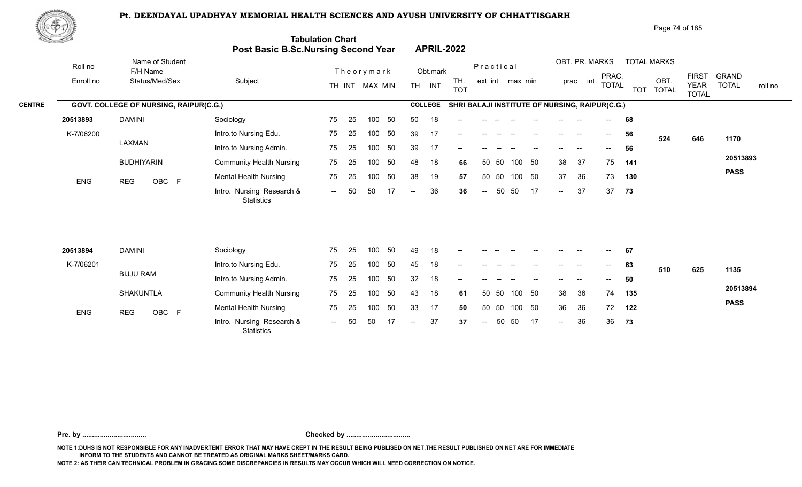

| Page 74 of 185 |
|----------------|
|                |

| <u>Cardinal Co</u> |                      |                                               | Post Basic B.Sc.Nursing Second Year            | <b>Tabulation Chart</b> |    |                              |     |                          |                    | <b>APRIL-2022</b>                              |                          |           |                 |    |        |                            |                                       |     |                                         |                                             |                              |         |
|--------------------|----------------------|-----------------------------------------------|------------------------------------------------|-------------------------|----|------------------------------|-----|--------------------------|--------------------|------------------------------------------------|--------------------------|-----------|-----------------|----|--------|----------------------------|---------------------------------------|-----|-----------------------------------------|---------------------------------------------|------------------------------|---------|
|                    | Roll no<br>Enroll no | Name of Student<br>F/H Name<br>Status/Med/Sex | Subject                                        |                         |    | Theorymark<br>TH INT MAX MIN |     |                          | Obt.mark<br>TH INT | TH.<br><b>TOT</b>                              |                          | Practical | ext int max min |    |        | OBT. PR. MARKS<br>prac int | PRAC.<br><b>TOTAL</b>                 |     | <b>TOTAL MARKS</b><br>OBT.<br>TOT TOTAL | <b>FIRST</b><br><b>YEAR</b><br><b>TOTAL</b> | <b>GRAND</b><br><b>TOTAL</b> | roll no |
| <b>CENTRE</b>      |                      | GOVT. COLLEGE OF NURSING, RAIPUR(C.G.)        |                                                |                         |    |                              |     |                          | <b>COLLEGE</b>     | SHRI BALAJI INSTITUTE OF NURSING, RAIPUR(C.G.) |                          |           |                 |    |        |                            |                                       |     |                                         |                                             |                              |         |
|                    | 20513893             | <b>DAMINI</b>                                 | Sociology                                      | 75                      | 25 | 100                          | 50  | 50                       | 18                 |                                                |                          |           |                 |    |        |                            |                                       | 68  |                                         |                                             |                              |         |
|                    | K-7/06200            |                                               | Intro.to Nursing Edu.                          | 75                      | 25 | 100                          | 50  | 39                       | 17                 |                                                |                          |           |                 |    |        |                            | $\hspace{0.05cm}$ – $\hspace{0.05cm}$ | 56  | 524                                     | 646                                         | 1170                         |         |
|                    |                      | LAXMAN                                        | Intro.to Nursing Admin.                        | 75                      | 25 | 100                          | 50  | 39                       | 17                 |                                                |                          |           |                 |    |        |                            |                                       | 56  |                                         |                                             |                              |         |
|                    |                      | <b>BUDHIYARIN</b>                             | <b>Community Health Nursing</b>                | 75                      | 25 | 100                          | 50  | 48                       | 18                 | 66                                             | 50                       | - 50      | 100             | 50 | 38     | 37                         | 75                                    | 141 |                                         |                                             | 20513893                     |         |
|                    | <b>ENG</b>           | OBC F<br><b>REG</b>                           | <b>Mental Health Nursing</b>                   | 75                      | 25 | 100                          | 50  | 38                       | 19                 | 57                                             |                          | 50 50     | 100 50          |    | 37     | 36                         | 73                                    | 130 |                                         |                                             | <b>PASS</b>                  |         |
|                    |                      |                                               | Intro. Nursing Research &<br>Statistics        | $--$                    | 50 | 50                           | 17  | $\overline{\phantom{a}}$ | 36                 | 36                                             | $\overline{\phantom{m}}$ | 50        | 50              | 17 | $\sim$ | 37                         | 37                                    | 73  |                                         |                                             |                              |         |
|                    | 20513894             | <b>DAMINI</b>                                 | Sociology                                      | 75                      | 25 | 100 <sub>1</sub>             | -50 | 49                       | 18                 |                                                |                          |           |                 |    |        |                            |                                       | 67  |                                         |                                             |                              |         |
|                    | K-7/06201            |                                               | Intro.to Nursing Edu.                          | 75                      | 25 | 100                          | 50  | 45                       | 18                 |                                                |                          |           |                 |    |        |                            | $\overline{\phantom{a}}$              | 63  |                                         |                                             |                              |         |
|                    |                      | <b>BIJJU RAM</b>                              | Intro.to Nursing Admin.                        | 75                      | 25 | 100                          | 50  | 32                       | 18                 |                                                |                          |           |                 |    |        |                            |                                       | 50  | 510                                     | 625                                         | 1135                         |         |
|                    |                      | <b>SHAKUNTLA</b>                              | <b>Community Health Nursing</b>                | 75                      | 25 | 100                          | 50  | 43                       | 18                 | 61                                             |                          | 50 50     | 100             | 50 | 38     | 36                         | 74                                    | 135 |                                         |                                             | 20513894                     |         |
|                    |                      |                                               |                                                |                         |    |                              |     |                          |                    |                                                |                          |           |                 |    |        |                            |                                       |     |                                         |                                             | <b>PASS</b>                  |         |
|                    | <b>ENG</b>           | OBC F<br><b>REG</b>                           | <b>Mental Health Nursing</b>                   | 75                      | 25 | 100                          | 50  | 33                       | 17                 | 50                                             |                          | 50 50     | 100 50          |    | 36     | 36                         | 72                                    | 122 |                                         |                                             |                              |         |
|                    |                      |                                               | Intro. Nursing Research &<br><b>Statistics</b> | $--$                    | 50 | 50                           | 17  | $\overline{\phantom{a}}$ | 37                 | 37                                             | $\sim$                   | 50        | 50              | 17 | $\sim$ | 36                         | 36                                    | 73  |                                         |                                             |                              |         |
|                    |                      |                                               |                                                |                         |    |                              |     |                          |                    |                                                |                          |           |                 |    |        |                            |                                       |     |                                         |                                             |                              |         |

**Pre. by ................................. Checked by .................................**

**NOTE 1:DUHS IS NOT RESPONSIBLE FOR ANY INADVERTENT ERROR THAT MAY HAVE CREPT IN THE RESULT BEING PUBLISED ON NET.THE RESULT PUBLISHED ON NET ARE FOR IMMEDIATE INFORM TO THE STUDENTS AND CANNOT BE TREATED AS ORIGINAL MARKS SHEET/MARKS CARD.**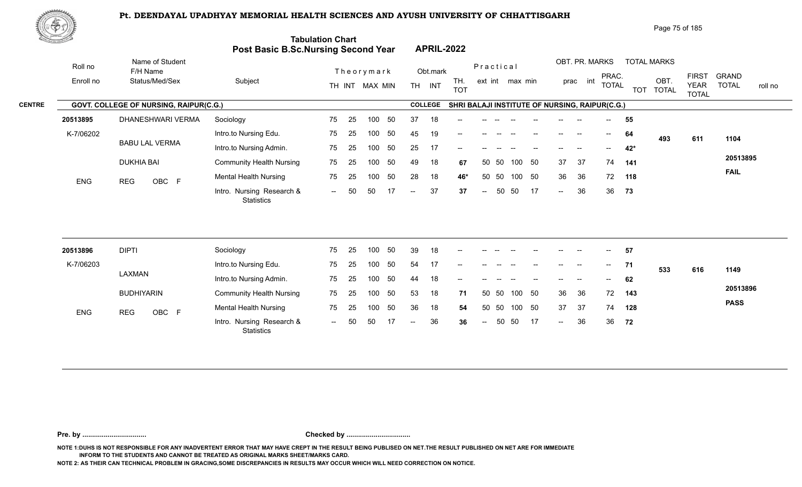**Tabulation Chart** 



|           |                   | Page 75 of 185 |
|-----------|-------------------|----------------|
| <b>ir</b> | <b>APRIL-2022</b> |                |

50 50 36 18 **54** 37 37 74 **128** 36 **36** *--* 50 50 17 *--* 36 36 **72** 

37 50 74 128

**PASS**

**72**

|           |                                        | <b>Post Basic B.Sc.Nursing Second Year</b> |      |    |                |    |        |                | <b>APRIL-2022</b>                              |           |       |                 |        |        |                                                |                |            |                      |                                             |                                         |
|-----------|----------------------------------------|--------------------------------------------|------|----|----------------|----|--------|----------------|------------------------------------------------|-----------|-------|-----------------|--------|--------|------------------------------------------------|----------------|------------|----------------------|---------------------------------------------|-----------------------------------------|
| Roll no   | Name of Student<br>F/H Name            |                                            |      |    | Theorymark     |    |        | Obt.mark       |                                                | Practical |       |                 |        |        | OBT. PR. MARKS                                 |                |            | <b>TOTAL MARKS</b>   |                                             |                                         |
| Enroll no | Status/Med/Sex                         | Subject                                    |      |    | TH INT MAX MIN |    |        | TH INT         | TH.<br><b>TOT</b>                              |           |       | ext int max min |        |        | int<br>prac                                    | PRAC.<br>TOTAL | <b>TOT</b> | OBT.<br><b>TOTAL</b> | <b>FIRST</b><br><b>YEAR</b><br><b>TOTAL</b> | <b>GRAND</b><br><b>TOTAL</b><br>roll no |
|           | GOVT. COLLEGE OF NURSING, RAIPUR(C.G.) |                                            |      |    |                |    |        | <b>COLLEGE</b> | SHRI BALAJI INSTITUTE OF NURSING, RAIPUR(C.G.) |           |       |                 |        |        |                                                |                |            |                      |                                             |                                         |
| 20513895  | DHANESHWARI VERMA                      | Sociology                                  | 75   | 25 | 100            | 50 | 37     | 18             | $\overline{\phantom{a}}$                       |           |       |                 |        |        |                                                | $-$            | 55         |                      |                                             |                                         |
| K-7/06202 |                                        | Intro.to Nursing Edu.                      | 75   | 25 | 100            | 50 | 45     | 19             | $\overline{\phantom{a}}$                       |           | $- -$ |                 |        | $--$   |                                                | $--$           | 64         | 493                  | 611                                         | 1104                                    |
|           | <b>BABU LAL VERMA</b>                  | Intro.to Nursing Admin.                    | 75   | 25 | 100            | 50 | 25     | 17             |                                                |           |       |                 |        |        |                                                | $- -$          | 42*        |                      |                                             |                                         |
|           | <b>DUKHIA BAI</b>                      | <b>Community Health Nursing</b>            | 75   | 25 | 100            | 50 | 49     | 18             | 67                                             |           | 50 50 | 100             | 50     | 37     | 37                                             | 74             | 141        |                      |                                             | 20513895                                |
| ENG       | OBC F<br><b>REG</b>                    | Mental Health Nursing                      | 75   | 25 | 100            | 50 | 28     | 18             | 46*                                            | 50        | 50    |                 | 100 50 | 36     | 36                                             | 72             | 118        |                      |                                             | <b>FAIL</b>                             |
|           |                                        | Intro. Nursing Research &<br>Statistics    | $--$ | 50 | 50             | 17 | $\sim$ | 37             | 37                                             | $\sim$    | 50    | 50              | 17     | $\sim$ | 36                                             | 36             | 73         |                      |                                             |                                         |
|           |                                        |                                            |      |    |                |    |        |                |                                                |           |       |                 |        |        |                                                |                |            |                      |                                             |                                         |
| 20513896  | <b>DIPTI</b>                           | Sociology                                  | 75   | 25 | 100            | 50 | 39     | 18             |                                                |           |       |                 |        |        |                                                |                | 57         |                      |                                             |                                         |
| K-7/06203 |                                        | Intro.to Nursing Edu.                      | 75   | 25 | 100            | 50 | 54     | 17             | $\qquad \qquad -$                              |           | $- -$ | $-$             | $\sim$ | $--$   | $\hspace{0.1mm}-\hspace{0.1mm}-\hspace{0.1mm}$ | $--$           | 71         | 533                  | 616                                         | 1149                                    |
|           | LAXMAN                                 | Intro.to Nursing Admin.                    | 75   | 25 | 100            | 50 | 44     | 18             |                                                |           |       |                 |        |        |                                                | $- -$          | 62         |                      |                                             |                                         |
|           | <b>BUDHIYARIN</b>                      | <b>Community Health Nursing</b>            | 75   | 25 | 100            | 50 | 53     | 18             | 71                                             |           | 50 50 | 100             | 50     | 36     | 36                                             | 72             | 143        |                      |                                             | 20513896                                |

**Pre. by ................................. Checked by .................................**

0BC F Montain Research & The Ed Too of the Control of the Control of Control of the Control of Control of the C<br>Intro. Nursing Research & The Control of Control of the Control of The Theory of Control of Control of Control

25 75

-- 50 50 17 -- 36 36

36 18 54

**NOTE 1:DUHS IS NOT RESPONSIBLE FOR ANY INADVERTENT ERROR THAT MAY HAVE CREPT IN THE RESULT BEING PUBLISED ON NET.THE RESULT PUBLISHED ON NET ARE FOR IMMEDIATE INFORM TO THE STUDENTS AND CANNOT BE TREATED AS ORIGINAL MARKS SHEET/MARKS CARD.**

**NOTE 2: AS THEIR CAN TECHNICAL PROBLEM IN GRACING,SOME DISCREPANCIES IN RESULTS MAY OCCUR WHICH WILL NEED CORRECTION ON NOTICE.**

Mental Health Nursing **75** 25

**Statistics** 

ENG REG OBC F Montail House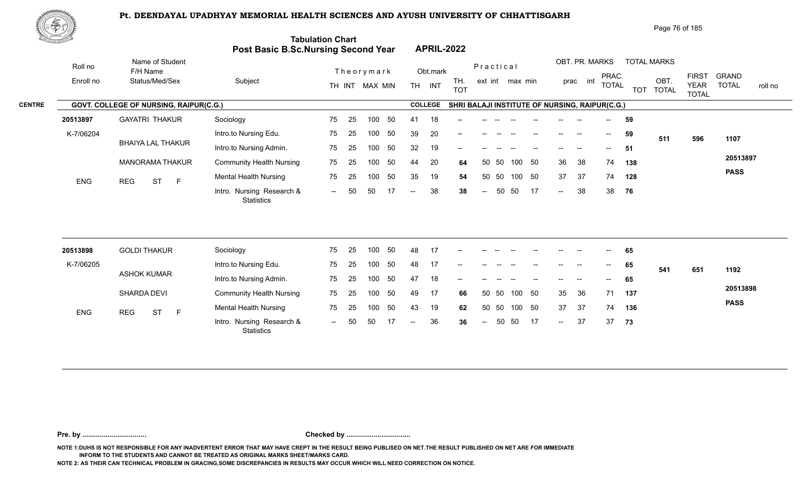1.0 Montair Research & The Edition of the Control of Control of the Control of Control of Control of Control of Control of Tennis and the Control of Tennis and the Control of Tennis and American Control of Tennis and Tenni

25 100 50 75

-- 50 50 17 -- 38 38

25 75



|                   | ₩ආ        |                                        |                                                  |                                                                       |                                |                                                | Page 76 of 185                                                                           |                                  |
|-------------------|-----------|----------------------------------------|--------------------------------------------------|-----------------------------------------------------------------------|--------------------------------|------------------------------------------------|------------------------------------------------------------------------------------------|----------------------------------|
| <b>Contractor</b> |           |                                        |                                                  | <b>Tabulation Chart</b><br><b>Post Basic B.Sc.Nursing Second Year</b> | <b>APRIL-2022</b>              |                                                |                                                                                          |                                  |
|                   | Roll no   | Name of Student<br>F/H Name            |                                                  | Theorymark                                                            | Obt.mark                       | OBT. PR. MARKS<br>Practical                    | <b>TOTAL MARKS</b>                                                                       |                                  |
|                   | Enroll no | Status/Med/Sex                         | Subject                                          | MAX MIN<br>TH INT                                                     | TH.<br>INT<br>TH<br><b>TOT</b> | int<br>ext int max min<br>prac                 | <b>FIRST</b><br>PRAC.<br>OBT<br><b>TOTAL</b><br><b>YEAR</b><br>TOT TOTAL<br><b>TOTAL</b> | GRAND<br><b>TOTAL</b><br>roll no |
| <b>CENTRE</b>     |           | GOVT. COLLEGE OF NURSING, RAIPUR(C.G.) |                                                  |                                                                       | <b>COLLEGE</b>                 | SHRI BALAJI INSTITUTE OF NURSING, RAIPUR(C.G.) |                                                                                          |                                  |
|                   | 20513897  | <b>GAYATRI THAKUR</b>                  | Sociology                                        | 75<br>-50<br>100<br>-25                                               | 18<br>41<br>$--$               |                                                | 59<br>$\sim$                                                                             |                                  |
|                   | K-7/06204 |                                        | Intro.to Nursing Edu.                            | 75<br>-50<br>100<br>-25                                               | 20<br>39<br>$--$               | $\hspace{0.05cm}$                              | 59<br>$- -$<br>511<br>596                                                                | 1107                             |
|                   |           | BHAIYA LAL THAKUR                      | Intro.to Nursing Admin.                          | -50<br>75<br>100<br>-25                                               | 19<br>32                       |                                                | 51<br>$\hspace{0.05cm}$ – $\hspace{0.05cm}$                                              |                                  |
|                   |           |                                        | $\sim$ $\sim$ $\sim$ $\sim$ $\sim$ $\sim$ $\sim$ |                                                                       |                                | $\sim$ $\sim$                                  |                                                                                          | 20513897                         |

35 19 54

50 50 44 20 **64** 36 38 74 **138** 50 50 35 19 **54** 37 37 74 **128** -- 50 38 38 **38** 38

36 38 74 **138** 37 57 74 128  $-38$  38 76

**PASS**

**76**

| 20513898   | <b>GOLDI THAKUR</b>          | Sociology                                      | 75                       | 25  | 100  | 50  | 48    | 17 | $- -$                    |       |                                       |       |        | $- -$                    | $- -$                    | $\sim$ $\sim$               | 65  |     |     |             |
|------------|------------------------------|------------------------------------------------|--------------------------|-----|------|-----|-------|----|--------------------------|-------|---------------------------------------|-------|--------|--------------------------|--------------------------|-----------------------------|-----|-----|-----|-------------|
| K-7/06205  |                              | Intro.to Nursing Edu.                          | 75                       | 25  | 100. | -50 | 48    | 17 | $\overline{\phantom{a}}$ | --    |                                       | $- -$ | $-$    | $- -$                    | $- -$                    | $\mathcal{L}_{\mathcal{F}}$ | 65  | 541 | 651 | 1192        |
|            | <b>ASHOK KUMAR</b>           | Intro.to Nursing Admin.                        | 75                       | 25  | 100. | 50  | 47    | 18 | $\overline{\phantom{a}}$ | $- -$ | $\hspace{0.05cm}$ – $\hspace{0.05cm}$ | $- -$ | $-$    | $- -$                    | $\overline{\phantom{a}}$ | $\sim$                      | 65  |     |     |             |
|            | <b>SHARDA DEVI</b>           | <b>Community Health Nursing</b>                | 75                       | -25 | 100  | -50 | 49    | 17 | 66                       |       | 50 50                                 |       | 100 50 | 35                       | - 36                     | 71                          | 137 |     |     | 20513898    |
| <b>ENG</b> | <b>ST</b><br><b>REG</b><br>F | <b>Mental Health Nursing</b>                   | 75                       | 25  | 100  | 50  | 43    | 19 | 62                       |       | 50 50                                 |       | 100 50 | 37                       | 37                       | 74                          | 136 |     |     | <b>PASS</b> |
|            |                              | Intro. Nursing Research &<br><b>Statistics</b> | $\overline{\phantom{a}}$ | 50  | 50   |     | $- -$ | 36 | 36                       | $--$  | 50                                    | -50   | 17     | $\overline{\phantom{a}}$ | 37                       | 37                          | 73  |     |     |             |

**Pre. by ................................. Checked by .................................**

**NOTE 1:DUHS IS NOT RESPONSIBLE FOR ANY INADVERTENT ERROR THAT MAY HAVE CREPT IN THE RESULT BEING PUBLISED ON NET.THE RESULT PUBLISHED ON NET ARE FOR IMMEDIATE INFORM TO THE STUDENTS AND CANNOT BE TREATED AS ORIGINAL MARKS SHEET/MARKS CARD.**

**NOTE 2: AS THEIR CAN TECHNICAL PROBLEM IN GRACING,SOME DISCREPANCIES IN RESULTS MAY OCCUR WHICH WILL NEED CORRECTION ON NOTICE.**

MANORAMA THAKUR Community Health Nursing 75 25 10

ENG REG ST F Montail House

**Statistics** 

Mental Health Nursing 75 25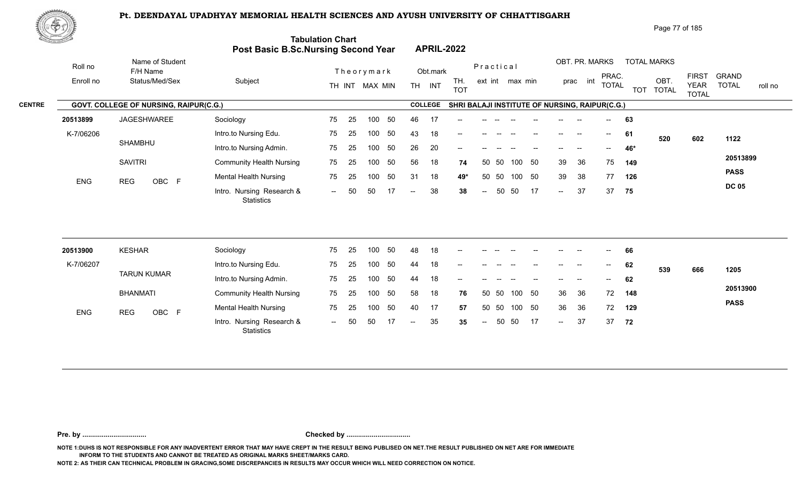

Page 77 of 185

|               | <u> Estados </u> |                                        | Post Basic B.Sc.Nursing Second Year            | <b>Tabulation Chart</b> |    |                |    |                          |                | <b>APRIL-2022</b>                              |                          |           |                 |        |                          |                          |                         |            |                      |                             |                         |
|---------------|------------------|----------------------------------------|------------------------------------------------|-------------------------|----|----------------|----|--------------------------|----------------|------------------------------------------------|--------------------------|-----------|-----------------|--------|--------------------------|--------------------------|-------------------------|------------|----------------------|-----------------------------|-------------------------|
|               | Roll no          | Name of Student<br>F/H Name            |                                                |                         |    | Theorymark     |    |                          | Obt.mark       |                                                |                          | Practical |                 |        |                          |                          | OBT. PR. MARKS<br>PRAC. |            | <b>TOTAL MARKS</b>   | <b>FIRST</b>                | <b>GRAND</b>            |
|               | Enroll no        | Status/Med/Sex                         | Subject                                        |                         |    | TH INT MAX MIN |    |                          | TH INT         | TH.<br><b>TOT</b>                              |                          |           | ext int max min |        |                          | prac int                 | <b>TOTAL</b>            | <b>TOT</b> | OBT.<br><b>TOTAL</b> | <b>YEAR</b><br><b>TOTAL</b> | <b>TOTAL</b><br>roll no |
| <b>CENTRE</b> |                  | GOVT. COLLEGE OF NURSING, RAIPUR(C.G.) |                                                |                         |    |                |    |                          | <b>COLLEGE</b> | SHRI BALAJI INSTITUTE OF NURSING, RAIPUR(C.G.) |                          |           |                 |        |                          |                          |                         |            |                      |                             |                         |
|               | 20513899         | JAGESHWAREE                            | Sociology                                      | 75                      | 25 | 100            | 50 | 46                       | 17             |                                                |                          |           |                 |        |                          |                          |                         | 63         |                      |                             |                         |
|               | K-7/06206        |                                        | Intro.to Nursing Edu.                          | 75                      | 25 | 100            | 50 | 43                       | 18             | --                                             |                          |           |                 |        | $\overline{\phantom{a}}$ | $\overline{\phantom{a}}$ | $--$                    | 61         | 520                  | 602                         | 1122                    |
|               |                  | <b>SHAMBHU</b>                         | Intro.to Nursing Admin.                        | 75                      | 25 | 100            | 50 | 26                       | 20             |                                                |                          |           |                 |        |                          |                          |                         | 46*        |                      |                             |                         |
|               |                  | <b>SAVITRI</b>                         | <b>Community Health Nursing</b>                | 75                      | 25 | 100            | 50 | 56                       | 18             | 74                                             |                          | 50 50     |                 | 100 50 | 39                       | 36                       | 75                      | 149        |                      |                             | 20513899                |
|               | <b>ENG</b>       | OBC F<br><b>REG</b>                    | <b>Mental Health Nursing</b>                   | 75                      | 25 | 100            | 50 | 31                       | 18             | 49*                                            | 50                       | 50        | 100             | 50     | 39                       | 38                       | 77                      | 126        |                      |                             | <b>PASS</b>             |
|               |                  |                                        | Intro. Nursing Research &<br><b>Statistics</b> | $\sim$                  | 50 | 50             | 17 | $\overline{\phantom{m}}$ | 38             | 38                                             | $\overline{\phantom{m}}$ | 50        | 50              | 17     | $\sim$                   | 37                       | 37                      | 75         |                      |                             | <b>DC 05</b>            |
|               |                  |                                        |                                                |                         |    |                |    |                          |                |                                                |                          |           |                 |        |                          |                          |                         |            |                      |                             |                         |
|               | 20513900         | <b>KESHAR</b>                          | Sociology                                      | 75                      | 25 | 100            | 50 | 48                       | 18             |                                                |                          |           |                 |        |                          |                          |                         | 66         |                      |                             |                         |
|               | K-7/06207        |                                        | Intro.to Nursing Edu.                          | 75                      | 25 | 100            | 50 | 44                       | 18             |                                                |                          |           |                 |        |                          |                          |                         | 62         | 539                  | 666                         | 1205                    |
|               |                  | <b>TARUN KUMAR</b>                     | Intro.to Nursing Admin.                        | 75                      | 25 | 100            | 50 | 44                       | 18             |                                                |                          |           |                 |        |                          |                          |                         | 62         |                      |                             |                         |
|               |                  | <b>BHANMATI</b>                        | <b>Community Health Nursing</b>                | 75                      | 25 | 100            | 50 | 58                       | 18             | 76                                             |                          | 50 50     | 100             | 50     | 36                       | 36                       | 72                      | 148        |                      |                             | 20513900                |
|               | <b>ENG</b>       | OBC F<br><b>REG</b>                    | <b>Mental Health Nursing</b>                   | 75                      | 25 | 100            | 50 | 40                       | 17             | 57                                             |                          | 50 50     |                 | 100 50 | 36                       | 36                       | 72                      | 129        |                      |                             | <b>PASS</b>             |
|               |                  |                                        | Intro. Nursing Research &<br><b>Statistics</b> | $  \,$                  | 50 | 50             | 17 | $\overline{\phantom{a}}$ | 35             | 35                                             | $\overline{\phantom{a}}$ | 50        | 50              | -17    | $\sim$                   | 37                       | 37                      | 72         |                      |                             |                         |
|               |                  |                                        |                                                |                         |    |                |    |                          |                |                                                |                          |           |                 |        |                          |                          |                         |            |                      |                             |                         |

**Pre. by ................................. Checked by .................................**

**NOTE 1:DUHS IS NOT RESPONSIBLE FOR ANY INADVERTENT ERROR THAT MAY HAVE CREPT IN THE RESULT BEING PUBLISED ON NET.THE RESULT PUBLISHED ON NET ARE FOR IMMEDIATE INFORM TO THE STUDENTS AND CANNOT BE TREATED AS ORIGINAL MARKS SHEET/MARKS CARD.**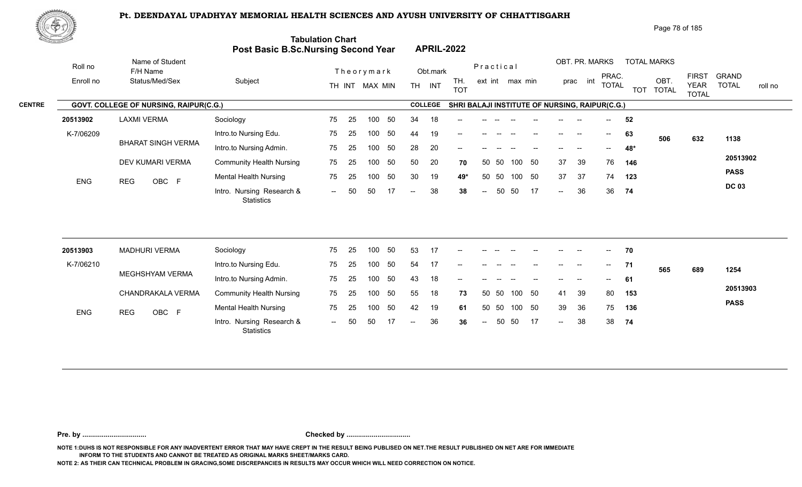

| Page 78 of 185 |
|----------------|
|----------------|

| <u>Cardinal Co</u> |                      |                                               | Post Basic B.Sc.Nursing Second Year            | <b>Tabulation Chart</b> |    |                |     |                          |                | <b>APRIL-2022</b>                              |                          |           |                 |    |                            |                            |                          |       |                            |                             |                         |
|--------------------|----------------------|-----------------------------------------------|------------------------------------------------|-------------------------|----|----------------|-----|--------------------------|----------------|------------------------------------------------|--------------------------|-----------|-----------------|----|----------------------------|----------------------------|--------------------------|-------|----------------------------|-----------------------------|-------------------------|
|                    | Roll no<br>Enroll no | Name of Student<br>F/H Name<br>Status/Med/Sex | Subject                                        |                         |    | Theorymark     |     |                          | Obt.mark       | TH.                                            |                          | Practical | ext int max min |    |                            | OBT. PR. MARKS<br>prac int | PRAC.                    |       | <b>TOTAL MARKS</b><br>OBT. | <b>FIRST</b>                | <b>GRAND</b>            |
|                    |                      |                                               |                                                |                         |    | TH INT MAX MIN |     |                          | TH INT         | <b>TOT</b>                                     |                          |           |                 |    |                            |                            | <b>TOTAL</b>             |       | TOT TOTAL                  | <b>YEAR</b><br><b>TOTAL</b> | <b>TOTAL</b><br>roll no |
| <b>CENTRE</b>      |                      | GOVT. COLLEGE OF NURSING, RAIPUR(C.G.)        |                                                |                         |    |                |     |                          | <b>COLLEGE</b> | SHRI BALAJI INSTITUTE OF NURSING, RAIPUR(C.G.) |                          |           |                 |    |                            |                            |                          |       |                            |                             |                         |
|                    | 20513902             | <b>LAXMI VERMA</b>                            | Sociology                                      | 75                      | 25 | 100            | 50  | 34                       | 18             |                                                |                          |           |                 |    |                            |                            |                          | 52    |                            |                             |                         |
|                    | K-7/06209            |                                               | Intro.to Nursing Edu.                          | 75                      | 25 | 100            | 50  | 44                       | 19             |                                                |                          |           |                 |    |                            |                            | $--$                     | 63    | 506                        | 632                         | 1138                    |
|                    |                      | <b>BHARAT SINGH VERMA</b>                     | Intro.to Nursing Admin.                        | 75                      | 25 | 100            | 50  | 28                       | 20             | --                                             |                          |           |                 |    |                            | --                         | $- -$                    | 48*   |                            |                             |                         |
|                    |                      | DEV KUMARI VERMA                              | <b>Community Health Nursing</b>                | 75                      | 25 | 100            | 50  | 50                       | 20             | 70                                             | 50                       | 50        | 100             | 50 | 37                         | 39                         | 76                       | 146   |                            |                             | 20513902                |
|                    | ENG                  | OBC F<br><b>REG</b>                           | <b>Mental Health Nursing</b>                   | 75                      | 25 | 100            | 50  | 30                       | 19             | 49*                                            | 50                       | 50        | 100 50          |    | 37                         | 37                         | 74                       | 123   |                            |                             | <b>PASS</b>             |
|                    |                      |                                               | Intro. Nursing Research &<br><b>Statistics</b> | $\sim$                  | 50 | 50             | -17 | $\overline{\phantom{a}}$ | 38             | 38                                             | $\overline{a}$           | 50        | 50              | 17 | $\sim$                     | 36                         |                          | 36 74 |                            |                             | <b>DC 03</b>            |
|                    |                      |                                               |                                                |                         |    |                |     |                          |                |                                                |                          |           |                 |    |                            |                            |                          |       |                            |                             |                         |
|                    | 20513903             | <b>MADHURI VERMA</b>                          | Sociology                                      | 75                      | 25 | 100            | 50  | 53                       | 17             | --                                             |                          |           |                 |    |                            |                            | $-$                      | 70    |                            |                             |                         |
|                    | K-7/06210            | MEGHSHYAM VERMA                               | Intro.to Nursing Edu.                          | 75                      | 25 | 100            | 50  | 54                       | 17             |                                                |                          |           |                 |    |                            |                            | $\overline{\phantom{a}}$ | 71    | 565                        | 689                         | 1254                    |
|                    |                      |                                               | Intro.to Nursing Admin.                        | 75                      | 25 | 100            | 50  | 43                       | 18             |                                                |                          |           |                 |    |                            |                            |                          | 61    |                            |                             |                         |
|                    |                      | CHANDRAKALA VERMA                             | <b>Community Health Nursing</b>                | 75                      | 25 | 100            | 50  | 55                       | 18             | 73                                             |                          | 50 50     | 100             | 50 | 41                         | 39                         | 80                       | 153   |                            |                             | 20513903                |
|                    | <b>ENG</b>           | <b>REG</b><br>OBC F                           | <b>Mental Health Nursing</b>                   | 75                      | 25 | 100            | 50  | 42                       | 19             | 61                                             | 50                       | 50        | 100 50          |    | 39                         | 36                         | 75                       | 136   |                            |                             | <b>PASS</b>             |
|                    |                      |                                               | Intro. Nursing Research &<br><b>Statistics</b> | $  \,$                  | 50 | 50             | 17  | $-$                      | 36             | 36                                             | $\overline{\phantom{a}}$ | 50        | 50              | 17 | $\mathcal{L}(\mathcal{L})$ | 38                         | 38                       | 74    |                            |                             |                         |
|                    |                      |                                               |                                                |                         |    |                |     |                          |                |                                                |                          |           |                 |    |                            |                            |                          |       |                            |                             |                         |

**Pre. by ................................. Checked by .................................**

**NOTE 1:DUHS IS NOT RESPONSIBLE FOR ANY INADVERTENT ERROR THAT MAY HAVE CREPT IN THE RESULT BEING PUBLISED ON NET.THE RESULT PUBLISHED ON NET ARE FOR IMMEDIATE INFORM TO THE STUDENTS AND CANNOT BE TREATED AS ORIGINAL MARKS SHEET/MARKS CARD.**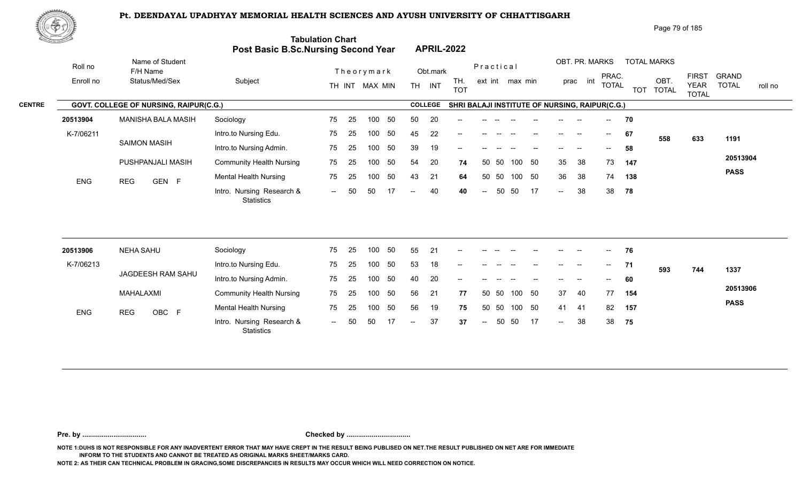

|                                            |                   | Page 79 of 185 |
|--------------------------------------------|-------------------|----------------|
| <b>Tabulation Chart</b>                    |                   |                |
| <b>Post Basic B.Sc.Nursing Second Year</b> | <b>APRIL-2022</b> |                |

|               | Roll no    | Name of Student<br>F/H Name                   |                                         |     |     | Theorymark     |    |               | Obt.mark       |                   |        | Practical       |      |                                                |                            | OBT. PR. MARKS    |                                       |       | <b>TOTAL MARKS</b> |                                             |                       |         |
|---------------|------------|-----------------------------------------------|-----------------------------------------|-----|-----|----------------|----|---------------|----------------|-------------------|--------|-----------------|------|------------------------------------------------|----------------------------|-------------------|---------------------------------------|-------|--------------------|---------------------------------------------|-----------------------|---------|
|               | Enroll no  | Status/Med/Sex                                | Subject                                 |     |     | TH INT MAX MIN |    | <b>TH</b>     | INT            | TH.<br><b>TOT</b> |        | ext int max min |      |                                                | prac                       | int               | PRAC.<br><b>TOTAL</b>                 |       | OBT.<br>TOT TOTAL  | <b>FIRST</b><br><b>YEAR</b><br><b>TOTAL</b> | GRAND<br><b>TOTAL</b> | roll no |
| <b>CENTRE</b> |            | <b>GOVT. COLLEGE OF NURSING, RAIPUR(C.G.)</b> |                                         |     |     |                |    |               | <b>COLLEGE</b> |                   |        |                 |      | SHRI BALAJI INSTITUTE OF NURSING, RAIPUR(C.G.) |                            |                   |                                       |       |                    |                                             |                       |         |
|               | 20513904   | MANISHA BALA MASIH                            | Sociology                               | 75  | -25 | 100            | 50 | 50            | 20             | $--$              | $- -$  |                 |      |                                                |                            | $\hspace{0.05cm}$ | $--$                                  | 70    |                    |                                             |                       |         |
|               | K-7/06211  |                                               | Intro.to Nursing Edu.                   | 75  | 25  | 100            | 50 | 45            | 22             | $--$              |        |                 |      |                                                | $\hspace{0.05cm}$          | --                | $\hspace{0.05cm}$ – $\hspace{0.05cm}$ | 67    | 558                | 633                                         | 1191                  |         |
|               |            | <b>SAIMON MASIH</b>                           | Intro.to Nursing Admin.                 | 75  | -25 | 100            | 50 | 39            | 19             | $--$              |        |                 |      |                                                |                            |                   | $\hspace{0.05cm}$ – $\hspace{0.05cm}$ | 58    |                    |                                             |                       |         |
|               |            | PUSHPANJALI MASIH                             | <b>Community Health Nursing</b>         | 75  | 25  | 100            | 50 | 54            | 20             | 74                |        | -50<br>50       | 100  | 50                                             | 35                         | 38                | 73                                    | 147   |                    |                                             | 20513904              |         |
|               | <b>ENG</b> | GEN F<br><b>REG</b>                           | <b>Mental Health Nursing</b>            | 75  | 25  | 100            | 50 | 43            | 21             | 64                |        | - 50<br>-50     | 100  | 50                                             | 36                         | 38                | 74                                    | 138   |                    |                                             | <b>PASS</b>           |         |
|               |            |                                               | Intro. Nursing Research &<br>Statistics | $-$ | -50 | 50             |    | $\sim$ $\sim$ | 40             | 40                | $\sim$ | 50              | - 50 | 17                                             | $\mathcal{L}(\mathcal{L})$ | 38                |                                       | 38 78 |                    |                                             |                       |         |
|               |            |                                               |                                         |     |     |                |    |               |                |                   |        |                 |      |                                                |                            |                   |                                       |       |                    |                                             |                       |         |

| 20513906   | NEHA SAHU           | Sociology                                      | 75     | -25  | 100 | 50  | 55     | -21 | $- -$                    |               |       |        |                          | $- -$         |                          | $\overline{\phantom{a}}$                         | 76  |     |     |             |
|------------|---------------------|------------------------------------------------|--------|------|-----|-----|--------|-----|--------------------------|---------------|-------|--------|--------------------------|---------------|--------------------------|--------------------------------------------------|-----|-----|-----|-------------|
| K-7/06213  |                     | Intro.to Nursing Edu.                          | 75     | - 25 | 100 | 50  | 53     | 18  | $\overline{\phantom{a}}$ | $- -$         | $- -$ |        | $\overline{\phantom{a}}$ | $--$          | $\overline{\phantom{a}}$ | $\mathrel{{\mathsf{--}}}\mathrel{{\mathsf{--}}}$ | 71  | 593 | 744 | 1337        |
|            | JAGDEESH RAM SAHU   | Intro.to Nursing Admin.                        | 75     | -25  | 100 | -50 | 40     | 20  | $\sim$                   | $--$          |       |        | $\hspace{0.05cm}$        | $\frac{1}{2}$ | $\overline{\phantom{a}}$ | $\overline{\phantom{a}}$                         | 60  |     |     |             |
|            | MAHALAXMI           | <b>Community Health Nursing</b>                | 75     | -25  | 100 | -50 | 56     | 21  | 77                       |               | 50 50 | 100 50 |                          | 37            | 40                       | 77                                               | 154 |     |     | 20513906    |
| <b>ENG</b> | OBC F<br><b>REG</b> | <b>Mental Health Nursing</b>                   | 75     | - 25 | 100 | 50  | 56     | 19  | 75                       | 50            | - 50  | 100 50 |                          | 41            | 41                       | 82                                               | 157 |     |     | <b>PASS</b> |
|            |                     | Intro. Nursing Research &<br><b>Statistics</b> | $\sim$ | 50   | 50  |     | $\sim$ | 37  | 37                       | $\sim$ $\sim$ | 50    | 50 17  |                          | $\sim$        | 38                       | 38                                               | 75  |     |     |             |

**Pre. by ................................. Checked by .................................**

**NOTE 1:DUHS IS NOT RESPONSIBLE FOR ANY INADVERTENT ERROR THAT MAY HAVE CREPT IN THE RESULT BEING PUBLISED ON NET.THE RESULT PUBLISHED ON NET ARE FOR IMMEDIATE INFORM TO THE STUDENTS AND CANNOT BE TREATED AS ORIGINAL MARKS SHEET/MARKS CARD.**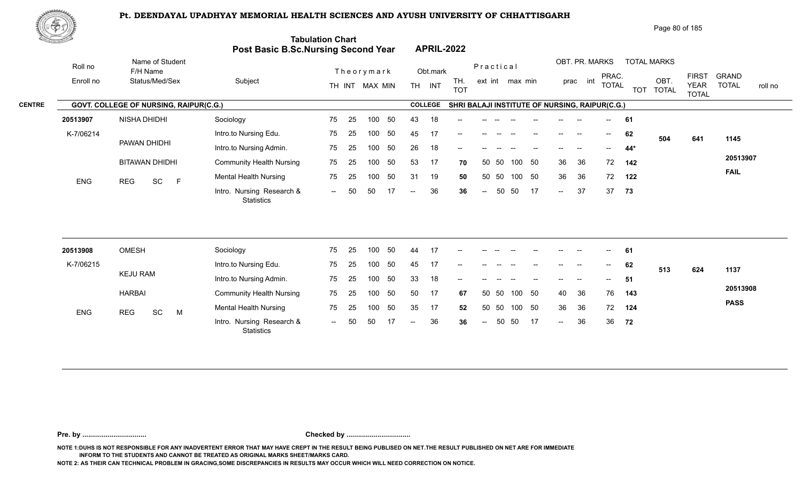العادة العراقية العراقية العراقية العراقية العراقية العراقية العراقية العراقية العراقية العراقية العراقية العر<br>11 -- Intro. Nursing Research & -- 50 50 17 -- 36 36 -- 50 50 17 --



|               | 心むお       |                                               |                                 |                                                                       |                                       |                                                | Page 80 of 185                                                                                                                                                       |
|---------------|-----------|-----------------------------------------------|---------------------------------|-----------------------------------------------------------------------|---------------------------------------|------------------------------------------------|----------------------------------------------------------------------------------------------------------------------------------------------------------------------|
|               |           |                                               |                                 | <b>Tabulation Chart</b><br><b>Post Basic B.Sc.Nursing Second Year</b> | <b>APRIL-2022</b>                     |                                                |                                                                                                                                                                      |
|               | Roll no   | Name of Student<br>F/H Name                   |                                 | Theorymark                                                            | Obt.mark                              | Practical                                      | OBT. PR. MARKS<br><b>TOTAL MARKS</b>                                                                                                                                 |
|               | Enroll no | Status/Med/Sex                                | Subject                         | MAX MIN<br>TH INT                                                     | TH.<br><b>TH</b><br>INT<br><b>TOT</b> | ext int max min                                | <b>FIRST</b><br><b>GRAND</b><br>PRAC.<br>OBT.<br>int<br>prac<br><b>TOTAL</b><br><b>TOTAL</b><br><b>YEAR</b><br>roll no<br><b>TOTAL</b><br><b>TOT</b><br><b>TOTAL</b> |
| <b>CENTRE</b> |           | <b>GOVT. COLLEGE OF NURSING, RAIPUR(C.G.)</b> |                                 |                                                                       | <b>COLLEGE</b>                        | SHRI BALAJI INSTITUTE OF NURSING, RAIPUR(C.G.) |                                                                                                                                                                      |
|               | 20513907  | NISHA DHIDHI                                  | Sociology                       | 75<br>50<br>100<br>-25                                                | 43<br>18<br>--                        |                                                | 61<br>$\overline{\phantom{a}}$                                                                                                                                       |
|               | K-7/06214 |                                               | Intro.to Nursing Edu.           | 25<br>-50<br>75<br>100                                                | 45<br>17                              |                                                | 62<br>$- -$<br>504<br>641<br>1145                                                                                                                                    |
|               |           | PAWAN DHIDHI                                  | Intro.to Nursing Admin.         | 50<br>75<br>25<br>100                                                 | 26<br>18<br>$\qquad \qquad -$         |                                                | $44*$<br>$- -$<br>--                                                                                                                                                 |
|               |           | <b>BITAWAN DHIDHI</b>                         | <b>Community Health Nursing</b> | 75<br>50<br>25<br>100                                                 | 53<br>17<br>70                        | 50<br>50 50<br>100                             | 20513907<br>36<br>72<br>36<br>142                                                                                                                                    |
|               | F10       | $n = 0$<br>$\sim$ $\sim$                      | <b>Mental Health Nursing</b>    | 50<br>75<br>100<br>-25                                                | 19<br>31<br>50                        | 50<br>50 50<br>100                             | <b>FAIL</b><br>36<br>36<br>72<br>122                                                                                                                                 |

-- 50 50 17

50 17 36 37 **36** 37

**73**

| 20513908   | <b>OMESH</b>          | Sociology                                      | 75  | 25  | 100 | -50 | 44    | 17 | $- -$                                          | $- -$         |      |        | $- -$ | $--$                                           | $\overline{\phantom{a}}$ | $\sim$                   | 61  |     |     |             |
|------------|-----------------------|------------------------------------------------|-----|-----|-----|-----|-------|----|------------------------------------------------|---------------|------|--------|-------|------------------------------------------------|--------------------------|--------------------------|-----|-----|-----|-------------|
| K-7/06215  |                       | Intro.to Nursing Edu.                          | 75  | -25 | 100 | -50 | 45    | 17 | $\sim$                                         | $- -$         |      |        | $- -$ | $- -$                                          | $- -$                    | $\overline{\phantom{a}}$ | 62  | 513 | 624 | 1137        |
|            | <b>KEJU RAM</b>       | Intro.to Nursing Admin.                        | 75  | 25  | 100 | 50  | 33    | 18 | $\hspace{0.1mm}-\hspace{0.1mm}-\hspace{0.1mm}$ |               |      |        |       | --                                             | --                       | $\overline{\phantom{a}}$ | 51  |     |     |             |
|            | <b>HARBAI</b>         | <b>Community Health Nursing</b>                | 75  | -25 | 100 | -50 | 50    | 17 | 67                                             | 50 50         |      | 100 50 |       | 40                                             | -36                      | 76                       | 143 |     |     | 20513908    |
| <b>ENG</b> | SC<br><b>REG</b><br>M | <b>Mental Health Nursing</b>                   | 75  | -25 | 100 | -50 | 35    | 17 | 52                                             | 50            | - 50 | 100 50 |       | 36                                             | -36                      | 72                       | 124 |     |     | <b>PASS</b> |
|            |                       | Intro. Nursing Research &<br><b>Statistics</b> | $-$ | 50  | 50  |     | $- -$ | 36 | 36                                             | $\frac{1}{2}$ |      | 50 50  | 17    | $\hspace{0.1mm}-\hspace{0.1mm}-\hspace{0.1mm}$ | 36                       | 36                       | 72  |     |     |             |

-- 50 50 17 -- 36 36

**Pre. by ................................. Checked by .................................**

**NOTE 1:DUHS IS NOT RESPONSIBLE FOR ANY INADVERTENT ERROR THAT MAY HAVE CREPT IN THE RESULT BEING PUBLISED ON NET.THE RESULT PUBLISHED ON NET ARE FOR IMMEDIATE INFORM TO THE STUDENTS AND CANNOT BE TREATED AS ORIGINAL MARKS SHEET/MARKS CARD.**

**NOTE 2: AS THEIR CAN TECHNICAL PROBLEM IN GRACING,SOME DISCREPANCIES IN RESULTS MAY OCCUR WHICH WILL NEED CORRECTION ON NOTICE.**

**Statistics** 

ENG REG SC F Montail House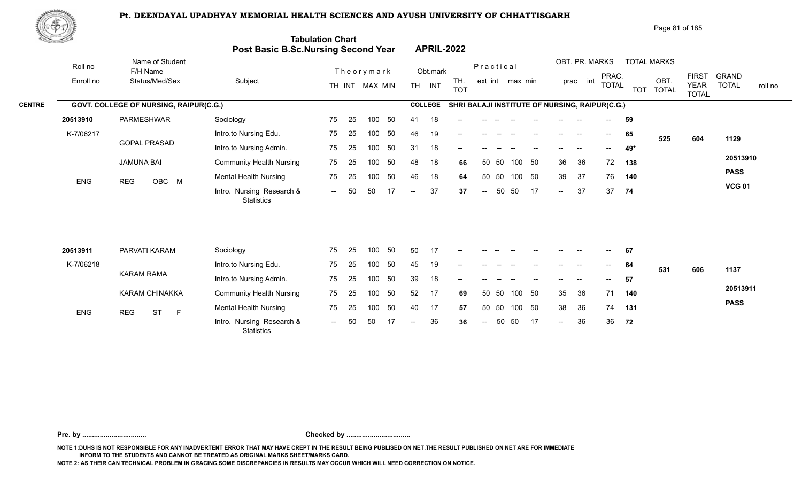

| Page 81 of 185 |  |
|----------------|--|
|----------------|--|

| <u> Carl Co</u> |                                        | <b>Post Basic B.Sc.Nursing Second Year</b>     | <b>Tabulation Chart</b> |                |    |                          | <b>APRIL-2022</b> |                                                |                          |    |        |    |        |                          |                          |     |                    |                             |                         |
|-----------------|----------------------------------------|------------------------------------------------|-------------------------|----------------|----|--------------------------|-------------------|------------------------------------------------|--------------------------|----|--------|----|--------|--------------------------|--------------------------|-----|--------------------|-----------------------------|-------------------------|
| Roll no         | Name of Student<br>F/H Name            |                                                |                         | Theorymark     |    |                          | Obt.mark          |                                                | Practical                |    |        |    |        | OBT. PR. MARKS           | PRAC.                    |     | <b>TOTAL MARKS</b> | <b>FIRST</b>                | <b>GRAND</b>            |
| Enroll no       | Status/Med/Sex                         | Subject                                        |                         | TH INT MAX MIN |    |                          | TH INT            | TH.<br><b>TOT</b>                              | ext int max min          |    |        |    |        | prac int                 | <b>TOTAL</b>             |     | OBT.<br>TOT TOTAL  | <b>YEAR</b><br><b>TOTAL</b> | <b>TOTAL</b><br>roll no |
|                 | GOVT. COLLEGE OF NURSING, RAIPUR(C.G.) |                                                |                         |                |    |                          | <b>COLLEGE</b>    | SHRI BALAJI INSTITUTE OF NURSING, RAIPUR(C.G.) |                          |    |        |    |        |                          |                          |     |                    |                             |                         |
| 20513910        | PARMESHWAR                             | Sociology                                      | 75<br>25                | 100            | 50 | 41                       | 18                |                                                |                          |    |        |    |        |                          | $\overline{a}$           | 59  |                    |                             |                         |
| K-7/06217       |                                        | Intro.to Nursing Edu.                          | 75<br>25                | 100            | 50 | 46                       | 19                |                                                |                          |    |        |    |        |                          | $\overline{\phantom{a}}$ | 65  | 525                | 604                         | 1129                    |
|                 | <b>GOPAL PRASAD</b>                    | Intro.to Nursing Admin.                        | 75<br>25                | 100            | 50 | 31                       | 18                |                                                |                          |    |        |    |        |                          | $-$                      | 49* |                    |                             |                         |
|                 | <b>JAMUNA BAI</b>                      | <b>Community Health Nursing</b>                | 75<br>25                | 100            | 50 | 48                       | 18                | 66                                             | 50 50                    |    | 100    | 50 | 36     | 36                       | 72                       | 138 |                    |                             | 20513910                |
| ENG             | OBC M<br><b>REG</b>                    | <b>Mental Health Nursing</b>                   | 75<br>25                | 100            | 50 | 46                       | 18                | 64                                             | 50                       | 50 | 100    | 50 | 39     | 37                       | 76                       | 140 |                    |                             | <b>PASS</b>             |
|                 |                                        | Intro. Nursing Research &<br><b>Statistics</b> | 50<br>$\sim$ $\sim$     | 50             | 17 | $\overline{\phantom{a}}$ | 37                | 37                                             | $\overline{\phantom{a}}$ | 50 | 50     | 17 | $\sim$ | 37                       | 37                       | 74  |                    |                             | <b>VCG 01</b>           |
| 20513911        | PARVATI KARAM                          | Sociology                                      | 75<br>25                | 100            | 50 | 50                       | 17                | --                                             |                          |    |        |    |        |                          | $\overline{\phantom{a}}$ | 67  |                    |                             |                         |
| K-7/06218       |                                        | Intro.to Nursing Edu.                          | 75<br>25                | 100            | 50 | 45                       | 19                |                                                |                          |    |        |    |        |                          | $--$                     | 64  |                    |                             |                         |
|                 | <b>KARAM RAMA</b>                      | Intro.to Nursing Admin.                        | 75<br>25                | 100            | 50 | 39                       | 18                | --                                             |                          |    |        |    |        | $\overline{\phantom{a}}$ | $\overline{\phantom{a}}$ | 57  | 531                | 606                         | 1137                    |
|                 | KARAM CHINAKKA                         | <b>Community Health Nursing</b>                | 75<br>25                | 100            | 50 | 52                       | 17                | 69                                             | 50 50                    |    | 100    | 50 | 35     | 36                       | 71                       | 140 |                    |                             | 20513911                |
|                 |                                        | <b>Mental Health Nursing</b>                   | 75<br>25                | 100            | 50 | 40                       | 17                | 57                                             | 50 50                    |    | 100 50 |    | 38     | 36                       | 74                       | 131 |                    |                             | <b>PASS</b>             |
| <b>ENG</b>      | <b>ST</b><br><b>REG</b><br>$\mathsf F$ | Intro. Nursing Research &<br>Statistics        | 50<br>$\sim$            | 50             | 17 | $\overline{\phantom{a}}$ | 36                | 36                                             | $\overline{a}$           | 50 | 50     | 17 | $\sim$ | 36                       | 36 72                    |     |                    |                             |                         |

**Pre. by ................................. Checked by .................................**

**NOTE 1:DUHS IS NOT RESPONSIBLE FOR ANY INADVERTENT ERROR THAT MAY HAVE CREPT IN THE RESULT BEING PUBLISED ON NET.THE RESULT PUBLISHED ON NET ARE FOR IMMEDIATE INFORM TO THE STUDENTS AND CANNOT BE TREATED AS ORIGINAL MARKS SHEET/MARKS CARD.**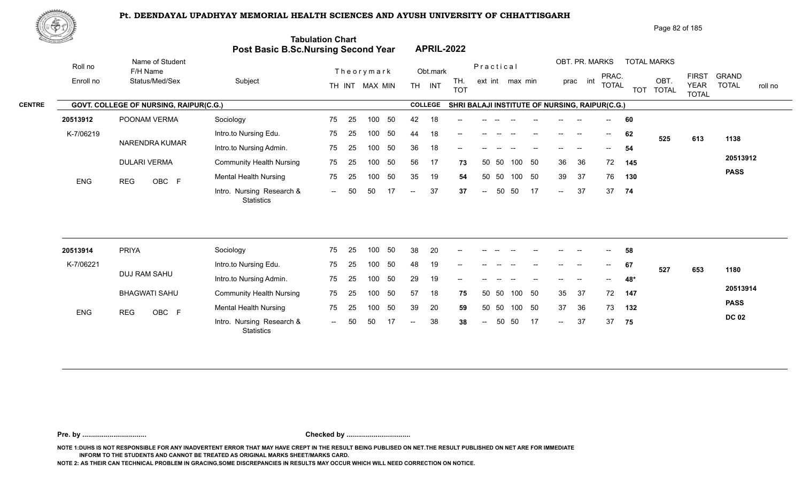

| Page 82 of 185 |  |
|----------------|--|
|----------------|--|

|               | <u>Carl Carl Co</u> |                                        | Post Basic B.Sc.Nursing Second Year            | <b>Tabulation Chart</b> |    |                |     |                          |                | <b>APRIL-2022</b>                              |                  |       |                 |    |               |                          |                                       |            |                      |                             |              |         |
|---------------|---------------------|----------------------------------------|------------------------------------------------|-------------------------|----|----------------|-----|--------------------------|----------------|------------------------------------------------|------------------|-------|-----------------|----|---------------|--------------------------|---------------------------------------|------------|----------------------|-----------------------------|--------------|---------|
|               | Roll no             | Name of Student<br>F/H Name            |                                                |                         |    | Theorymark     |     |                          | Obt.mark       |                                                | Practical        |       |                 |    |               | OBT. PR. MARKS           | PRAC.                                 |            | <b>TOTAL MARKS</b>   | <b>FIRST</b>                | <b>GRAND</b> |         |
|               | Enroll no           | Status/Med/Sex                         | Subject                                        |                         |    | TH INT MAX MIN |     |                          | TH INT         | TH.<br><b>TOT</b>                              |                  |       | ext int max min |    |               | prac int                 | <b>TOTAL</b>                          | <b>TOT</b> | OBT.<br><b>TOTAL</b> | <b>YEAR</b><br><b>TOTAL</b> | <b>TOTAL</b> | roll no |
| <b>CENTRE</b> |                     | GOVT. COLLEGE OF NURSING, RAIPUR(C.G.) |                                                |                         |    |                |     |                          | <b>COLLEGE</b> | SHRI BALAJI INSTITUTE OF NURSING, RAIPUR(C.G.) |                  |       |                 |    |               |                          |                                       |            |                      |                             |              |         |
|               | 20513912            | POONAM VERMA                           | Sociology                                      | 75                      | 25 | 100            | 50  | 42                       | 18             |                                                |                  |       |                 |    |               |                          |                                       | 60         |                      |                             |              |         |
|               | K-7/06219           |                                        | Intro.to Nursing Edu.                          | 75                      | 25 | 100            | 50  | 44                       | 18             | $\overline{\phantom{a}}$                       |                  |       |                 |    |               | $\overline{\phantom{a}}$ | $--$                                  | 62         | 525                  | 613                         | 1138         |         |
|               |                     | NARENDRA KUMAR                         | Intro.to Nursing Admin.                        | 75                      | 25 | 100            | 50  | 36                       | 18             |                                                |                  |       |                 |    |               |                          |                                       | 54         |                      |                             |              |         |
|               |                     | <b>DULARI VERMA</b>                    | <b>Community Health Nursing</b>                | 75                      | 25 | 100            | 50  | 56                       | 17             | 73                                             |                  | 50 50 | 100             | 50 | 36            | 36                       | 72                                    | 145        |                      |                             | 20513912     |         |
|               | <b>ENG</b>          | OBC F<br><b>REG</b>                    | <b>Mental Health Nursing</b>                   | 75                      | 25 | 100            | 50  | 35                       | 19             | 54                                             | 50               | 50    | 100             | 50 | 39            | 37                       | 76                                    | 130        |                      |                             | <b>PASS</b>  |         |
|               |                     |                                        | Intro. Nursing Research &<br><b>Statistics</b> | $\sim$ $\sim$           | 50 | 50             | 17  | $\overline{a}$           | 37             | 37                                             | $\overline{a}$   | 50    | 50              | 17 | $\sim$ $\sim$ | 37                       | 37                                    | 74         |                      |                             |              |         |
|               |                     |                                        |                                                |                         |    |                |     |                          |                |                                                |                  |       |                 |    |               |                          |                                       |            |                      |                             |              |         |
|               | 20513914            | <b>PRIYA</b>                           | Sociology                                      | 75                      | 25 | 100            | 50  | 38                       | 20             |                                                |                  |       |                 |    |               |                          |                                       | 58         |                      |                             |              |         |
|               | K-7/06221           |                                        | Intro.to Nursing Edu.                          | 75                      | 25 | 100            | 50  | 48                       | 19             |                                                |                  |       |                 |    |               |                          | $\hspace{0.05cm}$ – $\hspace{0.05cm}$ | 67         | 527                  | 653                         | 1180         |         |
|               |                     | DUJ RAM SAHU                           | Intro.to Nursing Admin.                        | 75                      | 25 | 100            | 50  | 29                       | 19             |                                                |                  |       |                 |    |               |                          |                                       | 48*        |                      |                             |              |         |
|               |                     | <b>BHAGWATI SAHU</b>                   | <b>Community Health Nursing</b>                | 75                      | 25 | 100            | 50  | 57                       | 18             | 75                                             |                  | 50 50 | 100 50          |    | 35            | 37                       | 72                                    | 147        |                      |                             | 20513914     |         |
|               | <b>ENG</b>          | OBC F<br><b>REG</b>                    | <b>Mental Health Nursing</b>                   | 75                      | 25 | 100            | 50  | 39                       | 20             | 59                                             |                  | 50 50 | 100 50          |    | 37            | 36                       | 73                                    | 132        |                      |                             | <b>PASS</b>  |         |
|               |                     |                                        | Intro. Nursing Research &<br><b>Statistics</b> | $\sim$ $\sim$           | 50 | 50             | -17 | $\overline{\phantom{a}}$ | 38             | 38                                             | $\mathrel{{-}-}$ | 50    | 50              | 17 | $\sim$        | 37                       | 37                                    | 75         |                      |                             | <b>DC 02</b> |         |
|               |                     |                                        |                                                |                         |    |                |     |                          |                |                                                |                  |       |                 |    |               |                          |                                       |            |                      |                             |              |         |

**Pre. by ................................. Checked by .................................**

**NOTE 1:DUHS IS NOT RESPONSIBLE FOR ANY INADVERTENT ERROR THAT MAY HAVE CREPT IN THE RESULT BEING PUBLISED ON NET.THE RESULT PUBLISHED ON NET ARE FOR IMMEDIATE INFORM TO THE STUDENTS AND CANNOT BE TREATED AS ORIGINAL MARKS SHEET/MARKS CARD.**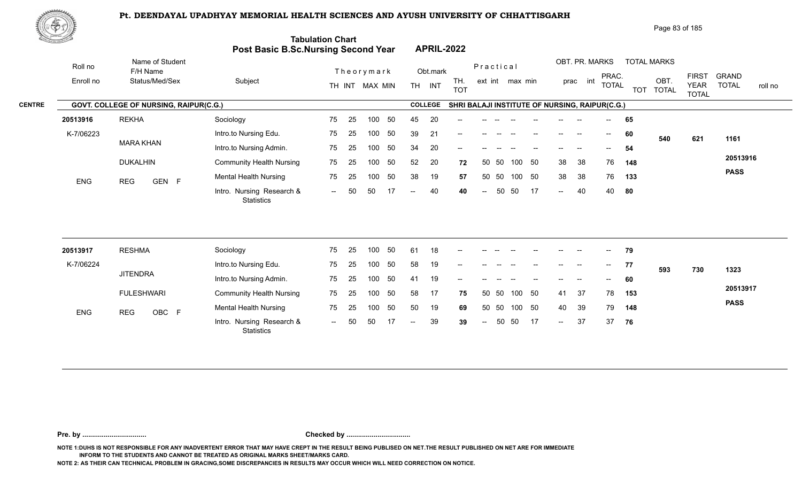

|               | ぷやり》       |                                        |                                                |                          |                                       | Page 83 of 185                                                                                                              |                                         |
|---------------|------------|----------------------------------------|------------------------------------------------|--------------------------|---------------------------------------|-----------------------------------------------------------------------------------------------------------------------------|-----------------------------------------|
|               |            |                                        | <b>Post Basic B.Sc.Nursing Second Year</b>     | <b>Tabulation Chart</b>  | <b>APRIL-2022</b>                     |                                                                                                                             |                                         |
|               | Roll no    | Name of Student<br>F/H Name            |                                                | Theorymark               | Obt.mark                              | OBT. PR. MARKS<br><b>TOTAL MARKS</b><br>Practical                                                                           |                                         |
|               | Enroll no  | Status/Med/Sex                         | Subject                                        | TH INT MAX MIN           | TH.<br><b>TH</b><br>INT<br><b>TOT</b> | PRAC.<br><b>FIRST</b><br>OBT.<br>int<br>ext int max min<br>prac<br><b>TOTAI</b><br><b>YEAR</b><br>TOT TOTAL<br><b>TOTAL</b> | <b>GRAND</b><br><b>TOTAL</b><br>roll no |
| <b>CENTRE</b> |            | GOVT. COLLEGE OF NURSING, RAIPUR(C.G.) |                                                |                          | <b>COLLEGE</b>                        | SHRI BALAJI INSTITUTE OF NURSING, RAIPUR(C.G.)                                                                              |                                         |
|               | 20513916   | <b>REKHA</b>                           | Sociology                                      | 50<br>25<br>75<br>100    | 20<br>45<br>$\qquad \qquad -$         | 65<br>$\overline{\phantom{a}}$                                                                                              |                                         |
|               | K-7/06223  |                                        | Intro.to Nursing Edu.                          | 25<br>50<br>75<br>100    | 39<br>21<br>$--$                      | 60<br>--<br>$- -$<br>621<br>540                                                                                             | 1161                                    |
|               |            | <b>MARA KHAN</b>                       | Intro.to Nursing Admin.                        | 50<br>75<br>25<br>100    | 34<br>20<br>$--$                      | 54<br>$\hspace{0.05cm}$ – $\hspace{0.05cm}$                                                                                 |                                         |
|               |            | <b>DUKALHIN</b>                        | <b>Community Health Nursing</b>                | 50<br>75<br>25<br>100    | 52<br>20<br>72                        | 38<br>- 50<br>38<br>76<br>50 50<br>100<br>148                                                                               | 20513916                                |
|               | <b>ENG</b> | GEN F<br><b>REG</b>                    | <b>Mental Health Nursing</b>                   | 75<br>-50<br>-25<br>100  | 38<br>19<br>57                        | -50<br>38<br>38<br>76<br>50 50<br>100<br>133                                                                                | <b>PASS</b>                             |
|               |            |                                        | Intro. Nursing Research &<br><b>Statistics</b> | 50<br>50<br>17<br>$  \,$ | 40<br>40<br>$--$                      | 17<br>50<br>50<br>40<br>40<br>- 80<br>$\sim$<br>$\sim$                                                                      |                                         |

| 20513917   | <b>RESHMA</b>       | Sociology                                      | 75     | - 25 | 100 | 50  | -61    | 18 | $- -$ |        |    |        | $- -$ | $\overline{\phantom{a}}$ | $\overline{\phantom{a}}$ | $--$  | 79  |     |     |             |
|------------|---------------------|------------------------------------------------|--------|------|-----|-----|--------|----|-------|--------|----|--------|-------|--------------------------|--------------------------|-------|-----|-----|-----|-------------|
| K-7/06224  |                     | Intro.to Nursing Edu.                          | 75     | - 25 | 100 | -50 | 58     | 19 | $- -$ |        |    |        |       | --                       |                          | $- -$ | 77  | 593 | 730 | 1323        |
|            | <b>JITENDRA</b>     | Intro.to Nursing Admin.                        | 75     | 25   | 100 | 50  | 41     | 19 | $-$   |        |    |        |       | --                       |                          | $--$  | 60  |     |     |             |
|            | <b>FULESHWARI</b>   | <b>Community Health Nursing</b>                | 75     | - 25 | 100 | -50 | 58     | 17 | 75    | 50 50  |    | 100 50 |       | 41                       | -37                      | 78    | 153 |     |     | 20513917    |
| <b>ENG</b> | OBC F<br><b>REG</b> | <b>Mental Health Nursing</b>                   | 75     | -25  | 100 | -50 | 50     | 19 | 69    | 50 50  |    | 100 50 |       | 40                       | 39                       | 79    | 148 |     |     | <b>PASS</b> |
|            |                     | Intro. Nursing Research &<br><b>Statistics</b> | $\sim$ | -50  | 50  |     | $\sim$ | 39 | 39    | $\sim$ | 50 | - 50   | 17    | $\sim$                   | 37                       | 37    | 76  |     |     |             |

**Pre. by ................................. Checked by .................................**

**NOTE 1:DUHS IS NOT RESPONSIBLE FOR ANY INADVERTENT ERROR THAT MAY HAVE CREPT IN THE RESULT BEING PUBLISED ON NET.THE RESULT PUBLISHED ON NET ARE FOR IMMEDIATE INFORM TO THE STUDENTS AND CANNOT BE TREATED AS ORIGINAL MARKS SHEET/MARKS CARD.**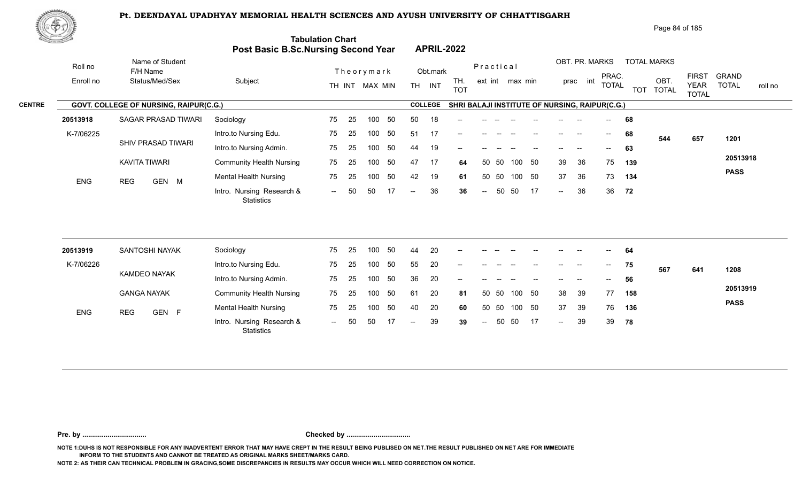

| Page 84 of 185 |
|----------------|
|                |

| <u>tan yang di</u> |            |                                        | Post Basic B.Sc.Nursing Second Year     | <b>Tabulation Chart</b> |    |                |    |                          |                | <b>APRIL-2022</b>                              |                          |           |                 |    |        |                |                                       |            |                      |                             |                         |
|--------------------|------------|----------------------------------------|-----------------------------------------|-------------------------|----|----------------|----|--------------------------|----------------|------------------------------------------------|--------------------------|-----------|-----------------|----|--------|----------------|---------------------------------------|------------|----------------------|-----------------------------|-------------------------|
|                    | Roll no    | Name of Student<br>F/H Name            |                                         |                         |    | Theorymark     |    |                          | Obt.mark       |                                                |                          | Practical |                 |    |        | OBT. PR. MARKS | PRAC.                                 |            | <b>TOTAL MARKS</b>   | <b>FIRST</b>                | <b>GRAND</b>            |
|                    | Enroll no  | Status/Med/Sex                         | Subject                                 |                         |    | TH INT MAX MIN |    |                          | TH INT         | TH.<br><b>TOT</b>                              |                          |           | ext int max min |    |        | int<br>prac    | <b>TOTAL</b>                          | <b>TOT</b> | OBT.<br><b>TOTAL</b> | <b>YEAR</b><br><b>TOTAL</b> | <b>TOTAL</b><br>roll no |
| <b>CENTRE</b>      |            | GOVT. COLLEGE OF NURSING, RAIPUR(C.G.) |                                         |                         |    |                |    |                          | <b>COLLEGE</b> | SHRI BALAJI INSTITUTE OF NURSING, RAIPUR(C.G.) |                          |           |                 |    |        |                |                                       |            |                      |                             |                         |
|                    | 20513918   | SAGAR PRASAD TIWARI                    | Sociology                               | 75                      | 25 | 100            | 50 | 50                       | 18             |                                                |                          |           |                 |    |        |                |                                       | 68         |                      |                             |                         |
|                    | K-7/06225  |                                        | Intro.to Nursing Edu.                   | 75                      | 25 | 100            | 50 | 51                       | 17             |                                                |                          |           |                 |    |        |                | $\hspace{0.05cm}$ – $\hspace{0.05cm}$ | 68         | 544                  | 657                         | 1201                    |
|                    |            | SHIV PRASAD TIWARI                     | Intro.to Nursing Admin.                 | 75                      | 25 | 100            | 50 | 44                       | 19             |                                                |                          |           |                 |    |        |                | $- -$                                 | 63         |                      |                             |                         |
|                    |            | <b>KAVITA TIWARI</b>                   | <b>Community Health Nursing</b>         | 75                      | 25 | 100            | 50 | 47                       | 17             | 64                                             |                          | 50 50     | 100             | 50 | 39     | 36             | 75                                    | 139        |                      |                             | 20513918                |
|                    | <b>ENG</b> | GEN M<br><b>REG</b>                    | <b>Mental Health Nursing</b>            | 75                      | 25 | 100            | 50 | 42                       | 19             | 61                                             |                          | 50 50     | 100 50          |    | 37     | 36             | 73                                    | 134        |                      |                             | <b>PASS</b>             |
|                    |            |                                        | Intro. Nursing Research &<br>Statistics | $\sim$                  | 50 | 50             | 17 | $\overline{\phantom{a}}$ | 36             | 36                                             | $\mathrel{{-}-}$         | 50        | 50              | 17 | $\sim$ | 36             | 36                                    | 72         |                      |                             |                         |
|                    |            |                                        |                                         |                         |    |                |    |                          |                |                                                |                          |           |                 |    |        |                |                                       |            |                      |                             |                         |
|                    | 20513919   | SANTOSHI NAYAK                         | Sociology                               | 75                      | 25 | 100            | 50 | 44                       | 20             |                                                |                          |           |                 |    |        |                |                                       | 64         |                      |                             |                         |
|                    | K-7/06226  | KAMDEO NAYAK                           | Intro.to Nursing Edu.                   | 75                      | 25 | 100            | 50 | 55                       | 20             |                                                |                          |           |                 |    |        |                | $--$                                  | 75         | 567                  | 641                         | 1208                    |
|                    |            |                                        | Intro.to Nursing Admin.                 | 75                      | 25 | 100            | 50 | 36                       | 20             |                                                |                          |           |                 |    |        |                |                                       | 56         |                      |                             |                         |
|                    |            | <b>GANGA NAYAK</b>                     | <b>Community Health Nursing</b>         | 75                      | 25 | 100            | 50 | 61                       | 20             | 81                                             | 50                       | 50        | 100             | 50 | 38     | 39             | 77                                    | 158        |                      |                             | 20513919                |
|                    | ENG        | <b>REG</b><br>GEN F                    | <b>Mental Health Nursing</b>            | 75                      | 25 | 100            | 50 | 40                       | 20             | 60                                             |                          | 50 50     | 100             | 50 | 37     | 39             | 76                                    | 136        |                      |                             | <b>PASS</b>             |
|                    |            |                                        | Intro. Nursing Research &<br>Statistics | $--$                    | 50 | 50             | 17 | $\overline{\phantom{a}}$ | 39             | 39                                             | $\overline{\phantom{a}}$ | 50        | 50              | 17 | $\sim$ | 39             | 39                                    | 78         |                      |                             |                         |
|                    |            |                                        |                                         |                         |    |                |    |                          |                |                                                |                          |           |                 |    |        |                |                                       |            |                      |                             |                         |

**Pre. by ................................. Checked by .................................**

**NOTE 1:DUHS IS NOT RESPONSIBLE FOR ANY INADVERTENT ERROR THAT MAY HAVE CREPT IN THE RESULT BEING PUBLISED ON NET.THE RESULT PUBLISHED ON NET ARE FOR IMMEDIATE INFORM TO THE STUDENTS AND CANNOT BE TREATED AS ORIGINAL MARKS SHEET/MARKS CARD.**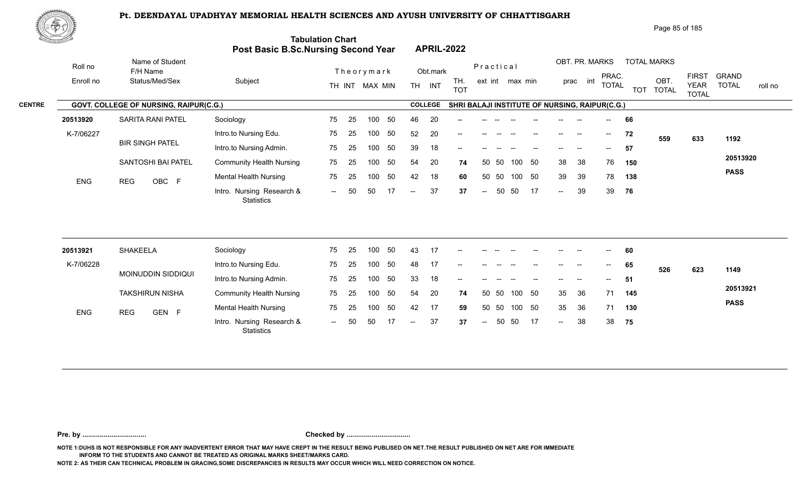

| Page 85 of 185 |  |
|----------------|--|
|----------------|--|

| <u>tana a</u> h |                         |                                        | Post Basic B.Sc.Nursing Second Year            | <b>Tabulation Chart</b> |    |                |    |        |                | <b>APRIL-2022</b>                              |                          |           |                 |    |                                       |                          |                                       |     |                    |                             |                         |
|-----------------|-------------------------|----------------------------------------|------------------------------------------------|-------------------------|----|----------------|----|--------|----------------|------------------------------------------------|--------------------------|-----------|-----------------|----|---------------------------------------|--------------------------|---------------------------------------|-----|--------------------|-----------------------------|-------------------------|
|                 | Roll no                 | Name of Student<br>F/H Name            |                                                |                         |    | Theorymark     |    |        | Obt.mark       |                                                |                          | Practical |                 |    |                                       | OBT. PR. MARKS           | PRAC.                                 |     | <b>TOTAL MARKS</b> | <b>FIRST</b>                | <b>GRAND</b>            |
|                 | Enroll no               | Status/Med/Sex                         | Subject                                        |                         |    | TH INT MAX MIN |    |        | TH INT         | TH.<br><b>TOT</b>                              |                          |           | ext int max min |    |                                       | prac int                 | <b>TOTAL</b>                          |     | OBT.<br>TOT TOTAL  | <b>YEAR</b><br><b>TOTAL</b> | <b>TOTAL</b><br>roll no |
| <b>CENTRE</b>   |                         | GOVT. COLLEGE OF NURSING, RAIPUR(C.G.) |                                                |                         |    |                |    |        | <b>COLLEGE</b> | SHRI BALAJI INSTITUTE OF NURSING, RAIPUR(C.G.) |                          |           |                 |    |                                       |                          |                                       |     |                    |                             |                         |
|                 | 20513920                | <b>SARITA RANI PATEL</b>               | Sociology                                      | 75                      | 25 | 100            | 50 | 46     | 20             |                                                |                          |           |                 |    |                                       |                          | $--$                                  | 66  |                    |                             |                         |
|                 | K-7/06227<br><b>ENG</b> |                                        | Intro.to Nursing Edu.                          | 75                      | 25 | 100            | 50 | 52     | 20             |                                                |                          |           |                 |    |                                       | $\sim$                   | $\overline{\phantom{a}}$              | 72  | 559                | 633                         | 1192                    |
|                 |                         | <b>BIR SINGH PATEL</b>                 | Intro.to Nursing Admin.                        | 75                      | 25 | 100            | 50 | 39     | 18             | --                                             |                          |           |                 |    |                                       |                          | $--$                                  | 57  |                    |                             |                         |
|                 |                         | SANTOSHI BAI PATEL                     | <b>Community Health Nursing</b>                | 75                      | 25 | 100            | 50 | 54     | 20             | 74                                             | 50                       | 50        | 100             | 50 | 38                                    | 38                       | 76                                    | 150 |                    |                             | 20513920                |
|                 |                         | OBC F<br><b>REG</b>                    | <b>Mental Health Nursing</b>                   | 75                      | 25 | 100            | 50 | 42     | 18             | 60                                             |                          | 50 50     | 100 50          |    | 39                                    | 39                       | 78                                    | 138 |                    |                             | <b>PASS</b>             |
|                 |                         |                                        | Intro. Nursing Research &<br><b>Statistics</b> | $\sim$                  | 50 | 50             | 17 | $\sim$ | 37             | 37                                             | $\overline{\phantom{a}}$ | 50        | 50              | 17 | $\sim$ $\sim$                         | 39                       | 39                                    | 76  |                    |                             |                         |
|                 |                         |                                        |                                                |                         |    |                |    |        |                |                                                |                          |           |                 |    |                                       |                          |                                       |     |                    |                             |                         |
|                 | 20513921                | SHAKEELA                               | Sociology                                      | 75                      | 25 | 100            | 50 | 43     | 17             |                                                |                          |           |                 |    |                                       |                          |                                       | 60  |                    |                             |                         |
|                 | K-7/06228               |                                        | Intro.to Nursing Edu.                          | 75                      | 25 | 100            | 50 | 48     | 17             | --                                             |                          |           |                 |    | $\hspace{0.05cm}$ – $\hspace{0.05cm}$ | $\overline{\phantom{a}}$ | $\hspace{0.05cm}$ – $\hspace{0.05cm}$ | 65  | 526                | 623                         | 1149                    |
|                 |                         | MOINUDDIN SIDDIQUI                     | Intro.to Nursing Admin.                        | 75                      | 25 | 100            | 50 | 33     | 18             |                                                |                          |           |                 |    |                                       |                          | $- -$                                 | 51  |                    |                             |                         |
|                 | <b>ENG</b>              | <b>TAKSHIRUN NISHA</b>                 | <b>Community Health Nursing</b>                | 75                      | 25 | 100            | 50 | 54     | 20             | 74                                             |                          | 50 50     | 100 50          |    | 35                                    | 36                       | 71                                    | 145 |                    |                             | 20513921                |
|                 |                         | GEN F<br><b>REG</b>                    | <b>Mental Health Nursing</b>                   | 75                      | 25 | 100            | 50 | 42     | 17             | 59                                             | 50                       | 50        | 100             | 50 | 35                                    | 36                       | 71                                    | 130 |                    |                             | <b>PASS</b>             |
|                 |                         |                                        | Intro. Nursing Research &                      | $\sim$                  | 50 | 50             | 17 | $--$   | 37             | 37                                             | $--$                     | 50        | 50              | 17 | $\mathcal{L}_{\mathcal{L}}$           | 38                       | 38                                    | 75  |                    |                             |                         |

**Pre. by ................................. Checked by .................................**

**NOTE 1:DUHS IS NOT RESPONSIBLE FOR ANY INADVERTENT ERROR THAT MAY HAVE CREPT IN THE RESULT BEING PUBLISED ON NET.THE RESULT PUBLISHED ON NET ARE FOR IMMEDIATE INFORM TO THE STUDENTS AND CANNOT BE TREATED AS ORIGINAL MARKS SHEET/MARKS CARD.**

**NOTE 2: AS THEIR CAN TECHNICAL PROBLEM IN GRACING,SOME DISCREPANCIES IN RESULTS MAY OCCUR WHICH WILL NEED CORRECTION ON NOTICE.**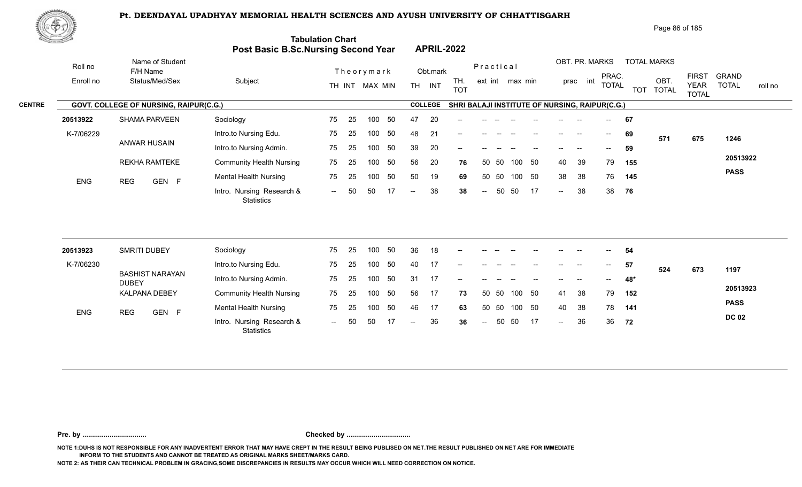1993 - CEN F من المستحدث المستحدث المستحدث المستحدث المستحدث المستحدث المستحدث المستحدث المستحدث المستحدث المس<br>--- Intro. Nursing Research & -- 50 50 17 -- 38 38 -- 50 50 17 --



REKHA RAMTEKE

ENG REG GEN F Montail House

|                               | でやま       |                                               |                         |                                                                       |                                       |                                                |                                                 | Page 86 of 185                    |                                                                             |         |
|-------------------------------|-----------|-----------------------------------------------|-------------------------|-----------------------------------------------------------------------|---------------------------------------|------------------------------------------------|-------------------------------------------------|-----------------------------------|-----------------------------------------------------------------------------|---------|
| $\sim 10$ $\mu$ and the $\mu$ |           |                                               |                         | <b>Tabulation Chart</b><br><b>Post Basic B.Sc.Nursing Second Year</b> | <b>APRIL-2022</b>                     |                                                |                                                 |                                   |                                                                             |         |
|                               | Roll no   | Name of Student<br>F/H Name                   |                         | Theorymark                                                            | Obt.mark                              | Practical                                      | OBT. PR. MARKS                                  | <b>TOTAL MARKS</b>                |                                                                             |         |
|                               | Enroll no | Status/Med/Sex                                | Subject                 | MAX MIN<br>TH INT                                                     | TH.<br>INT<br><b>TH</b><br><b>TOT</b> | ext int max min                                | PRAC.<br>prac int<br><b>TOTAL</b>               | OBT<br><b>TOTAL</b><br><b>TOT</b> | <b>GRAND</b><br><b>FIRST</b><br><b>TOTAL</b><br><b>YEAR</b><br><b>TOTAL</b> | roll no |
| <b>CENTRE</b>                 |           | <b>GOVT. COLLEGE OF NURSING, RAIPUR(C.G.)</b> |                         |                                                                       | <b>COLLEGE</b>                        | SHRI BALAJI INSTITUTE OF NURSING, RAIPUR(C.G.) |                                                 |                                   |                                                                             |         |
|                               | 20513922  | <b>SHAMA PARVEEN</b>                          | Sociology               | 75<br>-50<br>100<br>-25                                               | 20<br>47<br>--                        |                                                | $- -$                                           | 67                                |                                                                             |         |
|                               | K-7/06229 |                                               | Intro.to Nursing Edu.   | -50<br>75<br>100<br>-25                                               | 48<br>21<br>--                        |                                                | $\hspace{0.05cm}$<br>$\hspace{0.05cm}$<br>$- -$ | 69<br>571                         | 675<br>1246                                                                 |         |
|                               |           | ANWAR HUSAIN                                  | Intro.to Nursing Admin. | -50<br>75<br>100<br>- 25                                              | 20<br>39<br>$\hspace{0.05cm}$         |                                                | $\hspace{0.05cm}$ – $\hspace{0.05cm}$           | 59                                |                                                                             |         |

50 50 100 50

-- 50 50 17 -- 38

50 17

50 50 50 19 **69** 38 38 76 **145**

38 38 **38** 38

48 21 **69** 39 20 <del>- - - - - - - - - - - 59</del> 56 20 **76** 40 39 79 **155**

38 76 **145** 

**76**

**20513922 PASS**

| 20513923   | <b>SMRITI DUBEY</b>                    | Sociology                                      | 75     | - 25 | 100  | - 50 | 36         | 18  |    |               |       |        |     |                          |      | $- -$ | 54  |     |     |              |
|------------|----------------------------------------|------------------------------------------------|--------|------|------|------|------------|-----|----|---------------|-------|--------|-----|--------------------------|------|-------|-----|-----|-----|--------------|
| K-7/06230  |                                        | Intro.to Nursing Edu.                          | 75     | -25  | 100  | -50  | 40         | 17  |    |               |       |        |     |                          |      | $- -$ | 57  | 524 | 673 | 1197         |
|            | <b>BASHIST NARAYAN</b><br><b>DUBEY</b> | Intro.to Nursing Admin.                        | 75     | - 25 | 100. | - 50 | 31         | 17  |    |               |       |        |     |                          |      | $--$  | 48* |     |     |              |
|            | KALPANA DEBEY                          | <b>Community Health Nursing</b>                | 75     | - 25 | 100  | -50  | 56         | 17  | 73 |               | 50 50 | 100 50 |     | 41                       | - 38 | 79    | 152 |     |     | 20513923     |
| <b>ENG</b> | <b>REG</b><br>GEN F                    | <b>Mental Health Nursing</b>                   | 75     | - 25 | 100  | - 50 | 46         | 17  | 63 |               | 50 50 | 100 50 |     | 40                       | - 38 | 78    | 141 |     |     | <b>PASS</b>  |
|            |                                        | Intro. Nursing Research &<br><b>Statistics</b> | $  \,$ | -50  | 50   | -17  | $\sim$ $-$ | -36 | 36 | $\sim$ $\sim$ | 50    | 50     | -17 | $\overline{\phantom{a}}$ | 36   | 36    | 72  |     |     | <b>DC 02</b> |

25 100 50 75 25 100 50 75 25 100 50 75 75 25 100 50 50 19 69 -- 50 50 17 -- 38 38

**Pre. by ................................. Checked by .................................**

**NOTE 1:DUHS IS NOT RESPONSIBLE FOR ANY INADVERTENT ERROR THAT MAY HAVE CREPT IN THE RESULT BEING PUBLISED ON NET.THE RESULT PUBLISHED ON NET ARE FOR IMMEDIATE INFORM TO THE STUDENTS AND CANNOT BE TREATED AS ORIGINAL MARKS SHEET/MARKS CARD.**

**NOTE 2: AS THEIR CAN TECHNICAL PROBLEM IN GRACING,SOME DISCREPANCIES IN RESULTS MAY OCCUR WHICH WILL NEED CORRECTION ON NOTICE.**

**Statistics** 

Community Health Nursing 75 25 Mental Health Nursing 25 75 25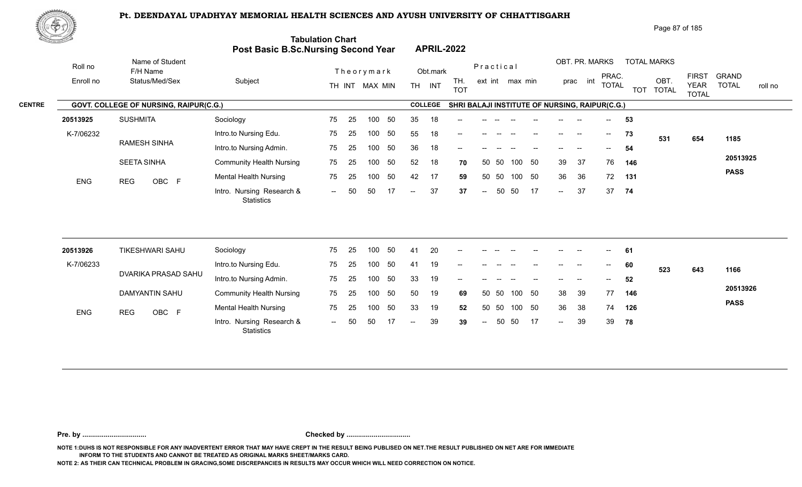

| <u> Estados de</u> |                         |                                        | Post Basic B.Sc.Nursing Second Year            | <b>Tabulation Chart</b> |    |                |     |                | <b>APRIL-2022</b> |                                                |                          |       |                 |     |                            |                |              |     |                    |                             |                         |
|--------------------|-------------------------|----------------------------------------|------------------------------------------------|-------------------------|----|----------------|-----|----------------|-------------------|------------------------------------------------|--------------------------|-------|-----------------|-----|----------------------------|----------------|--------------|-----|--------------------|-----------------------------|-------------------------|
| Roll no            |                         | Name of Student<br>F/H Name            |                                                |                         |    | Theorymark     |     |                | Obt.mark          |                                                | Practical                |       |                 |     |                            | OBT. PR. MARKS | PRAC.        |     | <b>TOTAL MARKS</b> | <b>FIRST</b>                | <b>GRAND</b>            |
| Enroll no          |                         | Status/Med/Sex                         | Subject                                        |                         |    | TH INT MAX MIN |     |                | TH INT            | TH.<br><b>TOT</b>                              |                          |       | ext int max min |     |                            | prac int       | <b>TOTAL</b> |     | OBT.<br>TOT TOTAL  | <b>YEAR</b><br><b>TOTAL</b> | <b>TOTAL</b><br>roll no |
|                    |                         | GOVT. COLLEGE OF NURSING, RAIPUR(C.G.) |                                                |                         |    |                |     |                | <b>COLLEGE</b>    | SHRI BALAJI INSTITUTE OF NURSING, RAIPUR(C.G.) |                          |       |                 |     |                            |                |              |     |                    |                             |                         |
| 20513925           |                         | <b>SUSHMITA</b>                        | Sociology                                      | 75                      | 25 | 100            | 50  | 35             | 18                |                                                |                          |       |                 |     |                            |                | $- -$        | 53  |                    |                             |                         |
|                    | K-7/06232<br><b>ENG</b> |                                        | Intro.to Nursing Edu.                          | 75                      | 25 | 100            | 50  | 55             | 18                | --                                             |                          |       |                 |     | $\overline{\phantom{a}}$   | $\sim$         | $--$         | 73  | 531                | 654                         | 1185                    |
|                    |                         | <b>RAMESH SINHA</b>                    | Intro.to Nursing Admin.                        | 75                      | 25 | 100            | 50  | 36             | 18                |                                                |                          |       |                 |     |                            |                | $-$          | 54  |                    |                             |                         |
|                    |                         | <b>SEETA SINHA</b>                     | <b>Community Health Nursing</b>                | 75                      | 25 | 100            | 50  | 52             | 18                | 70                                             | 50                       | 50    | 100             | 50  | 39                         | 37             | 76           | 146 |                    |                             | 20513925                |
|                    |                         | <b>REG</b><br>OBC F                    | <b>Mental Health Nursing</b>                   | 75                      | 25 | 100            | 50  | 42             | 17                | 59                                             |                          | 50 50 | 100 50          |     | 36                         | 36             | 72           | 131 |                    |                             | <b>PASS</b>             |
|                    |                         |                                        | Intro. Nursing Research &<br><b>Statistics</b> | $\sim$                  | 50 | 50             | 17  | $\overline{a}$ | 37                | 37                                             | $\sim$                   | 50    | 50              | 17  | $\sim$                     | 37             | 37           | 74  |                    |                             |                         |
|                    |                         |                                        |                                                |                         |    |                |     |                |                   |                                                |                          |       |                 |     |                            |                |              |     |                    |                             |                         |
| 20513926           |                         | <b>TIKESHWARI SAHU</b>                 | Sociology                                      | 75                      | 25 | 100            | 50  | 41             | 20                |                                                |                          |       |                 |     |                            |                |              | 61  |                    |                             |                         |
| K-7/06233          |                         |                                        | Intro.to Nursing Edu.                          | 75                      | 25 | 100            | 50  | 41             | 19                |                                                |                          |       |                 |     |                            |                |              | 60  | 523                | 643                         | 1166                    |
|                    | DVARIKA PRASAD SAHU     |                                        | Intro.to Nursing Admin.                        | 75                      | 25 | 100            | 50  | 33             | 19                | --                                             |                          |       |                 |     |                            |                | $-$          | 52  |                    |                             |                         |
|                    |                         | <b>DAMYANTIN SAHU</b>                  | <b>Community Health Nursing</b>                | 75                      | 25 | 100            | 50  | 50             | 19                | 69                                             | 50                       | 50    | 100 50          |     | 38                         | 39             | 77           | 146 |                    |                             | 20513926                |
|                    | <b>ENG</b>              | <b>REG</b><br>OBC F                    | <b>Mental Health Nursing</b>                   | 75                      | 25 | 100            | 50  | 33             | 19                | 52                                             |                          | 50 50 | 100 50          |     | 36                         | 38             | 74           | 126 |                    |                             | <b>PASS</b>             |
|                    |                         |                                        | Intro. Nursing Research &                      | $--$                    | 50 | 50             | -17 | $--$           | 39                | 39                                             | $\hspace{0.05cm} \dashv$ | 50    | 50              | -17 | $\mathcal{L}(\mathcal{L})$ | 39             | 39           | 78  |                    |                             |                         |

**Pre. by ................................. Checked by .................................**

**NOTE 1:DUHS IS NOT RESPONSIBLE FOR ANY INADVERTENT ERROR THAT MAY HAVE CREPT IN THE RESULT BEING PUBLISED ON NET.THE RESULT PUBLISHED ON NET ARE FOR IMMEDIATE INFORM TO THE STUDENTS AND CANNOT BE TREATED AS ORIGINAL MARKS SHEET/MARKS CARD.**

**NOTE 2: AS THEIR CAN TECHNICAL PROBLEM IN GRACING,SOME DISCREPANCIES IN RESULTS MAY OCCUR WHICH WILL NEED CORRECTION ON NOTICE.**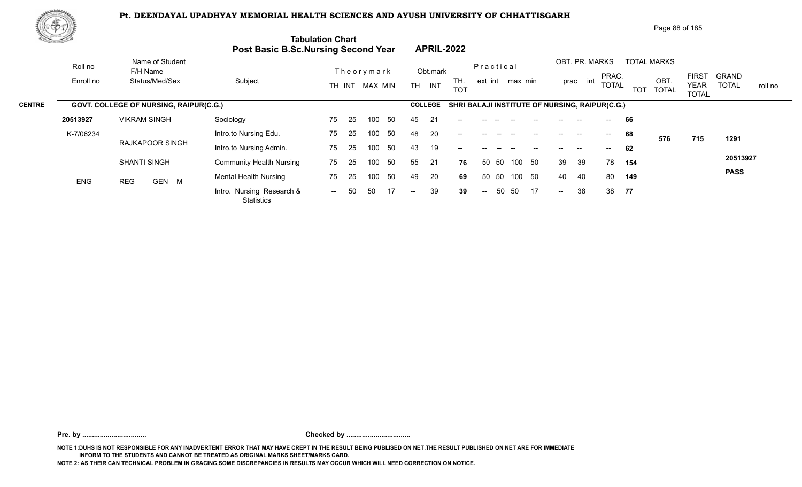

|               | 脚のり        |                                        |                                            |                          |                                       | Page 88 of 185                                                                                                                                                                          |
|---------------|------------|----------------------------------------|--------------------------------------------|--------------------------|---------------------------------------|-----------------------------------------------------------------------------------------------------------------------------------------------------------------------------------------|
|               |            |                                        | <b>Post Basic B.Sc.Nursing Second Year</b> | <b>Tabulation Chart</b>  | <b>APRIL-2022</b>                     |                                                                                                                                                                                         |
|               | Roll no    | Name of Student<br>F/H Name            |                                            | Theorymark               | Practical<br>Obt.mark                 | OBT. PR. MARKS<br><b>TOTAL MARKS</b>                                                                                                                                                    |
|               | Enroll no  | Status/Med/Sex                         | Subject                                    | MAX MIN<br>TH INT        | TH.<br><b>TH</b><br>INT<br><b>TOT</b> | <b>FIRST</b><br><b>GRAND</b><br>PRAC.<br>OBT.<br>int<br>ext int max min<br>prac<br><b>TOTAL</b><br><b>TOTAL</b><br><b>YEAR</b><br>roll no<br><b>TOTAL</b><br><b>TOT</b><br><b>TOTAL</b> |
| <b>CENTRE</b> |            | GOVT. COLLEGE OF NURSING, RAIPUR(C.G.) |                                            |                          | <b>COLLEGE</b>                        | SHRI BALAJI INSTITUTE OF NURSING, RAIPUR(C.G.)                                                                                                                                          |
|               | 20513927   | <b>VIKRAM SINGH</b>                    | Sociology                                  | 75<br>50<br>-25<br>100   | 45<br>21                              | 66                                                                                                                                                                                      |
|               | K-7/06234  |                                        | Intro.to Nursing Edu.                      | 50<br>75<br>25<br>100    | 48<br>20<br>$- -$                     | 68<br>--<br>$\overline{\phantom{a}}$<br>1291<br>576<br>715                                                                                                                              |
|               |            | RAJKAPOOR SINGH                        | Intro.to Nursing Admin.                    | -50<br>75<br>-25<br>100  | 19<br>43<br>--                        | 62<br>--                                                                                                                                                                                |
|               |            | <b>SHANTI SINGH</b>                    | <b>Community Health Nursing</b>            | 50<br>75<br>25<br>100    | 55<br>21<br>50<br>76                  | 20513927<br>50<br>39<br>39<br>78<br>50<br>100<br>154                                                                                                                                    |
|               | <b>ENG</b> | GEN M<br><b>REG</b>                    | <b>Mental Health Nursing</b>               | 50<br>75<br>100<br>-25   | 49<br>20<br>50<br>69                  | <b>PASS</b><br>50<br>40<br>40<br>80<br>-50<br>100<br>149                                                                                                                                |
|               |            |                                        | Intro. Nursing Research &                  | 17<br>50<br>50<br>$  \,$ | 39<br>39<br>$--$<br>$\sim$ $-$        | 38<br>38<br>50<br>50<br>17<br>77<br>$--$                                                                                                                                                |

**Pre. by ................................. Checked by .................................**

**NOTE 1:DUHS IS NOT RESPONSIBLE FOR ANY INADVERTENT ERROR THAT MAY HAVE CREPT IN THE RESULT BEING PUBLISED ON NET.THE RESULT PUBLISHED ON NET ARE FOR IMMEDIATE INFORM TO THE STUDENTS AND CANNOT BE TREATED AS ORIGINAL MARKS SHEET/MARKS CARD.**

**NOTE 2: AS THEIR CAN TECHNICAL PROBLEM IN GRACING,SOME DISCREPANCIES IN RESULTS MAY OCCUR WHICH WILL NEED CORRECTION ON NOTICE.**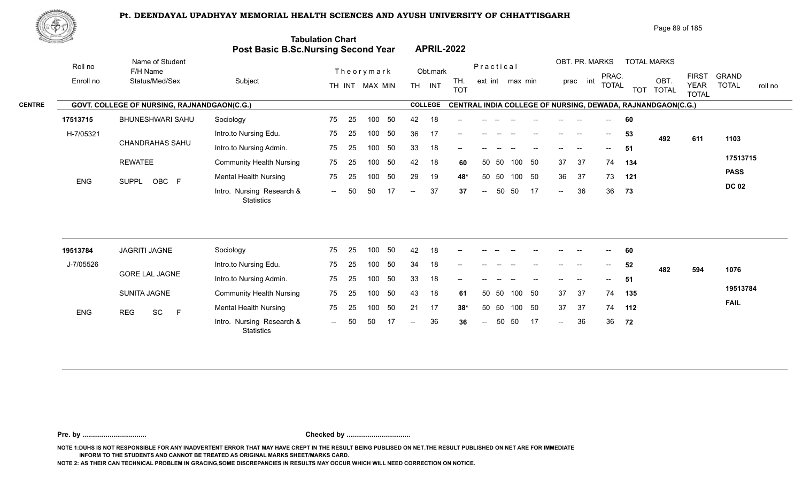

| Page 89 of 185 |  |
|----------------|--|
|                |  |

| <u>tores and</u> |                                             | Post Basic B.Sc.Nursing Second Year            | <b>Tabulation Chart</b> |    |                |    |                          |                | <b>APRIL-2022</b> |                |       |                 |    |                   |                          |              |     |                                                             |                             |                         |
|------------------|---------------------------------------------|------------------------------------------------|-------------------------|----|----------------|----|--------------------------|----------------|-------------------|----------------|-------|-----------------|----|-------------------|--------------------------|--------------|-----|-------------------------------------------------------------|-----------------------------|-------------------------|
| Roll no          | Name of Student<br>F/H Name                 |                                                |                         |    | Theorymark     |    |                          | Obt.mark       |                   | Practical      |       |                 |    |                   | OBT. PR. MARKS           | PRAC.        |     | <b>TOTAL MARKS</b>                                          | <b>FIRST</b>                | <b>GRAND</b>            |
| Enroll no        | Status/Med/Sex                              | Subject                                        |                         |    | TH INT MAX MIN |    |                          | TH INT         | TH.<br><b>TOT</b> |                |       | ext int max min |    |                   | prac int                 | <b>TOTAL</b> |     | OBT.<br>TOT TOTAL                                           | <b>YEAR</b><br><b>TOTAL</b> | <b>TOTAL</b><br>roll no |
|                  | GOVT. COLLEGE OF NURSING, RAJNANDGAON(C.G.) |                                                |                         |    |                |    |                          | <b>COLLEGE</b> |                   |                |       |                 |    |                   |                          |              |     | CENTRAL INDIA COLLEGE OF NURSING, DEWADA, RAJNANDGAON(C.G.) |                             |                         |
| 17513715         | BHUNESHWARI SAHU                            | Sociology                                      | 75                      | 25 | 100            | 50 | 42                       | 18             |                   |                |       |                 |    |                   |                          |              | 60  |                                                             |                             |                         |
| H-7/05321        |                                             | Intro.to Nursing Edu.                          | 75                      | 25 | 100            | 50 | 36                       | 17             |                   |                |       |                 |    | $\qquad \qquad -$ | $\overline{\phantom{a}}$ | $--$         | 53  | 492                                                         | 611                         | 1103                    |
|                  | <b>CHANDRAHAS SAHU</b>                      | Intro.to Nursing Admin.                        | 75                      | 25 | 100            | 50 | 33                       | 18             | --                |                |       |                 |    |                   | $\overline{\phantom{a}}$ | $- -$        | -51 |                                                             |                             |                         |
|                  | <b>REWATEE</b>                              | <b>Community Health Nursing</b>                | 75                      | 25 | 100            | 50 | 42                       | 18             | 60                | 50             | 50    | 100             | 50 | 37                | 37                       | 74           | 134 |                                                             |                             | 17513715                |
| ENG              | SUPPL OBC F                                 | <b>Mental Health Nursing</b>                   | 75                      | 25 | 100            | 50 | 29                       | 19             | 48*               |                | 50 50 | 100 50          |    | 36                | 37                       | 73           | 121 |                                                             |                             | <b>PASS</b>             |
|                  |                                             | Intro. Nursing Research &<br><b>Statistics</b> | $\sim$                  | 50 | 50             |    | $\overline{\phantom{a}}$ | 37             | 37                | $\overline{a}$ | 50    | 50              | 17 | $\sim$ $\sim$     | 36                       | 36           | 73  |                                                             |                             | <b>DC 02</b>            |
|                  |                                             |                                                |                         |    |                |    |                          |                |                   |                |       |                 |    |                   |                          |              |     |                                                             |                             |                         |
| 19513784         | JAGRITI JAGNE                               | Sociology                                      | 75                      | 25 | 100            | 50 | 42                       | 18             |                   |                |       |                 |    |                   |                          |              | 60  |                                                             |                             |                         |
| J-7/05526        | <b>GORE LAL JAGNE</b>                       | Intro.to Nursing Edu.                          | 75                      | 25 | 100            | 50 | 34                       | 18             |                   |                |       |                 |    |                   | <b>-</b>                 |              | 52  | 482                                                         | 594                         | 1076                    |
|                  |                                             | Intro.to Nursing Admin.                        | 75                      | 25 | 100            | 50 | 33                       | 18             |                   |                |       |                 |    |                   |                          |              | 51  |                                                             |                             | 19513784                |
|                  | SUNITA JAGNE                                | <b>Community Health Nursing</b>                | 75                      | 25 | 100            | 50 | 43                       | 18             | 61                |                | 50 50 | 100 50          |    | 37                | 37                       | 74           | 135 |                                                             |                             |                         |
| <b>ENG</b>       | SC<br>$\mathsf F$<br><b>REG</b>             | <b>Mental Health Nursing</b>                   | 75                      | 25 | 100            | 50 | 21                       | 17             | $38*$             | 50             | 50    | 100 50          |    | 37                | 37                       | 74           | 112 |                                                             |                             | <b>FAIL</b>             |
|                  |                                             | Intro. Nursing Research &<br><b>Statistics</b> | $\sim$ $\sim$           | 50 | 50             | 17 | $\overline{\phantom{a}}$ | 36             | 36                | $\sim$         | 50    | 50              | 17 | $\sim$ $\sim$     | 36                       | 36           | 72  |                                                             |                             |                         |

**Pre. by ................................. Checked by .................................**

**NOTE 1:DUHS IS NOT RESPONSIBLE FOR ANY INADVERTENT ERROR THAT MAY HAVE CREPT IN THE RESULT BEING PUBLISED ON NET.THE RESULT PUBLISHED ON NET ARE FOR IMMEDIATE INFORM TO THE STUDENTS AND CANNOT BE TREATED AS ORIGINAL MARKS SHEET/MARKS CARD.**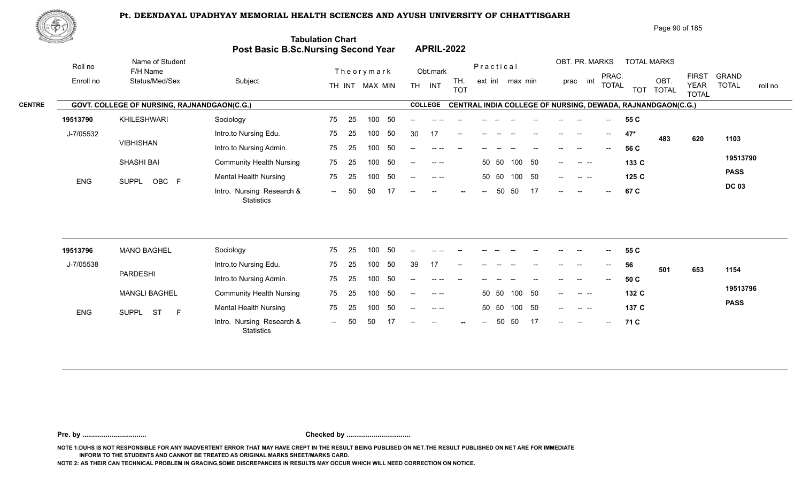

| 心やり           |            |                                             |                                     |                         |                                       |                                             |                                                                            | Page 90 of 185                                                                         |
|---------------|------------|---------------------------------------------|-------------------------------------|-------------------------|---------------------------------------|---------------------------------------------|----------------------------------------------------------------------------|----------------------------------------------------------------------------------------|
|               |            |                                             | Post Basic B.Sc.Nursing Second Year | <b>Tabulation Chart</b> | <b>APRIL-2022</b>                     |                                             |                                                                            |                                                                                        |
|               | Roll no    | Name of Student<br>F/H Name                 |                                     | Theorymark              | Obt.mark                              | Practical                                   | OBT. PR. MARKS<br><b>TOTAL MARKS</b>                                       |                                                                                        |
|               | Enroll no  | Status/Med/Sex                              | Subject                             | TH INT MAX MIN          | TH.<br><b>TH</b><br>INT<br><b>TOT</b> | ext int max min                             | PRAC.<br>int<br>OBT.<br>prac<br><b>TOTAL</b><br><b>TOT</b><br><b>TOTAL</b> | <b>FIRST</b><br><b>GRAND</b><br><b>TOTAL</b><br><b>YEAR</b><br>roll no<br><b>TOTAL</b> |
| <b>CENTRE</b> |            | GOVT. COLLEGE OF NURSING, RAJNANDGAON(C.G.) |                                     |                         | <b>COLLEGE</b>                        |                                             | CENTRAL INDIA COLLEGE OF NURSING, DEWADA, RAJNANDGAON(C.G.)                |                                                                                        |
|               | 19513790   | KHILESHWARI                                 | Sociology                           | -50<br>75<br>100<br>-25 | $--$<br>-- --                         |                                             | 55 C<br>$\overline{\phantom{a}}$                                           |                                                                                        |
|               | J-7/05532  |                                             | Intro.to Nursing Edu.               | 75<br>50<br>25<br>100   | 30<br>17<br>$- -$                     |                                             | 47*<br>$\sim$<br>--<br>483                                                 | 620<br>1103                                                                            |
|               |            | <b>VIBHISHAN</b>                            | Intro.to Nursing Admin.             | -50<br>75<br>100<br>25  |                                       |                                             | 56 C                                                                       |                                                                                        |
|               |            | <b>SHASHI BAI</b>                           | <b>Community Health Nursing</b>     | 50<br>25<br>75<br>100   | $\sim$ $\sim$<br>$--$                 | 100 50<br>50 50                             | 133 C<br><b>Contract Contract</b><br>$--$                                  | 19513790                                                                               |
|               | <b>ENG</b> | OBC F<br><b>SUPPL</b>                       | <b>Mental Health Nursing</b>        | 50<br>75<br>100<br>25   | $\sim$ $\sim$<br>$- -$                | 50<br>50 50<br>100                          | 125C<br><b>Contract Contract</b><br>$--$                                   | <b>PASS</b>                                                                            |
|               |            |                                             | Intro. Nursing Research &           | 50<br>50<br>$  \,$      | $- -$<br>--                           | -17<br>50<br>50<br>$\overline{\phantom{a}}$ | 67 C<br>$-$<br>$- -$                                                       | <b>DC 03</b>                                                                           |

| 19513796   | <b>MANO BAGHEL</b>       | Sociology                                      | 75             | 25  | 100 |     | $- -$                    | -- --                                                                                                                                                                                                                                                                                                                                                                                        |       |                          |       |        |       | $- -$         | --            | $\hspace{0.05cm}$ – $\hspace{0.05cm}$ | 55 C  |     |     |             |
|------------|--------------------------|------------------------------------------------|----------------|-----|-----|-----|--------------------------|----------------------------------------------------------------------------------------------------------------------------------------------------------------------------------------------------------------------------------------------------------------------------------------------------------------------------------------------------------------------------------------------|-------|--------------------------|-------|--------|-------|---------------|---------------|---------------------------------------|-------|-----|-----|-------------|
| J-7/05538  |                          | Intro.to Nursing Edu.                          | 75             | -25 | 100 | -50 | 39                       | 17                                                                                                                                                                                                                                                                                                                                                                                           | $- -$ | $- -$                    | $- -$ |        | $- -$ | $- -$         | $- -$         | $\overline{\phantom{a}}$              | 56    | 501 | 653 | 1154        |
|            | PARDESHI                 | Intro.to Nursing Admin.                        | 75             | 25  | 100 | 50  | $\overline{\phantom{a}}$ |                                                                                                                                                                                                                                                                                                                                                                                              | $- -$ | $- -$                    |       |        | $- -$ | $\frac{1}{2}$ | $\sim$        | $\mathcal{L}(\mathcal{L})$            | 50 C  |     |     |             |
|            | <b>MANGLI BAGHEL</b>     | <b>Community Health Nursing</b>                | 75             | -25 | 100 | -50 | $--$                     | $\sim$ $\sim$                                                                                                                                                                                                                                                                                                                                                                                |       |                          | 50 50 | 100 50 |       | $\sim$ $\sim$ |               |                                       | 132 C |     |     | 19513796    |
| <b>ENG</b> | -ST<br><b>SUPPL</b><br>F | <b>Mental Health Nursing</b>                   | 75             | 25  | 100 | 50  | $--$                     | $\frac{1}{2} \frac{1}{2} \frac{1}{2} \frac{1}{2} \frac{1}{2} \frac{1}{2} \frac{1}{2} \frac{1}{2} \frac{1}{2} \frac{1}{2} \frac{1}{2} \frac{1}{2} \frac{1}{2} \frac{1}{2} \frac{1}{2} \frac{1}{2} \frac{1}{2} \frac{1}{2} \frac{1}{2} \frac{1}{2} \frac{1}{2} \frac{1}{2} \frac{1}{2} \frac{1}{2} \frac{1}{2} \frac{1}{2} \frac{1}{2} \frac{1}{2} \frac{1}{2} \frac{1}{2} \frac{1}{2} \frac{$ |       |                          | 50 50 | 100 50 |       | $---$         |               |                                       | 137 C |     |     | <b>PASS</b> |
|            |                          | Intro. Nursing Research &<br><b>Statistics</b> | $\overline{a}$ | 50  | 50  |     | $--$                     | $- -$                                                                                                                                                                                                                                                                                                                                                                                        | $-$   | $\overline{\phantom{a}}$ | 50    | 50 17  |       | $\sim$        | $\sim$ $\sim$ | $\sim$                                | 71 C  |     |     |             |

**Pre. by ................................. Checked by .................................**

**NOTE 1:DUHS IS NOT RESPONSIBLE FOR ANY INADVERTENT ERROR THAT MAY HAVE CREPT IN THE RESULT BEING PUBLISED ON NET.THE RESULT PUBLISHED ON NET ARE FOR IMMEDIATE INFORM TO THE STUDENTS AND CANNOT BE TREATED AS ORIGINAL MARKS SHEET/MARKS CARD.**

**NOTE 2: AS THEIR CAN TECHNICAL PROBLEM IN GRACING,SOME DISCREPANCIES IN RESULTS MAY OCCUR WHICH WILL NEED CORRECTION ON NOTICE.**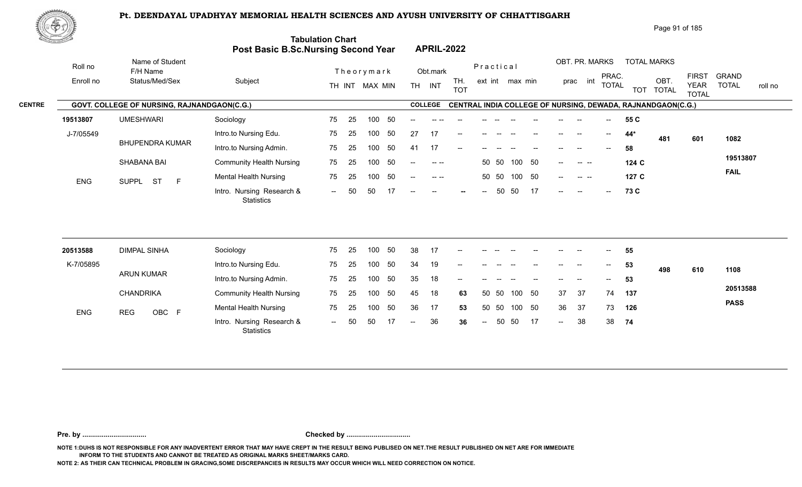

|               | 脚のり        |                                                    |                                            |                          |                                                                   |                                                         | Page 91 of 185                                                                                           |                                         |
|---------------|------------|----------------------------------------------------|--------------------------------------------|--------------------------|-------------------------------------------------------------------|---------------------------------------------------------|----------------------------------------------------------------------------------------------------------|-----------------------------------------|
|               |            |                                                    | <b>Post Basic B.Sc.Nursing Second Year</b> | <b>Tabulation Chart</b>  | <b>APRIL-2022</b>                                                 |                                                         |                                                                                                          |                                         |
|               | Roll no    | Name of Student<br>F/H Name                        |                                            | Theorymark               | Obt.mark                                                          | Practical                                               | OBT. PR. MARKS<br><b>TOTAL MARKS</b>                                                                     |                                         |
|               | Enroll no  | Status/Med/Sex                                     | Subject                                    | TH INT MAX MIN           | TH.<br><b>TH</b><br>INT<br><b>TOT</b>                             | ext int max min                                         | <b>FIRST</b><br>PRAC.<br>int<br>OBT.<br>prac<br><b>TOTAL</b><br><b>YEAR</b><br>TOT TOTAL<br><b>TOTAL</b> | <b>GRAND</b><br><b>TOTAL</b><br>roll no |
| <b>CENTRE</b> |            | <b>GOVT. COLLEGE OF NURSING, RAJNANDGAON(C.G.)</b> |                                            |                          | <b>COLLEGE</b>                                                    |                                                         | <b>CENTRAL INDIA COLLEGE OF NURSING, DEWADA, RAJNANDGAON(C.G.)</b>                                       |                                         |
|               | 19513807   | <b>UMESHWARI</b>                                   | Sociology                                  | - 50<br>75<br>100<br>-25 | $- -$                                                             |                                                         | 55 C                                                                                                     |                                         |
|               | J-7/05549  |                                                    | Intro.to Nursing Edu.                      | 50<br>75<br>-25<br>100   | 27<br>17<br>$- -$                                                 |                                                         | $44*$<br>--<br>$\sim$<br>481<br>601                                                                      | 1082                                    |
|               |            | <b>BHUPENDRA KUMAR</b>                             | Intro.to Nursing Admin.                    | 50<br>75<br>100<br>-25   | 17<br>41<br>--                                                    |                                                         | 58                                                                                                       |                                         |
|               |            | SHABANA BAI                                        | <b>Community Health Nursing</b>            | 75<br>50<br>-25<br>100   | $\sim$ $\sim$<br>$\frac{1}{2}$                                    | 100 50<br>50 50                                         | 124 C<br>$-$<br><b>Contract Contract</b>                                                                 | 19513807                                |
|               | <b>ENG</b> | <b>ST</b><br>E<br><b>SUPPL</b>                     | <b>Mental Health Nursing</b>               | 75<br>50<br>25<br>100    | $- -$                                                             | 100 50<br>50 50                                         | 127 C<br>$\qquad \qquad -$<br><b>Contract Contract</b>                                                   | <b>FAIL</b>                             |
|               |            |                                                    | Intro. Nursing Research &<br>Statistics    | 50<br>50<br>17<br>$\sim$ | $\hspace{0.1mm}-\hspace{0.1mm}-\hspace{0.1mm}$<br>$- -$<br>$\sim$ | 17<br>50<br>50<br>$\hspace{0.05cm}$ – $\hspace{0.05cm}$ | 73 C<br>$--$<br>$--$<br>$\sim$                                                                           |                                         |

| 20513588   | DIMPAL SINHA     | Sociology                                      | 75     | -25  | 100 | 50  | 38            | 17 | $\overline{\phantom{a}}$ |       |       |        |                                       | $- -$                    |                          | $\hspace{0.05cm}$        | 55  |     |     |             |
|------------|------------------|------------------------------------------------|--------|------|-----|-----|---------------|----|--------------------------|-------|-------|--------|---------------------------------------|--------------------------|--------------------------|--------------------------|-----|-----|-----|-------------|
| K-7/05895  |                  | Intro.to Nursing Edu.                          | 75     | - 25 | 100 | 50  | 34            | 19 | $\overline{\phantom{a}}$ | $- -$ | $- -$ |        | $- -$                                 | $\overline{\phantom{a}}$ | $-$                      | $\overline{\phantom{a}}$ | 53  | 498 | 610 | 1108        |
|            | ARUN KUMAR       | Intro.to Nursing Admin.                        | 75     | -25  | 100 | 50  | 35            | 18 | $- -$                    | $- -$ |       |        | $\hspace{0.05cm}$ – $\hspace{0.05cm}$ | $\overline{\phantom{a}}$ | $\overline{\phantom{a}}$ | $\overline{\phantom{a}}$ | 53  |     |     |             |
|            | <b>CHANDRIKA</b> | <b>Community Health Nursing</b>                | 75     | -25  | 100 | -50 | 45            | 18 | 63                       |       | 50 50 | 100    | - 50                                  | 37                       | -37                      | 74                       | 137 |     |     | 20513588    |
| <b>ENG</b> | OBC F<br>REG     | <b>Mental Health Nursing</b>                   | 75     | -25  | 100 | 50  | 36            | 17 | 53                       |       | 50 50 | 100 50 |                                       | 36                       | -37                      | 73                       | 126 |     |     | <b>PASS</b> |
|            |                  | Intro. Nursing Research &<br><b>Statistics</b> | $\sim$ | 50   | -50 |     | $\sim$ $\sim$ | 36 | 36                       | $--$  | 50    | - 50   | 17                                    | $\sim$                   | 38                       | 38                       | 74  |     |     |             |

**Pre. by ................................. Checked by .................................**

**NOTE 1:DUHS IS NOT RESPONSIBLE FOR ANY INADVERTENT ERROR THAT MAY HAVE CREPT IN THE RESULT BEING PUBLISED ON NET.THE RESULT PUBLISHED ON NET ARE FOR IMMEDIATE INFORM TO THE STUDENTS AND CANNOT BE TREATED AS ORIGINAL MARKS SHEET/MARKS CARD.**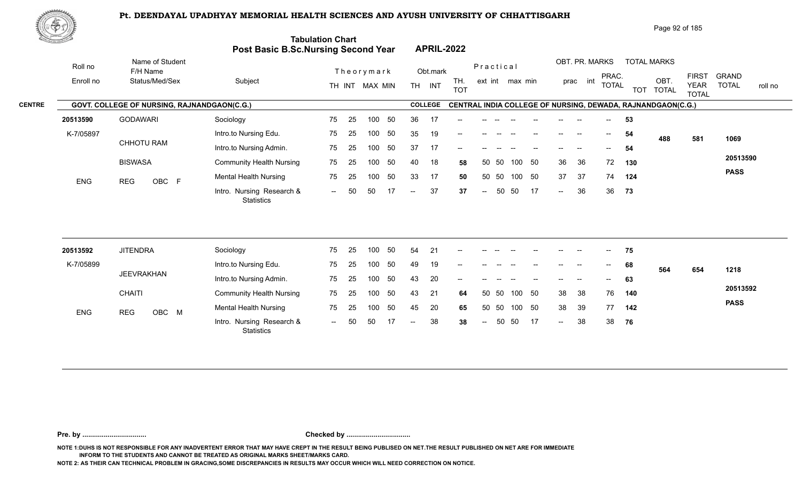

| Page 92 of 185 |
|----------------|
|----------------|

| XII.       |                                             | Post Basic B.Sc.Nursing Second Year            | <b>Tabulation Chart</b> |    |                |    |                          |                | <b>APRIL-2022</b> |                          |           |                 |        |        |                |                          |            |                                                             |                                             |                                         |
|------------|---------------------------------------------|------------------------------------------------|-------------------------|----|----------------|----|--------------------------|----------------|-------------------|--------------------------|-----------|-----------------|--------|--------|----------------|--------------------------|------------|-------------------------------------------------------------|---------------------------------------------|-----------------------------------------|
| Roll no    | Name of Student<br>F/H Name                 |                                                |                         |    | Theorymark     |    |                          | Obt.mark       |                   |                          | Practical |                 |        |        | OBT. PR. MARKS |                          |            | <b>TOTAL MARKS</b>                                          |                                             |                                         |
| Enroll no  | Status/Med/Sex                              | Subject                                        |                         |    | TH INT MAX MIN |    | TH <sub>1</sub>          | INT            | TH.<br><b>TOT</b> |                          |           | ext int max min |        |        | int<br>prac    | PRAC.<br><b>TOTAL</b>    | <b>TOT</b> | OBT.<br><b>TOTAL</b>                                        | <b>FIRST</b><br><b>YEAR</b><br><b>TOTAL</b> | <b>GRAND</b><br><b>TOTAL</b><br>roll no |
|            | GOVT. COLLEGE OF NURSING, RAJNANDGAON(C.G.) |                                                |                         |    |                |    |                          | <b>COLLEGE</b> |                   |                          |           |                 |        |        |                |                          |            | CENTRAL INDIA COLLEGE OF NURSING, DEWADA, RAJNANDGAON(C.G.) |                                             |                                         |
| 20513590   | <b>GODAWARI</b>                             | Sociology                                      | 75                      | 25 | 100            | 50 | 36                       | 17             |                   |                          |           |                 |        |        |                |                          | 53         |                                                             |                                             |                                         |
| K-7/05897  |                                             | Intro.to Nursing Edu.                          | 75                      | 25 | 100            | 50 | 35                       | 19             | --                |                          |           |                 |        |        |                | $\overline{\phantom{a}}$ | 54         | 488                                                         | 581                                         | 1069                                    |
|            | <b>CHHOTU RAM</b>                           | Intro.to Nursing Admin.                        | 75                      | 25 | 100            | 50 | 37                       | 17             |                   |                          |           |                 |        |        |                |                          | 54         |                                                             |                                             |                                         |
|            | <b>BISWASA</b>                              | <b>Community Health Nursing</b>                | 75                      | 25 | 100            | 50 | 40                       | 18             | 58                |                          | 50 50     | 100             | 50     | 36     | 36             | 72                       | 130        |                                                             |                                             | 20513590                                |
| <b>ENG</b> | OBC F<br><b>REG</b>                         | <b>Mental Health Nursing</b>                   | 75                      | 25 | 100            | 50 | 33                       | 17             | 50                |                          | 50 50     |                 | 100 50 | 37     | 37             | 74                       | 124        |                                                             |                                             | <b>PASS</b>                             |
|            |                                             | Intro. Nursing Research &<br><b>Statistics</b> | $--$                    | 50 | 50             | 17 | $-$                      | 37             | 37                | $\overline{\phantom{a}}$ | 50        | 50              | 17     | $\sim$ | 36             | 36                       | 73         |                                                             |                                             |                                         |
|            |                                             |                                                |                         |    |                |    |                          |                |                   |                          |           |                 |        |        |                |                          |            |                                                             |                                             |                                         |
| 20513592   | <b>JITENDRA</b>                             | Sociology                                      | 75                      | 25 | 100            | 50 | 54                       | 21             | --                |                          |           |                 |        |        |                |                          | 75         |                                                             |                                             |                                         |
| K-7/05899  | <b>JEEVRAKHAN</b>                           | Intro.to Nursing Edu.                          | 75                      | 25 | 100            | 50 | 49                       | 19             |                   |                          |           |                 |        |        |                | $- -$                    | 68         | 564                                                         | 654                                         | 1218                                    |
|            |                                             | Intro.to Nursing Admin.                        | 75                      | 25 | 100            | 50 | 43                       | 20             |                   |                          |           |                 |        |        |                | $-$                      | 63         |                                                             |                                             |                                         |
|            | <b>CHAITI</b>                               | <b>Community Health Nursing</b>                | 75                      | 25 | 100            | 50 | 43                       | 21             | 64                | 50                       | 50        | 100             | 50     | 38     | 38             | 76                       | 140        |                                                             |                                             | 20513592                                |
| ENG        | <b>REG</b><br>OBC M                         | <b>Mental Health Nursing</b>                   | 75                      | 25 | 100            | 50 | 45                       | 20             | 65                |                          | 50 50     |                 | 100 50 | 38     | 39             | 77                       | 142        |                                                             |                                             | <b>PASS</b>                             |
|            |                                             | Intro. Nursing Research &<br>Statistics        | $\sim$                  | 50 | 50             | 17 | $\overline{\phantom{a}}$ | 38             | 38                | $\overline{a}$           | 50        | 50              | 17     | $\sim$ | 38             | 38                       | 76         |                                                             |                                             |                                         |

**Pre. by ................................. Checked by .................................**

**NOTE 1:DUHS IS NOT RESPONSIBLE FOR ANY INADVERTENT ERROR THAT MAY HAVE CREPT IN THE RESULT BEING PUBLISED ON NET.THE RESULT PUBLISHED ON NET ARE FOR IMMEDIATE INFORM TO THE STUDENTS AND CANNOT BE TREATED AS ORIGINAL MARKS SHEET/MARKS CARD.**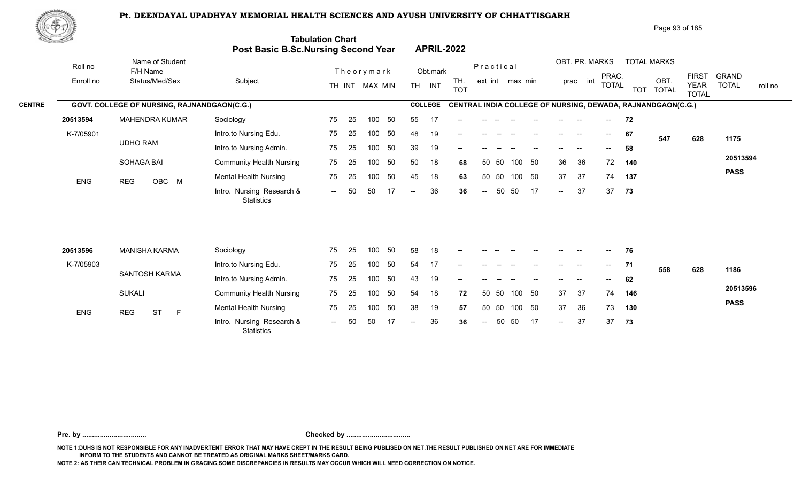Intro. Nursing Research & -- -- OBC

75

75 25 100 50 45 18 63 -- 50 50 17 -- 36 36

100 50



|               | WP        |                                                    |                         |                                                                       |                                                   | Page 93 of 185                                                                                                                                               |
|---------------|-----------|----------------------------------------------------|-------------------------|-----------------------------------------------------------------------|---------------------------------------------------|--------------------------------------------------------------------------------------------------------------------------------------------------------------|
|               |           |                                                    |                         | <b>Tabulation Chart</b><br><b>Post Basic B.Sc.Nursing Second Year</b> | <b>APRIL-2022</b>                                 |                                                                                                                                                              |
|               | Roll no   | Name of Student<br>F/H Name                        |                         | Theorymark                                                            | Practical<br>Obt.mark                             | OBT. PR. MARKS<br><b>TOTAL MARKS</b>                                                                                                                         |
|               | Enroll no | Status/Med/Sex                                     | Subject                 | MAX MIN<br>TH INT                                                     | TH.<br>ext int max min<br>INT<br>TH<br><b>TOT</b> | <b>FIRST</b><br>GRAND<br>PRAC.<br>OBT<br>int<br>prac<br><b>TOTAL</b><br><b>TOTAL</b><br><b>YEAR</b><br>roll no<br><b>TOT</b><br><b>TOTAL</b><br><b>TOTAL</b> |
| <b>CENTRE</b> |           | <b>GOVT. COLLEGE OF NURSING, RAJNANDGAON(C.G.)</b> |                         |                                                                       | <b>COLLEGE</b>                                    | CENTRAL INDIA COLLEGE OF NURSING, DEWADA, RAJNANDGAON(C.G.)                                                                                                  |
|               | 20513594  | <b>MAHENDRA KUMAR</b>                              | Sociology               | 75<br>-50<br>100<br>-25                                               | 55                                                | 72<br>$- -$                                                                                                                                                  |
|               | K-7/05901 |                                                    | Intro.to Nursing Edu.   | -50<br>75<br>100<br>-25                                               | 48<br>19<br>$\hspace{0.05cm}$                     | 67<br>$\hspace{0.05cm}$<br>$\hspace{0.05cm}$<br>$- -$<br>1175<br>547<br>628                                                                                  |
|               |           | <b>UDHO RAM</b>                                    | Intro.to Nursing Admin. | 75 -<br>50<br>100<br>- 25                                             | 19<br>39<br>$\hspace{0.05cm}$                     | 58<br>$\hspace{0.05cm}$ – $\hspace{0.05cm}$                                                                                                                  |

50 18 68

50 50 50 18 **68** 36 36 72 **140** 50 50 45 18 **63** 37 37 74 **137** -- 50 36 37 **36** 37

36 36 72 140 37 50 74 137  $-37$  37 73

**73**

**20513594 PASS**

| 20513596   | MANISHA KARMA           | Sociology                                      | 75                       | -25 | 100 | 50 | 58            | 18  | $\sim$ | $- -$  | $- -$ | $\overline{\phantom{a}}$ |    | $--$   | $\overline{\phantom{a}}$ | $--$  | 76   |     |     |             |
|------------|-------------------------|------------------------------------------------|--------------------------|-----|-----|----|---------------|-----|--------|--------|-------|--------------------------|----|--------|--------------------------|-------|------|-----|-----|-------------|
| K-7/05903  |                         | Intro.to Nursing Edu.                          | 75                       | -25 | 100 | 50 | 54            | 17  | $- -$  |        |       |                          |    | --     | --                       | $- -$ | 71   | 558 | 628 | 1186        |
|            | SANTOSH KARMA           | Intro.to Nursing Admin.                        | 75                       | 25  | 100 | 50 | 43            | 19  | $- -$  |        |       |                          |    |        | --                       | $-$   | 62   |     |     |             |
|            | <b>SUKALI</b>           | <b>Community Health Nursing</b>                | 75                       | -25 | 100 | 50 | 54            | 18  | 72     | 50 50  |       | 100 50                   |    | 37     | - 37                     | 74    | 146  |     |     | 20513596    |
| <b>ENG</b> | <b>REG</b><br><b>ST</b> | <b>Mental Health Nursing</b>                   | 75                       | -25 | 100 | 50 | 38            | 19  | 57     | 50 50  |       | 100 50                   |    | 37     | -36                      | 73    | 130  |     |     | <b>PASS</b> |
|            |                         | Intro. Nursing Research &<br><b>Statistics</b> | $\overline{\phantom{a}}$ | 50  | 50  |    | $\sim$ $\sim$ | -36 | 36     | $\sim$ | 50    | 50                       | 17 | $\sim$ | 37                       | 37    | - 73 |     |     |             |

SOHAGA BAI

ENG REG OBC M Montain National Processing

**Pre. by ................................. Checked by .................................**

**NOTE 1:DUHS IS NOT RESPONSIBLE FOR ANY INADVERTENT ERROR THAT MAY HAVE CREPT IN THE RESULT BEING PUBLISED ON NET.THE RESULT PUBLISHED ON NET ARE FOR IMMEDIATE INFORM TO THE STUDENTS AND CANNOT BE TREATED AS ORIGINAL MARKS SHEET/MARKS CARD.**

**NOTE 2: AS THEIR CAN TECHNICAL PROBLEM IN GRACING,SOME DISCREPANCIES IN RESULTS MAY OCCUR WHICH WILL NEED CORRECTION ON NOTICE.**

Intro.to Nursing Admin. Community Health Nursing

**Statistics** 

Mental Health Nursing **75** 25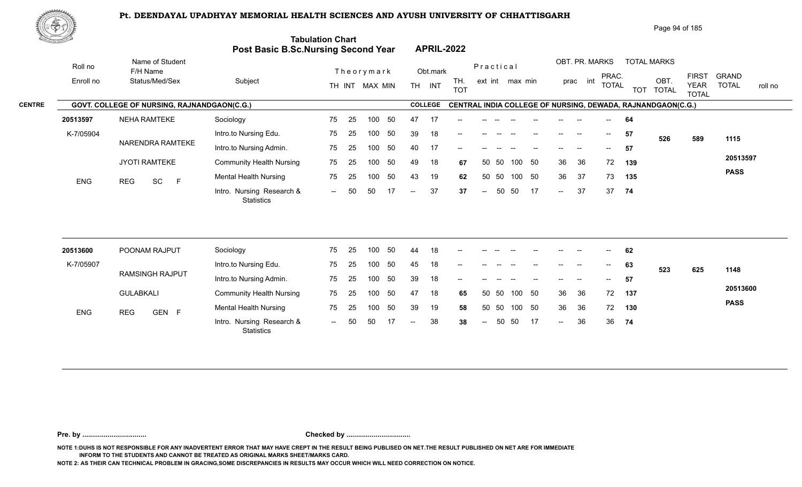

|               | ₩ФӮ        |                                             |                                         |                         |                                       |                                | Page 94 of 185                                                                                                                                                       |
|---------------|------------|---------------------------------------------|-----------------------------------------|-------------------------|---------------------------------------|--------------------------------|----------------------------------------------------------------------------------------------------------------------------------------------------------------------|
|               |            |                                             | Post Basic B.Sc.Nursing Second Year     | <b>Tabulation Chart</b> | <b>APRIL-2022</b>                     |                                |                                                                                                                                                                      |
|               | Roll no    | Name of Student<br>F/H Name                 |                                         | Theorymark              | Obt.mark                              | Practical                      | OBT. PR. MARKS<br><b>TOTAL MARKS</b>                                                                                                                                 |
|               | Enroll no  | Status/Med/Sex                              | Subject                                 | TH INT MAX MIN          | TH.<br><b>TH</b><br>INT<br><b>TOT</b> | ext int max min                | <b>FIRST</b><br><b>GRAND</b><br>PRAC.<br>OBT.<br>int<br>prac<br><b>TOTAL</b><br><b>TOTAL</b><br><b>YEAR</b><br>roll no<br><b>TOTAL</b><br><b>TOT</b><br><b>TOTAL</b> |
| <b>CENTRE</b> |            | GOVT. COLLEGE OF NURSING, RAJNANDGAON(C.G.) |                                         |                         | <b>COLLEGE</b>                        |                                | CENTRAL INDIA COLLEGE OF NURSING, DEWADA, RAJNANDGAON(C.G.)                                                                                                          |
|               | 20513597   | <b>NEHA RAMTEKE</b>                         | Sociology                               | 75<br>25<br>50<br>100   | 47<br>17<br>$- -$                     |                                | 64                                                                                                                                                                   |
|               | K-7/05904  |                                             | Intro.to Nursing Edu.                   | 75<br>25<br>50<br>100   | 39<br>18<br>$--$                      |                                | 57<br>--<br>$\hspace{0.05cm}$ – $\hspace{0.05cm}$<br>526<br>1115<br>589                                                                                              |
|               |            | NARENDRA RAMTEKE                            | Intro.to Nursing Admin.                 | 50<br>75<br>25<br>100   | 40<br>17<br>--                        |                                | 57<br>$- -$                                                                                                                                                          |
|               |            | <b>JYOTI RAMTEKE</b>                        | <b>Community Health Nursing</b>         | 50<br>75<br>25<br>100   | 49<br>18                              | 50<br>-50<br>100<br>50<br>67   | 20513597<br>36<br>72<br>36<br>139                                                                                                                                    |
|               | <b>ENG</b> | SC<br>E<br><b>REG</b>                       | Mental Health Nursing                   | 50<br>75<br>25<br>100   | 43<br>19                              | 50 50<br>100<br>50<br>62       | <b>PASS</b><br>37<br>36<br>73<br>135                                                                                                                                 |
|               |            |                                             | Intro. Nursing Research &<br>Statistics | 50<br>17<br>50<br>$--$  | 37<br>$--$                            | 17<br>50<br>50<br>37<br>$\sim$ | 37<br>37<br>74<br>$\sim$                                                                                                                                             |
|               |            |                                             |                                         |                         |                                       |                                |                                                                                                                                                                      |

| 20513600   | POONAM RAJPUT       | Sociology                                      | 75     | -25  | 100 | 50  | 44            | 18 | $- -$ | --   |       |        |    | $- -$  | $- -$ | $\overline{\phantom{a}}$ | 62  |     |     |             |
|------------|---------------------|------------------------------------------------|--------|------|-----|-----|---------------|----|-------|------|-------|--------|----|--------|-------|--------------------------|-----|-----|-----|-------------|
| K-7/05907  |                     | Intro.to Nursing Edu.                          | 75     | -25  | 100 | 50  | 45            | 18 | $-$   |      |       |        |    | --     |       | $\overline{\phantom{a}}$ | 63  | 523 | 625 | 1148        |
|            | RAMSINGH RAJPUT     | Intro.to Nursing Admin.                        | 75     | -25  | 100 | 50  | 39            | 18 | $-$   |      |       |        |    | $- -$  | $- -$ | $--$                     | 57  |     |     |             |
|            | <b>GULABKALI</b>    | <b>Community Health Nursing</b>                | 75     | - 25 | 100 | -50 | 47            | 18 | 65    |      | 50 50 | 100 50 |    | 36     | 36    | 72                       | 137 |     |     | 20513600    |
| <b>ENG</b> | GEN F<br><b>REG</b> | <b>Mental Health Nursing</b>                   | 75     | 25   | 100 | -50 | 39            | 19 | 58    |      | 50 50 | 100 50 |    | 36     | -36   | 72                       | 130 |     |     | <b>PASS</b> |
|            |                     | Intro. Nursing Research &<br><b>Statistics</b> | $\sim$ | 50   | -50 |     | $\sim$ $\sim$ | 38 | 38    | $--$ | -50   | - 50   | 17 | $\sim$ | 36    | 36                       | 74  |     |     |             |

**Pre. by ................................. Checked by .................................**

**NOTE 1:DUHS IS NOT RESPONSIBLE FOR ANY INADVERTENT ERROR THAT MAY HAVE CREPT IN THE RESULT BEING PUBLISED ON NET.THE RESULT PUBLISHED ON NET ARE FOR IMMEDIATE INFORM TO THE STUDENTS AND CANNOT BE TREATED AS ORIGINAL MARKS SHEET/MARKS CARD.**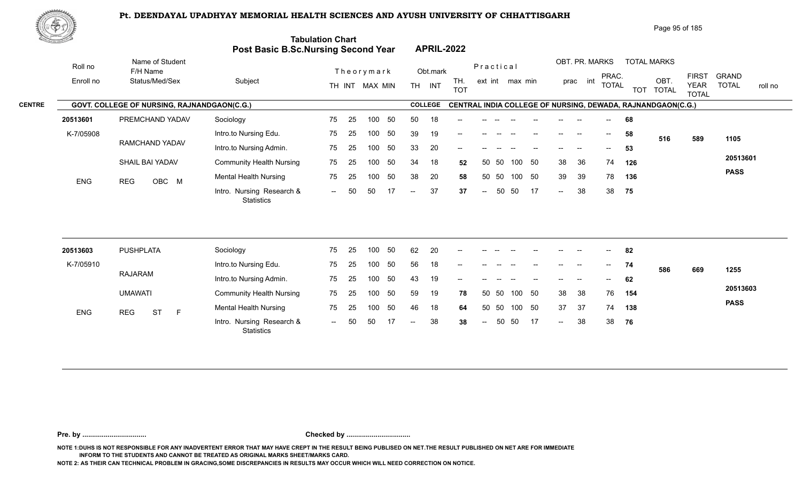

| ぷやり           |            |                                             |                                            |                           |            |                   |                          |                                                             |     |      |                |     |                          |            | Page 95 of 185       |                                             |                                         |  |
|---------------|------------|---------------------------------------------|--------------------------------------------|---------------------------|------------|-------------------|--------------------------|-------------------------------------------------------------|-----|------|----------------|-----|--------------------------|------------|----------------------|---------------------------------------------|-----------------------------------------|--|
|               |            |                                             | <b>Post Basic B.Sc.Nursing Second Year</b> | <b>Tabulation Chart</b>   |            | <b>APRIL-2022</b> |                          |                                                             |     |      |                |     |                          |            |                      |                                             |                                         |  |
|               | Roll no    | Name of Student<br>F/H Name                 |                                            | Theorymark                |            | Obt.mark          |                          | Practical                                                   |     |      | OBT. PR. MARKS |     |                          |            | <b>TOTAL MARKS</b>   |                                             |                                         |  |
|               | Enroll no  | Status/Med/Sex                              | Subject                                    | TH INT MAX MIN            | <b>TH</b>  | INT               | TH.<br><b>TOT</b>        | ext int max min                                             |     |      | prac           | int | PRAC.<br><b>TOTAL</b>    | <b>TOT</b> | OBT.<br><b>TOTAL</b> | <b>FIRST</b><br><b>YEAR</b><br><b>TOTAL</b> | <b>GRAND</b><br><b>TOTAL</b><br>roll no |  |
| <b>CENTRE</b> |            | GOVT. COLLEGE OF NURSING, RAJNANDGAON(C.G.) |                                            |                           |            | <b>COLLEGE</b>    |                          | CENTRAL INDIA COLLEGE OF NURSING, DEWADA, RAJNANDGAON(C.G.) |     |      |                |     |                          |            |                      |                                             |                                         |  |
|               | 20513601   | PREMCHAND YADAV                             | Sociology                                  | 75<br>25<br>100           | 50<br>50   | 18                |                          |                                                             |     |      |                |     | $\sim$                   | 68         |                      |                                             |                                         |  |
|               | K-7/05908  |                                             | Intro.to Nursing Edu.                      | 75<br>25<br>100           | 39<br>50   | 19                | $- -$                    |                                                             |     |      |                |     | $\overline{\phantom{a}}$ | 58         | 516                  | 589                                         | 1105                                    |  |
|               |            | RAMCHAND YADAV                              | Intro.to Nursing Admin.                    | 25<br>100<br>75           | 33<br>50   | 20                | $\overline{\phantom{a}}$ |                                                             |     |      |                |     | $\overline{\phantom{a}}$ | 53         |                      |                                             |                                         |  |
|               |            | SHAIL BAI YADAV                             | <b>Community Health Nursing</b>            | 75<br>25<br>100           | 34<br>50   | 18                | 52                       | 50 50                                                       | 100 | - 50 | 38             | 36  | 74                       | 126        |                      |                                             | 20513601                                |  |
|               | <b>ENG</b> | OBC M<br><b>REG</b>                         | Mental Health Nursing                      | 100<br>75<br>25           | 38<br>50   | 20                | 58                       | 50 50                                                       | 100 | 50   | 39             | 39  | 78                       | 136        |                      |                                             | <b>PASS</b>                             |  |
|               |            |                                             | Intro. Nursing Research &<br>Statistics    | 50<br>50<br>$\sim$ $\sim$ | 17<br>$--$ | 37                | 37                       | 50<br>$\sim$                                                | 50  | 17   | $\sim$         | 38  | 38 75                    |            |                      |                                             |                                         |  |
|               |            |                                             |                                            |                           |            |                   |                          |                                                             |     |      |                |     |                          |            |                      |                                             |                                         |  |

| 20513603   | <b>PUSHPLATA</b>      | Sociology                                      | 75     | - 25 | 100 | -50 | 62     | 20 | $\overline{\phantom{a}}$ | $- -$         | $- -$ | $- -$  | $- -$ | $- -$  | $- -$ | $\sim$                   | 82  |     |     |             |
|------------|-----------------------|------------------------------------------------|--------|------|-----|-----|--------|----|--------------------------|---------------|-------|--------|-------|--------|-------|--------------------------|-----|-----|-----|-------------|
| K-7/05910  |                       | Intro.to Nursing Edu.                          | 75     | - 25 | 100 | -50 | 56     | 18 | $--$                     | $- -$         | $- -$ |        | $- -$ | $--$   | $- -$ | $\overline{\phantom{a}}$ | 74  | 586 | 669 | 1255        |
|            | RAJARAM               | Intro.to Nursing Admin.                        | 75     | -25  | 100 | 50  | 43     | 19 | $- -$                    |               |       |        |       | $- -$  | $- -$ | $--$                     | 62  |     |     |             |
|            | <b>UMAWATI</b>        | <b>Community Health Nursing</b>                | 75     | - 25 | 100 | -50 | 59     | 19 | 78                       |               | 50 50 | 100 50 |       | 38     | 38    | 76                       | 154 |     |     | 20513603    |
| <b>ENG</b> | <b>ST</b><br>REG<br>E | <b>Mental Health Nursing</b>                   | 75     | -25  | 100 | -50 | 46     | 18 | 64                       |               | 50 50 | 100 50 |       | 37     | -37   | 74                       | 138 |     |     | <b>PASS</b> |
|            |                       | Intro. Nursing Research &<br><b>Statistics</b> | $  \,$ | 50   | 50  |     | $\sim$ | 38 | 38                       | $\sim$ $\sim$ | 50    | 50 17  |       | $\sim$ | 38    | 38                       | 76  |     |     |             |

**Pre. by ................................. Checked by .................................**

**NOTE 1:DUHS IS NOT RESPONSIBLE FOR ANY INADVERTENT ERROR THAT MAY HAVE CREPT IN THE RESULT BEING PUBLISED ON NET.THE RESULT PUBLISHED ON NET ARE FOR IMMEDIATE INFORM TO THE STUDENTS AND CANNOT BE TREATED AS ORIGINAL MARKS SHEET/MARKS CARD.**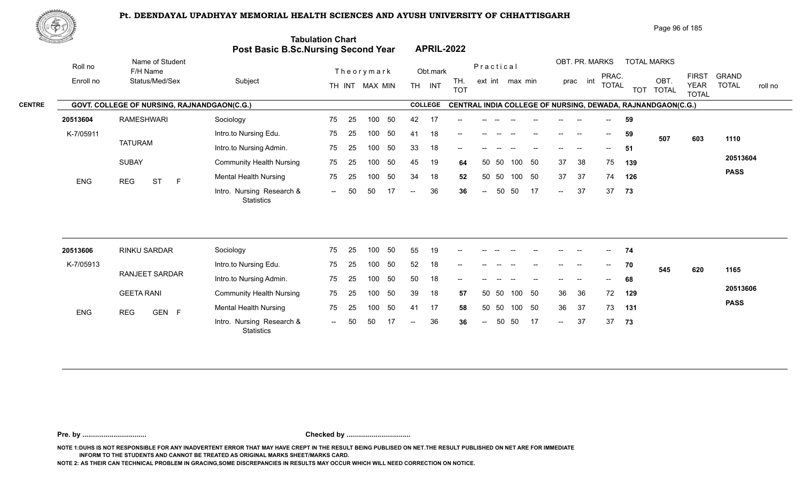**Tabulation Chart** 



|        |                   | Page 96 of 185 |
|--------|-------------------|----------------|
| d Year | <b>APRIL-2022</b> |                |

|               |            |                                                    |                                         | Post Basic B.Sc.Nursing Second Year | <b>APRIL-2022</b> |                   |                                                             |                |                                       |                                   |                             |                         |
|---------------|------------|----------------------------------------------------|-----------------------------------------|-------------------------------------|-------------------|-------------------|-------------------------------------------------------------|----------------|---------------------------------------|-----------------------------------|-----------------------------|-------------------------|
|               | Roll no    | Name of Student<br>F/H Name                        |                                         | Theorymark                          | Obt.mark          |                   | Practical                                                   | OBT. PR. MARKS | PRAC.                                 | <b>TOTAL MARKS</b>                | <b>FIRST</b>                | GRAND                   |
|               | Enroll no  | Status/Med/Sex                                     | Subject                                 | TH INT MAX MIN                      | INT<br><b>TH</b>  | TH.<br><b>TOT</b> | ext int max min                                             | int<br>prac    | <b>TOTAL</b>                          | OBT<br><b>TOTAL</b><br><b>TOT</b> | <b>YEAR</b><br><b>TOTAL</b> | <b>TOTAL</b><br>roll no |
| <b>CENTRE</b> |            | <b>GOVT. COLLEGE OF NURSING, RAJNANDGAON(C.G.)</b> |                                         |                                     | <b>COLLEGE</b>    |                   | CENTRAL INDIA COLLEGE OF NURSING, DEWADA, RAJNANDGAON(C.G.) |                |                                       |                                   |                             |                         |
|               | 20513604   | RAMESHWARI                                         | Sociology                               | -50<br>75<br>-25<br>100             | 42<br>17          | $- -$             |                                                             |                | $\overline{\phantom{a}}$              | 59                                |                             |                         |
|               | K-7/05911  |                                                    | Intro.to Nursing Edu.                   | -50<br>75<br>-25<br>100             | 18<br>41          | $- -$             |                                                             |                | $\hspace{0.05cm}$ – $\hspace{0.05cm}$ | 59<br>507                         | 603                         | 1110                    |
|               |            | <b>TATURAM</b>                                     | Intro.to Nursing Admin.                 | 50<br>-25<br>75<br>100              | 33<br>18          | $- -$             |                                                             |                | $\hspace{0.05cm}$ – $\hspace{0.05cm}$ | -51                               |                             |                         |
|               |            | <b>SUBAY</b>                                       | <b>Community Health Nursing</b>         | 50<br>75<br>100<br>-25              | 45<br>19          | 64                | 50<br>- 50<br>100<br>50                                     | 37<br>38       | 75                                    | 139                               |                             | 20513604                |
|               | <b>ENG</b> | <b>ST</b><br><b>REG</b><br>E                       | Mental Health Nursing                   | 50<br>-25<br>100<br>75              | 34<br>18          | 52                | 50<br>50 50<br>100                                          | 37<br>37       | 74                                    | 126                               |                             | <b>PASS</b>             |
|               |            |                                                    | Intro. Nursing Research &<br>Statistics | 50<br>50<br>17<br>$-$               | 36<br>$--$        | 36                | 50<br>50<br>17<br>$\sim$                                    | 37<br>$\sim$   |                                       | 37 73                             |                             |                         |
|               |            |                                                    |                                         |                                     |                   |                   |                                                             |                |                                       |                                   |                             |                         |

| 20513606   | <b>RINKU SARDAR</b>   | Sociology                                      | 75     | -25  | 100 | 50  | 55            | 19 | $\overline{\phantom{a}}$ |       |       |        |       | $- -$                    |                          | $--$                     | 74  |     |     |             |
|------------|-----------------------|------------------------------------------------|--------|------|-----|-----|---------------|----|--------------------------|-------|-------|--------|-------|--------------------------|--------------------------|--------------------------|-----|-----|-----|-------------|
| K-7/05913  |                       | Intro.to Nursing Edu.                          | 75     | - 25 | 100 | 50  | 52            | 18 | $\overline{\phantom{a}}$ | $- -$ | $- -$ | $- -$  | $- -$ | $--$                     | $\overline{\phantom{a}}$ | $\overline{\phantom{a}}$ | 70  | 545 | 620 | 1165        |
|            | <b>RANJEET SARDAR</b> | Intro.to Nursing Admin.                        | 75     | -25  | 100 | -50 | 50            | 18 | $- -$                    | $- -$ |       |        | $-$   | $\overline{\phantom{a}}$ | $\overline{\phantom{a}}$ | $\overline{\phantom{a}}$ | 68  |     |     |             |
|            | <b>GEETA RANI</b>     | <b>Community Health Nursing</b>                | 75     | -25  | 100 | 50  | 39            | 18 | 57                       |       | 50 50 | 100    | - 50  | 36                       | - 36                     | 72                       | 129 |     |     | 20513606    |
| <b>ENG</b> | GEN F<br>REG          | <b>Mental Health Nursing</b>                   | 75     | - 25 | 100 | 50  | 41            | 17 | 58                       |       | 50 50 | 100 50 |       | 36                       | -37                      | 73                       | 131 |     |     | <b>PASS</b> |
|            |                       | Intro. Nursing Research &<br><b>Statistics</b> | $\sim$ | -50  | -50 |     | $\sim$ $\sim$ | 36 | 36                       | $--$  | -50   | - 50   | 17    | $\sim$                   | 37                       | 37                       | 73  |     |     |             |

**Pre. by ................................. Checked by .................................**

**NOTE 1:DUHS IS NOT RESPONSIBLE FOR ANY INADVERTENT ERROR THAT MAY HAVE CREPT IN THE RESULT BEING PUBLISED ON NET.THE RESULT PUBLISHED ON NET ARE FOR IMMEDIATE INFORM TO THE STUDENTS AND CANNOT BE TREATED AS ORIGINAL MARKS SHEET/MARKS CARD.**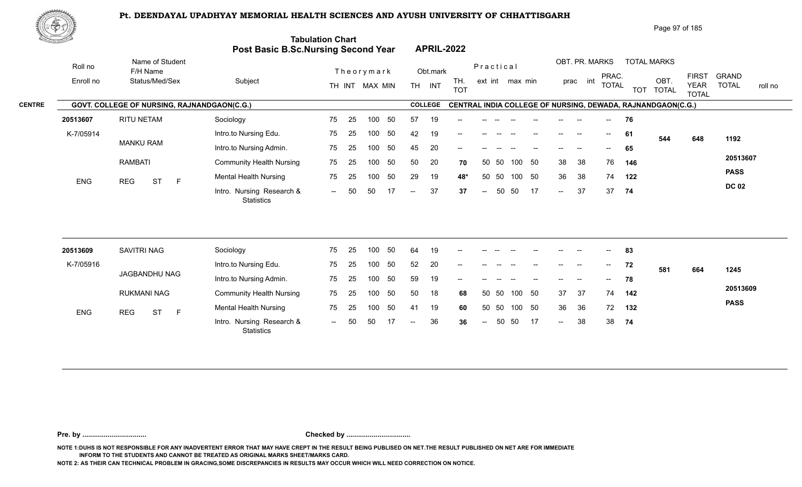

| <u>Contraction of the Contraction of the Contraction of the Contraction of the Contraction of the Contraction of the Contraction of the Contraction of the Contraction of the Contraction of the Contraction of the Contraction </u> |                                             | Post Basic B.Sc.Nursing Second Year            | <b>Tabulation Chart</b>  |    |                |     |                          |                | <b>APRIL-2022</b> |                          |       |                 |                                       |                          |                |                                       |            |                                                             |                             |                         |
|--------------------------------------------------------------------------------------------------------------------------------------------------------------------------------------------------------------------------------------|---------------------------------------------|------------------------------------------------|--------------------------|----|----------------|-----|--------------------------|----------------|-------------------|--------------------------|-------|-----------------|---------------------------------------|--------------------------|----------------|---------------------------------------|------------|-------------------------------------------------------------|-----------------------------|-------------------------|
| Roll no                                                                                                                                                                                                                              | Name of Student<br>F/H Name                 |                                                |                          |    | Theorymark     |     |                          | Obt.mark       |                   | Practical                |       |                 |                                       |                          | OBT. PR. MARKS | PRAC.                                 |            | <b>TOTAL MARKS</b>                                          | <b>FIRST</b>                | <b>GRAND</b>            |
| Enroll no                                                                                                                                                                                                                            | Status/Med/Sex                              | Subject                                        |                          |    | TH INT MAX MIN |     |                          | TH INT         | TH.<br><b>TOT</b> |                          |       | ext int max min |                                       |                          | prac int       | <b>TOTAL</b>                          | <b>TOT</b> | OBT.<br><b>TOTAL</b>                                        | <b>YEAR</b><br><b>TOTAL</b> | <b>TOTAL</b><br>roll no |
| <b>CENTRE</b>                                                                                                                                                                                                                        | GOVT. COLLEGE OF NURSING, RAJNANDGAON(C.G.) |                                                |                          |    |                |     |                          | <b>COLLEGE</b> |                   |                          |       |                 |                                       |                          |                |                                       |            | CENTRAL INDIA COLLEGE OF NURSING, DEWADA, RAJNANDGAON(C.G.) |                             |                         |
| 20513607                                                                                                                                                                                                                             | RITU NETAM                                  | Sociology                                      | 75                       | 25 | 100            | 50  | 57                       | 19             |                   |                          |       |                 |                                       |                          |                |                                       | 76         |                                                             |                             |                         |
| K-7/05914                                                                                                                                                                                                                            |                                             | Intro.to Nursing Edu.                          | 75                       | 25 | 100            | 50  | 42                       | 19             |                   |                          |       |                 |                                       |                          |                | $\hspace{0.05cm}$ – $\hspace{0.05cm}$ | -61        | 544                                                         | 648                         | 1192                    |
|                                                                                                                                                                                                                                      | <b>MANKU RAM</b>                            | Intro.to Nursing Admin.                        | 75                       | 25 | 100            | 50  | 45                       | 20             | --                |                          |       |                 |                                       |                          |                |                                       | 65         |                                                             |                             |                         |
|                                                                                                                                                                                                                                      | <b>RAMBATI</b>                              | <b>Community Health Nursing</b>                | 75                       | 25 | 100            | 50  | 50                       | 20             | 70                | 50                       | -50   | 100             | 50                                    | 38                       | 38             | 76                                    | 146        |                                                             |                             | 20513607                |
| <b>ENG</b>                                                                                                                                                                                                                           | <b>REG</b><br><b>ST</b><br>$\mathsf{F}$     | <b>Mental Health Nursing</b>                   | 75                       | 25 | 100            | 50  | 29                       | 19             | 48*               | 50                       | 50    | 100 50          |                                       | 36                       | 38             | 74                                    | 122        |                                                             |                             | <b>PASS</b>             |
|                                                                                                                                                                                                                                      |                                             | Intro. Nursing Research &<br>Statistics        | $  \,$                   | 50 | 50             | -17 | $\overline{\phantom{a}}$ | 37             | 37                | $\overline{\phantom{a}}$ | 50    | 50              | 17                                    | $\overline{\phantom{a}}$ | 37             | 37                                    | 74         |                                                             |                             | <b>DC 02</b>            |
|                                                                                                                                                                                                                                      |                                             |                                                |                          |    |                |     |                          |                |                   |                          |       |                 |                                       |                          |                |                                       |            |                                                             |                             |                         |
| 20513609                                                                                                                                                                                                                             | <b>SAVITRI NAG</b>                          | Sociology                                      | 75                       | 25 | 100            | 50  | 64                       | 19             |                   |                          |       |                 |                                       |                          |                |                                       | 83         |                                                             |                             |                         |
| K-7/05916                                                                                                                                                                                                                            |                                             | Intro.to Nursing Edu.                          | 75                       | 25 | 100            | 50  | 52                       | 20             | --                |                          |       |                 | $\hspace{0.05cm}$ – $\hspace{0.05cm}$ | $\qquad \qquad -$        | $\sim$         | $--$                                  | 72         | 581                                                         | 664                         | 1245                    |
|                                                                                                                                                                                                                                      | JAGBANDHU NAG                               | Intro.to Nursing Admin.                        | 75                       | 25 | 100            | 50  | 59                       | 19             |                   |                          |       |                 |                                       |                          |                | $- -$                                 | 78         |                                                             |                             |                         |
|                                                                                                                                                                                                                                      | <b>RUKMANI NAG</b>                          | <b>Community Health Nursing</b>                | 75                       | 25 | 100            | 50  | 50                       | 18             | 68                |                          | 50 50 | 100 50          |                                       | 37                       | 37             | 74                                    | 142        |                                                             |                             | 20513609                |
| ENG                                                                                                                                                                                                                                  | <b>ST</b><br>$\mathsf F$<br><b>REG</b>      | <b>Mental Health Nursing</b>                   | 75                       | 25 | 100            | 50  | 41                       | 19             | 60                |                          | 50 50 | 100 50          |                                       | 36                       | 36             | 72                                    | 132        |                                                             |                             | <b>PASS</b>             |
|                                                                                                                                                                                                                                      |                                             | Intro. Nursing Research &<br><b>Statistics</b> | $\overline{\phantom{a}}$ |    | 50             |     |                          | 36             | 36                | $\overline{\phantom{a}}$ | 50    | 50              | 17                                    | $\sim$                   | 38             | 38                                    | 74         |                                                             |                             |                         |

**Pre. by ................................. Checked by .................................**

**NOTE 1:DUHS IS NOT RESPONSIBLE FOR ANY INADVERTENT ERROR THAT MAY HAVE CREPT IN THE RESULT BEING PUBLISED ON NET.THE RESULT PUBLISHED ON NET ARE FOR IMMEDIATE INFORM TO THE STUDENTS AND CANNOT BE TREATED AS ORIGINAL MARKS SHEET/MARKS CARD.**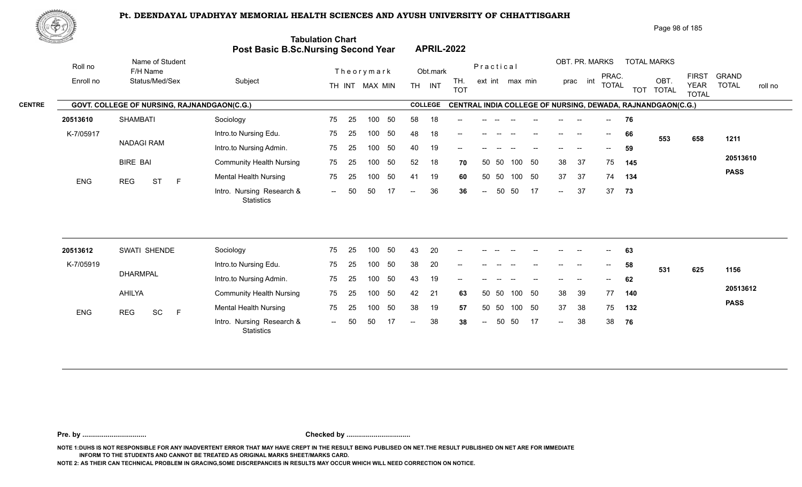

|               | ぷやり        |                                             |                                            |                         |                                         | Page 98 of 185                                                                                                                                                         |
|---------------|------------|---------------------------------------------|--------------------------------------------|-------------------------|-----------------------------------------|------------------------------------------------------------------------------------------------------------------------------------------------------------------------|
|               |            |                                             | <b>Post Basic B.Sc.Nursing Second Year</b> | <b>Tabulation Chart</b> | <b>APRIL-2022</b>                       |                                                                                                                                                                        |
|               | Roll no    | Name of Student<br>F/H Name                 |                                            | Theorymark              | Practical<br>Obt.mark                   | OBT. PR. MARKS<br><b>TOTAL MARKS</b>                                                                                                                                   |
|               | Enroll no  | Status/Med/Sex                              | Subject                                    | TH INT MAX MIN          | TH.<br><b>TH</b><br>INT<br><b>TOT</b>   | <b>FIRST</b><br><b>GRAND</b><br>PRAC.<br>OBT.<br>int<br>ext int max min<br>prac<br><b>TOTAL</b><br><b>TOTAL</b><br><b>YEAR</b><br>roll no<br>TOT TOTAL<br><b>TOTAL</b> |
| <b>CENTRE</b> |            | GOVT. COLLEGE OF NURSING, RAJNANDGAON(C.G.) |                                            |                         | <b>COLLEGE</b>                          | CENTRAL INDIA COLLEGE OF NURSING, DEWADA, RAJNANDGAON(C.G.)                                                                                                            |
|               | 20513610   | <b>SHAMBATI</b>                             | Sociology                                  | 75<br>50<br>25<br>100   | 58<br>18<br>$-$                         | 76<br>$--$<br>$- -$                                                                                                                                                    |
|               | K-7/05917  |                                             | Intro.to Nursing Edu.                      | 75<br>50<br>25<br>100   | 18<br>48<br>$- -$                       | 66<br>$- -$<br>--<br>$\overline{\phantom{a}}$<br>553<br>658<br>1211                                                                                                    |
|               |            | <b>NADAGI RAM</b>                           | Intro.to Nursing Admin.                    | 50<br>75<br>100<br>25   | 19<br>40<br>$- -$                       | 59<br>$\overline{\phantom{a}}$<br>--                                                                                                                                   |
|               |            | <b>BIRE BAI</b>                             | <b>Community Health Nursing</b>            | 75<br>50<br>-25<br>100  | 52<br>18<br>70<br>50                    | 20513610<br>38<br>37<br>50<br>75<br>-50<br>145<br>100                                                                                                                  |
|               | <b>ENG</b> | <b>ST</b><br><b>REG</b><br>E                | <b>Mental Health Nursing</b>               | 50<br>75<br>25<br>100   | 19<br>41<br>50 50<br>60                 | <b>PASS</b><br>37<br>37<br>50<br>74<br>100<br>134                                                                                                                      |
|               |            |                                             | Intro. Nursing Research &<br>Statistics    | -50<br>50<br>17<br>$-$  | 36<br>36<br>$\sim$ $\sim$<br>$\sim$ $-$ | 37<br>17<br>37<br>-50<br>50<br>73<br>$\sim$                                                                                                                            |

| 20513612   | SWATI SHENDE                 | Sociology                                      | 75     | 25  | 100 | 50  | 43     | 20  | $\sim$ | $\overline{\phantom{a}}$ | $- -$ | $- -$  | $\hspace{0.1mm}-\hspace{0.1mm}-\hspace{0.1mm}$ | $  \,$        | $- -$             | $\sim$                                         | 63  |     |     |             |
|------------|------------------------------|------------------------------------------------|--------|-----|-----|-----|--------|-----|--------|--------------------------|-------|--------|------------------------------------------------|---------------|-------------------|------------------------------------------------|-----|-----|-----|-------------|
| K-7/05919  |                              | Intro.to Nursing Edu.                          | 75     | -25 | 100 | 50  | 38     | 20  | $- -$  | $- -$                    |       |        | $\hspace{0.1mm}-\hspace{0.1mm}-\hspace{0.1mm}$ | $--$          | $-$               | $\overline{\phantom{a}}$                       | 58  | 531 | 625 | 1156        |
|            | <b>DHARMPAL</b>              | Intro.to Nursing Admin.                        | 75     | -25 | 100 | 50  | 43     | 19  | $\sim$ | $- -$                    |       |        |                                                | $- -$         | $\hspace{0.05cm}$ | $\hspace{0.1mm}-\hspace{0.1mm}-\hspace{0.1mm}$ | 62  |     |     |             |
|            | <b>AHILYA</b>                | <b>Community Health Nursing</b>                | 75     | -25 | 100 | 50  | 42     | -21 | 63     | 50 50                    |       | 100 50 |                                                | 38            | -39               | 77                                             | 140 |     |     | 20513612    |
| <b>ENG</b> | <b>SC</b><br>REG<br><b>E</b> | <b>Mental Health Nursing</b>                   | 75     | 25  | 100 | -50 | 38     | 19  | 57     | 50 50                    |       | 100 50 |                                                | 37            | -38               | 75                                             | 132 |     |     | <b>PASS</b> |
|            |                              | Intro. Nursing Research &<br><b>Statistics</b> | $\sim$ | 50  | 50  |     | $  \,$ | 38  | 38     | $\sim$                   |       | 50 50  | 17                                             | $\rightarrow$ | 38                | 38                                             | 76  |     |     |             |

**Pre. by ................................. Checked by .................................**

**NOTE 1:DUHS IS NOT RESPONSIBLE FOR ANY INADVERTENT ERROR THAT MAY HAVE CREPT IN THE RESULT BEING PUBLISED ON NET.THE RESULT PUBLISHED ON NET ARE FOR IMMEDIATE INFORM TO THE STUDENTS AND CANNOT BE TREATED AS ORIGINAL MARKS SHEET/MARKS CARD.**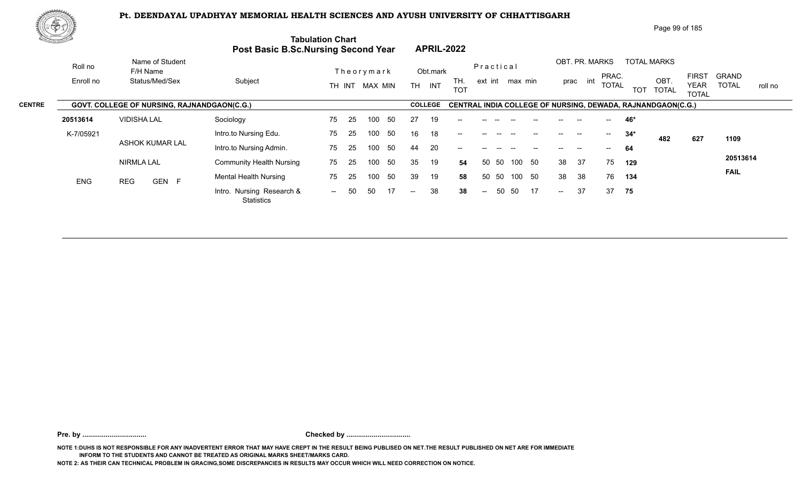

|               | 脾の功        |                                             |                                     |                          |                                                          | Page 99 of 185                                                                                                                                                       |
|---------------|------------|---------------------------------------------|-------------------------------------|--------------------------|----------------------------------------------------------|----------------------------------------------------------------------------------------------------------------------------------------------------------------------|
|               |            |                                             | Post Basic B.Sc.Nursing Second Year | <b>Tabulation Chart</b>  | <b>APRIL-2022</b>                                        |                                                                                                                                                                      |
|               | Roll no    | Name of Student<br>F/H Name                 |                                     | Theorymark               | Practical<br>Obt.mark                                    | OBT. PR. MARKS<br><b>TOTAL MARKS</b>                                                                                                                                 |
|               | Enroll no  | Status/Med/Sex                              | Subject                             | TH INT MAX MIN           | TH.<br>ext int max min<br><b>TH</b><br>INT<br><b>TOT</b> | <b>FIRST</b><br><b>GRAND</b><br>PRAC.<br>int<br>OBT.<br>prac<br><b>TOTAL</b><br><b>TOTAL</b><br><b>YEAR</b><br>roll no<br><b>TOT</b><br><b>TOTAL</b><br><b>TOTAL</b> |
| <b>CENTRE</b> |            | GOVT. COLLEGE OF NURSING, RAJNANDGAON(C.G.) |                                     |                          | <b>COLLEGE</b>                                           | <b>CENTRAL INDIA COLLEGE OF NURSING, DEWADA, RAJNANDGAON(C.G.)</b>                                                                                                   |
|               | 20513614   | <b>VIDISHA LAL</b>                          | Sociology                           | 75<br>-50<br>-25<br>100  | 19<br>27                                                 | 46*                                                                                                                                                                  |
|               | K-7/05921  |                                             | Intro.to Nursing Edu.               | 75<br>-25<br>50<br>100   | 16<br>18<br>$- -$                                        | $34*$<br>$- -$<br>$\hspace{0.05cm}$<br>482<br>627<br>1109                                                                                                            |
|               |            | <b>ASHOK KUMAR LAL</b>                      | Intro.to Nursing Admin.             | -50<br>75<br>25<br>100   | 20<br>44<br>--                                           | 64                                                                                                                                                                   |
|               |            | <b>NIRMLA LAL</b>                           | <b>Community Health Nursing</b>     | 50<br>75<br>25<br>100    | 35<br>19<br>50<br>50 50<br>100<br>54                     | 20513614<br>37<br>38<br>75<br>129                                                                                                                                    |
|               | <b>ENG</b> | GEN F<br><b>REG</b>                         | <b>Mental Health Nursing</b>        | 50<br>75<br>100<br>25    | 39<br>19<br>50<br>-50<br>58<br>50<br>100                 | <b>FAIL</b><br>38<br>38<br>76<br>134                                                                                                                                 |
|               |            |                                             | Intro. Nursing Research &           | 17<br>50<br>50<br>$  \,$ | 38<br>50<br>17<br>50<br>38<br>$\sim$ $\sim$<br>$--$      | 37<br>37<br>75<br>$--$                                                                                                                                               |

**Pre. by ................................. Checked by .................................**

**NOTE 1:DUHS IS NOT RESPONSIBLE FOR ANY INADVERTENT ERROR THAT MAY HAVE CREPT IN THE RESULT BEING PUBLISED ON NET.THE RESULT PUBLISHED ON NET ARE FOR IMMEDIATE INFORM TO THE STUDENTS AND CANNOT BE TREATED AS ORIGINAL MARKS SHEET/MARKS CARD.**

**NOTE 2: AS THEIR CAN TECHNICAL PROBLEM IN GRACING,SOME DISCREPANCIES IN RESULTS MAY OCCUR WHICH WILL NEED CORRECTION ON NOTICE.**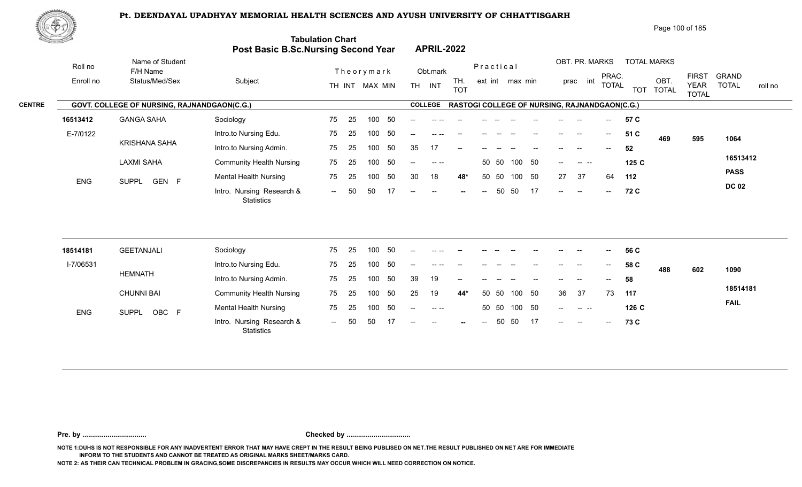

| Page 100 of 185 |
|-----------------|
|-----------------|

|               | <u>din Samuel Joh</u> |                                             | <b>Post Basic B.Sc.Nursing Second Year</b> | <b>Tabulation Chart</b> |            |                |           | <b>APRIL-2022</b>    |                                                      |                 |       |        |    |         |                      |                                       |            |                      |                             |              |         |
|---------------|-----------------------|---------------------------------------------|--------------------------------------------|-------------------------|------------|----------------|-----------|----------------------|------------------------------------------------------|-----------------|-------|--------|----|---------|----------------------|---------------------------------------|------------|----------------------|-----------------------------|--------------|---------|
|               | Roll no               | Name of Student<br>F/H Name                 |                                            |                         | Theorymark |                |           | Obt.mark             |                                                      | Practical       |       |        |    |         | OBT. PR. MARKS       | PRAC.                                 |            | <b>TOTAL MARKS</b>   | <b>FIRST</b>                | <b>GRAND</b> |         |
|               | Enroll no             | Status/Med/Sex                              | Subject                                    |                         |            | TH INT MAX MIN | <b>TH</b> | INT                  | TH.<br><b>TOT</b>                                    | ext int max min |       |        |    |         | int<br>prac          | TOTAL                                 | <b>TOT</b> | OBT.<br><b>TOTAL</b> | <b>YEAR</b><br><b>TOTAL</b> | <b>TOTAL</b> | roll no |
| <b>CENTRE</b> |                       | GOVT. COLLEGE OF NURSING, RAJNANDGAON(C.G.) |                                            |                         |            |                |           | <b>COLLEGE</b>       | <b>RASTOGI COLLEGE OF NURSING, RAJNANDGAON(C.G.)</b> |                 |       |        |    |         |                      |                                       |            |                      |                             |              |         |
|               | 16513412              | <b>GANGA SAHA</b>                           | Sociology                                  | 75                      | 25         | -50<br>100     | $- -$     |                      |                                                      |                 |       |        |    |         |                      | $\hspace{0.05cm}$ – $\hspace{0.05cm}$ | 57 C       |                      |                             |              |         |
|               | E-7/0122              |                                             | Intro.to Nursing Edu.                      | 75                      | 25         | 50<br>100      | $- -$     | $--- - - - -$        |                                                      |                 |       |        |    |         | --                   | $--$                                  | 51 C       | 469                  | 595                         | 1064         |         |
|               |                       | <b>KRISHANA SAHA</b>                        | Intro.to Nursing Admin.                    | 75                      | 25         | 50<br>100      | 35        | 17                   | $-$                                                  |                 |       |        |    |         | --                   | $\overline{\phantom{a}}$              | 52         |                      |                             |              |         |
|               |                       | LAXMI SAHA                                  | <b>Community Health Nursing</b>            | 75                      | 25         | 50<br>100      | $- -$ .   | $\sim$ $\sim$ $\sim$ |                                                      |                 | 50 50 | 100 50 |    | $- -$ . | $\sim$ $\sim$ $\sim$ |                                       | 125 C      |                      |                             | 16513412     |         |
|               | <b>ENG</b>            | SUPPL GEN F                                 | <b>Mental Health Nursing</b>               | 75                      | 25         | 50<br>100      | 30        | 18                   | 48*                                                  |                 | 50 50 | 100    | 50 | 27      | 37                   | 64                                    | 112        |                      |                             | <b>PASS</b>  |         |
|               |                       |                                             | Intro. Nursing Research &<br>Statistics    | $\sim$ $-$              | -50<br>50  | 17             | $--$      | $\sim$               |                                                      | $--$            | 50    | - 50   | 17 | $-$     | $\sim$               | $--$                                  | 72 C       |                      |                             | <b>DC 02</b> |         |
|               |                       |                                             |                                            |                         |            |                |           |                      |                                                      |                 |       |        |    |         |                      |                                       |            |                      |                             |              |         |

| 18514181   | <b>GEETANJALI</b> | Sociology                                      | 75             | 25  | 100 | 50  | $- -$ |       | $- -$                    | $ -$  | $- -$ | $\sim$ | $- -$             | $\hspace{0.05cm}$ | $\overline{\phantom{a}}$ | $\sim$ | 56 C  |     |     |             |
|------------|-------------------|------------------------------------------------|----------------|-----|-----|-----|-------|-------|--------------------------|-------|-------|--------|-------------------|-------------------|--------------------------|--------|-------|-----|-----|-------------|
| I-7/06531  |                   | Intro.to Nursing Edu.                          | 75             | 25  | 100 | -50 | $- -$ | -- -- |                          |       |       |        |                   | $- -$             | $- -$                    | $- -$  | 58 C  | 488 | 602 | 1090        |
|            | HEMNATH           | Intro.to Nursing Admin.                        | 75             | -25 | 100 | 50  | -39   | 19    | $\overline{\phantom{a}}$ | $- -$ |       | $- -$  | $\hspace{0.05cm}$ | $\hspace{0.05cm}$ | $\overline{\phantom{a}}$ | $--$   | 58    |     |     |             |
|            | <b>CHUNNI BAI</b> | <b>Community Health Nursing</b>                | 75             | -25 | 100 | 50  | 25    | 19    | 44*                      |       | 50 50 | 100    | - 50              | 36                | - 37                     | 73     | 117   |     |     | 18514181    |
| <b>ENG</b> | OBC F<br>SUPPL    | <b>Mental Health Nursing</b>                   | 75             | 25  | 100 | -50 | $--$  | $  -$ |                          |       | 50 50 | 100    | - 50              | $\hspace{0.05cm}$ |                          |        | 126 C |     |     | <b>FAIL</b> |
|            |                   | Intro. Nursing Research &<br><b>Statistics</b> | $\overline{a}$ | 50  | БΩ. |     | $- -$ | $--$  | $-$                      | $--$  |       | 50 50  | 17                | $\sim$            | $\sim$                   | $- -$  | 73 C  |     |     |             |

**Pre. by ................................. Checked by .................................**

**NOTE 1:DUHS IS NOT RESPONSIBLE FOR ANY INADVERTENT ERROR THAT MAY HAVE CREPT IN THE RESULT BEING PUBLISED ON NET.THE RESULT PUBLISHED ON NET ARE FOR IMMEDIATE INFORM TO THE STUDENTS AND CANNOT BE TREATED AS ORIGINAL MARKS SHEET/MARKS CARD.**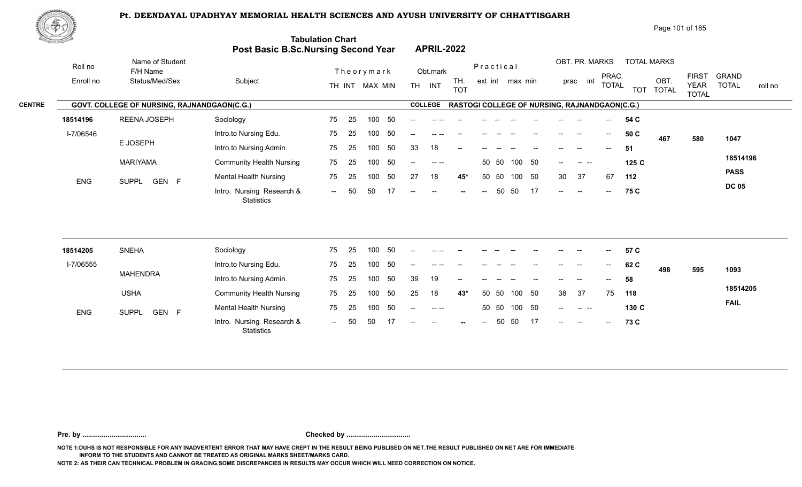

| Page 101 of 185 |
|-----------------|
|-----------------|

|               | <u>the games of the </u> |                                             | <b>Post Basic B.Sc.Nursing Second Year</b> | <b>Tabulation Chart</b> | <b>APRIL-2022</b>                                              |                        |                                                                        |                                                        |
|---------------|--------------------------|---------------------------------------------|--------------------------------------------|-------------------------|----------------------------------------------------------------|------------------------|------------------------------------------------------------------------|--------------------------------------------------------|
|               | Roll no                  | Name of Student<br>F/H Name                 |                                            | Theorymark              | Obt.mark                                                       | Practical              | OBT. PR. MARKS<br><b>TOTAL MARKS</b><br>PRAC.                          | <b>FIRST</b><br><b>GRAND</b>                           |
|               | Enroll no                | Status/Med/Sex                              | Subject                                    | TH INT MAX MIN          | TH.<br><b>TH</b><br>INT<br><b>TOT</b>                          | ext int max min        | OBT.<br>int<br>prac<br><b>TOTAL</b><br>TOT TOTAL                       | <b>TOTAL</b><br><b>YEAR</b><br>roll no<br><b>TOTAL</b> |
| <b>CENTRE</b> |                          | GOVT. COLLEGE OF NURSING, RAJNANDGAON(C.G.) |                                            |                         | <b>COLLEGE</b>                                                 |                        | RASTOGI COLLEGE OF NURSING, RAJNANDGAON(C.G.)                          |                                                        |
|               | 18514196                 | REENA JOSEPH                                | Sociology                                  | -50<br>75<br>-25<br>100 | -- --                                                          |                        | 54 C<br>$--$                                                           |                                                        |
|               | I-7/06546                |                                             | Intro.to Nursing Edu.                      | 50<br>25<br>100<br>75   | $- -$<br>$--- - - - -$                                         |                        | 50 C<br>$--$<br>$\hspace{0.05cm}$<br>467                               | 580<br>1047                                            |
|               |                          | E JOSEPH                                    | Intro.to Nursing Admin.                    | 50<br>75<br>25<br>100   | 33<br>18<br>$--$                                               |                        | 51<br>--<br>$\hspace{0.05cm}$ – $\hspace{0.05cm}$                      |                                                        |
|               |                          | <b>MARIYAMA</b>                             | <b>Community Health Nursing</b>            | 50<br>75<br>25<br>100   | $\sim$ $\sim$<br>$\frac{1}{2}$                                 | 100 50<br>50 50        | 125 C<br>$- -$ .<br>. <u>.</u>                                         | 18514196                                               |
|               | <b>ENG</b>               | SUPPL GEN F                                 | <b>Mental Health Nursing</b>               | 50<br>25<br>75<br>100   | 27<br>18<br>45*                                                | 50<br>50 50<br>100     | 37<br>67<br>30<br>112                                                  | <b>PASS</b>                                            |
|               |                          |                                             | Intro. Nursing Research &<br>Statistics    | 50<br>-50<br>$-$        | $- -$<br>$\hspace{0.05cm}$ – $\hspace{0.05cm}$<br>$\mathbf{u}$ | 17<br>50<br>50<br>$--$ | 75 C<br>$--$<br>$--$<br>$\hspace{0.1mm}-\hspace{0.1mm}-\hspace{0.1mm}$ | <b>DC 05</b>                                           |
|               |                          |                                             |                                            |                         |                                                                |                        |                                                                        |                                                        |

| 18514205   | <b>SNEHA</b>                | Sociology                               | 75                       | 25  | 100 | 50  | $--$  |           | $- -$                    | $- -$ | $-$   | $- -$                    | $- -$ | $\overline{\phantom{a}}$ | $- -$                    | $\sim$ | 57 C  |     |     |             |
|------------|-----------------------------|-----------------------------------------|--------------------------|-----|-----|-----|-------|-----------|--------------------------|-------|-------|--------------------------|-------|--------------------------|--------------------------|--------|-------|-----|-----|-------------|
| I-7/06555  |                             | Intro.to Nursing Edu.                   | 75                       | 25  | 100 | -50 | $- -$ | -- --     |                          |       |       |                          |       | $- -$                    | --                       | $- -$  | 62 C  | 498 | 595 | 1093        |
|            | <b>MAHENDRA</b>             | Intro.to Nursing Admin.                 | 75                       | -25 | 100 | -50 | -39   | 19        | $\overline{\phantom{a}}$ | $--$  |       | $\overline{\phantom{a}}$ | $- -$ | $\overline{\phantom{a}}$ | $\overline{\phantom{a}}$ | $--$   | 58    |     |     |             |
|            | <b>USHA</b>                 | <b>Community Health Nursing</b>         | 75                       | -25 | 100 | -50 | 25    | 18        | $43*$                    |       | 50 50 | 100                      | -50   | -38                      | - 37                     | 75     | 118   |     |     | 18514205    |
| <b>ENG</b> | <b>SUPPL</b><br>GEN<br>$-F$ | <b>Mental Health Nursing</b>            | 75                       | 25  | 100 | 50  | $--$  | $- - - -$ |                          |       | 50 50 | 100                      | -50   | $\sim$ $\sim$            |                          |        | 130 C |     |     | <b>FAIL</b> |
|            |                             | Intro. Nursing Research &<br>Statistics | $\overline{\phantom{a}}$ | 50  | 50  |     | $- -$ | $  \,$    | $\sim$                   | $--$  | 50    | -50                      | 17    | $\sim$                   | $\overline{\phantom{a}}$ | $  \,$ | 73 C  |     |     |             |

**Pre. by ................................. Checked by .................................**

**NOTE 1:DUHS IS NOT RESPONSIBLE FOR ANY INADVERTENT ERROR THAT MAY HAVE CREPT IN THE RESULT BEING PUBLISED ON NET.THE RESULT PUBLISHED ON NET ARE FOR IMMEDIATE INFORM TO THE STUDENTS AND CANNOT BE TREATED AS ORIGINAL MARKS SHEET/MARKS CARD.**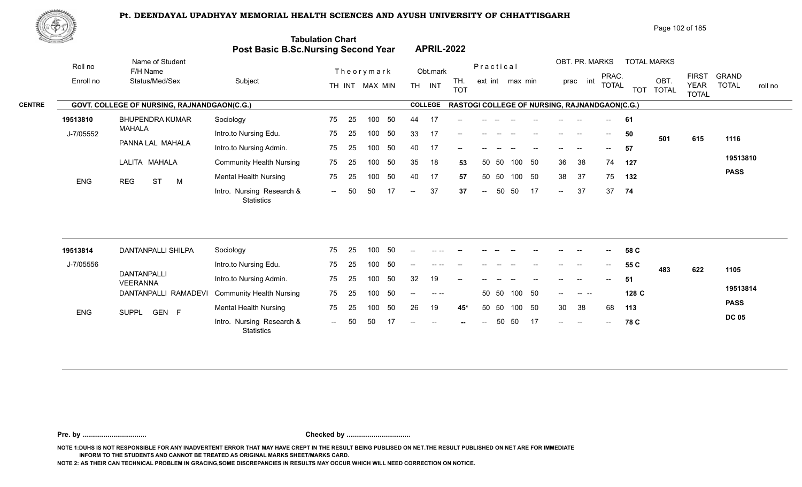

| <u>Contraction of the Contraction of the Contraction of the Contraction of the Contraction of the Contraction of the Contraction of the Contraction of the Contraction of the Contraction of the Contraction of the Contraction </u> |                                             | Post Basic B.Sc.Nursing Second Year     | <b>Tabulation Chart</b> |    |                |    |        |                | <b>APRIL-2022</b> |           |       |                 |    |        |                          |                                       |                                               |                      |                                             |                              |         |
|--------------------------------------------------------------------------------------------------------------------------------------------------------------------------------------------------------------------------------------|---------------------------------------------|-----------------------------------------|-------------------------|----|----------------|----|--------|----------------|-------------------|-----------|-------|-----------------|----|--------|--------------------------|---------------------------------------|-----------------------------------------------|----------------------|---------------------------------------------|------------------------------|---------|
| Roll no                                                                                                                                                                                                                              | Name of Student<br>F/H Name                 |                                         |                         |    | Theorymark     |    |        | Obt.mark       |                   | Practical |       |                 |    |        |                          | OBT. PR. MARKS                        |                                               | <b>TOTAL MARKS</b>   |                                             |                              |         |
| Enroll no                                                                                                                                                                                                                            | Status/Med/Sex                              | Subject                                 |                         |    | TH INT MAX MIN |    |        | TH INT         | TH.<br><b>TOT</b> |           |       | ext int max min |    |        | int<br>prac              | PRAC.<br><b>TOTAL</b>                 | <b>TOT</b>                                    | OBT.<br><b>TOTAL</b> | <b>FIRST</b><br><b>YEAR</b><br><b>TOTAL</b> | <b>GRAND</b><br><b>TOTAL</b> | roll no |
| <b>CENTRE</b>                                                                                                                                                                                                                        | GOVT. COLLEGE OF NURSING, RAJNANDGAON(C.G.) |                                         |                         |    |                |    |        | <b>COLLEGE</b> |                   |           |       |                 |    |        |                          |                                       | RASTOGI COLLEGE OF NURSING, RAJNANDGAON(C.G.) |                      |                                             |                              |         |
| 19513810                                                                                                                                                                                                                             | BHUPENDRA KUMAR                             | Sociology                               | 75                      | 25 | 100            | 50 | 44     | 17             |                   |           |       |                 |    |        |                          |                                       | 61                                            |                      |                                             |                              |         |
| J-7/05552                                                                                                                                                                                                                            | MAHALA                                      | Intro.to Nursing Edu.                   | 75                      | 25 | 100            | 50 | 33     | 17             |                   |           |       |                 |    |        |                          | $\overline{\phantom{a}}$              | 50                                            | 501                  | 615                                         | 1116                         |         |
|                                                                                                                                                                                                                                      | PANNA LAL MAHALA                            | Intro.to Nursing Admin.                 | 75                      | 25 | 100            | 50 | 40     | 17             | $-$               |           |       |                 |    |        |                          | $\hspace{0.05cm}$ – $\hspace{0.05cm}$ | 57                                            |                      |                                             |                              |         |
|                                                                                                                                                                                                                                      | LALITA MAHALA                               | <b>Community Health Nursing</b>         | 75                      | 25 | 100            | 50 | 35     | 18             | 53                | 50        | - 50  | 100 50          |    | 36     | 38                       | 74                                    | 127                                           |                      |                                             | 19513810                     |         |
| ENG                                                                                                                                                                                                                                  | <b>ST</b><br><b>REG</b><br>M                | <b>Mental Health Nursing</b>            | 75                      | 25 | 100            | 50 | 40     | 17             | 57                |           | 50 50 | 100 50          |    | 38     | 37                       | 75                                    | 132                                           |                      |                                             | <b>PASS</b>                  |         |
|                                                                                                                                                                                                                                      |                                             | Intro. Nursing Research &<br>Statistics | $\sim$ $\sim$           | 50 | 50             | 17 | $\sim$ | 37             | 37                | $--$      | 50    | 50              | 17 | $\sim$ | 37                       |                                       | 37 74                                         |                      |                                             |                              |         |
|                                                                                                                                                                                                                                      |                                             |                                         |                         |    |                |    |        |                |                   |           |       |                 |    |        |                          |                                       |                                               |                      |                                             |                              |         |
| 19513814                                                                                                                                                                                                                             | DANTANPALLI SHILPA                          | Sociology                               | 75                      | 25 | 100            | 50 |        |                |                   |           |       |                 |    |        |                          |                                       | 58 C                                          |                      |                                             |                              |         |
| J-7/05556                                                                                                                                                                                                                            |                                             | Intro.to Nursing Edu.                   | 75                      | 25 | 100            | 50 |        |                |                   |           |       |                 |    | $- -$  | $\overline{\phantom{a}}$ | $--$                                  | 55 C                                          | 483                  | 622                                         | 1105                         |         |
|                                                                                                                                                                                                                                      | DANTANPALLI<br><b>ILLCOANINA</b>            | Intro.to Nursing Admin.                 | 75                      | 25 | 100            | 50 | 32     | 19             |                   |           |       |                 |    |        |                          | $- -$                                 | 51                                            |                      |                                             |                              |         |

| J-7/05556  |                                               | Intro.to Nursing Edu.                          | 75 25 |       | 100 50 |                 | $-$   | $  -$         | المستحدث المستحدث المستحدث المستحدث |               |              | and the state of the state of |                      | $\sim$ $-$ | 55 C  |     | 622 |              |
|------------|-----------------------------------------------|------------------------------------------------|-------|-------|--------|-----------------|-------|---------------|-------------------------------------|---------------|--------------|-------------------------------|----------------------|------------|-------|-----|-----|--------------|
|            | DANTANPALLI<br><b>VEERANNA</b>                | Intro.to Nursing Admin.                        | 75 25 |       | 100 50 |                 | 32    | 19            | $- -$                               |               |              |                               |                      | $--$       | -51   | 483 |     | 1105         |
|            | DANTANPALLI RAMADEVI Community Health Nursing |                                                | 75 25 |       | 100 50 |                 | $-$   | $\sim$ $\sim$ |                                     |               | 50 50 100 50 | $\sim$ $\sim$                 | $\sim$ $\sim$ $\sim$ |            | 128 C |     |     | 19513814     |
| <b>ENG</b> | GEN<br><b>SUPPL</b>                           | Mental Health Nursing                          | 75 25 |       | 100 50 |                 | 26 19 |               | 45*                                 |               | 50 50 100 50 | -30                           | - 38                 | 68         | 113   |     |     | <b>PASS</b>  |
|            |                                               | Intro. Nursing Research &<br><b>Statistics</b> | $-$   | 50 50 |        | $\overline{17}$ | $- -$ | $\sim$ $-$    | <b>Contract Contract</b>            | $\sim$ $\sim$ | 50 50 17     | $\sim$ $-$                    | $-$                  | $- -$ .    | 78 C  |     |     | <b>DC 05</b> |

**Pre. by ................................. Checked by .................................**

**NOTE 1:DUHS IS NOT RESPONSIBLE FOR ANY INADVERTENT ERROR THAT MAY HAVE CREPT IN THE RESULT BEING PUBLISED ON NET.THE RESULT PUBLISHED ON NET ARE FOR IMMEDIATE INFORM TO THE STUDENTS AND CANNOT BE TREATED AS ORIGINAL MARKS SHEET/MARKS CARD.**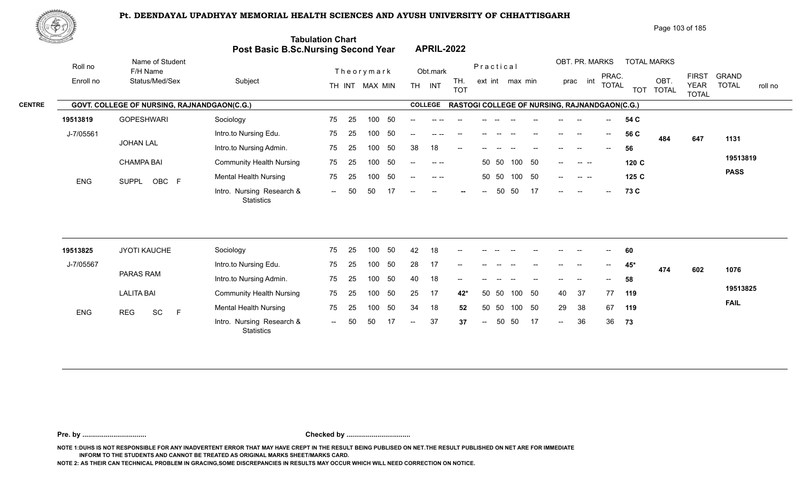

|               | 脚やり        |                                             |                                     |                          |                                                                                                                                                                                                                                                                                                                                                                                                      | Page 103 of 185                                                                                                                                                                         |
|---------------|------------|---------------------------------------------|-------------------------------------|--------------------------|------------------------------------------------------------------------------------------------------------------------------------------------------------------------------------------------------------------------------------------------------------------------------------------------------------------------------------------------------------------------------------------------------|-----------------------------------------------------------------------------------------------------------------------------------------------------------------------------------------|
|               |            |                                             | Post Basic B.Sc.Nursing Second Year | <b>Tabulation Chart</b>  | <b>APRIL-2022</b>                                                                                                                                                                                                                                                                                                                                                                                    |                                                                                                                                                                                         |
|               | Roll no    | Name of Student<br>F/H Name                 |                                     | Theorymark               | Obt.mark                                                                                                                                                                                                                                                                                                                                                                                             | OBT. PR. MARKS<br><b>TOTAL MARKS</b><br>Practical                                                                                                                                       |
|               | Enroll no  | Status/Med/Sex                              | Subject                             | MAX MIN<br>TH INT        | TH.<br><b>TH</b><br>INT<br><b>TOT</b>                                                                                                                                                                                                                                                                                                                                                                | <b>FIRST</b><br><b>GRAND</b><br>PRAC.<br>OBT.<br>int<br>ext int max min<br>prac<br><b>TOTAL</b><br><b>TOTAL</b><br><b>YEAR</b><br>roll no<br><b>TOTAL</b><br><b>TOT</b><br><b>TOTAL</b> |
| <b>CENTRE</b> |            | GOVT. COLLEGE OF NURSING, RAJNANDGAON(C.G.) |                                     |                          | <b>COLLEGE</b>                                                                                                                                                                                                                                                                                                                                                                                       | <b>RASTOGI COLLEGE OF NURSING, RAJNANDGAON(C.G.)</b>                                                                                                                                    |
|               | 19513819   | <b>GOPESHWARI</b>                           | Sociology                           | - 50<br>75<br>100<br>-25 |                                                                                                                                                                                                                                                                                                                                                                                                      | 54 C                                                                                                                                                                                    |
|               | J-7/05561  |                                             | Intro.to Nursing Edu.               | -50<br>75<br>25<br>100   | $-$                                                                                                                                                                                                                                                                                                                                                                                                  | 56 C<br>$--$<br>$\hspace{0.05cm}$<br>484<br>647<br>1131                                                                                                                                 |
|               |            | <b>JOHAN LAL</b>                            | Intro.to Nursing Admin.             | 50<br>75<br>25<br>100    | 18<br>38<br>$- -$                                                                                                                                                                                                                                                                                                                                                                                    | 56<br>$- -$                                                                                                                                                                             |
|               |            | <b>CHAMPA BAI</b>                           | <b>Community Health Nursing</b>     | 50<br>75<br>25<br>100    | $\frac{1}{2} \frac{1}{2} \frac{1}{2} \frac{1}{2} \frac{1}{2} \frac{1}{2} \frac{1}{2} \frac{1}{2} \frac{1}{2} \frac{1}{2} \frac{1}{2} \frac{1}{2} \frac{1}{2} \frac{1}{2} \frac{1}{2} \frac{1}{2} \frac{1}{2} \frac{1}{2} \frac{1}{2} \frac{1}{2} \frac{1}{2} \frac{1}{2} \frac{1}{2} \frac{1}{2} \frac{1}{2} \frac{1}{2} \frac{1}{2} \frac{1}{2} \frac{1}{2} \frac{1}{2} \frac{1}{2} \frac{$<br>$--$ | 19513819<br>50<br>50 50<br>100<br>120 C<br><b>Contract Contract</b><br>$- -$                                                                                                            |
|               | <b>ENG</b> | OBC F<br><b>SUPPL</b>                       | <b>Mental Health Nursing</b>        | 75<br>-50<br>100<br>-25  | 50 50<br>$- -$                                                                                                                                                                                                                                                                                                                                                                                       | <b>PASS</b><br>50<br>100<br>125 C<br>$--$<br>$\begin{array}{ccc} - & - & - \end{array}$                                                                                                 |
|               |            |                                             | Intro. Nursing Research &           | 50<br>50<br>$  \,$       | $--$<br>$--$<br>$\hspace{0.1mm}-\hspace{0.1mm}-\hspace{0.1mm}$<br>$\sim$                                                                                                                                                                                                                                                                                                                             | 17<br>50<br>50<br>73 C<br>$--$<br>$-$<br>$--$                                                                                                                                           |

| 19513825   |                   | JYOTI KAUCHE |    | Sociology                               | 75                       | -25 | 100 | -50 | 42             | 18 | $\overline{\phantom{a}}$ | $\sim$ $\sim$ | $\sim$ | $\sim$ | $\overline{\phantom{a}}$ | $\overline{\phantom{a}}$ | $--$  | $--$          | 60  |     |     |             |
|------------|-------------------|--------------|----|-----------------------------------------|--------------------------|-----|-----|-----|----------------|----|--------------------------|---------------|--------|--------|--------------------------|--------------------------|-------|---------------|-----|-----|-----|-------------|
| J-7/05567  |                   |              |    | Intro.to Nursing Edu.                   | 75                       | 25  | 100 | 50  | 28             | 17 |                          |               |        |        |                          |                          | --    | $- -$         | 45* | 474 | 602 | 1076        |
|            |                   | PARAS RAM    |    | Intro.to Nursing Admin.                 | 75                       | -25 | 100 | 50  | 40             | 18 | $- -$                    | $- -$         | $- -$  |        | $- -$                    | $- -$                    | $- -$ | $\sim$ $\sim$ | 58  |     |     |             |
|            | <b>LALITA BAI</b> |              |    | <b>Community Health Nursing</b>         | 75                       | -25 | 100 | -50 | 25             | 17 | 42*                      | 50 50         |        | 100    | - 50                     | 40                       | - 37  | 77            | 119 |     |     | 19513825    |
| <b>ENG</b> | <b>REG</b>        | <b>SC</b>    | E. | <b>Mental Health Nursing</b>            | 75                       | 25  | 100 | -50 | 34             | 18 | 52                       | 50 50         |        | 100    | -50                      | 29                       | - 38  | 67            | 119 |     |     | <b>FAIL</b> |
|            |                   |              |    | Intro. Nursing Research &<br>Statistics | $\overline{\phantom{a}}$ | 50  | 50  |     | $\overline{a}$ | 37 | 37                       | $\sim$        | 50     | -50    | 17                       | $\sim$                   | 36    | -36           | 73  |     |     |             |

**Pre. by ................................. Checked by .................................**

**NOTE 1:DUHS IS NOT RESPONSIBLE FOR ANY INADVERTENT ERROR THAT MAY HAVE CREPT IN THE RESULT BEING PUBLISED ON NET.THE RESULT PUBLISHED ON NET ARE FOR IMMEDIATE INFORM TO THE STUDENTS AND CANNOT BE TREATED AS ORIGINAL MARKS SHEET/MARKS CARD.**

**NOTE 2: AS THEIR CAN TECHNICAL PROBLEM IN GRACING,SOME DISCREPANCIES IN RESULTS MAY OCCUR WHICH WILL NEED CORRECTION ON NOTICE.**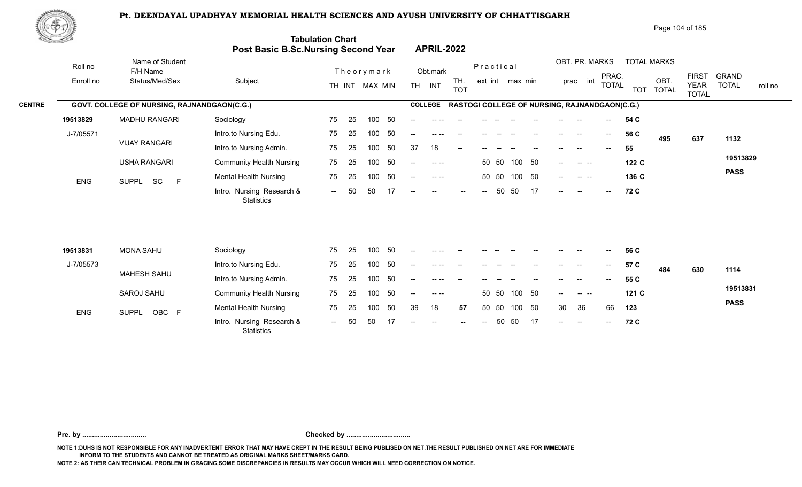

|               | 脚やり        |                                             |                                     |                          |                                                                                                                                                                                                                                                                                                                                                                                                                      | Page 104 of 185                                                                                                                                                      |
|---------------|------------|---------------------------------------------|-------------------------------------|--------------------------|----------------------------------------------------------------------------------------------------------------------------------------------------------------------------------------------------------------------------------------------------------------------------------------------------------------------------------------------------------------------------------------------------------------------|----------------------------------------------------------------------------------------------------------------------------------------------------------------------|
|               |            |                                             | Post Basic B.Sc.Nursing Second Year | <b>Tabulation Chart</b>  | <b>APRIL-2022</b>                                                                                                                                                                                                                                                                                                                                                                                                    |                                                                                                                                                                      |
|               | Roll no    | Name of Student<br>F/H Name                 |                                     | Theorymark               | Practical<br>Obt.mark                                                                                                                                                                                                                                                                                                                                                                                                | OBT. PR. MARKS<br><b>TOTAL MARKS</b>                                                                                                                                 |
|               | Enroll no  | Status/Med/Sex                              | Subject                             | MAX MIN<br>TH INT        | TH.<br>ext int max min<br><b>TH</b><br>INT<br><b>TOT</b>                                                                                                                                                                                                                                                                                                                                                             | <b>FIRST</b><br><b>GRAND</b><br>PRAC.<br>OBT.<br>int<br>prac<br><b>TOTAL</b><br><b>TOTAL</b><br><b>YEAR</b><br>roll no<br><b>TOTAL</b><br><b>TOT</b><br><b>TOTAL</b> |
| <b>CENTRE</b> |            | GOVT. COLLEGE OF NURSING, RAJNANDGAON(C.G.) |                                     |                          | <b>COLLEGE</b>                                                                                                                                                                                                                                                                                                                                                                                                       | <b>RASTOGI COLLEGE OF NURSING, RAJNANDGAON(C.G.)</b>                                                                                                                 |
|               | 19513829   | <b>MADHU RANGARI</b>                        | Sociology                           | - 50<br>75<br>100<br>-25 |                                                                                                                                                                                                                                                                                                                                                                                                                      | 54 C                                                                                                                                                                 |
|               | J-7/05571  |                                             | Intro.to Nursing Edu.               | -50<br>75<br>25<br>100   | $-$                                                                                                                                                                                                                                                                                                                                                                                                                  | 56 C<br>$--$<br>$\hspace{0.05cm}$<br>637<br>495<br>1132                                                                                                              |
|               |            | <b>VIJAY RANGARI</b>                        | Intro.to Nursing Admin.             | 75<br>100<br>-50<br>-25  | 18<br>37<br>$- -$                                                                                                                                                                                                                                                                                                                                                                                                    | 55<br>$- -$                                                                                                                                                          |
|               |            | <b>USHA RANGARI</b>                         | <b>Community Health Nursing</b>     | 50<br>75<br>25<br>100    | 50 50<br>100<br>$\frac{1}{2} \frac{1}{2} \frac{1}{2} \frac{1}{2} \frac{1}{2} \frac{1}{2} \frac{1}{2} \frac{1}{2} \frac{1}{2} \frac{1}{2} \frac{1}{2} \frac{1}{2} \frac{1}{2} \frac{1}{2} \frac{1}{2} \frac{1}{2} \frac{1}{2} \frac{1}{2} \frac{1}{2} \frac{1}{2} \frac{1}{2} \frac{1}{2} \frac{1}{2} \frac{1}{2} \frac{1}{2} \frac{1}{2} \frac{1}{2} \frac{1}{2} \frac{1}{2} \frac{1}{2} \frac{1}{2} \frac{$<br>$--$ | 19513829<br>50<br>122 C<br><b>Contract Contract</b><br>$- -$                                                                                                         |
|               | <b>ENG</b> | SUPPL SC<br>E                               | <b>Mental Health Nursing</b>        | 75<br>-50<br>100<br>-25  | 100<br>50 50<br>$- -$                                                                                                                                                                                                                                                                                                                                                                                                | <b>PASS</b><br>- 50<br>136 C<br>$--$<br>$\begin{array}{ccc} - & - & - \end{array}$                                                                                   |
|               |            |                                             | Intro. Nursing Research &           | 50<br>50<br>$  \,$       | 50<br>50<br>$--$<br>$--$<br>$\hspace{0.1mm}-\hspace{0.1mm}-\hspace{0.1mm}$<br>$\sim$                                                                                                                                                                                                                                                                                                                                 | 17<br>72 C<br>$--$<br>$-$<br>$--$                                                                                                                                    |

| 19513831   | MONA SAHU             | Sociology                                      | 75                          | - 25 | 100 | -50 | $\overline{\phantom{a}}$ |                                             | $\sim$ $-$ |        |       | $\overline{\phantom{a}}$ | $--$                     | $--$   | $\overline{\phantom{a}}$ | $\overline{\phantom{a}}$              | 56 C |     |     |             |
|------------|-----------------------|------------------------------------------------|-----------------------------|------|-----|-----|--------------------------|---------------------------------------------|------------|--------|-------|--------------------------|--------------------------|--------|--------------------------|---------------------------------------|------|-----|-----|-------------|
| J-7/05573  |                       | Intro.to Nursing Edu.                          | 75                          | -25  | 100 | 50  | $\overline{\phantom{a}}$ |                                             | $- -$      | $- -$  |       |                          | $\overline{\phantom{a}}$ | $--$   | $\overline{\phantom{a}}$ | $\sim$                                | 57 C | 484 | 630 | 1114        |
|            | MAHESH SAHU           | Intro.to Nursing Admin.                        | 75                          | 25   | 100 | -50 | --                       | -- --                                       |            |        |       |                          |                          | --     | $- -$                    | $\hspace{0.05cm}$ – $\hspace{0.05cm}$ | 55 C |     |     |             |
|            | SAROJ SAHU            | <b>Community Health Nursing</b>                | 75                          | -25  | 100 | -50 | $\overline{\phantom{a}}$ | $\begin{array}{cccc} - & - & - \end{array}$ |            |        | 50 50 | 100 50                   |                          | $--$   |                          |                                       | 121C |     |     | 19513831    |
| <b>ENG</b> | OBC F<br><b>SUPPL</b> | <b>Mental Health Nursing</b>                   | 75                          | -25  | 100 | -50 | 39                       | 18                                          | 57         |        | 50 50 | 100 50                   |                          | 30     | -36                      | 66                                    | 123  |     |     | <b>PASS</b> |
|            |                       | Intro. Nursing Research &<br><b>Statistics</b> | $\mathcal{L}_{\mathcal{F}}$ | -50  | 50  |     | $\overline{\phantom{a}}$ | $\sim$ $ \sim$                              | $\sim$     | $  \,$ | 50    | 50 17                    |                          | $\sim$ | $\sim$ $\sim$            | $\mathbf{u} = \mathbf{u}$             | 72 C |     |     |             |

**Pre. by ................................. Checked by .................................**

**NOTE 1:DUHS IS NOT RESPONSIBLE FOR ANY INADVERTENT ERROR THAT MAY HAVE CREPT IN THE RESULT BEING PUBLISED ON NET.THE RESULT PUBLISHED ON NET ARE FOR IMMEDIATE INFORM TO THE STUDENTS AND CANNOT BE TREATED AS ORIGINAL MARKS SHEET/MARKS CARD.**

**NOTE 2: AS THEIR CAN TECHNICAL PROBLEM IN GRACING,SOME DISCREPANCIES IN RESULTS MAY OCCUR WHICH WILL NEED CORRECTION ON NOTICE.**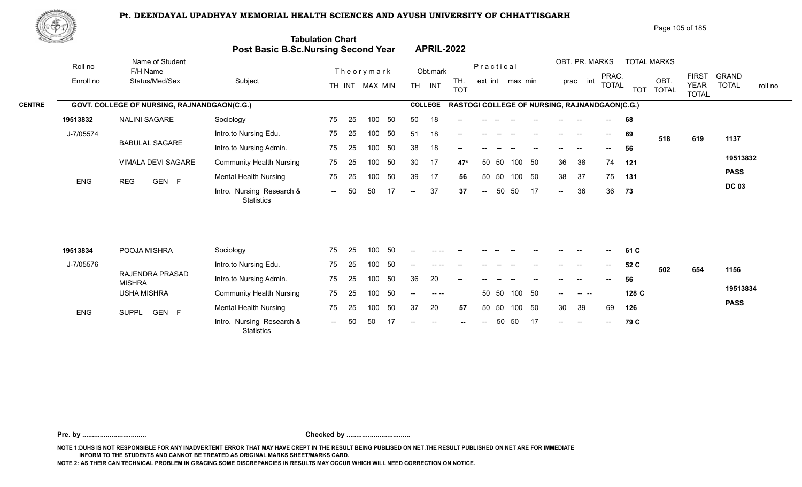

| Page 105 of 185 |  |
|-----------------|--|
|-----------------|--|

| <u>Contraction of the Sea</u> |                 |            |                                             | <b>Post Basic B.Sc.Nursing Second Year</b> | <b>Tabulation Chart</b> |    |                |        |               | <b>APRIL-2022</b> |                                                      |           |       |                 |    |        |                |                                       |            |                      |                             |              |         |
|-------------------------------|-----------------|------------|---------------------------------------------|--------------------------------------------|-------------------------|----|----------------|--------|---------------|-------------------|------------------------------------------------------|-----------|-------|-----------------|----|--------|----------------|---------------------------------------|------------|----------------------|-----------------------------|--------------|---------|
|                               | Roll no         |            | Name of Student<br>F/H Name                 |                                            |                         |    | Theorymark     |        |               | Obt.mark          |                                                      | Practical |       |                 |    |        | OBT. PR. MARKS | PRAC.                                 |            | <b>TOTAL MARKS</b>   | <b>FIRST</b>                | <b>GRAND</b> |         |
|                               | Enroll no       |            | Status/Med/Sex                              | Subject                                    |                         |    | TH INT MAX MIN |        |               | TH INT            | TH.<br><b>TOT</b>                                    |           |       | ext int max min |    |        | int<br>prac    | <b>TOTAL</b>                          | <b>TOT</b> | OBT.<br><b>TOTAL</b> | <b>YEAR</b><br><b>TOTAL</b> | <b>TOTAL</b> | roll no |
| <b>CENTRE</b>                 |                 |            | GOVT. COLLEGE OF NURSING, RAJNANDGAON(C.G.) |                                            |                         |    |                |        |               | <b>COLLEGE</b>    | <b>RASTOGI COLLEGE OF NURSING, RAJNANDGAON(C.G.)</b> |           |       |                 |    |        |                |                                       |            |                      |                             |              |         |
|                               | 19513832        |            | <b>NALINI SAGARE</b>                        | Sociology                                  | 75                      | 25 | 100            | 50     | 50            | 18                | --                                                   |           |       |                 |    |        |                |                                       | 68         |                      |                             |              |         |
|                               | J-7/05574       |            |                                             | Intro.to Nursing Edu.                      | 75                      | 25 | 100            | 50     | 51            | 18                | $\overline{\phantom{a}}$                             |           |       |                 |    |        | --             | $\hspace{0.05cm}$ – $\hspace{0.05cm}$ | 69         | 518                  | 619                         | 1137         |         |
|                               |                 |            | <b>BABULAL SAGARE</b>                       | Intro.to Nursing Admin.                    | 75                      | 25 | 100            | 50     | 38            | 18                | --                                                   |           |       |                 |    |        |                | $- -$                                 | 56         |                      |                             |              |         |
|                               |                 |            | VIMALA DEVI SAGARE                          | <b>Community Health Nursing</b>            | 75                      | 25 | 100            | 50     | 30            | 17                | 47*                                                  | 50        | 50    | 100             | 50 | 36     | 38             | 74                                    | 121        |                      |                             | 19513832     |         |
|                               | <b>ENG</b>      | <b>REG</b> | GEN F                                       | Mental Health Nursing                      | 75                      | 25 | 100            | 50     | 39            | 17                | 56                                                   |           | 50 50 | 100 50          |    | 38     | 37             | 75                                    | 131        |                      |                             | <b>PASS</b>  |         |
|                               |                 |            |                                             | Intro. Nursing Research &<br>Statistics    | $\sim$ $\sim$           | 50 | 50             | 17     | $--$          | 37                | 37                                                   | $--$      | 50    | 50              | 17 | $\sim$ | 36             | 36                                    | 73         |                      |                             | <b>DC 03</b> |         |
|                               |                 |            |                                             |                                            |                         |    |                |        |               |                   |                                                      |           |       |                 |    |        |                |                                       |            |                      |                             |              |         |
|                               | 19513834        |            | POOJA MISHRA                                | Sociology                                  | 75                      | 25 | 100            | 50     |               |                   |                                                      |           |       |                 |    |        |                | $--$                                  | 61 C       |                      |                             |              |         |
|                               | $.1 - 7/0.5576$ |            |                                             | Intro to Nursing Edu                       | 75                      | 25 |                | 100 50 | $\sim$ $\sim$ |                   |                                                      |           |       |                 |    |        |                | $- -$                                 | 52 C       |                      |                             |              |         |

| 19513834   | POOJA MISHRA                     | Sociology                               | 75            | 25   | 100 | -50  | --    | -- --                                                                                                                                                                                                                                                                                                                                                                                        |                          |        |       |              |    | --            | --                       | $- -$          | 61 C  |     |     |             |
|------------|----------------------------------|-----------------------------------------|---------------|------|-----|------|-------|----------------------------------------------------------------------------------------------------------------------------------------------------------------------------------------------------------------------------------------------------------------------------------------------------------------------------------------------------------------------------------------------|--------------------------|--------|-------|--------------|----|---------------|--------------------------|----------------|-------|-----|-----|-------------|
| J-7/05576  |                                  | Intro.to Nursing Edu.                   | 75            | -25  | 100 | -50  | $- -$ | $\cdots$                                                                                                                                                                                                                                                                                                                                                                                     | $- -$                    |        |       |              |    | $- -$         | $\overline{\phantom{a}}$ | $\overline{a}$ | 52 C  | 502 | 654 | 1156        |
|            | RAJENDRA PRASAD<br><b>MISHRA</b> | Intro.to Nursing Admin.                 | 75            | - 25 | 100 | - 50 | 36    | 20                                                                                                                                                                                                                                                                                                                                                                                           | $\overline{\phantom{a}}$ |        |       |              |    | $--$          | $\overline{\phantom{a}}$ | $--$           | 56    |     |     |             |
|            | <b>USHA MISHRA</b>               | <b>Community Health Nursing</b>         | 75            | 25   | 100 | -50  | $- -$ | $\frac{1}{2} \frac{1}{2} \frac{1}{2} \frac{1}{2} \frac{1}{2} \frac{1}{2} \frac{1}{2} \frac{1}{2} \frac{1}{2} \frac{1}{2} \frac{1}{2} \frac{1}{2} \frac{1}{2} \frac{1}{2} \frac{1}{2} \frac{1}{2} \frac{1}{2} \frac{1}{2} \frac{1}{2} \frac{1}{2} \frac{1}{2} \frac{1}{2} \frac{1}{2} \frac{1}{2} \frac{1}{2} \frac{1}{2} \frac{1}{2} \frac{1}{2} \frac{1}{2} \frac{1}{2} \frac{1}{2} \frac{$ |                          |        | 50 50 | 100 50       |    | $-$           |                          |                | 128 C |     |     | 19513834    |
| <b>ENG</b> | GEN F<br><b>SUPPL</b>            | <b>Mental Health Nursing</b>            | 75            | -25  | 100 | -50  | 37    | 20                                                                                                                                                                                                                                                                                                                                                                                           | 57                       |        |       | 50 50 100 50 |    | 30            | -39                      | 69             | 126   |     |     | <b>PASS</b> |
|            |                                  | Intro. Nursing Research &<br>Statistics | $\sim$ $\sim$ | -50  | -50 |      | $- -$ | $\hspace{0.1mm}-\hspace{0.1mm}-\hspace{0.1mm}$                                                                                                                                                                                                                                                                                                                                               | $-$                      | $\sim$ |       | 50 50        | 17 | $\frac{1}{2}$ | $\overline{\phantom{a}}$ | $--$           | 79 C  |     |     |             |

**Pre. by ................................. Checked by .................................**

**NOTE 1:DUHS IS NOT RESPONSIBLE FOR ANY INADVERTENT ERROR THAT MAY HAVE CREPT IN THE RESULT BEING PUBLISED ON NET.THE RESULT PUBLISHED ON NET ARE FOR IMMEDIATE INFORM TO THE STUDENTS AND CANNOT BE TREATED AS ORIGINAL MARKS SHEET/MARKS CARD.**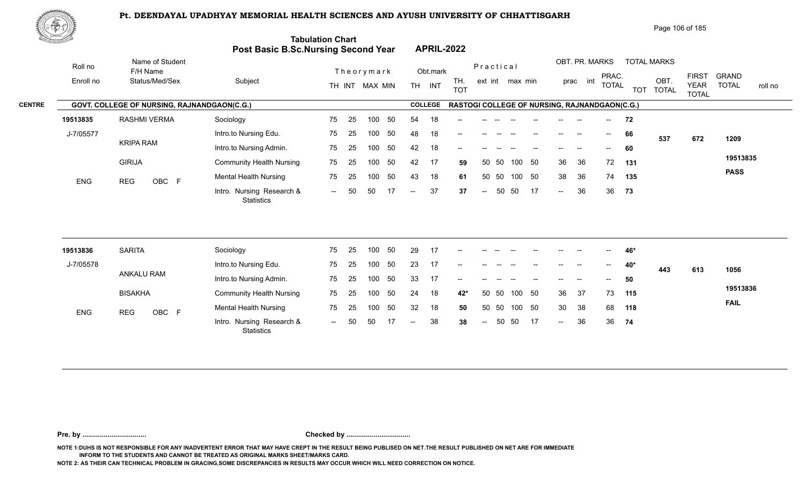

| Page 106 of 185 |  |  |
|-----------------|--|--|
|                 |  |  |

| <u> Estados </u> |                                             | Post Basic B.Sc.Nursing Second Year            | <b>Tabulation Chart</b> |    |                  |     |                          |                | <b>APRIL-2022</b>                             |                          |       |                 |     |                            |                |                                       |            |                      |                             |                         |
|------------------|---------------------------------------------|------------------------------------------------|-------------------------|----|------------------|-----|--------------------------|----------------|-----------------------------------------------|--------------------------|-------|-----------------|-----|----------------------------|----------------|---------------------------------------|------------|----------------------|-----------------------------|-------------------------|
| Roll no          | Name of Student<br>F/H Name                 |                                                |                         |    | Theorymark       |     |                          | Obt.mark       |                                               | Practical                |       |                 |     |                            | OBT. PR. MARKS | PRAC.                                 |            | <b>TOTAL MARKS</b>   | <b>FIRST</b>                | <b>GRAND</b>            |
| Enroll no        | Status/Med/Sex                              | Subject                                        |                         |    | TH INT MAX MIN   |     |                          | TH INT         | TH.<br><b>TOT</b>                             |                          |       | ext int max min |     |                            | int<br>prac    | <b>TOTAL</b>                          | <b>TOT</b> | OBT.<br><b>TOTAL</b> | <b>YEAR</b><br><b>TOTAL</b> | <b>TOTAL</b><br>roll no |
|                  | GOVT. COLLEGE OF NURSING, RAJNANDGAON(C.G.) |                                                |                         |    |                  |     |                          | <b>COLLEGE</b> | RASTOGI COLLEGE OF NURSING, RAJNANDGAON(C.G.) |                          |       |                 |     |                            |                |                                       |            |                      |                             |                         |
| 19513835         | <b>RASHMI VERMA</b>                         | Sociology                                      | 75                      | 25 | 100              | 50  | 54                       | 18             |                                               |                          |       |                 |     |                            |                |                                       | 72         |                      |                             |                         |
| J-7/05577        |                                             | Intro.to Nursing Edu.                          | 75                      | 25 | 100              | 50  | 48                       | 18             | --                                            |                          |       |                 |     |                            |                | $\hspace{0.05cm}$                     | 66         | 537                  | 672                         | 1209                    |
|                  | <b>KRIPA RAM</b>                            | Intro.to Nursing Admin.                        | 75                      | 25 | 100              | 50  | 42                       | 18             | --                                            |                          |       |                 |     |                            |                |                                       | 60         |                      |                             |                         |
|                  | <b>GIRIJA</b>                               | <b>Community Health Nursing</b>                | 75                      | 25 | 100              | 50  | 42                       | 17             | 59                                            | 50                       | 50    | 100             | 50  | 36                         | 36             | 72                                    | 131        |                      |                             | 19513835                |
| <b>ENG</b>       | OBC F<br><b>REG</b>                         | <b>Mental Health Nursing</b>                   | 75                      | 25 | 100              | 50  | 43                       | 18             | 61                                            | 50                       | 50    | 100 50          |     | 38                         | 36             | 74                                    | 135        |                      |                             | <b>PASS</b>             |
|                  |                                             | Intro. Nursing Research &<br><b>Statistics</b> | $\sim$                  | 50 | 50               | -17 | $\overline{\phantom{a}}$ | 37             | 37                                            | $\overline{\phantom{a}}$ | 50    | 50              | -17 | $\mathcal{L}(\mathcal{L})$ | 36             | 36                                    | 73         |                      |                             |                         |
|                  |                                             |                                                |                         |    |                  |     |                          |                |                                               |                          |       |                 |     |                            |                |                                       |            |                      |                             |                         |
| 19513836         | <b>SARITA</b>                               | Sociology                                      | 75                      | 25 | 100              | 50  | 29                       | 17             |                                               |                          |       |                 |     |                            |                |                                       | 46*        |                      |                             |                         |
| J-7/05578        |                                             | Intro.to Nursing Edu.                          | 75                      | 25 | 100              | 50  | 23                       | 17             | --                                            |                          |       |                 | $-$ | $\overline{\phantom{a}}$   | $\rightarrow$  | $\hspace{0.05cm}$ – $\hspace{0.05cm}$ | 40*        | 443                  | 613                         | 1056                    |
|                  | ANKALU RAM                                  | Intro.to Nursing Admin.                        | 75                      | 25 | 100 <sub>1</sub> | 50  | 33                       | 17             |                                               |                          |       |                 |     |                            |                |                                       | 50         |                      |                             |                         |
|                  | <b>BISAKHA</b>                              | <b>Community Health Nursing</b>                | 75                      | 25 | 100 <sub>1</sub> | 50  | 24                       | 18             | 42*                                           |                          | 50 50 | 100 50          |     | 36                         | 37             | 73                                    | 115        |                      |                             | 19513836                |
| ENG              | <b>REG</b><br>OBC F                         | <b>Mental Health Nursing</b>                   | 75                      | 25 | 100              | 50  | 32                       | 18             | 50                                            |                          | 50 50 | 100             | 50  | 30                         | 38             | 68                                    | 118        |                      |                             | <b>FAIL</b>             |
|                  |                                             | Intro. Nursing Research &<br><b>Statistics</b> | $--$                    | 50 | 50               |     |                          | 38             | 38                                            | $\overline{a}$           | 50    | 50              | -17 | $\overline{a}$             | 36             | 36                                    | 74         |                      |                             |                         |

**Pre. by ................................. Checked by .................................**

**NOTE 1:DUHS IS NOT RESPONSIBLE FOR ANY INADVERTENT ERROR THAT MAY HAVE CREPT IN THE RESULT BEING PUBLISED ON NET.THE RESULT PUBLISHED ON NET ARE FOR IMMEDIATE INFORM TO THE STUDENTS AND CANNOT BE TREATED AS ORIGINAL MARKS SHEET/MARKS CARD.**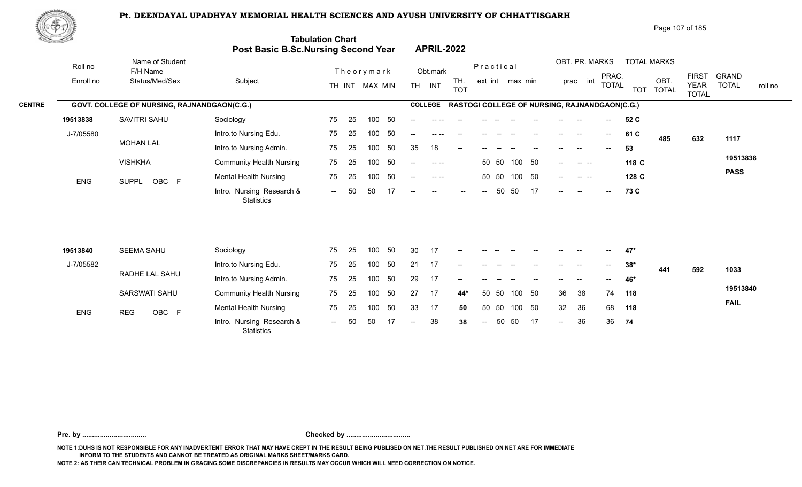

|               | 脚やり              |                                                    |                                 |                                                                |                                              |                                            |                                                                  | Page 107 of 185                                                                  |                                         |
|---------------|------------------|----------------------------------------------------|---------------------------------|----------------------------------------------------------------|----------------------------------------------|--------------------------------------------|------------------------------------------------------------------|----------------------------------------------------------------------------------|-----------------------------------------|
|               | The parties line |                                                    |                                 | <b>Tabulation Chart</b><br>Post Basic B.Sc.Nursing Second Year | <b>APRIL-2022</b>                            |                                            |                                                                  |                                                                                  |                                         |
|               | Roll no          | Name of Student<br>F/H Name                        |                                 | Theorymark                                                     | Obt.mark                                     | Practical                                  | OBT. PR. MARKS                                                   | <b>TOTAL MARKS</b>                                                               |                                         |
|               | Enroll no        | Status/Med/Sex                                     | Subject                         | MAX MIN<br>TH INT                                              | TH.<br><b>INT</b><br><b>TH</b><br><b>TOT</b> | ext int max min                            | PRAC.<br>int<br>prac<br><b>TOTAL</b>                             | <b>FIRST</b><br>OBT<br><b>YEAR</b><br><b>TOT</b><br><b>TOTAL</b><br><b>TOTAL</b> | <b>GRAND</b><br><b>TOTAL</b><br>roll no |
| <b>CENTRE</b> |                  | <b>GOVT. COLLEGE OF NURSING, RAJNANDGAON(C.G.)</b> |                                 |                                                                | <b>COLLEGE</b>                               |                                            | <b>RASTOGI COLLEGE OF NURSING, RAJNANDGAON(C.G.)</b>             |                                                                                  |                                         |
|               | 19513838         | SAVITRI SAHU                                       | Sociology                       | -50<br>75<br>100<br>-25                                        |                                              |                                            | 52 C<br>$\hspace{0.05cm}$ – $\hspace{0.05cm}$                    |                                                                                  |                                         |
|               | J-7/05580        |                                                    | Intro.to Nursing Edu.           | -50<br>75<br>100<br>25                                         | $- -$                                        |                                            | 61 C<br>$\overline{\phantom{a}}$<br>$\hspace{0.05cm}$            | 485<br>632                                                                       | 1117                                    |
|               |                  | <b>MOHAN LAL</b>                                   | Intro.to Nursing Admin.         | 50<br>75<br>100<br>-25                                         | 18<br>35<br>$\qquad \qquad -$                |                                            | 53<br>$\hspace{0.05cm}$<br>$\hspace{0.05cm}$ – $\hspace{0.05cm}$ |                                                                                  |                                         |
|               |                  | <b>VISHKHA</b>                                     | <b>Community Health Nursing</b> | 50<br>75<br>100<br>-25                                         | $- - - -$<br>$- -$                           | 100<br>- 50<br>50 50                       | 118 C<br>$- -$<br>$\begin{array}{ccc} - & - & - \end{array}$     |                                                                                  | 19513838                                |
|               |                  |                                                    | $M = -1 - 1 + 1 = -111 - 111$   | $75.05$ $400.50$                                               |                                              | $F^{\wedge}$ $F^{\wedge}$ 400 $F^{\wedge}$ | $\sim$                                                           |                                                                                  | <b>PASS</b>                             |

100 50 50 17

ENG SUPPL OBC F Mental Health Nursing 75 25 100 50 -- --- 50 50 100 50 -- -- -- 128 C<br>Intro. Nursing Research & -- 50 50 17 -- -- -- -- 50 50 17 -- -- **-- 73 C** 

50 50

-- 50 50 17

-- -- -- 50 50 100 50 -- -- -- 1**28 C** 

100 50

**73**

**C**

| 19513840   | <b>SEEMA SAHU</b>    | Sociology                                      |               | 75 25 | 100 | - 50 | 30   | -17 | $- -$                    | $--$ | $- -$ |                                                |        |                          | $- -$                    | $\frac{1}{2}$              | 47*   |     |     |             |
|------------|----------------------|------------------------------------------------|---------------|-------|-----|------|------|-----|--------------------------|------|-------|------------------------------------------------|--------|--------------------------|--------------------------|----------------------------|-------|-----|-----|-------------|
| J-7/05582  | RADHE LAL SAHU       | Intro.to Nursing Edu.                          |               | 75 25 | 100 | - 50 | 21   | 17  | $- -$                    | --   |       |                                                | $-$    |                          | $\overline{\phantom{a}}$ | $  \,$                     | $38*$ | 441 | 592 | 1033        |
|            |                      | Intro.to Nursing Admin.                        |               | 75 25 | 100 | - 50 | 29   | 17  | $\overline{\phantom{a}}$ | $--$ |       | $\hspace{0.1mm}-\hspace{0.1mm}-\hspace{0.1mm}$ | $\sim$ | $- -$                    | $\overline{\phantom{a}}$ | $\mathcal{L}(\mathcal{L})$ | 46*   |     |     |             |
|            | <b>SARSWATI SAHU</b> | <b>Community Health Nursing</b>                |               | 75 25 | 100 | - 50 | -27  | -17 | 44*                      |      |       | 50 50 100                                      | - 50   | 36                       | -38                      | 74                         | 118   |     |     | 19513840    |
| <b>ENG</b> | OBC F<br><b>REG</b>  | <b>Mental Health Nursing</b>                   |               | 75 25 | 100 | - 50 | 33   | 17  | 50                       |      |       | 50 50 100                                      | - 50   | 32                       | 36                       | 68                         | 118   |     |     | <b>FAIL</b> |
|            |                      | Intro. Nursing Research &<br><b>Statistics</b> | $\sim$ $\sim$ | 50    | 50  | -17  | $--$ | -38 | 38                       | $--$ |       | 50 50                                          | 17     | $\overline{\phantom{a}}$ | 36                       | 36                         | 74    |     |     |             |

25

-- 50

SUPPL OBC F

**Pre. by ................................. Checked by .................................**

**NOTE 1:DUHS IS NOT RESPONSIBLE FOR ANY INADVERTENT ERROR THAT MAY HAVE CREPT IN THE RESULT BEING PUBLISED ON NET.THE RESULT PUBLISHED ON NET ARE FOR IMMEDIATE INFORM TO THE STUDENTS AND CANNOT BE TREATED AS ORIGINAL MARKS SHEET/MARKS CARD.**

**NOTE 2: AS THEIR CAN TECHNICAL PROBLEM IN GRACING,SOME DISCREPANCIES IN RESULTS MAY OCCUR WHICH WILL NEED CORRECTION ON NOTICE.**

Mental Health Nursing **75** 25

**Statistics** 

Intro. Nursing Research & -- 50 50 1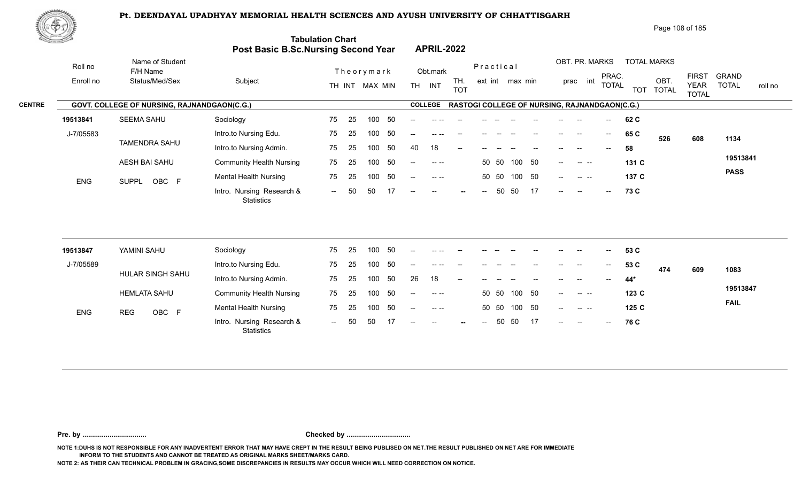

|               | 脚やり        |                                             |                                     |                          |                                                                                                                                                                                                                                                                                                                                                                                                      | Page 108 of 185                                                                                                                                                                         |  |  |  |  |  |  |
|---------------|------------|---------------------------------------------|-------------------------------------|--------------------------|------------------------------------------------------------------------------------------------------------------------------------------------------------------------------------------------------------------------------------------------------------------------------------------------------------------------------------------------------------------------------------------------------|-----------------------------------------------------------------------------------------------------------------------------------------------------------------------------------------|--|--|--|--|--|--|
|               |            |                                             | Post Basic B.Sc.Nursing Second Year | <b>Tabulation Chart</b>  | <b>APRIL-2022</b>                                                                                                                                                                                                                                                                                                                                                                                    |                                                                                                                                                                                         |  |  |  |  |  |  |
|               | Roll no    | Name of Student<br>F/H Name                 |                                     | Theorymark               | Obt.mark                                                                                                                                                                                                                                                                                                                                                                                             | OBT. PR. MARKS<br><b>TOTAL MARKS</b><br>Practical                                                                                                                                       |  |  |  |  |  |  |
|               | Enroll no  | Status/Med/Sex                              | Subject                             | MAX MIN<br>TH INT        | TH.<br><b>TH</b><br>INT<br><b>TOT</b>                                                                                                                                                                                                                                                                                                                                                                | <b>FIRST</b><br><b>GRAND</b><br>PRAC.<br>OBT.<br>int<br>ext int max min<br>prac<br><b>TOTAL</b><br><b>TOTAL</b><br><b>YEAR</b><br>roll no<br><b>TOTAL</b><br><b>TOT</b><br><b>TOTAL</b> |  |  |  |  |  |  |
| <b>CENTRE</b> |            | GOVT. COLLEGE OF NURSING, RAJNANDGAON(C.G.) |                                     |                          | <b>COLLEGE</b>                                                                                                                                                                                                                                                                                                                                                                                       | <b>RASTOGI COLLEGE OF NURSING, RAJNANDGAON(C.G.)</b>                                                                                                                                    |  |  |  |  |  |  |
|               | 19513841   | <b>SEEMA SAHU</b>                           | Sociology                           | - 50<br>75<br>100<br>-25 |                                                                                                                                                                                                                                                                                                                                                                                                      | 62 C                                                                                                                                                                                    |  |  |  |  |  |  |
|               | J-7/05583  |                                             | Intro.to Nursing Edu.               | -50<br>75<br>25<br>100   | $-$                                                                                                                                                                                                                                                                                                                                                                                                  | 65 C<br>$--$<br>$\hspace{0.05cm}$<br>526<br>608<br>1134                                                                                                                                 |  |  |  |  |  |  |
|               |            | <b>TAMENDRA SAHU</b>                        | Intro.to Nursing Admin.             | 50<br>75<br>100<br>-25   | 18<br>40<br>$- -$                                                                                                                                                                                                                                                                                                                                                                                    | 58<br>$- -$                                                                                                                                                                             |  |  |  |  |  |  |
|               |            | AESH BAI SAHU                               | <b>Community Health Nursing</b>     | 50<br>75<br>25<br>100    | $\frac{1}{2} \frac{1}{2} \frac{1}{2} \frac{1}{2} \frac{1}{2} \frac{1}{2} \frac{1}{2} \frac{1}{2} \frac{1}{2} \frac{1}{2} \frac{1}{2} \frac{1}{2} \frac{1}{2} \frac{1}{2} \frac{1}{2} \frac{1}{2} \frac{1}{2} \frac{1}{2} \frac{1}{2} \frac{1}{2} \frac{1}{2} \frac{1}{2} \frac{1}{2} \frac{1}{2} \frac{1}{2} \frac{1}{2} \frac{1}{2} \frac{1}{2} \frac{1}{2} \frac{1}{2} \frac{1}{2} \frac{$<br>$--$ | 19513841<br>50<br>50 50<br>100<br>131 C<br><b>Contract Contract</b><br>$- -$                                                                                                            |  |  |  |  |  |  |
|               | <b>ENG</b> | OBC F<br><b>SUPPL</b>                       | <b>Mental Health Nursing</b>        | 75<br>-50<br>100<br>-25  | $- -$                                                                                                                                                                                                                                                                                                                                                                                                | <b>PASS</b><br>- 50<br>100<br>50 50<br>137 C<br>$--$<br>$\begin{array}{ccc} - & - & - \end{array}$                                                                                      |  |  |  |  |  |  |
|               |            |                                             | Intro. Nursing Research &           | 50<br>50<br>$  \,$       | $--$<br>$\hspace{0.1mm}-\hspace{0.1mm}-\hspace{0.1mm}$<br>$\sim$                                                                                                                                                                                                                                                                                                                                     | 17<br>50<br>50<br>73 C<br>$--$<br>$--$<br>$-$<br>$--$                                                                                                                                   |  |  |  |  |  |  |

| 19513847   | YAMINI SAHU         | Sociology                                      | 75    | 25 | 100 | -50 | $-$            | $--- - - -$              | $\sim$ | $ -$  | $-$   | $\sim$ | $- -$ | $- -$                    | $\overline{\phantom{a}}$                        | $\overline{\phantom{a}}$ | 53 C  |     |     |             |
|------------|---------------------|------------------------------------------------|-------|----|-----|-----|----------------|--------------------------|--------|-------|-------|--------|-------|--------------------------|-------------------------------------------------|--------------------------|-------|-----|-----|-------------|
| J-7/05589  |                     | Intro.to Nursing Edu.                          | 75    | 25 | 100 | 50  | $- -$          |                          |        |       |       |        |       | $- -$                    | --                                              | $- -$                    | 53 C  | 474 | 609 | 1083        |
|            | HULAR SINGH SAHU    | Intro.to Nursing Admin.                        | 75    | 25 | 100 | 50  | 26             | 18                       | $- -$  |       |       |        |       | $- -$                    | --                                              | $- -$                    | $44*$ |     |     |             |
|            | <b>HEMLATA SAHU</b> | <b>Community Health Nursing</b>                | 75    | 25 | 100 | -50 | $--$           | $\sim$ $\sim$            |        |       | 50 50 | 100    | - 50  | $\overline{\phantom{a}}$ | $\begin{array}{ccc} - & - \\ - & - \end{array}$ |                          | 123C  |     |     | 19513847    |
| <b>ENG</b> | OBC F<br><b>REG</b> | <b>Mental Health Nursing</b>                   | 75    | 25 | 100 | 50  | $\overline{a}$ | $-1 - 1 - 1$             |        |       | 50 50 | 100    | -50   | $--$                     | $\begin{array}{ccc} - & - & - \end{array}$      |                          | 125 C |     |     | <b>FAIL</b> |
|            |                     | Intro. Nursing Research &<br><b>Statistics</b> | $- -$ | 50 | 50  |     | $- -$          | $\overline{\phantom{a}}$ | $\sim$ | $- -$ | 50    | -50    | 17    | $- -$                    | $- -$                                           | $\overline{\phantom{a}}$ | 76 C  |     |     |             |

**Pre. by ................................. Checked by .................................**

**NOTE 1:DUHS IS NOT RESPONSIBLE FOR ANY INADVERTENT ERROR THAT MAY HAVE CREPT IN THE RESULT BEING PUBLISED ON NET.THE RESULT PUBLISHED ON NET ARE FOR IMMEDIATE INFORM TO THE STUDENTS AND CANNOT BE TREATED AS ORIGINAL MARKS SHEET/MARKS CARD.**

**NOTE 2: AS THEIR CAN TECHNICAL PROBLEM IN GRACING,SOME DISCREPANCIES IN RESULTS MAY OCCUR WHICH WILL NEED CORRECTION ON NOTICE.**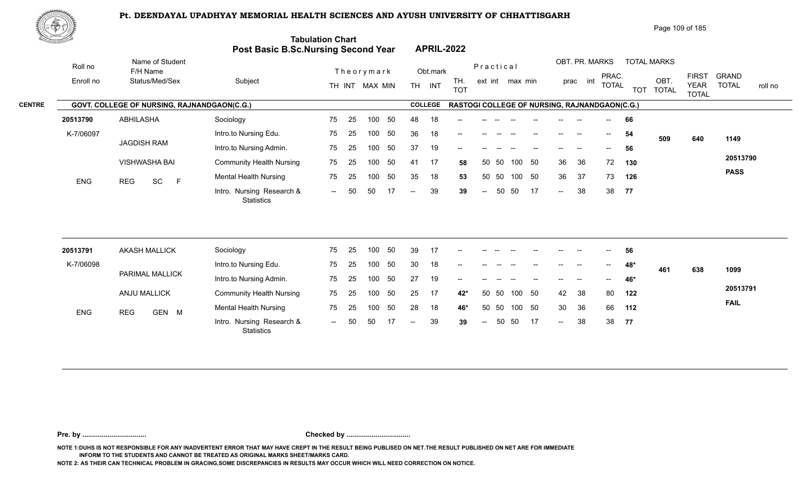

| Page 109 of 185 |  |  |
|-----------------|--|--|
|-----------------|--|--|

| ES LA      |                                             | Post Basic B.Sc.Nursing Second Year            | <b>Tabulation Chart</b> |    |                |    |                          |                | <b>APRIL-2022</b>                             |                          |       |                 |    |        |                |                          |            |                      |                             |                         |
|------------|---------------------------------------------|------------------------------------------------|-------------------------|----|----------------|----|--------------------------|----------------|-----------------------------------------------|--------------------------|-------|-----------------|----|--------|----------------|--------------------------|------------|----------------------|-----------------------------|-------------------------|
| Roll no    | Name of Student<br>F/H Name                 |                                                |                         |    | Theorymark     |    |                          | Obt.mark       |                                               | Practical                |       |                 |    |        | OBT. PR. MARKS | PRAC.                    |            | <b>TOTAL MARKS</b>   | <b>FIRST</b>                | <b>GRAND</b>            |
| Enroll no  | Status/Med/Sex                              | Subject                                        |                         |    | TH INT MAX MIN |    |                          | TH INT         | TH.<br><b>TOT</b>                             |                          |       | ext int max min |    |        | prac int       | <b>TOTAL</b>             | <b>TOT</b> | OBT.<br><b>TOTAL</b> | <b>YEAR</b><br><b>TOTAL</b> | <b>TOTAL</b><br>roll no |
|            | GOVT. COLLEGE OF NURSING, RAJNANDGAON(C.G.) |                                                |                         |    |                |    |                          | <b>COLLEGE</b> | RASTOGI COLLEGE OF NURSING, RAJNANDGAON(C.G.) |                          |       |                 |    |        |                |                          |            |                      |                             |                         |
| 20513790   | <b>ABHILASHA</b>                            | Sociology                                      | 75                      | 25 | 100            | 50 | 48                       | 18             |                                               |                          |       |                 |    |        |                |                          | 66         |                      |                             |                         |
| K-7/06097  |                                             | Intro.to Nursing Edu.                          | 75                      | 25 | 100            | 50 | 36                       | 18             |                                               |                          |       |                 |    |        |                | $\overline{\phantom{a}}$ | 54         | 509                  | 640                         | 1149                    |
|            | <b>JAGDISH RAM</b>                          | Intro.to Nursing Admin.                        | 75                      | 25 | 100            | 50 | 37                       | 19             |                                               |                          |       |                 |    |        |                | $- -$                    | 56         |                      |                             |                         |
|            | VISHWASHA BAI                               | <b>Community Health Nursing</b>                | 75                      | 25 | 100            | 50 | 41                       | 17             | 58                                            |                          | 50 50 | 100             | 50 | 36     | 36             | 72                       | 130        |                      |                             | 20513790                |
| ENG        | SC<br>F<br><b>REG</b>                       | <b>Mental Health Nursing</b>                   | 75                      | 25 | 100            | 50 | 35                       | 18             | 53                                            |                          | 50 50 | 100 50          |    | 36     | 37             | 73                       | 126        |                      |                             | <b>PASS</b>             |
|            |                                             | Intro. Nursing Research &<br>Statistics        | $\sim$                  | 50 | 50             | 17 | $\overline{\phantom{a}}$ | 39             | 39                                            | $\overline{a}$           | 50    | 50              | 17 | $\sim$ | 38             | 38                       | 77         |                      |                             |                         |
|            |                                             |                                                |                         |    |                |    |                          |                |                                               |                          |       |                 |    |        |                |                          |            |                      |                             |                         |
| 20513791   | <b>AKASH MALLICK</b>                        | Sociology                                      | 75                      | 25 | 100            | 50 | 39                       | 17             | --                                            |                          |       |                 |    |        |                |                          | 56         |                      |                             |                         |
| K-7/06098  | PARIMAL MALLICK                             | Intro.to Nursing Edu.                          | 75                      | 25 | 100            | 50 | 30                       | 18             |                                               |                          |       |                 |    |        |                |                          | 48*        | 461                  | 638                         | 1099                    |
|            |                                             | Intro.to Nursing Admin.                        | 75                      | 25 | 100            | 50 | 27                       | 19             |                                               |                          |       |                 |    |        |                |                          | 46*        |                      |                             |                         |
|            | ANJU MALLICK                                | <b>Community Health Nursing</b>                | 75                      | 25 | 100            | 50 | 25                       | 17             | $42*$                                         | 50                       | 50    | 100             | 50 | 42     | 38             | 80                       | 122        |                      |                             | 20513791                |
| <b>ENG</b> | <b>REG</b><br>GEN M                         | <b>Mental Health Nursing</b>                   | 75                      | 25 | 100            | 50 | 28                       | 18             | 46*                                           |                          | 50 50 | 100 50          |    | 30     | 36             | 66                       | 112        |                      |                             | <b>FAIL</b>             |
|            |                                             | Intro. Nursing Research &<br><b>Statistics</b> | $\sim$ $\sim$           | 50 | 50             |    | $\overline{\phantom{a}}$ | 39             | 39                                            | $\overline{\phantom{a}}$ | 50    | 50              | 17 | $\sim$ | 38             | 38                       | 77         |                      |                             |                         |

**Pre. by ................................. Checked by .................................**

**NOTE 1:DUHS IS NOT RESPONSIBLE FOR ANY INADVERTENT ERROR THAT MAY HAVE CREPT IN THE RESULT BEING PUBLISED ON NET.THE RESULT PUBLISHED ON NET ARE FOR IMMEDIATE INFORM TO THE STUDENTS AND CANNOT BE TREATED AS ORIGINAL MARKS SHEET/MARKS CARD.**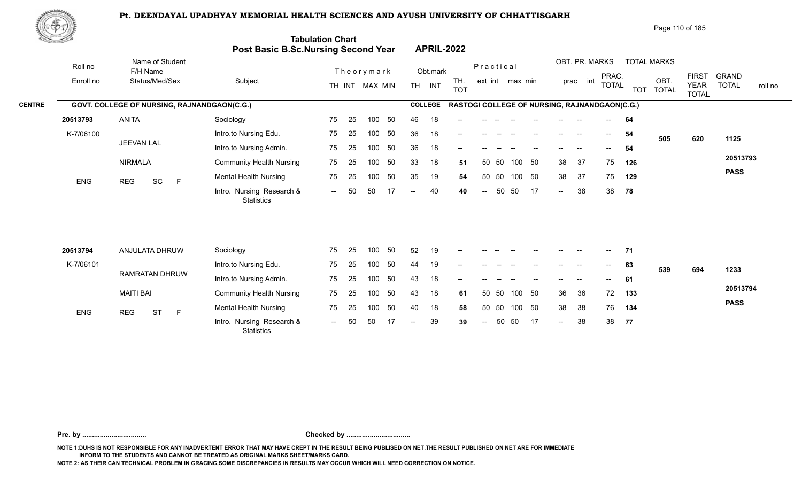العادة العراقية العراقية العراقية العراقية العراقية العراقية العراقية العراقية العراقية العراقية العراقية العر<br>11 -- Intro. Nursing Research & -- 50 50 17 -- 40 40 -- 50 50 17 --

75 25 100 50 35 19 54 -- 50 50 17 -- 40 40

25 75



| W CO                                        |           |                                                    |                         |                                                                       |                                |                 |                                                  |                    | Page 110 of 185             |              |         |
|---------------------------------------------|-----------|----------------------------------------------------|-------------------------|-----------------------------------------------------------------------|--------------------------------|-----------------|--------------------------------------------------|--------------------|-----------------------------|--------------|---------|
| $\mathcal{O}_{\mathcal{M}_1}$ , and we have |           |                                                    |                         | <b>Tabulation Chart</b><br><b>Post Basic B.Sc.Nursing Second Year</b> | <b>APRIL-2022</b>              |                 |                                                  |                    |                             |              |         |
|                                             | Roll no   | Name of Student<br>F/H Name                        |                         | Theorymark                                                            | Obt.mark                       | Practical       | OBT. PR. MARKS<br>PRAC.                          | <b>TOTAL MARKS</b> | <b>FIRST</b>                | <b>GRAND</b> |         |
|                                             | Enroll no | Status/Med/Sex                                     | Subject                 | MAX MIN<br>TH INT                                                     | TH.<br>INT<br>TH<br><b>TOT</b> | ext int max min | int<br>prac<br><b>TOTAL</b>                      | OBT<br>TOT TOTAL   | <b>YEAR</b><br><b>TOTAL</b> | <b>TOTAL</b> | roll no |
| <b>CENTRE</b>                               |           | <b>GOVT. COLLEGE OF NURSING, RAJNANDGAON(C.G.)</b> |                         |                                                                       | <b>COLLEGE</b>                 |                 | RASTOGI COLLEGE OF NURSING, RAJNANDGAON(C.G.)    |                    |                             |              |         |
|                                             | 20513793  | <b>ANITA</b>                                       | Sociology               | 75<br>-50<br>100<br>-25                                               | 18<br>46<br>--                 |                 | --                                               | -64                |                             |              |         |
|                                             | K-7/06100 |                                                    | Intro.to Nursing Edu.   | -50<br>75<br>100<br>-25                                               | 36<br>18<br>--                 |                 | $\sim$<br>$\hspace{0.05cm}$<br>$\hspace{0.05cm}$ | 54<br>505          | 620                         | 1125         |         |
|                                             |           | JEEVAN LAL                                         | Intro.to Nursing Admin. | 75 -<br>-50<br>100<br>- 25                                            | 18<br>36<br>$\hspace{0.05cm}$  |                 | $\hspace{0.05cm}$ – $\hspace{0.05cm}$            | -54                |                             |              |         |

33 18 51

50 50 33 18 **51** 38 37 75 **126** 50 50 35 19 **54** 38 37 75 **129** 40 40 -- 50 50 17 -- 38 38 78

38 37 75 126 38 37 75 129

**78**

**20513793 PASS**

| 20513794   | ANJULATA DHRUW   | Sociology                                      | 75  | 25  | 100 | 50  | 52    | 19 | $- -$                                          | $- -$  |       |        |    | $- -$                    | $- -$ | $\sim$                   | 71  |     |     |             |
|------------|------------------|------------------------------------------------|-----|-----|-----|-----|-------|----|------------------------------------------------|--------|-------|--------|----|--------------------------|-------|--------------------------|-----|-----|-----|-------------|
| K-7/06101  |                  | Intro.to Nursing Edu.                          | 75  | 25  | 100 | 50  | 44    | 19 | $- -$                                          |        |       |        |    | --                       |       | $\overline{\phantom{a}}$ | 63  | 539 | 694 | 1233        |
|            | RAMRATAN DHRUW   | Intro.to Nursing Admin.                        | 75  | 25  | 100 | 50  | 43    | 18 | $\hspace{0.1mm}-\hspace{0.1mm}-\hspace{0.1mm}$ | $- -$  |       |        |    | $---$                    | $- -$ | $\sim$ $\sim$            | 61  |     |     |             |
|            | MAITI BAI        | <b>Community Health Nursing</b>                | 75  | -25 | 100 | -50 | -43   | 18 | 61                                             | 50     | - 50  | 100 50 |    | 36                       | - 36  | 72                       | 133 |     |     | 20513794    |
| <b>ENG</b> | <b>ST</b><br>REG | <b>Mental Health Nursing</b>                   | 75  | -25 | 100 | -50 | 40    | 18 | 58                                             |        | 50 50 | 100 50 |    | 38                       | -38   | 76                       | 134 |     |     | <b>PASS</b> |
|            |                  | Intro. Nursing Research &<br><b>Statistics</b> | $-$ | -50 | 50. | 17  | $- -$ | 39 | 39                                             | $  \,$ | -50   | 50     | 17 | $\overline{\phantom{a}}$ | -38   | 38                       | 77  |     |     |             |

NIRMALA

ENG REG SC F

**Pre. by ................................. Checked by .................................**

**NOTE 1:DUHS IS NOT RESPONSIBLE FOR ANY INADVERTENT ERROR THAT MAY HAVE CREPT IN THE RESULT BEING PUBLISED ON NET.THE RESULT PUBLISHED ON NET ARE FOR IMMEDIATE INFORM TO THE STUDENTS AND CANNOT BE TREATED AS ORIGINAL MARKS SHEET/MARKS CARD.**

**NOTE 2: AS THEIR CAN TECHNICAL PROBLEM IN GRACING,SOME DISCREPANCIES IN RESULTS MAY OCCUR WHICH WILL NEED CORRECTION ON NOTICE.**

**Statistics** 

REG SC F<sup>Mental Health Nursing</sup> 75 25

Community Health Nursing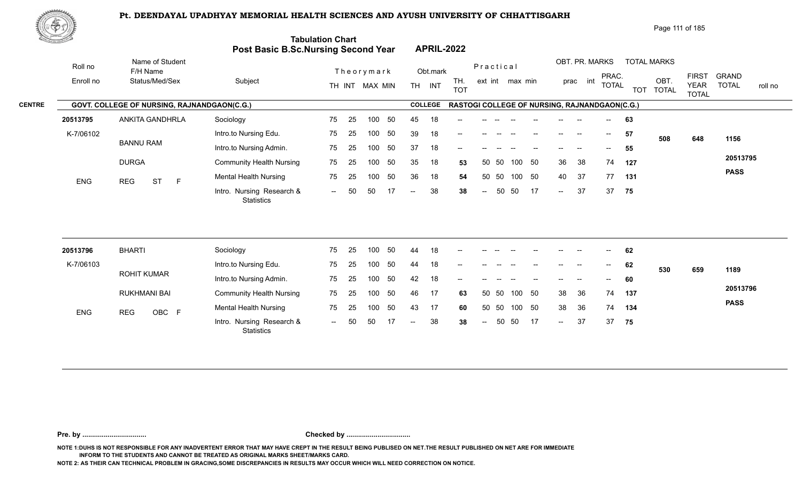

|               | 政学の        |                                             |                                                |                         |                                       |                                                      | Page 111 of 185                                           |                                                                                        |
|---------------|------------|---------------------------------------------|------------------------------------------------|-------------------------|---------------------------------------|------------------------------------------------------|-----------------------------------------------------------|----------------------------------------------------------------------------------------|
|               |            |                                             | <b>Post Basic B.Sc.Nursing Second Year</b>     | <b>Tabulation Chart</b> | <b>APRIL-2022</b>                     |                                                      |                                                           |                                                                                        |
|               | Roll no    | Name of Student<br>F/H Name                 |                                                | Theorymark              | Obt.mark                              | Practical                                            | OBT. PR. MARKS<br><b>TOTAL MARKS</b>                      |                                                                                        |
|               | Enroll no  | Status/Med/Sex                              | Subject                                        | TH INT MAX MIN          | TH.<br><b>TH</b><br>INT<br><b>TOT</b> | ext int max min                                      | PRAC.<br>OBT.<br>int<br>prac<br><b>TOTAL</b><br>TOT TOTAL | <b>FIRST</b><br><b>GRAND</b><br><b>TOTAL</b><br><b>YEAR</b><br>roll no<br><b>TOTAL</b> |
| <b>CENTRE</b> |            | GOVT. COLLEGE OF NURSING, RAJNANDGAON(C.G.) |                                                |                         | <b>COLLEGE</b>                        | <b>RASTOGI COLLEGE OF NURSING, RAJNANDGAON(C.G.)</b> |                                                           |                                                                                        |
|               | 20513795   | ANKITA GANDHRLA                             | Sociology                                      | 25<br>50<br>75<br>100   | 45<br>18<br>$\qquad \qquad -$         |                                                      | 63<br>$\overline{\phantom{a}}$                            |                                                                                        |
|               | K-7/06102  |                                             | Intro.to Nursing Edu.                          | 25<br>50<br>75<br>100   | 39<br>18<br>$--$                      |                                                      | 57<br>--<br>$\overline{\phantom{a}}$<br>508               | 1156<br>648                                                                            |
|               |            | <b>BANNU RAM</b>                            | Intro.to Nursing Admin.                        | 50<br>25<br>75<br>100   | 37<br>18<br>$--$                      |                                                      | 55<br>$- -$                                               |                                                                                        |
|               |            | <b>DURGA</b>                                | <b>Community Health Nursing</b>                | 50<br>75<br>25<br>100   | 35<br>18<br>53                        | 50 50<br>- 50<br>100                                 | 38<br>36<br>74<br>127                                     | 20513795                                                                               |
|               | <b>ENG</b> | <b>ST</b><br><b>REG</b><br>E                | <b>Mental Health Nursing</b>                   | 50<br>75<br>25<br>100   | 36<br>18<br>54                        | 50 50<br>- 50<br>100                                 | 37<br>77<br>40<br>131                                     | <b>PASS</b>                                                                            |
|               |            |                                             | Intro. Nursing Research &<br><b>Statistics</b> | 50<br>50<br>17<br>$-$   | 38<br>38<br>$--$                      | 50<br>50<br>17<br>$\sim$                             | 37<br>37<br>75<br>$\sim$                                  |                                                                                        |

| 20513796   | <b>BHARTI</b>       | Sociology                                      | 75                       | -25  | 100 | 50  | 44            | 18 | $- -$ | --     |    |        |    | $- -$  | $- -$ | $\overline{\phantom{a}}$ | 62  |     |     |             |
|------------|---------------------|------------------------------------------------|--------------------------|------|-----|-----|---------------|----|-------|--------|----|--------|----|--------|-------|--------------------------|-----|-----|-----|-------------|
| K-7/06103  |                     | Intro.to Nursing Edu.                          | 75                       | -25  | 100 | 50  | 44            | 18 | $-$   |        |    |        |    | --     |       | $\overline{\phantom{a}}$ | 62  | 530 | 659 | 1189        |
|            | ROHIT KUMAR         | Intro.to Nursing Admin.                        | 75                       | -25  | 100 | -50 | 42            | 18 | $-$   |        |    |        |    | $- -$  | $- -$ | $--$                     | 60  |     |     |             |
|            | RUKHMANI BAI        | <b>Community Health Nursing</b>                | 75                       | - 25 | 100 | 50  | 46            | 17 | 63    | 50 50  |    | 100 50 |    | 38     | -36   | 74                       | 137 |     |     | 20513796    |
| <b>ENG</b> | OBC F<br><b>REG</b> | <b>Mental Health Nursing</b>                   | 75                       | 25   | 100 | -50 | 43            | 17 | 60    | 50 50  |    | 100 50 |    | 38     | -36   | 74                       | 134 |     |     | <b>PASS</b> |
|            |                     | Intro. Nursing Research &<br><b>Statistics</b> | $\overline{\phantom{a}}$ | 50   | -50 |     | $\sim$ $\sim$ | 38 | 38    | $\sim$ | 50 | - 50   | 17 | $\sim$ | 37    | 37                       | 75  |     |     |             |

**Pre. by ................................. Checked by .................................**

**NOTE 1:DUHS IS NOT RESPONSIBLE FOR ANY INADVERTENT ERROR THAT MAY HAVE CREPT IN THE RESULT BEING PUBLISED ON NET.THE RESULT PUBLISHED ON NET ARE FOR IMMEDIATE INFORM TO THE STUDENTS AND CANNOT BE TREATED AS ORIGINAL MARKS SHEET/MARKS CARD.**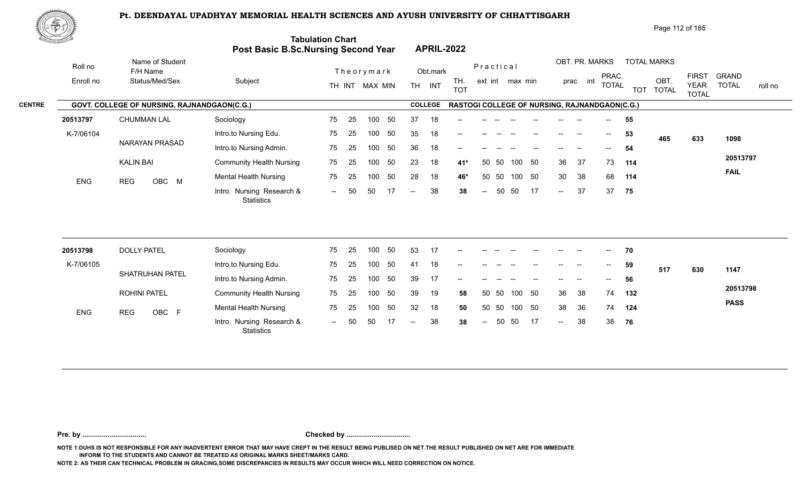

|               | 政学の        |                                             |                                                |                         |    |                   |                   |                                                      |     |      |        |                |                                       |     | Page 112 of 185    |                                             |                              |         |
|---------------|------------|---------------------------------------------|------------------------------------------------|-------------------------|----|-------------------|-------------------|------------------------------------------------------|-----|------|--------|----------------|---------------------------------------|-----|--------------------|---------------------------------------------|------------------------------|---------|
|               |            |                                             | <b>Post Basic B.Sc.Nursing Second Year</b>     | <b>Tabulation Chart</b> |    | <b>APRIL-2022</b> |                   |                                                      |     |      |        |                |                                       |     |                    |                                             |                              |         |
|               | Roll no    | Name of Student<br>F/H Name                 |                                                | Theorymark              |    | Obt.mark          |                   | Practical                                            |     |      |        | OBT. PR. MARKS |                                       |     | <b>TOTAL MARKS</b> |                                             |                              |         |
|               | Enroll no  | Status/Med/Sex                              | Subject                                        | TH INT MAX MIN          |    | <b>TH</b><br>INT  | TH.<br><b>TOT</b> | ext int max min                                      |     |      | prac   | int            | PRAC.<br><b>TOTAL</b>                 |     | OBT.<br>TOT TOTAL  | <b>FIRST</b><br><b>YEAR</b><br><b>TOTAL</b> | <b>GRAND</b><br><b>TOTAL</b> | roll no |
| <b>CENTRE</b> |            | GOVT. COLLEGE OF NURSING, RAJNANDGAON(C.G.) |                                                |                         |    | <b>COLLEGE</b>    |                   | <b>RASTOGI COLLEGE OF NURSING, RAJNANDGAON(C.G.)</b> |     |      |        |                |                                       |     |                    |                                             |                              |         |
|               | 20513797   | <b>CHUMMAN LAL</b>                          | Sociology                                      | 25<br>75<br>100         | 50 | 37<br>18          | $\qquad \qquad -$ |                                                      |     |      |        |                | $\overline{\phantom{a}}$              | 55  |                    |                                             |                              |         |
|               | K-7/06104  |                                             | Intro.to Nursing Edu.                          | 25<br>75<br>100         | 50 | 35<br>18          | $--$              |                                                      |     |      |        | --             | $\overline{\phantom{a}}$              | 53  | 465                | 633                                         | 1098                         |         |
|               |            | NARAYAN PRASAD                              | Intro.to Nursing Admin.                        | 25<br>75<br>100         | 50 | 36<br>18          | $--$              |                                                      |     |      |        |                | $\hspace{0.05cm}$ – $\hspace{0.05cm}$ | 54  |                    |                                             |                              |         |
|               |            | <b>KALIN BAI</b>                            | <b>Community Health Nursing</b>                | 75<br>25<br>100         | 50 | 23<br>18          | $41*$             | 50 50                                                | 100 | - 50 | 36     | 37             | 73                                    | 114 |                    |                                             | 20513797                     |         |
|               | <b>ENG</b> | OBC M<br><b>REG</b>                         | <b>Mental Health Nursing</b>                   | 75<br>25<br>100         | 50 | 28<br>18          | 46*               | 50 50                                                | 100 | - 50 | 30     | 38             | 68                                    | 114 |                    |                                             | <b>FAIL</b>                  |         |
|               |            |                                             | Intro. Nursing Research &<br><b>Statistics</b> | 50<br>50<br>$-$         | 17 | 38<br>$--$        | 38                | 50<br>$\sim$                                         | 50  | 17   | $\sim$ | 37             | 37                                    | 75  |                    |                                             |                              |         |

| 20513798   | <b>DOLLY PATEL</b>     | Sociology                                      | 75     | -25 | 100 | 50  | 53     |    | $\sim$                   | $- -$                    |       | $\hspace{0.1mm}-\hspace{0.1mm}-\hspace{0.1mm}$ | $\hspace{0.05cm}$ – $\hspace{0.05cm}$ | $- -$                    | $- -$                    | $  \,$                                         | 70  |     |     |             |
|------------|------------------------|------------------------------------------------|--------|-----|-----|-----|--------|----|--------------------------|--------------------------|-------|------------------------------------------------|---------------------------------------|--------------------------|--------------------------|------------------------------------------------|-----|-----|-----|-------------|
| K-7/06105  |                        | Intro.to Nursing Edu.                          | 75     | -25 | 100 | 50  | 41     | 18 | $\sim$                   | $\overline{\phantom{a}}$ |       |                                                | $\hspace{0.05cm}$ – $\hspace{0.05cm}$ | $\overline{\phantom{a}}$ | $\overline{\phantom{a}}$ | $\mathcal{L}(\mathcal{L})$                     | 59  | 517 | 630 | 1147        |
|            | <b>SHATRUHAN PATEL</b> | Intro.to Nursing Admin.                        | 75     | -25 | 100 | -50 | 39     | 17 | $\overline{\phantom{a}}$ |                          |       |                                                |                                       | $\qquad \qquad -$        | $- -$                    | $\hspace{0.1mm}-\hspace{0.1mm}-\hspace{0.1mm}$ | 56  |     |     |             |
|            | <b>ROHINI PATEL</b>    | <b>Community Health Nursing</b>                | 75     | -25 | 100 | 50  | 39     | 19 | 58                       |                          | 50 50 | 100 50                                         |                                       | 36                       | -38                      | 74                                             | 132 |     |     | 20513798    |
| <b>ENG</b> | OBC F<br>REG           | <b>Mental Health Nursing</b>                   | 75     | -25 | 100 | 50  | 32     | 18 | 50                       |                          | 50 50 | 100 50                                         |                                       | -38                      | - 36                     | 74                                             | 124 |     |     | <b>PASS</b> |
|            |                        | Intro. Nursing Research &<br><b>Statistics</b> | $\sim$ | 50  | 50  |     | $  \,$ | 38 | 38                       | $  \,$                   |       | 50 50                                          | 17                                    | $\sim$                   | 38                       | 38                                             | 76  |     |     |             |

**Pre. by ................................. Checked by .................................**

**NOTE 1:DUHS IS NOT RESPONSIBLE FOR ANY INADVERTENT ERROR THAT MAY HAVE CREPT IN THE RESULT BEING PUBLISED ON NET.THE RESULT PUBLISHED ON NET ARE FOR IMMEDIATE INFORM TO THE STUDENTS AND CANNOT BE TREATED AS ORIGINAL MARKS SHEET/MARKS CARD.**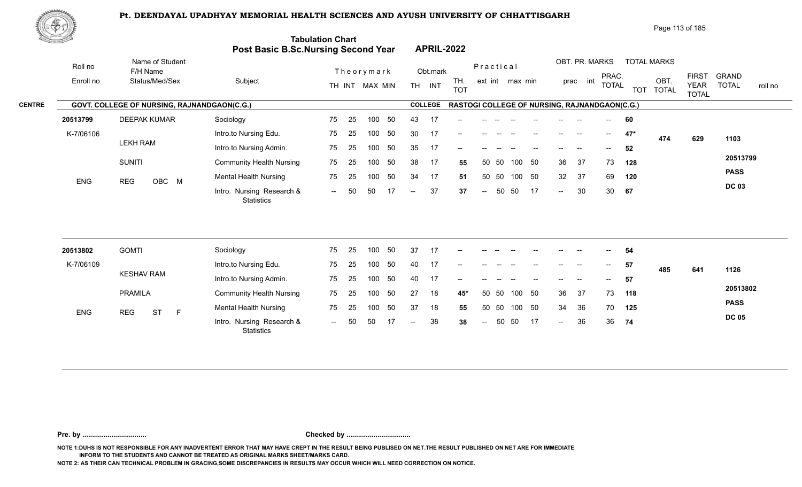

| Page 113 of 185 |
|-----------------|
|-----------------|

| <u>tan yana da</u> |                                             | Post Basic B.Sc.Nursing Second Year            | <b>Tabulation Chart</b> |    |                |     |                 |                | <b>APRIL-2022</b>                             |                          |       |                 |     |                          |                          |              |            |                      |                             |                         |
|--------------------|---------------------------------------------|------------------------------------------------|-------------------------|----|----------------|-----|-----------------|----------------|-----------------------------------------------|--------------------------|-------|-----------------|-----|--------------------------|--------------------------|--------------|------------|----------------------|-----------------------------|-------------------------|
| Roll no            | Name of Student<br>F/H Name                 |                                                |                         |    | Theorymark     |     |                 | Obt.mark       |                                               | Practical                |       |                 |     |                          | OBT. PR. MARKS           | PRAC.        |            | <b>TOTAL MARKS</b>   | <b>FIRST</b>                | <b>GRAND</b>            |
| Enroll no          | Status/Med/Sex                              | Subject                                        |                         |    | TH INT MAX MIN |     | TH <sub>1</sub> | INT            | TH.<br><b>TOT</b>                             |                          |       | ext int max min |     |                          | int<br>prac              | <b>TOTAL</b> | <b>TOT</b> | OBT.<br><b>TOTAL</b> | <b>YEAR</b><br><b>TOTAL</b> | <b>TOTAL</b><br>roll no |
|                    | GOVT. COLLEGE OF NURSING, RAJNANDGAON(C.G.) |                                                |                         |    |                |     |                 | <b>COLLEGE</b> | RASTOGI COLLEGE OF NURSING, RAJNANDGAON(C.G.) |                          |       |                 |     |                          |                          |              |            |                      |                             |                         |
| 20513799           | <b>DEEPAK KUMAR</b>                         | Sociology                                      | 75                      | 25 | 100            | 50  | 43              | 17             |                                               |                          |       |                 |     |                          |                          |              | 60         |                      |                             |                         |
| K-7/06106          |                                             | Intro.to Nursing Edu.                          | 75                      | 25 | 100            | 50  | 30              | -17            | --                                            |                          |       |                 |     | $--$                     | --                       | $--$         | $47*$      | 474                  | 629                         | 1103                    |
|                    | <b>LEKH RAM</b>                             | Intro.to Nursing Admin.                        | 75                      | 25 | 100            | 50  | 35              | 17             |                                               |                          |       |                 |     |                          |                          |              | 52         |                      |                             |                         |
|                    | <b>SUNITI</b>                               | <b>Community Health Nursing</b>                | 75                      | 25 | 100            | 50  | 38              | 17             | 55                                            | 50                       | 50    | 100             | 50  | 36                       | 37                       | 73           | 128        |                      |                             | 20513799                |
| <b>ENG</b>         | <b>REG</b><br>OBC M                         | <b>Mental Health Nursing</b>                   | 75                      | 25 | 100            | 50  | 34              | 17             | 51                                            | 50                       | 50    | 100 50          |     | 32                       | 37                       | 69           | 120        |                      |                             | <b>PASS</b>             |
|                    |                                             | Intro. Nursing Research &<br><b>Statistics</b> | $  \,$                  | 50 | 50             | -17 | $-$             | 37             | 37                                            | $\overline{\phantom{a}}$ | 50    | 50              | 17  | $\sim$                   | 30                       | 30           | 67         |                      |                             | <b>DC 03</b>            |
|                    |                                             |                                                |                         |    |                |     |                 |                |                                               |                          |       |                 |     |                          |                          |              |            |                      |                             |                         |
| 20513802           | <b>GOMTI</b>                                | Sociology                                      | 75                      | 25 | 100            | 50  | 37              | -17            |                                               |                          |       |                 |     |                          |                          |              | 54         |                      |                             |                         |
| K-7/06109          |                                             | Intro.to Nursing Edu.                          | 75                      | 25 | 100            | 50  | 40              | 17             | --                                            |                          |       |                 |     | $\overline{\phantom{a}}$ | $\overline{\phantom{a}}$ | $--$         | 57         | 485                  | 641                         | 1126                    |
|                    | <b>KESHAV RAM</b>                           | Intro.to Nursing Admin.                        | 75                      | 25 | 100            | 50  | 40              | 17             | --                                            |                          |       |                 |     |                          |                          | $--$         | 57         |                      |                             |                         |
|                    | <b>PRAMILA</b>                              | <b>Community Health Nursing</b>                | 75                      | 25 | 100            | 50  | 27              | 18             | $45*$                                         |                          | 50 50 | 100 50          |     | 36                       | 37                       | 73           | 118        |                      |                             | 20513802                |
| ENG                | <b>ST</b><br><b>REG</b><br>$\mathsf{F}$     | <b>Mental Health Nursing</b>                   | 75                      | 25 | 100            | 50  | 37              | 18             | 55                                            |                          | 50 50 | 100 50          |     | 34                       | 36                       | 70           | 125        |                      |                             | <b>PASS</b>             |
|                    |                                             | Intro. Nursing Research &<br><b>Statistics</b> | $--$                    | 50 | 50             |     |                 | 38             | 38                                            | $\overline{\phantom{a}}$ | 50    | 50              | -17 | $-$                      | 36                       | 36           | 74         |                      |                             | <b>DC 05</b>            |

**Pre. by ................................. Checked by .................................**

**NOTE 1:DUHS IS NOT RESPONSIBLE FOR ANY INADVERTENT ERROR THAT MAY HAVE CREPT IN THE RESULT BEING PUBLISED ON NET.THE RESULT PUBLISHED ON NET ARE FOR IMMEDIATE INFORM TO THE STUDENTS AND CANNOT BE TREATED AS ORIGINAL MARKS SHEET/MARKS CARD.**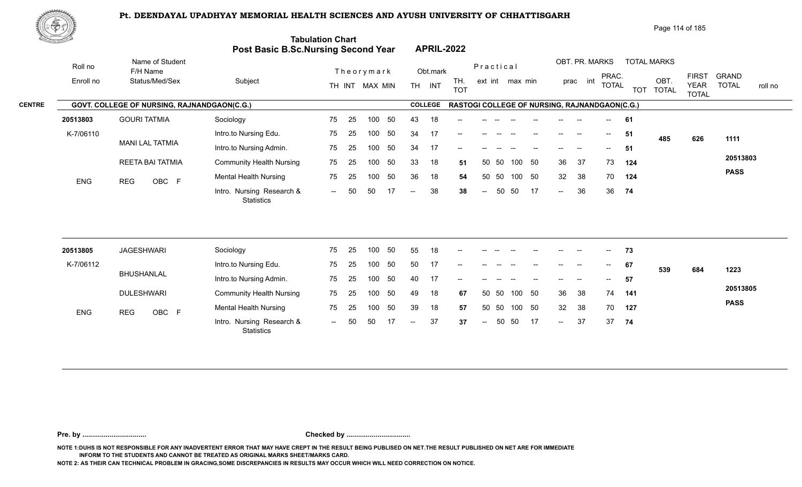

|               | .@���      |                                             |                                            |                         |                                       |                          | Page 114 of 185                                          |                                                                                        |
|---------------|------------|---------------------------------------------|--------------------------------------------|-------------------------|---------------------------------------|--------------------------|----------------------------------------------------------|----------------------------------------------------------------------------------------|
|               |            |                                             | <b>Post Basic B.Sc.Nursing Second Year</b> | <b>Tabulation Chart</b> | <b>APRIL-2022</b>                     |                          |                                                          |                                                                                        |
|               | Roll no    | Name of Student<br>F/H Name                 |                                            | Theorymark              | Obt.mark                              | Practical                | OBT. PR. MARKS<br><b>TOTAL MARKS</b>                     |                                                                                        |
|               | Enroll no  | Status/Med/Sex                              | Subject                                    | TH INT MAX MIN          | TH.<br><b>TH</b><br>INT<br><b>TOT</b> | ext int max min          | PRAC.<br>int<br>OBT<br>prac<br><b>TOTAL</b><br>TOT TOTAL | <b>FIRST</b><br><b>GRAND</b><br><b>TOTAL</b><br><b>YEAR</b><br>roll no<br><b>TOTAL</b> |
| <b>CENTRE</b> |            | GOVT. COLLEGE OF NURSING, RAJNANDGAON(C.G.) |                                            |                         | <b>COLLEGE</b>                        |                          | RASTOGI COLLEGE OF NURSING, RAJNANDGAON(C.G.)            |                                                                                        |
|               | 20513803   | <b>GOURI TATMIA</b>                         | Sociology                                  | 50<br>75<br>-25<br>100  | 43<br>18<br>$-$                       |                          | 61<br>$-$                                                |                                                                                        |
|               | K-7/06110  |                                             | Intro.to Nursing Edu.                      | 50<br>75<br>25<br>100   | 34<br>17<br>$\qquad \qquad -$         | $- -$                    | 51<br>$--$<br>$--$<br>--<br>485                          | 626<br>1111                                                                            |
|               |            | <b>MANI LAL TATMIA</b>                      | Intro.to Nursing Admin.                    | 75<br>-50<br>25<br>100  | 34<br>17<br>$\qquad \qquad -$         |                          | 51<br>$- -$<br>--                                        |                                                                                        |
|               |            | REETA BAI TATMIA                            | <b>Community Health Nursing</b>            | 50<br>75<br>25<br>100   | 33<br>18<br>51                        | 50<br>50 50<br>100       | 36<br>37<br>73<br>124                                    | 20513803                                                                               |
|               | <b>ENG</b> | OBC F<br><b>REG</b>                         | Mental Health Nursing                      | 75<br>50<br>25<br>100   | 36<br>18<br>54                        | 50<br>100<br>50<br>50    | 38<br>32<br>70<br>124                                    | <b>PASS</b>                                                                            |
|               |            |                                             | Intro. Nursing Research &<br>Statistics    | 17<br>50<br>50<br>$-$   | 38<br>38<br>$--$                      | 50<br>17<br>50<br>$\sim$ | 36<br>36 74<br>$\sim$                                    |                                                                                        |
|               |            |                                             |                                            |                         |                                       |                          |                                                          |                                                                                        |

| 20513805   | JAGESHWARI        | Sociology                                      | 75     | -25 | 100 | 50  | 55   | 18 | $- -$ |            |       |        |    | $- -$  | $- -$ | $--$ | 73  |     |     |             |
|------------|-------------------|------------------------------------------------|--------|-----|-----|-----|------|----|-------|------------|-------|--------|----|--------|-------|------|-----|-----|-----|-------------|
| K-7/06112  |                   | Intro.to Nursing Edu.                          | 75     | 25  | 100 | 50  | 50   | 17 | $- -$ |            |       |        |    |        |       | $--$ | 67  | 539 | 684 | 1223        |
|            | BHUSHANLAL        | Intro.to Nursing Admin.                        | 75     | 25  | 100 | 50  | 40   | 17 | $- -$ | --         |       |        |    | $- -$  | $- -$ | $--$ | 57  |     |     |             |
|            | <b>DULESHWARI</b> | <b>Community Health Nursing</b>                | 75     | -25 | 100 | -50 | 49   | 18 | 67    | 50 50      |       | 100 50 |    | 36     | -38   | 74   | 141 |     |     | 20513805    |
| <b>ENG</b> | OBC F<br>REG      | <b>Mental Health Nursing</b>                   | 75     | -25 | 100 | 50  | 39   | 18 | 57    | 50 50      |       | 100 50 |    | 32     | -38   | 70   | 127 |     |     | <b>PASS</b> |
|            |                   | Intro. Nursing Research &<br><b>Statistics</b> | $\sim$ | 50  | 50  |     | $--$ | 37 | 37    | $\sim$ $-$ | 50 50 |        | 17 | $\sim$ | 37    | 37   | 74  |     |     |             |

**Pre. by ................................. Checked by .................................**

**NOTE 1:DUHS IS NOT RESPONSIBLE FOR ANY INADVERTENT ERROR THAT MAY HAVE CREPT IN THE RESULT BEING PUBLISED ON NET.THE RESULT PUBLISHED ON NET ARE FOR IMMEDIATE INFORM TO THE STUDENTS AND CANNOT BE TREATED AS ORIGINAL MARKS SHEET/MARKS CARD.**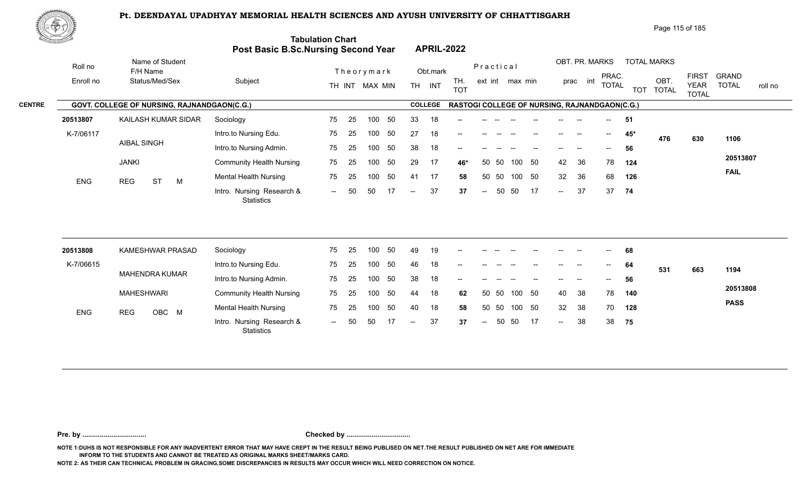

| 心やり           |            |                                             |                                            |                          |                                                          | Page 115 of 185                                                                                                                                                      |
|---------------|------------|---------------------------------------------|--------------------------------------------|--------------------------|----------------------------------------------------------|----------------------------------------------------------------------------------------------------------------------------------------------------------------------|
|               |            |                                             | <b>Post Basic B.Sc.Nursing Second Year</b> | <b>Tabulation Chart</b>  | <b>APRIL-2022</b>                                        |                                                                                                                                                                      |
|               | Roll no    | Name of Student<br>F/H Name                 |                                            | Theorymark               | Practical<br>Obt.mark                                    | OBT. PR. MARKS<br><b>TOTAL MARKS</b>                                                                                                                                 |
|               | Enroll no  | Status/Med/Sex                              | Subject                                    | TH INT MAX MIN           | TH.<br>ext int max min<br><b>TH</b><br>INT<br><b>TOT</b> | <b>FIRST</b><br><b>GRAND</b><br>PRAC.<br>int<br>OBT.<br>prac<br><b>TOTAL</b><br><b>TOTAL</b><br><b>YEAR</b><br>roll no<br><b>TOT</b><br><b>TOTAL</b><br><b>TOTAL</b> |
| <b>CENTRE</b> |            | GOVT. COLLEGE OF NURSING, RAJNANDGAON(C.G.) |                                            |                          | <b>COLLEGE</b>                                           | <b>RASTOGI COLLEGE OF NURSING, RAJNANDGAON(C.G.)</b>                                                                                                                 |
|               | 20513807   | KAILASH KUMAR SIDAR                         | Sociology                                  | 75<br>50<br>-25<br>100   | 18<br>33<br>$- -$                                        | -51<br>$--$                                                                                                                                                          |
|               | K-7/06117  |                                             | Intro.to Nursing Edu.                      | 75<br>50<br>-25<br>100   | 27<br>18<br>--                                           | $45*$<br>$\sim$<br>--<br>476<br>630<br>1106                                                                                                                          |
|               |            | <b>AIBAL SINGH</b>                          | Intro.to Nursing Admin.                    | -50<br>75<br>-25<br>100  | 38<br>18<br>$- -$                                        | 56                                                                                                                                                                   |
|               |            | <b>JANKI</b>                                | <b>Community Health Nursing</b>            | 50<br>75<br>25<br>100    | 29<br>17<br>- 50<br>50 50<br>100<br>46*                  | 20513807<br>36<br>42<br>78<br>124                                                                                                                                    |
|               | <b>ENG</b> | <b>ST</b><br>REG<br>M                       | <b>Mental Health Nursing</b>               | 50<br>75<br>100<br>25    | 17<br>50<br>100<br>50<br>41<br>50<br>58                  | <b>FAIL</b><br>36<br>68<br>32<br>126                                                                                                                                 |
|               |            |                                             | Intro. Nursing Research &                  | 17<br>50<br>50<br>$  \,$ | 37<br>17<br>- 50<br>50<br>37<br>$  \,$<br>$\sim$ $-$     | 37<br>37<br>74<br>$\sim$                                                                                                                                             |

| 20513808  |            | KAMESHWAR PRASAD | Sociology                                      | 75   | 25 | 100 | -50 | 49                                    | 19 | $\overline{\phantom{a}}$ | $--$  | $- -$ | $- -$  | $- -$ | $- -$                    | $- -$ | $\sim$                   | 68  |     |     |             |
|-----------|------------|------------------|------------------------------------------------|------|----|-----|-----|---------------------------------------|----|--------------------------|-------|-------|--------|-------|--------------------------|-------|--------------------------|-----|-----|-----|-------------|
| K-7/06615 |            |                  | Intro.to Nursing Edu.                          | 75   | 25 | 100 | -50 | 46                                    | 18 | $\overline{\phantom{a}}$ |       |       |        |       | $- -$                    |       | $\overline{\phantom{m}}$ | 64  | 531 | 663 | 1194        |
|           |            | MAHENDRA KUMAR   | Intro.to Nursing Admin.                        | 75   | 25 | 100 | -50 | 38                                    | 18 | $- -$                    |       |       |        |       | --                       |       | $\overline{\phantom{a}}$ | 56  |     |     |             |
|           | MAHESHWARI |                  | <b>Community Health Nursing</b>                | 75   | 25 | 100 | -50 | 44                                    | 18 | 62                       | 50 50 |       | 100 50 |       | 40                       | -38   | 78                       | 140 |     |     | 20513808    |
| ENG       | <b>REG</b> | OBC M            | <b>Mental Health Nursing</b>                   | 75   | 25 | 100 | 50  | 40                                    | 18 | 58                       | 50 50 |       | 100 50 |       | 32                       | -38   | 70                       | 128 |     |     | <b>PASS</b> |
|           |            |                  | Intro. Nursing Research &<br><b>Statistics</b> | $ -$ | 50 | 50  |     | $\hspace{0.05cm}$ – $\hspace{0.05cm}$ | 37 | 37                       | $--$  | 50 50 |        | 17    | $\overline{\phantom{a}}$ | 38    | 38                       | 75  |     |     |             |

**Pre. by ................................. Checked by .................................**

**NOTE 1:DUHS IS NOT RESPONSIBLE FOR ANY INADVERTENT ERROR THAT MAY HAVE CREPT IN THE RESULT BEING PUBLISED ON NET.THE RESULT PUBLISHED ON NET ARE FOR IMMEDIATE INFORM TO THE STUDENTS AND CANNOT BE TREATED AS ORIGINAL MARKS SHEET/MARKS CARD.**

**NOTE 2: AS THEIR CAN TECHNICAL PROBLEM IN GRACING,SOME DISCREPANCIES IN RESULTS MAY OCCUR WHICH WILL NEED CORRECTION ON NOTICE.**

Statistics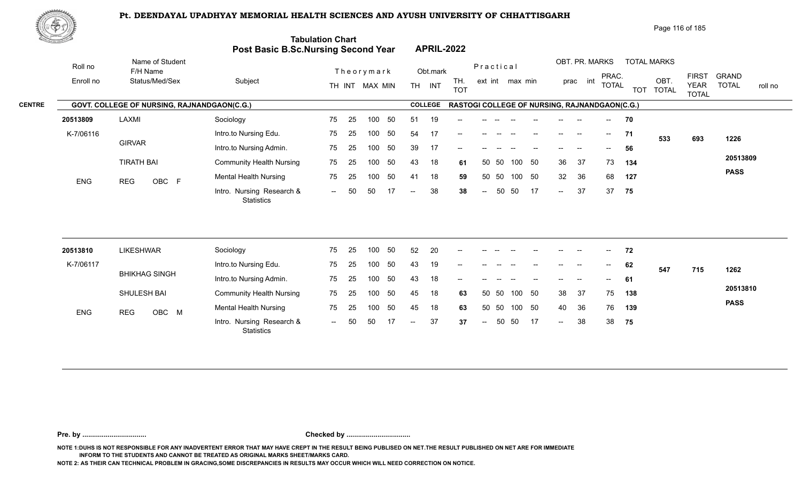

|               | 政学の        |                                             |                                            |                               |                                           | Page 116 of 185                                                                                                                                                        |
|---------------|------------|---------------------------------------------|--------------------------------------------|-------------------------------|-------------------------------------------|------------------------------------------------------------------------------------------------------------------------------------------------------------------------|
|               |            |                                             | <b>Post Basic B.Sc.Nursing Second Year</b> | <b>Tabulation Chart</b>       | <b>APRIL-2022</b>                         |                                                                                                                                                                        |
|               | Roll no    | Name of Student<br>F/H Name                 |                                            | Theorymark                    | Practical<br>Obt.mark                     | OBT. PR. MARKS<br><b>TOTAL MARKS</b>                                                                                                                                   |
|               | Enroll no  | Status/Med/Sex                              | Subject                                    | TH INT MAX MIN                | TH.<br><b>TH</b><br>INT<br><b>TOT</b>     | <b>GRAND</b><br><b>FIRST</b><br>PRAC.<br>OBT.<br>int<br>ext int max min<br>prac<br><b>TOTAL</b><br><b>TOTAL</b><br><b>YEAR</b><br>roll no<br>TOT TOTAL<br><b>TOTAL</b> |
| <b>CENTRE</b> |            | GOVT. COLLEGE OF NURSING, RAJNANDGAON(C.G.) |                                            |                               | <b>COLLEGE</b>                            | <b>RASTOGI COLLEGE OF NURSING, RAJNANDGAON(C.G.)</b>                                                                                                                   |
|               | 20513809   | LAXMI                                       | Sociology                                  | 50<br>75<br>-25<br>100        | 19<br>51<br>$-$                           | 70<br>$- -$                                                                                                                                                            |
|               | K-7/06116  |                                             | Intro.to Nursing Edu.                      | 75<br>-25<br>50<br>100        | 54<br>17<br>--                            | 71<br>$--$<br>--<br>533<br>1226<br>693                                                                                                                                 |
|               |            | <b>GIRVAR</b>                               | Intro.to Nursing Admin.                    | 75<br>-50<br>25<br>100        | 39<br>17<br>--                            | 56                                                                                                                                                                     |
|               |            | <b>TIRATH BAI</b>                           | <b>Community Health Nursing</b>            | 75<br>50<br>25<br>100         | 43<br>18<br>50 50<br>61                   | 20513809<br>37<br>50<br>36<br>73<br>100<br>134                                                                                                                         |
|               | <b>ENG</b> | OBC F<br><b>REG</b>                         | <b>Mental Health Nursing</b>               | 50<br>75<br>100<br>25         | 41<br>18<br>50 50<br>59                   | <b>PASS</b><br>32<br>36<br>68<br>100<br>50<br>127                                                                                                                      |
|               |            |                                             | Intro. Nursing Research &<br>Statistics    | 17<br>-50<br>50<br>$\sim$ $-$ | 38<br>50<br>38<br>$\sim$ $\sim$<br>$\sim$ | 37<br>17<br>37<br>50<br>75<br>$--$                                                                                                                                     |

| 20513810   | <b>LIKESHWAR</b>     | Sociology                                      | 75  | 25  | 100 | 50  | 52    | 20 | $\overline{\phantom{a}}$ | $- -$                    | $- -$                    | $- -$  | $-$                                   | $-$                      | $--$   | $\sim$ $\sim$             | 72  |     |     |             |
|------------|----------------------|------------------------------------------------|-----|-----|-----|-----|-------|----|--------------------------|--------------------------|--------------------------|--------|---------------------------------------|--------------------------|--------|---------------------------|-----|-----|-----|-------------|
| K-7/06117  |                      | Intro.to Nursing Edu.                          | 75  | -25 | 100 | -50 | -43   | 19 | $\sim$                   | $\overline{\phantom{a}}$ | $\overline{\phantom{a}}$ | $\sim$ | $-\!$ $\!-$                           | $\sim$                   | $\sim$ | $\mathbf{H}^{\mathbf{H}}$ | 62  | 547 | 715 | 1262        |
|            | <b>BHIKHAG SINGH</b> | Intro.to Nursing Admin.                        | 75  | 25  | 100 | 50  | 43    | 18 | $\sim$                   | $\sim$                   | $\overline{\phantom{a}}$ | $- -$  | $\hspace{0.05cm}$ – $\hspace{0.05cm}$ | $---$                    | $  \,$ | $\sim$ $-$                | 61  |     |     |             |
|            | SHULESH BAI          | <b>Community Health Nursing</b>                | 75  | -25 | 100 | -50 | 45    | 18 | 63                       | 50 50                    |                          | 100 50 |                                       | 38                       | -37    | 75                        | 138 |     |     | 20513810    |
| <b>ENG</b> | OBC M<br><b>REG</b>  | <b>Mental Health Nursing</b>                   | 75  | 25  | 100 | -50 | 45    | 18 | 63                       | 50 50                    |                          | 100 50 |                                       | 40                       | - 36   | 76                        | 139 |     |     | <b>PASS</b> |
|            |                      | Intro. Nursing Research &<br><b>Statistics</b> | $-$ | 50  |     |     | $- -$ | 37 | 37                       | $--$                     | 50                       | -50    | 17                                    | $\overline{\phantom{a}}$ | 38     | 38                        | 75  |     |     |             |

**Pre. by ................................. Checked by .................................**

**NOTE 1:DUHS IS NOT RESPONSIBLE FOR ANY INADVERTENT ERROR THAT MAY HAVE CREPT IN THE RESULT BEING PUBLISED ON NET.THE RESULT PUBLISHED ON NET ARE FOR IMMEDIATE INFORM TO THE STUDENTS AND CANNOT BE TREATED AS ORIGINAL MARKS SHEET/MARKS CARD.**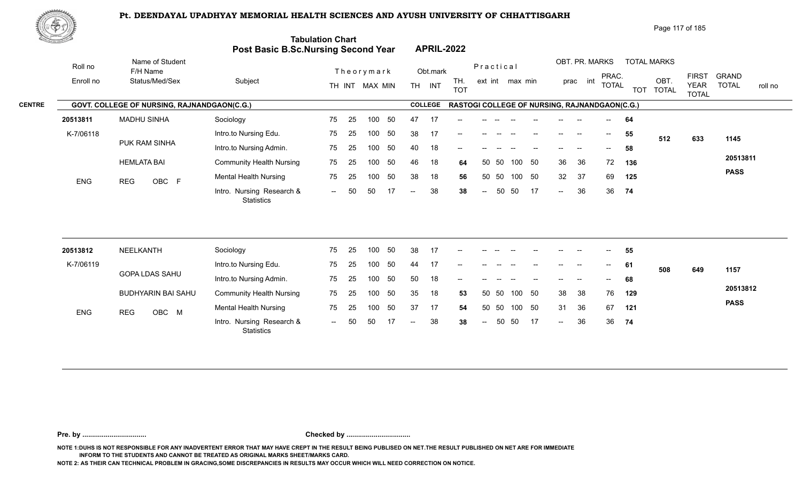Intro. Nursing Research & -- -- OBC

75

25 100 50 75

-- 50 50 17 -- 38 38

100 50



|                     | でやむ       |                                                    |                                                         |                                                                       |                                |                 |                                                          | Page 117 of 185                                                                 |
|---------------------|-----------|----------------------------------------------------|---------------------------------------------------------|-----------------------------------------------------------------------|--------------------------------|-----------------|----------------------------------------------------------|---------------------------------------------------------------------------------|
| <b>Construction</b> |           |                                                    |                                                         | <b>Tabulation Chart</b><br><b>Post Basic B.Sc.Nursing Second Year</b> | <b>APRIL-2022</b>              |                 |                                                          |                                                                                 |
|                     | Roll no   | Name of Student<br>F/H Name                        |                                                         | Theorymark                                                            | Obt.mark                       | Practical       | OBT. PR. MARKS<br><b>TOTAL MARKS</b>                     |                                                                                 |
|                     | Enroll no | Status/Med/Sex                                     | Subject                                                 | MAX MIN<br>TH INT                                                     | TH.<br>INT<br>TH<br><b>TOT</b> | ext int max min | PRAC.<br>OBT<br>int<br>prac<br><b>TOTAL</b><br>TOT TOTAL | <b>FIRST</b><br>GRAND<br><b>YEAR</b><br><b>TOTAL</b><br>roll no<br><b>TOTAL</b> |
| <b>CENTRE</b>       |           | <b>GOVT. COLLEGE OF NURSING, RAJNANDGAON(C.G.)</b> |                                                         |                                                                       | <b>COLLEGE</b>                 |                 | RASTOGI COLLEGE OF NURSING, RAJNANDGAON(C.G.)            |                                                                                 |
|                     | 20513811  | <b>MADHU SINHA</b>                                 | Sociology                                               | 75<br>-50<br>100<br>-25                                               | 17<br>47<br>$- -$              |                 | 64<br>$\sim$                                             |                                                                                 |
|                     | K-7/06118 |                                                    | Intro.to Nursing Edu.                                   | 75<br>-50<br>100<br>-25                                               | 38<br>--                       |                 | 55<br>$\hspace{0.05cm}$<br>$- -$<br>512                  | 1145<br>633                                                                     |
|                     |           | PUK RAM SINHA                                      | Intro.to Nursing Admin.                                 | 50<br>75<br>100<br>-25                                                | 40<br>18<br>$- -$              |                 | 58                                                       |                                                                                 |
|                     |           |                                                    | $\sim$ $\sim$ $\sim$ $\sim$ $\sim$ $\sim$ $\sim$ $\sim$ |                                                                       |                                |                 | $\sim$ $\sim$<br>$\sim$ $\sim$                           | 20513811                                                                        |

100 50 38 18 **56** 32 37 69 **125**

50 50

50 50 46 18 **64** 36 36 72 **136**

36 36 72 **136** 32 37 69 125  $-36$  36 74

**PASS**

**74**

-- 50 38 36 **38** 36

| 20513812   | NEELKANTH             | Sociology                                      | 75  | 25  | 100 | 50  | -38   | 17 | $- -$ | $- -$ |       |    |        | $- -$                    | $- -$ | $\overline{\phantom{a}}$ | 55  |     |     |             |
|------------|-----------------------|------------------------------------------------|-----|-----|-----|-----|-------|----|-------|-------|-------|----|--------|--------------------------|-------|--------------------------|-----|-----|-----|-------------|
| K-7/06119  |                       | Intro.to Nursing Edu.                          | 75  | 25  | 100 | -50 | 44    | 17 | $- -$ | --    |       |    |        | --                       | $- -$ | $\sim$ $\sim$            | 61  | 508 | 649 | 1157        |
|            | <b>GOPA LDAS SAHU</b> | Intro.to Nursing Admin.                        | 75  | -25 | 100 | -50 | 50    | 18 | $- -$ |       |       |    |        | $- -$                    | $- -$ | $\sim$ $\sim$            | 68  |     |     |             |
|            | BUDHYARIN BAI SAHU    | <b>Community Health Nursing</b>                | 75  | -25 | 100 | -50 | -35   | 18 | 53    |       | 50 50 |    | 100 50 | 38                       | - 38  | 76                       | 129 |     |     | 20513812    |
| <b>ENG</b> | OBC M<br><b>REG</b>   | Mental Health Nursing                          | 75  | 25  | 100 | 50  | -37   | 17 | 54    |       | 50 50 |    | 100 50 | 31                       | -36   | 67                       | 121 |     |     | <b>PASS</b> |
|            |                       | Intro. Nursing Research &<br><b>Statistics</b> | $-$ | 50  | 50  |     | $- -$ | 38 | 38    | $-$   | 50    | 50 | 17     | $\overline{\phantom{a}}$ | 36    | 36                       | 74  |     |     |             |

**Pre. by ................................. Checked by .................................**

HEMLATA BAI

ENG REG OBC F Montail House

**NOTE 1:DUHS IS NOT RESPONSIBLE FOR ANY INADVERTENT ERROR THAT MAY HAVE CREPT IN THE RESULT BEING PUBLISED ON NET.THE RESULT PUBLISHED ON NET ARE FOR IMMEDIATE INFORM TO THE STUDENTS AND CANNOT BE TREATED AS ORIGINAL MARKS SHEET/MARKS CARD.**

**NOTE 2: AS THEIR CAN TECHNICAL PROBLEM IN GRACING,SOME DISCREPANCIES IN RESULTS MAY OCCUR WHICH WILL NEED CORRECTION ON NOTICE.**

Community Health Nursing

**Statistics** 

Mental Health Nursing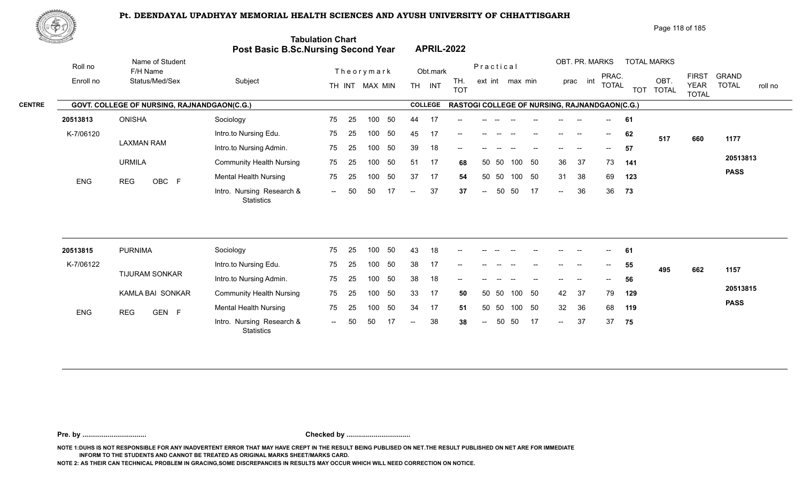

|  |  | Page 118 of 185 |
|--|--|-----------------|
|  |  |                 |

| <u>to Samuel I</u> |                                             | Post Basic B.Sc.Nursing Second Year     | <b>Tabulation Chart</b> |    |                  |     |     |                | <b>APRIL-2022</b>                             |                          |       |                 |        |                 |                |                       |            |                      |                                             |                                         |
|--------------------|---------------------------------------------|-----------------------------------------|-------------------------|----|------------------|-----|-----|----------------|-----------------------------------------------|--------------------------|-------|-----------------|--------|-----------------|----------------|-----------------------|------------|----------------------|---------------------------------------------|-----------------------------------------|
| Roll no            | Name of Student<br>F/H Name                 |                                         |                         |    | Theorymark       |     |     | Obt.mark       |                                               | Practical                |       |                 |        |                 | OBT. PR. MARKS |                       |            | <b>TOTAL MARKS</b>   |                                             |                                         |
| Enroll no          | Status/Med/Sex                              | Subject                                 |                         |    | TH INT MAX MIN   |     | TH. | INT            | TH.<br><b>TOT</b>                             |                          |       | ext int max min |        |                 | int<br>prac    | PRAC.<br><b>TOTAL</b> | <b>TOT</b> | OBT.<br><b>TOTAL</b> | <b>FIRST</b><br><b>YEAR</b><br><b>TOTAL</b> | <b>GRAND</b><br><b>TOTAL</b><br>roll no |
|                    | GOVT. COLLEGE OF NURSING, RAJNANDGAON(C.G.) |                                         |                         |    |                  |     |     | <b>COLLEGE</b> | RASTOGI COLLEGE OF NURSING, RAJNANDGAON(C.G.) |                          |       |                 |        |                 |                |                       |            |                      |                                             |                                         |
| 20513813           | <b>ONISHA</b>                               | Sociology                               | 75                      | 25 | 100              | 50  | 44  | 17             |                                               |                          |       |                 |        |                 |                |                       | 61         |                      |                                             |                                         |
| K-7/06120          |                                             | Intro.to Nursing Edu.                   | 75                      | 25 | 100              | 50  | 45  | 17             |                                               |                          |       |                 |        |                 |                | $--$                  | 62         | 517                  | 660                                         | 1177                                    |
|                    | <b>LAXMAN RAM</b>                           | Intro.to Nursing Admin.                 | 75                      | 25 | 100              | 50  | 39  | 18             | --                                            |                          |       |                 |        |                 |                |                       | 57         |                      |                                             |                                         |
|                    | <b>URMILA</b>                               | <b>Community Health Nursing</b>         | 75                      | 25 | 100              | 50  | 51  | 17             | 68                                            |                          | 50 50 | 100             | 50     | 36              | 37             | 73                    | 141        |                      |                                             | 20513813                                |
| <b>ENG</b>         | <b>REG</b><br>OBC F                         | <b>Mental Health Nursing</b>            | 75                      | 25 | 100              | 50  | 37  | 17             | 54                                            |                          | 50 50 | 100 50          |        | 31              | 38             | 69                    | 123        |                      |                                             | <b>PASS</b>                             |
|                    |                                             | Intro. Nursing Research &<br>Statistics | $\sim$                  | 50 | 50               | -17 | $-$ | 37             | 37                                            | $\overline{\phantom{a}}$ | 50    | 50              | 17     | $\sim$          | 36             | 36                    | 73         |                      |                                             |                                         |
|                    |                                             |                                         |                         |    |                  |     |     |                |                                               |                          |       |                 |        |                 |                |                       |            |                      |                                             |                                         |
| 20513815           | <b>PURNIMA</b>                              | Sociology                               | 75                      | 25 | 100              | 50  | 43  | 18             |                                               |                          |       |                 |        |                 |                |                       | 61         |                      |                                             |                                         |
| K-7/06122          | <b>TIJURAM SONKAR</b>                       | Intro.to Nursing Edu.                   | 75                      | 25 | 100              | 50  | 38  | 17             |                                               |                          |       |                 |        |                 |                |                       | 55         | 495                  | 662                                         | 1157                                    |
|                    |                                             | Intro.to Nursing Admin.                 | 75                      | 25 | 100 <sub>1</sub> | 50  | 38  | 18             |                                               |                          |       |                 |        |                 |                |                       | 56         |                      |                                             |                                         |
|                    | KAMLA BAI SONKAR                            | <b>Community Health Nursing</b>         | 75                      | 25 | 100              | 50  | 33  | 17             | 50                                            | 50                       | 50    | 100             | 50     | 42              | 37             | 79                    | 129        |                      |                                             | 20513815                                |
| ENG                | <b>REG</b><br>GEN F                         | <b>Mental Health Nursing</b>            | 75                      | 25 | 100              | 50  | 34  | 17             | 51                                            | 50                       | 50    |                 | 100 50 | 32 <sup>°</sup> | 36             | 68                    | 119        |                      |                                             | <b>PASS</b>                             |
|                    |                                             | Intro. Nursing Research &<br>Statistics |                         |    | 50               |     |     | 38             | 38                                            | $\overline{a}$           | 50    | 50              | 17     | $\sim$          | 37             | 37                    | 75         |                      |                                             |                                         |

**Pre. by ................................. Checked by .................................**

**NOTE 1:DUHS IS NOT RESPONSIBLE FOR ANY INADVERTENT ERROR THAT MAY HAVE CREPT IN THE RESULT BEING PUBLISED ON NET.THE RESULT PUBLISHED ON NET ARE FOR IMMEDIATE INFORM TO THE STUDENTS AND CANNOT BE TREATED AS ORIGINAL MARKS SHEET/MARKS CARD.**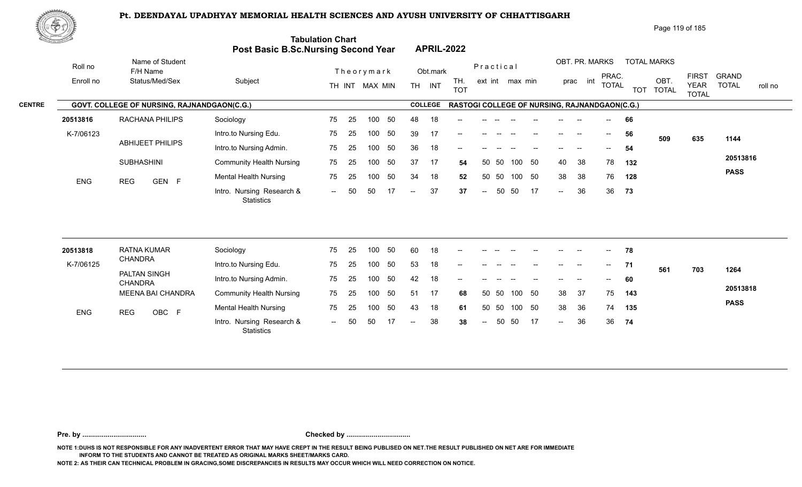

| Page 119 of 185 |
|-----------------|
|                 |

| <u> Karatanan Kabupatén Ing Kabupatén Ing Kabupatén Ing Kabupatén Ing Kabupatén Ing Kabupatén Ing Kabupatén Ing Ka</u> |                                             | Post Basic B.Sc.Nursing Second Year            | <b>Tabulation Chart</b> |    |                |    |                          |                | <b>APRIL-2022</b>                             |                          |       |                 |        |        |                |                          |            |                      |                             |                         |
|------------------------------------------------------------------------------------------------------------------------|---------------------------------------------|------------------------------------------------|-------------------------|----|----------------|----|--------------------------|----------------|-----------------------------------------------|--------------------------|-------|-----------------|--------|--------|----------------|--------------------------|------------|----------------------|-----------------------------|-------------------------|
| Roll no                                                                                                                | Name of Student<br>F/H Name                 |                                                |                         |    | Theorymark     |    |                          | Obt.mark       |                                               | Practical                |       |                 |        |        | OBT. PR. MARKS | PRAC.                    |            | <b>TOTAL MARKS</b>   | <b>FIRST</b>                | <b>GRAND</b>            |
| Enroll no                                                                                                              | Status/Med/Sex                              | Subject                                        |                         |    | TH INT MAX MIN |    |                          | TH INT         | TH.<br><b>TOT</b>                             |                          |       | ext int max min |        |        | int<br>prac    | <b>TOTAL</b>             | <b>TOT</b> | OBT.<br><b>TOTAL</b> | <b>YEAR</b><br><b>TOTAL</b> | <b>TOTAL</b><br>roll no |
|                                                                                                                        | GOVT. COLLEGE OF NURSING, RAJNANDGAON(C.G.) |                                                |                         |    |                |    |                          | <b>COLLEGE</b> | RASTOGI COLLEGE OF NURSING, RAJNANDGAON(C.G.) |                          |       |                 |        |        |                |                          |            |                      |                             |                         |
| 20513816                                                                                                               | RACHANA PHILIPS                             | Sociology                                      | 75                      | 25 | 100            | 50 | 48                       | 18             |                                               |                          |       |                 |        |        |                |                          | 66         |                      |                             |                         |
| K-7/06123                                                                                                              |                                             | Intro.to Nursing Edu.                          | 75                      | 25 | 100            | 50 | 39                       | 17             |                                               |                          |       |                 |        |        |                | $\overline{\phantom{a}}$ | 56         | 509                  | 635                         | 1144                    |
|                                                                                                                        | <b>ABHIJEET PHILIPS</b>                     | Intro.to Nursing Admin.                        | 75                      | 25 | 100            | 50 | 36                       | 18             | --                                            |                          |       |                 |        |        |                |                          | 54         |                      |                             |                         |
|                                                                                                                        | <b>SUBHASHINI</b>                           | <b>Community Health Nursing</b>                | 75                      | 25 | 100            | 50 | 37                       | -17            | 54                                            | 50                       | 50    | 100             | 50     | 40     | 38             | 78                       | 132        |                      |                             | 20513816                |
| <b>ENG</b>                                                                                                             | GEN F<br><b>REG</b>                         | <b>Mental Health Nursing</b>                   | 75                      | 25 | 100            | 50 | 34                       | 18             | 52                                            | 50                       | 50    | 100             | 50     | 38     | 38             | 76                       | 128        |                      |                             | <b>PASS</b>             |
|                                                                                                                        |                                             | Intro. Nursing Research &<br><b>Statistics</b> | $\sim$ $\sim$           | 50 | 50             | 17 | $\overline{\phantom{a}}$ | 37             | 37                                            | $\overline{\phantom{a}}$ | 50    | 50              | 17     | $\sim$ | 36             | 36                       | 73         |                      |                             |                         |
| 20513818                                                                                                               | <b>RATNA KUMAR</b>                          | Sociology                                      | 75                      | 25 | 100            | 50 | 60                       | 18             |                                               |                          |       |                 |        |        |                |                          | 78         |                      |                             |                         |
| K-7/06125                                                                                                              | <b>CHANDRA</b>                              | Intro.to Nursing Edu.                          | 75                      | 25 | 100            | 50 | 53                       | 18             | --                                            |                          |       |                 |        | $- -$  |                | $--$                     | 71         | 561                  | 703                         | 1264                    |
|                                                                                                                        | PALTAN SINGH<br><b>CHANDRA</b>              | Intro.to Nursing Admin.                        | 75                      | 25 | 100            | 50 | 42                       | 18             |                                               |                          |       |                 |        |        |                |                          | 60         |                      |                             |                         |
|                                                                                                                        | <b>MEENA BAI CHANDRA</b>                    | <b>Community Health Nursing</b>                | 75                      | 25 | 100            | 50 | 51                       | 17             | 68                                            |                          | 50 50 |                 | 100 50 | 38     | 37             | 75                       | 143        |                      |                             | 20513818                |
| <b>ENG</b>                                                                                                             | <b>REG</b><br>OBC F                         | <b>Mental Health Nursing</b>                   | 75                      | 25 | 100            | 50 | 43                       | 18             | 61                                            | 50                       | 50    | 100             | 50     | 38     | 36             | 74                       | 135        |                      |                             | <b>PASS</b>             |
|                                                                                                                        |                                             | Intro. Nursing Research &<br><b>Statistics</b> | $\sim$ $\sim$           | 50 | 50             | 17 | $\overline{\phantom{a}}$ | 38             | 38                                            | $\sim$                   | 50    | 50              | 17     | $\sim$ | 36             | 36                       | 74         |                      |                             |                         |
|                                                                                                                        |                                             |                                                |                         |    |                |    |                          |                |                                               |                          |       |                 |        |        |                |                          |            |                      |                             |                         |

**Pre. by ................................. Checked by .................................**

**NOTE 1:DUHS IS NOT RESPONSIBLE FOR ANY INADVERTENT ERROR THAT MAY HAVE CREPT IN THE RESULT BEING PUBLISED ON NET.THE RESULT PUBLISHED ON NET ARE FOR IMMEDIATE INFORM TO THE STUDENTS AND CANNOT BE TREATED AS ORIGINAL MARKS SHEET/MARKS CARD.**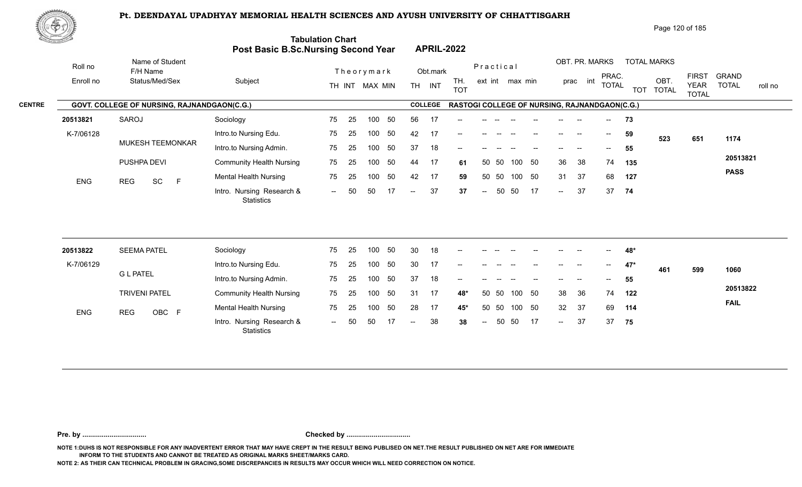

| Page 120 of 185 |
|-----------------|
|                 |

| ES LA         |            |                                             | Post Basic B.Sc.Nursing Second Year            | <b>Tabulation Chart</b> |    |                |    |                          |                | <b>APRIL-2022</b>                             |                          |       |                 |     |        |                |                                       |            |                      |                             |                         |
|---------------|------------|---------------------------------------------|------------------------------------------------|-------------------------|----|----------------|----|--------------------------|----------------|-----------------------------------------------|--------------------------|-------|-----------------|-----|--------|----------------|---------------------------------------|------------|----------------------|-----------------------------|-------------------------|
|               | Roll no    | Name of Student<br>F/H Name                 |                                                |                         |    | Theorymark     |    |                          | Obt.mark       |                                               | Practical                |       |                 |     |        | OBT. PR. MARKS | PRAC.                                 |            | <b>TOTAL MARKS</b>   | <b>FIRST</b>                | <b>GRAND</b>            |
|               | Enroll no  | Status/Med/Sex                              | Subject                                        |                         |    | TH INT MAX MIN |    |                          | TH INT         | TH.<br><b>TOT</b>                             |                          |       | ext int max min |     |        | int<br>prac    | <b>TOTAL</b>                          | <b>TOT</b> | OBT.<br><b>TOTAL</b> | <b>YEAR</b><br><b>TOTAL</b> | <b>TOTAL</b><br>roll no |
| <b>CENTRE</b> |            | GOVT. COLLEGE OF NURSING, RAJNANDGAON(C.G.) |                                                |                         |    |                |    |                          | <b>COLLEGE</b> | RASTOGI COLLEGE OF NURSING, RAJNANDGAON(C.G.) |                          |       |                 |     |        |                |                                       |            |                      |                             |                         |
|               | 20513821   | SAROJ                                       | Sociology                                      | 75                      | 25 | 100            | 50 | 56                       | 17             |                                               |                          |       |                 |     |        |                |                                       | 73         |                      |                             |                         |
|               | K-7/06128  |                                             | Intro.to Nursing Edu.                          | 75                      | 25 | 100            | 50 | 42                       | 17             |                                               |                          |       |                 |     |        |                | $\overline{\phantom{a}}$              | 59         | 523                  | 651                         | 1174                    |
|               |            | MUKESH TEEMONKAR                            | Intro.to Nursing Admin.                        | 75                      | 25 | 100            | 50 | 37                       | 18             | --                                            |                          |       |                 |     |        |                |                                       | 55         |                      |                             |                         |
|               |            | PUSHPA DEVI                                 | <b>Community Health Nursing</b>                | 75                      | 25 | 100            | 50 | 44                       | -17            | 61                                            |                          | 50 50 | 100 50          |     | 36     | 38             | 74                                    | 135        |                      |                             | 20513821                |
|               | ENG        | F<br><b>REG</b><br>SC                       | <b>Mental Health Nursing</b>                   | 75                      | 25 | 100            | 50 | 42                       | 17             | 59                                            |                          | 50 50 | 100 50          |     | 31     | 37             | 68                                    | 127        |                      |                             | <b>PASS</b>             |
|               |            |                                             | Intro. Nursing Research &<br>Statistics        | $\sim$ $\sim$           | 50 | 50             | 17 | $\overline{\phantom{a}}$ | 37             | 37                                            | $\overline{\phantom{a}}$ | 50    | 50              | 17  | $\sim$ | 37             | 37                                    | 74         |                      |                             |                         |
|               |            |                                             |                                                |                         |    |                |    |                          |                |                                               |                          |       |                 |     |        |                |                                       |            |                      |                             |                         |
|               | 20513822   | <b>SEEMA PATEL</b>                          | Sociology                                      | 75                      | 25 | 100            | 50 | 30                       | 18             |                                               |                          |       |                 |     |        |                |                                       | 48*        |                      |                             |                         |
|               | K-7/06129  |                                             | Intro.to Nursing Edu.                          | 75                      | 25 | 100            | 50 | 30                       | -17            |                                               |                          |       |                 |     |        |                | $\hspace{0.05cm}$ – $\hspace{0.05cm}$ | $47*$      | 461                  | 599                         | 1060                    |
|               |            | <b>G L PATEL</b>                            | Intro.to Nursing Admin.                        | 75                      | 25 | 100            | 50 | 37                       | 18             |                                               |                          |       |                 |     |        |                |                                       | 55         |                      |                             |                         |
|               |            | <b>TRIVENI PATEL</b>                        | <b>Community Health Nursing</b>                | 75                      | 25 | 100            | 50 | 31                       | -17            | 48*                                           | 50                       | -50   | 100             | 50  | 38     | 36             | 74                                    | 122        |                      |                             | 20513822                |
|               | <b>ENG</b> | OBC F<br><b>REG</b>                         | <b>Mental Health Nursing</b>                   | 75                      | 25 | 100            | 50 | 28                       | 17             | $45*$                                         | 50                       | 50    | 100             | 50  | 32     | 37             | 69                                    | 114        |                      |                             | <b>FAIL</b>             |
|               |            |                                             | Intro. Nursing Research &<br><b>Statistics</b> | $  \,$                  | 50 | 50             | 17 | $\overline{\phantom{a}}$ | 38             | 38                                            | $\overline{\phantom{a}}$ | 50    | 50              | -17 | $\sim$ | 37             | 37                                    | 75         |                      |                             |                         |
|               |            |                                             |                                                |                         |    |                |    |                          |                |                                               |                          |       |                 |     |        |                |                                       |            |                      |                             |                         |

**Pre. by ................................. Checked by .................................**

**NOTE 1:DUHS IS NOT RESPONSIBLE FOR ANY INADVERTENT ERROR THAT MAY HAVE CREPT IN THE RESULT BEING PUBLISED ON NET.THE RESULT PUBLISHED ON NET ARE FOR IMMEDIATE INFORM TO THE STUDENTS AND CANNOT BE TREATED AS ORIGINAL MARKS SHEET/MARKS CARD.**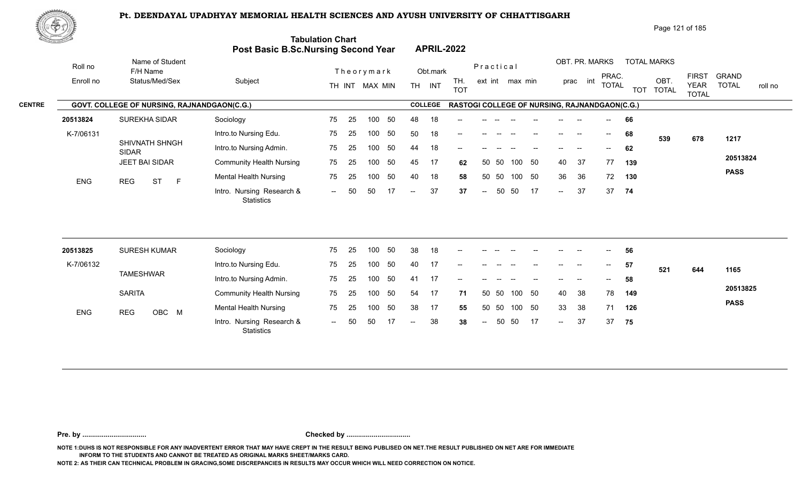

| Page 121 of 185 |  |
|-----------------|--|
|-----------------|--|

| <u>tan yang di</u> |                                             | Post Basic B.Sc.Nursing Second Year            | <b>Tabulation Chart</b>  |    |                |    |                          |                | <b>APRIL-2022</b>                             |           |       |                 |    |                          |                |                                       |            |                      |                                             |                         |
|--------------------|---------------------------------------------|------------------------------------------------|--------------------------|----|----------------|----|--------------------------|----------------|-----------------------------------------------|-----------|-------|-----------------|----|--------------------------|----------------|---------------------------------------|------------|----------------------|---------------------------------------------|-------------------------|
| Roll no            | Name of Student<br>F/H Name                 |                                                |                          |    | Theorymark     |    |                          | Obt.mark       |                                               | Practical |       |                 |    |                          | OBT. PR. MARKS |                                       |            | <b>TOTAL MARKS</b>   |                                             | <b>GRAND</b>            |
| Enroll no          | Status/Med/Sex                              | Subject                                        |                          |    | TH INT MAX MIN |    |                          | TH INT         | TH.<br><b>TOT</b>                             |           |       | ext int max min |    |                          | prac int       | PRAC.<br><b>TOTAL</b>                 | <b>TOT</b> | OBT.<br><b>TOTAL</b> | <b>FIRST</b><br><b>YEAR</b><br><b>TOTAL</b> | <b>TOTAL</b><br>roll no |
|                    | GOVT. COLLEGE OF NURSING, RAJNANDGAON(C.G.) |                                                |                          |    |                |    |                          | <b>COLLEGE</b> | RASTOGI COLLEGE OF NURSING, RAJNANDGAON(C.G.) |           |       |                 |    |                          |                |                                       |            |                      |                                             |                         |
| 20513824           | SUREKHA SIDAR                               | Sociology                                      | 75                       | 25 | 100            | 50 | 48                       | 18             |                                               |           |       |                 |    |                          |                |                                       | 66         |                      |                                             |                         |
| K-7/06131          |                                             | Intro.to Nursing Edu.                          | 75                       | 25 | 100            | 50 | 50                       | 18             | $\overline{\phantom{a}}$                      |           |       |                 |    | $\qquad \qquad -$        | --             | $\hspace{0.05cm}$ – $\hspace{0.05cm}$ | 68         | 539                  | 678                                         | 1217                    |
|                    | SHIVNATH SHNGH<br><b>SIDAR</b>              | Intro.to Nursing Admin.                        | 75                       | 25 | 100            | 50 | 44                       | 18             | --                                            |           |       |                 |    |                          |                | $- -$                                 | 62         |                      |                                             |                         |
|                    | JEET BAI SIDAR                              | <b>Community Health Nursing</b>                | 75                       | 25 | 100            | 50 | 45                       | 17             | 62                                            |           | 50 50 | 100 50          |    | 40                       | 37             | 77                                    | 139        |                      |                                             | 20513824                |
| <b>ENG</b>         | <b>ST</b><br>$\mathsf{F}$<br><b>REG</b>     | <b>Mental Health Nursing</b>                   | 75                       | 25 | 100            | 50 | 40                       | 18             | 58                                            | 50        | 50    | 100             | 50 | 36                       | 36             | 72                                    | 130        |                      |                                             | <b>PASS</b>             |
|                    |                                             | Intro. Nursing Research &<br><b>Statistics</b> | $\sim$ $\sim$            | 50 | 50             | 17 | $\overline{\phantom{a}}$ | 37             | 37                                            | $\sim$    | 50    | 50              | 17 | $\overline{a}$           | 37             |                                       | 37 74      |                      |                                             |                         |
| 20513825           | <b>SURESH KUMAR</b>                         | Sociology                                      | 75                       | 25 | 100            | 50 | 38                       | 18             |                                               |           |       |                 |    |                          |                |                                       | 56         |                      |                                             |                         |
| K-7/06132          |                                             | Intro.to Nursing Edu.                          | 75                       | 25 | 100            | 50 | 40                       | 17             |                                               |           |       |                 |    |                          |                | $\hspace{0.05cm}$                     | 57         |                      |                                             |                         |
|                    | <b>TAMESHWAR</b>                            | Intro.to Nursing Admin.                        | 75                       | 25 | 100            | 50 | 41                       | 17             | --                                            |           |       |                 |    |                          |                | $\hspace{0.05cm}$ – $\hspace{0.05cm}$ | 58         | 521                  | 644                                         | 1165                    |
|                    | <b>SARITA</b>                               | <b>Community Health Nursing</b>                | 75                       | 25 | 100            | 50 | 54                       | -17            | 71                                            | 50        | 50    | 100             | 50 | 40                       | 38             | 78                                    | 149        |                      |                                             | 20513825                |
|                    |                                             | <b>Mental Health Nursing</b>                   | 75                       | 25 | 100            | 50 | 38                       | 17             | 55                                            |           | 50 50 | 100 50          |    | 33                       | 38             | 71                                    | 126        |                      |                                             | <b>PASS</b>             |
| <b>ENG</b>         | OBC M<br><b>REG</b>                         | Intro. Nursing Research &<br>Statistics        | $\overline{\phantom{a}}$ |    | 50             |    |                          | 38             | 38                                            |           | 50    | 50              | 17 | $\overline{\phantom{a}}$ | 37             | 37                                    | 75         |                      |                                             |                         |

**Pre. by ................................. Checked by .................................**

**NOTE 1:DUHS IS NOT RESPONSIBLE FOR ANY INADVERTENT ERROR THAT MAY HAVE CREPT IN THE RESULT BEING PUBLISED ON NET.THE RESULT PUBLISHED ON NET ARE FOR IMMEDIATE INFORM TO THE STUDENTS AND CANNOT BE TREATED AS ORIGINAL MARKS SHEET/MARKS CARD.**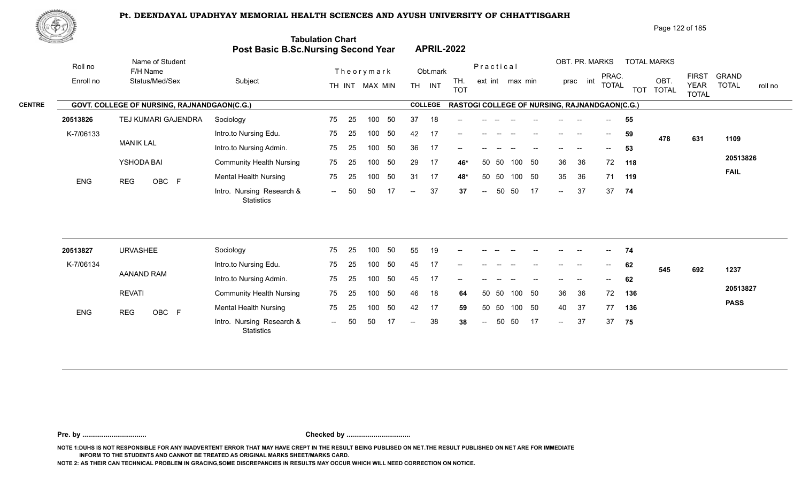

| ES LA     |                                             | Post Basic B.Sc.Nursing Second Year            | <b>Tabulation Chart</b> |    |                |     |                          |                | <b>APRIL-2022</b>                             |                          |       |                 |    |                   |                          |                                       |            |                      |                             |                         |
|-----------|---------------------------------------------|------------------------------------------------|-------------------------|----|----------------|-----|--------------------------|----------------|-----------------------------------------------|--------------------------|-------|-----------------|----|-------------------|--------------------------|---------------------------------------|------------|----------------------|-----------------------------|-------------------------|
| Roll no   | Name of Student<br>F/H Name                 |                                                |                         |    | Theorymark     |     |                          | Obt.mark       |                                               | Practical                |       |                 |    |                   | OBT. PR. MARKS           | PRAC.                                 |            | <b>TOTAL MARKS</b>   | <b>FIRST</b>                | <b>GRAND</b>            |
| Enroll no | Status/Med/Sex                              | Subject                                        |                         |    | TH INT MAX MIN |     |                          | TH INT         | TH.<br><b>TOT</b>                             |                          |       | ext int max min |    |                   | prac int                 | <b>TOTAL</b>                          | <b>TOT</b> | OBT.<br><b>TOTAL</b> | <b>YEAR</b><br><b>TOTAL</b> | <b>TOTAL</b><br>roll no |
|           | GOVT. COLLEGE OF NURSING, RAJNANDGAON(C.G.) |                                                |                         |    |                |     |                          | <b>COLLEGE</b> | RASTOGI COLLEGE OF NURSING, RAJNANDGAON(C.G.) |                          |       |                 |    |                   |                          |                                       |            |                      |                             |                         |
| 20513826  | TEJ KUMARI GAJENDRA                         | Sociology                                      | 75                      | 25 | 100            | 50  | 37                       | 18             |                                               |                          |       |                 |    |                   |                          |                                       | 55         |                      |                             |                         |
| K-7/06133 |                                             | Intro.to Nursing Edu.                          | 75                      | 25 | 100            | 50  | 42                       | 17             |                                               |                          |       |                 |    |                   |                          | $\hspace{0.05cm}$ – $\hspace{0.05cm}$ | 59         | 478                  | 631                         | 1109                    |
|           | <b>MANIK LAL</b>                            | Intro.to Nursing Admin.                        | 75                      | 25 | 100            | 50  | 36                       | 17             | --                                            |                          |       |                 |    | $\qquad \qquad -$ | $\overline{\phantom{a}}$ | $\overline{\phantom{a}}$              | 53         |                      |                             |                         |
|           | YSHODA BAI                                  | <b>Community Health Nursing</b>                | 75                      | 25 | 100            | 50  | 29                       | 17             | 46*                                           | 50                       | 50    | 100             | 50 | 36                | 36                       | 72                                    | 118        |                      |                             | 20513826                |
| ENG       | OBC F<br><b>REG</b>                         | <b>Mental Health Nursing</b>                   | 75                      | 25 | 100            | 50  | 31                       | 17             | 48*                                           |                          | 50 50 | 100 50          |    | 35                | 36                       |                                       | 71 119     |                      |                             | <b>FAIL</b>             |
|           |                                             | Intro. Nursing Research &<br><b>Statistics</b> | $\sim$ $\sim$           | 50 | 50             |     | $\overline{\phantom{a}}$ | 37             | 37                                            | $\overline{\phantom{a}}$ | 50    | 50              | 17 | $\sim$ $\sim$     | 37                       | 37                                    | 74         |                      |                             |                         |
|           |                                             |                                                |                         |    |                |     |                          |                |                                               |                          |       |                 |    |                   |                          |                                       |            |                      |                             |                         |
| 20513827  | <b>URVASHEE</b>                             | Sociology                                      | 75                      | 25 | 100            | 50  | 55                       | 19             |                                               |                          |       |                 |    |                   |                          | $-$                                   | 74         |                      |                             |                         |
| K-7/06134 | AANAND RAM                                  | Intro.to Nursing Edu.                          | 75                      | 25 | 100            | 50  | 45                       | 17             |                                               |                          |       |                 |    |                   | --                       |                                       | 62         | 545                  | 692                         | 1237                    |
|           |                                             | Intro.to Nursing Admin.                        | 75                      | 25 | 100            | 50  | 45                       | 17             |                                               |                          |       |                 |    |                   | --                       | $\overline{\phantom{a}}$              | 62         |                      |                             | 20513827                |
|           | <b>REVATI</b>                               | <b>Community Health Nursing</b>                | 75                      | 25 | 100            | 50  | 46                       | 18             | 64                                            | 50                       | 50    | 100 50          |    | 36                | 36                       | 72                                    | 136        |                      |                             |                         |
| ENG       | <b>REG</b><br>OBC F                         | <b>Mental Health Nursing</b>                   | 75                      | 25 | 100            | 50  | 42                       | 17             | 59                                            |                          | 50 50 | 100 50          |    | 40                | 37                       | 77                                    | 136        |                      |                             | <b>PASS</b>             |
|           |                                             | Intro. Nursing Research &<br>Statistics        | $\sim$                  | 50 | 50             | -17 | $\overline{\phantom{a}}$ | 38             | 38                                            | $\overline{\phantom{a}}$ | 50    | 50              | 17 | $\sim$            | 37                       | 37                                    | 75         |                      |                             |                         |

**Pre. by ................................. Checked by .................................**

**NOTE 1:DUHS IS NOT RESPONSIBLE FOR ANY INADVERTENT ERROR THAT MAY HAVE CREPT IN THE RESULT BEING PUBLISED ON NET.THE RESULT PUBLISHED ON NET ARE FOR IMMEDIATE INFORM TO THE STUDENTS AND CANNOT BE TREATED AS ORIGINAL MARKS SHEET/MARKS CARD.**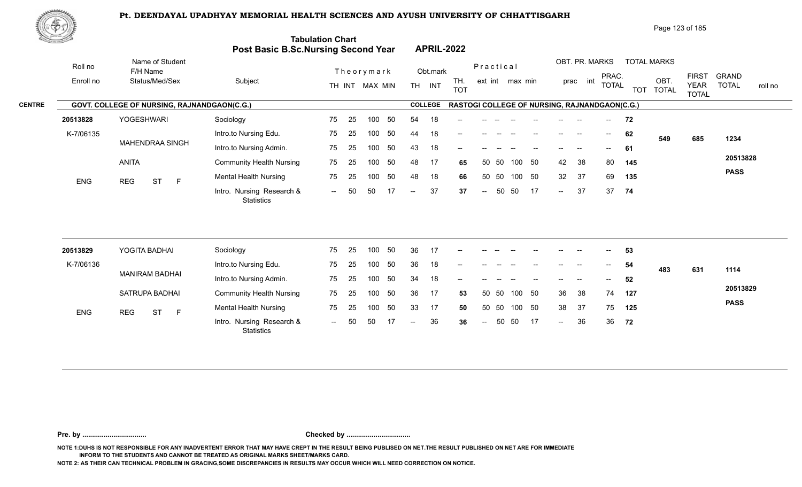

|  | Page 123 of 185 |
|--|-----------------|
|--|-----------------|

| <u>tomacan and</u> |                                             | Post Basic B.Sc.Nursing Second Year            | <b>Tabulation Chart</b> |    |                |    |                          |                | <b>APRIL-2022</b>                             |                          |           |                 |        |                 |          |                                       |            |                      |                             |                         |
|--------------------|---------------------------------------------|------------------------------------------------|-------------------------|----|----------------|----|--------------------------|----------------|-----------------------------------------------|--------------------------|-----------|-----------------|--------|-----------------|----------|---------------------------------------|------------|----------------------|-----------------------------|-------------------------|
| Roll no            | Name of Student<br>F/H Name                 |                                                |                         |    | Theorymark     |    |                          | Obt.mark       |                                               |                          | Practical |                 |        |                 |          | OBT. PR. MARKS<br>PRAC.               |            | <b>TOTAL MARKS</b>   | <b>FIRST</b>                | <b>GRAND</b>            |
| Enroll no          | Status/Med/Sex                              | Subject                                        |                         |    | TH INT MAX MIN |    |                          | TH INT         | TH.<br><b>TOT</b>                             |                          |           | ext int max min |        |                 | prac int | <b>TOTAL</b>                          | <b>TOT</b> | OBT.<br><b>TOTAL</b> | <b>YEAR</b><br><b>TOTAL</b> | <b>TOTAL</b><br>roll no |
|                    | GOVT. COLLEGE OF NURSING, RAJNANDGAON(C.G.) |                                                |                         |    |                |    |                          | <b>COLLEGE</b> | RASTOGI COLLEGE OF NURSING, RAJNANDGAON(C.G.) |                          |           |                 |        |                 |          |                                       |            |                      |                             |                         |
| 20513828           | <b>YOGESHWARI</b>                           | Sociology                                      | 75                      | 25 | 100            | 50 | 54                       | 18             |                                               |                          |           |                 |        |                 |          |                                       | 72         |                      |                             |                         |
| K-7/06135          |                                             | Intro.to Nursing Edu.                          | 75                      | 25 | 100            | 50 | 44                       | 18             |                                               |                          |           |                 |        |                 |          | $--$                                  | 62         | 549                  | 685                         | 1234                    |
|                    | <b>MAHENDRAA SINGH</b>                      | Intro.to Nursing Admin.                        | 75                      | 25 | 100            | 50 | 43                       | 18             |                                               |                          |           |                 |        |                 |          |                                       | 61         |                      |                             |                         |
|                    | <b>ANITA</b>                                | <b>Community Health Nursing</b>                | 75                      | 25 | 100            | 50 | 48                       | 17             | 65                                            | 50                       | 50        | 100             | 50     | 42              | 38       | 80                                    | 145        |                      |                             | 20513828                |
| <b>ENG</b>         | $\mathsf{F}$<br><b>REG</b><br><b>ST</b>     | <b>Mental Health Nursing</b>                   | 75                      | 25 | 100            | 50 | 48                       | 18             | 66                                            |                          | 50 50     | 100 50          |        | 32 <sup>°</sup> | 37       | 69                                    | 135        |                      |                             | <b>PASS</b>             |
|                    |                                             | Intro. Nursing Research &<br><b>Statistics</b> | $--$                    | 50 | 50             | 17 | $\overline{\phantom{a}}$ | 37             | 37                                            | $\overline{\phantom{a}}$ | 50        | 50              | 17     | $\sim$          | 37       | 37                                    | 74         |                      |                             |                         |
|                    |                                             |                                                |                         |    |                |    |                          |                |                                               |                          |           |                 |        |                 |          |                                       |            |                      |                             |                         |
| 20513829           | YOGITA BADHAI                               | Sociology                                      | 75                      | 25 | 100            | 50 | 36                       | 17             |                                               |                          |           |                 |        |                 |          |                                       | 53         |                      |                             |                         |
| K-7/06136          | <b>MANIRAM BADHAI</b>                       | Intro.to Nursing Edu.                          | 75                      | 25 | 100            | 50 | 36                       | 18             |                                               |                          |           |                 |        |                 |          | $\hspace{0.05cm}$ – $\hspace{0.05cm}$ | 54         | 483                  | 631                         | 1114                    |
|                    |                                             | Intro.to Nursing Admin.                        | 75                      | 25 | 100            | 50 | 34                       | 18             |                                               |                          |           |                 |        |                 |          | $-$                                   | 52         |                      |                             |                         |
|                    | SATRUPA BADHAI                              | <b>Community Health Nursing</b>                | 75                      | 25 | 100            | 50 | 36                       | 17             | 53                                            |                          | 50 50     | 100             | 50     | 36              | 38       | 74                                    | 127        |                      |                             | 20513829                |
| <b>ENG</b>         | <b>ST</b><br><b>REG</b><br>$\mathsf{F}$     | <b>Mental Health Nursing</b>                   | 75                      | 25 | 100            | 50 | 33                       | 17             | 50                                            |                          | 50 50     |                 | 100 50 | 38              | 37       | 75                                    | 125        |                      |                             | <b>PASS</b>             |
|                    |                                             | Intro. Nursing Research &<br><b>Statistics</b> | $\sim$ $\sim$           | 50 | 50             |    | $\overline{a}$           | 36             | 36                                            | $\overline{\phantom{a}}$ | 50        | 50              | 17     | $\sim$          | 36       | 36                                    | 72         |                      |                             |                         |
|                    |                                             |                                                |                         |    |                |    |                          |                |                                               |                          |           |                 |        |                 |          |                                       |            |                      |                             |                         |

**Pre. by ................................. Checked by .................................**

**NOTE 1:DUHS IS NOT RESPONSIBLE FOR ANY INADVERTENT ERROR THAT MAY HAVE CREPT IN THE RESULT BEING PUBLISED ON NET.THE RESULT PUBLISHED ON NET ARE FOR IMMEDIATE INFORM TO THE STUDENTS AND CANNOT BE TREATED AS ORIGINAL MARKS SHEET/MARKS CARD.**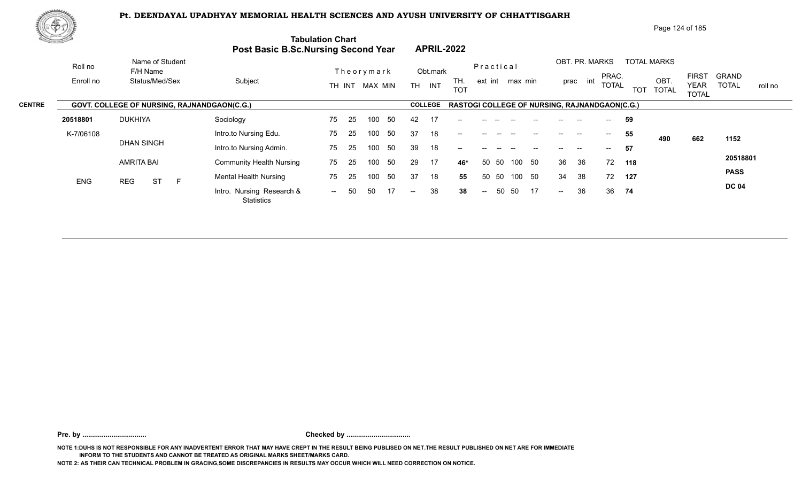

| Page 124 of 185 |  |
|-----------------|--|
|-----------------|--|

| di Samban Lik |            |                                                    | <b>Post Basic B.Sc.Nursing Second Year</b> | <b>Tabulation Chart</b>         | <b>APRIL-2022</b>                     |                          |                                                            |                                                    |                         |
|---------------|------------|----------------------------------------------------|--------------------------------------------|---------------------------------|---------------------------------------|--------------------------|------------------------------------------------------------|----------------------------------------------------|-------------------------|
|               | Roll no    | Name of Student<br>F/H Name                        |                                            | Theorymark                      | Obt.mark                              | Practical                | OBT. PR. MARKS<br><b>TOTAL MARKS</b><br>PRAC.              | <b>FIRST</b>                                       | <b>GRAND</b>            |
|               | Enroll no  | Status/Med/Sex                                     | Subject                                    | TH INT MAX MIN                  | TH.<br><b>TH</b><br>INT<br><b>TOT</b> | ext int max min          | int<br>prac<br><b>TOTAL</b><br><b>TOT</b>                  | OBT<br><b>YEAR</b><br><b>TOTAL</b><br><b>TOTAL</b> | <b>TOTAL</b><br>roll no |
| <b>CENTRE</b> |            | <b>GOVT. COLLEGE OF NURSING, RAJNANDGAON(C.G.)</b> |                                            |                                 | <b>COLLEGE</b>                        |                          | RASTOGI COLLEGE OF NURSING, RAJNANDGAON(C.G.)              |                                                    |                         |
|               | 20518801   | <b>DUKHIYA</b>                                     | Sociology                                  | 75<br>-50<br>-25<br>100         | 42<br>17<br>$- -$                     |                          | 59<br>$-$                                                  |                                                    |                         |
|               | K-7/06108  |                                                    | Intro.to Nursing Edu.                      | 25<br>50<br>75<br>100           | 37<br>18<br>$- -$                     |                          | 55<br>$- -$<br>--                                          | 490<br>662                                         | 1152                    |
|               |            | <b>DHAN SINGH</b>                                  | Intro.to Nursing Admin.                    | 50<br>75<br>25<br>100           | 39<br>18<br>$--$                      |                          | 57<br>$- -$<br>--<br>$\hspace{0.05cm}$ – $\hspace{0.05cm}$ |                                                    |                         |
|               |            | <b>AMRITA BAI</b>                                  | <b>Community Health Nursing</b>            | 75<br>50<br>100<br>-25          | 29<br>17<br>46*                       | 50<br>- 50<br>100<br>50  | 36<br>36<br>72<br>118                                      |                                                    | 20518801                |
|               | <b>ENG</b> | <b>ST</b><br><b>REG</b><br>E                       | <b>Mental Health Nursing</b>               | 50<br>75<br>25<br>100           | 37<br>18<br>55                        | 50<br>50 50<br>100       | 38<br>34<br>72<br>127                                      |                                                    | <b>PASS</b>             |
|               |            |                                                    | Intro. Nursing Research &<br>Statistics    | 50<br>50<br>17<br>$\sim$ $\sim$ | 38<br>38<br>$\sim$                    | 50<br>17<br>50<br>$\sim$ | 36<br>36 74<br>$\sim$                                      |                                                    | <b>DC 04</b>            |
|               |            |                                                    |                                            |                                 |                                       |                          |                                                            |                                                    |                         |

**Pre. by ................................. Checked by .................................**

**NOTE 1:DUHS IS NOT RESPONSIBLE FOR ANY INADVERTENT ERROR THAT MAY HAVE CREPT IN THE RESULT BEING PUBLISED ON NET.THE RESULT PUBLISHED ON NET ARE FOR IMMEDIATE INFORM TO THE STUDENTS AND CANNOT BE TREATED AS ORIGINAL MARKS SHEET/MARKS CARD.**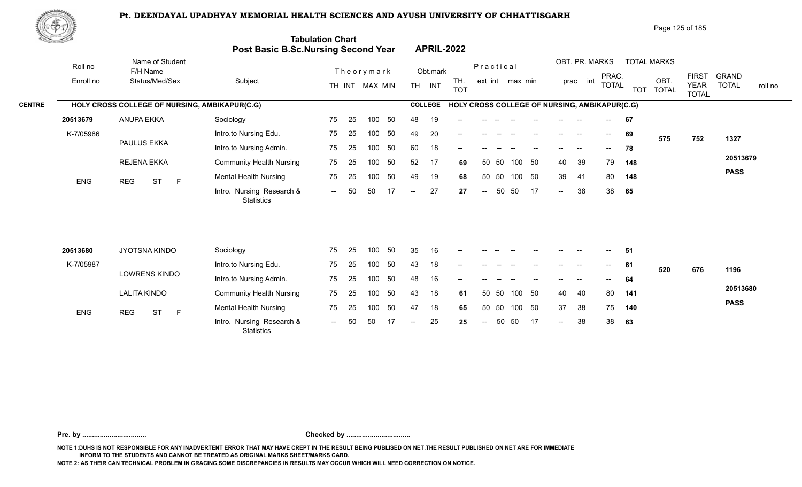

Page 125 of 185

|               | <u>Contraction of the Contract of the Contract of the Contract of the Contract of the Contract of the Contract of The Contract of The Contract of The Contract of The Contract of The Contract of The Contract of The Contract o</u> |                                               | <b>Tabulation Chart</b><br>Post Basic B.Sc.Nursing Second Year |               |    |                |     |                          |                | <b>APRIL-2022</b>                             |                                   |       |                 |     |                            |                |                                       |            |                      |                             |                         |  |
|---------------|--------------------------------------------------------------------------------------------------------------------------------------------------------------------------------------------------------------------------------------|-----------------------------------------------|----------------------------------------------------------------|---------------|----|----------------|-----|--------------------------|----------------|-----------------------------------------------|-----------------------------------|-------|-----------------|-----|----------------------------|----------------|---------------------------------------|------------|----------------------|-----------------------------|-------------------------|--|
|               | Roll no                                                                                                                                                                                                                              | Name of Student<br>F/H Name                   |                                                                |               |    | Theorymark     |     |                          | Obt.mark       |                                               | Practical                         |       |                 |     |                            | OBT. PR. MARKS | PRAC.                                 |            | <b>TOTAL MARKS</b>   | <b>FIRST</b>                | <b>GRAND</b>            |  |
|               | Enroll no                                                                                                                                                                                                                            | Status/Med/Sex                                | Subject                                                        |               |    | TH INT MAX MIN |     |                          | TH INT         | TH.<br><b>TOT</b>                             |                                   |       | ext int max min |     |                            | prac int       | <b>TOTAL</b>                          | <b>TOT</b> | OBT.<br><b>TOTAL</b> | <b>YEAR</b><br><b>TOTAL</b> | <b>TOTAL</b><br>roll no |  |
| <b>CENTRE</b> |                                                                                                                                                                                                                                      | HOLY CROSS COLLEGE OF NURSING, AMBIKAPUR(C.G) |                                                                |               |    |                |     |                          | <b>COLLEGE</b> | HOLY CROSS COLLEGE OF NURSING, AMBIKAPUR(C.G) |                                   |       |                 |     |                            |                |                                       |            |                      |                             |                         |  |
|               | 20513679                                                                                                                                                                                                                             | <b>ANUPA EKKA</b>                             | Sociology                                                      | 75            | 25 | 100            | 50  | 48                       | 19             |                                               |                                   |       |                 |     |                            |                |                                       | 67         |                      |                             |                         |  |
|               | K-7/05986                                                                                                                                                                                                                            |                                               | Intro.to Nursing Edu.                                          | 75            | 25 | 100            | 50  | 49                       | 20             |                                               |                                   |       |                 |     |                            |                | $\hspace{0.05cm}$ – $\hspace{0.05cm}$ | 69         | 575                  | 752                         | 1327                    |  |
|               |                                                                                                                                                                                                                                      | PAULUS EKKA                                   | Intro.to Nursing Admin.                                        | 75            | 25 | 100            | 50  | 60                       | 18             |                                               |                                   |       |                 |     |                            |                |                                       | 78         |                      |                             |                         |  |
|               |                                                                                                                                                                                                                                      | REJENA EKKA                                   | <b>Community Health Nursing</b>                                | 75            | 25 | 100            | 50  | 52                       | 17             | 69                                            |                                   | 50 50 | 100             | 50  | 40                         | 39             | 79                                    | 148        |                      |                             | 20513679                |  |
|               | <b>ENG</b>                                                                                                                                                                                                                           | <b>REG</b><br><b>ST</b><br>$\mathsf{F}$       | <b>Mental Health Nursing</b>                                   | 75            | 25 | 100            | 50  | 49                       | 19             | 68                                            | 50                                | 50    | 100             | 50  | 39                         | 41             | 80                                    | 148        |                      |                             | <b>PASS</b>             |  |
|               |                                                                                                                                                                                                                                      |                                               | Intro. Nursing Research &<br><b>Statistics</b>                 | $\sim$ $\sim$ | 50 | 50             | 17  | $\overline{\phantom{a}}$ | 27             | 27                                            | $\overline{\phantom{a}}$          | 50    | 50              | 17  | $\sim$                     | 38             | 38                                    | 65         |                      |                             |                         |  |
|               |                                                                                                                                                                                                                                      |                                               |                                                                |               |    |                |     |                          |                |                                               |                                   |       |                 |     |                            |                |                                       |            |                      |                             |                         |  |
|               | 20513680                                                                                                                                                                                                                             | JYOTSNA KINDO                                 | Sociology                                                      | 75            | 25 | 100            | 50  | 35                       | 16             |                                               |                                   |       |                 |     |                            |                |                                       | 51         |                      |                             |                         |  |
|               | K-7/05987                                                                                                                                                                                                                            |                                               | Intro.to Nursing Edu.                                          | 75            | 25 | 100            | 50  | 43                       | 18             |                                               |                                   |       |                 |     |                            |                | $\hspace{0.05cm}$ – $\hspace{0.05cm}$ | 61         | 520                  | 676                         | 1196                    |  |
|               |                                                                                                                                                                                                                                      | LOWRENS KINDO                                 | Intro.to Nursing Admin.                                        | 75            | 25 | 100            | 50  | 48                       | 16             |                                               |                                   |       |                 |     |                            |                |                                       | 64         |                      |                             |                         |  |
|               |                                                                                                                                                                                                                                      | <b>LALITA KINDO</b>                           | <b>Community Health Nursing</b>                                | 75            | 25 | 100            | 50  | 43                       | 18             | 61                                            |                                   | 50 50 | 100 50          |     | 40                         | 40             | 80                                    | 141        |                      |                             | 20513680                |  |
|               | ENG                                                                                                                                                                                                                                  | <b>ST</b><br>$\mathsf{F}$<br><b>REG</b>       | <b>Mental Health Nursing</b>                                   | 75            | 25 | 100            | 50  | 47                       | 18             | 65                                            |                                   | 50 50 | 100 50          |     | 37                         | 38             | 75                                    | 140        |                      |                             | <b>PASS</b>             |  |
|               |                                                                                                                                                                                                                                      |                                               | Intro. Nursing Research &<br><b>Statistics</b>                 | $\sim$ $\sim$ | 50 | 50             | -17 | $\overline{\phantom{a}}$ | 25             | 25                                            | $\hspace{0.05cm} \dashrightarrow$ | 50    | 50              | -17 | $\mathcal{L}(\mathcal{L})$ | 38             | 38                                    | 63         |                      |                             |                         |  |
|               |                                                                                                                                                                                                                                      |                                               |                                                                |               |    |                |     |                          |                |                                               |                                   |       |                 |     |                            |                |                                       |            |                      |                             |                         |  |

**Pre. by ................................. Checked by .................................**

**NOTE 1:DUHS IS NOT RESPONSIBLE FOR ANY INADVERTENT ERROR THAT MAY HAVE CREPT IN THE RESULT BEING PUBLISED ON NET.THE RESULT PUBLISHED ON NET ARE FOR IMMEDIATE INFORM TO THE STUDENTS AND CANNOT BE TREATED AS ORIGINAL MARKS SHEET/MARKS CARD.**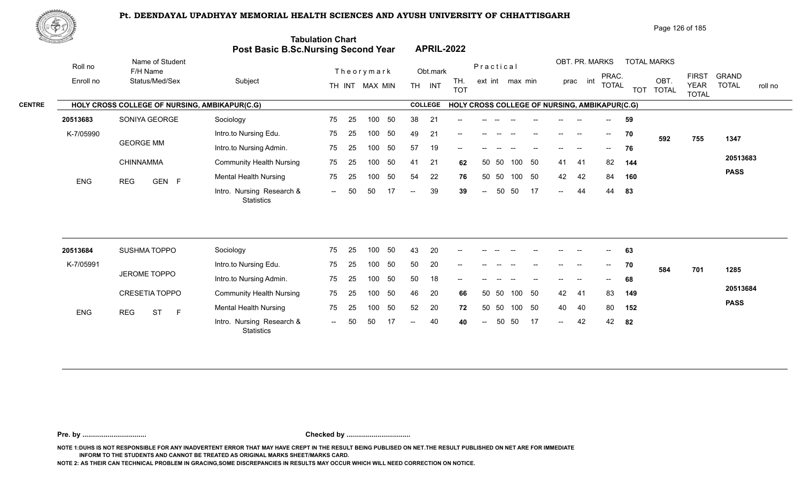

Page 126 of 185

|               | <u>Carl Carl Co</u> |                                               | Post Basic B.Sc.Nursing Second Year            | <b>Tabulation Chart</b> |     |                |    |                          |                | <b>APRIL-2022</b>                             |                          |           |                 |        |        |                |       |              |                    |                      |                             |              |         |
|---------------|---------------------|-----------------------------------------------|------------------------------------------------|-------------------------|-----|----------------|----|--------------------------|----------------|-----------------------------------------------|--------------------------|-----------|-----------------|--------|--------|----------------|-------|--------------|--------------------|----------------------|-----------------------------|--------------|---------|
|               | Roll no             | Name of Student<br>F/H Name                   |                                                |                         |     | Theorymark     |    |                          | Obt.mark       |                                               |                          | Practical |                 |        |        | OBT. PR. MARKS |       | PRAC.        | <b>TOTAL MARKS</b> |                      | <b>FIRST</b>                | <b>GRAND</b> |         |
|               | Enroll no           | Status/Med/Sex                                | Subject                                        |                         |     | TH INT MAX MIN |    |                          | TH INT         | TH.<br><b>TOT</b>                             |                          |           | ext int max min |        |        | prac int       |       | <b>TOTAL</b> | <b>TOT</b>         | OBT.<br><b>TOTAL</b> | <b>YEAR</b><br><b>TOTAL</b> | <b>TOTAL</b> | roll no |
| <b>CENTRE</b> |                     | HOLY CROSS COLLEGE OF NURSING, AMBIKAPUR(C.G) |                                                |                         |     |                |    |                          | <b>COLLEGE</b> | HOLY CROSS COLLEGE OF NURSING, AMBIKAPUR(C.G) |                          |           |                 |        |        |                |       |              |                    |                      |                             |              |         |
|               | 20513683            | SONIYA GEORGE                                 | Sociology                                      | 75                      | 25  | 100            | 50 | 38                       | 21             |                                               |                          |           |                 |        |        |                |       |              | 59                 |                      |                             |              |         |
|               | K-7/05990           |                                               | Intro.to Nursing Edu.                          | 75                      | 25  | 100            | 50 | 49                       | 21             | --                                            |                          |           |                 |        | $- -$  |                | $--$  |              | 70                 | 592                  | 755                         | 1347         |         |
|               |                     | <b>GEORGE MM</b>                              | Intro.to Nursing Admin.                        | 75                      | 25  | 100            | 50 | 57                       | 19             |                                               |                          |           |                 |        |        |                |       |              | 76                 |                      |                             |              |         |
|               |                     | CHINNAMMA                                     | <b>Community Health Nursing</b>                | 75                      | 25  | 100            | 50 | 41                       | 21             | 62                                            |                          | 50 50     |                 | 100 50 | 41     | -41            |       | 82           | 144                |                      |                             | 20513683     |         |
|               | <b>ENG</b>          | GEN F<br><b>REG</b>                           | <b>Mental Health Nursing</b>                   | 75                      | 25  | 100            | 50 | 54                       | 22             | 76                                            | 50                       | - 50      | 100             | 50     | 42     | 42             |       | 84           | 160                |                      |                             | <b>PASS</b>  |         |
|               |                     |                                               | Intro. Nursing Research &<br><b>Statistics</b> | $\sim$                  | 50  | 50             | 17 | $\overline{\phantom{a}}$ | 39             | 39                                            | $\overline{\phantom{a}}$ | 50        | 50              | 17     | $\sim$ | 44             |       | 44           | 83                 |                      |                             |              |         |
|               |                     |                                               |                                                |                         |     |                |    |                          |                |                                               |                          |           |                 |        |        |                |       |              |                    |                      |                             |              |         |
|               | 20513684            | SUSHMA TOPPO                                  | Sociology                                      | 75                      | 25  | 100            | 50 | 43                       | 20             |                                               |                          |           |                 |        |        |                |       |              | 63                 |                      |                             |              |         |
|               | K-7/05991           |                                               | Intro.to Nursing Edu.                          | 75                      | 25  | 100            | 50 | 50                       | 20             |                                               |                          |           |                 |        |        |                | $- -$ |              | 70                 | 584                  | 701                         | 1285         |         |
|               |                     | JEROME TOPPO                                  | Intro.to Nursing Admin.                        | 75                      | 25  | 100            | 50 | 50                       | 18             | --                                            |                          |           |                 |        |        |                |       |              | 68                 |                      |                             |              |         |
|               |                     | CRESETIA TOPPO                                | <b>Community Health Nursing</b>                | 75                      | 25  | 100            | 50 | 46                       | 20             | 66                                            | 50                       | - 50      | 100             | 50     | 42     | -41            |       | 83           | 149                |                      |                             | 20513684     |         |
|               | <b>ENG</b>          | <b>REG</b><br><b>ST</b><br>$\mathsf{F}$       | <b>Mental Health Nursing</b>                   | 75                      | 25  | 100            | 50 | 52                       | 20             | 72                                            | 50                       | 50        |                 | 100 50 | 40     | 40             |       | 80           | 152                |                      |                             | <b>PASS</b>  |         |
|               |                     |                                               | Intro. Nursing Research &<br><b>Statistics</b> | $  \,$                  | .50 | 50             |    | $\overline{a}$           | 40             | 40                                            | $\overline{\phantom{a}}$ | 50        | 50              | -17    | $-$    | 42             |       | 42           | 82                 |                      |                             |              |         |
|               |                     |                                               |                                                |                         |     |                |    |                          |                |                                               |                          |           |                 |        |        |                |       |              |                    |                      |                             |              |         |

**Pre. by ................................. Checked by .................................**

**NOTE 1:DUHS IS NOT RESPONSIBLE FOR ANY INADVERTENT ERROR THAT MAY HAVE CREPT IN THE RESULT BEING PUBLISED ON NET.THE RESULT PUBLISHED ON NET ARE FOR IMMEDIATE INFORM TO THE STUDENTS AND CANNOT BE TREATED AS ORIGINAL MARKS SHEET/MARKS CARD.**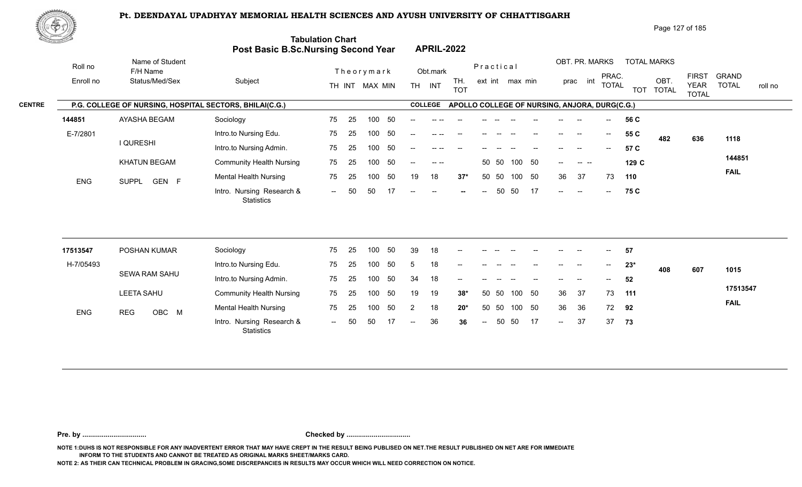

| Page 127 of 185 |  |
|-----------------|--|
|-----------------|--|

|               | <u>din Samuel Joh</u> |                                                         | <b>Post Basic B.Sc.Nursing Second Year</b> | <b>Tabulation Chart</b>      | <b>APRIL-2022</b>                                                |                        |                                                                                   |                                                                                        |
|---------------|-----------------------|---------------------------------------------------------|--------------------------------------------|------------------------------|------------------------------------------------------------------|------------------------|-----------------------------------------------------------------------------------|----------------------------------------------------------------------------------------|
|               | Roll no               | Name of Student<br>F/H Name                             |                                            | Theorymark                   | Obt.mark                                                         | Practical              | OBT. PR. MARKS<br><b>TOTAL MARKS</b>                                              |                                                                                        |
|               | Enroll no             | Status/Med/Sex                                          | Subject                                    | TH INT MAX MIN               | TH.<br><b>TH</b><br>INT<br><b>TOT</b>                            | ext int max min        | PRAC.<br>OBT.<br>int<br>prac<br><b>TOTAL</b><br>TOT TOTAL                         | <b>FIRST</b><br><b>GRAND</b><br><b>TOTAL</b><br><b>YEAR</b><br>roll no<br><b>TOTAL</b> |
| <b>CENTRE</b> |                       | P.G. COLLEGE OF NURSING, HOSPITAL SECTORS, BHILAI(C.G.) |                                            |                              | <b>COLLEGE</b>                                                   |                        | APOLLO COLLEGE OF NURSING, ANJORA, DURG(C.G.)                                     |                                                                                        |
|               | 144851                | AYASHA BEGAM                                            | Sociology                                  | 50<br>75<br>-25<br>100       | $- -$<br>-- --                                                   |                        | 56 C<br>$--$<br>--                                                                |                                                                                        |
|               | E-7/2801              |                                                         | Intro.to Nursing Edu.                      | -50<br>75<br>100<br>-25      |                                                                  |                        | 55 C<br>$\overline{\phantom{a}}$<br>--<br>482                                     | 636<br>1118                                                                            |
|               |                       | <b>I QURESHI</b>                                        | Intro.to Nursing Admin.                    | - 50<br>75<br>100<br>25      | $- -$                                                            |                        | 57 C                                                                              |                                                                                        |
|               |                       | <b>KHATUN BEGAM</b>                                     | <b>Community Health Nursing</b>            | 50<br>75<br>-25<br>100       | $  -$<br>$- -$ .                                                 | 50 50<br>100 50        | 129 C<br>$- -$ .                                                                  | 144851                                                                                 |
|               | <b>ENG</b>            | GEN F<br><b>SUPPL</b>                                   | <b>Mental Health Nursing</b>               | 50<br>75<br>-25<br>100       | 18<br>19<br>$37*$                                                | 50 50<br>- 50<br>100   | 36<br>37<br>73<br>110                                                             | <b>FAIL</b>                                                                            |
|               |                       |                                                         | Intro. Nursing Research &<br>Statistics    | 50<br>50<br>17<br>$\sim$ $-$ | $\hspace{0.1mm}-\hspace{0.1mm}-\hspace{0.1mm}$<br>$--$<br>$\sim$ | 50<br>50<br>17<br>$--$ | 75 C<br>$\sim$<br>$\sim$ $\sim$<br>$\hspace{0.1mm}-\hspace{0.1mm}-\hspace{0.1mm}$ |                                                                                        |
|               |                       |                                                         |                                            |                              |                                                                  |                        |                                                                                   |                                                                                        |

| 17513547   | POSHAN KUMAR        | Sociology                               | 75                       | -25 | 100 | 50  | 39                       | 18 | $- -$                    | --            | $- -$ |       |                                       | $- -$                                          | --    | $- -$         | 57    |     |     |             |
|------------|---------------------|-----------------------------------------|--------------------------|-----|-----|-----|--------------------------|----|--------------------------|---------------|-------|-------|---------------------------------------|------------------------------------------------|-------|---------------|-------|-----|-----|-------------|
| H-7/05493  |                     | Intro.to Nursing Edu.                   | 75                       | 25  | 100 | 50  |                          | 18 | $\overline{\phantom{a}}$ | $--$          | $- -$ | $- -$ | $- -$                                 | $\hspace{0.1mm}-\hspace{0.1mm}-\hspace{0.1mm}$ | $--$  | $\sim$ $\sim$ | $23*$ | 408 | 607 | 1015        |
|            | SEWA RAM SAHU       | Intro.to Nursing Admin.                 | 75                       | -25 | 100 | -50 | 34                       | 18 | $\overline{\phantom{a}}$ | $- -$         |       |       | $\hspace{0.05cm}$ – $\hspace{0.05cm}$ | $\overline{\phantom{a}}$                       | $- -$ | $--$          | 52    |     |     |             |
|            | <b>LEETA SAHU</b>   | <b>Community Health Nursing</b>         | 75                       | 25  | 100 | -50 | 19                       | 19 | $38*$                    | 50 50         |       | 100   | -50                                   | 36                                             | - 37  | 73            | 111   |     |     | 17513547    |
| <b>ENG</b> | OBC M<br><b>REG</b> | <b>Mental Health Nursing</b>            | 75                       | 25  | 100 | 50  |                          | 18 | $20*$                    | 50 50         |       | 100   | -50                                   | 36                                             | -36   | 72            | 92    |     |     | <b>FAIL</b> |
|            |                     | Intro. Nursing Research &<br>Statistics | $\overline{\phantom{a}}$ | 50  | 50  |     | $\overline{\phantom{a}}$ | 36 | 36                       | $\sim$ $\sim$ | 50 50 |       | 17                                    | $\sim$                                         | 37    | 37            | - 73  |     |     |             |

**Pre. by ................................. Checked by .................................**

**NOTE 1:DUHS IS NOT RESPONSIBLE FOR ANY INADVERTENT ERROR THAT MAY HAVE CREPT IN THE RESULT BEING PUBLISED ON NET.THE RESULT PUBLISHED ON NET ARE FOR IMMEDIATE INFORM TO THE STUDENTS AND CANNOT BE TREATED AS ORIGINAL MARKS SHEET/MARKS CARD.**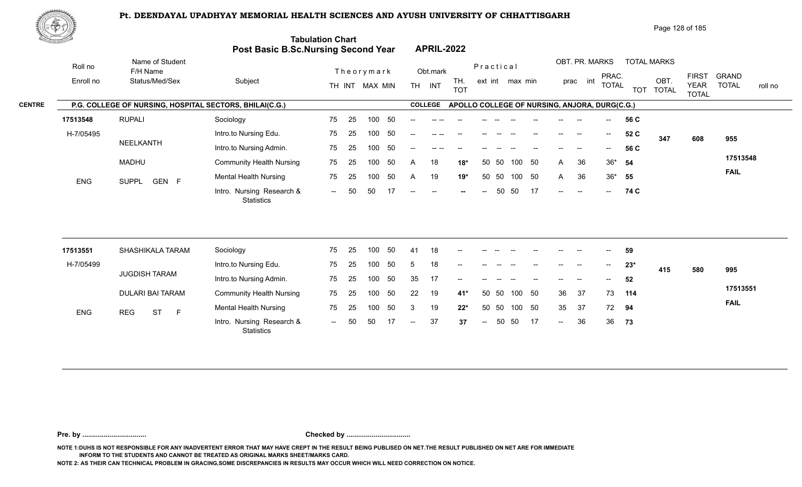

| Page 128 of 185 |
|-----------------|
|-----------------|

|               | <u>di San San A</u> |                                                         | <b>Post Basic B.Sc.Nursing Second Year</b> | <b>Tabulation Chart</b>  |     |                |     |           | <b>APRIL-2022</b> |                   |                          |           |                 |     |         |                                                |                                               |            |                     |                             |              |         |
|---------------|---------------------|---------------------------------------------------------|--------------------------------------------|--------------------------|-----|----------------|-----|-----------|-------------------|-------------------|--------------------------|-----------|-----------------|-----|---------|------------------------------------------------|-----------------------------------------------|------------|---------------------|-----------------------------|--------------|---------|
|               | Roll no             | Name of Student<br>F/H Name                             |                                            |                          |     | Theorymark     |     |           | Obt.mark          |                   |                          | Practical |                 |     |         | OBT. PR. MARKS                                 | PRAC.                                         |            | <b>TOTAL MARKS</b>  | <b>FIRST</b>                | <b>GRAND</b> |         |
|               | Enroll no           | Status/Med/Sex                                          | Subject                                    |                          |     | TH INT MAX MIN |     | <b>TH</b> | INT               | TH.<br><b>TOT</b> |                          |           | ext int max min |     |         | int<br>prac                                    | <b>TOTAL</b>                                  | <b>TOT</b> | OBT<br><b>TOTAL</b> | <b>YEAR</b><br><b>TOTAL</b> | <b>TOTAL</b> | roll no |
| <b>CENTRE</b> |                     | P.G. COLLEGE OF NURSING, HOSPITAL SECTORS, BHILAI(C.G.) |                                            |                          |     |                |     |           | <b>COLLEGE</b>    |                   |                          |           |                 |     |         |                                                | APOLLO COLLEGE OF NURSING, ANJORA, DURG(C.G.) |            |                     |                             |              |         |
|               | 17513548            | <b>RUPALI</b>                                           | Sociology                                  | 75                       | -25 | 100            | -50 |           |                   |                   |                          |           |                 |     |         |                                                | $- -$                                         | 56 C       |                     |                             |              |         |
|               | H-7/05495           |                                                         | Intro.to Nursing Edu.                      | 75                       | -25 | 100            | -50 | $- -$     |                   |                   |                          |           |                 |     |         |                                                | $\sim$                                        | 52 C       | 347                 | 608                         | 955          |         |
|               |                     | NEELKANTH                                               | Intro.to Nursing Admin.                    | 75                       | -25 | 100            | 50  | $-$       |                   |                   |                          |           |                 |     |         |                                                | $\hspace{0.05cm}$ – $\hspace{0.05cm}$         | 56 C       |                     |                             |              |         |
|               |                     | <b>MADHU</b>                                            | <b>Community Health Nursing</b>            | 75                       | -25 | 100            | 50  | A         | 18                | $18*$             |                          | 50 50     | 100             | 50  | A       | 36                                             |                                               | $36*$ 54   |                     |                             | 17513548     |         |
|               | <b>ENG</b>          | GEN F<br>SUPPL                                          | <b>Mental Health Nursing</b>               | 75                       | 25  | 100            | 50  | A         | 19                | 19*               |                          | 50 50     | 100             | 50  | A       | 36                                             |                                               | $36*$ 55   |                     |                             | <b>FAIL</b>  |         |
|               |                     |                                                         | Intro. Nursing Research &<br>Statistics    | $\overline{\phantom{a}}$ | 50  | 50             |     | $- -$     | $-$               |                   | $\overline{\phantom{a}}$ | 50        | -50             | -17 | $- -$ . | $\hspace{0.1mm}-\hspace{0.1mm}-\hspace{0.1mm}$ | $--$                                          | 74 C       |                     |                             |              |         |

| 17513551   |            | SHASHIKALA TARAM |    | Sociology                                      | 75                       | 25  | 100 | 50  | -41           | 18 | $- -$  | $--$          | $- -$ | $-$    |                          | $- -$                    | --                       | $- -$  | 59    |     |     |             |
|------------|------------|------------------|----|------------------------------------------------|--------------------------|-----|-----|-----|---------------|----|--------|---------------|-------|--------|--------------------------|--------------------------|--------------------------|--------|-------|-----|-----|-------------|
| H-7/05499  |            |                  |    | Intro.to Nursing Edu.                          | 75                       | 25  | 100 | 50  |               | 18 | $- -$  | $\frac{1}{2}$ |       | $- -$  | $- -$                    | $- -$                    | $\overline{\phantom{a}}$ | $\sim$ | $23*$ | 415 | 580 | 995         |
|            |            | JUGDISH TARAM    |    | Intro.to Nursing Admin.                        | 75                       | 25  | 100 | 50  | 35            | 17 | $\sim$ | $\frac{1}{2}$ |       |        | $\overline{\phantom{a}}$ | $\overline{\phantom{a}}$ | $\overline{\phantom{a}}$ | $--$   | 52    |     |     |             |
|            |            | DULARI BAI TARAM |    | <b>Community Health Nursing</b>                | 75                       | -25 | 100 | -50 | 22            | 19 | $41*$  | 50 50         |       | 100 50 |                          | 36                       | - 37                     | 73     | 114   |     |     | 17513551    |
| <b>ENG</b> | <b>REG</b> | <b>ST</b>        | -F | <b>Mental Health Nursing</b>                   | 75                       | 25  | 100 | -50 |               | 19 | $22*$  | 50 50         |       | 100 50 |                          | 35                       | 37                       | 72     | 94    |     |     | <b>FAIL</b> |
|            |            |                  |    | Intro. Nursing Research &<br><b>Statistics</b> | $\overline{\phantom{a}}$ | 50  | 50  | 17  | $\sim$ $\sim$ | 37 | 37     | $\sim$ $\sim$ |       | 50 50  | 17                       | $\sim$                   | 36                       | -36    | - 73  |     |     |             |

**Pre. by ................................. Checked by .................................**

**NOTE 1:DUHS IS NOT RESPONSIBLE FOR ANY INADVERTENT ERROR THAT MAY HAVE CREPT IN THE RESULT BEING PUBLISED ON NET.THE RESULT PUBLISHED ON NET ARE FOR IMMEDIATE INFORM TO THE STUDENTS AND CANNOT BE TREATED AS ORIGINAL MARKS SHEET/MARKS CARD.**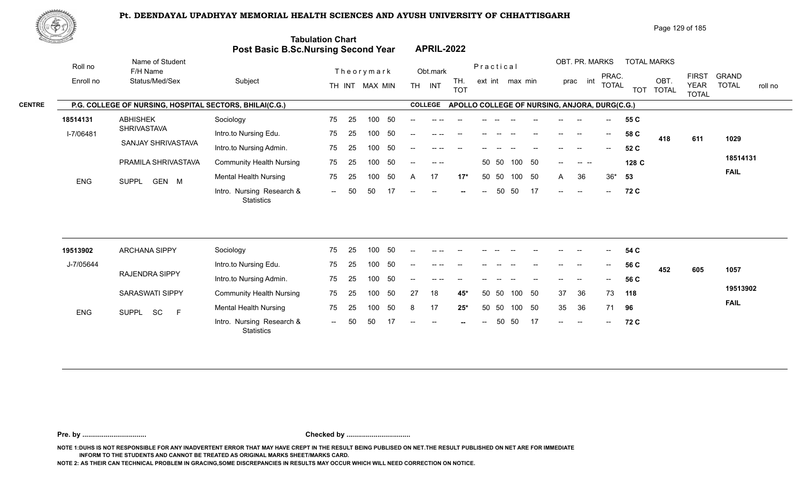

Roll no

|                            |                                                                |                                 |                                                              |                    |                                      | Page 129 of 185                  |                                                             |         |
|----------------------------|----------------------------------------------------------------|---------------------------------|--------------------------------------------------------------|--------------------|--------------------------------------|----------------------------------|-------------------------------------------------------------|---------|
|                            | <b>Tabulation Chart</b><br>Post Basic B.Sc.Nursing Second Year |                                 | <b>APRIL-2022</b>                                            |                    |                                      |                                  |                                                             |         |
| Name of Student            |                                                                |                                 |                                                              | Practical          | OBT. PR. MARKS                       | <b>TOTAL MARKS</b>               |                                                             |         |
| F/H Name<br>Status/Med/Sex | Subject                                                        | Theorymark<br>MAX MIN<br>TH INT | Obt.mark<br>TH.<br>TH <sub></sub><br><b>INT</b><br>$T\cap T$ | max min<br>ext int | PRAC.<br>prac<br>int<br><b>TOTAL</b> | OBT<br><b>TOTAL</b><br>$T\cap T$ | <b>GRAND</b><br><b>FIRST</b><br><b>YEAR</b><br><b>TOTAL</b> | roll no |

|               | Enroll no  | Status/Med/Sex                                          | Subject                                        |               |       | TH INT MAX MIN |     | TH.   | <b>INT</b>     | TH.<br><b>TOT</b>                             | ext int |     | max min |      |      | prac int | FRAY.<br><b>TOTAL</b> | <b>TOT</b> | OBT<br><b>TOTAL</b> | <b>FINO I</b><br><b>YEAR</b><br><b>TOTAL</b> | <b>URAINL</b><br><b>TOTAL</b> | roll no |
|---------------|------------|---------------------------------------------------------|------------------------------------------------|---------------|-------|----------------|-----|-------|----------------|-----------------------------------------------|---------|-----|---------|------|------|----------|-----------------------|------------|---------------------|----------------------------------------------|-------------------------------|---------|
| <b>CENTRE</b> |            | P.G. COLLEGE OF NURSING, HOSPITAL SECTORS, BHILAI(C.G.) |                                                |               |       |                |     |       | <b>COLLEGE</b> | APOLLO COLLEGE OF NURSING, ANJORA, DURG(C.G.) |         |     |         |      |      |          |                       |            |                     |                                              |                               |         |
|               | 18514131   | <b>ABHISHEK</b>                                         | Sociology                                      | 75            | -25   | 100            | -50 |       |                |                                               |         |     |         |      |      | $-$      | $- -$ .               | 55 C       |                     |                                              |                               |         |
|               | I-7/06481  | SHRIVASTAVA                                             | Intro.to Nursing Edu.                          | 75            | - 25  | 100            | -50 | $- -$ |                |                                               |         |     |         |      |      | --       | $--$                  | 58 C       | 418                 | 611                                          | 1029                          |         |
|               |            | SANJAY SHRIVASTAVA                                      | Intro.to Nursing Admin.                        | 75            | -25   | 100            | -50 |       |                |                                               |         |     |         |      |      |          | $--$                  | 52 C       |                     |                                              |                               |         |
|               |            | PRAMILA SHRIVASTAVA                                     | <b>Community Health Nursing</b>                |               | 75 25 | 100            | -50 | $- -$ |                |                                               | 50 50   |     | 100 50  |      | --   | ----     |                       | 128 C      |                     |                                              | 18514131                      |         |
|               | <b>ENG</b> | GEN M<br><b>SUPPL</b>                                   | <b>Mental Health Nursing</b>                   | 75            | -25   | 100            | 50  | A     | 17             | $17*$                                         | 50 50   |     | 100     | - 50 | A    | 36       | 36*                   | - 53       |                     |                                              | <b>FAIL</b>                   |         |
|               |            |                                                         | Intro. Nursing Research &<br><b>Statistics</b> | $\sim$ $\sim$ | 50    | 50             |     | --    | $\sim$         | $-$                                           | $- -$ . | -50 | -50     | - 17 | $--$ | $-$      | $\sim$ $-$            | 72 C       |                     |                                              |                               |         |

| 19513902   | ARCHANA SIPPY                   | Sociology                                      | 75                       | 25  | 100 | 50  | $- -$                    | -- --    |        |       |       |     |                                                |                          | --                       | $- -$                                          | 54 C |     |     |             |
|------------|---------------------------------|------------------------------------------------|--------------------------|-----|-----|-----|--------------------------|----------|--------|-------|-------|-----|------------------------------------------------|--------------------------|--------------------------|------------------------------------------------|------|-----|-----|-------------|
| J-7/05644  |                                 | Intro.to Nursing Edu.                          | 75                       | 25  | 100 | 50  | $\overline{\phantom{a}}$ |          | $- -$  | $- -$ | $- -$ |     | $\hspace{0.1mm}-\hspace{0.1mm}-\hspace{0.1mm}$ | $- -$                    | $- -$                    | $\sim$                                         | 56 C | 452 | 605 | 1057        |
|            | RAJENDRA SIPPY                  | Intro.to Nursing Admin.                        | 75                       | 25  | 100 | 50  | $- -$                    | $\cdots$ |        |       |       |     |                                                | $- -$                    | $\overline{\phantom{a}}$ | $\sim$                                         | 56 C |     |     |             |
|            | <b>SARASWATI SIPPY</b>          | <b>Community Health Nursing</b>                | 75                       | -25 | 100 | -50 | 27                       | 18       | 45*    |       | 50 50 | 100 | - 50                                           | 37                       | -36                      | 73                                             | 118  |     |     | 19513902    |
| <b>ENG</b> | <b>SC</b><br><b>SUPPL</b><br>F. | <b>Mental Health Nursing</b>                   | 75                       | -25 | 100 | 50  | 8                        | 17       | $25*$  |       | 50 50 | 100 | - 50                                           | 35                       | -36                      | 71                                             | 96   |     |     | <b>FAIL</b> |
|            |                                 | Intro. Nursing Research &<br><b>Statistics</b> | $\overline{\phantom{a}}$ | 50  | 50  |     | $- -$                    | $- -$    | $\sim$ | $--$  | 50    | -50 | 17                                             | $\overline{\phantom{a}}$ | $\overline{\phantom{a}}$ | $\hspace{0.1mm}-\hspace{0.1mm}-\hspace{0.1mm}$ | 72 C |     |     |             |

**Pre. by ................................. Checked by .................................**

**NOTE 1:DUHS IS NOT RESPONSIBLE FOR ANY INADVERTENT ERROR THAT MAY HAVE CREPT IN THE RESULT BEING PUBLISED ON NET.THE RESULT PUBLISHED ON NET ARE FOR IMMEDIATE INFORM TO THE STUDENTS AND CANNOT BE TREATED AS ORIGINAL MARKS SHEET/MARKS CARD.**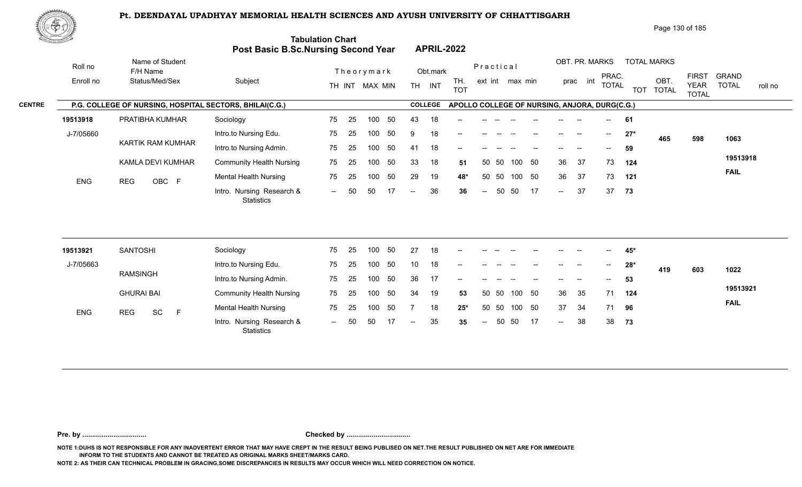

Page 130 of 185

| <u>Contraction of the Contraction of the Contraction of the Contraction of the Contraction of the Contraction of the Contraction of the Contraction of the Contraction of the Contraction of the Contraction of the Contraction </u> |                                                         | <b>Post Basic B.Sc.Nursing Second Year</b>     | <b>Tabulation Chart</b> |    |                  |     |                          |                | <b>APRIL-2022</b>                             |                            |       |                 |    |                            |                          |                                       |       |                    |                             |                         |
|--------------------------------------------------------------------------------------------------------------------------------------------------------------------------------------------------------------------------------------|---------------------------------------------------------|------------------------------------------------|-------------------------|----|------------------|-----|--------------------------|----------------|-----------------------------------------------|----------------------------|-------|-----------------|----|----------------------------|--------------------------|---------------------------------------|-------|--------------------|-----------------------------|-------------------------|
| Roll no                                                                                                                                                                                                                              | Name of Student<br>F/H Name                             |                                                |                         |    | Theorymark       |     |                          | Obt.mark       |                                               | Practical                  |       |                 |    |                            | OBT. PR. MARKS           | PRAC.                                 |       | <b>TOTAL MARKS</b> | <b>FIRST</b>                | <b>GRAND</b>            |
| Enroll no                                                                                                                                                                                                                            | Status/Med/Sex                                          | Subject                                        |                         |    | TH INT MAX MIN   |     | TH <sub>1</sub>          | INT            | TH.<br><b>TOT</b>                             |                            |       | ext int max min |    |                            | prac int                 | <b>TOTAL</b>                          |       | OBT.<br>TOT TOTAL  | <b>YEAR</b><br><b>TOTAL</b> | <b>TOTAL</b><br>roll no |
|                                                                                                                                                                                                                                      | P.G. COLLEGE OF NURSING, HOSPITAL SECTORS, BHILAI(C.G.) |                                                |                         |    |                  |     |                          | <b>COLLEGE</b> | APOLLO COLLEGE OF NURSING, ANJORA, DURG(C.G.) |                            |       |                 |    |                            |                          |                                       |       |                    |                             |                         |
| 19513918                                                                                                                                                                                                                             | PRATIBHA KUMHAR                                         | Sociology                                      | 75                      | 25 | 100              | 50  | 43                       | 18             |                                               |                            |       |                 |    |                            |                          | $\overline{\phantom{a}}$              | 61    |                    |                             |                         |
| J-7/05660                                                                                                                                                                                                                            |                                                         | Intro.to Nursing Edu.                          | 75                      | 25 | 100              | 50  | 9                        | 18             |                                               |                            |       |                 |    |                            | $\overline{\phantom{a}}$ | $--$                                  | $27*$ | 465                | 598                         | 1063                    |
|                                                                                                                                                                                                                                      | <b>KARTIK RAM KUMHAR</b>                                | Intro.to Nursing Admin.                        | 75                      | 25 | 100 <sub>1</sub> | 50  | 41                       | 18             | --                                            |                            |       |                 |    |                            |                          | $-$                                   | 59    |                    |                             |                         |
|                                                                                                                                                                                                                                      | KAMLA DEVI KUMHAR                                       | <b>Community Health Nursing</b>                | 75                      | 25 | 100              | 50  | 33                       | 18             | 51                                            | 50                         | 50    | 100             | 50 | 36                         | 37                       | 73                                    | 124   |                    |                             | 19513918                |
| <b>ENG</b>                                                                                                                                                                                                                           | OBC F<br><b>REG</b>                                     | <b>Mental Health Nursing</b>                   | 75                      | 25 | 100              | 50  | 29                       | 19             | 48*                                           | 50                         | 50    | 100 50          |    | 36                         | 37                       | 73                                    | 121   |                    |                             | <b>FAIL</b>             |
|                                                                                                                                                                                                                                      |                                                         | Intro. Nursing Research &<br><b>Statistics</b> | $\sim$                  | 50 | 50               | 17  | $\overline{\phantom{a}}$ | 36             | 36                                            | $\overline{\phantom{m}}$   | 50    | 50              | 17 | $\sim$                     | 37                       | 37                                    | 73    |                    |                             |                         |
|                                                                                                                                                                                                                                      |                                                         |                                                |                         |    |                  |     |                          |                |                                               |                            |       |                 |    |                            |                          |                                       |       |                    |                             |                         |
| 19513921                                                                                                                                                                                                                             | <b>SANTOSHI</b>                                         | Sociology                                      | 75                      | 25 | 100              | 50  | 27                       | 18             | --                                            |                            |       |                 |    |                            |                          |                                       | 45*   |                    |                             |                         |
| J-7/05663                                                                                                                                                                                                                            |                                                         | Intro.to Nursing Edu.                          | 75                      | 25 | 100              | 50  | 10 <sup>1</sup>          | 18             | --                                            |                            |       |                 |    |                            | --                       | $\hspace{0.05cm}$ – $\hspace{0.05cm}$ | $28*$ | 419                | 603                         | 1022                    |
|                                                                                                                                                                                                                                      | <b>RAMSINGH</b>                                         | Intro.to Nursing Admin.                        | 75                      | 25 | 100              | 50  | 36                       | 17             |                                               |                            |       |                 |    |                            |                          | $\overline{\phantom{a}}$              | 53    |                    |                             |                         |
|                                                                                                                                                                                                                                      | <b>GHURAI BAI</b>                                       | <b>Community Health Nursing</b>                | 75                      | 25 | 100              | 50  | 34                       | 19             | 53                                            |                            | 50 50 | 100 50          |    | 36                         | 35                       | 71                                    | 124   |                    |                             | 19513921                |
| <b>ENG</b>                                                                                                                                                                                                                           | <b>REG</b><br>SC<br>$\mathsf{F}$                        | <b>Mental Health Nursing</b>                   | 75                      | 25 | 100              | 50  | -7                       | 18             | $25*$                                         | 50                         | 50    | 100             | 50 | 37                         | 34                       | 71                                    | 96    |                    |                             | <b>FAIL</b>             |
|                                                                                                                                                                                                                                      |                                                         | Intro. Nursing Research &                      | $\sim$                  | 50 | 50               | -17 | $--$                     | 35             | 35                                            | $\mathcal{L}(\mathcal{L})$ | 50    | 50              | 17 | $\mathcal{L}(\mathcal{L})$ | 38                       | 38                                    | 73    |                    |                             |                         |

**Pre. by ................................. Checked by .................................**

**NOTE 1:DUHS IS NOT RESPONSIBLE FOR ANY INADVERTENT ERROR THAT MAY HAVE CREPT IN THE RESULT BEING PUBLISED ON NET.THE RESULT PUBLISHED ON NET ARE FOR IMMEDIATE INFORM TO THE STUDENTS AND CANNOT BE TREATED AS ORIGINAL MARKS SHEET/MARKS CARD.**

**NOTE 2: AS THEIR CAN TECHNICAL PROBLEM IN GRACING,SOME DISCREPANCIES IN RESULTS MAY OCCUR WHICH WILL NEED CORRECTION ON NOTICE.**

**Statistics**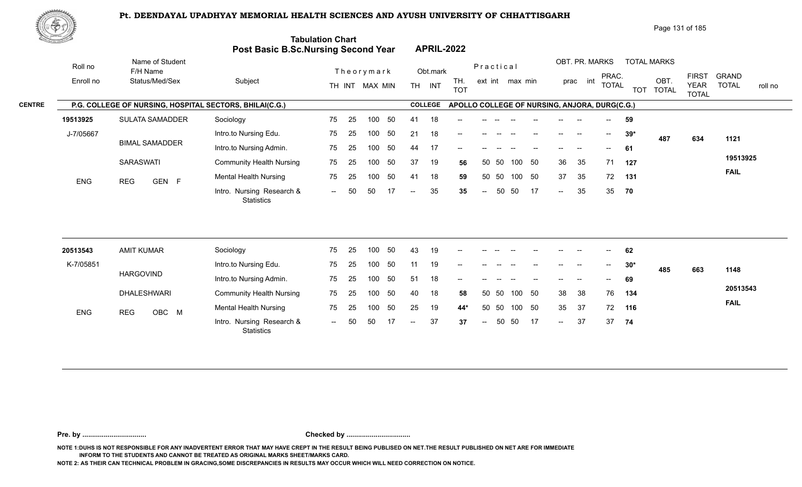

Page 131 of 185

| <u> Carl Co</u> |                      |                                                         | Post Basic B.Sc.Nursing Second Year            | <b>Tabulation Chart</b> |    |                |     |                          |                | <b>APRIL-2022</b>                             |                          |       |                 |    |                   |                            |              |       |                            |                             |              |         |
|-----------------|----------------------|---------------------------------------------------------|------------------------------------------------|-------------------------|----|----------------|-----|--------------------------|----------------|-----------------------------------------------|--------------------------|-------|-----------------|----|-------------------|----------------------------|--------------|-------|----------------------------|-----------------------------|--------------|---------|
|                 | Roll no<br>Enroll no | Name of Student<br>F/H Name<br>Status/Med/Sex           | Subject                                        |                         |    | Theorymark     |     |                          | Obt.mark       | TH.                                           | Practical                |       | ext int max min |    |                   | OBT. PR. MARKS<br>prac int | PRAC.        |       | <b>TOTAL MARKS</b><br>OBT. | <b>FIRST</b>                | <b>GRAND</b> |         |
|                 |                      |                                                         |                                                |                         |    | TH INT MAX MIN |     |                          | TH INT         | <b>TOT</b>                                    |                          |       |                 |    |                   |                            | <b>TOTAL</b> |       | TOT TOTAL                  | <b>YEAR</b><br><b>TOTAL</b> | <b>TOTAL</b> | roll no |
| <b>CENTRE</b>   |                      | P.G. COLLEGE OF NURSING, HOSPITAL SECTORS, BHILAI(C.G.) |                                                |                         |    |                |     |                          | <b>COLLEGE</b> | APOLLO COLLEGE OF NURSING, ANJORA, DURG(C.G.) |                          |       |                 |    |                   |                            |              |       |                            |                             |              |         |
|                 | 19513925             | <b>SULATA SAMADDER</b>                                  | Sociology                                      | 75                      | 25 | 100            | 50  | 41                       | 18             |                                               |                          |       |                 |    |                   |                            |              | 59    |                            |                             |              |         |
|                 | J-7/05667            |                                                         | Intro.to Nursing Edu.                          | 75                      | 25 | 100            | 50  | 21                       | 18             | --                                            |                          |       |                 |    | $\qquad \qquad -$ | $\overline{\phantom{a}}$   | $--$         | $39*$ | 487                        | 634                         | 1121         |         |
|                 |                      | <b>BIMAL SAMADDER</b>                                   | Intro.to Nursing Admin.                        | 75                      | 25 | 100            | 50  | 44                       | 17             |                                               |                          |       |                 |    |                   |                            | $- -$        | 61    |                            |                             |              |         |
|                 |                      | <b>SARASWATI</b>                                        | <b>Community Health Nursing</b>                | 75                      | 25 | 100            | 50  | 37                       | 19             | 56                                            | 50                       | 50    | 100             | 50 | 36                | 35                         | 71           | 127   |                            |                             | 19513925     |         |
|                 | <b>ENG</b>           | <b>REG</b><br>GEN F                                     | <b>Mental Health Nursing</b>                   | 75                      | 25 | 100            | 50  | 41                       | 18             | 59                                            |                          | 50 50 | 100 50          |    | 37                | 35                         | 72           | 131   |                            |                             | <b>FAIL</b>  |         |
|                 |                      |                                                         | Intro. Nursing Research &<br><b>Statistics</b> | $\sim$ $\sim$           | 50 | 50             | -17 | $\overline{\phantom{a}}$ | 35             | 35                                            | $\overline{\phantom{a}}$ | 50    | 50              | 17 | $\sim$            | 35                         | 35           | 70    |                            |                             |              |         |
|                 |                      |                                                         |                                                |                         |    |                |     |                          |                |                                               |                          |       |                 |    |                   |                            |              |       |                            |                             |              |         |
|                 | 20513543             | <b>AMIT KUMAR</b>                                       | Sociology                                      | 75                      | 25 | 100            | 50  | 43                       | 19             | --                                            |                          |       |                 |    |                   |                            |              | 62    |                            |                             |              |         |
|                 | K-7/05851            |                                                         | Intro.to Nursing Edu.                          | 75                      | 25 | 100            | 50  | 11                       | 19             |                                               |                          |       |                 |    |                   |                            |              | $30*$ | 485                        | 663                         | 1148         |         |
|                 |                      | <b>HARGOVIND</b>                                        | Intro.to Nursing Admin.                        | 75                      | 25 | 100            | 50  | 51                       | 18             | --                                            |                          |       |                 |    |                   |                            |              | 69    |                            |                             |              |         |
|                 |                      | <b>DHALESHWARI</b>                                      | <b>Community Health Nursing</b>                | 75                      | 25 | 100            | 50  | 40                       | 18             | 58                                            | 50                       | 50    | 100             | 50 | 38                | 38                         | 76           | 134   |                            |                             | 20513543     |         |
|                 | ENG                  | OBC M<br><b>REG</b>                                     | <b>Mental Health Nursing</b>                   | 75                      | 25 | 100            | 50  | 25                       | 19             | $44*$                                         | 50                       | 50    | 100 50          |    | 35                | 37                         | 72           | 116   |                            |                             | <b>FAIL</b>  |         |
|                 |                      |                                                         | Intro. Nursing Research &<br>Statistics        | $\sim$                  | 50 | 50             |     | $\overline{\phantom{a}}$ | 37             | 37                                            | $\overline{\phantom{a}}$ | 50    | 50              | 17 | $\sim$            | 37                         | 37           | 74    |                            |                             |              |         |
|                 |                      |                                                         |                                                |                         |    |                |     |                          |                |                                               |                          |       |                 |    |                   |                            |              |       |                            |                             |              |         |

**Pre. by ................................. Checked by .................................**

**NOTE 1:DUHS IS NOT RESPONSIBLE FOR ANY INADVERTENT ERROR THAT MAY HAVE CREPT IN THE RESULT BEING PUBLISED ON NET.THE RESULT PUBLISHED ON NET ARE FOR IMMEDIATE INFORM TO THE STUDENTS AND CANNOT BE TREATED AS ORIGINAL MARKS SHEET/MARKS CARD.**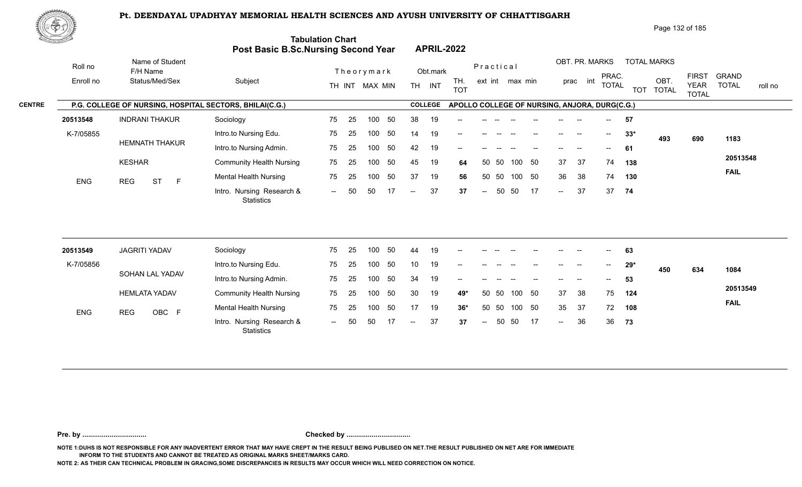

Page 132 of 185

|               | <u>Cardinal Co</u> |                                                         | Post Basic B.Sc.Nursing Second Year            | <b>Tabulation Chart</b>  |     |                |    |                          |                | <b>APRIL-2022</b>                             |                          |       |                 |        |        |                |                                       |              |                                    |                             |              |         |
|---------------|--------------------|---------------------------------------------------------|------------------------------------------------|--------------------------|-----|----------------|----|--------------------------|----------------|-----------------------------------------------|--------------------------|-------|-----------------|--------|--------|----------------|---------------------------------------|--------------|------------------------------------|-----------------------------|--------------|---------|
|               | Roll no            | Name of Student<br>F/H Name                             |                                                |                          |     | Theorymark     |    |                          | Obt.mark       |                                               | Practical                |       |                 |        |        | OBT. PR. MARKS | PRAC.                                 |              | <b>TOTAL MARKS</b>                 | <b>FIRST</b>                | <b>GRAND</b> |         |
|               | Enroll no          | Status/Med/Sex                                          | Subject                                        |                          |     | TH INT MAX MIN |    |                          | TH INT         | TH.<br><b>TOT</b>                             |                          |       | ext int max min |        |        | prac int       |                                       | <b>TOTAL</b> | OBT.<br><b>TOT</b><br><b>TOTAL</b> | <b>YEAR</b><br><b>TOTAL</b> | <b>TOTAL</b> | roll no |
| <b>CENTRE</b> |                    | P.G. COLLEGE OF NURSING, HOSPITAL SECTORS, BHILAI(C.G.) |                                                |                          |     |                |    |                          | <b>COLLEGE</b> | APOLLO COLLEGE OF NURSING, ANJORA, DURG(C.G.) |                          |       |                 |        |        |                |                                       |              |                                    |                             |              |         |
|               | 20513548           | <b>INDRANI THAKUR</b>                                   | Sociology                                      | 75                       | 25  | 100            | 50 | 38                       | 19             |                                               |                          |       |                 |        |        |                |                                       | 57           |                                    |                             |              |         |
|               | K-7/05855          |                                                         | Intro.to Nursing Edu.                          | 75                       | 25  | 100            | 50 | 14                       | 19             |                                               |                          |       |                 |        |        |                | $--$                                  | $33*$        | 493                                | 690                         | 1183         |         |
|               |                    | <b>HEMNATH THAKUR</b>                                   | Intro.to Nursing Admin.                        | 75                       | 25  | 100            | 50 | 42                       | 19             |                                               |                          |       |                 |        |        |                |                                       | 61           |                                    |                             |              |         |
|               |                    | <b>KESHAR</b>                                           | <b>Community Health Nursing</b>                | 75                       | 25  | 100            | 50 | 45                       | 19             | 64                                            | 50                       | -50   |                 | 100 50 | 37     | -37            |                                       | 74<br>138    |                                    |                             | 20513548     |         |
|               | <b>ENG</b>         | <b>ST</b><br><b>REG</b><br>F                            | <b>Mental Health Nursing</b>                   | 75                       | 25  | 100            | 50 | 37                       | 19             | 56                                            |                          | 50 50 |                 | 100 50 | 36     | 38             | 74                                    | 130          |                                    |                             | <b>FAIL</b>  |         |
|               |                    |                                                         | Intro. Nursing Research &<br><b>Statistics</b> | $\sim$ $\sim$            | 50  | 50             | 17 | $\overline{\phantom{a}}$ | 37             | 37                                            | $\overline{\phantom{m}}$ | 50    | 50              | -17    | $\sim$ | 37             | 37                                    | 74           |                                    |                             |              |         |
|               |                    |                                                         |                                                |                          |     |                |    |                          |                |                                               |                          |       |                 |        |        |                |                                       |              |                                    |                             |              |         |
|               | 20513549           | <b>JAGRITI YADAV</b>                                    | Sociology                                      | 75                       | 25  | 100            | 50 | 44                       | 19             |                                               |                          |       |                 |        |        |                |                                       | 63           |                                    |                             |              |         |
|               | K-7/05856          |                                                         | Intro.to Nursing Edu.                          | 75                       | 25  | 100            | 50 | 10                       | 19             |                                               |                          |       |                 |        |        | <b>-</b>       | $\hspace{0.05cm}$ – $\hspace{0.05cm}$ | $29*$        | 450                                | 634                         | 1084         |         |
|               |                    | SOHAN LAL YADAV                                         | Intro.to Nursing Admin.                        | 75                       | 25  | 100            | 50 | 34                       | 19             |                                               |                          |       |                 |        |        |                |                                       | 53           |                                    |                             |              |         |
|               |                    | <b>HEMLATA YADAV</b>                                    | <b>Community Health Nursing</b>                | 75                       | 25  | 100            | 50 | 30                       | 19             | 49*                                           |                          | 50 50 |                 | 100 50 | 37     | 38             | 75                                    | 124          |                                    |                             | 20513549     |         |
|               | <b>ENG</b>         | OBC F<br><b>REG</b>                                     | <b>Mental Health Nursing</b>                   | 75                       | 25  | 100            | 50 | 17                       | 19             | $36*$                                         |                          | 50 50 |                 | 100 50 | 35     | -37            | 72                                    | 108          |                                    |                             | <b>FAIL</b>  |         |
|               |                    |                                                         | Intro. Nursing Research &<br>Statistics        | $\overline{\phantom{a}}$ | -50 | 50             |    |                          | 37             | 37                                            | $\sim$                   | 50    | 50              | -17    | $\sim$ | 36             | 36                                    | 73           |                                    |                             |              |         |

**Pre. by ................................. Checked by .................................**

**NOTE 1:DUHS IS NOT RESPONSIBLE FOR ANY INADVERTENT ERROR THAT MAY HAVE CREPT IN THE RESULT BEING PUBLISED ON NET.THE RESULT PUBLISHED ON NET ARE FOR IMMEDIATE INFORM TO THE STUDENTS AND CANNOT BE TREATED AS ORIGINAL MARKS SHEET/MARKS CARD.**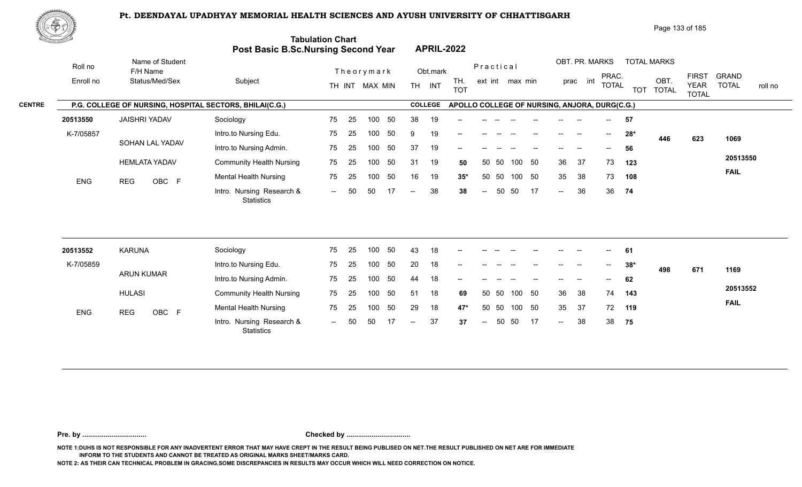

Page 133 of 185

| Name of Student<br>OBT. PR. MARKS<br><b>TOTAL MARKS</b><br>Roll no<br>Practical<br>Theorymark<br>Obt.mark<br>F/H Name<br>PRAC.<br><b>FIRST</b><br>OBT.<br>Status/Med/Sex<br>Subject<br>TH.<br>Enroll no<br>ext int max min<br>prac int<br>TH INT<br><b>TOTAL</b><br><b>YEAR</b><br>TH INT MAX MIN<br><b>TOT</b><br>TOT TOTAL<br><b>TOTAL</b><br><b>COLLEGE</b><br>P.G. COLLEGE OF NURSING, HOSPITAL SECTORS, BHILAI(C.G.)<br>APOLLO COLLEGE OF NURSING, ANJORA, DURG(C.G.)<br><b>JAISHRI YADAV</b><br>Sociology<br>75<br>25<br>100<br>50<br>38<br>19<br>20513550<br>57<br>K-7/05857<br>Intro.to Nursing Edu.<br>75<br>25<br>100<br>50<br>19<br>-9<br>$28*$<br>$\overline{\phantom{a}}$<br>446<br>623<br>SOHAN LAL YADAV<br>Intro.to Nursing Admin.<br>50<br>37<br>19<br>75<br>25<br>100<br>56<br>$-$<br><b>HEMLATA YADAV</b><br>50<br>36<br>37<br>73<br><b>Community Health Nursing</b><br>75<br>25<br>50<br>31<br>19<br>50<br>50<br>100<br>123<br>100<br>50<br><b>Mental Health Nursing</b><br>75<br>25<br>100<br>50<br>16<br>19<br>50 50<br>100 50<br>35<br>38<br>73<br>108<br>$35*$<br>ENG<br><b>REG</b><br>OBC F<br>38<br>Intro. Nursing Research &<br>50<br>50<br>50<br>17<br>36<br>36<br>50<br>74<br>38<br>$\sim$<br>$\sim$ $\sim$<br>$\overline{a}$<br>$\overline{\phantom{a}}$<br><b>Statistics</b><br><b>KARUNA</b><br>Sociology<br>50<br>43<br>18<br>75<br>25<br>100<br>20513552<br>61<br>K-7/05859<br>Intro.to Nursing Edu.<br>20<br>75<br>25<br>50<br>18<br>100<br>$38*$<br>$-$<br>498<br>671<br><b>ARUN KUMAR</b><br>Intro.to Nursing Admin.<br>75<br>25<br>50<br>18<br>100<br>44<br>62<br><b>HULASI</b> |                                         |
|-----------------------------------------------------------------------------------------------------------------------------------------------------------------------------------------------------------------------------------------------------------------------------------------------------------------------------------------------------------------------------------------------------------------------------------------------------------------------------------------------------------------------------------------------------------------------------------------------------------------------------------------------------------------------------------------------------------------------------------------------------------------------------------------------------------------------------------------------------------------------------------------------------------------------------------------------------------------------------------------------------------------------------------------------------------------------------------------------------------------------------------------------------------------------------------------------------------------------------------------------------------------------------------------------------------------------------------------------------------------------------------------------------------------------------------------------------------------------------------------------------------------------------------------------------------------------------------------------------------------------|-----------------------------------------|
|                                                                                                                                                                                                                                                                                                                                                                                                                                                                                                                                                                                                                                                                                                                                                                                                                                                                                                                                                                                                                                                                                                                                                                                                                                                                                                                                                                                                                                                                                                                                                                                                                       | <b>GRAND</b><br><b>TOTAL</b><br>roll no |
|                                                                                                                                                                                                                                                                                                                                                                                                                                                                                                                                                                                                                                                                                                                                                                                                                                                                                                                                                                                                                                                                                                                                                                                                                                                                                                                                                                                                                                                                                                                                                                                                                       |                                         |
|                                                                                                                                                                                                                                                                                                                                                                                                                                                                                                                                                                                                                                                                                                                                                                                                                                                                                                                                                                                                                                                                                                                                                                                                                                                                                                                                                                                                                                                                                                                                                                                                                       |                                         |
|                                                                                                                                                                                                                                                                                                                                                                                                                                                                                                                                                                                                                                                                                                                                                                                                                                                                                                                                                                                                                                                                                                                                                                                                                                                                                                                                                                                                                                                                                                                                                                                                                       | 1069                                    |
|                                                                                                                                                                                                                                                                                                                                                                                                                                                                                                                                                                                                                                                                                                                                                                                                                                                                                                                                                                                                                                                                                                                                                                                                                                                                                                                                                                                                                                                                                                                                                                                                                       |                                         |
|                                                                                                                                                                                                                                                                                                                                                                                                                                                                                                                                                                                                                                                                                                                                                                                                                                                                                                                                                                                                                                                                                                                                                                                                                                                                                                                                                                                                                                                                                                                                                                                                                       | 20513550                                |
|                                                                                                                                                                                                                                                                                                                                                                                                                                                                                                                                                                                                                                                                                                                                                                                                                                                                                                                                                                                                                                                                                                                                                                                                                                                                                                                                                                                                                                                                                                                                                                                                                       | <b>FAIL</b>                             |
|                                                                                                                                                                                                                                                                                                                                                                                                                                                                                                                                                                                                                                                                                                                                                                                                                                                                                                                                                                                                                                                                                                                                                                                                                                                                                                                                                                                                                                                                                                                                                                                                                       |                                         |
|                                                                                                                                                                                                                                                                                                                                                                                                                                                                                                                                                                                                                                                                                                                                                                                                                                                                                                                                                                                                                                                                                                                                                                                                                                                                                                                                                                                                                                                                                                                                                                                                                       |                                         |
|                                                                                                                                                                                                                                                                                                                                                                                                                                                                                                                                                                                                                                                                                                                                                                                                                                                                                                                                                                                                                                                                                                                                                                                                                                                                                                                                                                                                                                                                                                                                                                                                                       |                                         |
|                                                                                                                                                                                                                                                                                                                                                                                                                                                                                                                                                                                                                                                                                                                                                                                                                                                                                                                                                                                                                                                                                                                                                                                                                                                                                                                                                                                                                                                                                                                                                                                                                       | 1169                                    |
| <b>Community Health Nursing</b><br>75<br>50<br>18<br>50 50<br>100 50<br>36<br>38<br>74<br>25<br>100<br>51<br>143<br>69                                                                                                                                                                                                                                                                                                                                                                                                                                                                                                                                                                                                                                                                                                                                                                                                                                                                                                                                                                                                                                                                                                                                                                                                                                                                                                                                                                                                                                                                                                | 20513552                                |
| <b>Mental Health Nursing</b><br>50<br>29<br>18<br>50 50<br>100 50<br>37<br>75<br>25<br>100<br>35<br>72<br>119<br>$47*$                                                                                                                                                                                                                                                                                                                                                                                                                                                                                                                                                                                                                                                                                                                                                                                                                                                                                                                                                                                                                                                                                                                                                                                                                                                                                                                                                                                                                                                                                                | <b>FAIL</b>                             |
| ENG<br>OBC F<br><b>REG</b><br>Intro. Nursing Research &<br>37<br>50<br>50<br>17<br>38<br>38<br>50<br>75<br>50<br>37<br>$\sim$<br>$\sim$<br>$\overline{\phantom{m}}$<br>$\overline{\phantom{a}}$<br><b>Statistics</b>                                                                                                                                                                                                                                                                                                                                                                                                                                                                                                                                                                                                                                                                                                                                                                                                                                                                                                                                                                                                                                                                                                                                                                                                                                                                                                                                                                                                  |                                         |

**Pre. by ................................. Checked by .................................**

**NOTE 1:DUHS IS NOT RESPONSIBLE FOR ANY INADVERTENT ERROR THAT MAY HAVE CREPT IN THE RESULT BEING PUBLISED ON NET.THE RESULT PUBLISHED ON NET ARE FOR IMMEDIATE INFORM TO THE STUDENTS AND CANNOT BE TREATED AS ORIGINAL MARKS SHEET/MARKS CARD.**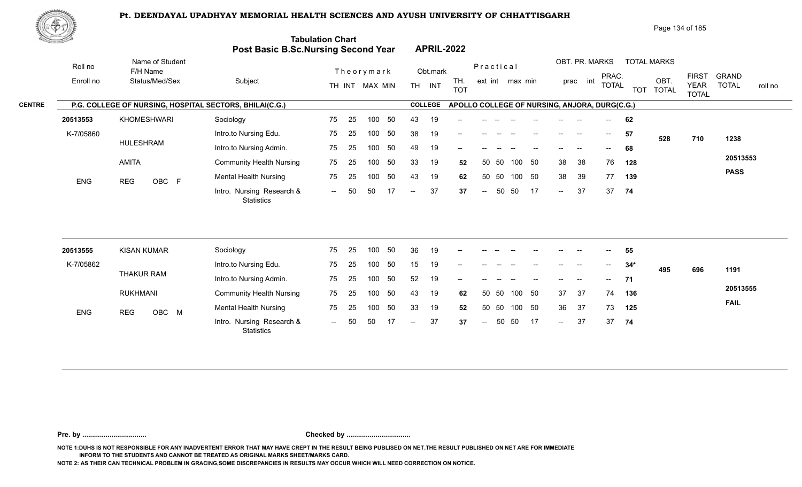

Page 134 of 185

|               | <u>Cardinal Co</u> |                                                         | Post Basic B.Sc.Nursing Second Year            | <b>Tabulation Chart</b>  |     |                |    |                          |                | <b>APRIL-2022</b>                             |                          |           |                 |        |        |                |                          |       |                                    |                             |                         |
|---------------|--------------------|---------------------------------------------------------|------------------------------------------------|--------------------------|-----|----------------|----|--------------------------|----------------|-----------------------------------------------|--------------------------|-----------|-----------------|--------|--------|----------------|--------------------------|-------|------------------------------------|-----------------------------|-------------------------|
|               | Roll no            | Name of Student<br>F/H Name                             |                                                |                          |     | Theorymark     |    |                          | Obt.mark       |                                               |                          | Practical |                 |        |        | OBT. PR. MARKS | PRAC.                    |       | <b>TOTAL MARKS</b>                 | <b>FIRST</b>                | <b>GRAND</b>            |
|               | Enroll no          | Status/Med/Sex                                          | Subject                                        |                          |     | TH INT MAX MIN |    |                          | TH INT         | TH.<br><b>TOT</b>                             |                          |           | ext int max min |        |        | prac int       | <b>TOTAL</b>             |       | OBT.<br><b>TOT</b><br><b>TOTAL</b> | <b>YEAR</b><br><b>TOTAL</b> | <b>TOTAL</b><br>roll no |
| <b>CENTRE</b> |                    | P.G. COLLEGE OF NURSING, HOSPITAL SECTORS, BHILAI(C.G.) |                                                |                          |     |                |    |                          | <b>COLLEGE</b> | APOLLO COLLEGE OF NURSING, ANJORA, DURG(C.G.) |                          |           |                 |        |        |                |                          |       |                                    |                             |                         |
|               | 20513553           | KHOMESHWARI                                             | Sociology                                      | 75                       | 25  | 100            | 50 | 43                       | 19             |                                               |                          |           |                 |        |        |                |                          | 62    |                                    |                             |                         |
|               | K-7/05860          |                                                         | Intro.to Nursing Edu.                          | 75                       | 25  | 100            | 50 | 38                       | 19             |                                               |                          |           |                 |        |        |                | $--$                     | 57    | 528                                | 710                         | 1238                    |
|               |                    | <b>HULESHRAM</b>                                        | Intro.to Nursing Admin.                        | 75                       | 25  | 100            | 50 | 49                       | 19             | --                                            |                          |           |                 |        |        |                |                          | 68    |                                    |                             |                         |
|               |                    | <b>AMITA</b>                                            | <b>Community Health Nursing</b>                | 75                       | 25  | 100            | 50 | 33                       | 19             | 52                                            |                          | 50 50     |                 | 100 50 | 38     | 38             | 76                       | 128   |                                    |                             | 20513553                |
|               | <b>ENG</b>         | OBC F<br><b>REG</b>                                     | <b>Mental Health Nursing</b>                   | 75                       | 25  | 100            | 50 | 43                       | 19             | 62                                            |                          | 50 50     |                 | 100 50 | 38     | 39             | 77                       | 139   |                                    |                             | <b>PASS</b>             |
|               |                    |                                                         | Intro. Nursing Research &<br><b>Statistics</b> | $\sim$ $\sim$            | 50  | 50             | 17 | $\overline{\phantom{a}}$ | 37             | 37                                            | $\overline{\phantom{a}}$ | 50        | 50              | -17    | $\sim$ | 37             | 37                       | 74    |                                    |                             |                         |
|               |                    |                                                         |                                                |                          |     |                |    |                          |                |                                               |                          |           |                 |        |        |                |                          |       |                                    |                             |                         |
|               | 20513555           | <b>KISAN KUMAR</b>                                      | Sociology                                      | 75                       | 25  | 100            | 50 | 36                       | 19             |                                               |                          |           |                 |        |        |                |                          | 55    |                                    |                             |                         |
|               | K-7/05862          |                                                         | Intro.to Nursing Edu.                          | 75                       | 25  | 100            | 50 | 15                       | 19             | --                                            |                          |           |                 |        |        | --             | $\overline{\phantom{a}}$ | $34*$ | 495                                | 696                         | 1191                    |
|               |                    | <b>THAKUR RAM</b>                                       | Intro.to Nursing Admin.                        | 75                       | 25  | 100            | 50 | 52                       | 19             |                                               |                          |           |                 |        |        |                |                          | 71    |                                    |                             |                         |
|               |                    | <b>RUKHMANI</b>                                         | <b>Community Health Nursing</b>                | 75                       | 25  | 100            | 50 | 43                       | 19             | 62                                            |                          | 50 50     |                 | 100 50 | 37     | 37             | 74                       | 136   |                                    |                             | 20513555                |
|               | <b>ENG</b>         | OBC M<br><b>REG</b>                                     | <b>Mental Health Nursing</b>                   | 75                       | 25  | 100            | 50 | 33                       | 19             | 52                                            |                          | 50 50     |                 | 100 50 | 36     | -37            | 73                       | 125   |                                    |                             | <b>FAIL</b>             |
|               |                    |                                                         | Intro. Nursing Research &<br>Statistics        | $\overline{\phantom{a}}$ | -50 | 50             | 17 |                          | 37             | 37                                            | $\overline{\phantom{a}}$ | 50        | 50              | 17     | $\sim$ | 37             | 37                       | 74    |                                    |                             |                         |

**Pre. by ................................. Checked by .................................**

**NOTE 1:DUHS IS NOT RESPONSIBLE FOR ANY INADVERTENT ERROR THAT MAY HAVE CREPT IN THE RESULT BEING PUBLISED ON NET.THE RESULT PUBLISHED ON NET ARE FOR IMMEDIATE INFORM TO THE STUDENTS AND CANNOT BE TREATED AS ORIGINAL MARKS SHEET/MARKS CARD.**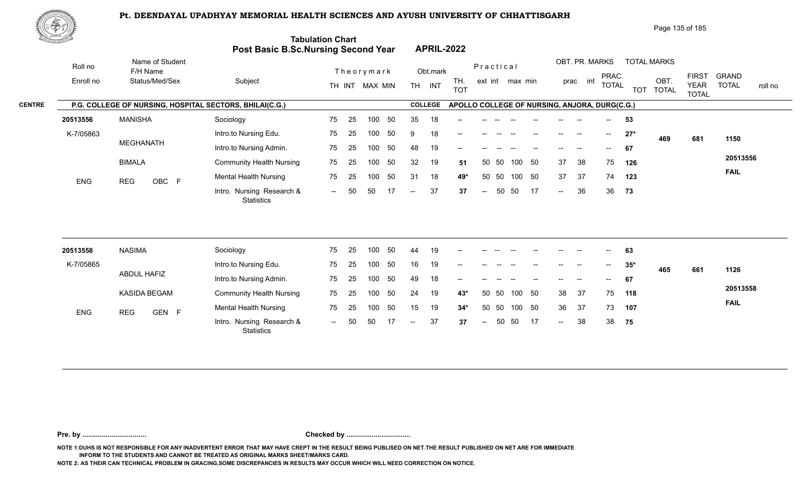

Page 135 of 185

| <u>Cardinal Co</u> |           |                                                         | Post Basic B.Sc.Nursing Second Year            | <b>Tabulation Chart</b> |    |                |    |                          |                | <b>APRIL-2022</b>                             |                          |       |                 |     |                |                |              |            |                      |                             |              |         |
|--------------------|-----------|---------------------------------------------------------|------------------------------------------------|-------------------------|----|----------------|----|--------------------------|----------------|-----------------------------------------------|--------------------------|-------|-----------------|-----|----------------|----------------|--------------|------------|----------------------|-----------------------------|--------------|---------|
|                    | Roll no   | Name of Student<br>F/H Name                             |                                                |                         |    | Theorymark     |    |                          | Obt.mark       |                                               | Practical                |       |                 |     |                | OBT. PR. MARKS | PRAC.        |            | <b>TOTAL MARKS</b>   | <b>FIRST</b>                | <b>GRAND</b> |         |
|                    | Enroll no | Status/Med/Sex                                          | Subject                                        |                         |    | TH INT MAX MIN |    |                          | TH INT         | TH.<br><b>TOT</b>                             |                          |       | ext int max min |     |                | prac int       | <b>TOTAL</b> | <b>TOT</b> | OBT.<br><b>TOTAL</b> | <b>YEAR</b><br><b>TOTAL</b> | <b>TOTAL</b> | roll no |
| <b>CENTRE</b>      |           | P.G. COLLEGE OF NURSING, HOSPITAL SECTORS, BHILAI(C.G.) |                                                |                         |    |                |    |                          | <b>COLLEGE</b> | APOLLO COLLEGE OF NURSING, ANJORA, DURG(C.G.) |                          |       |                 |     |                |                |              |            |                      |                             |              |         |
|                    | 20513556  | <b>MANISHA</b>                                          | Sociology                                      | 75                      | 25 | 100            | 50 | 35                       | 18             |                                               |                          |       |                 |     |                |                |              | 53         |                      |                             |              |         |
|                    | K-7/05863 |                                                         | Intro.to Nursing Edu.                          | 75                      | 25 | 100            | 50 | -9                       | 18             |                                               |                          |       |                 |     |                |                | $--$         | $27*$      | 469                  | 681                         | 1150         |         |
|                    |           | <b>MEGHANATH</b>                                        | Intro.to Nursing Admin.                        | 75                      | 25 | 100            | 50 | 48                       | 19             | --                                            |                          |       |                 |     |                |                |              | 67         |                      |                             |              |         |
|                    |           | <b>BIMALA</b>                                           | <b>Community Health Nursing</b>                | 75                      | 25 | 100            | 50 | 32                       | 19             | 51                                            |                          | 50 50 | 100             | 50  | 37             | 38             | 75           | 126        |                      |                             | 20513556     |         |
|                    | ENG       | OBC F<br><b>REG</b>                                     | <b>Mental Health Nursing</b>                   | 75                      | 25 | 100            | 50 | 31                       | 18             | 49*                                           | 50                       | 50    | 100             | 50  | 37             | 37             | 74           | 123        |                      |                             | <b>FAIL</b>  |         |
|                    |           |                                                         | Intro. Nursing Research &<br><b>Statistics</b> | $  \,$                  | 50 | 50             | 17 | $\overline{\phantom{a}}$ | 37             | 37                                            | $\overline{\phantom{a}}$ | 50    | 50              | -17 | $\sim$         | 36             | 36           | 73         |                      |                             |              |         |
|                    |           |                                                         |                                                |                         |    |                |    |                          |                |                                               |                          |       |                 |     |                |                |              |            |                      |                             |              |         |
|                    | 20513558  | <b>NASIMA</b>                                           | Sociology                                      | 75                      | 25 | 100            | 50 | 44                       | 19             |                                               |                          |       |                 |     |                |                |              | 63         |                      |                             |              |         |
|                    | K-7/05865 |                                                         | Intro.to Nursing Edu.                          | 75                      | 25 | 100            | 50 | 16                       | 19             |                                               |                          |       |                 |     |                |                |              | $35*$      | 465                  | 661                         | 1126         |         |
|                    |           | ABDUL HAFIZ                                             | Intro.to Nursing Admin.                        | 75                      | 25 | 100            | 50 | 49                       | 18             |                                               |                          |       |                 |     |                |                |              | 67         |                      |                             |              |         |
|                    |           | KASIDA BEGAM                                            | <b>Community Health Nursing</b>                | 75                      | 25 | 100            | 50 | 24                       | 19             | $43*$                                         |                          | 50 50 | 100             | 50  | 38             | 37             | 75           | 118        |                      |                             | 20513558     |         |
|                    | ENG       | <b>REG</b><br>GEN F                                     | <b>Mental Health Nursing</b>                   | 75                      | 25 | 100            | 50 | 15                       | 19             | $34*$                                         | 50                       | 50    | 100 50          |     | 36             | 37             | 73           | 107        |                      |                             | <b>FAIL</b>  |         |
|                    |           |                                                         | Intro. Nursing Research &<br>Statistics        | $-$                     | 50 | 50             | 17 | $\overline{\phantom{a}}$ | 37             | 37                                            | $\overline{\phantom{a}}$ | 50    | 50              | 17  | $\overline{a}$ | 38             | 38           | 75         |                      |                             |              |         |

**Pre. by ................................. Checked by .................................**

**NOTE 1:DUHS IS NOT RESPONSIBLE FOR ANY INADVERTENT ERROR THAT MAY HAVE CREPT IN THE RESULT BEING PUBLISED ON NET.THE RESULT PUBLISHED ON NET ARE FOR IMMEDIATE INFORM TO THE STUDENTS AND CANNOT BE TREATED AS ORIGINAL MARKS SHEET/MARKS CARD.**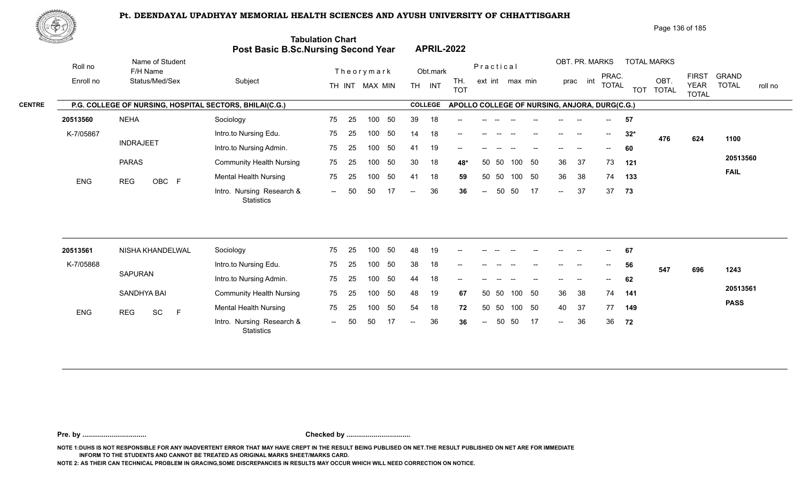

Page 136 of 185

| <u> Carl Co</u> |                                                         | Post Basic B.Sc.Nursing Second Year     | <b>Tabulation Chart</b> |    |                |     |                          |                | <b>APRIL-2022</b>                             |           |       |                 |     |        |                                                |              |            |                      |                             |                         |
|-----------------|---------------------------------------------------------|-----------------------------------------|-------------------------|----|----------------|-----|--------------------------|----------------|-----------------------------------------------|-----------|-------|-----------------|-----|--------|------------------------------------------------|--------------|------------|----------------------|-----------------------------|-------------------------|
| Roll no         | Name of Student<br>F/H Name                             |                                         |                         |    | Theorymark     |     |                          | Obt.mark       |                                               | Practical |       |                 |     |        | OBT. PR. MARKS                                 | PRAC.        |            | <b>TOTAL MARKS</b>   | <b>FIRST</b>                | <b>GRAND</b>            |
| Enroll no       | Status/Med/Sex                                          | Subject                                 |                         |    | TH INT MAX MIN |     |                          | TH INT         | TH.<br><b>TOT</b>                             |           |       | ext int max min |     |        | prac int                                       | <b>TOTAL</b> | <b>TOT</b> | OBT.<br><b>TOTAL</b> | <b>YEAR</b><br><b>TOTAL</b> | <b>TOTAL</b><br>roll no |
|                 | P.G. COLLEGE OF NURSING, HOSPITAL SECTORS, BHILAI(C.G.) |                                         |                         |    |                |     |                          | <b>COLLEGE</b> | APOLLO COLLEGE OF NURSING, ANJORA, DURG(C.G.) |           |       |                 |     |        |                                                |              |            |                      |                             |                         |
| 20513560        | <b>NEHA</b>                                             | Sociology                               | 75                      | 25 | 100            | 50  | 39                       | 18             |                                               |           |       |                 |     |        |                                                |              | 57         |                      |                             |                         |
| K-7/05867       |                                                         | Intro.to Nursing Edu.                   | 75                      | 25 | 100            | 50  | 14                       | 18             | --                                            |           |       |                 |     | $- -$  |                                                | $--$         | $32*$      | 476                  | 624                         | 1100                    |
|                 | <b>INDRAJEET</b>                                        | Intro.to Nursing Admin.                 | 75                      | 25 | 100            | 50  | 41                       | 19             |                                               |           |       |                 |     |        |                                                |              | 60         |                      |                             |                         |
|                 | <b>PARAS</b>                                            | <b>Community Health Nursing</b>         | 75                      | 25 | 100            | 50  | 30                       | 18             | 48*                                           | 50        | 50    | 100             | 50  | 36     | 37                                             | 73           | 121        |                      |                             | 20513560                |
| <b>ENG</b>      | <b>REG</b><br>OBC F                                     | <b>Mental Health Nursing</b>            | 75                      | 25 | 100            | 50  | 41                       | 18             | 59                                            | 50        | 50    | 100 50          |     | 36     | 38                                             | 74           | 133        |                      |                             | <b>FAIL</b>             |
|                 |                                                         | Intro. Nursing Research &<br>Statistics | $  \,$                  | 50 | 50             | -17 | $\overline{\phantom{a}}$ | 36             | 36                                            | $\sim$    | 50    | 50              | 17  | $\sim$ | 37                                             | 37           | 73         |                      |                             |                         |
| 20513561        | NISHA KHANDELWAL                                        | Sociology                               | 75                      | 25 | 100            | 50  | 48                       | 19             |                                               |           |       |                 |     |        |                                                |              | 67         |                      |                             |                         |
| K-7/05868       |                                                         | Intro.to Nursing Edu.                   | 75                      | 25 | 100            | 50  | 38                       | 18             |                                               |           |       |                 |     |        | $\hspace{0.1mm}-\hspace{0.1mm}-\hspace{0.1mm}$ |              | 56         |                      |                             |                         |
|                 | <b>SAPURAN</b>                                          |                                         |                         |    | 100            | 50  |                          |                |                                               |           |       |                 |     |        |                                                |              |            | 547                  | 696                         | 1243                    |
|                 |                                                         | Intro.to Nursing Admin.                 | 75                      | 25 |                |     | 44                       | 18             | --                                            |           |       |                 |     |        |                                                |              | 62         |                      |                             | 20513561                |
|                 | <b>SANDHYA BAI</b>                                      | <b>Community Health Nursing</b>         | 75                      | 25 | 100            | 50  | 48                       | 19             | 67                                            |           | 50 50 | 100             | 50  | 36     | 38                                             | 74           | 141        |                      |                             | <b>PASS</b>             |
| ENG             | SC<br>F<br><b>REG</b>                                   | <b>Mental Health Nursing</b>            | 75                      | 25 | 100            | 50  | 54                       | 18             | 72                                            |           | 50 50 | 100 50          |     | 40     | 37                                             | 77           | 149        |                      |                             |                         |
|                 |                                                         | Intro. Nursing Research &<br>Statistics |                         |    | 50             |     |                          | 36             | 36                                            |           | 50    | 50              | -17 | $\sim$ | 36                                             | 36           | 72         |                      |                             |                         |

**Pre. by ................................. Checked by .................................**

**NOTE 1:DUHS IS NOT RESPONSIBLE FOR ANY INADVERTENT ERROR THAT MAY HAVE CREPT IN THE RESULT BEING PUBLISED ON NET.THE RESULT PUBLISHED ON NET ARE FOR IMMEDIATE INFORM TO THE STUDENTS AND CANNOT BE TREATED AS ORIGINAL MARKS SHEET/MARKS CARD.**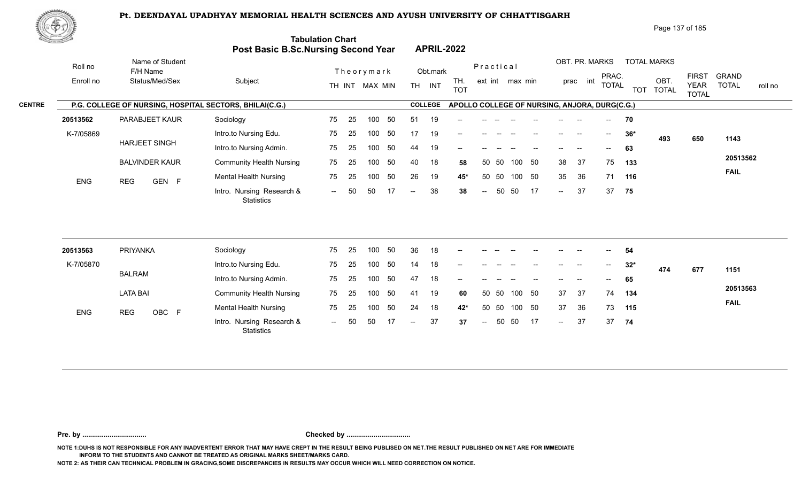

Page 137 of 185

| <u> Samara</u> |                      |                                                         | <b>Post Basic B.Sc.Nursing Second Year</b>     | <b>Tabulation Chart</b> |    |                  |    |     |                | <b>APRIL-2022</b>                             |                          |           |                 |    |        |                            |                                       |            |                            |                             |                              |
|----------------|----------------------|---------------------------------------------------------|------------------------------------------------|-------------------------|----|------------------|----|-----|----------------|-----------------------------------------------|--------------------------|-----------|-----------------|----|--------|----------------------------|---------------------------------------|------------|----------------------------|-----------------------------|------------------------------|
|                | Roll no<br>Enroll no | Name of Student<br>F/H Name<br>Status/Med/Sex           | Subject                                        |                         |    | Theorymark       |    |     | Obt.mark       | TH.                                           |                          | Practical | ext int max min |    |        | OBT. PR. MARKS<br>prac int | PRAC.<br><b>TOTAL</b>                 |            | <b>TOTAL MARKS</b><br>OBT. | <b>FIRST</b><br><b>YEAR</b> | <b>GRAND</b><br><b>TOTAL</b> |
|                |                      |                                                         |                                                |                         |    | TH INT MAX MIN   |    |     | TH INT         | <b>TOT</b>                                    |                          |           |                 |    |        |                            |                                       | <b>TOT</b> | <b>TOTAL</b>               | <b>TOTAL</b>                | roll no                      |
| <b>CENTRE</b>  |                      | P.G. COLLEGE OF NURSING, HOSPITAL SECTORS, BHILAI(C.G.) |                                                |                         |    |                  |    |     | <b>COLLEGE</b> | APOLLO COLLEGE OF NURSING, ANJORA, DURG(C.G.) |                          |           |                 |    |        |                            |                                       |            |                            |                             |                              |
|                | 20513562             | PARABJEET KAUR                                          | Sociology                                      | 75                      | 25 | 100              | 50 | 51  | 19             |                                               |                          |           |                 |    |        |                            | $-$                                   | 70         |                            |                             |                              |
|                | K-7/05869            |                                                         | Intro.to Nursing Edu.                          | 75                      | 25 | 100 <sub>1</sub> | 50 | 17  | 19             | $\overline{\phantom{a}}$                      |                          |           |                 |    |        |                            | $--$                                  | $36*$      | 493                        | 650                         | 1143                         |
|                |                      | <b>HARJEET SINGH</b>                                    | Intro.to Nursing Admin.                        | 75                      | 25 | 100              | 50 | 44  | 19             | --                                            |                          |           |                 |    |        |                            |                                       | 63         |                            |                             |                              |
|                |                      | <b>BALVINDER KAUR</b>                                   | <b>Community Health Nursing</b>                | 75                      | 25 | 100              | 50 | 40  | 18             | 58                                            | 50                       | 50        | 100             | 50 | 38     | 37                         | 75                                    | 133        |                            |                             | 20513562                     |
|                | <b>ENG</b>           | <b>REG</b><br>GEN F                                     | <b>Mental Health Nursing</b>                   | 75                      | 25 | 100              | 50 | 26  | 19             | 45*                                           | 50                       | 50        | 100             | 50 | 35     | 36                         | 71                                    | 116        |                            |                             | <b>FAIL</b>                  |
|                |                      |                                                         | Intro. Nursing Research &<br><b>Statistics</b> | $  \,$                  | 50 | 50               | 17 | $-$ | 38             | 38                                            | $\overline{\phantom{a}}$ | 50        | 50              | 17 | $\sim$ | 37                         | 37                                    | 75         |                            |                             |                              |
|                |                      |                                                         |                                                |                         |    |                  |    |     |                |                                               |                          |           |                 |    |        |                            |                                       |            |                            |                             |                              |
|                | 20513563             | PRIYANKA                                                | Sociology                                      | 75                      | 25 | 100              | 50 | 36  | 18             | --                                            |                          |           |                 |    |        |                            |                                       | 54         |                            |                             |                              |
|                | K-7/05870            |                                                         | Intro.to Nursing Edu.                          | 75                      | 25 | 100              | 50 | 14  | 18             | --                                            |                          |           |                 |    |        |                            | $\hspace{0.05cm}$ – $\hspace{0.05cm}$ | $32*$      | 474                        | 677                         | 1151                         |
|                |                      | <b>BALRAM</b>                                           | Intro.to Nursing Admin.                        | 75                      | 25 | 100              | 50 | 47  | 18             |                                               |                          |           |                 |    |        |                            |                                       | 65         |                            |                             |                              |
|                |                      | <b>LATA BAI</b>                                         | <b>Community Health Nursing</b>                | 75                      | 25 | 100              | 50 | 41  | 19             | 60                                            |                          | 50 50     | 100 50          |    | 37     | 37                         | 74                                    | 134        |                            |                             | 20513563                     |
|                | <b>FMO</b>           | DEO.<br>$\sim$ $\sim$ $\sim$ $\sim$                     | Mental Health Nursing                          | 75                      | 25 | 100              | 50 | 24  | 18             | $42*$                                         | 50                       | 50        | 100             | 50 | 37     | 36                         | 73                                    | 115        |                            |                             | <b>FAIL</b>                  |

-- 50 50 17 -- 37 37

-- 50 37 37 **37** 37

 $- 37$ 

**74**

**Pre. by ................................. Checked by .................................**

0BC F Montain Research & The 20 novel of 21 not 42 60 00 novel of 01<br>Intro. Nursing Research & -- 50 50 17 -- 37 37 -- 50 50 17 --

**NOTE 1:DUHS IS NOT RESPONSIBLE FOR ANY INADVERTENT ERROR THAT MAY HAVE CREPT IN THE RESULT BEING PUBLISED ON NET.THE RESULT PUBLISHED ON NET ARE FOR IMMEDIATE INFORM TO THE STUDENTS AND CANNOT BE TREATED AS ORIGINAL MARKS SHEET/MARKS CARD.**

**NOTE 2: AS THEIR CAN TECHNICAL PROBLEM IN GRACING,SOME DISCREPANCIES IN RESULTS MAY OCCUR WHICH WILL NEED CORRECTION ON NOTICE.**

**Statistics** 

ENG REG OBC F Montail House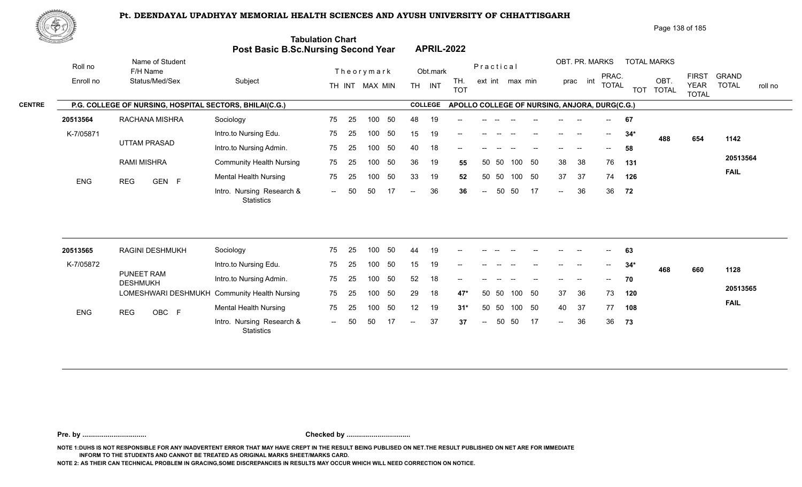

Page 138 of 185

| <u>Contraction of the Contraction of the Contraction of the Contraction of the Contraction of the Contraction of the Contraction of the Contraction of the Contraction of the Contraction of the Contraction of the Contraction </u> |                                                         | Post Basic B.Sc.Nursing Second Year            | <b>Tabulation Chart</b> |    |                  |     |     |                | <b>APRIL-2022</b>                             |                          |       |                 |     |                          |                          |                                       |            |                      |                             |                         |
|--------------------------------------------------------------------------------------------------------------------------------------------------------------------------------------------------------------------------------------|---------------------------------------------------------|------------------------------------------------|-------------------------|----|------------------|-----|-----|----------------|-----------------------------------------------|--------------------------|-------|-----------------|-----|--------------------------|--------------------------|---------------------------------------|------------|----------------------|-----------------------------|-------------------------|
| Roll no                                                                                                                                                                                                                              | Name of Student<br>F/H Name                             |                                                |                         |    | Theorymark       |     |     | Obt.mark       |                                               | Practical                |       |                 |     |                          | OBT. PR. MARKS           | PRAC.                                 |            | <b>TOTAL MARKS</b>   | <b>FIRST</b>                | <b>GRAND</b>            |
| Enroll no                                                                                                                                                                                                                            | Status/Med/Sex                                          | Subject                                        |                         |    | TH INT MAX MIN   |     |     | TH INT         | TH.<br><b>TOT</b>                             |                          |       | ext int max min |     |                          | prac int                 | <b>TOTAL</b>                          | <b>TOT</b> | OBT.<br><b>TOTAL</b> | <b>YEAR</b><br><b>TOTAL</b> | <b>TOTAL</b><br>roll no |
|                                                                                                                                                                                                                                      | P.G. COLLEGE OF NURSING, HOSPITAL SECTORS, BHILAI(C.G.) |                                                |                         |    |                  |     |     | <b>COLLEGE</b> | APOLLO COLLEGE OF NURSING, ANJORA, DURG(C.G.) |                          |       |                 |     |                          |                          |                                       |            |                      |                             |                         |
| 20513564                                                                                                                                                                                                                             | RACHANA MISHRA                                          | Sociology                                      | 75                      | 25 | 100              | 50  | 48  | 19             |                                               |                          |       |                 |     |                          |                          |                                       | 67         |                      |                             |                         |
| K-7/05871                                                                                                                                                                                                                            |                                                         | Intro.to Nursing Edu.                          | 75                      | 25 | 100              | 50  | 15  | 19             |                                               |                          |       |                 |     |                          |                          | $\hspace{0.05cm}$ – $\hspace{0.05cm}$ | $34*$      | 488                  | 654                         | 1142                    |
|                                                                                                                                                                                                                                      | <b>UTTAM PRASAD</b>                                     | Intro.to Nursing Admin.                        | 75                      | 25 | 100              | 50  | 40  | 18             | --                                            |                          |       |                 |     |                          |                          |                                       | 58         |                      |                             |                         |
|                                                                                                                                                                                                                                      | <b>RAMI MISHRA</b>                                      | <b>Community Health Nursing</b>                | 75                      | 25 | 100              | 50  | 36  | 19             | 55                                            | 50                       | -50   | 100             | 50  | 38                       | 38                       | 76                                    | 131        |                      |                             | 20513564                |
| <b>ENG</b>                                                                                                                                                                                                                           | GEN F<br><b>REG</b>                                     | <b>Mental Health Nursing</b>                   | 75                      | 25 | 100              | 50  | 33  | 19             | 52                                            | 50                       | 50    | 100 50          |     | 37                       | 37                       | 74                                    | 126        |                      |                             | <b>FAIL</b>             |
|                                                                                                                                                                                                                                      |                                                         | Intro. Nursing Research &<br><b>Statistics</b> | $--$                    | 50 | 50               | -17 | $-$ | 36             | 36                                            | $\overline{\phantom{a}}$ | 50    | 50              | -17 | $\overline{\phantom{a}}$ | 36                       | 36                                    | 72         |                      |                             |                         |
| 20513565                                                                                                                                                                                                                             | <b>RAGINI DESHMUKH</b>                                  | Sociology                                      | 75                      | 25 | 100              | 50  | 44  | 19             |                                               |                          |       |                 |     |                          |                          |                                       | 63         |                      |                             |                         |
| K-7/05872                                                                                                                                                                                                                            |                                                         | Intro.to Nursing Edu.                          | 75                      | 25 | 100              | 50  | 15  | 19             |                                               |                          |       |                 |     |                          | $\overline{\phantom{a}}$ |                                       | $34*$      |                      |                             |                         |
|                                                                                                                                                                                                                                      | PUNEET RAM<br><b>DESHMUKH</b>                           | Intro.to Nursing Admin.                        | 75                      | 25 | 100 <sub>1</sub> | 50  | 52  | 18             | --                                            |                          |       |                 |     |                          |                          | $\overline{\phantom{a}}$              | 70         | 468                  | 660                         | 1128                    |
|                                                                                                                                                                                                                                      |                                                         | LOMESHWARI DESHMUKH Community Health Nursing   | 75                      | 25 | 100              | 50  | 29  | 18             | $47*$                                         | 50                       | -50   | 100             | 50  | 37                       | 36                       | 73                                    | 120        |                      |                             | 20513565                |
| ENG                                                                                                                                                                                                                                  | OBC F<br><b>REG</b>                                     | <b>Mental Health Nursing</b>                   | 75                      | 25 | 100              | 50  | 12  | 19             | $31*$                                         |                          | 50 50 | 100             | 50  | 40                       | 37                       | 77                                    | 108        |                      |                             | <b>FAIL</b>             |
|                                                                                                                                                                                                                                      |                                                         | Intro. Nursing Research &<br>Statistics        |                         |    | 50               |     |     | 37             | 37                                            | $\overline{a}$           | 50    | 50              | -17 | $\sim$                   | 36                       | 36                                    | 73         |                      |                             |                         |

**Pre. by ................................. Checked by .................................**

**NOTE 1:DUHS IS NOT RESPONSIBLE FOR ANY INADVERTENT ERROR THAT MAY HAVE CREPT IN THE RESULT BEING PUBLISED ON NET.THE RESULT PUBLISHED ON NET ARE FOR IMMEDIATE INFORM TO THE STUDENTS AND CANNOT BE TREATED AS ORIGINAL MARKS SHEET/MARKS CARD.**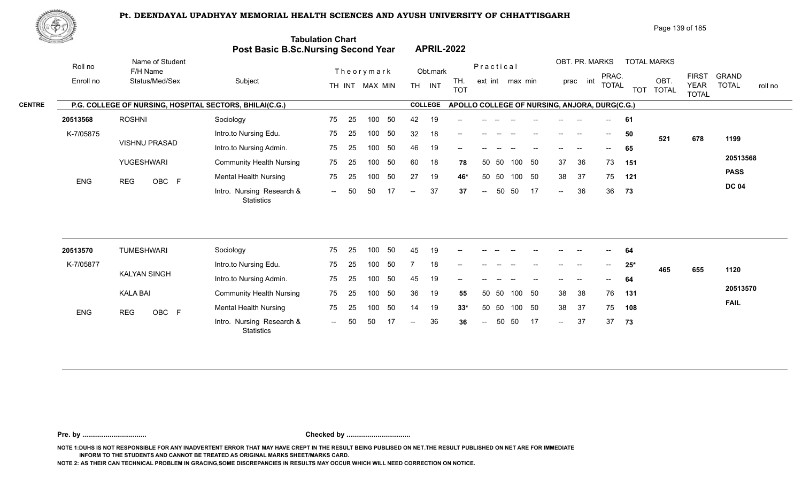

Page 139 of 185

| <u>Contraction of the State of the State of the State of the State of the State of the State of the S</u> |                                                         | Post Basic B.Sc.Nursing Second Year            | <b>Tabulation Chart</b> |    |                |    |                          |                | <b>APRIL-2022</b>                             |                          |       |                 |    |                            |                |                   |       |                    |                             |                         |
|-----------------------------------------------------------------------------------------------------------|---------------------------------------------------------|------------------------------------------------|-------------------------|----|----------------|----|--------------------------|----------------|-----------------------------------------------|--------------------------|-------|-----------------|----|----------------------------|----------------|-------------------|-------|--------------------|-----------------------------|-------------------------|
| Roll no                                                                                                   | Name of Student<br>F/H Name                             |                                                |                         |    | Theorymark     |    |                          | Obt.mark       |                                               | Practical                |       |                 |    |                            | OBT. PR. MARKS | PRAC.             |       | <b>TOTAL MARKS</b> | <b>FIRST</b>                | <b>GRAND</b>            |
| Enroll no                                                                                                 | Status/Med/Sex                                          | Subject                                        |                         |    | TH INT MAX MIN |    |                          | TH INT         | TH.<br><b>TOT</b>                             |                          |       | ext int max min |    |                            | prac int       | <b>TOTAL</b>      |       | OBT.<br>TOT TOTAL  | <b>YEAR</b><br><b>TOTAL</b> | <b>TOTAL</b><br>roll no |
|                                                                                                           | P.G. COLLEGE OF NURSING, HOSPITAL SECTORS, BHILAI(C.G.) |                                                |                         |    |                |    |                          | <b>COLLEGE</b> | APOLLO COLLEGE OF NURSING, ANJORA, DURG(C.G.) |                          |       |                 |    |                            |                |                   |       |                    |                             |                         |
| 20513568                                                                                                  | <b>ROSHNI</b>                                           | Sociology                                      | 75                      | 25 | 100            | 50 | 42                       | 19             |                                               |                          |       |                 |    |                            |                |                   | 61    |                    |                             |                         |
| K-7/05875                                                                                                 |                                                         | Intro.to Nursing Edu.                          | 75                      | 25 | 100            | 50 | 32                       | 18             |                                               |                          |       |                 |    | $\qquad \qquad -$          | $\sim$         | $--$              | 50    | 521                | 678                         | 1199                    |
|                                                                                                           | <b>VISHNU PRASAD</b>                                    | Intro.to Nursing Admin.                        | 75                      | 25 | 100            | 50 | 46                       | 19             | --                                            |                          |       |                 |    |                            |                | $--$              | 65    |                    |                             |                         |
|                                                                                                           | YUGESHWARI                                              | <b>Community Health Nursing</b>                | 75                      | 25 | 100            | 50 | 60                       | 18             | 78                                            |                          | 50 50 | 100 50          |    | 37                         | 36             | 73                | 151   |                    |                             | 20513568                |
| ENG                                                                                                       | OBC F<br><b>REG</b>                                     | <b>Mental Health Nursing</b>                   | 75                      | 25 | 100            | 50 | 27                       | 19             | 46*                                           | 50                       | 50    | 100 50          |    | 38                         | 37             | 75                | 121   |                    |                             | <b>PASS</b>             |
|                                                                                                           |                                                         | Intro. Nursing Research &<br><b>Statistics</b> | $\sim$                  | 50 | 50             | 17 | $-$                      | 37             | 37                                            | $\sim$                   | 50    | 50              | 17 | $\sim$                     | 36             | 36                | 73    |                    |                             | <b>DC 04</b>            |
| 20513570                                                                                                  | <b>TUMESHWARI</b>                                       | Sociology                                      | 75                      | 25 | 100            | 50 | 45                       | 19             |                                               |                          |       |                 |    |                            |                |                   | 64    |                    |                             |                         |
| K-7/05877                                                                                                 |                                                         | Intro.to Nursing Edu.                          | 75                      | 25 | 100            | 50 |                          | 18             |                                               |                          |       |                 |    |                            |                | $\hspace{0.05cm}$ | $25*$ |                    |                             |                         |
|                                                                                                           | <b>KALYAN SINGH</b>                                     | Intro.to Nursing Admin.                        | 75                      | 25 | 100            | 50 | 45                       | 19             |                                               |                          |       |                 |    |                            |                |                   | 64    | 465                | 655                         | 1120                    |
|                                                                                                           | <b>KALA BAI</b>                                         | <b>Community Health Nursing</b>                | 75                      | 25 | 100            | 50 | 36                       | 19             | 55                                            |                          | 50 50 | 100 50          |    | 38                         | 38             | 76                | 131   |                    |                             | 20513570                |
|                                                                                                           |                                                         | <b>Mental Health Nursing</b>                   | 75                      | 25 | 100            | 50 | 14                       | 19             | $33*$                                         |                          | 50 50 | 100 50          |    | 38                         | 37             | 75                | 108   |                    |                             | <b>FAIL</b>             |
| ENG                                                                                                       | OBC F<br><b>REG</b>                                     | Intro. Nursing Research &<br>Statistics        | $--$                    | 50 | 50             | 17 | $\overline{\phantom{a}}$ | 36             | 36                                            | $\overline{\phantom{a}}$ | 50    | 50              | 17 | $\mathcal{L}(\mathcal{L})$ | 37             | 37                | 73    |                    |                             |                         |

**Pre. by ................................. Checked by .................................**

**NOTE 1:DUHS IS NOT RESPONSIBLE FOR ANY INADVERTENT ERROR THAT MAY HAVE CREPT IN THE RESULT BEING PUBLISED ON NET.THE RESULT PUBLISHED ON NET ARE FOR IMMEDIATE INFORM TO THE STUDENTS AND CANNOT BE TREATED AS ORIGINAL MARKS SHEET/MARKS CARD.**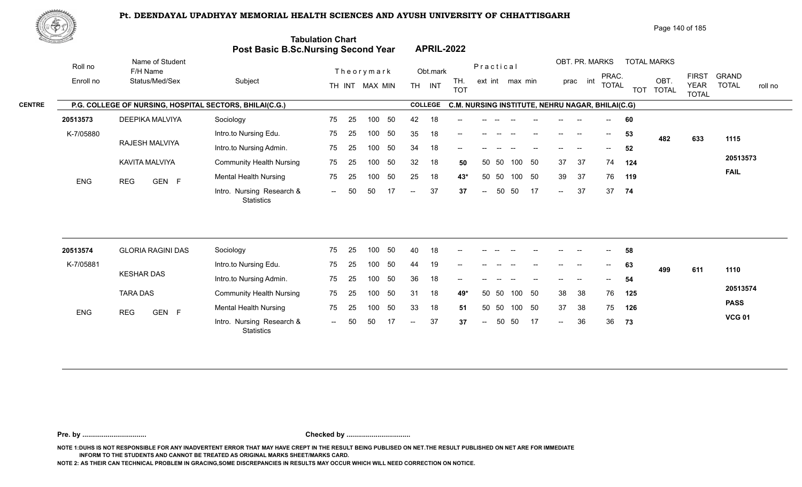

Page 140 of 185

**PASS VCG 01**

| <u>Na jimali y</u> |           |                                                         | <b>Post Basic B.Sc.Nursing Second Year</b> | <b>Tabulation Chart</b> |                          |                |                                     |     |                | <b>APRIL-2022</b>                                |        |           |                 |        |                      |                          |                       |            |                      |                                             |                                         |
|--------------------|-----------|---------------------------------------------------------|--------------------------------------------|-------------------------|--------------------------|----------------|-------------------------------------|-----|----------------|--------------------------------------------------|--------|-----------|-----------------|--------|----------------------|--------------------------|-----------------------|------------|----------------------|---------------------------------------------|-----------------------------------------|
|                    | Roll no   | Name of Student<br>F/H Name                             |                                            |                         |                          | Theorymark     |                                     |     | Obt.mark       |                                                  |        | Practical |                 |        |                      |                          | OBT. PR. MARKS        |            | <b>TOTAL MARKS</b>   |                                             |                                         |
|                    | Enroll no | Status/Med/Sex                                          | Subject                                    |                         |                          | TH INT MAX MIN |                                     |     | TH INT         | TH.<br><b>TOT</b>                                |        |           | ext int max min |        |                      | prac int                 | PRAC.<br><b>TOTAL</b> | <b>TOT</b> | OBT.<br><b>TOTAL</b> | <b>FIRST</b><br><b>YEAR</b><br><b>TOTAL</b> | <b>GRAND</b><br><b>TOTAL</b><br>roll no |
| <b>CENTRE</b>      |           | P.G. COLLEGE OF NURSING, HOSPITAL SECTORS, BHILAI(C.G.) |                                            |                         |                          |                |                                     |     | <b>COLLEGE</b> | C.M. NURSING INSTITUTE, NEHRU NAGAR, BHILAI(C.G) |        |           |                 |        |                      |                          |                       |            |                      |                                             |                                         |
|                    | 20513573  | DEEPIKA MALVIYA                                         | Sociology                                  | 75                      | 25                       | 100            | 50                                  | 42  | 18             |                                                  |        |           |                 |        |                      |                          |                       | 60         |                      |                                             |                                         |
|                    | K-7/05880 |                                                         | Intro.to Nursing Edu.                      | 75                      | 25                       | 100            | 50                                  | 35  | 18             | $\overline{\phantom{a}}$                         |        |           |                 |        |                      | $\overline{\phantom{a}}$ | $--$                  | 53         | 482                  | 633                                         | 1115                                    |
|                    |           | RAJESH MALVIYA                                          | Intro.to Nursing Admin.                    | 75                      | 25                       | 100            | 50                                  | 34  | 18             | --                                               |        |           |                 |        |                      |                          | $- -$                 | 52         |                      |                                             |                                         |
|                    |           | KAVITA MALVIYA                                          | <b>Community Health Nursing</b>            | 75                      | 25                       | 100            | 50                                  | 32  | 18             | 50                                               | 50     | - 50      | 100             | 50     | 37                   | 37                       | 74                    | 124        |                      |                                             | 20513573                                |
|                    | ENG       | GEN F<br><b>REG</b>                                     | Mental Health Nursing                      | 75                      | 25                       | 100            | 50                                  | 25  | 18             | 43*                                              | 50     | 50        |                 | 100 50 | 39                   | 37                       |                       | 76 119     |                      |                                             | <b>FAIL</b>                             |
|                    |           |                                                         | Intro. Nursing Research &<br>Statistics    | $\sim$ $\sim$           | 50                       | 50             | 17                                  | $-$ | 37             | 37                                               | $\sim$ | 50        | 50              | 17     | $\sim$ $\sim$        | 37                       |                       | 37 74      |                      |                                             |                                         |
|                    |           |                                                         |                                            |                         |                          |                |                                     |     |                |                                                  |        |           |                 |        |                      |                          |                       |            |                      |                                             |                                         |
|                    | 20513574  | <b>GLORIA RAGINI DAS</b>                                | Sociology                                  | 75                      | 25                       | 100            | 50                                  | 40  | 18             |                                                  |        |           |                 |        |                      |                          |                       | 58         |                      |                                             |                                         |
|                    | K-7/05881 | <b>KESHAR DAS</b>                                       | Intro.to Nursing Edu.                      | 75                      | 25                       | 100            | 50                                  | 44  | 19             | $\qquad \qquad -$                                |        |           |                 |        | $\qquad \qquad -$    | $\sim$                   | $--$                  | 63         | 499                  | 611                                         | 1110                                    |
|                    |           |                                                         | Intro.to Nursing Admin.                    | 75                      | 25                       | 100            | 50                                  | 36  | 18             |                                                  |        |           |                 |        |                      |                          |                       | 54         |                      |                                             |                                         |
|                    |           | _______                                                 |                                            |                         | the contract of the con- |                | the contract of the contract of the |     |                |                                                  |        |           |                 |        | and the state of the |                          |                       |            |                      |                                             | 20513574                                |

33 18 51

 $- 37$ 

100 50 31 18 **49\*** 38 38 76 **125**

50 50 33 18 **51** 37 38 75 **126** 37 **37** -- 50 50 17 -- 36 36 **73** 

38 76 125 37 38 75 126

**73**

50 50

TARA DAS

ENG REG GEN F Montail House

**Pre. by ................................. Checked by .................................**

Intro. Nursing Research & -- -- GEN

-- 50

25 75 25 75

**NOTE 1:DUHS IS NOT RESPONSIBLE FOR ANY INADVERTENT ERROR THAT MAY HAVE CREPT IN THE RESULT BEING PUBLISED ON NET.THE RESULT PUBLISHED ON NET ARE FOR IMMEDIATE INFORM TO THE STUDENTS AND CANNOT BE TREATED AS ORIGINAL MARKS SHEET/MARKS CARD.**

**NOTE 2: AS THEIR CAN TECHNICAL PROBLEM IN GRACING,SOME DISCREPANCIES IN RESULTS MAY OCCUR WHICH WILL NEED CORRECTION ON NOTICE.**

Community Health Nursing

**Statistics** 

Mental Health Nursing **75** 25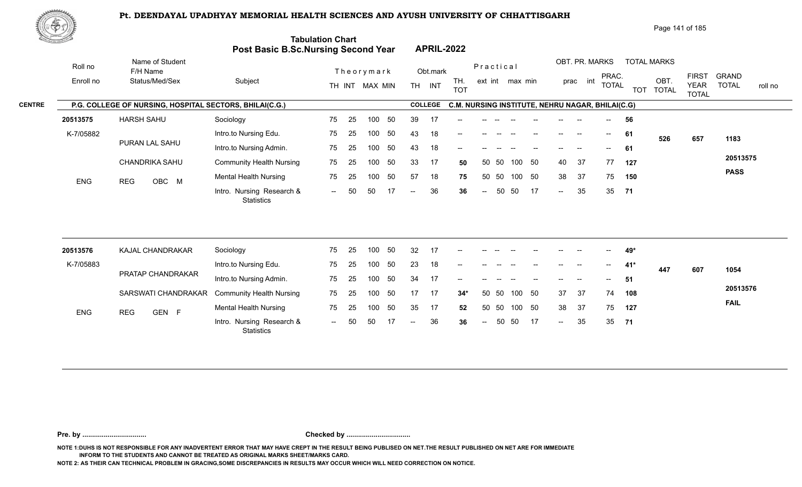

Page 141 of 185

| <u>Cardinal I</u> |                             | Post Basic B.Sc.Nursing Second Year                     | <b>Tabulation Chart</b> |    |                |     |                          |                | <b>APRIL-2022</b>                                |                          |       |                 |     |                            |                          |                                       |            |                      |                             |                         |
|-------------------|-----------------------------|---------------------------------------------------------|-------------------------|----|----------------|-----|--------------------------|----------------|--------------------------------------------------|--------------------------|-------|-----------------|-----|----------------------------|--------------------------|---------------------------------------|------------|----------------------|-----------------------------|-------------------------|
| Roll no           | Name of Student<br>F/H Name |                                                         |                         |    | Theorymark     |     |                          | Obt.mark       |                                                  | Practical                |       |                 |     |                            | OBT. PR. MARKS           | PRAC.                                 |            | <b>TOTAL MARKS</b>   | <b>FIRST</b>                | <b>GRAND</b>            |
| Enroll no         | Status/Med/Sex              | Subject                                                 |                         |    | TH INT MAX MIN |     | TH.                      | INT            | TH.<br><b>TOT</b>                                |                          |       | ext int max min |     |                            | int<br>prac              | <b>TOTAL</b>                          | <b>TOT</b> | OBT.<br><b>TOTAL</b> | <b>YEAR</b><br><b>TOTAL</b> | <b>TOTAL</b><br>roll no |
|                   |                             | P.G. COLLEGE OF NURSING, HOSPITAL SECTORS, BHILAI(C.G.) |                         |    |                |     |                          | <b>COLLEGE</b> | C.M. NURSING INSTITUTE, NEHRU NAGAR, BHILAI(C.G) |                          |       |                 |     |                            |                          |                                       |            |                      |                             |                         |
| 20513575          | <b>HARSH SAHU</b>           | Sociology                                               | 75                      | 25 | 100            | 50  | 39                       | -17            |                                                  |                          |       |                 |     |                            |                          |                                       | 56         |                      |                             |                         |
| K-7/05882         |                             | Intro.to Nursing Edu.                                   | 75                      | 25 | 100            | 50  | 43                       | 18             | --                                               |                          |       |                 |     |                            | $\overline{\phantom{a}}$ | $--$                                  | 61         | 526                  | 657                         | 1183                    |
|                   | PURAN LAL SAHU              | Intro.to Nursing Admin.                                 | 75                      | 25 | 100            | 50  | 43                       | 18             | --                                               |                          |       |                 |     |                            |                          | $\overline{\phantom{a}}$              | 61         |                      |                             |                         |
|                   | CHANDRIKA SAHU              | <b>Community Health Nursing</b>                         | 75                      | 25 | 100            | 50  | 33                       | 17             | 50                                               | 50                       | -50   | 100             | 50  | 40                         | 37                       | 77                                    | 127        |                      |                             | 20513575                |
| <b>ENG</b>        | <b>REG</b><br>OBC M         | <b>Mental Health Nursing</b>                            | 75                      | 25 | 100            | 50  | 57                       | 18             | 75                                               |                          | 50 50 | 100 50          |     | 38                         | 37                       | 75                                    | 150        |                      |                             | <b>PASS</b>             |
|                   |                             | Intro. Nursing Research &<br><b>Statistics</b>          | $--$                    | 50 | 50             | 17  | $\overline{\phantom{a}}$ | 36             | 36                                               | $\overline{\phantom{a}}$ | 50    | 50              | 17  | $\sim$                     | 35                       |                                       | 35 71      |                      |                             |                         |
|                   |                             |                                                         |                         |    |                |     |                          |                |                                                  |                          |       |                 |     |                            |                          |                                       |            |                      |                             |                         |
| 20513576          | KAJAL CHANDRAKAR            | Sociology                                               | 75                      | 25 | 100            | 50  | 32                       | 17             | --                                               |                          |       |                 |     |                            |                          |                                       | 49*        |                      |                             |                         |
| K-7/05883         |                             | Intro.to Nursing Edu.                                   | 75                      | 25 | 100            | 50  | 23                       | 18             |                                                  |                          |       |                 |     |                            |                          | $\hspace{0.05cm}$ – $\hspace{0.05cm}$ | $41*$      | 447                  | 607                         | 1054                    |
|                   | PRATAP CHANDRAKAR           | Intro.to Nursing Admin.                                 | 75                      | 25 | 100            | 50  | 34                       | 17             | --                                               |                          |       |                 |     |                            |                          | $\qquad \qquad -$                     | 51         |                      |                             |                         |
|                   | SARSWATI CHANDRAKAR         | <b>Community Health Nursing</b>                         | 75                      | 25 | 100            | 50  | 17                       | 17             | $34*$                                            | 50                       | 50    | 100 50          |     | 37                         | 37                       | 74                                    | 108        |                      |                             | 20513576                |
| <b>ENG</b>        | <b>REG</b><br>GEN F         | <b>Mental Health Nursing</b>                            | 75                      | 25 | 100            | 50  | 35                       | 17             | 52                                               |                          | 50 50 | 100 50          |     | 38                         | 37                       | 75                                    | 127        |                      |                             | <b>FAIL</b>             |
|                   |                             | Intro. Nursing Research &                               | $--$                    | 50 | 50             | -17 | $--$                     | 36             | 36                                               | $\hspace{0.05cm} \dashv$ | 50    | 50              | -17 | $\mathcal{L}(\mathcal{L})$ | 35                       | 35                                    | - 71       |                      |                             |                         |

**Pre. by ................................. Checked by .................................**

**NOTE 1:DUHS IS NOT RESPONSIBLE FOR ANY INADVERTENT ERROR THAT MAY HAVE CREPT IN THE RESULT BEING PUBLISED ON NET.THE RESULT PUBLISHED ON NET ARE FOR IMMEDIATE INFORM TO THE STUDENTS AND CANNOT BE TREATED AS ORIGINAL MARKS SHEET/MARKS CARD.**

**NOTE 2: AS THEIR CAN TECHNICAL PROBLEM IN GRACING,SOME DISCREPANCIES IN RESULTS MAY OCCUR WHICH WILL NEED CORRECTION ON NOTICE.**

**Statistics**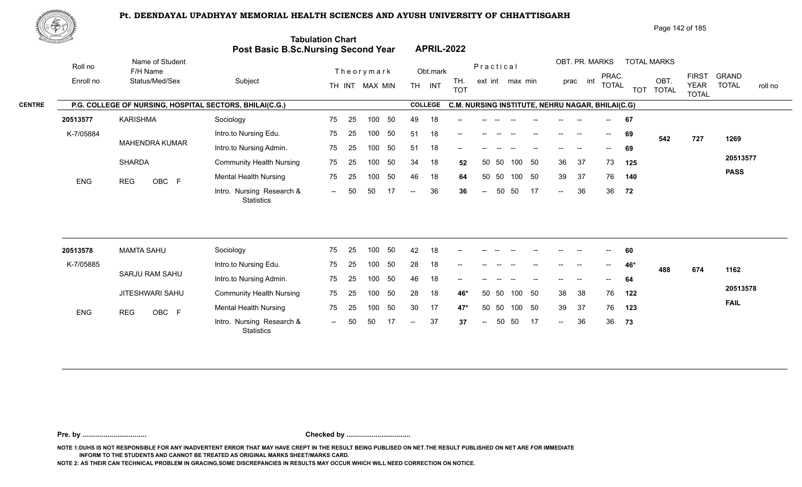

Page 142 of 185

| <u> Carl Co</u> |                                                         | Post Basic B.Sc.Nursing Second Year            | <b>Tabulation Chart</b> |            |                |                          | <b>APRIL-2022</b> |                                                  |                  |       |                 |    |                            |                          |                          |     |                    |                             |                         |
|-----------------|---------------------------------------------------------|------------------------------------------------|-------------------------|------------|----------------|--------------------------|-------------------|--------------------------------------------------|------------------|-------|-----------------|----|----------------------------|--------------------------|--------------------------|-----|--------------------|-----------------------------|-------------------------|
| Roll no         | Name of Student<br>F/H Name                             |                                                |                         | Theorymark |                |                          | Obt.mark          |                                                  | Practical        |       |                 |    |                            | OBT. PR. MARKS           | PRAC.                    |     | <b>TOTAL MARKS</b> | <b>FIRST</b>                | <b>GRAND</b>            |
| Enroll no       | Status/Med/Sex                                          | Subject                                        |                         |            | TH INT MAX MIN |                          | TH INT            | TH.<br><b>TOT</b>                                |                  |       | ext int max min |    |                            | prac int                 | <b>TOTAL</b>             |     | OBT.<br>TOT TOTAL  | <b>YEAR</b><br><b>TOTAL</b> | <b>TOTAL</b><br>roll no |
|                 | P.G. COLLEGE OF NURSING, HOSPITAL SECTORS, BHILAI(C.G.) |                                                |                         |            |                |                          | <b>COLLEGE</b>    | C.M. NURSING INSTITUTE, NEHRU NAGAR, BHILAI(C.G) |                  |       |                 |    |                            |                          |                          |     |                    |                             |                         |
| 20513577        | <b>KARISHMA</b>                                         | Sociology                                      | 75                      | 25         | 50<br>100      | 49                       | 18                |                                                  |                  |       |                 |    |                            |                          |                          | 67  |                    |                             |                         |
| K-7/05884       |                                                         | Intro.to Nursing Edu.                          | 75                      | 25         | 100<br>50      | 51                       | 18                |                                                  |                  |       |                 |    | $\qquad \qquad -$          | $\overline{\phantom{a}}$ | $\overline{\phantom{a}}$ | 69  | 542                | 727                         | 1269                    |
|                 | <b>MAHENDRA KUMAR</b>                                   | Intro.to Nursing Admin.                        | 75                      | 25         | 50<br>100      | 51                       | 18                | --                                               |                  |       |                 |    |                            |                          | $- -$                    | 69  |                    |                             |                         |
|                 | <b>SHARDA</b>                                           | <b>Community Health Nursing</b>                | 75                      | 25         | 50<br>100      | 34                       | 18                | 52                                               |                  | 50 50 | 100             | 50 | 36                         | 37                       | 73                       | 125 |                    |                             | 20513577                |
| ENG             | <b>REG</b><br>OBC F                                     | <b>Mental Health Nursing</b>                   | 75                      | 25         | 50<br>100      | 46                       | 18                | 64                                               | 50               | 50    | 100 50          |    | 39                         | -37                      | 76                       | 140 |                    |                             | <b>PASS</b>             |
|                 |                                                         | Intro. Nursing Research &<br>Statistics        | $\sim$ $\sim$           | 50<br>50   | 17             | $-$                      | 36                | 36                                               | $\sim$           | 50    | 50              | 17 | $\sim$                     | 36                       | 36                       | 72  |                    |                             |                         |
|                 |                                                         |                                                |                         |            |                |                          |                   |                                                  |                  |       |                 |    |                            |                          |                          |     |                    |                             |                         |
| 20513578        | <b>MAMTA SAHU</b>                                       | Sociology                                      | 75                      | 25         | 50<br>100      | 42                       | 18                |                                                  |                  |       |                 |    |                            |                          |                          | 60  |                    |                             |                         |
| K-7/05885       | SARJU RAM SAHU                                          | Intro.to Nursing Edu.                          | 75                      | 25         | 50<br>100      | 28                       | 18                | --                                               |                  |       |                 |    |                            |                          | $\overline{\phantom{a}}$ | 46* | 488                | 674                         | 1162                    |
|                 |                                                         | Intro.to Nursing Admin.                        | 75                      | 25         | 50<br>100      | 46                       | 18                |                                                  |                  |       |                 |    |                            |                          |                          | 64  |                    |                             |                         |
|                 | JITESHWARI SAHU                                         | <b>Community Health Nursing</b>                | 75                      | 25         | 50<br>100      | 28                       | 18                | 46*                                              | 50               | 50    | 100             | 50 | 38                         | 38                       | 76                       | 122 |                    |                             | 20513578                |
| ENG             | <b>REG</b><br>OBC F                                     | <b>Mental Health Nursing</b>                   | 75                      | 25         | 50<br>100      | 30                       | 17                | $47*$                                            | 50               | 50    | 100 50          |    | 39                         | 37                       | 76                       | 123 |                    |                             | <b>FAIL</b>             |
|                 |                                                         | Intro. Nursing Research &<br><b>Statistics</b> | $\sim$                  | 50<br>50   | 17             | $\overline{\phantom{a}}$ | 37                | 37                                               | $\mathrel{{-}-}$ | 50    | 50              | 17 | $\mathcal{L}(\mathcal{L})$ | 36                       | 36                       | 73  |                    |                             |                         |

**Pre. by ................................. Checked by .................................**

**NOTE 1:DUHS IS NOT RESPONSIBLE FOR ANY INADVERTENT ERROR THAT MAY HAVE CREPT IN THE RESULT BEING PUBLISED ON NET.THE RESULT PUBLISHED ON NET ARE FOR IMMEDIATE INFORM TO THE STUDENTS AND CANNOT BE TREATED AS ORIGINAL MARKS SHEET/MARKS CARD.**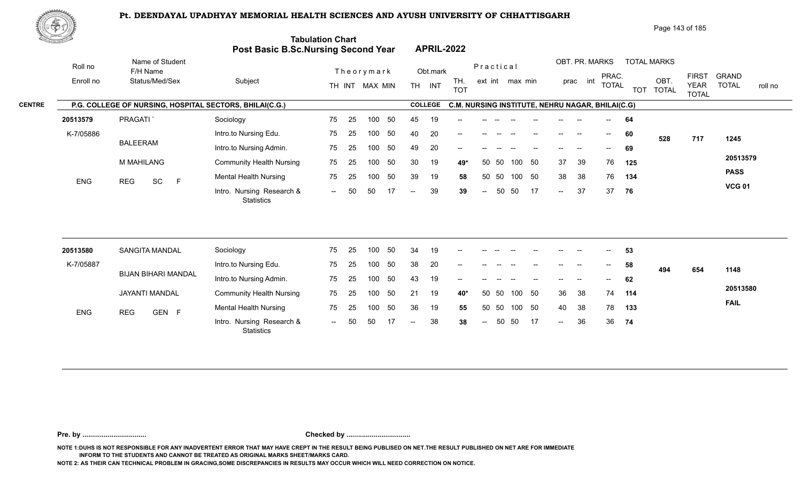

Page 143 of 185

| <u>Cardinal Co</u> |                      |                                                         | Post Basic B.Sc.Nursing Second Year     | <b>Tabulation Chart</b> |    |                              |     |                          |                    | <b>APRIL-2022</b>                                |                                   |       |                 |    |                            |                            |                                       |     |                                         |                                             |                                         |
|--------------------|----------------------|---------------------------------------------------------|-----------------------------------------|-------------------------|----|------------------------------|-----|--------------------------|--------------------|--------------------------------------------------|-----------------------------------|-------|-----------------|----|----------------------------|----------------------------|---------------------------------------|-----|-----------------------------------------|---------------------------------------------|-----------------------------------------|
|                    | Roll no<br>Enroll no | Name of Student<br>F/H Name<br>Status/Med/Sex           | Subject                                 |                         |    | Theorymark<br>TH INT MAX MIN |     |                          | Obt.mark<br>TH INT | TH.<br><b>TOT</b>                                | Practical                         |       | ext int max min |    |                            | OBT. PR. MARKS<br>prac int | PRAC.<br><b>TOTAL</b>                 |     | <b>TOTAL MARKS</b><br>OBT.<br>TOT TOTAL | <b>FIRST</b><br><b>YEAR</b><br><b>TOTAL</b> | <b>GRAND</b><br><b>TOTAL</b><br>roll no |
|                    |                      | P.G. COLLEGE OF NURSING, HOSPITAL SECTORS, BHILAI(C.G.) |                                         |                         |    |                              |     |                          | <b>COLLEGE</b>     | C.M. NURSING INSTITUTE, NEHRU NAGAR, BHILAI(C.G) |                                   |       |                 |    |                            |                            |                                       |     |                                         |                                             |                                         |
|                    | 20513579             | PRAGATI <sup>'</sup>                                    | Sociology                               | 75                      | 25 | 100                          | 50  | 45                       | 19                 |                                                  |                                   |       |                 |    |                            |                            |                                       | 64  |                                         |                                             |                                         |
|                    | K-7/05886            |                                                         | Intro.to Nursing Edu.                   | 75                      | 25 | 100                          | 50  | 40                       | 20                 |                                                  |                                   |       |                 |    |                            |                            | $\hspace{0.05cm}$ – $\hspace{0.05cm}$ | 60  | 528                                     | 717                                         | 1245                                    |
|                    |                      | <b>BALEERAM</b>                                         | Intro.to Nursing Admin.                 | 75                      | 25 | 100                          | 50  | 49                       | 20                 | --                                               |                                   |       |                 |    |                            |                            | $- -$                                 | 69  |                                         |                                             |                                         |
|                    |                      | M MAHILANG                                              | <b>Community Health Nursing</b>         | 75                      | 25 | 100                          | 50  | 30                       | 19                 | 49*                                              | 50                                | -50   | 100             | 50 | 37                         | 39                         | 76                                    | 125 |                                         |                                             | 20513579                                |
|                    | <b>ENG</b>           | SC<br>$\mathsf{F}$<br><b>REG</b>                        | <b>Mental Health Nursing</b>            | 75                      | 25 | 100                          | 50  | 39                       | 19                 | 58                                               |                                   | 50 50 | 100 50          |    | 38                         | 38                         | 76                                    | 134 |                                         |                                             | <b>PASS</b>                             |
|                    |                      |                                                         | Intro. Nursing Research &<br>Statistics | $\sim$                  | 50 | 50                           | -17 | $\overline{\phantom{a}}$ | 39                 | 39                                               | $\mathrel{{-}-}$                  | 50    | 50              | 17 | $\sim$                     | 37                         | 37                                    | 76  |                                         |                                             | <b>VCG 01</b>                           |
|                    | 20513580             | <b>SANGITA MANDAL</b>                                   | Sociology                               | 75                      | 25 | 100                          | 50  | 34                       | 19                 |                                                  |                                   |       |                 |    |                            |                            |                                       | 53  |                                         |                                             |                                         |
|                    | K-7/05887            |                                                         | Intro.to Nursing Edu.                   | 75                      | 25 | 100                          | 50  | 38                       | 20                 |                                                  |                                   |       |                 |    |                            |                            | $\hspace{0.05cm}$ – $\hspace{0.05cm}$ | 58  |                                         |                                             |                                         |
|                    |                      | <b>BIJAN BIHARI MANDAL</b>                              | Intro.to Nursing Admin.                 | 75                      | 25 | 100                          | 50  | 43                       | 19                 |                                                  |                                   |       |                 |    |                            |                            |                                       | 62  | 494                                     | 654                                         | 1148                                    |
|                    |                      | <b>JAYANTI MANDAL</b>                                   | <b>Community Health Nursing</b>         | 75                      | 25 | 100                          | 50  | 21                       | 19                 | $40*$                                            | 50                                | 50    | 100             | 50 | 36                         | 38                         | 74                                    | 114 |                                         |                                             | 20513580                                |
|                    | <b>ENG</b>           | <b>REG</b><br>GEN F                                     | <b>Mental Health Nursing</b>            | 75                      | 25 | 100                          | 50  | 36                       | 19                 | 55                                               |                                   | 50 50 | 100 50          |    | 40                         | 38                         | 78                                    | 133 |                                         |                                             | <b>FAIL</b>                             |
|                    |                      |                                                         | Intro. Nursing Research &<br>Statistics | $--$                    | 50 | 50                           | 17  | $\overline{\phantom{a}}$ | 38                 | 38                                               | $\hspace{0.05cm} \dashrightarrow$ | 50    | 50              | 17 | $\mathcal{L}(\mathcal{L})$ | 36                         | 36                                    | 74  |                                         |                                             |                                         |
|                    |                      |                                                         |                                         |                         |    |                              |     |                          |                    |                                                  |                                   |       |                 |    |                            |                            |                                       |     |                                         |                                             |                                         |

**Pre. by ................................. Checked by .................................**

**NOTE 1:DUHS IS NOT RESPONSIBLE FOR ANY INADVERTENT ERROR THAT MAY HAVE CREPT IN THE RESULT BEING PUBLISED ON NET.THE RESULT PUBLISHED ON NET ARE FOR IMMEDIATE INFORM TO THE STUDENTS AND CANNOT BE TREATED AS ORIGINAL MARKS SHEET/MARKS CARD.**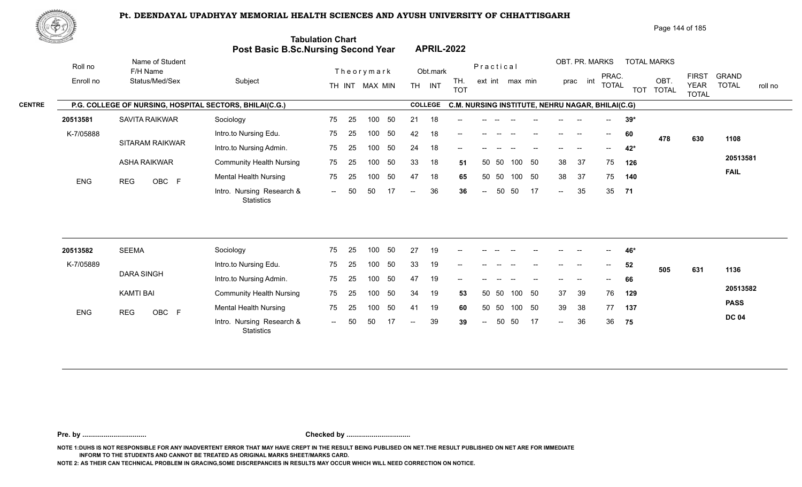

Page 144 of 185

| <u>Cardinal Co</u> |                      |                                                         | <b>Post Basic B.Sc.Nursing Second Year</b>                 | <b>Tabulation Chart</b> |          |                              |          |                          |                    | <b>APRIL-2022</b>                                              |                          |       |                 |    |        |                            |                                       |       |                            |                             |                              |         |
|--------------------|----------------------|---------------------------------------------------------|------------------------------------------------------------|-------------------------|----------|------------------------------|----------|--------------------------|--------------------|----------------------------------------------------------------|--------------------------|-------|-----------------|----|--------|----------------------------|---------------------------------------|-------|----------------------------|-----------------------------|------------------------------|---------|
|                    | Roll no<br>Enroll no | Name of Student<br>F/H Name<br>Status/Med/Sex           | Subject                                                    |                         |          | Theorymark<br>TH INT MAX MIN |          |                          | Obt.mark<br>TH INT | TH.                                                            | Practical                |       | ext int max min |    |        | OBT. PR. MARKS<br>prac int | PRAC.<br><b>TOTAL</b>                 |       | <b>TOTAL MARKS</b><br>OBT. | <b>FIRST</b><br><b>YEAR</b> | <b>GRAND</b><br><b>TOTAL</b> | roll no |
|                    |                      | P.G. COLLEGE OF NURSING, HOSPITAL SECTORS, BHILAI(C.G.) |                                                            |                         |          |                              |          |                          | <b>COLLEGE</b>     | <b>TOT</b><br>C.M. NURSING INSTITUTE, NEHRU NAGAR, BHILAI(C.G) |                          |       |                 |    |        |                            |                                       |       | TOT TOTAL                  | <b>TOTAL</b>                |                              |         |
| 20513581           |                      | SAVITA RAIKWAR                                          | Sociology                                                  | 75                      | 25       | 100                          | 50       | 21                       | 18                 |                                                                |                          |       |                 |    |        |                            |                                       | $39*$ |                            |                             |                              |         |
|                    | K-7/05888            |                                                         | Intro.to Nursing Edu.                                      | 75                      | 25       | 100                          | 50       | 42                       | 18                 |                                                                |                          |       |                 |    |        |                            |                                       | 60    | 478                        | 630                         | 1108                         |         |
|                    |                      | <b>SITARAM RAIKWAR</b>                                  | Intro.to Nursing Admin.                                    | 75                      | 25       | 100                          | 50       | 24                       | 18                 |                                                                |                          |       |                 |    |        |                            | $- -$                                 | 42*   |                            |                             |                              |         |
|                    |                      | <b>ASHA RAIKWAR</b>                                     | <b>Community Health Nursing</b>                            | 75                      | 25       | 100                          | 50       | 33                       | 18                 | 51                                                             |                          | 50 50 | 100             | 50 | 38     | 37                         | 75                                    | 126   |                            |                             | 20513581                     |         |
|                    | ENG                  | OBC F<br><b>REG</b>                                     | <b>Mental Health Nursing</b>                               | 75                      | 25       | 100                          | 50       | 47                       | 18                 | 65                                                             |                          | 50 50 | 100 50          |    | 38     | 37                         | 75                                    | 140   |                            |                             | <b>FAIL</b>                  |         |
|                    |                      |                                                         | Intro. Nursing Research &<br><b>Statistics</b>             | $\sim$                  | 50       | 50                           | 17       | $\overline{\phantom{a}}$ | 36                 | 36                                                             | $\overline{\phantom{a}}$ | 50    | 50              | 17 | $\sim$ | 35                         |                                       | 35 71 |                            |                             |                              |         |
|                    |                      |                                                         |                                                            |                         |          |                              |          |                          |                    |                                                                |                          |       |                 |    |        |                            |                                       |       |                            |                             |                              |         |
| 20513582           |                      | <b>SEEMA</b>                                            | Sociology                                                  | 75                      | 25       | 100                          | 50<br>50 | 27<br>33                 | 19                 |                                                                |                          |       |                 |    |        |                            |                                       | 46*   |                            |                             |                              |         |
|                    | K-7/05889            | <b>DARA SINGH</b>                                       | Intro.to Nursing Edu.                                      | 75                      | 25       | 100<br>100                   | 50       | 47                       | 19                 | --                                                             |                          |       |                 |    |        |                            | $\hspace{0.05cm}$ – $\hspace{0.05cm}$ | 52    | 505                        | 631                         | 1136                         |         |
|                    |                      | <b>KAMTI BAI</b>                                        | Intro.to Nursing Admin.<br><b>Community Health Nursing</b> | 75<br>75                | 25<br>25 | 100                          | 50       | 34                       | 19<br>19           | 53                                                             |                          | 50 50 | 100             | 50 | 37     | 39                         | 76                                    | 66    |                            |                             | 20513582                     |         |
|                    |                      |                                                         |                                                            |                         |          |                              |          |                          |                    |                                                                |                          |       |                 |    |        |                            |                                       | 129   |                            |                             | <b>PASS</b>                  |         |
|                    | ENG                  | OBC F<br><b>REG</b>                                     | <b>Mental Health Nursing</b>                               | 75                      | 25       | 100                          | 50       | 41                       | 19                 | 60                                                             | 50                       | 50    | 100             | 50 | 39     | 38                         | 77                                    | 137   |                            |                             | <b>DC 04</b>                 |         |
|                    |                      |                                                         | Intro. Nursing Research &<br><b>Statistics</b>             | $\sim$ $\sim$           | 50       | 50                           | 17       | $\overline{\phantom{a}}$ | 39                 | 39                                                             | $\sim$                   | 50    | 50              | 17 | $\sim$ | 36                         | 36                                    | 75    |                            |                             |                              |         |
|                    |                      |                                                         |                                                            |                         |          |                              |          |                          |                    |                                                                |                          |       |                 |    |        |                            |                                       |       |                            |                             |                              |         |

**Pre. by ................................. Checked by .................................**

**NOTE 1:DUHS IS NOT RESPONSIBLE FOR ANY INADVERTENT ERROR THAT MAY HAVE CREPT IN THE RESULT BEING PUBLISED ON NET.THE RESULT PUBLISHED ON NET ARE FOR IMMEDIATE INFORM TO THE STUDENTS AND CANNOT BE TREATED AS ORIGINAL MARKS SHEET/MARKS CARD.**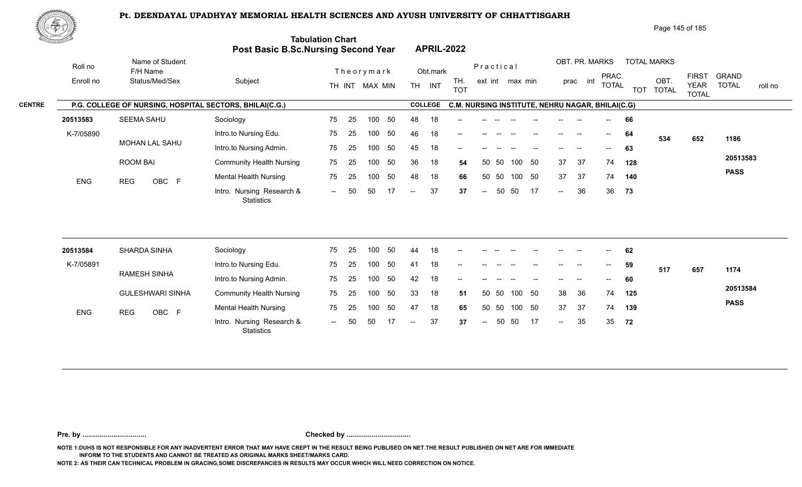

Page 145 of 185

| <u>Contraction of the Sea</u> |                                                         | Post Basic B.Sc.Nursing Second Year            | <b>Tabulation Chart</b> |    |                |    |                          |                | <b>APRIL-2022</b>                                |                          |       |                 |    |                            |                |                          |     |                    |                             |                         |
|-------------------------------|---------------------------------------------------------|------------------------------------------------|-------------------------|----|----------------|----|--------------------------|----------------|--------------------------------------------------|--------------------------|-------|-----------------|----|----------------------------|----------------|--------------------------|-----|--------------------|-----------------------------|-------------------------|
| Roll no                       | Name of Student<br>F/H Name                             |                                                |                         |    | Theorymark     |    |                          | Obt.mark       |                                                  | Practical                |       |                 |    |                            | OBT. PR. MARKS | PRAC.                    |     | <b>TOTAL MARKS</b> | <b>FIRST</b>                | <b>GRAND</b>            |
| Enroll no                     | Status/Med/Sex                                          | Subject                                        |                         |    | TH INT MAX MIN |    |                          | TH INT         | TH.<br><b>TOT</b>                                |                          |       | ext int max min |    |                            | int<br>prac    | <b>TOTAL</b>             |     | OBT.<br>TOT TOTAL  | <b>YEAR</b><br><b>TOTAL</b> | <b>TOTAL</b><br>roll no |
|                               | P.G. COLLEGE OF NURSING, HOSPITAL SECTORS, BHILAI(C.G.) |                                                |                         |    |                |    |                          | <b>COLLEGE</b> | C.M. NURSING INSTITUTE, NEHRU NAGAR, BHILAI(C.G) |                          |       |                 |    |                            |                |                          |     |                    |                             |                         |
| 20513583                      | SEEMA SAHU                                              | Sociology                                      | 75                      | 25 | 100            | 50 | 48                       | 18             |                                                  |                          |       |                 |    |                            |                |                          | 66  |                    |                             |                         |
| K-7/05890                     |                                                         | Intro.to Nursing Edu.                          | 75                      | 25 | 100            | 50 | 46                       | 18             |                                                  |                          |       |                 |    |                            |                | $\overline{\phantom{a}}$ | 64  | 534                | 652                         | 1186                    |
|                               | MOHAN LAL SAHU                                          | Intro.to Nursing Admin.                        | 75                      | 25 | 100            | 50 | 45                       | 18             | --                                               |                          |       |                 |    |                            |                | $--$                     | 63  |                    |                             |                         |
|                               | <b>ROOM BAI</b>                                         | <b>Community Health Nursing</b>                | 75                      | 25 | 100            | 50 | 36                       | 18             | 54                                               |                          | 50 50 | 100             | 50 | 37                         | 37             | 74                       | 128 |                    |                             | 20513583                |
| <b>ENG</b>                    | OBC F<br><b>REG</b>                                     | <b>Mental Health Nursing</b>                   | 75                      | 25 | 100            | 50 | 48                       | 18             | 66                                               |                          | 50 50 | 100 50          |    | 37                         | 37             | 74                       | 140 |                    |                             | <b>PASS</b>             |
|                               |                                                         | Intro. Nursing Research &<br><b>Statistics</b> | $\sim$                  | 50 | 50             | 17 | $\overline{\phantom{a}}$ | 37             | 37                                               | $\overline{\phantom{a}}$ | 50    | 50              | 17 | $\mathcal{L}(\mathcal{L})$ | 36             | 36                       | 73  |                    |                             |                         |
|                               |                                                         |                                                |                         |    |                |    |                          |                |                                                  |                          |       |                 |    |                            |                |                          |     |                    |                             |                         |
| 20513584                      | SHARDA SINHA                                            | Sociology                                      | 75                      | 25 | 100            | 50 | 44                       | 18             |                                                  |                          |       |                 |    |                            |                |                          | 62  |                    |                             |                         |
| K-7/05891                     | <b>RAMESH SINHA</b>                                     | Intro.to Nursing Edu.                          | 75                      | 25 | 100            | 50 | 41                       | 18             | --                                               |                          |       |                 |    | $\qquad \qquad -$          |                | $\overline{\phantom{a}}$ | 59  | 517                | 657                         | 1174                    |
|                               |                                                         | Intro.to Nursing Admin.                        | 75                      | 25 | 100            | 50 | 42                       | 18             |                                                  |                          |       |                 |    |                            |                |                          | 60  |                    |                             |                         |
|                               | <b>GULESHWARI SINHA</b>                                 | <b>Community Health Nursing</b>                | 75                      | 25 | 100            | 50 | 33                       | 18             | 51                                               |                          | 50 50 | 100             | 50 | 38                         | 36             | 74                       | 125 |                    |                             | 20513584                |
| ENG                           | <b>REG</b><br>OBC F                                     | <b>Mental Health Nursing</b>                   | 75                      | 25 | 100            | 50 | 47                       | 18             | 65                                               |                          | 50 50 | 100 50          |    | 37                         | 37             | 74                       | 139 |                    |                             | <b>PASS</b>             |
|                               |                                                         | Intro. Nursing Research &<br><b>Statistics</b> | $\sim$                  | 50 | 50             | 17 | $-$                      | 37             | 37                                               | $\mathrel{{-}-}$         | 50    | 50              | 17 | $\sim$                     | 35             | 35                       | 72  |                    |                             |                         |

**Pre. by ................................. Checked by .................................**

**NOTE 1:DUHS IS NOT RESPONSIBLE FOR ANY INADVERTENT ERROR THAT MAY HAVE CREPT IN THE RESULT BEING PUBLISED ON NET.THE RESULT PUBLISHED ON NET ARE FOR IMMEDIATE INFORM TO THE STUDENTS AND CANNOT BE TREATED AS ORIGINAL MARKS SHEET/MARKS CARD.**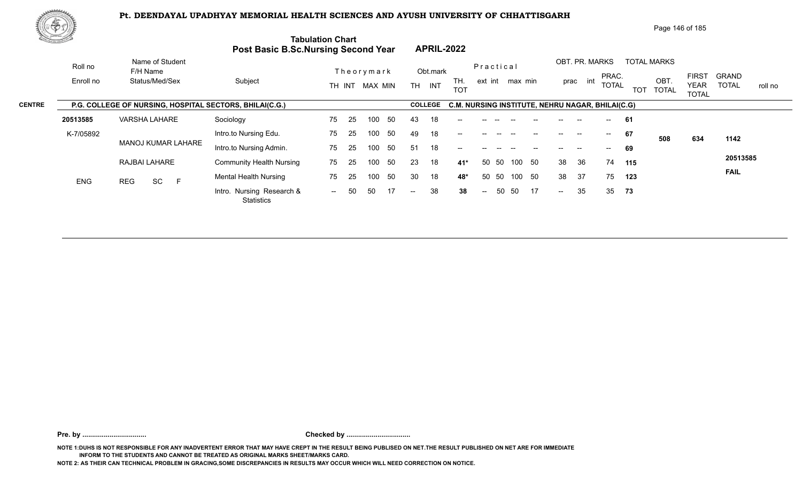

Page 146 of 185

|               | <u>the community of the </u> |                                                         | <b>Post Basic B.Sc.Nursing Second Year</b>     | <b>Tabulation Chart</b>         | <b>APRIL-2022</b>                     |                          |                                                                                                                         |
|---------------|------------------------------|---------------------------------------------------------|------------------------------------------------|---------------------------------|---------------------------------------|--------------------------|-------------------------------------------------------------------------------------------------------------------------|
|               | Roll no                      | Name of Student<br>F/H Name                             |                                                | Theorymark                      | Obt.mark                              | Practical                | OBT. PR. MARKS<br><b>TOTAL MARKS</b><br><b>FIRST</b><br><b>GRAND</b><br>PRAC.                                           |
|               | Enroll no                    | Status/Med/Sex                                          | Subject                                        | TH INT MAX MIN                  | TH.<br><b>TH</b><br>INT<br><b>TOT</b> | ext int max min          | OBT<br>prac int<br><b>TOTAL</b><br><b>TOTAL</b><br><b>YEAR</b><br>roll no<br><b>TOT</b><br><b>TOTAL</b><br><b>TOTAL</b> |
| <b>CENTRE</b> |                              | P.G. COLLEGE OF NURSING, HOSPITAL SECTORS, BHILAI(C.G.) |                                                |                                 | <b>COLLEGE</b>                        |                          | C.M. NURSING INSTITUTE, NEHRU NAGAR, BHILAI(C.G)                                                                        |
|               | 20513585                     | <b>VARSHA LAHARE</b>                                    | Sociology                                      | 50<br>75<br>-25<br>100          | 43<br>18<br>$--$                      |                          | -61<br>$-$                                                                                                              |
|               | K-7/05892                    |                                                         | Intro.to Nursing Edu.                          | 50<br>75<br>-25<br>100          | 18<br>49<br>$--$                      |                          | 67<br>$\hspace{0.05cm}$ – $\hspace{0.05cm}$<br>508<br>634<br>1142                                                       |
|               |                              | <b>MANOJ KUMAR LAHARE</b>                               | Intro.to Nursing Admin.                        | 50<br>25<br>75<br>100           | 18<br>51<br>$\qquad \qquad -$         |                          | 69<br>--                                                                                                                |
|               |                              | RAJBAI LAHARE                                           | <b>Community Health Nursing</b>                | 50<br>75<br>100<br>-25          | 23<br>18<br>41*                       | 50<br>50 50<br>100       | 20513585<br>36<br>38<br>74<br>115                                                                                       |
|               | <b>ENG</b>                   | SC<br>E<br>REG                                          | <b>Mental Health Nursing</b>                   | 50<br>75<br>-25<br>100          | 30<br>18<br>48*                       | 50 50<br>50<br>100       | <b>FAIL</b><br>37<br>38<br>75<br>123                                                                                    |
|               |                              |                                                         | Intro. Nursing Research &<br><b>Statistics</b> | 50<br>50<br>17<br>$\sim$ $\sim$ | 38<br>38<br>$--$                      | 50<br>50<br>17<br>$\sim$ | 35<br>35 73<br>$\sim$                                                                                                   |
|               |                              |                                                         |                                                |                                 |                                       |                          |                                                                                                                         |

**Pre. by ................................. Checked by .................................**

**NOTE 1:DUHS IS NOT RESPONSIBLE FOR ANY INADVERTENT ERROR THAT MAY HAVE CREPT IN THE RESULT BEING PUBLISED ON NET.THE RESULT PUBLISHED ON NET ARE FOR IMMEDIATE INFORM TO THE STUDENTS AND CANNOT BE TREATED AS ORIGINAL MARKS SHEET/MARKS CARD.**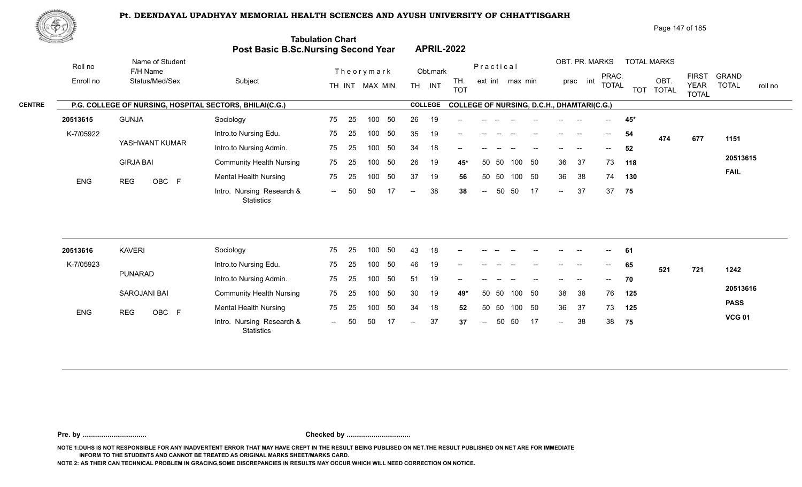

Page 147 of 185

| <u>Contraction of the Sea</u> |                                                         | Post Basic B.Sc.Nursing Second Year            | <b>Tabulation Chart</b> |    |                |     |                          |                | <b>APRIL-2022</b>                                 |                          |       |                 |    |                   |                |                          |       |                    |                             |                         |
|-------------------------------|---------------------------------------------------------|------------------------------------------------|-------------------------|----|----------------|-----|--------------------------|----------------|---------------------------------------------------|--------------------------|-------|-----------------|----|-------------------|----------------|--------------------------|-------|--------------------|-----------------------------|-------------------------|
| Roll no                       | Name of Student<br>F/H Name                             |                                                |                         |    | Theorymark     |     |                          | Obt.mark       |                                                   | Practical                |       |                 |    |                   | OBT. PR. MARKS | PRAC.                    |       | <b>TOTAL MARKS</b> | <b>FIRST</b>                | <b>GRAND</b>            |
| Enroll no                     | Status/Med/Sex                                          | Subject                                        |                         |    | TH INT MAX MIN |     |                          | TH INT         | TH.<br><b>TOT</b>                                 |                          |       | ext int max min |    | prac              | int            | <b>TOTAL</b>             |       | OBT.<br>TOT TOTAL  | <b>YEAR</b><br><b>TOTAL</b> | <b>TOTAL</b><br>roll no |
|                               | P.G. COLLEGE OF NURSING, HOSPITAL SECTORS, BHILAI(C.G.) |                                                |                         |    |                |     |                          | <b>COLLEGE</b> | <b>COLLEGE OF NURSING, D.C.H., DHAMTARI(C.G.)</b> |                          |       |                 |    |                   |                |                          |       |                    |                             |                         |
| 20513615                      | <b>GUNJA</b>                                            | Sociology                                      | 75                      | 25 | 100            | 50  | 26                       | 19             |                                                   |                          |       |                 |    |                   |                | $--$                     | $45*$ |                    |                             |                         |
| K-7/05922                     |                                                         | Intro.to Nursing Edu.                          | 75                      | 25 | 100            | 50  | 35                       | 19             |                                                   |                          |       |                 |    |                   |                | $\overline{\phantom{a}}$ | 54    | 474                | 677                         | 1151                    |
|                               | YASHWANT KUMAR                                          | Intro.to Nursing Admin.                        | 75                      | 25 | 100            | 50  | 34                       | 18             | --                                                |                          |       |                 |    |                   |                |                          | 52    |                    |                             |                         |
|                               | <b>GIRJA BAI</b>                                        | <b>Community Health Nursing</b>                | 75                      | 25 | 100            | 50  | 26                       | 19             | 45*                                               | 50                       | 50    | 100             | 50 | 36                | 37             | 73                       | 118   |                    |                             | 20513615                |
| ENG                           | OBC F<br><b>REG</b>                                     | <b>Mental Health Nursing</b>                   | 75                      | 25 | 100            | 50  | 37                       | 19             | 56                                                |                          | 50 50 | 100 50          |    | 36                | 38             | 74                       | 130   |                    |                             | <b>FAIL</b>             |
|                               |                                                         | Intro. Nursing Research &<br><b>Statistics</b> | $\sim$                  | 50 | 50             | 17  | $\overline{\phantom{a}}$ | 38             | 38                                                | $\sim$                   | 50    | 50              | 17 | $\sim$            | 37             | 37                       | 75    |                    |                             |                         |
| 20513616                      | <b>KAVERI</b>                                           | Sociology                                      | 75                      | 25 | 100            | 50  | 43                       | 18             |                                                   |                          |       |                 |    |                   |                |                          | 61    |                    |                             |                         |
| K-7/05923                     |                                                         | Intro.to Nursing Edu.                          | 75                      | 25 | 100            | 50  | 46                       | 19             |                                                   |                          |       |                 |    | $\qquad \qquad -$ |                | $--$                     | 65    |                    |                             |                         |
|                               | PUNARAD                                                 | Intro.to Nursing Admin.                        | 75                      | 25 | 100            | 50  | 51                       | 19             |                                                   |                          |       |                 |    |                   |                | $\overline{\phantom{a}}$ | 70    | 521                | 721                         | 1242                    |
|                               | <b>SAROJANI BAI</b>                                     | <b>Community Health Nursing</b>                | 75                      | 25 | 100            | 50  | 30                       | 19             | 49*                                               | 50                       | 50    | 100             | 50 | 38                | 38             | 76                       | 125   |                    |                             | 20513616                |
|                               |                                                         | <b>Mental Health Nursing</b>                   | 75                      | 25 | 100            | 50  | 34                       | 18             | 52                                                | 50                       | 50    | 100 50          |    | 36                | 37             | 73                       | 125   |                    |                             | <b>PASS</b>             |
| ENG                           | OBC F<br><b>REG</b>                                     | Intro. Nursing Research &<br>Statistics        | $\sim$                  | 50 | 50             | -17 | $\overline{a}$           | 37             | 37                                                | $\overline{\phantom{a}}$ | 50    | 50              | 17 | $\sim$            | 38             | 38                       | 75    |                    |                             | <b>VCG 01</b>           |

**Pre. by ................................. Checked by .................................**

**NOTE 1:DUHS IS NOT RESPONSIBLE FOR ANY INADVERTENT ERROR THAT MAY HAVE CREPT IN THE RESULT BEING PUBLISED ON NET.THE RESULT PUBLISHED ON NET ARE FOR IMMEDIATE INFORM TO THE STUDENTS AND CANNOT BE TREATED AS ORIGINAL MARKS SHEET/MARKS CARD.**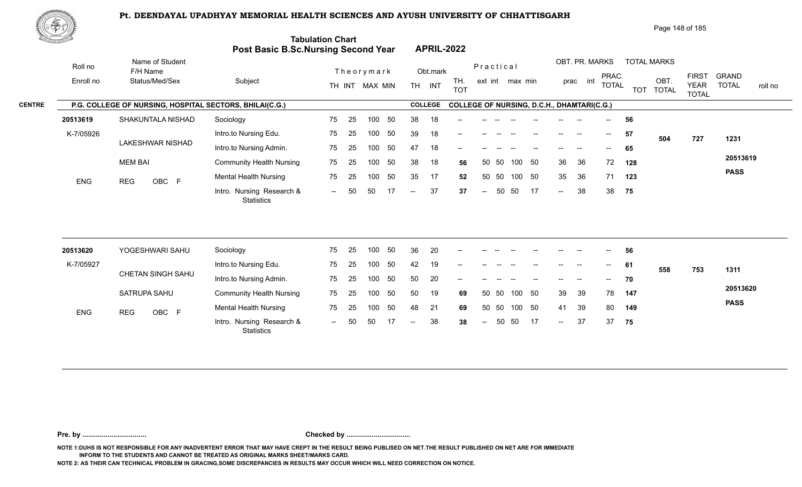

Page 148 of 185

| <u> Karatanan Si</u> |                      |                                                         | <b>Tabulation Chart</b><br><b>Post Basic B.Sc.Nursing Second Year</b> |        |    |                |     |                          |                | <b>APRIL-2022</b> |                            |      |                 |     |                                       |                                                   |                          |            |                            |                             |              |         |
|----------------------|----------------------|---------------------------------------------------------|-----------------------------------------------------------------------|--------|----|----------------|-----|--------------------------|----------------|-------------------|----------------------------|------|-----------------|-----|---------------------------------------|---------------------------------------------------|--------------------------|------------|----------------------------|-----------------------------|--------------|---------|
|                      | Roll no<br>Enroll no | Name of Student<br>F/H Name<br>Status/Med/Sex           | Subject                                                               |        |    | Theorymark     |     |                          | Obt.mark       | TH.               | Practical                  |      | ext int max min |     |                                       | OBT. PR. MARKS<br>prac int                        | PRAC.                    |            | <b>TOTAL MARKS</b><br>OBT. | <b>FIRST</b>                | <b>GRAND</b> |         |
|                      |                      |                                                         |                                                                       |        |    | TH INT MAX MIN |     |                          | TH INT         | <b>TOT</b>        |                            |      |                 |     |                                       |                                                   | <b>TOTAL</b>             | <b>TOT</b> | <b>TOTAL</b>               | <b>YEAR</b><br><b>TOTAL</b> | <b>TOTAL</b> | roll no |
| <b>CENTRE</b>        |                      | P.G. COLLEGE OF NURSING, HOSPITAL SECTORS, BHILAI(C.G.) |                                                                       |        |    |                |     |                          | <b>COLLEGE</b> |                   |                            |      |                 |     |                                       | <b>COLLEGE OF NURSING, D.C.H., DHAMTARI(C.G.)</b> |                          |            |                            |                             |              |         |
|                      | 20513619             | SHAKUNTALA NISHAD                                       | Sociology                                                             | 75     | 25 | 100            | 50  | 38                       | 18             |                   |                            |      |                 |     |                                       |                                                   |                          | 56         |                            |                             |              |         |
|                      | K-7/05926            |                                                         | Intro.to Nursing Edu.                                                 | 75     | 25 | 100            | 50  | 39                       | 18             | --                |                            |      |                 |     | $\qquad \qquad -$                     | $\overline{\phantom{a}}$                          | $--$                     | 57         | 504                        | 727                         | 1231         |         |
|                      |                      | LAKESHWAR NISHAD                                        | Intro.to Nursing Admin.                                               | 75     | 25 | 100            | 50  | 47                       | 18             |                   |                            |      |                 |     |                                       |                                                   |                          | 65         |                            |                             |              |         |
|                      |                      | <b>MEM BAI</b>                                          | <b>Community Health Nursing</b>                                       | 75     | 25 | 100            | 50  | 38                       | 18             | 56                | 50                         | - 50 | 100             | 50  | 36                                    | 36                                                | 72                       | 128        |                            |                             | 20513619     |         |
|                      | <b>ENG</b>           | OBC F<br><b>REG</b>                                     | <b>Mental Health Nursing</b>                                          | 75     | 25 | 100            | 50  | 35                       | 17             | 52                | 50                         | 50   | 100             | 50  | 35                                    | 36                                                | 71                       | 123        |                            |                             | <b>PASS</b>  |         |
|                      |                      |                                                         | Intro. Nursing Research &<br><b>Statistics</b>                        | $\sim$ | 50 | 50             | 17  | $\overline{\phantom{a}}$ | 37             | 37                | $\overline{\phantom{a}}$   | 50   | 50              | -17 | $\sim$                                | 38                                                | 38                       | 75         |                            |                             |              |         |
|                      |                      |                                                         |                                                                       |        |    |                |     |                          |                |                   |                            |      |                 |     |                                       |                                                   |                          |            |                            |                             |              |         |
|                      | 20513620             | YOGESHWARI SAHU                                         | Sociology                                                             | 75     | 25 | 100            | 50  | 36                       | 20             |                   |                            |      |                 |     |                                       |                                                   |                          | 56         |                            |                             |              |         |
|                      | K-7/05927            |                                                         | Intro.to Nursing Edu.                                                 | 75     | 25 | 100            | 50  | 42                       | 19             |                   |                            |      |                 |     | $\hspace{0.05cm}$ – $\hspace{0.05cm}$ | $\overline{\phantom{a}}$                          | $- -$                    | 61         | 558                        | 753                         | 1311         |         |
|                      |                      | CHETAN SINGH SAHU                                       | Intro.to Nursing Admin.                                               | 75     | 25 | 100            | 50  | 50                       | 20             |                   |                            |      |                 |     |                                       |                                                   | $\overline{\phantom{a}}$ | 70         |                            |                             |              |         |
|                      |                      | SATRUPA SAHU                                            | <b>Community Health Nursing</b>                                       | 75     | 25 | 100            | 50  | 50                       | 19             | 69                | 50                         | -50  | 100             | 50  | 39                                    | 39                                                | 78                       | 147        |                            |                             | 20513620     |         |
|                      | <b>ENG</b>           | <b>REG</b><br>OBC F                                     | <b>Mental Health Nursing</b>                                          | 75     | 25 | 100            | 50  | 48                       | 21             | 69                | 50                         | 50   | 100             | 50  | 41                                    | 39                                                | 80                       | 149        |                            |                             | <b>PASS</b>  |         |
|                      |                      |                                                         | Intro. Nursing Research &                                             | $\sim$ | 50 | 50             | -17 | $--$                     | 38             | 38                | $\mathcal{L}(\mathcal{L})$ | 50   | 50              | -17 | $\mathcal{L}(\mathcal{L})$            | 37                                                | 37                       | 75         |                            |                             |              |         |

**Pre. by ................................. Checked by .................................**

**NOTE 1:DUHS IS NOT RESPONSIBLE FOR ANY INADVERTENT ERROR THAT MAY HAVE CREPT IN THE RESULT BEING PUBLISED ON NET.THE RESULT PUBLISHED ON NET ARE FOR IMMEDIATE INFORM TO THE STUDENTS AND CANNOT BE TREATED AS ORIGINAL MARKS SHEET/MARKS CARD.**

**NOTE 2: AS THEIR CAN TECHNICAL PROBLEM IN GRACING,SOME DISCREPANCIES IN RESULTS MAY OCCUR WHICH WILL NEED CORRECTION ON NOTICE.**

**Statistics**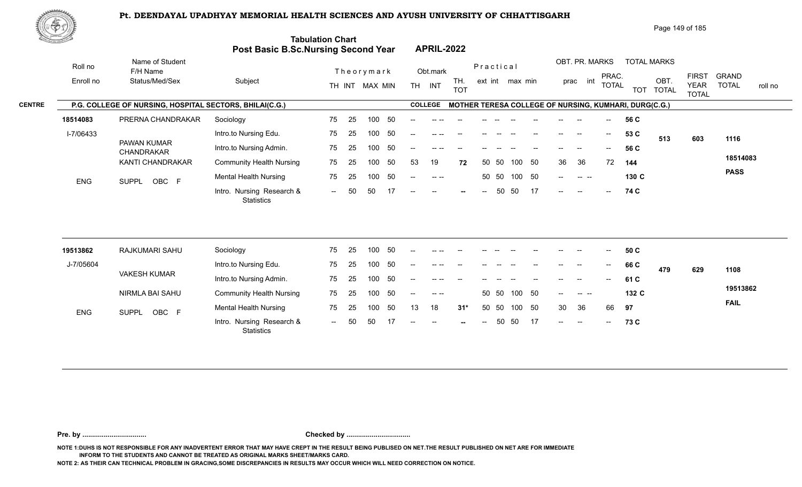

| Page 149 of 185 |
|-----------------|
|-----------------|

|                                        | <u>the community of the </u> |                                                         | <b>Post Basic B.Sc.Nursing Second Year</b> | <b>Tabulation Chart</b> |                |            |     |       |                                                | <b>APRIL-2022</b> |                          |                 |        |    |             |                       |                          |                                                       |                                             |                              |             |  |
|----------------------------------------|------------------------------|---------------------------------------------------------|--------------------------------------------|-------------------------|----------------|------------|-----|-------|------------------------------------------------|-------------------|--------------------------|-----------------|--------|----|-------------|-----------------------|--------------------------|-------------------------------------------------------|---------------------------------------------|------------------------------|-------------|--|
|                                        | Roll no                      | Name of Student<br>F/H Name                             |                                            |                         |                | Theorymark |     |       | Obt.mark                                       |                   | Practical                |                 |        |    |             |                       | OBT. PR. MARKS           |                                                       | <b>TOTAL MARKS</b>                          |                              |             |  |
| Enroll no<br><b>CENTRE</b><br>18514083 | Status/Med/Sex               | Subject                                                 |                                            |                         | TH INT MAX MIN |            | TH. | INT   | TH.<br><b>TOT</b>                              |                   |                          | ext int max min |        |    | int<br>prac | PRAC.<br><b>TOTAL</b> | <b>TOT</b>               | OBT.<br><b>TOTAL</b>                                  | <b>FIRST</b><br><b>YEAR</b><br><b>TOTAL</b> | <b>GRAND</b><br><b>TOTAL</b> | roll no     |  |
|                                        |                              | P.G. COLLEGE OF NURSING, HOSPITAL SECTORS, BHILAI(C.G.) |                                            |                         |                |            |     |       | <b>COLLEGE</b>                                 |                   |                          |                 |        |    |             |                       |                          | MOTHER TERESA COLLEGE OF NURSING, KUMHARI, DURG(C.G.) |                                             |                              |             |  |
|                                        |                              | PRERNA CHANDRAKAR                                       | Sociology                                  | 75                      | -25            | 100        | -50 |       |                                                |                   |                          |                 |        |    |             |                       |                          | 56 C                                                  |                                             |                              |             |  |
|                                        | I-7/06433                    |                                                         | Intro.to Nursing Edu.                      | 75                      | 25             | 100        | 50  | $- -$ |                                                |                   |                          |                 |        |    |             | $\hspace{0.05cm}$     | $\overline{\phantom{a}}$ | 53 C                                                  | 513                                         | 603                          | 1116        |  |
|                                        |                              | PAWAN KUMAR<br><b>CHANDRAKAR</b>                        | Intro.to Nursing Admin.                    | 75                      | -25            | 100        | -50 |       |                                                |                   |                          |                 |        |    |             |                       | $\sim$                   | 56 C                                                  |                                             |                              |             |  |
|                                        |                              | KANTI CHANDRAKAR                                        | <b>Community Health Nursing</b>            | 75                      | 25             | 100        | 50  | 53    | 19                                             | 72                |                          | 50 50           | 100    | 50 | 36          | 36                    | 72                       | 144                                                   |                                             |                              | 18514083    |  |
|                                        | <b>ENG</b>                   | OBC F<br>SUPPL                                          | <b>Mental Health Nursing</b>               | 75                      | -25            | 100        | 50  | $--$  |                                                |                   |                          | 50 50           | 100 50 |    | $--$        | $\sim$ $\sim$ $\sim$  |                          | 130 C                                                 |                                             |                              | <b>PASS</b> |  |
|                                        |                              |                                                         | Intro. Nursing Research &<br>Statistics    | $-$                     | -50            | 50         |     | $- -$ | $\hspace{0.1mm}-\hspace{0.1mm}-\hspace{0.1mm}$ | $-$               | $\overline{\phantom{a}}$ | 50              | -50    | 17 | $  \,$      | $-$                   | $--$                     | 74 C                                                  |                                             |                              |             |  |

| 19513862   | RAJKUMARI SAHU        | Sociology                               | 75     | 25  | 100 | 50  | $- -$                    | -- --         |        |       |       |      |       |                                                  | --                       | $- -$                                  | 50 C  |     |     |             |
|------------|-----------------------|-----------------------------------------|--------|-----|-----|-----|--------------------------|---------------|--------|-------|-------|------|-------|--------------------------------------------------|--------------------------|----------------------------------------|-------|-----|-----|-------------|
| J-7/05604  |                       | Intro.to Nursing Edu.                   | 75     | 25  | 100 | 50  | $- -$                    | $\cdots$      |        | --    |       |      | --    | $- -$                                            | $- -$                    | $\hspace{0.1em} \ldots \hspace{0.1em}$ | 66 C  | 479 | 629 | 1108        |
|            | <b>VAKESH KUMAR</b>   | Intro.to Nursing Admin.                 | 75     | 25  | 100 | 50  | $\frac{1}{2}$            | $\cdots$      | $- -$  | $- -$ |       |      | $- -$ | $\overline{\phantom{a}}$                         | $- -$                    | $\sim$                                 | 61 C  |     |     |             |
|            | NIRMLA BAI SAHU       | <b>Community Health Nursing</b>         | 75     | -25 | 100 | -50 | $\sim$                   | $\sim$ $\sim$ |        |       | 50 50 | 100  | - 50  | $\sim$ $\sim$                                    |                          |                                        | 132 C |     |     | 19513862    |
| <b>ENG</b> | OBC F<br><b>SUPPL</b> | <b>Mental Health Nursing</b>            | 75     | 25  | 100 | 50  | 13                       | 18            | $31*$  |       | 50 50 | 100  | - 50  | 30                                               | - 36                     | 66                                     | 97    |     |     | <b>FAIL</b> |
|            |                       | Intro. Nursing Research &<br>Statistics | $\sim$ | 50  | 50  |     | $\overline{\phantom{a}}$ | $  \,$        | $\sim$ | $--$  | 50    | - 50 | 17    | $\hspace{0.1em} -\hspace{0.1em} -\hspace{0.1em}$ | $\overline{\phantom{a}}$ | $\sim$                                 | 73 C  |     |     |             |

**Pre. by ................................. Checked by .................................**

**NOTE 1:DUHS IS NOT RESPONSIBLE FOR ANY INADVERTENT ERROR THAT MAY HAVE CREPT IN THE RESULT BEING PUBLISED ON NET.THE RESULT PUBLISHED ON NET ARE FOR IMMEDIATE INFORM TO THE STUDENTS AND CANNOT BE TREATED AS ORIGINAL MARKS SHEET/MARKS CARD.**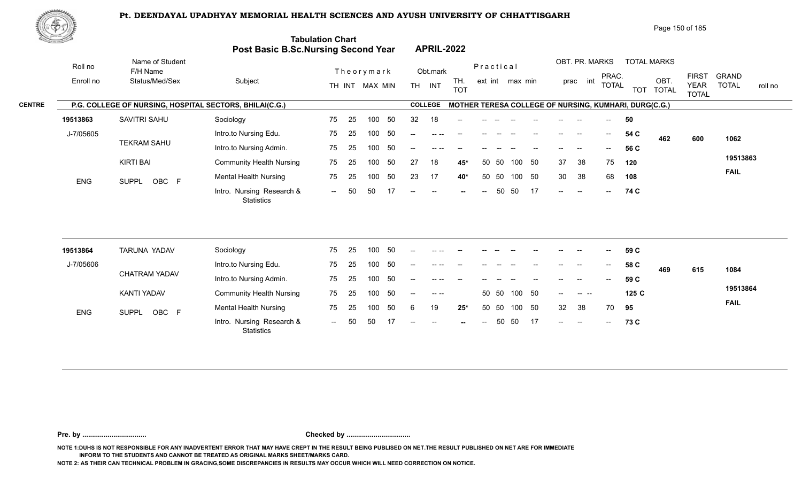

| Page 150 of 185 |
|-----------------|
|-----------------|

| ti S          |            |                                                         | <b>Post Basic B.Sc.Nursing Second Year</b> | <b>Tabulation Chart</b> |    |                |    |           | <b>APRIL-2022</b>                              |                   |           |       |                 |    |      |                |       |      |                                                       |                             |              |         |
|---------------|------------|---------------------------------------------------------|--------------------------------------------|-------------------------|----|----------------|----|-----------|------------------------------------------------|-------------------|-----------|-------|-----------------|----|------|----------------|-------|------|-------------------------------------------------------|-----------------------------|--------------|---------|
|               | Roll no    | Name of Student<br>F/H Name                             |                                            |                         |    | Theorymark     |    |           | Obt.mark                                       |                   | Practical |       |                 |    |      | OBT. PR. MARKS | PRAC. |      | <b>TOTAL MARKS</b>                                    | <b>FIRST</b>                | <b>GRAND</b> |         |
|               | Enroll no  | Status/Med/Sex                                          | Subject                                    |                         |    | TH INT MAX MIN |    | <b>TH</b> | <b>INT</b>                                     | TH.<br><b>TOT</b> |           |       | ext int max min |    |      | prac int       | TOTAL |      | OBT.<br>TOT TOTAL                                     | <b>YEAR</b><br><b>TOTAL</b> | <b>TOTAL</b> | roll no |
| <b>CENTRE</b> |            | P.G. COLLEGE OF NURSING, HOSPITAL SECTORS, BHILAI(C.G.) |                                            |                         |    |                |    |           | <b>COLLEGE</b>                                 |                   |           |       |                 |    |      |                |       |      | MOTHER TERESA COLLEGE OF NURSING, KUMHARI, DURG(C.G.) |                             |              |         |
|               | 19513863   | SAVITRI SAHU                                            | Sociology                                  | 75                      | 25 | 100            | 50 | 32        | 18                                             | $--$              |           |       |                 |    |      |                |       | 50   |                                                       |                             |              |         |
|               | J-7/05605  |                                                         | Intro.to Nursing Edu.                      | 75                      | 25 | 100            | 50 | $--$      | $--- - - - -$                                  | $- -$             |           |       |                 |    | $--$ | --             | $--$  | 54 C | 462                                                   | 600                         | 1062         |         |
|               |            | <b>TEKRAM SAHU</b>                                      | Intro.to Nursing Admin.                    | 75                      | 25 | 100            | 50 | $-$       |                                                |                   |           |       |                 |    |      |                |       | 56 C |                                                       |                             |              |         |
|               |            | KIRTI BAI                                               | <b>Community Health Nursing</b>            | 75                      | 25 | 100            | 50 | 27        | 18                                             | $45*$             |           | 50 50 | 100 50          |    | 37   | 38             | 75    | 120  |                                                       |                             | 19513863     |         |
|               | <b>ENG</b> | SUPPL OBC F                                             | Mental Health Nursing                      | 75                      | 25 | 100            | 50 | 23        | 17                                             | 40*               |           | 50 50 | 100 50          |    | 30   | 38             | 68    | 108  |                                                       |                             | <b>FAIL</b>  |         |
|               |            |                                                         | Intro. Nursing Research &<br>Statistics    | $\sim$ $\sim$           | 50 | 50             | 17 | $--$      | $\hspace{0.1mm}-\hspace{0.1mm}-\hspace{0.1mm}$ | $-$               | $--$      | 50    | 50              | 17 | $-$  | $-$            | $---$ | 74 C |                                                       |                             |              |         |

| 19513864   | TARUNA YADAV         | Sociology                                      | 75             | 25  | 100 | 50 | $- -$                    | $\cdots$                                      |        |        |       |       |       | $- -$                    | $\overline{\phantom{a}}$                   | $\overline{\phantom{a}}$ | 59 C |     |     |             |
|------------|----------------------|------------------------------------------------|----------------|-----|-----|----|--------------------------|-----------------------------------------------|--------|--------|-------|-------|-------|--------------------------|--------------------------------------------|--------------------------|------|-----|-----|-------------|
| J-7/05606  |                      | Intro.to Nursing Edu.                          | 75             | -25 | 100 | 50 | $- -$                    | -- --                                         |        |        |       |       |       | $-$                      | $\hspace{0.05cm}$                          | $- -$                    | 58 C | 469 | 615 | 1084        |
|            | <b>CHATRAM YADAV</b> | Intro.to Nursing Admin.                        | 75             | -25 | 100 | 50 | $--$                     | $--- - - -$                                   | $-$    | $- -$  |       | $-$   | $- -$ | $- -$                    | $- -$                                      | $--$                     | 59 C |     |     |             |
|            | KANTI YADAV          | <b>Community Health Nursing</b>                | 75             | -25 | 100 | 50 | $\overline{\phantom{a}}$ | $\hspace{0.1em} \ldots \hspace{0.1em} \ldots$ |        |        | 50 50 | 100   | - 50  | $\overline{\phantom{a}}$ | $\begin{array}{ccc} - & - & - \end{array}$ |                          | 125C |     |     | 19513864    |
| <b>ENG</b> | OBC F<br>SUPPL       | <b>Mental Health Nursing</b>                   | 75             | -25 | 100 | 50 |                          | 19                                            | $25*$  |        | 50 50 | 100   | - 50  | 32                       | -38                                        | 70                       | 95   |     |     | <b>FAIL</b> |
|            |                      | Intro. Nursing Research &<br><b>Statistics</b> | $\overline{a}$ | 50  | 50  |    | $--$                     | $  \,$                                        | $\sim$ | $  \,$ |       | 50 50 | -17   | $\sim$                   | $  \,$                                     | $--$                     | 73 C |     |     |             |

**Pre. by ................................. Checked by .................................**

**NOTE 1:DUHS IS NOT RESPONSIBLE FOR ANY INADVERTENT ERROR THAT MAY HAVE CREPT IN THE RESULT BEING PUBLISED ON NET.THE RESULT PUBLISHED ON NET ARE FOR IMMEDIATE INFORM TO THE STUDENTS AND CANNOT BE TREATED AS ORIGINAL MARKS SHEET/MARKS CARD.**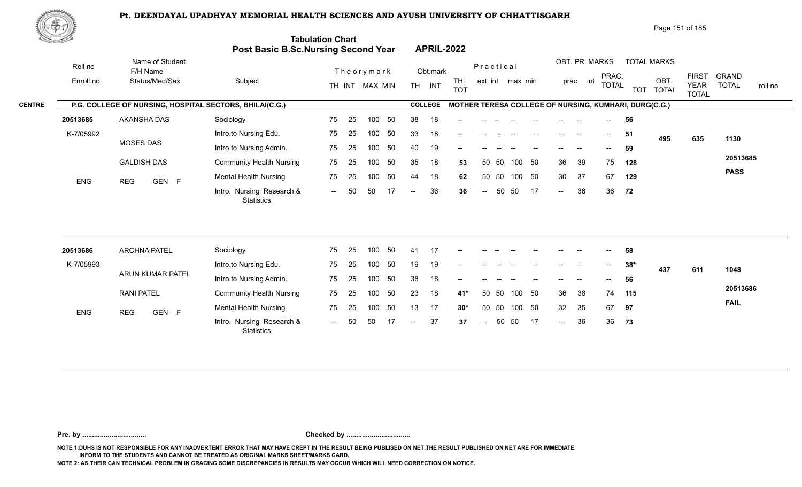

Page 151 of 185

| <u>Contraction of the Contraction of the Contraction of the Contraction of the Contraction of the Contraction of the Contraction of the Contraction of the Contraction of the Contraction of the Contraction of the Contraction </u> |                                                         | Post Basic B.Sc.Nursing Second Year            | <b>Tabulation Chart</b> |    |                |     |     |                | <b>APRIL-2022</b> |                |       |                 |     |                          |                |              |                                                       |                    |                             |                         |
|--------------------------------------------------------------------------------------------------------------------------------------------------------------------------------------------------------------------------------------|---------------------------------------------------------|------------------------------------------------|-------------------------|----|----------------|-----|-----|----------------|-------------------|----------------|-------|-----------------|-----|--------------------------|----------------|--------------|-------------------------------------------------------|--------------------|-----------------------------|-------------------------|
| Roll no                                                                                                                                                                                                                              | Name of Student<br>F/H Name                             |                                                |                         |    | Theorymark     |     |     | Obt.mark       |                   | Practical      |       |                 |     |                          | OBT. PR. MARKS | PRAC.        |                                                       | <b>TOTAL MARKS</b> | <b>FIRST</b>                | <b>GRAND</b>            |
| Enroll no                                                                                                                                                                                                                            | Status/Med/Sex                                          | Subject                                        |                         |    | TH INT MAX MIN |     |     | TH INT         | TH.<br><b>TOT</b> |                |       | ext int max min |     |                          | prac int       | <b>TOTAL</b> |                                                       | OBT.<br>TOT TOTAL  | <b>YEAR</b><br><b>TOTAL</b> | <b>TOTAL</b><br>roll no |
|                                                                                                                                                                                                                                      | P.G. COLLEGE OF NURSING, HOSPITAL SECTORS, BHILAI(C.G.) |                                                |                         |    |                |     |     | <b>COLLEGE</b> |                   |                |       |                 |     |                          |                |              | MOTHER TERESA COLLEGE OF NURSING, KUMHARI, DURG(C.G.) |                    |                             |                         |
| 20513685                                                                                                                                                                                                                             | AKANSHA DAS                                             | Sociology                                      | 75                      | 25 | 100            | 50  | 38  | 18             |                   |                |       |                 |     |                          |                |              | 56                                                    |                    |                             |                         |
| K-7/05992                                                                                                                                                                                                                            |                                                         | Intro.to Nursing Edu.                          | 75                      | 25 | 100            | 50  | 33  | 18             |                   |                |       |                 |     |                          |                |              | 51                                                    | 495                | 635                         | 1130                    |
|                                                                                                                                                                                                                                      | <b>MOSES DAS</b>                                        | Intro.to Nursing Admin.                        | 75                      | 25 | 100            | 50  | 40  | 19             | --                |                |       |                 |     |                          |                |              | 59                                                    |                    |                             |                         |
|                                                                                                                                                                                                                                      | <b>GALDISH DAS</b>                                      | <b>Community Health Nursing</b>                | 75                      | 25 | 100            | 50  | 35  | 18             | 53                | 50             | 50    | 100             | 50  | 36                       | 39             | 75           | 128                                                   |                    |                             | 20513685                |
| <b>ENG</b>                                                                                                                                                                                                                           | GEN F<br><b>REG</b>                                     | <b>Mental Health Nursing</b>                   | 75                      | 25 | 100            | 50  | 44  | 18             | 62                | 50             | 50    | 100 50          |     | 30                       | 37             | 67           | 129                                                   |                    |                             | <b>PASS</b>             |
|                                                                                                                                                                                                                                      |                                                         | Intro. Nursing Research &<br><b>Statistics</b> | $--$                    | 50 | 50             | -17 | $-$ | 36             | 36                | $ -$           | 50    | 50              | -17 | $\overline{\phantom{a}}$ | 36             | 36           | 72                                                    |                    |                             |                         |
|                                                                                                                                                                                                                                      |                                                         |                                                |                         |    |                |     |     |                |                   |                |       |                 |     |                          |                |              |                                                       |                    |                             |                         |
| 20513686                                                                                                                                                                                                                             | <b>ARCHNA PATEL</b>                                     | Sociology                                      | 75                      | 25 | 100            | 50  | 41  | 17             |                   |                |       |                 |     |                          |                |              | 58                                                    |                    |                             |                         |
| K-7/05993                                                                                                                                                                                                                            | ARUN KUMAR PATEL                                        | Intro.to Nursing Edu.                          | 75                      | 25 | 100            | 50  | 19  | 19             |                   |                |       |                 |     |                          |                |              | $38*$                                                 | 437                | 611                         | 1048                    |
|                                                                                                                                                                                                                                      |                                                         | Intro.to Nursing Admin.                        | 75                      | 25 | 100            | 50  | 38  | 18             | --                |                |       |                 |     |                          |                | $- -$        | 56                                                    |                    |                             |                         |
|                                                                                                                                                                                                                                      | <b>RANI PATEL</b>                                       | <b>Community Health Nursing</b>                | 75                      | 25 | 100            | 50  | 23  | 18             | $41*$             | 50             | - 50  | 100 50          |     | 36                       | 38             | 74           | 115                                                   |                    |                             | 20513686                |
| ENG                                                                                                                                                                                                                                  | <b>REG</b><br>GEN F                                     | <b>Mental Health Nursing</b>                   | 75                      | 25 | 100            | 50  | 13  | 17             | $30*$             |                | 50 50 | 100 50          |     | 32                       | 35             | 67           | 97                                                    |                    |                             | <b>FAIL</b>             |
|                                                                                                                                                                                                                                      |                                                         | Intro. Nursing Research &<br><b>Statistics</b> | $\sim$                  | 50 | 50             |     | $-$ | 37             | 37                | $\overline{a}$ | 50    | 50              | -17 | $\sim$                   | 36             | 36           | 73                                                    |                    |                             |                         |

**Pre. by ................................. Checked by .................................**

**NOTE 1:DUHS IS NOT RESPONSIBLE FOR ANY INADVERTENT ERROR THAT MAY HAVE CREPT IN THE RESULT BEING PUBLISED ON NET.THE RESULT PUBLISHED ON NET ARE FOR IMMEDIATE INFORM TO THE STUDENTS AND CANNOT BE TREATED AS ORIGINAL MARKS SHEET/MARKS CARD.**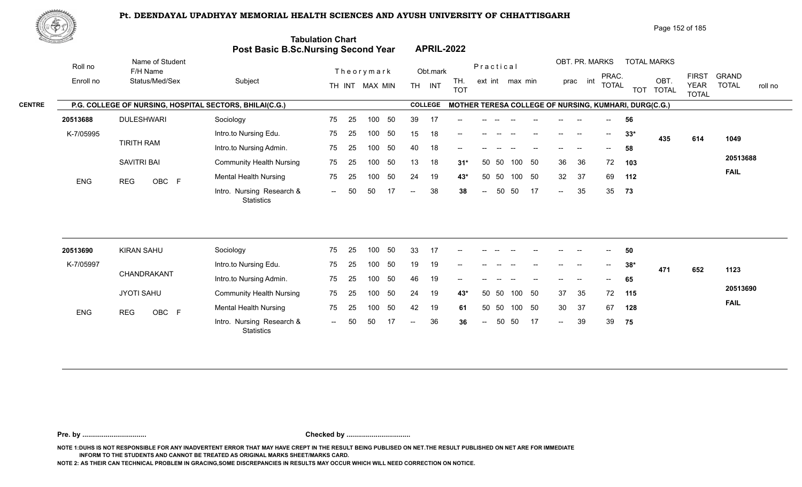

Page 152 of 185

|               | <u>Cardinal Co</u> |                                                         | Post Basic B.Sc.Nursing Second Year            | <b>Tabulation Chart</b> |    |                |    |                          |                | <b>APRIL-2022</b> |                          |           |                 |     |        |                |                                       |       |                                                       |                             |              |         |
|---------------|--------------------|---------------------------------------------------------|------------------------------------------------|-------------------------|----|----------------|----|--------------------------|----------------|-------------------|--------------------------|-----------|-----------------|-----|--------|----------------|---------------------------------------|-------|-------------------------------------------------------|-----------------------------|--------------|---------|
|               | Roll no            | Name of Student<br>F/H Name                             |                                                |                         |    | Theorymark     |    |                          | Obt.mark       |                   |                          | Practical |                 |     |        | OBT. PR. MARKS | PRAC.                                 |       | <b>TOTAL MARKS</b>                                    | <b>FIRST</b>                | <b>GRAND</b> |         |
|               | Enroll no          | Status/Med/Sex                                          | Subject                                        |                         |    | TH INT MAX MIN |    |                          | TH INT         | TH.<br><b>TOT</b> |                          |           | ext int max min |     |        | prac int       | <b>TOTAL</b>                          |       | OBT.<br>TOT TOTAL                                     | <b>YEAR</b><br><b>TOTAL</b> | <b>TOTAL</b> | roll no |
| <b>CENTRE</b> |                    | P.G. COLLEGE OF NURSING, HOSPITAL SECTORS, BHILAI(C.G.) |                                                |                         |    |                |    |                          | <b>COLLEGE</b> |                   |                          |           |                 |     |        |                |                                       |       | MOTHER TERESA COLLEGE OF NURSING, KUMHARI, DURG(C.G.) |                             |              |         |
|               | 20513688           | <b>DULESHWARI</b>                                       | Sociology                                      | 75                      | 25 | 100            | 50 | 39                       | -17            |                   |                          |           |                 |     |        |                |                                       | 56    |                                                       |                             |              |         |
|               | K-7/05995          |                                                         | Intro.to Nursing Edu.                          | 75                      | 25 | 100            | 50 | 15                       | 18             |                   |                          |           |                 |     |        |                | $\hspace{0.05cm}$ – $\hspace{0.05cm}$ | $33*$ | 435                                                   | 614                         | 1049         |         |
|               |                    | <b>TIRITH RAM</b>                                       | Intro.to Nursing Admin.                        | 75                      | 25 | 100            | 50 | 40                       | 18             |                   |                          |           |                 |     |        |                |                                       | 58    |                                                       |                             |              |         |
|               |                    | SAVITRI BAI                                             | <b>Community Health Nursing</b>                | 75                      | 25 | 100            | 50 | 13                       | 18             | $31*$             | 50                       | 50        | 100             | 50  | 36     | 36             | 72                                    | 103   |                                                       |                             | 20513688     |         |
|               | <b>ENG</b>         | OBC F<br><b>REG</b>                                     | <b>Mental Health Nursing</b>                   | 75                      | 25 | 100            | 50 | 24                       | 19             | $43*$             | 50                       | 50        | 100             | 50  | 32     | 37             | 69                                    | 112   |                                                       |                             | <b>FAIL</b>  |         |
|               |                    |                                                         | Intro. Nursing Research &<br><b>Statistics</b> | $\sim$                  | 50 | 50             | 17 | $\overline{\phantom{m}}$ | 38             | 38                | $\overline{a}$           | 50        | 50              | 17  | $\sim$ | 35             | 35                                    | 73    |                                                       |                             |              |         |
|               |                    |                                                         |                                                |                         |    |                |    |                          |                |                   |                          |           |                 |     |        |                |                                       |       |                                                       |                             |              |         |
|               | 20513690           | <b>KIRAN SAHU</b>                                       | Sociology                                      | 75                      | 25 | 100            | 50 | 33                       | 17             |                   |                          |           |                 |     |        |                |                                       | 50    |                                                       |                             |              |         |
|               | K-7/05997          |                                                         | Intro.to Nursing Edu.                          | 75                      | 25 | 100            | 50 | 19                       | 19             |                   |                          |           |                 |     |        |                | $\hspace{0.05cm}$ – $\hspace{0.05cm}$ | $38*$ | 471                                                   | 652                         | 1123         |         |
|               |                    | CHANDRAKANT                                             | Intro.to Nursing Admin.                        | 75                      | 25 | 100            | 50 | 46                       | 19             |                   |                          |           |                 |     |        |                |                                       | 65    |                                                       |                             |              |         |
|               |                    | <b>JYOTI SAHU</b>                                       | <b>Community Health Nursing</b>                | 75                      | 25 | 100            | 50 | 24                       | 19             | 43*               | 50                       | 50        | 100             | 50  | 37     | 35             | 72                                    | 115   |                                                       |                             | 20513690     |         |
|               | ENG                | <b>REG</b><br>OBC F                                     | <b>Mental Health Nursing</b>                   | 75                      | 25 | 100            | 50 | 42                       | 19             | 61                | 50                       | 50        | 100             | 50  | 30     | 37             | 67                                    | 128   |                                                       |                             | <b>FAIL</b>  |         |
|               |                    |                                                         | Intro. Nursing Research &<br><b>Statistics</b> | $  \,$                  | 50 | 50             | 17 | $\overline{\phantom{a}}$ | 36             | 36                | $\overline{\phantom{a}}$ | 50        | 50              | -17 | $\sim$ | 39             | 39                                    | 75    |                                                       |                             |              |         |
|               |                    |                                                         |                                                |                         |    |                |    |                          |                |                   |                          |           |                 |     |        |                |                                       |       |                                                       |                             |              |         |

**Pre. by ................................. Checked by .................................**

**NOTE 1:DUHS IS NOT RESPONSIBLE FOR ANY INADVERTENT ERROR THAT MAY HAVE CREPT IN THE RESULT BEING PUBLISED ON NET.THE RESULT PUBLISHED ON NET ARE FOR IMMEDIATE INFORM TO THE STUDENTS AND CANNOT BE TREATED AS ORIGINAL MARKS SHEET/MARKS CARD.**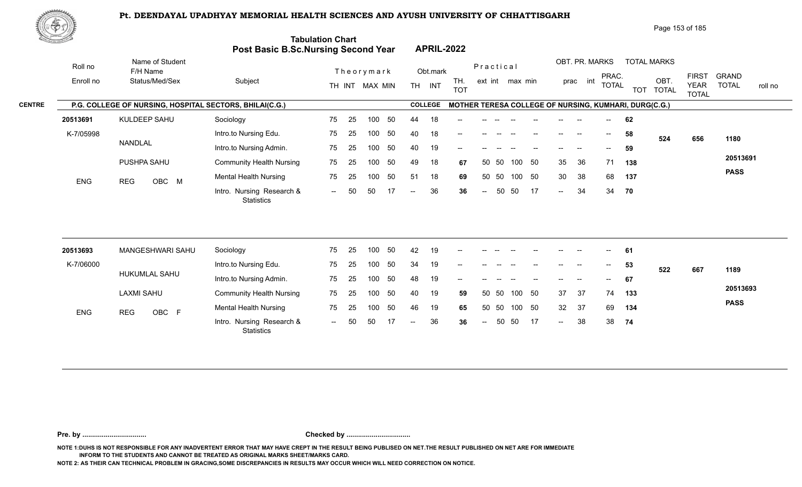

Page 153 of 185

| <u>Cardinal Co</u> |                                                         | Post Basic B.Sc.Nursing Second Year            | <b>Tabulation Chart</b> |    |                  |     |                |                | <b>APRIL-2022</b> |                          |       |                 |     |                          |                |                          |                                                       |                    |                             |                         |
|--------------------|---------------------------------------------------------|------------------------------------------------|-------------------------|----|------------------|-----|----------------|----------------|-------------------|--------------------------|-------|-----------------|-----|--------------------------|----------------|--------------------------|-------------------------------------------------------|--------------------|-----------------------------|-------------------------|
| Roll no            | Name of Student<br>F/H Name                             |                                                |                         |    | Theorymark       |     |                | Obt.mark       |                   | Practical                |       |                 |     |                          | OBT. PR. MARKS | PRAC.                    |                                                       | <b>TOTAL MARKS</b> | <b>FIRST</b>                | <b>GRAND</b>            |
| Enroll no          | Status/Med/Sex                                          | Subject                                        |                         |    | TH INT MAX MIN   |     |                | TH INT         | TH.<br><b>TOT</b> |                          |       | ext int max min |     |                          | prac int       | <b>TOTAL</b>             |                                                       | OBT.<br>TOT TOTAL  | <b>YEAR</b><br><b>TOTAL</b> | <b>TOTAL</b><br>roll no |
|                    | P.G. COLLEGE OF NURSING, HOSPITAL SECTORS, BHILAI(C.G.) |                                                |                         |    |                  |     |                | <b>COLLEGE</b> |                   |                          |       |                 |     |                          |                |                          | MOTHER TERESA COLLEGE OF NURSING, KUMHARI, DURG(C.G.) |                    |                             |                         |
| 20513691           | KULDEEP SAHU                                            | Sociology                                      | 75                      | 25 | 100              | 50  | 44             | 18             |                   |                          |       |                 |     |                          |                |                          | 62                                                    |                    |                             |                         |
| K-7/05998          |                                                         | Intro.to Nursing Edu.                          | 75                      | 25 | 100              | 50  | 40             | 18             |                   |                          |       |                 |     |                          |                | $\overline{\phantom{a}}$ | 58                                                    | 524                | 656                         | 1180                    |
|                    | NANDLAL                                                 | Intro.to Nursing Admin.                        | 75                      | 25 | 100              | 50  | 40             | 19             | --                |                          |       |                 |     |                          |                |                          | 59                                                    |                    |                             |                         |
|                    | PUSHPA SAHU                                             | <b>Community Health Nursing</b>                | 75                      | 25 | 100              | 50  | 49             | 18             | 67                | 50                       | - 50  | 100             | 50  | 35                       | 36             | 71                       | 138                                                   |                    |                             | 20513691                |
| <b>ENG</b>         | OBC M<br><b>REG</b>                                     | <b>Mental Health Nursing</b>                   | 75                      | 25 | 100              | 50  | 51             | 18             | 69                | 50                       | 50    | 100 50          |     | 30                       | 38             | 68                       | 137                                                   |                    |                             | <b>PASS</b>             |
|                    |                                                         | Intro. Nursing Research &<br><b>Statistics</b> | $--$                    | 50 | 50               | -17 | $\overline{a}$ | 36             | 36                | $\overline{\phantom{a}}$ | 50    | 50              | -17 | $\overline{\phantom{a}}$ | 34             | 34                       | 70                                                    |                    |                             |                         |
|                    |                                                         |                                                |                         |    |                  |     |                |                |                   |                          |       |                 |     |                          |                |                          |                                                       |                    |                             |                         |
| 20513693           | MANGESHWARI SAHU                                        | Sociology                                      | 75                      | 25 | 100              | 50  | 42             | 19             |                   |                          |       |                 |     |                          |                |                          | 61                                                    |                    |                             |                         |
| K-7/06000          | HUKUMLAL SAHU                                           | Intro.to Nursing Edu.                          | 75                      | 25 | 100              | 50  | 34             | 19             |                   |                          |       |                 |     |                          | <b>.</b>       | $- -$                    | 53                                                    | 522                | 667                         | 1189                    |
|                    |                                                         | Intro.to Nursing Admin.                        | 75                      | 25 | 100 <sub>1</sub> | 50  | 48             | 19             | --                |                          |       |                 |     |                          |                | $\overline{\phantom{a}}$ | 67                                                    |                    |                             |                         |
|                    | <b>LAXMI SAHU</b>                                       | <b>Community Health Nursing</b>                | 75                      | 25 | 100              | 50  | 40             | 19             | 59                | 50                       | -50   | 100             | 50  | 37                       | -37            | 74                       | 133                                                   |                    |                             | 20513693                |
| ENG                | OBC F<br><b>REG</b>                                     | <b>Mental Health Nursing</b>                   | 75                      | 25 | 100              | 50  | 46             | 19             | 65                |                          | 50 50 | 100             | 50  | 32 <sup>°</sup>          | 37             | 69                       | 134                                                   |                    |                             | <b>PASS</b>             |
|                    |                                                         | Intro. Nursing Research &<br>Statistics        |                         |    | 50               |     |                | 36             | 36                |                          | 50    | 50              | -17 | $-$                      | 38             | 38                       | 74                                                    |                    |                             |                         |

**Pre. by ................................. Checked by .................................**

**NOTE 1:DUHS IS NOT RESPONSIBLE FOR ANY INADVERTENT ERROR THAT MAY HAVE CREPT IN THE RESULT BEING PUBLISED ON NET.THE RESULT PUBLISHED ON NET ARE FOR IMMEDIATE INFORM TO THE STUDENTS AND CANNOT BE TREATED AS ORIGINAL MARKS SHEET/MARKS CARD.**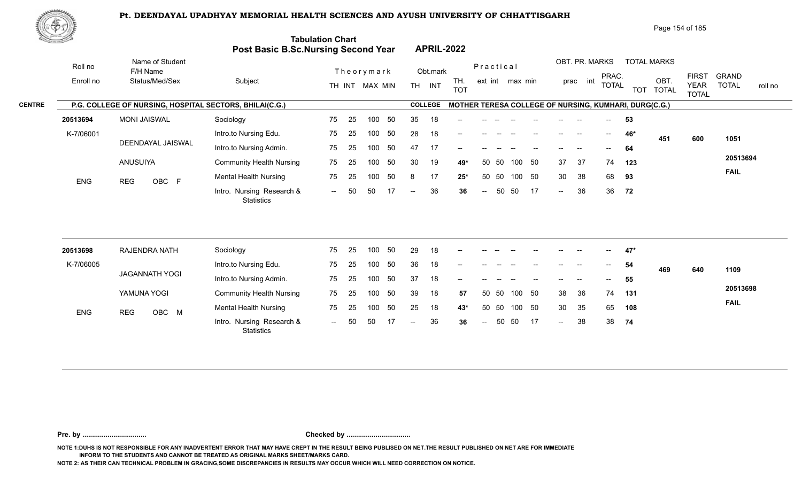

| Page 154 of 185 |  |
|-----------------|--|
|-----------------|--|

| <u>Cardinal Co</u> |                                                         | Post Basic B.Sc.Nursing Second Year            | <b>Tabulation Chart</b> |            |                        |                          | <b>APRIL-2022</b> |                                                       |                          |       |                 |    |                            |                          |                                       |     |                    |                             |                         |
|--------------------|---------------------------------------------------------|------------------------------------------------|-------------------------|------------|------------------------|--------------------------|-------------------|-------------------------------------------------------|--------------------------|-------|-----------------|----|----------------------------|--------------------------|---------------------------------------|-----|--------------------|-----------------------------|-------------------------|
| Roll no            | Name of Student<br>F/H Name                             |                                                |                         | Theorymark |                        |                          | Obt.mark          |                                                       | Practical                |       |                 |    |                            | OBT. PR. MARKS           | PRAC.                                 |     | <b>TOTAL MARKS</b> | <b>FIRST</b>                | <b>GRAND</b>            |
| Enroll no          | Status/Med/Sex                                          | Subject                                        |                         |            | TH INT MAX MIN         |                          | TH INT            | TH.<br><b>TOT</b>                                     |                          |       | ext int max min |    |                            | int<br>prac              | <b>TOTAL</b>                          |     | OBT.<br>TOT TOTAL  | <b>YEAR</b><br><b>TOTAL</b> | <b>TOTAL</b><br>roll no |
|                    | P.G. COLLEGE OF NURSING, HOSPITAL SECTORS, BHILAI(C.G.) |                                                |                         |            |                        |                          | <b>COLLEGE</b>    | MOTHER TERESA COLLEGE OF NURSING, KUMHARI, DURG(C.G.) |                          |       |                 |    |                            |                          |                                       |     |                    |                             |                         |
| 20513694           | <b>MONI JAISWAL</b>                                     | Sociology                                      | 75                      | 25         | 50<br>100              | 35                       | 18                |                                                       |                          |       |                 |    |                            |                          |                                       | 53  |                    |                             |                         |
| K-7/06001          |                                                         | Intro.to Nursing Edu.                          | 75                      | 25         | 50<br>100              | 28                       | 18                |                                                       |                          |       |                 |    |                            | $\overline{\phantom{a}}$ | $\overline{\phantom{a}}$              | 46* | 451                | 600                         | 1051                    |
|                    | DEENDAYAL JAISWAL                                       | Intro.to Nursing Admin.                        | 75                      | 25         | 50<br>100              | 47                       | 17                | --                                                    |                          |       |                 |    |                            |                          | $\hspace{0.05cm}$                     | 64  |                    |                             |                         |
|                    | ANUSUIYA                                                | <b>Community Health Nursing</b>                | 75                      | 25         | 100<br>50              | 30                       | 19                | 49*                                                   |                          | 50 50 | 100             | 50 | 37                         | 37                       | 74                                    | 123 |                    |                             | 20513694                |
| <b>ENG</b>         | OBC F<br><b>REG</b>                                     | <b>Mental Health Nursing</b>                   | 75                      | 25         | 50<br>100              | 8                        | 17                | $25*$                                                 |                          | 50 50 | 100 50          |    | 30                         | 38                       | 68                                    | 93  |                    |                             | <b>FAIL</b>             |
|                    |                                                         | Intro. Nursing Research &<br><b>Statistics</b> | $\sim$ $\sim$           | 50<br>50   | -17                    | $-$                      | 36                | 36                                                    | $\overline{\phantom{a}}$ | 50    | 50              | 17 | $\sim$                     | 36                       | 36                                    | 72  |                    |                             |                         |
| 20513698           | RAJENDRA NATH                                           | Sociology                                      | 75                      | 25         | 50<br>100 <sub>1</sub> | 29                       | 18                |                                                       |                          |       |                 |    |                            |                          |                                       | 47* |                    |                             |                         |
| K-7/06005          |                                                         | Intro.to Nursing Edu.                          | 75                      | 25         | 50<br>100              | 36                       | 18                | --                                                    |                          |       |                 |    |                            |                          | $\hspace{0.05cm}$ – $\hspace{0.05cm}$ | 54  |                    |                             |                         |
|                    | <b>JAGANNATH YOGI</b>                                   | Intro.to Nursing Admin.                        | 75                      | 25         | 50<br>100              | 37                       | 18                |                                                       |                          |       |                 |    |                            |                          |                                       | 55  | 469                | 640                         | 1109                    |
|                    | YAMUNA YOGI                                             | <b>Community Health Nursing</b>                | 75                      | 25         | 50<br>100              | 39                       | 18                | 57                                                    |                          | 50 50 | 100 50          |    | 38                         | 36                       | 74                                    | 131 |                    |                             | 20513698                |
|                    |                                                         | <b>Mental Health Nursing</b>                   | 75                      | 25         | 50<br>100              | 25                       | 18                |                                                       | 50                       | 50    | 100 50          |    | 30                         | 35                       | 65                                    | 108 |                    |                             | <b>FAIL</b>             |
| ENG                | OBC M<br><b>REG</b>                                     |                                                |                         |            |                        |                          |                   | 43*                                                   |                          |       |                 |    |                            |                          |                                       |     |                    |                             |                         |
|                    |                                                         | Intro. Nursing Research &                      | $\sim$                  | 50<br>50   | 17                     | $\overline{\phantom{a}}$ | 36                | 36                                                    | $\sim$                   | 50    | 50              | 17 | $\mathcal{L}(\mathcal{L})$ | 38                       | 38                                    | 74  |                    |                             |                         |

**Pre. by ................................. Checked by .................................**

**NOTE 1:DUHS IS NOT RESPONSIBLE FOR ANY INADVERTENT ERROR THAT MAY HAVE CREPT IN THE RESULT BEING PUBLISED ON NET.THE RESULT PUBLISHED ON NET ARE FOR IMMEDIATE INFORM TO THE STUDENTS AND CANNOT BE TREATED AS ORIGINAL MARKS SHEET/MARKS CARD.**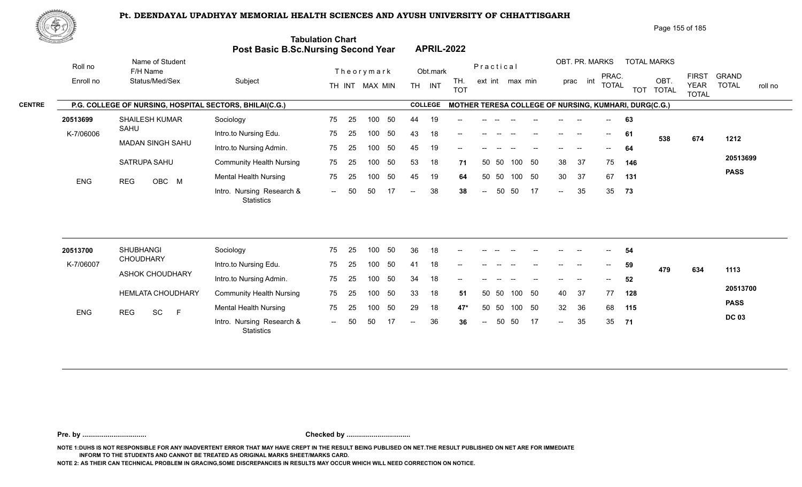

Page 155 of 185

| <u>Cardinal Co</u>    |                                                         | Post Basic B.Sc.Nursing Second Year            | <b>Tabulation Chart</b> |                |          |          | <b>APRIL-2022</b> |                   |                          |       |                 |    |        |                          |              |          |                                                       |                             |                         |
|-----------------------|---------------------------------------------------------|------------------------------------------------|-------------------------|----------------|----------|----------|-------------------|-------------------|--------------------------|-------|-----------------|----|--------|--------------------------|--------------|----------|-------------------------------------------------------|-----------------------------|-------------------------|
| Roll no               | Name of Student<br>F/H Name                             |                                                |                         | Theorymark     |          |          | Obt.mark          |                   | Practical                |       |                 |    |        | OBT. PR. MARKS           | PRAC.        |          | <b>TOTAL MARKS</b>                                    | <b>FIRST</b>                | <b>GRAND</b>            |
| Enroll no             | Status/Med/Sex                                          | Subject                                        |                         | TH INT MAX MIN |          |          | TH INT            | TH.<br><b>TOT</b> |                          |       | ext int max min |    |        | prac int                 | <b>TOTAL</b> |          | OBT.<br>TOT TOTAL                                     | <b>YEAR</b><br><b>TOTAL</b> | <b>TOTAL</b><br>roll no |
|                       | P.G. COLLEGE OF NURSING, HOSPITAL SECTORS, BHILAI(C.G.) |                                                |                         |                |          |          | <b>COLLEGE</b>    |                   |                          |       |                 |    |        |                          |              |          | MOTHER TERESA COLLEGE OF NURSING, KUMHARI, DURG(C.G.) |                             |                         |
| 20513699              | <b>SHAILESH KUMAR</b>                                   | Sociology                                      | 25<br>75                | 100            | 50       | 44       | 19                |                   |                          |       |                 |    |        |                          |              | 63       |                                                       |                             |                         |
| K-7/06006             | SAHU                                                    | Intro.to Nursing Edu.                          | 75<br>25                | 100            | 50       | 43       | 18                |                   |                          |       |                 |    |        | $\overline{\phantom{a}}$ | $--$         | 61       | 538                                                   | 674                         | 1212                    |
|                       | <b>MADAN SINGH SAHU</b>                                 | Intro.to Nursing Admin.                        | 75<br>25                | 100            | 50       | 45       | 19                | --                |                          |       |                 |    |        |                          | $--$         | 64       |                                                       |                             |                         |
|                       | SATRUPA SAHU                                            | <b>Community Health Nursing</b>                | 75<br>25                | 100            | 50       | 53       | 18                | 71                |                          | 50 50 | 100             | 50 | 38     | -37                      | 75           | 146      |                                                       |                             | 20513699                |
| <b>ENG</b>            | <b>REG</b><br>OBC M                                     | <b>Mental Health Nursing</b>                   | 75<br>25                | 100            | 50       | 45       | 19                | 64                | 50                       | 50    | 100 50          |    | 30     | 37                       | 67           | 131      |                                                       |                             | <b>PASS</b>             |
|                       |                                                         | Intro. Nursing Research &<br>Statistics        | 50<br>$\sim$ $\sim$     | 50             | -17      | $-$      | 38                | 38                | $\overline{\phantom{a}}$ | 50    | 50              | 17 | $\sim$ | 35                       | 35           | 73       |                                                       |                             |                         |
| 20513700<br>K-7/06007 | <b>SHUBHANGI</b><br><b>CHOUDHARY</b>                    | Sociology<br>Intro.to Nursing Edu.             | 75<br>25<br>75<br>25    | 100<br>100     | 50<br>50 | 36<br>41 | 18<br>18          |                   |                          |       |                 |    |        |                          |              | 54<br>59 |                                                       |                             |                         |
|                       | <b>ASHOK CHOUDHARY</b>                                  | Intro.to Nursing Admin.                        | 75<br>25                | 100            | 50       | 34       | 18                |                   |                          |       |                 |    |        |                          |              | 52       | 479                                                   | 634                         | 1113                    |
|                       | <b>HEMLATA CHOUDHARY</b>                                | <b>Community Health Nursing</b>                | 75<br>25                | 100            | 50       | 33       | 18                | 51                | 50                       | 50    | 100 50          |    | 40     | 37                       | 77           | 128      |                                                       |                             | 20513700                |
|                       |                                                         | <b>Mental Health Nursing</b>                   | 75<br>25                | 100            | 50       | 29       | 18                | 47*               | 50                       | 50    | 100             | 50 | 32     | 36                       | 68           | 115      |                                                       |                             | <b>PASS</b>             |
| ENG                   | SC<br>$\mathsf F$<br><b>REG</b>                         | Intro. Nursing Research &<br><b>Statistics</b> | 50<br>$\sim$            | 50             | 17       | $-$      | 36                | 36                | $\sim$                   | 50    | 50              | 17 | $\sim$ | 35                       | 35 71        |          |                                                       |                             | <b>DC 03</b>            |

**Pre. by ................................. Checked by .................................**

**NOTE 1:DUHS IS NOT RESPONSIBLE FOR ANY INADVERTENT ERROR THAT MAY HAVE CREPT IN THE RESULT BEING PUBLISED ON NET.THE RESULT PUBLISHED ON NET ARE FOR IMMEDIATE INFORM TO THE STUDENTS AND CANNOT BE TREATED AS ORIGINAL MARKS SHEET/MARKS CARD.**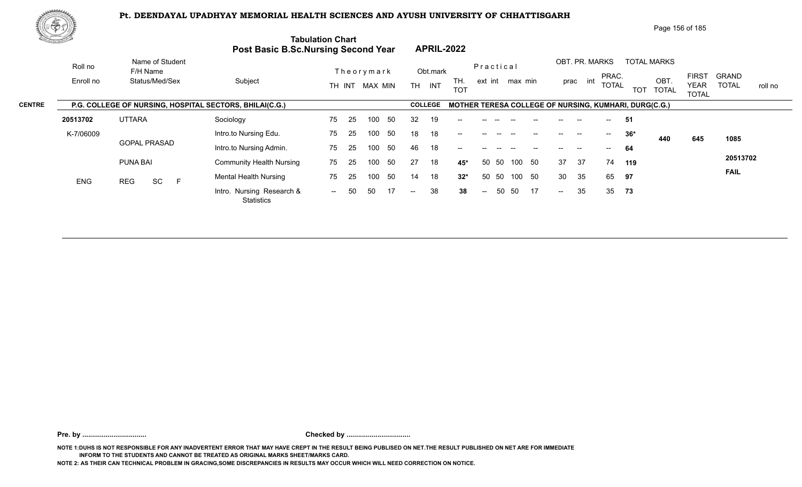

Page 156 of 185

|               | di personal Loc |                                                         | <b>Post Basic B.Sc.Nursing Second Year</b> | <b>Tabulation Chart</b>  | <b>APRIL-2022</b>                     |                                 |                                                        |                                                        |
|---------------|-----------------|---------------------------------------------------------|--------------------------------------------|--------------------------|---------------------------------------|---------------------------------|--------------------------------------------------------|--------------------------------------------------------|
|               | Roll no         | Name of Student<br>F/H Name                             |                                            | Theorymark               | Obt.mark                              | Practical                       | OBT. PR. MARKS<br><b>TOTAL MARKS</b><br>PRAC.          | <b>GRAND</b><br><b>FIRST</b>                           |
|               | Enroll no       | Status/Med/Sex                                          | Subject                                    | TH INT MAX MIN           | TH.<br><b>TH</b><br>INT<br><b>TOT</b> | ext int max min                 | OBT<br>prac int<br>total<br><b>TOT</b><br><b>TOTAL</b> | <b>TOTAL</b><br><b>YEAR</b><br>roll no<br><b>TOTAL</b> |
| <b>CENTRE</b> |                 | P.G. COLLEGE OF NURSING, HOSPITAL SECTORS, BHILAI(C.G.) |                                            |                          | <b>COLLEGE</b>                        |                                 | MOTHER TERESA COLLEGE OF NURSING, KUMHARI, DURG(C.G.)  |                                                        |
|               | 20513702        | <b>UTTARA</b>                                           | Sociology                                  | 25<br>75<br>50<br>100    | 32<br>19<br>$- -$                     |                                 | -51<br>$\sim$                                          |                                                        |
|               | K-7/06009       |                                                         | Intro.to Nursing Edu.                      | 75<br>50<br>25<br>100    | 18<br>18<br>$- -$                     |                                 | $36*$<br>$\sim$<br>440                                 | 645<br>1085                                            |
|               |                 | <b>GOPAL PRASAD</b>                                     | Intro.to Nursing Admin.                    | 50<br>25<br>75<br>100    | 46<br>18<br>$- -$                     |                                 | 64                                                     |                                                        |
|               |                 | PUNA BAI                                                | <b>Community Health Nursing</b>            | 50<br>75<br>100<br>25    | 27<br>18<br>45*                       | 50<br>-50<br>50<br>100          | 37<br>37<br>74<br>119                                  | 20513702                                               |
|               | <b>ENG</b>      | SC<br>E<br><b>REG</b>                                   | <b>Mental Health Nursing</b>               | 50<br>75<br>100<br>-25   | 18<br>$32*$<br>14                     | 50<br>50 50<br>100              | 35<br>30<br>65<br>97                                   | <b>FAIL</b>                                            |
|               |                 |                                                         | Intro. Nursing Research &<br>Statistics    | 17<br>50<br>50<br>$  \,$ | 38<br>38<br>$--$                      | 50<br>17<br>50<br>$\sim$ $\sim$ | 35<br>35 73<br>$\mathcal{L}(\mathcal{L})$              |                                                        |
|               |                 |                                                         |                                            |                          |                                       |                                 |                                                        |                                                        |

**Pre. by ................................. Checked by .................................**

**NOTE 1:DUHS IS NOT RESPONSIBLE FOR ANY INADVERTENT ERROR THAT MAY HAVE CREPT IN THE RESULT BEING PUBLISED ON NET.THE RESULT PUBLISHED ON NET ARE FOR IMMEDIATE INFORM TO THE STUDENTS AND CANNOT BE TREATED AS ORIGINAL MARKS SHEET/MARKS CARD.**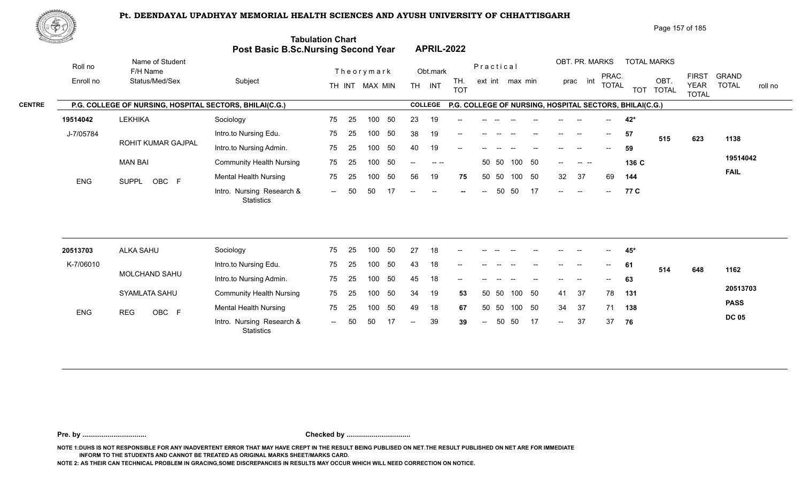

Page 157 of 185

| The common    |            |                                                         | <b>Post Basic B.Sc.Nursing Second Year</b> | <b>Tabulation Chart</b> |     |                |     |           | <b>APRIL-2022</b>                              |                                                         |               |           |                 |        |               |                |                                       |              |                    |                   |                             |              |         |
|---------------|------------|---------------------------------------------------------|--------------------------------------------|-------------------------|-----|----------------|-----|-----------|------------------------------------------------|---------------------------------------------------------|---------------|-----------|-----------------|--------|---------------|----------------|---------------------------------------|--------------|--------------------|-------------------|-----------------------------|--------------|---------|
|               | Roll no    | Name of Student<br>F/H Name                             |                                            |                         |     | Theorymark     |     |           | Obt.mark                                       |                                                         |               | Practical |                 |        |               | OBT. PR. MARKS |                                       | PRAC.        | <b>TOTAL MARKS</b> |                   | <b>FIRST</b>                | <b>GRAND</b> |         |
|               | Enroll no  | Status/Med/Sex                                          | Subject                                    |                         |     | TH INT MAX MIN |     | <b>TH</b> | INT                                            | TH.<br><b>TOT</b>                                       |               |           | ext int max min |        |               | int<br>prac    |                                       | <b>TOTAL</b> |                    | OBT.<br>TOT TOTAL | <b>YEAR</b><br><b>TOTAL</b> | <b>TOTAL</b> | roll no |
| <b>CENTRE</b> |            | P.G. COLLEGE OF NURSING, HOSPITAL SECTORS, BHILAI(C.G.) |                                            |                         |     |                |     |           | <b>COLLEGE</b>                                 | P.G. COLLEGE OF NURSING, HOSPITAL SECTORS, BHILAI(C.G.) |               |           |                 |        |               |                |                                       |              |                    |                   |                             |              |         |
|               | 19514042   | <b>LEKHIKA</b>                                          | Sociology                                  | 75                      | -25 | 100            | -50 | 23        | 19                                             | $-$                                                     |               |           |                 |        |               |                |                                       |              | 42*                |                   |                             |              |         |
|               | J-7/05784  |                                                         | Intro.to Nursing Edu.                      | 75                      | 25  | 100            | 50  | 38        | 19                                             | $- -$                                                   |               |           |                 |        |               |                | $\hspace{0.05cm}$ – $\hspace{0.05cm}$ | 57           |                    | 515               | 623                         | 1138         |         |
|               |            | ROHIT KUMAR GAJPAL                                      | Intro.to Nursing Admin.                    | 75                      | 25  | 100            | 50  | 40        | 19                                             | $\qquad \qquad -$                                       |               |           |                 |        |               |                | $\hspace{0.05cm}$ – $\hspace{0.05cm}$ | 59           |                    |                   |                             |              |         |
|               |            | MAN BAI                                                 | <b>Community Health Nursing</b>            | 75                      | -25 | 100            | -50 | $--$      |                                                |                                                         |               | 50 50     |                 | 100 50 | $- -$ .       | . <u>.</u>     |                                       |              | 136 C              |                   |                             | 19514042     |         |
|               | <b>ENG</b> | SUPPL OBC F                                             | <b>Mental Health Nursing</b>               | 75                      | 25  | 100            | 50  | 56        | 19                                             | 75                                                      |               | 50 50     | 100             | 50     | 32            | 37             | 69                                    |              | 144                |                   |                             | <b>FAIL</b>  |         |
|               |            |                                                         | Intro. Nursing Research &<br>Statistics    | $\sim$ $\sim$           | 50  | 50             | 17  | $--$      | $\hspace{0.1mm}-\hspace{0.1mm}-\hspace{0.1mm}$ | $-$                                                     | $\frac{1}{2}$ | 50        | 50              | 17     | $\sim$ $\sim$ | $-$            | $- \,$                                |              | 77 C               |                   |                             |              |         |
|               |            |                                                         |                                            |                         |     |                |     |           |                                                |                                                         |               |           |                 |        |               |                |                                       |              |                    |                   |                             |              |         |

| 20513703   | ALKA SAHU     | Sociology                                      | 75     | -25 | 100 | 50 | 27            | 18 | $\overline{\phantom{a}}$ |       |       |      |                   | $- -$                    |                          | $\hspace{0.05cm}$        | 45* |     |     |              |
|------------|---------------|------------------------------------------------|--------|-----|-----|----|---------------|----|--------------------------|-------|-------|------|-------------------|--------------------------|--------------------------|--------------------------|-----|-----|-----|--------------|
| K-7/06010  |               | Intro.to Nursing Edu.                          | 75     | 25  | 100 | 50 | 43            | 18 | $\overline{\phantom{a}}$ | $- -$ |       |      | $\hspace{0.05cm}$ | $\overline{\phantom{a}}$ | $-$                      | $\overline{\phantom{a}}$ | 61  | 514 | 648 | 1162         |
|            | MOLCHAND SAHU | Intro.to Nursing Admin.                        | 75     | 25  | 100 | 50 | 45            | 18 | $\sim$                   | $- -$ |       |      | $- -$             | $\overline{\phantom{a}}$ | $\overline{\phantom{a}}$ | $\overline{\phantom{a}}$ | 63  |     |     |              |
|            | SYAMLATA SAHU | <b>Community Health Nursing</b>                | 75     | -25 | 100 | 50 | 34            | 19 | 53                       |       | 50 50 | 100  | - 50              | 41                       | 37                       | 78                       | 131 |     |     | 20513703     |
| <b>ENG</b> | OBC F<br>REG  | <b>Mental Health Nursing</b>                   | 75     | -25 | 100 | 50 | 49            | 18 | 67                       | 50 50 |       | 100  | - 50              | 34                       | 37                       | 71                       | 138 |     |     | <b>PASS</b>  |
|            |               | Intro. Nursing Research &<br><b>Statistics</b> | $\sim$ | 50  | -50 |    | $\sim$ $\sim$ | 39 | 39                       | $--$  | 50    | - 50 | 17                | $\sim$                   | 37                       | 37                       | 76  |     |     | <b>DC 05</b> |

**Pre. by ................................. Checked by .................................**

**NOTE 1:DUHS IS NOT RESPONSIBLE FOR ANY INADVERTENT ERROR THAT MAY HAVE CREPT IN THE RESULT BEING PUBLISED ON NET.THE RESULT PUBLISHED ON NET ARE FOR IMMEDIATE INFORM TO THE STUDENTS AND CANNOT BE TREATED AS ORIGINAL MARKS SHEET/MARKS CARD.**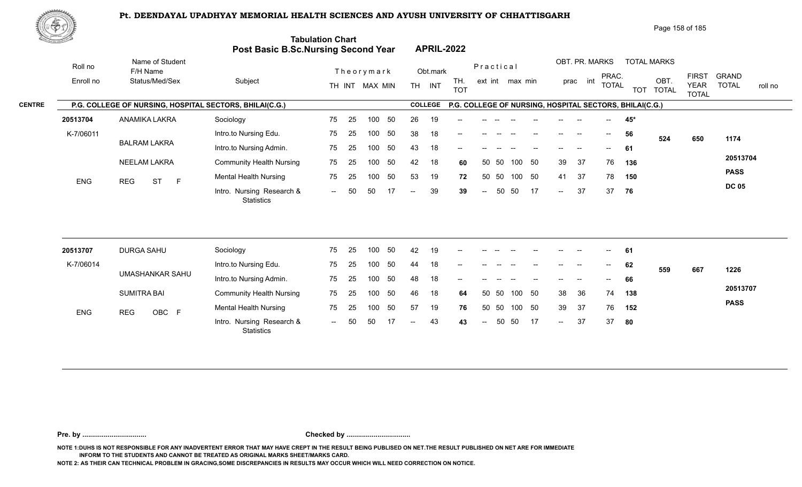

Page 158 of 185

| <u>Cardinal Co</u> |            |                                                         | Post Basic B.Sc.Nursing Second Year            | <b>Tabulation Chart</b> |    |                |     |                          |                | <b>APRIL-2022</b> |                          |           |                 |        |                            |                |                                       |                                                         |                    |                             |                         |
|--------------------|------------|---------------------------------------------------------|------------------------------------------------|-------------------------|----|----------------|-----|--------------------------|----------------|-------------------|--------------------------|-----------|-----------------|--------|----------------------------|----------------|---------------------------------------|---------------------------------------------------------|--------------------|-----------------------------|-------------------------|
|                    | Roll no    | Name of Student<br>F/H Name                             |                                                |                         |    | Theorymark     |     |                          | Obt.mark       |                   |                          | Practical |                 |        |                            | OBT. PR. MARKS | PRAC.                                 |                                                         | <b>TOTAL MARKS</b> | <b>FIRST</b>                | <b>GRAND</b>            |
|                    | Enroll no  | Status/Med/Sex                                          | Subject                                        |                         |    | TH INT MAX MIN |     |                          | TH INT         | TH.<br><b>TOT</b> |                          |           | ext int max min |        |                            | prac int       | <b>TOTAL</b>                          |                                                         | OBT.<br>TOT TOTAL  | <b>YEAR</b><br><b>TOTAL</b> | <b>TOTAL</b><br>roll no |
| <b>CENTRE</b>      |            | P.G. COLLEGE OF NURSING, HOSPITAL SECTORS, BHILAI(C.G.) |                                                |                         |    |                |     |                          | <b>COLLEGE</b> |                   |                          |           |                 |        |                            |                |                                       | P.G. COLLEGE OF NURSING, HOSPITAL SECTORS, BHILAI(C.G.) |                    |                             |                         |
|                    | 20513704   | ANAMIKA LAKRA                                           | Sociology                                      | 75                      | 25 | 100            | 50  | 26                       | 19             |                   |                          |           |                 |        |                            |                |                                       | 45*                                                     |                    |                             |                         |
|                    | K-7/06011  |                                                         | Intro.to Nursing Edu.                          | 75                      | 25 | 100            | 50  | 38                       | 18             |                   |                          |           |                 |        |                            |                | $\hspace{0.05cm}$ – $\hspace{0.05cm}$ | 56                                                      | 524                | 650                         | 1174                    |
|                    |            | <b>BALRAM LAKRA</b>                                     | Intro.to Nursing Admin.                        | 75                      | 25 | 100            | 50  | 43                       | 18             | --                |                          |           |                 |        |                            | --             | $\qquad \qquad -$                     | 61                                                      |                    |                             |                         |
|                    |            | NEELAM LAKRA                                            | <b>Community Health Nursing</b>                | 75                      | 25 | 100            | 50  | 42                       | 18             | 60                | 50                       | 50        | 100             | 50     | 39                         | 37             | 76                                    | 136                                                     |                    |                             | 20513704                |
|                    | ENG        | <b>REG</b><br><b>ST</b><br>F                            | <b>Mental Health Nursing</b>                   | 75                      | 25 | 100            | 50  | 53                       | 19             | 72                |                          | 50 50     |                 | 100 50 | 41                         | 37             | 78                                    | 150                                                     |                    |                             | <b>PASS</b>             |
|                    |            |                                                         | Intro. Nursing Research &<br>Statistics        | $\sim$                  | 50 | 50             | -17 | $\overline{\phantom{a}}$ | 39             | 39                | $\overline{\phantom{a}}$ | 50        | 50              | 17     | $\sim$                     | 37             | 37                                    | 76                                                      |                    |                             | <b>DC 05</b>            |
|                    |            |                                                         |                                                |                         |    |                |     |                          |                |                   |                          |           |                 |        |                            |                |                                       |                                                         |                    |                             |                         |
|                    | 20513707   | <b>DURGA SAHU</b>                                       | Sociology                                      | 75                      | 25 | 100            | 50  | 42                       | 19             |                   |                          |           |                 |        |                            |                |                                       | 61                                                      |                    |                             |                         |
|                    | K-7/06014  |                                                         | Intro.to Nursing Edu.                          | 75                      | 25 | 100            | 50  | 44                       | 18             |                   |                          |           |                 |        |                            |                | $\hspace{0.05cm}$ – $\hspace{0.05cm}$ | 62                                                      | 559                | 667                         | 1226                    |
|                    |            | <b>UMASHANKAR SAHU</b>                                  | Intro.to Nursing Admin.                        | 75                      | 25 | 100            | 50  | 48                       | 18             |                   |                          |           |                 |        |                            |                |                                       | 66                                                      |                    |                             |                         |
|                    |            | <b>SUMITRA BAI</b>                                      | <b>Community Health Nursing</b>                | 75                      | 25 | 100            | 50  | 46                       | 18             | 64                | 50                       | 50        | 100             | 50     | 38                         | 36             | 74                                    | 138                                                     |                    |                             | 20513707                |
|                    | <b>ENG</b> | OBC F<br><b>REG</b>                                     | <b>Mental Health Nursing</b>                   | 75                      | 25 | 100            | 50  | 57                       | 19             | 76                | 50                       | 50        |                 | 100 50 | 39                         | 37             | 76                                    | 152                                                     |                    |                             | <b>PASS</b>             |
|                    |            |                                                         | Intro. Nursing Research &<br><b>Statistics</b> | $  \,$                  | 50 | 50             | 17  | $-$                      | 43             | 43                | $\overline{\phantom{a}}$ | 50        | 50              | 17     | $\mathcal{L}(\mathcal{L})$ | 37             | 37                                    | 80                                                      |                    |                             |                         |
|                    |            |                                                         |                                                |                         |    |                |     |                          |                |                   |                          |           |                 |        |                            |                |                                       |                                                         |                    |                             |                         |

**Pre. by ................................. Checked by .................................**

**NOTE 1:DUHS IS NOT RESPONSIBLE FOR ANY INADVERTENT ERROR THAT MAY HAVE CREPT IN THE RESULT BEING PUBLISED ON NET.THE RESULT PUBLISHED ON NET ARE FOR IMMEDIATE INFORM TO THE STUDENTS AND CANNOT BE TREATED AS ORIGINAL MARKS SHEET/MARKS CARD.**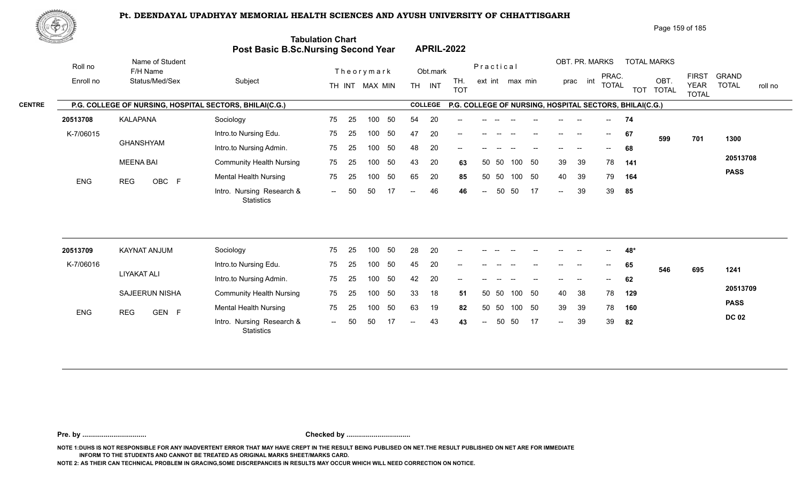

Page 159 of 185

| <u> Samara</u> |            |                                                         | Post Basic B.Sc.Nursing Second Year            | <b>Tabulation Chart</b> |     |                |    |                   |                | <b>APRIL-2022</b> |                          |           |                 |        |                                               |                |              |                                                         |                    |                             |                         |
|----------------|------------|---------------------------------------------------------|------------------------------------------------|-------------------------|-----|----------------|----|-------------------|----------------|-------------------|--------------------------|-----------|-----------------|--------|-----------------------------------------------|----------------|--------------|---------------------------------------------------------|--------------------|-----------------------------|-------------------------|
|                | Roll no    | Name of Student<br>F/H Name                             |                                                |                         |     | Theorymark     |    |                   | Obt.mark       |                   |                          | Practical |                 |        |                                               | OBT. PR. MARKS | PRAC.        |                                                         | <b>TOTAL MARKS</b> | <b>FIRST</b>                | <b>GRAND</b>            |
|                | Enroll no  | Status/Med/Sex                                          | Subject                                        |                         |     | TH INT MAX MIN |    |                   | TH INT         | TH.<br><b>TOT</b> |                          |           | ext int max min |        |                                               | prac int       | <b>TOTAL</b> |                                                         | OBT.<br>TOT TOTAL  | <b>YEAR</b><br><b>TOTAL</b> | <b>TOTAL</b><br>roll no |
| <b>CENTRE</b>  |            | P.G. COLLEGE OF NURSING, HOSPITAL SECTORS, BHILAI(C.G.) |                                                |                         |     |                |    |                   | <b>COLLEGE</b> |                   |                          |           |                 |        |                                               |                |              | P.G. COLLEGE OF NURSING, HOSPITAL SECTORS, BHILAI(C.G.) |                    |                             |                         |
|                | 20513708   | KALAPANA                                                | Sociology                                      | 75                      | 25  | 100            | 50 | 54                | 20             |                   |                          |           |                 |        |                                               |                |              | 74                                                      |                    |                             |                         |
|                | K-7/06015  |                                                         | Intro.to Nursing Edu.                          | 75                      | 25  | 100            | 50 | 47                | 20             | --                |                          |           |                 |        |                                               |                | $--$         | 67                                                      | 599                | 701                         | 1300                    |
|                |            | <b>GHANSHYAM</b>                                        | Intro.to Nursing Admin.                        | 75                      | 25  | 100            | 50 | 48                | 20             |                   |                          |           |                 |        |                                               |                |              | 68                                                      |                    |                             |                         |
|                |            | <b>MEENA BAI</b>                                        | <b>Community Health Nursing</b>                | 75                      | 25  | 100            | 50 | 43                | 20             | 63                |                          | 50<br>50  | 100             | 50     | 39                                            | 39             | 78           | 141                                                     |                    |                             | 20513708                |
|                | <b>ENG</b> | OBC F<br><b>REG</b>                                     | <b>Mental Health Nursing</b>                   | 75                      | 25  | 100            | 50 | 65                | 20             | 85                |                          | 50<br>50  |                 | 100 50 | 40                                            | 39             | 79           | 164                                                     |                    |                             | <b>PASS</b>             |
|                |            |                                                         | Intro. Nursing Research &<br><b>Statistics</b> | $\sim$ $\sim$           | 50  | 50             | 17 | $--$              | 46             | 46                | $ -$                     | 50        | 50              | -17    | $\sim$                                        | 39             | 39           | 85                                                      |                    |                             |                         |
|                |            |                                                         |                                                |                         |     |                |    |                   |                |                   |                          |           |                 |        |                                               |                |              |                                                         |                    |                             |                         |
|                | 20513709   | KAYNAT ANJUM                                            | Sociology                                      | 75                      | 25  | 100            | 50 | 28                | 20             |                   |                          |           |                 |        |                                               |                |              | 48*                                                     |                    |                             |                         |
|                | K-7/06016  |                                                         | Intro.to Nursing Edu.                          | 75                      | 25  | 100            | 50 | 45                | 20             |                   |                          |           |                 |        |                                               |                |              | 65                                                      | 546                | 695                         | 1241                    |
|                |            | <b>LIYAKAT ALI</b>                                      | Intro.to Nursing Admin.                        | 75                      | 25  | 100            | 50 | 42                | 20             | --                |                          |           |                 |        |                                               |                |              | 62                                                      |                    |                             |                         |
|                |            | <b>SAJEERUN NISHA</b>                                   | <b>Community Health Nursing</b>                | 75                      | 25  | 100            | 50 | 33                | 18             | 51                |                          | 50<br>50  | 100             | 50     | 40                                            | 38             | 78           | 129                                                     |                    |                             | 20513709                |
|                | <b>ENG</b> | <b>REG</b><br>GEN F                                     | <b>Mental Health Nursing</b>                   | 75                      | 25  | 100            | 50 | 63                | 19             | 82                |                          | 50<br>50  |                 | 100 50 | 39                                            | 39             | 78           | 160                                                     |                    |                             | <b>PASS</b>             |
|                |            |                                                         | Intro. Nursing Research &<br>Statistics        | $  \,$                  | -50 | 50             |    | $\qquad \qquad -$ | 43             | 43                | $\overline{\phantom{a}}$ | 50        | 50              | -17    | $\mathord{\hspace{1pt}\text{--}\hspace{1pt}}$ | 39             | 39           | 82                                                      |                    |                             | <b>DC 02</b>            |
|                |            |                                                         |                                                |                         |     |                |    |                   |                |                   |                          |           |                 |        |                                               |                |              |                                                         |                    |                             |                         |

**Pre. by ................................. Checked by .................................**

**NOTE 1:DUHS IS NOT RESPONSIBLE FOR ANY INADVERTENT ERROR THAT MAY HAVE CREPT IN THE RESULT BEING PUBLISED ON NET.THE RESULT PUBLISHED ON NET ARE FOR IMMEDIATE INFORM TO THE STUDENTS AND CANNOT BE TREATED AS ORIGINAL MARKS SHEET/MARKS CARD.**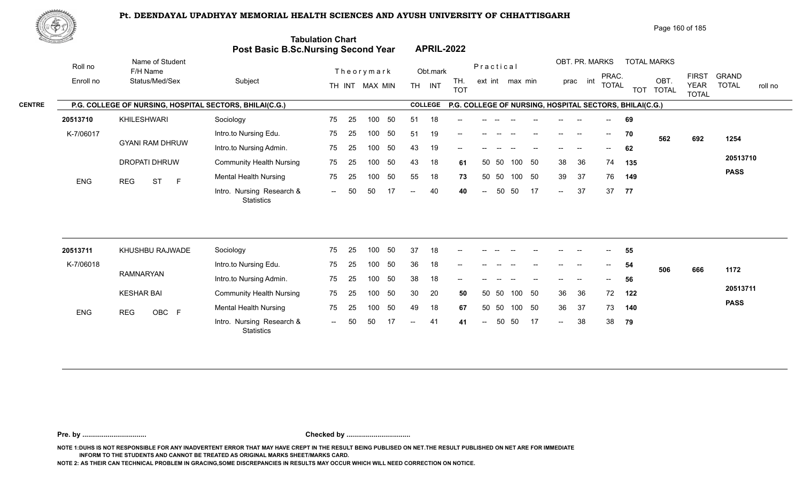

Page 160 of 185

| <u>Contraction of the Contraction of the Contraction of the Contraction of the Contraction of the Contraction of the Contraction of the Contraction of the Contraction of the Contraction of the Contraction of the Contraction </u> |                                                         | <b>Post Basic B.Sc.Nursing Second Year</b>     | <b>Tabulation Chart</b> |    |                  |    |                          |                | <b>APRIL-2022</b> |                            |       |                 |    |                            |                |                          |                                                         |                    |                             |                         |
|--------------------------------------------------------------------------------------------------------------------------------------------------------------------------------------------------------------------------------------|---------------------------------------------------------|------------------------------------------------|-------------------------|----|------------------|----|--------------------------|----------------|-------------------|----------------------------|-------|-----------------|----|----------------------------|----------------|--------------------------|---------------------------------------------------------|--------------------|-----------------------------|-------------------------|
| Roll no                                                                                                                                                                                                                              | Name of Student<br>F/H Name                             |                                                |                         |    | Theorymark       |    |                          | Obt.mark       |                   | Practical                  |       |                 |    |                            | OBT. PR. MARKS | PRAC.                    |                                                         | <b>TOTAL MARKS</b> | <b>FIRST</b>                | <b>GRAND</b>            |
| Enroll no                                                                                                                                                                                                                            | Status/Med/Sex                                          | Subject                                        |                         |    | TH INT MAX MIN   |    | TH <sub>1</sub>          | INT            | TH.<br><b>TOT</b> |                            |       | ext int max min |    |                            | int<br>prac    | <b>TOTAL</b>             |                                                         | OBT.<br>TOT TOTAL  | <b>YEAR</b><br><b>TOTAL</b> | <b>TOTAL</b><br>roll no |
|                                                                                                                                                                                                                                      | P.G. COLLEGE OF NURSING, HOSPITAL SECTORS, BHILAI(C.G.) |                                                |                         |    |                  |    |                          | <b>COLLEGE</b> |                   |                            |       |                 |    |                            |                |                          | P.G. COLLEGE OF NURSING, HOSPITAL SECTORS, BHILAI(C.G.) |                    |                             |                         |
| 20513710                                                                                                                                                                                                                             | KHILESHWARI                                             | Sociology                                      | 75                      | 25 | 100              | 50 | 51                       | 18             |                   |                            |       |                 |    |                            |                | $\overline{\phantom{a}}$ | 69                                                      |                    |                             |                         |
| K-7/06017                                                                                                                                                                                                                            |                                                         | Intro.to Nursing Edu.                          | 75                      | 25 | 100              | 50 | 51                       | 19             |                   |                            |       |                 |    |                            | $\sim$         | $--$                     | 70                                                      | 562                | 692                         | 1254                    |
|                                                                                                                                                                                                                                      | <b>GYANI RAM DHRUW</b>                                  | Intro.to Nursing Admin.                        | 75                      | 25 | 100 <sub>1</sub> | 50 | 43                       | 19             | --                |                            |       |                 |    |                            |                | $-$                      | 62                                                      |                    |                             |                         |
|                                                                                                                                                                                                                                      | DROPATI DHRUW                                           | <b>Community Health Nursing</b>                | 75                      | 25 | 100              | 50 | 43                       | 18             | 61                | 50                         | -50   | 100             | 50 | 38                         | 36             | 74                       | 135                                                     |                    |                             | 20513710                |
| <b>ENG</b>                                                                                                                                                                                                                           | <b>REG</b><br><b>ST</b><br>$\mathsf{F}$                 | <b>Mental Health Nursing</b>                   | 75                      | 25 | 100              | 50 | 55                       | 18             | 73                |                            | 50 50 | 100 50          |    | 39                         | 37             | 76                       | 149                                                     |                    |                             | <b>PASS</b>             |
|                                                                                                                                                                                                                                      |                                                         | Intro. Nursing Research &<br><b>Statistics</b> | $--$                    | 50 | 50               | 17 | $\overline{\phantom{a}}$ | 40             | 40                | $\overline{\phantom{a}}$   | 50    | 50              | 17 | $\sim$                     | 37             | 37                       | 77                                                      |                    |                             |                         |
|                                                                                                                                                                                                                                      |                                                         |                                                |                         |    |                  |    |                          |                |                   |                            |       |                 |    |                            |                |                          |                                                         |                    |                             |                         |
| 20513711                                                                                                                                                                                                                             | KHUSHBU RAJWADE                                         | Sociology                                      | 75                      | 25 | 100              | 50 | 37                       | 18             |                   |                            |       |                 |    |                            |                |                          | 55                                                      |                    |                             |                         |
| K-7/06018                                                                                                                                                                                                                            |                                                         | Intro.to Nursing Edu.                          | 75                      | 25 | 100              | 50 | 36                       | 18             | --                |                            |       |                 |    |                            |                |                          | 54                                                      | 506                | 666                         | 1172                    |
|                                                                                                                                                                                                                                      | <b>RAMNARYAN</b>                                        | Intro.to Nursing Admin.                        | 75                      | 25 | 100              | 50 | 38                       | 18             |                   |                            |       |                 |    |                            |                |                          | 56                                                      |                    |                             |                         |
|                                                                                                                                                                                                                                      | <b>KESHAR BAI</b>                                       | <b>Community Health Nursing</b>                | 75                      | 25 | 100              | 50 | 30                       | 20             | 50                |                            | 50 50 | 100 50          |    | 36                         | 36             | 72                       | 122                                                     |                    |                             | 20513711                |
| <b>ENG</b>                                                                                                                                                                                                                           | <b>REG</b><br>OBC F                                     | <b>Mental Health Nursing</b>                   | 75                      | 25 | 100              | 50 | 49                       | 18             | 67                | 50                         | 50    | 100             | 50 | 36                         | 37             | 73                       | 140                                                     |                    |                             | <b>PASS</b>             |
|                                                                                                                                                                                                                                      |                                                         | Intro. Nursing Research &                      | $\sim$                  | 50 | 50               | 17 | $--$                     | 41             | 41                | $\mathcal{L}(\mathcal{L})$ | 50    | 50              | 17 | $\mathcal{L}(\mathcal{L})$ | 38             | 38                       | 79                                                      |                    |                             |                         |

**Pre. by ................................. Checked by .................................**

**NOTE 1:DUHS IS NOT RESPONSIBLE FOR ANY INADVERTENT ERROR THAT MAY HAVE CREPT IN THE RESULT BEING PUBLISED ON NET.THE RESULT PUBLISHED ON NET ARE FOR IMMEDIATE INFORM TO THE STUDENTS AND CANNOT BE TREATED AS ORIGINAL MARKS SHEET/MARKS CARD.**

**NOTE 2: AS THEIR CAN TECHNICAL PROBLEM IN GRACING,SOME DISCREPANCIES IN RESULTS MAY OCCUR WHICH WILL NEED CORRECTION ON NOTICE.**

**Statistics**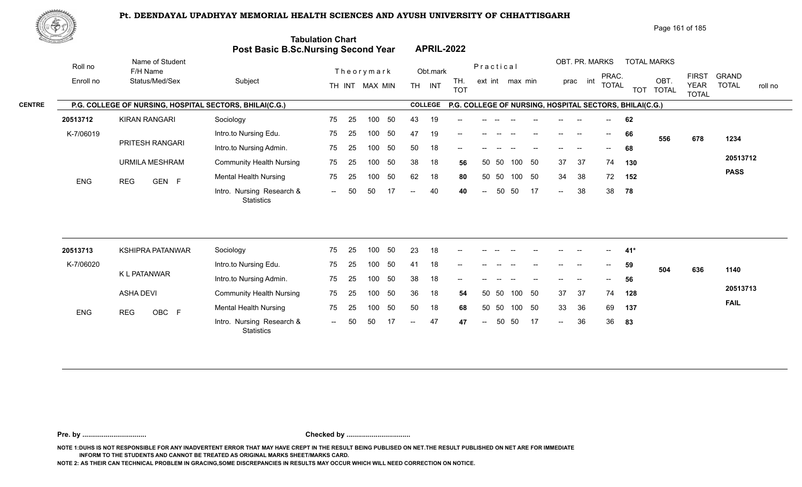

Page 161 of 185

| <u>Contraction of the Contraction of the Contraction of the Contraction of the Contraction of the Contraction of the Contraction of the Contraction of the Contraction of the Contraction of the Contraction of the Contraction </u> |                                                         | <b>Post Basic B.Sc.Nursing Second Year</b>     | <b>Tabulation Chart</b> |    |                  |    |                          |                | <b>APRIL-2022</b> |                            |       |                 |    |                            |                |              |                                                         |                    |                             |                         |
|--------------------------------------------------------------------------------------------------------------------------------------------------------------------------------------------------------------------------------------|---------------------------------------------------------|------------------------------------------------|-------------------------|----|------------------|----|--------------------------|----------------|-------------------|----------------------------|-------|-----------------|----|----------------------------|----------------|--------------|---------------------------------------------------------|--------------------|-----------------------------|-------------------------|
| Roll no                                                                                                                                                                                                                              | Name of Student<br>F/H Name                             |                                                |                         |    | Theorymark       |    |                          | Obt.mark       |                   | Practical                  |       |                 |    |                            | OBT. PR. MARKS | PRAC.        |                                                         | <b>TOTAL MARKS</b> | <b>FIRST</b>                | <b>GRAND</b>            |
| Enroll no                                                                                                                                                                                                                            | Status/Med/Sex                                          | Subject                                        |                         |    | TH INT MAX MIN   |    | TH <sub>1</sub>          | INT            | TH.<br><b>TOT</b> |                            |       | ext int max min |    |                            | int<br>prac    | <b>TOTAL</b> |                                                         | OBT.<br>TOT TOTAL  | <b>YEAR</b><br><b>TOTAL</b> | <b>TOTAL</b><br>roll no |
|                                                                                                                                                                                                                                      | P.G. COLLEGE OF NURSING, HOSPITAL SECTORS, BHILAI(C.G.) |                                                |                         |    |                  |    |                          | <b>COLLEGE</b> |                   |                            |       |                 |    |                            |                |              | P.G. COLLEGE OF NURSING, HOSPITAL SECTORS, BHILAI(C.G.) |                    |                             |                         |
| 20513712                                                                                                                                                                                                                             | <b>KIRAN RANGARI</b>                                    | Sociology                                      | 75                      | 25 | 100              | 50 | 43                       | 19             |                   |                            |       |                 |    |                            |                | $- -$        | 62                                                      |                    |                             |                         |
| K-7/06019                                                                                                                                                                                                                            |                                                         | Intro.to Nursing Edu.                          | 75                      | 25 | 100              | 50 | 47                       | 19             |                   |                            |       |                 |    |                            | $\sim$         | $--$         | 66                                                      | 556                | 678                         | 1234                    |
|                                                                                                                                                                                                                                      | PRITESH RANGARI                                         | Intro.to Nursing Admin.                        | 75                      | 25 | 100              | 50 | 50                       | 18             | --                |                            |       |                 |    |                            |                | $-$          | 68                                                      |                    |                             |                         |
|                                                                                                                                                                                                                                      | <b>URMILA MESHRAM</b>                                   | <b>Community Health Nursing</b>                | 75                      | 25 | 100              | 50 | 38                       | 18             | 56                | 50                         | -50   | 100             | 50 | 37                         | 37             | 74           | 130                                                     |                    |                             | 20513712                |
| <b>ENG</b>                                                                                                                                                                                                                           | GEN F<br><b>REG</b>                                     | <b>Mental Health Nursing</b>                   | 75                      | 25 | 100              | 50 | 62                       | 18             | 80                |                            | 50 50 | 100 50          |    | 34                         | 38             | 72           | 152                                                     |                    |                             | <b>PASS</b>             |
|                                                                                                                                                                                                                                      |                                                         | Intro. Nursing Research &<br><b>Statistics</b> | $--$                    | 50 | 50               | 17 | $\overline{\phantom{a}}$ | 40             | 40                | $\overline{\phantom{a}}$   | 50    | 50              | 17 | $\sim$                     | 38             | 38           | 78                                                      |                    |                             |                         |
|                                                                                                                                                                                                                                      |                                                         |                                                |                         |    |                  |    |                          |                |                   |                            |       |                 |    |                            |                |              |                                                         |                    |                             |                         |
| 20513713                                                                                                                                                                                                                             | <b>KSHIPRA PATANWAR</b>                                 | Sociology                                      | 75                      | 25 | 100              | 50 | 23                       | 18             |                   |                            |       |                 |    |                            |                |              | 41*                                                     |                    |                             |                         |
| K-7/06020                                                                                                                                                                                                                            |                                                         | Intro.to Nursing Edu.                          | 75                      | 25 | 100 <sub>1</sub> | 50 | 41                       | 18             | --                |                            |       |                 |    |                            |                |              | 59                                                      | 504                | 636                         | 1140                    |
|                                                                                                                                                                                                                                      | K L PATANWAR                                            | Intro.to Nursing Admin.                        | 75                      | 25 | 100              | 50 | 38                       | 18             |                   |                            |       |                 |    |                            |                |              | 56                                                      |                    |                             |                         |
|                                                                                                                                                                                                                                      | <b>ASHA DEVI</b>                                        | <b>Community Health Nursing</b>                | 75                      | 25 | 100              | 50 | 36                       | 18             | 54                |                            | 50 50 | 100 50          |    | 37                         | 37             | 74           | 128                                                     |                    |                             | 20513713                |
| <b>ENG</b>                                                                                                                                                                                                                           | OBC F<br><b>REG</b>                                     | <b>Mental Health Nursing</b>                   | 75                      | 25 | 100              | 50 | 50                       | 18             | 68                | 50                         | 50    | 100             | 50 | 33                         | 36             | 69           | 137                                                     |                    |                             | <b>FAIL</b>             |
|                                                                                                                                                                                                                                      |                                                         | Intro. Nursing Research &                      | $\sim$                  | 50 | 50               | 17 | $- -$ .                  | 47             | 47                | $\mathcal{L}(\mathcal{L})$ | 50    | 50              | 17 | $\mathcal{L}(\mathcal{L})$ | 36             | 36           | 83                                                      |                    |                             |                         |

**Pre. by ................................. Checked by .................................**

**NOTE 1:DUHS IS NOT RESPONSIBLE FOR ANY INADVERTENT ERROR THAT MAY HAVE CREPT IN THE RESULT BEING PUBLISED ON NET.THE RESULT PUBLISHED ON NET ARE FOR IMMEDIATE INFORM TO THE STUDENTS AND CANNOT BE TREATED AS ORIGINAL MARKS SHEET/MARKS CARD.**

**NOTE 2: AS THEIR CAN TECHNICAL PROBLEM IN GRACING,SOME DISCREPANCIES IN RESULTS MAY OCCUR WHICH WILL NEED CORRECTION ON NOTICE.**

**Statistics**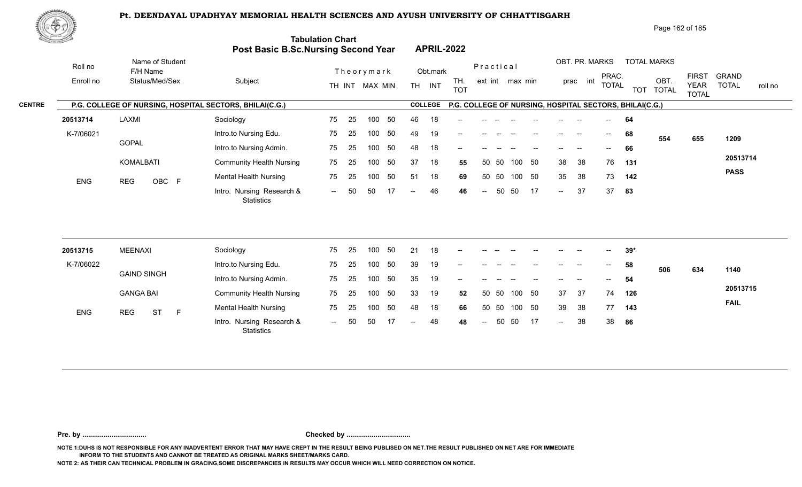

Page 162 of 185

| <u>Cardinal Co</u>   |                                                         | Post Basic B.Sc.Nursing Second Year            | <b>Tabulation Chart</b> |    |                              |    |                          |                    | <b>APRIL-2022</b> |                          |       |                 |     |        |                            |                                       |                                                         |                                         |                             |                                         |
|----------------------|---------------------------------------------------------|------------------------------------------------|-------------------------|----|------------------------------|----|--------------------------|--------------------|-------------------|--------------------------|-------|-----------------|-----|--------|----------------------------|---------------------------------------|---------------------------------------------------------|-----------------------------------------|-----------------------------|-----------------------------------------|
| Roll no<br>Enroll no | Name of Student<br>F/H Name<br>Status/Med/Sex           | Subject                                        |                         |    | Theorymark<br>TH INT MAX MIN |    |                          | Obt.mark<br>TH INT | TH.<br><b>TOT</b> | Practical                |       | ext int max min |     |        | OBT. PR. MARKS<br>prac int | PRAC.<br><b>TOTAL</b>                 |                                                         | <b>TOTAL MARKS</b><br>OBT.<br>TOT TOTAL | <b>FIRST</b><br><b>YEAR</b> | <b>GRAND</b><br><b>TOTAL</b><br>roll no |
|                      | P.G. COLLEGE OF NURSING, HOSPITAL SECTORS, BHILAI(C.G.) |                                                |                         |    |                              |    |                          | <b>COLLEGE</b>     |                   |                          |       |                 |     |        |                            |                                       | P.G. COLLEGE OF NURSING, HOSPITAL SECTORS, BHILAI(C.G.) |                                         | <b>TOTAL</b>                |                                         |
| 20513714             | LAXMI                                                   | Sociology                                      | 75                      | 25 | 100                          | 50 | 46                       | 18                 |                   |                          |       |                 |     |        |                            |                                       | 64                                                      |                                         |                             |                                         |
| K-7/06021            |                                                         | Intro.to Nursing Edu.                          | 75                      | 25 | 100                          | 50 | 49                       | 19                 |                   |                          |       |                 |     |        |                            | $\hspace{0.05cm}$ – $\hspace{0.05cm}$ | 68                                                      | 554                                     | 655                         | 1209                                    |
|                      | <b>GOPAL</b>                                            | Intro.to Nursing Admin.                        | 75                      | 25 | 100                          | 50 | 48                       | 18                 | --                |                          |       |                 |     |        |                            | $-$                                   | 66                                                      |                                         |                             |                                         |
|                      | KOMALBATI                                               | <b>Community Health Nursing</b>                | 75                      | 25 | 100                          | 50 | 37                       | 18                 | 55                | 50                       | -50   | 100             | 50  | 38     | 38                         | 76                                    | 131                                                     |                                         |                             | 20513714                                |
| ENG                  | OBC F<br><b>REG</b>                                     | <b>Mental Health Nursing</b>                   | 75                      | 25 | 100                          | 50 | 51                       | 18                 | 69                |                          | 50 50 | 100 50          |     | 35     | 38                         | 73                                    | 142                                                     |                                         |                             | <b>PASS</b>                             |
|                      |                                                         | Intro. Nursing Research &<br>Statistics        | $\sim$                  | 50 | 50                           |    | $\overline{\phantom{a}}$ | 46                 | 46                | $\sim$                   | 50    | 50              | -17 | $\sim$ | 37                         | 37                                    | 83                                                      |                                         |                             |                                         |
|                      |                                                         |                                                |                         |    |                              |    |                          |                    |                   |                          |       |                 |     |        |                            |                                       |                                                         |                                         |                             |                                         |
| 20513715             | <b>MEENAXI</b>                                          | Sociology                                      | 75                      | 25 | 100                          | 50 | 21                       | 18                 |                   |                          |       |                 |     |        |                            |                                       | $39*$                                                   |                                         |                             |                                         |
| K-7/06022            | <b>GAIND SINGH</b>                                      | Intro.to Nursing Edu.                          | 75                      | 25 | 100                          | 50 | 39                       | 19                 |                   |                          |       |                 |     |        |                            | $- -$                                 | 58                                                      | 506                                     | 634                         | 1140                                    |
|                      |                                                         | Intro.to Nursing Admin.                        | 75                      | 25 | 100                          | 50 | 35                       | 19                 |                   |                          |       |                 |     |        |                            |                                       | 54                                                      |                                         |                             | 20513715                                |
|                      | <b>GANGA BAI</b>                                        | <b>Community Health Nursing</b>                | 75                      | 25 | 100                          | 50 | 33                       | 19                 | 52                |                          | 50 50 | 100 50          |     | 37     | 37                         | 74                                    | 126                                                     |                                         |                             | <b>FAIL</b>                             |
| ENG                  | <b>ST</b><br>F<br><b>REG</b>                            | <b>Mental Health Nursing</b>                   | 75                      | 25 | 100                          | 50 | 48                       | 18                 | 66                |                          | 50 50 | 100 50          |     | 39     | 38                         | 77                                    | 143                                                     |                                         |                             |                                         |
|                      |                                                         | Intro. Nursing Research &<br><b>Statistics</b> | $\sim$                  | 50 | 50                           | 17 | $\overline{a}$           | 48                 | 48                | $\overline{\phantom{a}}$ | 50    | 50              | 17  | $\sim$ | 38                         | 38                                    | 86                                                      |                                         |                             |                                         |
|                      |                                                         |                                                |                         |    |                              |    |                          |                    |                   |                          |       |                 |     |        |                            |                                       |                                                         |                                         |                             |                                         |

**Pre. by ................................. Checked by .................................**

**NOTE 1:DUHS IS NOT RESPONSIBLE FOR ANY INADVERTENT ERROR THAT MAY HAVE CREPT IN THE RESULT BEING PUBLISED ON NET.THE RESULT PUBLISHED ON NET ARE FOR IMMEDIATE INFORM TO THE STUDENTS AND CANNOT BE TREATED AS ORIGINAL MARKS SHEET/MARKS CARD.**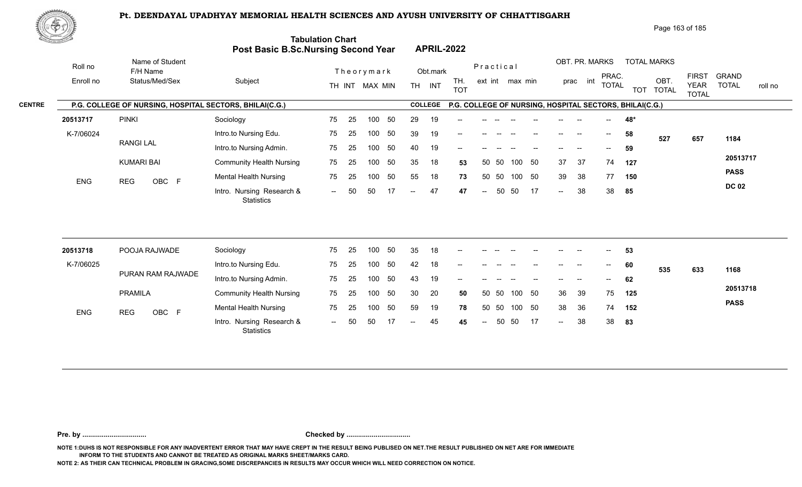

Page 163 of 185

| <u>Carl Common Common Common Common Common Common Common Common Common Common Common Common Common Common Commo<br/>Common Common Common Common Common Common Common Common Common Common Common Common Common Common Common Commo</u> |                                                         | Post Basic B.Sc.Nursing Second Year            | <b>Tabulation Chart</b> |    |                |    |                          | <b>APRIL-2022</b> |                                                         |                          |       |                 |    |                            |                            |                                       |     |                            |                             |                         |
|----------------------------------------------------------------------------------------------------------------------------------------------------------------------------------------------------------------------------------------|---------------------------------------------------------|------------------------------------------------|-------------------------|----|----------------|----|--------------------------|-------------------|---------------------------------------------------------|--------------------------|-------|-----------------|----|----------------------------|----------------------------|---------------------------------------|-----|----------------------------|-----------------------------|-------------------------|
| Roll no<br>Enroll no                                                                                                                                                                                                                   | Name of Student<br>F/H Name<br>Status/Med/Sex           | Subject                                        |                         |    | Theorymark     |    |                          | Obt.mark          | TH.                                                     | Practical                |       | ext int max min |    |                            | OBT. PR. MARKS<br>prac int | PRAC.                                 |     | <b>TOTAL MARKS</b><br>OBT. | <b>FIRST</b>                | <b>GRAND</b>            |
|                                                                                                                                                                                                                                        |                                                         |                                                |                         |    | TH INT MAX MIN |    |                          | TH INT            | <b>TOT</b>                                              |                          |       |                 |    |                            |                            | <b>TOTAL</b>                          |     | TOT TOTAL                  | <b>YEAR</b><br><b>TOTAL</b> | <b>TOTAL</b><br>roll no |
|                                                                                                                                                                                                                                        | P.G. COLLEGE OF NURSING, HOSPITAL SECTORS, BHILAI(C.G.) |                                                |                         |    |                |    |                          | <b>COLLEGE</b>    | P.G. COLLEGE OF NURSING, HOSPITAL SECTORS, BHILAI(C.G.) |                          |       |                 |    |                            |                            |                                       |     |                            |                             |                         |
| 20513717                                                                                                                                                                                                                               | <b>PINKI</b>                                            | Sociology                                      | 75                      | 25 | 100            | 50 | 29                       | 19                |                                                         |                          |       |                 |    |                            |                            |                                       | 48* |                            |                             |                         |
| K-7/06024                                                                                                                                                                                                                              |                                                         | Intro.to Nursing Edu.                          | 75                      | 25 | 100            | 50 | 39                       | 19                |                                                         |                          |       |                 |    | $--$                       |                            | $\hspace{0.05cm}$                     | 58  | 527                        | 657                         | 1184                    |
|                                                                                                                                                                                                                                        | <b>RANGILAL</b>                                         | Intro.to Nursing Admin.                        | 75                      | 25 | 100            | 50 | 40                       | 19                | --                                                      |                          |       |                 |    |                            |                            | $\hspace{0.05cm}$ – $\hspace{0.05cm}$ | 59  |                            |                             |                         |
|                                                                                                                                                                                                                                        | <b>KUMARI BAI</b>                                       | <b>Community Health Nursing</b>                | 75                      | 25 | 100            | 50 | 35                       | 18                | 53                                                      |                          | 50 50 | 100             | 50 | 37                         | 37                         | 74                                    | 127 |                            |                             | 20513717                |
| ENG                                                                                                                                                                                                                                    | OBC F<br><b>REG</b>                                     | <b>Mental Health Nursing</b>                   | 75                      | 25 | 100            | 50 | 55                       | 18                | 73                                                      |                          | 50 50 | 100 50          |    | 39                         | 38                         | 77                                    | 150 |                            |                             | <b>PASS</b>             |
|                                                                                                                                                                                                                                        |                                                         | Intro. Nursing Research &<br><b>Statistics</b> | $\sim$ $\sim$           | 50 | 50             |    | $\overline{a}$           | 47                | 47                                                      | $\overline{a}$           | 50    | 50              | 17 | $\overline{a}$             | 38                         | 38                                    | 85  |                            |                             | <b>DC 02</b>            |
| 20513718                                                                                                                                                                                                                               | POOJA RAJWADE                                           | Sociology                                      | 75                      | 25 | 100            | 50 | 35                       | 18                |                                                         |                          |       |                 |    |                            |                            |                                       |     |                            |                             |                         |
|                                                                                                                                                                                                                                        |                                                         |                                                |                         |    |                |    |                          |                   |                                                         |                          |       |                 |    |                            |                            |                                       | 53  |                            |                             |                         |
| K-7/06025                                                                                                                                                                                                                              | PURAN RAM RAJWADE                                       | Intro.to Nursing Edu.                          | 75                      | 25 | 100            | 50 | 42                       | 18                |                                                         |                          |       |                 |    |                            |                            |                                       | 60  | 535                        | 633                         | 1168                    |
|                                                                                                                                                                                                                                        |                                                         | Intro.to Nursing Admin.                        | 75                      | 25 | 100            | 50 | 43                       | 19                |                                                         |                          |       |                 |    |                            |                            | $\qquad \qquad -$                     | 62  |                            |                             |                         |
|                                                                                                                                                                                                                                        | <b>PRAMILA</b>                                          | <b>Community Health Nursing</b>                | 75                      | 25 | 100            | 50 | 30                       | 20                | 50                                                      |                          | 50 50 | 100             | 50 | 36                         | 39                         | 75                                    | 125 |                            |                             | 20513718                |
| <b>ENG</b>                                                                                                                                                                                                                             | <b>REG</b><br>OBC F                                     | <b>Mental Health Nursing</b>                   | 75                      | 25 | 100            | 50 | 59                       | 19                | 78                                                      | 50                       | 50    | 100 50          |    | 38                         | 36                         | 74                                    | 152 |                            |                             | <b>PASS</b>             |
|                                                                                                                                                                                                                                        |                                                         | Intro. Nursing Research &<br>Statistics        | $  \,$                  | 50 | 50             | 17 | $\overline{\phantom{a}}$ | 45                | 45                                                      | $\overline{\phantom{a}}$ | 50    | 50              | 17 | $\mathcal{L}(\mathcal{L})$ | 38                         | 38                                    | 83  |                            |                             |                         |

**Pre. by ................................. Checked by .................................**

**NOTE 1:DUHS IS NOT RESPONSIBLE FOR ANY INADVERTENT ERROR THAT MAY HAVE CREPT IN THE RESULT BEING PUBLISED ON NET.THE RESULT PUBLISHED ON NET ARE FOR IMMEDIATE INFORM TO THE STUDENTS AND CANNOT BE TREATED AS ORIGINAL MARKS SHEET/MARKS CARD.**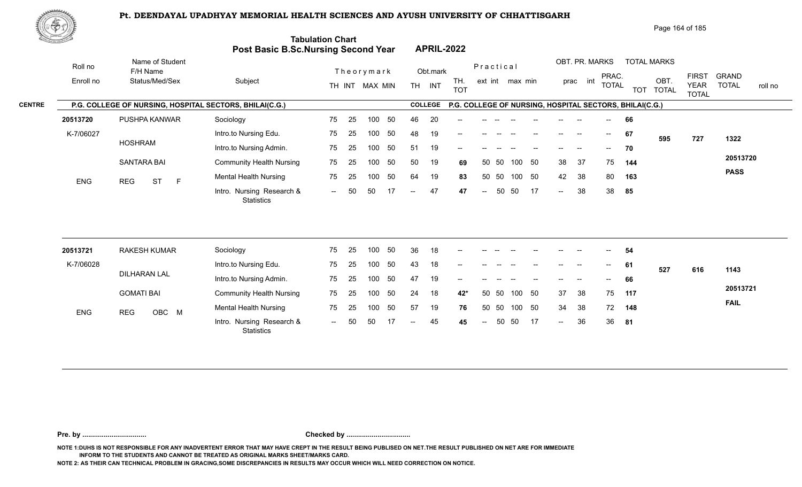

Page 164 of 185

| <u>Contraction of the Contraction of the Contraction of the Contraction of the Contraction of the Contraction of the Contraction of the Contraction of the Contraction of the Contraction of the Contraction of the Contraction </u> |                                                         | <b>Post Basic B.Sc.Nursing Second Year</b>     | <b>Tabulation Chart</b> |    |                |    |                          |                | <b>APRIL-2022</b> |                            |       |                 |    |                                       |                |                                       |                                                         |                    |                             |                         |
|--------------------------------------------------------------------------------------------------------------------------------------------------------------------------------------------------------------------------------------|---------------------------------------------------------|------------------------------------------------|-------------------------|----|----------------|----|--------------------------|----------------|-------------------|----------------------------|-------|-----------------|----|---------------------------------------|----------------|---------------------------------------|---------------------------------------------------------|--------------------|-----------------------------|-------------------------|
| Roll no                                                                                                                                                                                                                              | Name of Student<br>F/H Name                             |                                                |                         |    | Theorymark     |    |                          | Obt.mark       |                   | Practical                  |       |                 |    |                                       | OBT. PR. MARKS | PRAC.                                 |                                                         | <b>TOTAL MARKS</b> | <b>FIRST</b>                | <b>GRAND</b>            |
| Enroll no                                                                                                                                                                                                                            | Status/Med/Sex                                          | Subject                                        |                         |    | TH INT MAX MIN |    | TH <sub>1</sub>          | INT            | TH.<br><b>TOT</b> |                            |       | ext int max min |    |                                       | int<br>prac    | <b>TOTAL</b>                          |                                                         | OBT.<br>TOT TOTAL  | <b>YEAR</b><br><b>TOTAL</b> | <b>TOTAL</b><br>roll no |
|                                                                                                                                                                                                                                      | P.G. COLLEGE OF NURSING, HOSPITAL SECTORS, BHILAI(C.G.) |                                                |                         |    |                |    |                          | <b>COLLEGE</b> |                   |                            |       |                 |    |                                       |                |                                       | P.G. COLLEGE OF NURSING, HOSPITAL SECTORS, BHILAI(C.G.) |                    |                             |                         |
| 20513720                                                                                                                                                                                                                             | PUSHPA KANWAR                                           | Sociology                                      | 75                      | 25 | 100            | 50 | 46                       | 20             |                   |                            |       |                 |    |                                       |                | $- -$                                 | 66                                                      |                    |                             |                         |
| K-7/06027                                                                                                                                                                                                                            |                                                         | Intro.to Nursing Edu.                          | 75                      | 25 | 100            | 50 | 48                       | 19             |                   |                            |       |                 |    | $\hspace{0.05cm}$ – $\hspace{0.05cm}$ | $\sim$         | $--$                                  | 67                                                      | 595                | 727                         | 1322                    |
|                                                                                                                                                                                                                                      | <b>HOSHRAM</b>                                          | Intro.to Nursing Admin.                        | 75                      | 25 | 100            | 50 | 51                       | 19             | --                |                            |       |                 |    |                                       |                | $--$                                  | 70                                                      |                    |                             |                         |
|                                                                                                                                                                                                                                      | <b>SANTARA BAI</b>                                      | <b>Community Health Nursing</b>                | 75                      | 25 | 100            | 50 | 50                       | 19             | 69                | 50                         | -50   | 100             | 50 | 38                                    | 37             | 75                                    | 144                                                     |                    |                             | 20513720                |
| <b>ENG</b>                                                                                                                                                                                                                           | <b>REG</b><br><b>ST</b><br>$\mathsf{F}$                 | <b>Mental Health Nursing</b>                   | 75                      | 25 | 100            | 50 | 64                       | 19             | 83                |                            | 50 50 | 100 50          |    | 42                                    | 38             | 80                                    | 163                                                     |                    |                             | <b>PASS</b>             |
|                                                                                                                                                                                                                                      |                                                         | Intro. Nursing Research &<br><b>Statistics</b> | $\sim$                  | 50 | 50             | 17 | $\overline{\phantom{a}}$ | 47             | 47                | $\mathrel{{-}-}$           | 50    | 50              | 17 | $\sim$                                | 38             | 38                                    | 85                                                      |                    |                             |                         |
|                                                                                                                                                                                                                                      |                                                         |                                                |                         |    |                |    |                          |                |                   |                            |       |                 |    |                                       |                |                                       |                                                         |                    |                             |                         |
| 20513721                                                                                                                                                                                                                             | <b>RAKESH KUMAR</b>                                     | Sociology                                      | 75                      | 25 | 100            | 50 | 36                       | 18             |                   |                            |       |                 |    |                                       |                |                                       | 54                                                      |                    |                             |                         |
| K-7/06028                                                                                                                                                                                                                            |                                                         | Intro.to Nursing Edu.                          | 75                      | 25 | 100            | 50 | 43                       | 18             | --                |                            |       |                 |    |                                       |                | $\hspace{0.05cm}$ – $\hspace{0.05cm}$ | 61                                                      | 527                | 616                         | 1143                    |
|                                                                                                                                                                                                                                      | <b>DILHARAN LAL</b>                                     | Intro.to Nursing Admin.                        | 75                      | 25 | 100            | 50 | 47                       | 19             |                   |                            |       |                 |    |                                       |                |                                       | 66                                                      |                    |                             |                         |
|                                                                                                                                                                                                                                      | <b>GOMATI BAI</b>                                       | <b>Community Health Nursing</b>                | 75                      | 25 | 100            | 50 | 24                       | 18             | 42*               | 50                         | 50    | 100 50          |    | 37                                    | 38             | 75                                    | 117                                                     |                    |                             | 20513721                |
| <b>ENG</b>                                                                                                                                                                                                                           | OBC M<br><b>REG</b>                                     | <b>Mental Health Nursing</b>                   | 75                      | 25 | 100            | 50 | 57                       | 19             | 76                | 50                         | 50    | 100             | 50 | 34                                    | 38             | 72                                    | 148                                                     |                    |                             | <b>FAIL</b>             |
|                                                                                                                                                                                                                                      |                                                         | Intro. Nursing Research &                      | $\sim$                  | 50 | 50             | 17 | $--$                     | 45             | 45                | $\mathcal{L}(\mathcal{L})$ | 50    | 50              | 17 | $\mathcal{L}(\mathcal{L})$            | 36             | 36                                    | 81                                                      |                    |                             |                         |

**Pre. by ................................. Checked by .................................**

**NOTE 1:DUHS IS NOT RESPONSIBLE FOR ANY INADVERTENT ERROR THAT MAY HAVE CREPT IN THE RESULT BEING PUBLISED ON NET.THE RESULT PUBLISHED ON NET ARE FOR IMMEDIATE INFORM TO THE STUDENTS AND CANNOT BE TREATED AS ORIGINAL MARKS SHEET/MARKS CARD.**

**NOTE 2: AS THEIR CAN TECHNICAL PROBLEM IN GRACING,SOME DISCREPANCIES IN RESULTS MAY OCCUR WHICH WILL NEED CORRECTION ON NOTICE.**

**Statistics**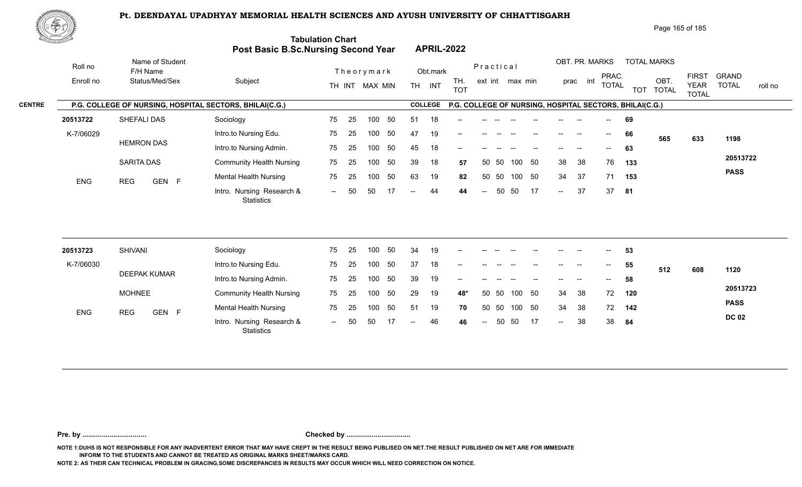

Page 165 of 185

| <u>Cardinal Co</u> |                                                         | Post Basic B.Sc.Nursing Second Year            | <b>Tabulation Chart</b> |    |                  |     |     |                | <b>APRIL-2022</b> |           |     |                 |     |                          |                |                                       |                                                         |                    |                             |                         |
|--------------------|---------------------------------------------------------|------------------------------------------------|-------------------------|----|------------------|-----|-----|----------------|-------------------|-----------|-----|-----------------|-----|--------------------------|----------------|---------------------------------------|---------------------------------------------------------|--------------------|-----------------------------|-------------------------|
| Roll no            | Name of Student<br>F/H Name                             |                                                |                         |    | Theorymark       |     |     | Obt.mark       |                   | Practical |     |                 |     |                          | OBT. PR. MARKS | PRAC.                                 |                                                         | <b>TOTAL MARKS</b> | <b>FIRST</b>                | <b>GRAND</b>            |
| Enroll no          | Status/Med/Sex                                          | Subject                                        |                         |    | TH INT MAX MIN   |     |     | TH INT         | TH.<br><b>TOT</b> |           |     | ext int max min |     |                          | prac int       | <b>TOTAL</b>                          |                                                         | OBT.<br>TOT TOTAL  | <b>YEAR</b><br><b>TOTAL</b> | <b>TOTAL</b><br>roll no |
|                    | P.G. COLLEGE OF NURSING, HOSPITAL SECTORS, BHILAI(C.G.) |                                                |                         |    |                  |     |     | <b>COLLEGE</b> |                   |           |     |                 |     |                          |                |                                       | P.G. COLLEGE OF NURSING, HOSPITAL SECTORS, BHILAI(C.G.) |                    |                             |                         |
| 20513722           | SHEFALI DAS                                             | Sociology                                      | 75                      | 25 | 100              | 50  | 51  | 18             |                   |           |     |                 |     |                          |                |                                       | 69                                                      |                    |                             |                         |
| K-7/06029          |                                                         | Intro.to Nursing Edu.                          | 75                      | 25 | 100              | 50  | 47  | 19             |                   |           |     |                 |     |                          |                | $\overline{\phantom{a}}$              | 66                                                      | 565                | 633                         | 1198                    |
|                    | <b>HEMRON DAS</b>                                       | Intro.to Nursing Admin.                        | 75                      | 25 | 100              | 50  | 45  | 18             | --                |           |     |                 |     |                          |                |                                       | 63                                                      |                    |                             |                         |
|                    | <b>SARITA DAS</b>                                       | <b>Community Health Nursing</b>                | 75                      | 25 | 100              | 50  | 39  | 18             | 57                | 50        | 50  | 100             | 50  | 38                       | 38             | 76                                    | 133                                                     |                    |                             | 20513722                |
| <b>ENG</b>         | <b>REG</b><br>GEN F                                     | <b>Mental Health Nursing</b>                   | 75                      | 25 | 100              | 50  | 63  | 19             | 82                | 50        | 50  | 100 50          |     | 34                       | 37             | 71                                    | 153                                                     |                    |                             | <b>PASS</b>             |
|                    |                                                         | Intro. Nursing Research &<br><b>Statistics</b> | $--$                    | 50 | 50               | -17 | $-$ | 44             | 44                | $ -$      | 50  | 50              | -17 | $\overline{\phantom{a}}$ | 37             | 37                                    | 81                                                      |                    |                             |                         |
| 20513723           | <b>SHIVANI</b>                                          | Sociology                                      | 75                      | 25 | 100              | 50  | 34  | 19             |                   |           |     |                 |     |                          |                |                                       | 53                                                      |                    |                             |                         |
| K-7/06030          |                                                         | Intro.to Nursing Edu.                          | 75                      | 25 | 100              | 50  | 37  | 18             |                   |           |     |                 |     |                          | --             | $\hspace{0.05cm}$ – $\hspace{0.05cm}$ | 55                                                      |                    |                             |                         |
|                    | <b>DEEPAK KUMAR</b>                                     | Intro.to Nursing Admin.                        | 75                      | 25 | 100 <sub>1</sub> | 50  | 39  | 19             | --                |           |     |                 |     |                          |                |                                       | 58                                                      | 512                | 608                         | 1120                    |
|                    | <b>MOHNEE</b>                                           | <b>Community Health Nursing</b>                | 75                      | 25 | 100              | 50  | 29  | 19             | 48*               | 50        | -50 | 100             | 50  | 34                       | 38             | 72                                    | 120                                                     |                    |                             | 20513723                |
|                    |                                                         | <b>Mental Health Nursing</b>                   | 75                      | 25 | 100              | 50  | 51  | 19             | 70                | 50        | 50  | 100             | 50  | 34                       | 38             | 72                                    | 142                                                     |                    |                             | <b>PASS</b>             |
| ENG                | GEN F<br><b>REG</b>                                     | Intro. Nursing Research &<br>Statistics        |                         |    |                  |     |     | 46             |                   |           | 50  | 50              | -17 | $\overline{\phantom{a}}$ | 38             | 38                                    | 84                                                      |                    |                             | <b>DC 02</b>            |

**Pre. by ................................. Checked by .................................**

**NOTE 1:DUHS IS NOT RESPONSIBLE FOR ANY INADVERTENT ERROR THAT MAY HAVE CREPT IN THE RESULT BEING PUBLISED ON NET.THE RESULT PUBLISHED ON NET ARE FOR IMMEDIATE INFORM TO THE STUDENTS AND CANNOT BE TREATED AS ORIGINAL MARKS SHEET/MARKS CARD.**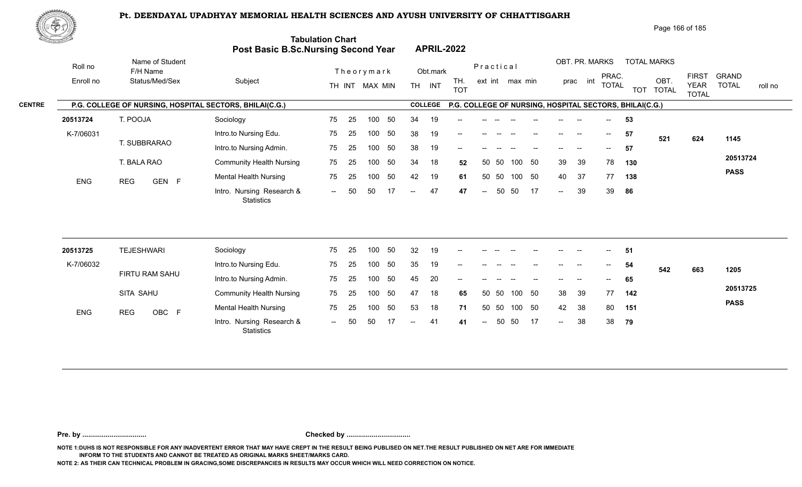

Page 166 of 185

| <u>Contraction of the Sea</u> |                                                         | Post Basic B.Sc.Nursing Second Year     | <b>Tabulation Chart</b> |    |                |                          |                | <b>APRIL-2022</b> |                  |           |                 |    |        |                |                                       |                                                         |                    |                             |                         |
|-------------------------------|---------------------------------------------------------|-----------------------------------------|-------------------------|----|----------------|--------------------------|----------------|-------------------|------------------|-----------|-----------------|----|--------|----------------|---------------------------------------|---------------------------------------------------------|--------------------|-----------------------------|-------------------------|
| Roll no                       | Name of Student<br>F/H Name                             |                                         |                         |    | Theorymark     |                          | Obt.mark       |                   |                  | Practical |                 |    |        | OBT. PR. MARKS | PRAC.                                 |                                                         | <b>TOTAL MARKS</b> | <b>FIRST</b>                | <b>GRAND</b>            |
| Enroll no                     | Status/Med/Sex                                          | Subject                                 |                         |    | TH INT MAX MIN |                          | TH INT         | TH.<br><b>TOT</b> |                  |           | ext int max min |    |        | int<br>prac    | <b>TOTAL</b>                          |                                                         | OBT.<br>TOT TOTAL  | <b>YEAR</b><br><b>TOTAL</b> | <b>TOTAL</b><br>roll no |
|                               | P.G. COLLEGE OF NURSING, HOSPITAL SECTORS, BHILAI(C.G.) |                                         |                         |    |                |                          | <b>COLLEGE</b> |                   |                  |           |                 |    |        |                |                                       | P.G. COLLEGE OF NURSING, HOSPITAL SECTORS, BHILAI(C.G.) |                    |                             |                         |
| 20513724                      | T. POOJA                                                | Sociology                               | 75                      | 25 | 100<br>50      | 34                       | 19             |                   |                  |           |                 |    |        |                | $--$                                  | 53                                                      |                    |                             |                         |
| K-7/06031                     |                                                         | Intro.to Nursing Edu.                   | 75                      | 25 | 50<br>100      | 38                       | 19             |                   |                  |           |                 |    |        |                | $--$                                  | 57                                                      | 521                | 624                         | 1145                    |
|                               | T. SUBBRARAO                                            | Intro.to Nursing Admin.                 | 75                      | 25 | 50<br>100      | 38                       | 19             | --                |                  |           |                 |    |        |                | $--$                                  | 57                                                      |                    |                             |                         |
|                               | T. BALA RAO                                             | <b>Community Health Nursing</b>         | 75                      | 25 | 50<br>100      | 34                       | 18             | 52                |                  | 50 50     | 100             | 50 | 39     | 39             | 78                                    | 130                                                     |                    |                             | 20513724                |
| ENG                           | <b>REG</b><br>GEN F                                     | <b>Mental Health Nursing</b>            | 75                      | 25 | 50<br>100      | 42                       | 19             | 61                | 50               | 50        | 100 50          |    | 40     | 37             | 77                                    | 138                                                     |                    |                             | <b>PASS</b>             |
|                               |                                                         | Intro. Nursing Research &<br>Statistics | $\sim$ $\sim$           | 50 | 50<br>17       | $--$                     | 47             | 47                | $\sim$           | 50        | 50              | 17 | $\sim$ | 39             | 39                                    | 86                                                      |                    |                             |                         |
|                               | <b>TEJESHWARI</b>                                       |                                         | 75                      | 25 | 50<br>100      | 32                       | 19             |                   |                  |           |                 |    |        |                |                                       |                                                         |                    |                             |                         |
| 20513725                      |                                                         | Sociology                               |                         |    |                |                          |                |                   |                  |           |                 |    |        |                |                                       | 51                                                      |                    |                             |                         |
| K-7/06032                     | FIRTU RAM SAHU                                          | Intro.to Nursing Edu.                   | 75                      | 25 | 50<br>100      | 35                       | 19             | --                |                  |           |                 |    |        |                | $\hspace{0.05cm}$ – $\hspace{0.05cm}$ | 54                                                      | 542                | 663                         | 1205                    |
|                               |                                                         | Intro.to Nursing Admin.                 | 75                      | 25 | 50<br>100      | 45                       | 20             |                   |                  |           |                 |    |        |                |                                       | 65                                                      |                    |                             | 20513725                |
|                               | SITA SAHU                                               | <b>Community Health Nursing</b>         | 75                      | 25 | 100<br>50      | 47                       | 18             | 65                |                  | 50 50     | 100             | 50 | 38     | 39             | 77                                    | 142                                                     |                    |                             | <b>PASS</b>             |
| ENG                           | <b>REG</b><br>OBC F                                     | <b>Mental Health Nursing</b>            | 75                      | 25 | 50<br>100      | 53                       | 18             | 71                |                  | 50 50     | 100 50          |    | 42     | 38             | 80                                    | 151                                                     |                    |                             |                         |
|                               |                                                         | Intro. Nursing Research &<br>Statistics | $\sim$                  | 50 | 50<br>17       | $\overline{\phantom{a}}$ | 41             | 41                | $\mathrel{{-}-}$ | 50        | 50              | 17 | $\sim$ | 38             | 38                                    | 79                                                      |                    |                             |                         |

**Pre. by ................................. Checked by .................................**

**NOTE 1:DUHS IS NOT RESPONSIBLE FOR ANY INADVERTENT ERROR THAT MAY HAVE CREPT IN THE RESULT BEING PUBLISED ON NET.THE RESULT PUBLISHED ON NET ARE FOR IMMEDIATE INFORM TO THE STUDENTS AND CANNOT BE TREATED AS ORIGINAL MARKS SHEET/MARKS CARD.**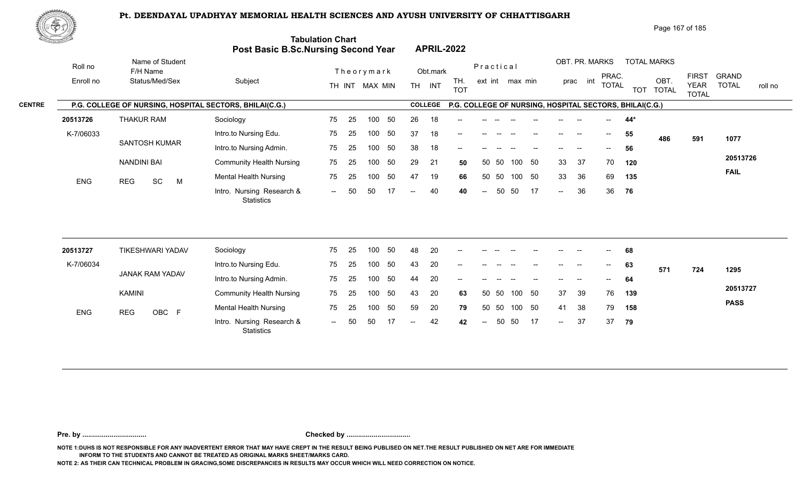

Page 167 of 185

|               | <u>Cardinal Co</u> |                                                         | <b>Post Basic B.Sc.Nursing Second Year</b>     | <b>Tabulation Chart</b> |     |                |    |                   |                | <b>APRIL-2022</b> |                          |            |                 |        |        |                |              |                                                         |                      |                             |              |         |
|---------------|--------------------|---------------------------------------------------------|------------------------------------------------|-------------------------|-----|----------------|----|-------------------|----------------|-------------------|--------------------------|------------|-----------------|--------|--------|----------------|--------------|---------------------------------------------------------|----------------------|-----------------------------|--------------|---------|
|               | Roll no            | Name of Student<br>F/H Name                             |                                                |                         |     | Theorymark     |    |                   | Obt.mark       |                   |                          | Practical  |                 |        |        | OBT. PR. MARKS | PRAC.        |                                                         | <b>TOTAL MARKS</b>   | <b>FIRST</b>                | <b>GRAND</b> |         |
|               | Enroll no          | Status/Med/Sex                                          | Subject                                        |                         |     | TH INT MAX MIN |    |                   | TH INT         | TH.<br><b>TOT</b> |                          |            | ext int max min |        |        | prac int       | <b>TOTAL</b> | <b>TOT</b>                                              | OBT.<br><b>TOTAL</b> | <b>YEAR</b><br><b>TOTAL</b> | <b>TOTAL</b> | roll no |
| <b>CENTRE</b> |                    | P.G. COLLEGE OF NURSING, HOSPITAL SECTORS, BHILAI(C.G.) |                                                |                         |     |                |    |                   | <b>COLLEGE</b> |                   |                          |            |                 |        |        |                |              | P.G. COLLEGE OF NURSING, HOSPITAL SECTORS, BHILAI(C.G.) |                      |                             |              |         |
|               | 20513726           | <b>THAKUR RAM</b>                                       | Sociology                                      | 75                      | 25  | 100            | 50 | 26                | 18             |                   |                          |            |                 |        |        |                |              | 44*                                                     |                      |                             |              |         |
|               | K-7/06033          |                                                         | Intro.to Nursing Edu.                          | 75                      | 25  | 100            | 50 | 37                | 18             |                   |                          |            |                 |        |        |                | $--$         | 55                                                      | 486                  | 591                         | 1077         |         |
|               |                    | <b>SANTOSH KUMAR</b>                                    | Intro.to Nursing Admin.                        | 75                      | 25  | 100            | 50 | 38                | 18             |                   |                          |            |                 |        |        |                |              | 56                                                      |                      |                             |              |         |
|               |                    | <b>NANDINI BAI</b>                                      | <b>Community Health Nursing</b>                | 75                      | 25  | 100            | 50 | 29                | 21             | 50                |                          | - 50<br>50 |                 | 100 50 | 33     | 37             | 70           | 120                                                     |                      |                             | 20513726     |         |
|               | ENG                | SC<br><b>REG</b><br>M                                   | <b>Mental Health Nursing</b>                   | 75                      | 25  | 100            | 50 | 47                | 19             | 66                |                          | 50 50      |                 | 100 50 | 33     | 36             | 69           | 135                                                     |                      |                             | <b>FAIL</b>  |         |
|               |                    |                                                         | Intro. Nursing Research &<br><b>Statistics</b> | $  \,$                  | 50  | 50             | 17 | $\overline{a}$    | 40             | 40                | $\overline{\phantom{a}}$ | 50         | 50              | -17    | $\sim$ | 36             | 36           | 76                                                      |                      |                             |              |         |
|               |                    |                                                         |                                                |                         |     |                |    |                   |                |                   |                          |            |                 |        |        |                |              |                                                         |                      |                             |              |         |
|               | 20513727           | <b>TIKESHWARI YADAV</b>                                 | Sociology                                      | 75                      | 25  | 100            | 50 | 48                | 20             |                   |                          |            |                 |        |        |                |              | 68                                                      |                      |                             |              |         |
|               | K-7/06034          |                                                         | Intro.to Nursing Edu.                          | 75                      | 25  | 100            | 50 | 43                | 20             |                   |                          |            |                 |        |        |                |              | 63                                                      | 571                  | 724                         | 1295         |         |
|               |                    | JANAK RAM YADAV                                         | Intro.to Nursing Admin.                        | 75                      | 25  | 100            | 50 | 44                | 20             |                   |                          |            |                 |        |        |                |              | 64                                                      |                      |                             |              |         |
|               |                    | <b>KAMINI</b>                                           | <b>Community Health Nursing</b>                | 75                      | 25  | 100            | 50 | 43                | 20             | 63                |                          | 50 50      | 100             | 50     | 37     | 39             | 76           | 139                                                     |                      |                             | 20513727     |         |
|               | <b>ENG</b>         | OBC F<br><b>REG</b>                                     | <b>Mental Health Nursing</b>                   | 75                      | 25  | 100            | 50 | 59                | 20             | 79                |                          | 50<br>50   |                 | 100 50 | 41     | 38             | 79           | 158                                                     |                      |                             | <b>PASS</b>  |         |
|               |                    |                                                         | Intro. Nursing Research &<br>Statistics        | $--$                    | -50 | 50             |    | $\qquad \qquad -$ | 42             | 42                | $\overline{\phantom{a}}$ | 50         | 50              | -17    | $\sim$ | 37             | 37           | 79                                                      |                      |                             |              |         |
|               |                    |                                                         |                                                |                         |     |                |    |                   |                |                   |                          |            |                 |        |        |                |              |                                                         |                      |                             |              |         |

**Pre. by ................................. Checked by .................................**

**NOTE 1:DUHS IS NOT RESPONSIBLE FOR ANY INADVERTENT ERROR THAT MAY HAVE CREPT IN THE RESULT BEING PUBLISED ON NET.THE RESULT PUBLISHED ON NET ARE FOR IMMEDIATE INFORM TO THE STUDENTS AND CANNOT BE TREATED AS ORIGINAL MARKS SHEET/MARKS CARD.**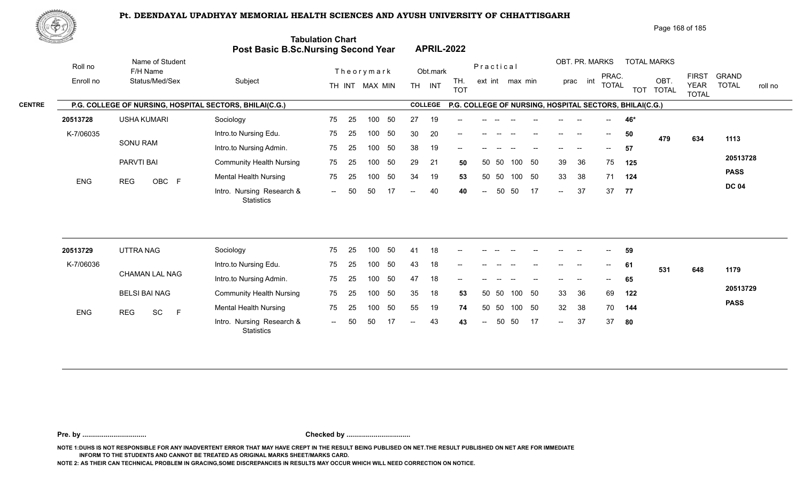

Page 168 of 185

| <u>Carl Common Common Common Common Common Common Common Common Common Common Common Common Common Common Commo<br/>Common Common Common Common Common Common Common Common Common Common Common Common Common Common Common Commo</u> |                                                         | Post Basic B.Sc.Nursing Second Year     | <b>Tabulation Chart</b> |    |                |     |      |                | <b>APRIL-2022</b>                                       |                          |       |                 |    |                            |                |                          |       |                    |                             |                         |
|----------------------------------------------------------------------------------------------------------------------------------------------------------------------------------------------------------------------------------------|---------------------------------------------------------|-----------------------------------------|-------------------------|----|----------------|-----|------|----------------|---------------------------------------------------------|--------------------------|-------|-----------------|----|----------------------------|----------------|--------------------------|-------|--------------------|-----------------------------|-------------------------|
| Roll no                                                                                                                                                                                                                                | Name of Student<br>F/H Name                             |                                         |                         |    | Theorymark     |     |      | Obt.mark       |                                                         | Practical                |       |                 |    |                            | OBT. PR. MARKS | PRAC.                    |       | <b>TOTAL MARKS</b> | <b>FIRST</b>                | <b>GRAND</b>            |
| Enroll no                                                                                                                                                                                                                              | Status/Med/Sex                                          | Subject                                 |                         |    | TH INT MAX MIN |     |      | TH INT         | TH.<br><b>TOT</b>                                       |                          |       | ext int max min |    |                            | prac int       | <b>TOTAL</b>             |       | OBT.<br>TOT TOTAL  | <b>YEAR</b><br><b>TOTAL</b> | <b>TOTAL</b><br>roll no |
|                                                                                                                                                                                                                                        | P.G. COLLEGE OF NURSING, HOSPITAL SECTORS, BHILAI(C.G.) |                                         |                         |    |                |     |      | <b>COLLEGE</b> | P.G. COLLEGE OF NURSING, HOSPITAL SECTORS, BHILAI(C.G.) |                          |       |                 |    |                            |                |                          |       |                    |                             |                         |
| 20513728                                                                                                                                                                                                                               | <b>USHA KUMARI</b>                                      | Sociology                               | 75                      | 25 | 100            | 50  | 27   | 19             |                                                         |                          |       |                 |    |                            |                |                          | 46*   |                    |                             |                         |
| K-7/06035                                                                                                                                                                                                                              |                                                         | Intro.to Nursing Edu.                   | 75                      | 25 | 100            | 50  | 30   | 20             |                                                         |                          |       |                 |    |                            |                | $--$                     | 50    | 479                | 634                         | 1113                    |
|                                                                                                                                                                                                                                        | <b>SONU RAM</b>                                         | Intro.to Nursing Admin.                 | 75                      | 25 | 100            | 50  | 38   | 19             | --                                                      |                          |       |                 |    |                            |                | $\overline{\phantom{a}}$ | 57    |                    |                             |                         |
|                                                                                                                                                                                                                                        | PARVTI BAI                                              | <b>Community Health Nursing</b>         | 75                      | 25 | 100            | 50  | 29   | 21             | 50                                                      |                          | 50 50 | 100 50          |    | 39                         | 36             | 75                       | 125   |                    |                             | 20513728                |
| <b>ENG</b>                                                                                                                                                                                                                             | OBC F<br><b>REG</b>                                     | <b>Mental Health Nursing</b>            | 75                      | 25 | 100            | 50  | 34   | 19             | 53                                                      |                          | 50 50 | 100 50          |    | 33                         | 38             | 71                       | 124   |                    |                             | <b>PASS</b>             |
|                                                                                                                                                                                                                                        |                                                         | Intro. Nursing Research &<br>Statistics | $\sim$ $\sim$           | 50 | 50             | -17 | $-$  | 40             | 40                                                      | $\overline{a}$           | 50    | 50              | 17 | $\overline{a}$             | 37             |                          | 37 77 |                    |                             | <b>DC 04</b>            |
| 20513729                                                                                                                                                                                                                               | UTTRA NAG                                               | Sociology                               | 75                      | 25 | 100            | 50  | 41   | 18             |                                                         |                          |       |                 |    |                            |                |                          | 59    |                    |                             |                         |
| K-7/06036                                                                                                                                                                                                                              |                                                         | Intro.to Nursing Edu.                   | 75                      | 25 | 100            | 50  | 43   | 18             |                                                         |                          |       |                 |    |                            |                |                          | 61    |                    |                             |                         |
|                                                                                                                                                                                                                                        | <b>CHAMAN LAL NAG</b>                                   | Intro.to Nursing Admin.                 | 75                      | 25 | 100            | 50  | 47   | 18             |                                                         |                          |       |                 |    |                            |                |                          |       | 531                | 648                         | 1179                    |
|                                                                                                                                                                                                                                        |                                                         |                                         |                         |    |                | 50  |      |                |                                                         |                          | 50 50 | 100 50          |    |                            |                | $\overline{\phantom{a}}$ | 65    |                    |                             | 20513729                |
|                                                                                                                                                                                                                                        | <b>BELSI BAI NAG</b>                                    | <b>Community Health Nursing</b>         | 75                      | 25 | 100            |     | 35   | 18             | 53                                                      |                          |       |                 |    | 33                         | 36             | 69                       | 122   |                    |                             | <b>PASS</b>             |
| <b>ENG</b>                                                                                                                                                                                                                             | SC<br>F<br><b>REG</b>                                   | <b>Mental Health Nursing</b>            | 75                      | 25 | 100            | 50  | 55   | 19             | 74                                                      |                          | 50 50 | 100 50          |    | 32                         | 38             | 70                       | 144   |                    |                             |                         |
|                                                                                                                                                                                                                                        |                                                         | Intro. Nursing Research &<br>Statistics | $\sim$ $\sim$           | 50 | 50             | -17 | $--$ | 43             | 43                                                      | $\overline{\phantom{a}}$ | 50    | 50              | 17 | $\mathcal{L}(\mathcal{L})$ | 37             | 37                       | 80    |                    |                             |                         |

**Pre. by ................................. Checked by .................................**

**NOTE 1:DUHS IS NOT RESPONSIBLE FOR ANY INADVERTENT ERROR THAT MAY HAVE CREPT IN THE RESULT BEING PUBLISED ON NET.THE RESULT PUBLISHED ON NET ARE FOR IMMEDIATE INFORM TO THE STUDENTS AND CANNOT BE TREATED AS ORIGINAL MARKS SHEET/MARKS CARD.**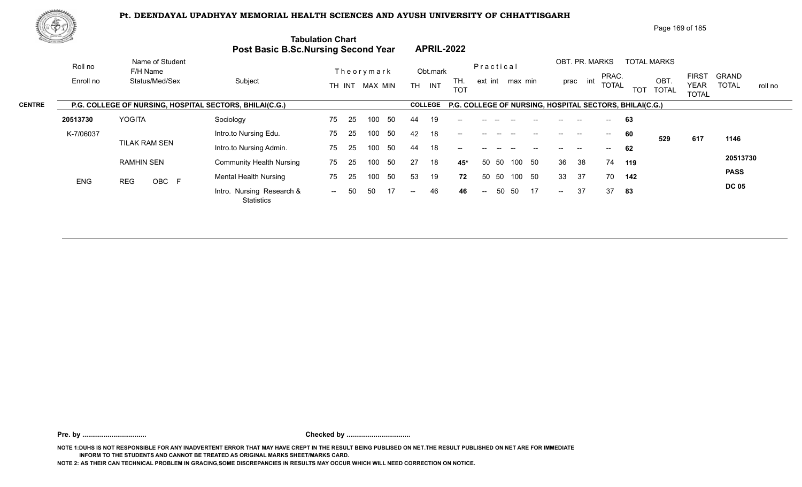

Page 169 of 185

|               | di San San San Sala |                                                         | <b>Post Basic B.Sc.Nursing Second Year</b> | <b>Tabulation Chart</b>   | <b>APRIL-2022</b>                     |                              |                                                                  |                                                        |
|---------------|---------------------|---------------------------------------------------------|--------------------------------------------|---------------------------|---------------------------------------|------------------------------|------------------------------------------------------------------|--------------------------------------------------------|
|               | Roll no             | Name of Student<br>F/H Name                             |                                            | Theorymark                | Obt.mark                              | Practical                    | OBT. PR. MARKS<br><b>TOTAL MARKS</b><br>PRAC.                    | <b>FIRST</b><br><b>GRAND</b>                           |
|               | Enroll no           | Status/Med/Sex                                          | Subject                                    | TH INT MAX MIN            | TH.<br><b>TH</b><br>INT<br><b>TOT</b> | ext int max min              | OBT<br>int<br>prac<br><b>TOTAL</b><br><b>TOT</b><br><b>TOTAL</b> | <b>TOTAL</b><br><b>YEAR</b><br>roll no<br><b>TOTAL</b> |
| <b>CENTRE</b> |                     | P.G. COLLEGE OF NURSING, HOSPITAL SECTORS, BHILAI(C.G.) |                                            |                           | <b>COLLEGE</b>                        |                              | P.G. COLLEGE OF NURSING, HOSPITAL SECTORS, BHILAI(C.G.)          |                                                        |
|               | 20513730            | YOGITA                                                  | Sociology                                  | 25<br>75<br>-50<br>100    | 19<br>44<br>$--$                      |                              | 63                                                               |                                                        |
|               | K-7/06037           |                                                         | Intro.to Nursing Edu.                      | 25<br>50<br>75<br>100     | 42<br>18<br>$\qquad \qquad -$         |                              | 60<br>$\hspace{0.05cm}$<br>$- -$<br>529                          | 617<br>1146                                            |
|               |                     | TILAK RAM SEN                                           | Intro.to Nursing Admin.                    | 50<br>75<br>100<br>-25    | 18<br>44<br>$- -$                     |                              | 62                                                               |                                                        |
|               |                     | <b>RAMHIN SEN</b>                                       | <b>Community Health Nursing</b>            | 50<br>75<br>25<br>100     | 27<br>18<br>45*                       | 50<br>50 50<br>100           | 36<br>38<br>74<br>119                                            | 20513730                                               |
|               | <b>ENG</b>          | OBC F<br><b>REG</b>                                     | <b>Mental Health Nursing</b>               | 50<br>75<br>100<br>25     | 53<br>19<br>72                        | 50 50<br>50<br>100           | 37<br>33<br>70<br>142                                            | <b>PASS</b>                                            |
|               |                     |                                                         | Intro. Nursing Research &<br>Statistics    | 17<br>-50<br>50<br>$  \,$ | 46<br>46<br>$--$                      | 50<br>17<br>50<br>$\sim$ $-$ | 37<br>37<br>83<br>$\sim$                                         | <b>DC 05</b>                                           |
|               |                     |                                                         |                                            |                           |                                       |                              |                                                                  |                                                        |

**Pre. by ................................. Checked by .................................**

**NOTE 1:DUHS IS NOT RESPONSIBLE FOR ANY INADVERTENT ERROR THAT MAY HAVE CREPT IN THE RESULT BEING PUBLISED ON NET.THE RESULT PUBLISHED ON NET ARE FOR IMMEDIATE INFORM TO THE STUDENTS AND CANNOT BE TREATED AS ORIGINAL MARKS SHEET/MARKS CARD.**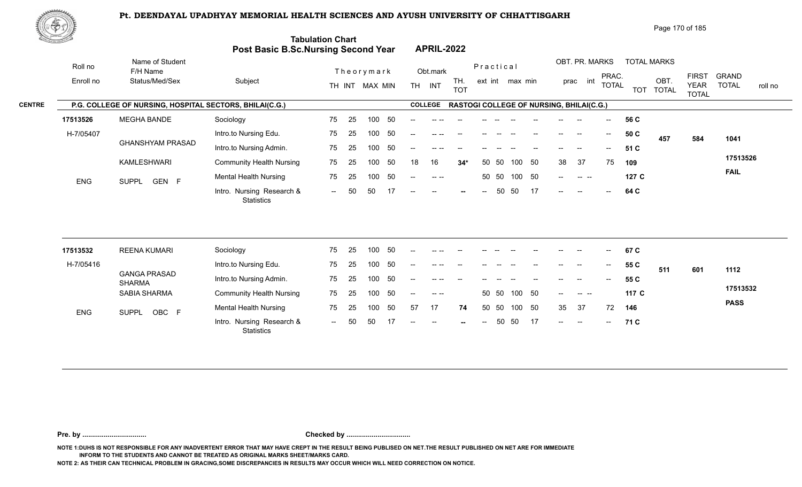

Page 170 of 185

|               | <u>the community of the </u> |                                                         | <b>Post Basic B.Sc.Nursing Second Year</b> | <b>Tabulation Chart</b> |     |                |                   | <b>APRIL-2022</b>                              |                   |      |                                                 |           |         |          |                                       |                          |            |                      |                                             |              |         |
|---------------|------------------------------|---------------------------------------------------------|--------------------------------------------|-------------------------|-----|----------------|-------------------|------------------------------------------------|-------------------|------|-------------------------------------------------|-----------|---------|----------|---------------------------------------|--------------------------|------------|----------------------|---------------------------------------------|--------------|---------|
|               | Roll no                      | Name of Student<br>F/H Name                             |                                            |                         |     | Theorymark     |                   | Obt.mark                                       |                   |      | Practical                                       |           |         |          | OBT. PR. MARKS                        |                          |            | <b>TOTAL MARKS</b>   |                                             | <b>GRAND</b> |         |
|               | Enroll no                    | Status/Med/Sex                                          | Subject                                    |                         |     | TH INT MAX MIN | <b>TH</b>         | INT                                            | TH.<br><b>TOT</b> |      | ext int max min                                 |           |         | prac     | int                                   | PRAC.<br><b>TOTAL</b>    | <b>TOT</b> | OBT.<br><b>TOTAL</b> | <b>FIRST</b><br><b>YEAR</b><br><b>TOTAL</b> | <b>TOTAL</b> | roll no |
| <b>CENTRE</b> |                              | P.G. COLLEGE OF NURSING, HOSPITAL SECTORS, BHILAI(C.G.) |                                            |                         |     |                |                   | <b>COLLEGE</b>                                 |                   |      | <b>RASTOGI COLLEGE OF NURSING, BHILAI(C.G.)</b> |           |         |          |                                       |                          |            |                      |                                             |              |         |
|               | 17513526                     | MEGHA BANDE                                             | Sociology                                  | 75                      | -25 | -50<br>100     | $- -$             | -- --                                          |                   |      |                                                 |           | $--$    | --       |                                       | $\overline{\phantom{a}}$ | 56 C       |                      |                                             |              |         |
|               | H-7/05407                    |                                                         | Intro.to Nursing Edu.                      | 75                      | -25 | -50<br>100     |                   |                                                |                   |      |                                                 |           |         |          | $\hspace{0.05cm}$ – $\hspace{0.05cm}$ |                          | 50 C       | 457                  | 584                                         | 1041         |         |
|               |                              | <b>GHANSHYAM PRASAD</b>                                 | Intro.to Nursing Admin.                    | 75                      | -25 | - 50<br>100    | $\qquad \qquad -$ |                                                |                   |      |                                                 |           |         |          |                                       | $\overline{\phantom{a}}$ | 51 C       |                      |                                             |              |         |
|               |                              | KAMLESHWARI                                             | <b>Community Health Nursing</b>            | 75                      | -25 | 50<br>100      | 18                | 16                                             | $34*$             |      | -50<br>50                                       | 50<br>100 |         | 37<br>38 |                                       | 75                       | 109        |                      |                                             | 17513526     |         |
|               | <b>ENG</b>                   | GEN F<br>SUPPL                                          | <b>Mental Health Nursing</b>               | 75                      | 25  | -50<br>100     | $- -$             |                                                |                   |      | 50 50                                           | 100 50    | $-$     |          | <b>Contract Contract</b>              |                          | 127 C      |                      |                                             | <b>FAIL</b>  |         |
|               |                              |                                                         | Intro. Nursing Research &<br>Statistics    | $\sim$ $\sim$           | 50  | 50             | $--$              | $\hspace{0.1mm}-\hspace{0.1mm}-\hspace{0.1mm}$ | $\sim$            | $--$ | 50<br>50                                        | 17        | $- -$ . | $\sim$   |                                       | $\overline{\phantom{a}}$ | 64 C       |                      |                                             |              |         |

| 17513532   | <b>REENA KUMARI</b>                  | Sociology                                      | 75     | 25  | 100 | .50 | --    | -- --                                                                                                                                                                                                                                                                                                                                                                                        |        |                |       |              |       |               |       | $--$                                   | 67 C  |     |     |             |
|------------|--------------------------------------|------------------------------------------------|--------|-----|-----|-----|-------|----------------------------------------------------------------------------------------------------------------------------------------------------------------------------------------------------------------------------------------------------------------------------------------------------------------------------------------------------------------------------------------------|--------|----------------|-------|--------------|-------|---------------|-------|----------------------------------------|-------|-----|-----|-------------|
| H-7/05416  |                                      | Intro.to Nursing Edu.                          | 75     | 25  | 100 | -50 | --    |                                                                                                                                                                                                                                                                                                                                                                                              | $- -$  |                |       |              | $-$   | $- -$         | $- -$ | $\hspace{0.1em} \ldots \hspace{0.1em}$ | 55 C  | 511 | 601 | 1112        |
|            | <b>GANGA PRASAD</b><br><b>SHARMA</b> | Intro.to Nursing Admin.                        | 75     | 25  | 100 | .50 | $- -$ | $--- - - - -$                                                                                                                                                                                                                                                                                                                                                                                | $- -$  | $- -$          |       |              | $- -$ | $- -$         | $- -$ | $\mathcal{L}_{\mathcal{L}}$            | 55 C  |     |     |             |
|            | SABIA SHARMA                         | <b>Community Health Nursing</b>                | 75     | 25  | 100 | 50  | $- -$ | $\frac{1}{2} \frac{1}{2} \frac{1}{2} \frac{1}{2} \frac{1}{2} \frac{1}{2} \frac{1}{2} \frac{1}{2} \frac{1}{2} \frac{1}{2} \frac{1}{2} \frac{1}{2} \frac{1}{2} \frac{1}{2} \frac{1}{2} \frac{1}{2} \frac{1}{2} \frac{1}{2} \frac{1}{2} \frac{1}{2} \frac{1}{2} \frac{1}{2} \frac{1}{2} \frac{1}{2} \frac{1}{2} \frac{1}{2} \frac{1}{2} \frac{1}{2} \frac{1}{2} \frac{1}{2} \frac{1}{2} \frac{$ |        |                |       | 50 50 100 50 |       | $-$           |       |                                        | 117 C |     |     | 17513532    |
| <b>ENG</b> | OBC F<br><b>SUPPL</b>                | <b>Mental Health Nursing</b>                   | 75     | -25 | 100 | -50 | 57    | 17                                                                                                                                                                                                                                                                                                                                                                                           | 74     |                | 50 50 | 100 50       |       | 35            | 37    | 72                                     | 146   |     |     | <b>PASS</b> |
|            |                                      | Intro. Nursing Research &<br><b>Statistics</b> | $\sim$ | 50  | 50  |     | $- -$ | $  \,$                                                                                                                                                                                                                                                                                                                                                                                       | $\sim$ | $\overline{a}$ |       | 50 50        |       | $\sim$ $\sim$ | $- -$ | $\sim$                                 | 71 C  |     |     |             |

**Pre. by ................................. Checked by .................................**

**NOTE 1:DUHS IS NOT RESPONSIBLE FOR ANY INADVERTENT ERROR THAT MAY HAVE CREPT IN THE RESULT BEING PUBLISED ON NET.THE RESULT PUBLISHED ON NET ARE FOR IMMEDIATE INFORM TO THE STUDENTS AND CANNOT BE TREATED AS ORIGINAL MARKS SHEET/MARKS CARD.**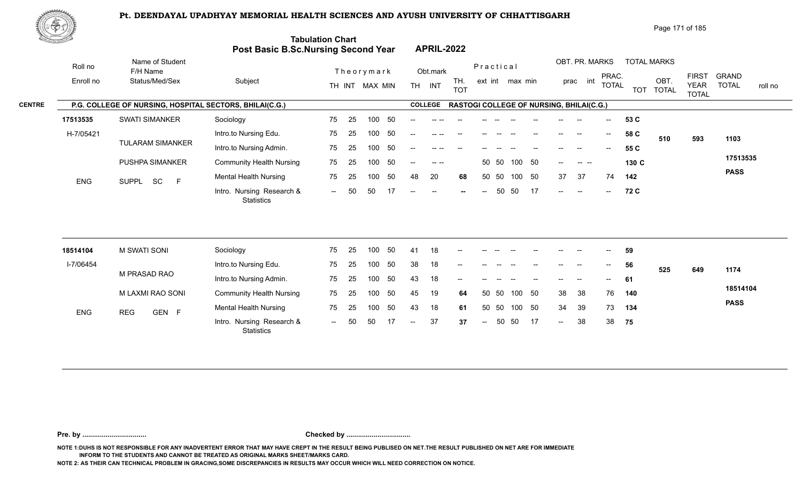

| Page 171 of 185 |  |
|-----------------|--|
|-----------------|--|

| SS A       |                                                         | <b>Post Basic B.Sc.Nursing Second Year</b> | <b>Tabulation Chart</b> |    |                |    |                          | <b>APRIL-2022</b> |                   |                          |           |                 |        |                                                 |                          |                          |       |                    |                             |              |         |
|------------|---------------------------------------------------------|--------------------------------------------|-------------------------|----|----------------|----|--------------------------|-------------------|-------------------|--------------------------|-----------|-----------------|--------|-------------------------------------------------|--------------------------|--------------------------|-------|--------------------|-----------------------------|--------------|---------|
| Roll no    | Name of Student<br>F/H Name                             |                                            |                         |    | Theorymark     |    |                          | Obt.mark          |                   |                          | Practical |                 |        |                                                 |                          | OBT. PR. MARKS<br>PRAC.  |       | <b>TOTAL MARKS</b> | <b>FIRST</b>                | <b>GRAND</b> |         |
| Enroll no  | Status/Med/Sex                                          | Subject                                    |                         |    | TH INT MAX MIN |    |                          | TH INT            | TH.<br><b>TOT</b> |                          |           | ext int max min |        |                                                 | int<br>prac              | <b>TOTAL</b>             |       | OBT.<br>TOT TOTAL  | <b>YEAR</b><br><b>TOTAL</b> | <b>TOTAL</b> | roll no |
|            | P.G. COLLEGE OF NURSING, HOSPITAL SECTORS, BHILAI(C.G.) |                                            |                         |    |                |    |                          | <b>COLLEGE</b>    |                   |                          |           |                 |        | <b>RASTOGI COLLEGE OF NURSING, BHILAI(C.G.)</b> |                          |                          |       |                    |                             |              |         |
| 17513535   | <b>SWATI SIMANKER</b>                                   | Sociology                                  | 75                      | 25 | 100            | 50 | $\overline{\phantom{a}}$ | -- --             |                   |                          |           |                 |        |                                                 |                          | $\overline{\phantom{a}}$ | 53 C  |                    |                             |              |         |
| H-7/05421  |                                                         | Intro.to Nursing Edu.                      | 75                      | 25 | 100            | 50 |                          |                   |                   |                          |           |                 |        |                                                 | $\overline{\phantom{a}}$ | $--$                     | 58 C  | 510                | 593                         | 1103         |         |
|            | <b>TULARAM SIMANKER</b>                                 | Intro.to Nursing Admin.                    | 75                      | 25 | 100            | 50 | $--$                     | -- --             |                   |                          |           |                 |        |                                                 |                          | $--$                     | 55 C  |                    |                             |              |         |
|            | PUSHPA SIMANKER                                         | <b>Community Health Nursing</b>            | 75                      | 25 | 100            | 50 | $\frac{1}{2}$            | $\sim$ $\sim$     |                   |                          | 50 50     |                 | 100 50 | $--$                                            | المسترات المسترات        |                          | 130 C |                    |                             | 17513535     |         |
| <b>ENG</b> | F<br>SUPPL SC                                           | <b>Mental Health Nursing</b>               | 75                      | 25 | 100            | 50 | 48                       | 20                | 68                |                          | 50 50     | 100             | 50     | 37                                              | 37                       | 74                       | 142   |                    |                             | <b>PASS</b>  |         |
|            |                                                         | Intro. Nursing Research &<br>Statistics    | $  \,$                  | 50 | 50             | 17 | $--$                     | $\sim$            |                   | $\overline{\phantom{a}}$ | 50        | 50              | 17     | $\frac{1}{2}$ and $\frac{1}{2}$                 | $-$                      | $- \,$                   | 72 C  |                    |                             |              |         |

| 18514104   | M SWATI SONI        | Sociology                                      | 75     | -25  | 100 | -50 | -41            | 18 | $\sim$                   |               | $\mathcal{L}_{\text{max}}$ , and $\mathcal{L}_{\text{max}}$ | <b>Contract Contract</b> | $\hspace{0.05cm} \textbf{--}$ | $\sim$                   | $\sim$ | $\sim$     | 59  |     |     |             |
|------------|---------------------|------------------------------------------------|--------|------|-----|-----|----------------|----|--------------------------|---------------|-------------------------------------------------------------|--------------------------|-------------------------------|--------------------------|--------|------------|-----|-----|-----|-------------|
| I-7/06454  |                     | Intro.to Nursing Edu.                          | 75     | - 25 | 100 | -50 | 38             | 18 | $\overline{\phantom{a}}$ | $\sim$        |                                                             |                          | $\overline{\phantom{a}}$      | $--$                     | $- -$  | $\sim$     | 56  | 525 | 649 | 1174        |
|            | M PRASAD RAO        | Intro.to Nursing Admin.                        | 75     | -25  | 100 | -50 | 43             | 18 | $- -$                    | $--$          |                                                             | $\sim$                   | $- -$                         | $\overline{\phantom{a}}$ | $- -$  | $\sim$ $-$ | 61  |     |     |             |
|            | M LAXMI RAO SONI    | <b>Community Health Nursing</b>                | 75     | -25  | 100 | -50 | 45             | 19 | 64                       |               | 50 50                                                       | 100 50                   |                               | 38                       | -38    | 76         | 140 |     |     | 18514104    |
| <b>ENG</b> | <b>REG</b><br>GEN F | <b>Mental Health Nursing</b>                   | 75     | -25  | 100 | -50 | 43             | 18 | 61                       |               | 50 50                                                       | 100                      | - 50                          | 34                       | -39    | 73         | 134 |     |     | <b>PASS</b> |
|            |                     | Intro. Nursing Research &<br><b>Statistics</b> | $\sim$ | -50  | -50 | 17  | $\overline{a}$ | 37 | 37                       | $\sim$ $\sim$ | 50                                                          | -50                      | - 17                          | $\mathbf{u}$             | 38     | 38         | 75  |     |     |             |

**Pre. by ................................. Checked by .................................**

**NOTE 1:DUHS IS NOT RESPONSIBLE FOR ANY INADVERTENT ERROR THAT MAY HAVE CREPT IN THE RESULT BEING PUBLISED ON NET.THE RESULT PUBLISHED ON NET ARE FOR IMMEDIATE INFORM TO THE STUDENTS AND CANNOT BE TREATED AS ORIGINAL MARKS SHEET/MARKS CARD.**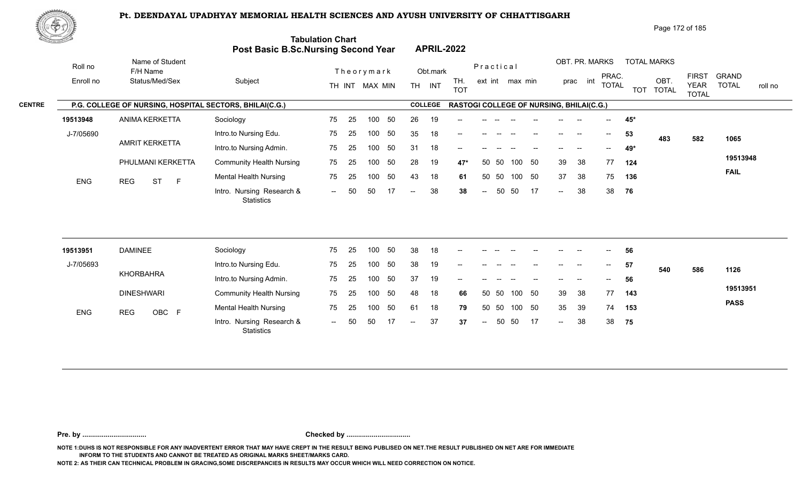

Page 172 of 185

| <u>Cardinal Co</u> |            |                                                         | Post Basic B.Sc.Nursing Second Year     | <b>Tabulation Chart</b> |    |                |    |     |                | <b>APRIL-2022</b>                               |                          |       |                 |        |        |                          |              |     |                    |                             |              |         |
|--------------------|------------|---------------------------------------------------------|-----------------------------------------|-------------------------|----|----------------|----|-----|----------------|-------------------------------------------------|--------------------------|-------|-----------------|--------|--------|--------------------------|--------------|-----|--------------------|-----------------------------|--------------|---------|
|                    | Roll no    | Name of Student<br>F/H Name                             |                                         |                         |    | Theorymark     |    |     | Obt.mark       |                                                 | Practical                |       |                 |        |        | OBT. PR. MARKS           | PRAC.        |     | <b>TOTAL MARKS</b> | <b>FIRST</b>                | <b>GRAND</b> |         |
|                    | Enroll no  | Status/Med/Sex                                          | Subject                                 |                         |    | TH INT MAX MIN |    |     | TH INT         | TH.<br><b>TOT</b>                               |                          |       | ext int max min |        |        | prac int                 | <b>TOTAL</b> |     | OBT.<br>TOT TOTAL  | <b>YEAR</b><br><b>TOTAL</b> | <b>TOTAL</b> | roll no |
| <b>CENTRE</b>      |            | P.G. COLLEGE OF NURSING, HOSPITAL SECTORS, BHILAI(C.G.) |                                         |                         |    |                |    |     | <b>COLLEGE</b> | <b>RASTOGI COLLEGE OF NURSING, BHILAI(C.G.)</b> |                          |       |                 |        |        |                          |              |     |                    |                             |              |         |
|                    | 19513948   | ANIMA KERKETTA                                          | Sociology                               | 75                      | 25 | 100            | 50 | 26  | 19             |                                                 |                          |       |                 |        |        |                          |              | 45* |                    |                             |              |         |
|                    | J-7/05690  |                                                         | Intro.to Nursing Edu.                   | 75                      | 25 | 100            | 50 | 35  | 18             |                                                 |                          |       |                 |        |        |                          | $--$         | 53  | 483                | 582                         | 1065         |         |
|                    |            | <b>AMRIT KERKETTA</b>                                   | Intro.to Nursing Admin.                 | 75                      | 25 | 100            | 50 | 31  | 18             | --                                              |                          |       |                 |        |        | $\overline{\phantom{a}}$ | $-$          | 49* |                    |                             |              |         |
|                    |            | PHULMANI KERKETTA                                       | <b>Community Health Nursing</b>         | 75                      | 25 | 100            | 50 | 28  | 19             | 47*                                             | 50                       | 50    | 100             | 50     | 39     | 38                       | 77           | 124 |                    |                             | 19513948     |         |
|                    | <b>ENG</b> | <b>ST</b><br>$\mathsf{F}$<br><b>REG</b>                 | <b>Mental Health Nursing</b>            | 75                      | 25 | 100            | 50 | 43  | 18             | 61                                              | 50                       | 50    |                 | 100 50 | 37     | 38                       | 75           | 136 |                    |                             | <b>FAIL</b>  |         |
|                    |            |                                                         | Intro. Nursing Research &<br>Statistics | $\sim$                  | 50 | 50             | 17 | $-$ | 38             | 38                                              | $\sim$                   | 50    | 50              | 17     | $\sim$ | 38                       | 38           | 76  |                    |                             |              |         |
|                    |            |                                                         |                                         |                         |    |                |    |     |                |                                                 |                          |       |                 |        |        |                          |              |     |                    |                             |              |         |
|                    | 19513951   | <b>DAMINEE</b>                                          | Sociology                               | 75                      | 25 | 100            | 50 | 38  | 18             | $\overline{\phantom{a}}$                        |                          |       |                 |        |        |                          |              | 56  |                    |                             |              |         |
|                    | J-7/05693  | <b>KHORBAHRA</b>                                        | Intro.to Nursing Edu.                   | 75                      | 25 | 100            | 50 | 38  | 19             |                                                 |                          |       |                 |        |        |                          | $- -$        | 57  | 540                | 586                         | 1126         |         |
|                    |            |                                                         | Intro.to Nursing Admin.                 | 75                      | 25 | 100            | 50 | 37  | 19             |                                                 |                          |       |                 |        |        |                          |              | 56  |                    |                             |              |         |
|                    |            | <b>DINESHWARI</b>                                       | <b>Community Health Nursing</b>         | 75                      | 25 | 100            | 50 | 48  | 18             | 66                                              | 50                       | 50    | 100             | 50     | 39     | 38                       | 77           | 143 |                    |                             | 19513951     |         |
|                    | ENG        | <b>REG</b><br>OBC F                                     | <b>Mental Health Nursing</b>            | 75                      | 25 | 100            | 50 | 61  | 18             | 79                                              |                          | 50 50 | 100             | 50     | 35     | 39                       | 74           | 153 |                    |                             | <b>PASS</b>  |         |
|                    |            |                                                         | Intro. Nursing Research &<br>Statistics | $\sim$                  | 50 | 50             | 17 | $-$ | 37             | 37                                              | $\overline{\phantom{m}}$ | 50    | 50              | 17     | $\sim$ | 38                       | 38           | 75  |                    |                             |              |         |
|                    |            |                                                         |                                         |                         |    |                |    |     |                |                                                 |                          |       |                 |        |        |                          |              |     |                    |                             |              |         |

**Pre. by ................................. Checked by .................................**

**NOTE 1:DUHS IS NOT RESPONSIBLE FOR ANY INADVERTENT ERROR THAT MAY HAVE CREPT IN THE RESULT BEING PUBLISED ON NET.THE RESULT PUBLISHED ON NET ARE FOR IMMEDIATE INFORM TO THE STUDENTS AND CANNOT BE TREATED AS ORIGINAL MARKS SHEET/MARKS CARD.**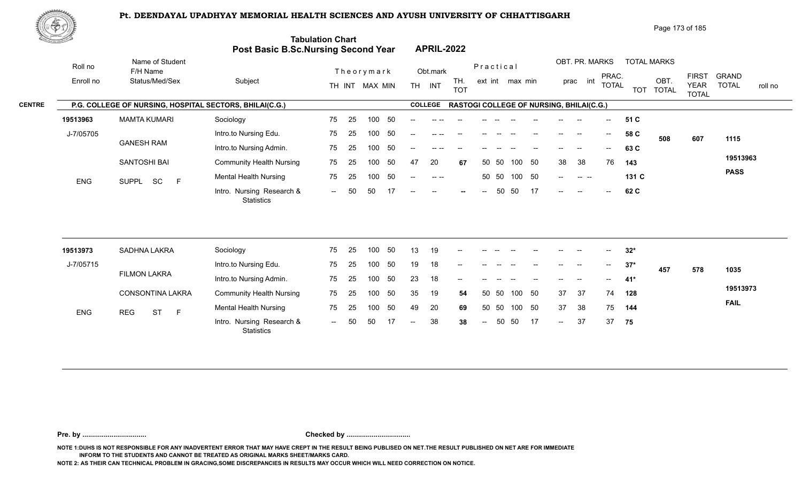

| Page 173 of 185 |  |
|-----------------|--|
|-----------------|--|

|               | <u>the general of the </u> |                                                         | <b>Post Basic B.Sc.Nursing Second Year</b> | <b>Tabulation Chart</b> |     |                   | <b>APRIL-2022</b> |                                                 |                          |       |        |    |      |                                            |                                       |            |                      |                             |              |         |
|---------------|----------------------------|---------------------------------------------------------|--------------------------------------------|-------------------------|-----|-------------------|-------------------|-------------------------------------------------|--------------------------|-------|--------|----|------|--------------------------------------------|---------------------------------------|------------|----------------------|-----------------------------|--------------|---------|
|               | Roll no                    | Name of Student<br>F/H Name                             |                                            | Theorymark              |     |                   | Obt.mark          |                                                 | Practical                |       |        |    |      | OBT. PR. MARKS                             | PRAC.                                 |            | <b>TOTAL MARKS</b>   | <b>FIRST</b>                | <b>GRAND</b> |         |
|               | Enroll no                  | Status/Med/Sex                                          | Subject                                    | TH INT MAX MIN          |     | <b>TH</b>         | INT               | TH.<br><b>TOT</b>                               | ext int max min          |       |        |    | prac | int                                        | <b>TOTAL</b>                          | <b>TOT</b> | OBT.<br><b>TOTAL</b> | <b>YEAR</b><br><b>TOTAL</b> | <b>TOTAL</b> | roll no |
| <b>CENTRE</b> |                            | P.G. COLLEGE OF NURSING, HOSPITAL SECTORS, BHILAI(C.G.) |                                            |                         |     |                   | <b>COLLEGE</b>    | <b>RASTOGI COLLEGE OF NURSING, BHILAI(C.G.)</b> |                          |       |        |    |      |                                            |                                       |            |                      |                             |              |         |
|               | 19513963                   | <b>MAMTA KUMARI</b>                                     | Sociology                                  | 75<br>25<br>100         | 50  | --                |                   |                                                 |                          |       |        |    |      | --                                         | $\overline{\phantom{a}}$              | 51 C       |                      |                             |              |         |
|               | J-7/05705                  |                                                         | Intro.to Nursing Edu.                      | 75<br>25<br>100         | -50 | --                |                   |                                                 |                          |       |        |    |      | $\hspace{0.05cm}$                          | $--$                                  | 58 C       | 508                  | 607                         | 1115         |         |
|               |                            | <b>GANESH RAM</b>                                       | Intro.to Nursing Admin.                    | 25<br>75<br>100         | 50  | $\qquad \qquad -$ | -- --             |                                                 |                          |       |        |    |      |                                            |                                       | 63 C       |                      |                             |              |         |
|               |                            | SANTOSHI BAI                                            | <b>Community Health Nursing</b>            | 75<br>25<br>100         | 50  | 47                | 20                | 67                                              |                          | 50 50 | 100    | 50 | 38   | 38                                         | 76                                    | 143        |                      |                             | 19513963     |         |
|               | <b>ENG</b>                 | SUPPL SC<br>$\mathsf{F}$                                | <b>Mental Health Nursing</b>               | 75<br>25<br>100         | -50 | $- -$             | $--- - - - -$     |                                                 |                          | 50 50 | 100 50 |    | $--$ | $\begin{array}{ccc} - & - & - \end{array}$ |                                       | 131 C      |                      |                             | <b>PASS</b>  |         |
|               |                            |                                                         | Intro. Nursing Research &<br>Statistics    | 50<br>50<br>$  \,$      |     | $- -$             | $\sim$            |                                                 | $\overline{\phantom{a}}$ | 50    | 50     | 17 | $--$ | $- -$                                      | $\hspace{0.05cm}$ – $\hspace{0.05cm}$ | 62 C       |                      |                             |              |         |
|               |                            |                                                         |                                            |                         |     |                   |                   |                                                 |                          |       |        |    |      |                                            |                                       |            |                      |                             |              |         |

| 19513973   | SADHNA LAKRA                  | Sociology                                      | 75                          | -25 | 100 | -50 | 13     | 19 | $\sim$                                         | $- -$      | $- -$ | $- -$ | $\hspace{0.05cm}$                     | $\hspace{0.05cm}$                              | $\overline{\phantom{a}}$ | $--$  | -32*  |     |     |             |
|------------|-------------------------------|------------------------------------------------|-----------------------------|-----|-----|-----|--------|----|------------------------------------------------|------------|-------|-------|---------------------------------------|------------------------------------------------|--------------------------|-------|-------|-----|-----|-------------|
| J-7/05715  |                               | Intro.to Nursing Edu.                          | 75                          | 25  | 100 | 50  | 19     | 18 | $\hspace{0.1mm}-\hspace{0.1mm}-\hspace{0.1mm}$ |            |       |       |                                       | $- -$                                          | $- -$                    | $- -$ | $37*$ | 457 | 578 | 1035        |
|            | <b>FILMON LAKRA</b>           | Intro.to Nursing Admin.                        | 75                          | -25 | 100 | -50 | 23     | 18 | $- -$                                          | $- -$      |       |       | $\hspace{0.05cm}$ – $\hspace{0.05cm}$ | $\hspace{0.1mm}-\hspace{0.1mm}-\hspace{0.1mm}$ | $--$                     | $---$ | 41*   |     |     |             |
|            | <b>CONSONTINA LAKRA</b>       | <b>Community Health Nursing</b>                | 75                          | -25 | 100 | -50 | 35     | 19 | 54                                             | 50 50      |       | 100   | - 50                                  | 37                                             | -37                      | 74    | 128   |     |     | 19513973    |
| <b>ENG</b> | <b>ST</b><br><b>REG</b><br>F. | <b>Mental Health Nursing</b>                   | 75                          | 25  | 100 | 50  | 49     | 20 | 69                                             | 50 50      |       | 100   | -50                                   | 37                                             | 38                       | 75    | 144   |     |     | <b>FAIL</b> |
|            |                               | Intro. Nursing Research &<br><b>Statistics</b> | $\mathcal{L}_{\mathcal{F}}$ | -50 | -50 |     | $\sim$ | 38 | 38                                             | $\sim$ $-$ |       | 50 50 | 17                                    | $\sim$                                         | 37                       | 37    | 75    |     |     |             |

**Pre. by ................................. Checked by .................................**

**NOTE 1:DUHS IS NOT RESPONSIBLE FOR ANY INADVERTENT ERROR THAT MAY HAVE CREPT IN THE RESULT BEING PUBLISED ON NET.THE RESULT PUBLISHED ON NET ARE FOR IMMEDIATE INFORM TO THE STUDENTS AND CANNOT BE TREATED AS ORIGINAL MARKS SHEET/MARKS CARD.**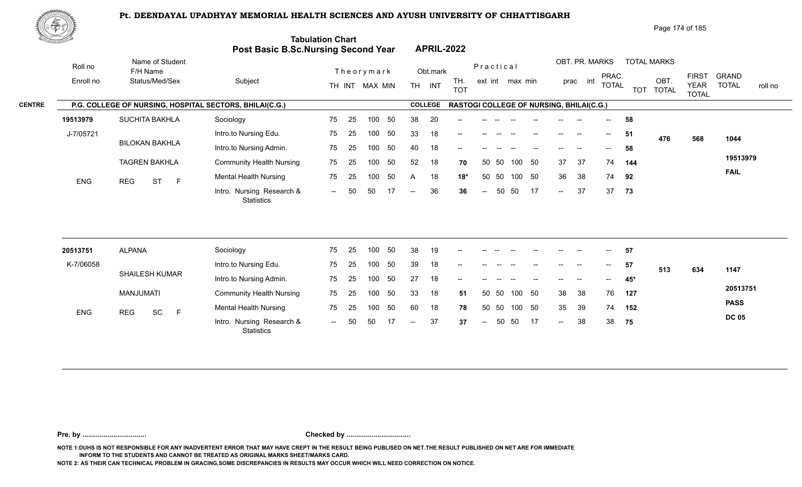

Page 174 of 185

| <u>New your and you</u> |                                                         | <b>Post Basic B.Sc.Nursing Second Year</b> | <b>Tabulation Chart</b> |    |                              |    |     | <b>APRIL-2022</b>  |                                          |           |       |                 |        |        |                          |                                         |     |                                  |                      |                                             |                              |         |
|-------------------------|---------------------------------------------------------|--------------------------------------------|-------------------------|----|------------------------------|----|-----|--------------------|------------------------------------------|-----------|-------|-----------------|--------|--------|--------------------------|-----------------------------------------|-----|----------------------------------|----------------------|---------------------------------------------|------------------------------|---------|
| Roll no<br>Enroll no    | Name of Student<br>F/H Name<br>Status/Med/Sex           | Subject                                    |                         |    | Theorymark<br>TH INT MAX MIN |    |     | Obt.mark<br>TH INT | TH.<br><b>TOT</b>                        | Practical |       | ext int max min |        |        | prac int                 | OBT. PR. MARKS<br>PRAC.<br><b>TOTAL</b> |     | <b>TOTAL MARKS</b><br><b>TOT</b> | OBT.<br><b>TOTAL</b> | <b>FIRST</b><br><b>YEAR</b><br><b>TOTAL</b> | <b>GRAND</b><br><b>TOTAL</b> | roll no |
| <b>CENTRE</b>           | P.G. COLLEGE OF NURSING, HOSPITAL SECTORS, BHILAI(C.G.) |                                            |                         |    |                              |    |     | <b>COLLEGE</b>     | RASTOGI COLLEGE OF NURSING, BHILAI(C.G.) |           |       |                 |        |        |                          |                                         |     |                                  |                      |                                             |                              |         |
| 19513979                | <b>SUCHITA BAKHLA</b>                                   | Sociology                                  | 75                      | 25 | 100                          | 50 | 38  | 20                 |                                          |           |       |                 |        |        |                          |                                         | 58  |                                  |                      |                                             |                              |         |
| J-7/05721               |                                                         | Intro.to Nursing Edu.                      | 75                      | 25 | 100                          | 50 | 33  | 18                 | $\qquad \qquad -$                        |           |       |                 |        | $- -$  | $\overline{\phantom{a}}$ | $--$                                    | 51  |                                  | 476                  | 568                                         | 1044                         |         |
|                         | <b>BILOKAN BAKHLA</b>                                   | Intro.to Nursing Admin.                    | 75                      | 25 | 100                          | 50 | 40  | 18                 | --                                       |           |       |                 |        |        |                          | $- -$                                   | 58  |                                  |                      |                                             |                              |         |
|                         | <b>TAGREN BAKHLA</b>                                    | <b>Community Health Nursing</b>            | 75                      | 25 | 100                          | 50 | 52  | 18                 | 70                                       |           | 50 50 |                 | 100 50 | 37     | 37                       | 74                                      | 144 |                                  |                      |                                             | 19513979                     |         |
| <b>ENG</b>              | <b>ST</b><br>$\mathsf{F}$<br><b>REG</b>                 | Mental Health Nursing                      | 75                      | 25 | 100                          | 50 | A   | 18                 | $18*$                                    | 50        | 50    |                 | 100 50 | 36     | 38                       | 74                                      | 92  |                                  |                      |                                             | <b>FAIL</b>                  |         |
|                         |                                                         | Intro. Nursing Research &<br>Statistics    | $\sim$ $\sim$           | 50 | 50                           | 17 | $-$ | 36                 | 36                                       | $--$      | 50    | 50              | 17     | $\sim$ | 37                       | 37                                      | 73  |                                  |                      |                                             |                              |         |
|                         |                                                         |                                            |                         |    |                              |    |     |                    |                                          |           |       |                 |        |        |                          |                                         |     |                                  |                      |                                             |                              |         |
| 20513751                | <b>ALPANA</b>                                           | Sociology                                  | 75                      | 25 | 100                          | 50 | 38  | 19                 |                                          |           |       |                 |        |        |                          | $--$                                    | 57  |                                  |                      |                                             |                              |         |
| K-7/06058               |                                                         | Intro.to Nursing Edu.                      | 75                      | 25 | 100                          | 50 | 39  | 18                 |                                          |           |       |                 |        |        |                          | $\overline{\phantom{a}}$                | 57  |                                  | 513                  | 634                                         | 11A7                         |         |

| 20513751   | <b>ALPANA</b>  |    |   | Sociology                                      | 75     | -25  | 100    | -50  | 38            | 19 | $- -$                                          |            |       |        |                          | $- -$  | $- -$                    | $---$          | 57  |     |     |              |
|------------|----------------|----|---|------------------------------------------------|--------|------|--------|------|---------------|----|------------------------------------------------|------------|-------|--------|--------------------------|--------|--------------------------|----------------|-----|-----|-----|--------------|
| K-7/06058  |                |    |   | Intro.to Nursing Edu.                          | 75     | - 25 | 100 50 |      | 39            | 18 | $\sim$                                         | --         |       |        |                          | $- -$  | $- -$                    | $\overline{a}$ | 57  | 513 | 634 | 1147         |
|            | SHAILESH KUMAR |    |   | Intro.to Nursing Admin.                        | 75     | - 25 | 100    | - 50 | 27            | 18 | $\hspace{0.1mm}-\hspace{0.1mm}-\hspace{0.1mm}$ | $- -$      |       |        | $\overline{\phantom{a}}$ | $- -$  | $\overline{\phantom{a}}$ | $--$           | 45* |     |     |              |
|            | MANJUMATI      |    |   | <b>Community Health Nursing</b>                | 75     | -25  | 100    | - 50 | 33            | 18 | 51                                             | 50 50      |       | 100 50 |                          | 38     | - 38                     | 76             | 127 |     |     | 20513751     |
| <b>ENG</b> | <b>REG</b>     | SC | - | <b>Mental Health Nursing</b>                   | 75     | -25  | 100    | - 50 | 60            | 18 | 78                                             | 50 50      |       | 100 50 |                          | 35     | -39                      | 74             | 152 |     |     | <b>PASS</b>  |
|            |                |    |   | Intro. Nursing Research &<br><b>Statistics</b> | $\sim$ | 50   | 50     | - 17 | $\sim$ $\sim$ | 37 | 37                                             | $\sim$ $-$ | 50 50 |        | 17                       | $\sim$ | 38                       | 38             | 75  |     |     | <b>DC 05</b> |

**Pre. by ................................. Checked by .................................**

**NOTE 1:DUHS IS NOT RESPONSIBLE FOR ANY INADVERTENT ERROR THAT MAY HAVE CREPT IN THE RESULT BEING PUBLISED ON NET.THE RESULT PUBLISHED ON NET ARE FOR IMMEDIATE INFORM TO THE STUDENTS AND CANNOT BE TREATED AS ORIGINAL MARKS SHEET/MARKS CARD.**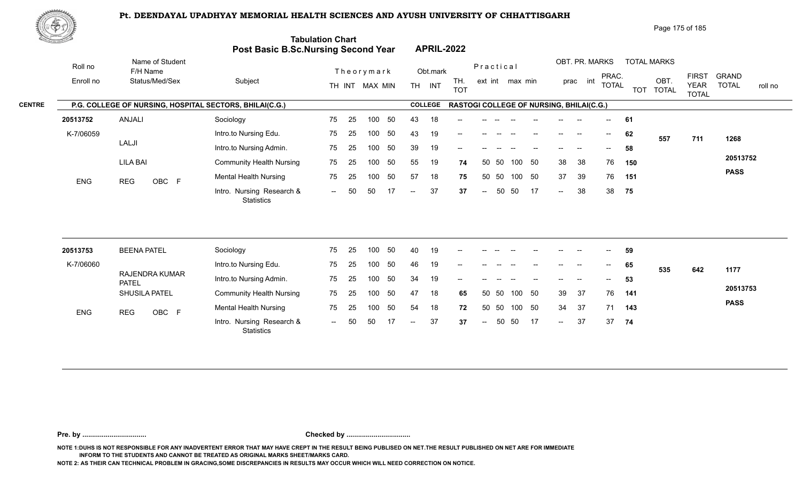

Page 175 of 185

| <u> Karatanan Sa</u> |                      |                                                         | <b>Post Basic B.Sc.Nursing Second Year</b>     | <b>Tabulation Chart</b> |    |                  |    |     |                | <b>APRIL-2022</b>                        |                          |           |                 |        |        |                            |                                       |            |                            |                             |                         |
|----------------------|----------------------|---------------------------------------------------------|------------------------------------------------|-------------------------|----|------------------|----|-----|----------------|------------------------------------------|--------------------------|-----------|-----------------|--------|--------|----------------------------|---------------------------------------|------------|----------------------------|-----------------------------|-------------------------|
|                      | Roll no<br>Enroll no | Name of Student<br>F/H Name<br>Status/Med/Sex           | Subject                                        |                         |    | Theorymark       |    |     | Obt.mark       | TH.                                      |                          | Practical | ext int max min |        |        | OBT. PR. MARKS<br>prac int | PRAC.                                 |            | <b>TOTAL MARKS</b><br>OBT. | <b>FIRST</b>                | <b>GRAND</b>            |
|                      |                      |                                                         |                                                |                         |    | TH INT MAX MIN   |    |     | TH INT         | <b>TOT</b>                               |                          |           |                 |        |        |                            | <b>TOTAL</b>                          | <b>TOT</b> | <b>TOTAL</b>               | <b>YEAR</b><br><b>TOTAL</b> | <b>TOTAL</b><br>roll no |
| <b>CENTRE</b>        |                      | P.G. COLLEGE OF NURSING, HOSPITAL SECTORS, BHILAI(C.G.) |                                                |                         |    |                  |    |     | <b>COLLEGE</b> | RASTOGI COLLEGE OF NURSING, BHILAI(C.G.) |                          |           |                 |        |        |                            |                                       |            |                            |                             |                         |
|                      | 20513752             | ANJALI                                                  | Sociology                                      | 75                      | 25 | 100              | 50 | 43  | 18             |                                          |                          |           |                 |        |        |                            |                                       | 61         |                            |                             |                         |
|                      | K-7/06059            |                                                         | Intro.to Nursing Edu.                          | 75                      | 25 | 100              | 50 | 43  | 19             | $-$                                      |                          |           |                 |        |        |                            | $\hspace{0.05cm}$ – $\hspace{0.05cm}$ | 62         | 557                        | 711                         | 1268                    |
|                      |                      | LALJI                                                   | Intro.to Nursing Admin.                        | 75                      | 25 | 100              | 50 | 39  | 19             | --                                       |                          |           |                 |        |        |                            |                                       | 58         |                            |                             |                         |
|                      |                      | <b>LILA BAI</b>                                         | <b>Community Health Nursing</b>                | 75                      | 25 | 100              | 50 | 55  | 19             | 74                                       | 50                       | 50        | 100             | 50     | 38     | 38                         | 76                                    | 150        |                            |                             | 20513752                |
|                      | <b>ENG</b>           | OBC F<br><b>REG</b>                                     | <b>Mental Health Nursing</b>                   | 75                      | 25 | 100              | 50 | 57  | 18             | 75                                       | 50                       | 50        | 100             | 50     | 37     | 39                         | 76                                    | 151        |                            |                             | <b>PASS</b>             |
|                      |                      |                                                         | Intro. Nursing Research &<br><b>Statistics</b> | $  \,$                  | 50 | 50               | 17 | $-$ | 37             | 37                                       | $\overline{\phantom{m}}$ | 50        | 50              | -17    | $\sim$ | 38                         | 38                                    | 75         |                            |                             |                         |
|                      |                      |                                                         |                                                |                         |    |                  |    |     |                |                                          |                          |           |                 |        |        |                            |                                       |            |                            |                             |                         |
|                      | 20513753             | <b>BEENA PATEL</b>                                      | Sociology                                      | 75                      | 25 | 100              | 50 | 40  | 19             |                                          |                          |           |                 |        |        |                            |                                       | 59         |                            |                             |                         |
|                      | K-7/06060            |                                                         | Intro.to Nursing Edu.                          | 75                      | 25 | 100              | 50 | 46  | 19             | --                                       |                          |           |                 |        |        |                            | $\hspace{0.05cm}$ – $\hspace{0.05cm}$ | 65         | 535                        | 642                         | 1177                    |
|                      |                      | RAJENDRA KUMAR<br><b>PATEL</b>                          | Intro.to Nursing Admin.                        | 75                      | 25 | 100 <sub>1</sub> | 50 | 34  | 19             |                                          |                          |           |                 |        |        |                            |                                       | 53         |                            |                             |                         |
|                      |                      | SHUSILA PATEL                                           | <b>Community Health Nursing</b>                | 75                      | 25 | 100              | 50 | 47  | 18             | 65                                       |                          | 50 50     |                 | 100 50 | 39     | 37                         | 76                                    | 141        |                            |                             | 20513753                |
|                      | <b>FMO</b>           | $\sim$ $\sim$ $\sim$ $\sim$<br>DEO.                     | Mental Health Nursing                          | 75                      | 25 | 100              | 50 | 54  | 18             | 72                                       | 50                       | 50        | 100             | 50     | 34     | 37                         | 71                                    | 143        |                            |                             | <b>PASS</b>             |

**Pre. by ................................. Checked by .................................**

0BC F Montain Research & The Ed Too of the Manuscript of the Control of the Control of the Control of the Control of the Control of the Control of the Control of the Control of the Control of the Control of the Control of

-- 50 50 17 -- 37 37

-- 50 37 37 **37** 37

 $-37$ 

**74**

**NOTE 1:DUHS IS NOT RESPONSIBLE FOR ANY INADVERTENT ERROR THAT MAY HAVE CREPT IN THE RESULT BEING PUBLISED ON NET.THE RESULT PUBLISHED ON NET ARE FOR IMMEDIATE INFORM TO THE STUDENTS AND CANNOT BE TREATED AS ORIGINAL MARKS SHEET/MARKS CARD.**

**NOTE 2: AS THEIR CAN TECHNICAL PROBLEM IN GRACING,SOME DISCREPANCIES IN RESULTS MAY OCCUR WHICH WILL NEED CORRECTION ON NOTICE.**

**Statistics** 

ENG REG OBC F Montail House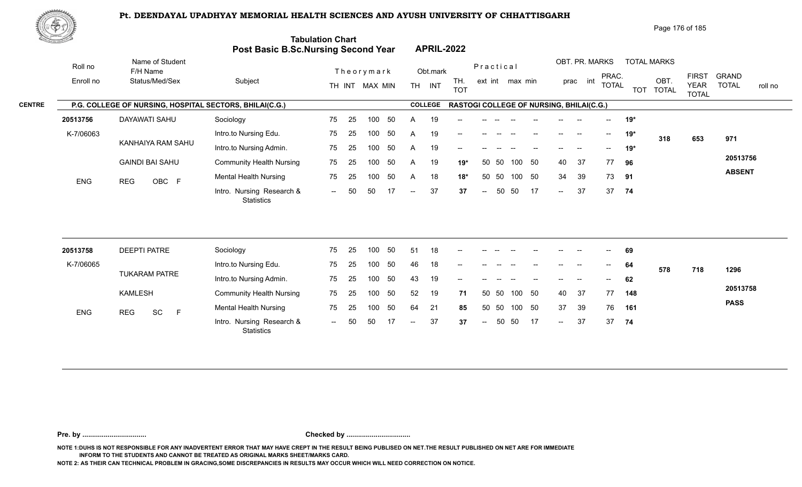

| Page 176 of 185 |  |
|-----------------|--|
|-----------------|--|

| <u>tomman al</u> |                                                         | Post Basic B.Sc.Nursing Second Year            | <b>Tabulation Chart</b> |    |                |     |                          |                | <b>APRIL-2022</b>                        |        |           |                 |        |                          |                |              |            |                      |                             |                         |
|------------------|---------------------------------------------------------|------------------------------------------------|-------------------------|----|----------------|-----|--------------------------|----------------|------------------------------------------|--------|-----------|-----------------|--------|--------------------------|----------------|--------------|------------|----------------------|-----------------------------|-------------------------|
| Roll no          | Name of Student<br>F/H Name                             |                                                |                         |    | Theorymark     |     |                          | Obt.mark       |                                          |        | Practical |                 |        |                          | OBT. PR. MARKS | PRAC.        |            | <b>TOTAL MARKS</b>   | <b>FIRST</b>                | <b>GRAND</b>            |
| Enroll no        | Status/Med/Sex                                          | Subject                                        |                         |    | TH INT MAX MIN |     |                          | TH INT         | TH.<br><b>TOT</b>                        |        |           | ext int max min |        |                          | int<br>prac    | <b>TOTAL</b> | <b>TOT</b> | OBT.<br><b>TOTAL</b> | <b>YEAR</b><br><b>TOTAL</b> | <b>TOTAL</b><br>roll no |
|                  | P.G. COLLEGE OF NURSING, HOSPITAL SECTORS, BHILAI(C.G.) |                                                |                         |    |                |     |                          | <b>COLLEGE</b> | RASTOGI COLLEGE OF NURSING, BHILAI(C.G.) |        |           |                 |        |                          |                |              |            |                      |                             |                         |
| 20513756         | <b>DAYAWATI SAHU</b>                                    | Sociology                                      | 75                      | 25 | 100            | 50  | A                        | 19             |                                          |        |           |                 |        |                          |                |              | $19*$      |                      |                             |                         |
| K-7/06063        |                                                         | Intro.to Nursing Edu.                          | 75                      | 25 | 100            | 50  | A                        | 19             | --                                       |        |           |                 |        |                          | --             | $--$         | $19*$      | 318                  | 653                         | 971                     |
|                  | KANHAIYA RAM SAHU                                       | Intro.to Nursing Admin.                        | 75                      | 25 | 100            | 50  | A                        | 19             | $\overline{\phantom{a}}$                 |        |           |                 |        |                          |                |              | $19*$      |                      |                             |                         |
|                  | <b>GAINDI BAI SAHU</b>                                  | <b>Community Health Nursing</b>                | 75                      | 25 | 100            | 50  | A                        | 19             | $19*$                                    | 50     | 50        | 100             | 50     | 40                       | 37             | 77           | 96         |                      |                             | 20513756                |
| <b>ENG</b>       | OBC F<br><b>REG</b>                                     | <b>Mental Health Nursing</b>                   | 75                      | 25 | 100            | 50  | $\overline{A}$           | 18             | $18*$                                    | 50     | 50        |                 | 100 50 | 34                       | 39             | 73           | 91         |                      |                             | <b>ABSENT</b>           |
|                  |                                                         | Intro. Nursing Research &<br><b>Statistics</b> | $  \,$                  | 50 | 50             | 17  | $\overline{\phantom{a}}$ | 37             | 37                                       | $\sim$ | 50        | 50              | -17    | $\overline{\phantom{a}}$ | 37             | 37           | 74         |                      |                             |                         |
|                  |                                                         |                                                |                         |    |                |     |                          |                |                                          |        |           |                 |        |                          |                |              |            |                      |                             |                         |
| 20513758         | <b>DEEPTI PATRE</b>                                     | Sociology                                      | 75                      | 25 | 100            | 50  | 51                       | 18             |                                          |        |           |                 |        |                          |                |              | 69         |                      |                             |                         |
| K-7/06065        | <b>TUKARAM PATRE</b>                                    | Intro.to Nursing Edu.                          | 75                      | 25 | 100            | 50  | 46                       | 18             |                                          |        |           |                 |        |                          |                |              | 64         | 578                  | 718                         | 1296                    |
|                  |                                                         | Intro.to Nursing Admin.                        | 75                      | 25 | 100            | 50  | 43                       | 19             |                                          |        |           |                 |        |                          |                |              | 62         |                      |                             |                         |
|                  | <b>KAMLESH</b>                                          | <b>Community Health Nursing</b>                | 75                      | 25 | 100            | 50  | 52                       | 19             | 71                                       |        | 50 50     | 100             | 50     | 40                       | 37             | 77           | 148        |                      |                             | 20513758                |
| <b>ENG</b>       | SC<br>$\mathsf F$<br><b>REG</b>                         | <b>Mental Health Nursing</b>                   | 75                      | 25 | 100            | 50  | 64                       | 21             | 85                                       | 50     | 50        | 100             | 50     | 37                       | 39             | 76           | 161        |                      |                             | <b>PASS</b>             |
|                  |                                                         | Intro. Nursing Research &<br>Statistics        | $\sim$                  | 50 | 50             | -17 | $-$                      | 37             | 37                                       | $\sim$ | 50        | 50              | 17     | $\overline{a}$           | 37             | 37           | 74         |                      |                             |                         |

**Pre. by ................................. Checked by .................................**

**NOTE 1:DUHS IS NOT RESPONSIBLE FOR ANY INADVERTENT ERROR THAT MAY HAVE CREPT IN THE RESULT BEING PUBLISED ON NET.THE RESULT PUBLISHED ON NET ARE FOR IMMEDIATE INFORM TO THE STUDENTS AND CANNOT BE TREATED AS ORIGINAL MARKS SHEET/MARKS CARD.**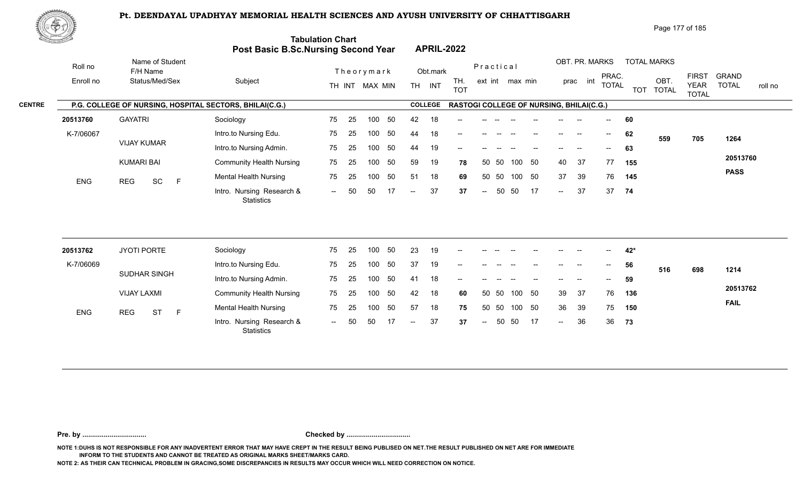

Page 177 of 185

| <u>Carl Carl Co</u> |                                                         | Post Basic B.Sc.Nursing Second Year            | <b>Tabulation Chart</b> |    |                |     |                          | <b>APRIL-2022</b> |                                                 |                          |       |                 |    |                            |                |              |     |                    |                             |                         |
|---------------------|---------------------------------------------------------|------------------------------------------------|-------------------------|----|----------------|-----|--------------------------|-------------------|-------------------------------------------------|--------------------------|-------|-----------------|----|----------------------------|----------------|--------------|-----|--------------------|-----------------------------|-------------------------|
| Roll no             | Name of Student<br>F/H Name                             |                                                |                         |    | Theorymark     |     |                          | Obt.mark          |                                                 | Practical                |       |                 |    |                            | OBT. PR. MARKS | PRAC.        |     | <b>TOTAL MARKS</b> | <b>FIRST</b>                | <b>GRAND</b>            |
| Enroll no           | Status/Med/Sex                                          | Subject                                        |                         |    | TH INT MAX MIN |     |                          | TH INT            | TH.<br><b>TOT</b>                               |                          |       | ext int max min |    |                            | prac int       | <b>TOTAL</b> |     | OBT.<br>TOT TOTAL  | <b>YEAR</b><br><b>TOTAL</b> | <b>TOTAL</b><br>roll no |
|                     | P.G. COLLEGE OF NURSING, HOSPITAL SECTORS, BHILAI(C.G.) |                                                |                         |    |                |     |                          | <b>COLLEGE</b>    | <b>RASTOGI COLLEGE OF NURSING, BHILAI(C.G.)</b> |                          |       |                 |    |                            |                |              |     |                    |                             |                         |
| 20513760            | <b>GAYATRI</b>                                          | Sociology                                      | 75                      | 25 | 100            | 50  | 42                       | 18                |                                                 |                          |       |                 |    |                            |                |              | 60  |                    |                             |                         |
| K-7/06067           |                                                         | Intro.to Nursing Edu.                          | 75                      | 25 | 100            | 50  | 44                       | 18                | --                                              |                          |       |                 |    | $\qquad \qquad -$          | $\sim$         | $--$         | 62  | 559                | 705                         | 1264                    |
|                     | <b>VIJAY KUMAR</b>                                      | Intro.to Nursing Admin.                        | 75                      | 25 | 100            | 50  | 44                       | 19                |                                                 |                          |       |                 |    |                            |                | $-$          | 63  |                    |                             |                         |
|                     | <b>KUMARI BAI</b>                                       | <b>Community Health Nursing</b>                | 75                      | 25 | 100            | 50  | 59                       | 19                | 78                                              |                          | 50 50 | 100             | 50 | 40                         | 37             | 77           | 155 |                    |                             | 20513760                |
| ENG                 | SC<br>$\mathsf F$<br><b>REG</b>                         | <b>Mental Health Nursing</b>                   | 75                      | 25 | 100            | 50  | 51                       | 18                | 69                                              |                          | 50 50 | 100 50          |    | 37                         | 39             | 76           | 145 |                    |                             | <b>PASS</b>             |
|                     |                                                         | Intro. Nursing Research &<br><b>Statistics</b> | $\sim$ $\sim$           | 50 | 50             | -17 | $-$                      | 37                | 37                                              | $\overline{\phantom{m}}$ | 50    | 50              | 17 | $\sim$                     | 37             | 37           | 74  |                    |                             |                         |
| 20513762            | JYOTI PORTE                                             | Sociology                                      | 75                      | 25 | 100            | 50  | 23                       | 19                |                                                 |                          |       |                 |    |                            |                |              | 42* |                    |                             |                         |
| K-7/06069           |                                                         | Intro.to Nursing Edu.                          | 75                      | 25 | 100            | 50  | 37                       | 19                |                                                 |                          |       |                 |    |                            |                |              |     |                    |                             |                         |
|                     | SUDHAR SINGH                                            |                                                |                         |    | 100            | 50  | 41                       |                   |                                                 |                          |       |                 |    |                            |                |              | 56  | 516                | 698                         | 1214                    |
|                     |                                                         | Intro.to Nursing Admin.                        | 75                      | 25 |                |     |                          | 18                |                                                 |                          |       |                 |    |                            |                |              | 59  |                    |                             | 20513762                |
|                     | <b>VIJAY LAXMI</b>                                      | <b>Community Health Nursing</b>                | 75                      | 25 | 100            | 50  | 42                       | 18                | 60                                              |                          | 50 50 | 100 50          |    | 39                         | 37             | 76           | 136 |                    |                             | <b>FAIL</b>             |
| ENG                 | <b>REG</b><br><b>ST</b><br>$\mathsf F$                  | <b>Mental Health Nursing</b>                   | 75                      | 25 | 100            | 50  | 57                       | 18                | 75                                              | 50                       | 50    | 100             | 50 | 36                         | 39             | 75           | 150 |                    |                             |                         |
|                     |                                                         | Intro. Nursing Research &<br>Statistics        | $--$                    | 50 | 50             | 17  | $\overline{\phantom{a}}$ | 37                | 37                                              | $\sim$                   | 50    | 50              | 17 | $\mathcal{L}(\mathcal{L})$ | 36             | 36           | 73  |                    |                             |                         |

**Pre. by ................................. Checked by .................................**

**NOTE 1:DUHS IS NOT RESPONSIBLE FOR ANY INADVERTENT ERROR THAT MAY HAVE CREPT IN THE RESULT BEING PUBLISED ON NET.THE RESULT PUBLISHED ON NET ARE FOR IMMEDIATE INFORM TO THE STUDENTS AND CANNOT BE TREATED AS ORIGINAL MARKS SHEET/MARKS CARD.**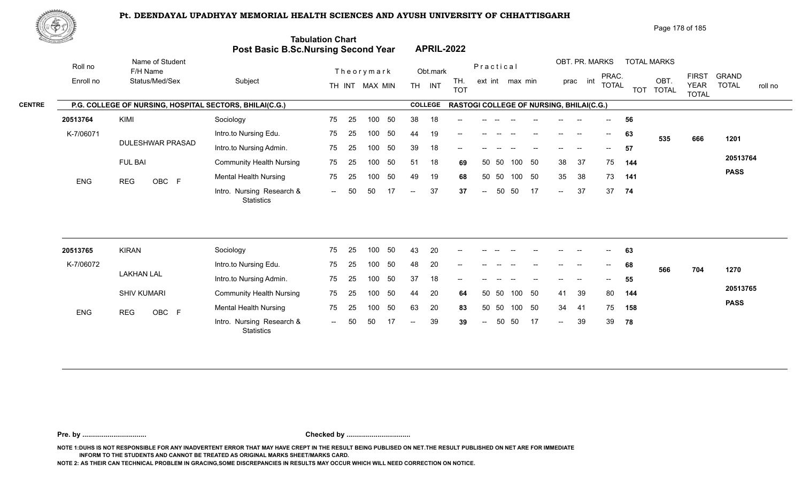

| Page 178 of 185 |
|-----------------|
|-----------------|

| XII.      |                                                         | Post Basic B.Sc.Nursing Second Year            | <b>Tabulation Chart</b> |    |                |    |                          |                | <b>APRIL-2022</b>                        |                          |           |                 |    |                            |          |                          |     |                    |                                             |                                         |
|-----------|---------------------------------------------------------|------------------------------------------------|-------------------------|----|----------------|----|--------------------------|----------------|------------------------------------------|--------------------------|-----------|-----------------|----|----------------------------|----------|--------------------------|-----|--------------------|---------------------------------------------|-----------------------------------------|
| Roll no   | Name of Student<br>F/H Name                             |                                                |                         |    | Theorymark     |    |                          | Obt.mark       |                                          |                          | Practical |                 |    |                            |          | OBT. PR. MARKS           |     | <b>TOTAL MARKS</b> |                                             |                                         |
| Enroll no | Status/Med/Sex                                          | Subject                                        |                         |    | TH INT MAX MIN |    |                          | TH INT         | TH.<br><b>TOT</b>                        |                          |           | ext int max min |    |                            | prac int | PRAC.<br><b>TOTAL</b>    |     | OBT.<br>TOT TOTAL  | <b>FIRST</b><br><b>YEAR</b><br><b>TOTAL</b> | <b>GRAND</b><br><b>TOTAL</b><br>roll no |
|           | P.G. COLLEGE OF NURSING, HOSPITAL SECTORS, BHILAI(C.G.) |                                                |                         |    |                |    |                          | <b>COLLEGE</b> | RASTOGI COLLEGE OF NURSING, BHILAI(C.G.) |                          |           |                 |    |                            |          |                          |     |                    |                                             |                                         |
| 20513764  | KIMI                                                    | Sociology                                      | 75                      | 25 | 100            | 50 | 38                       | 18             |                                          |                          |           |                 |    |                            |          |                          | 56  |                    |                                             |                                         |
| K-7/06071 |                                                         | Intro.to Nursing Edu.                          | 75                      | 25 | 100            | 50 | 44                       | 19             |                                          |                          |           |                 |    |                            | $\sim$   | $\overline{\phantom{a}}$ | 63  | 535                | 666                                         | 1201                                    |
|           | <b>DULESHWAR PRASAD</b>                                 | Intro.to Nursing Admin.                        | 75                      | 25 | 100            | 50 | 39                       | 18             |                                          |                          |           |                 |    |                            |          | $- -$                    | 57  |                    |                                             |                                         |
|           | <b>FUL BAI</b>                                          | <b>Community Health Nursing</b>                | 75                      | 25 | 100            | 50 | 51                       | 18             | 69                                       | 50                       | 50        | 100             | 50 | 38                         | 37       | 75                       | 144 |                    |                                             | 20513764                                |
| ENG       | OBC F<br><b>REG</b>                                     | <b>Mental Health Nursing</b>                   | 75                      | 25 | 100            | 50 | 49                       | 19             | 68                                       |                          | 50 50     | 100 50          |    | 35                         | 38       | 73                       | 141 |                    |                                             | <b>PASS</b>                             |
|           |                                                         | Intro. Nursing Research &<br><b>Statistics</b> | $\sim$ $\sim$           | 50 | 50             | 17 | $\overline{\phantom{m}}$ | 37             | 37                                       | $\overline{\phantom{a}}$ | 50        | 50              | 17 | $\sim$                     | 37       | 37                       | 74  |                    |                                             |                                         |
| 20513765  | <b>KIRAN</b>                                            | Sociology                                      | 75                      | 25 | 100            | 50 | 43                       | 20             |                                          |                          |           |                 |    |                            |          |                          | 63  |                    |                                             |                                         |
| K-7/06072 |                                                         | Intro.to Nursing Edu.                          | 75                      | 25 | 100            | 50 | 48                       | 20             |                                          |                          |           |                 |    |                            |          |                          | 68  |                    |                                             |                                         |
|           | <b>LAKHAN LAL</b>                                       | Intro.to Nursing Admin.                        | 75                      | 25 | 100            | 50 | 37                       | 18             | --                                       |                          |           |                 |    |                            |          |                          | 55  | 566                | 704                                         | 1270                                    |
|           | <b>SHIV KUMARI</b>                                      | <b>Community Health Nursing</b>                | 75                      | 25 | 100            | 50 | 44                       | 20             | 64                                       | 50                       | 50        | 100             | 50 | 41                         | 39       | 80                       | 144 |                    |                                             | 20513765                                |
|           |                                                         | <b>Mental Health Nursing</b>                   | 75                      | 25 | 100            | 50 | 63                       | 20             | 83                                       |                          | 50 50     | 100 50          |    | 34                         | -41      | 75                       | 158 |                    |                                             | <b>PASS</b>                             |
| ENG       | OBC F<br><b>REG</b>                                     | Intro. Nursing Research &<br><b>Statistics</b> | $  \,$                  | 50 | 50             | 17 | $\overline{\phantom{a}}$ | 39             | 39                                       | $\overline{\phantom{a}}$ | 50        | 50              | 17 | $\mathcal{L}(\mathcal{L})$ | 39       | 39                       | 78  |                    |                                             |                                         |
|           |                                                         |                                                |                         |    |                |    |                          |                |                                          |                          |           |                 |    |                            |          |                          |     |                    |                                             |                                         |

**Pre. by ................................. Checked by .................................**

**NOTE 1:DUHS IS NOT RESPONSIBLE FOR ANY INADVERTENT ERROR THAT MAY HAVE CREPT IN THE RESULT BEING PUBLISED ON NET.THE RESULT PUBLISHED ON NET ARE FOR IMMEDIATE INFORM TO THE STUDENTS AND CANNOT BE TREATED AS ORIGINAL MARKS SHEET/MARKS CARD.**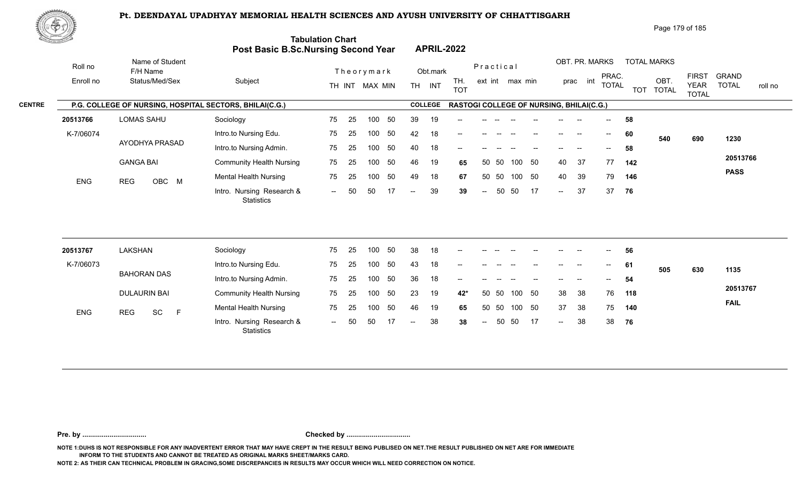

Page 179 of 185

| <u>Cardinal Co</u> |                      |                                                         | <b>Post Basic B.Sc.Nursing Second Year</b>     | <b>Tabulation Chart</b> |    |                              |    |                          |                    | <b>APRIL-2022</b>                        |        |           |                 |    |                            |                            |                                       |     |                                         |                                             |                              |         |
|--------------------|----------------------|---------------------------------------------------------|------------------------------------------------|-------------------------|----|------------------------------|----|--------------------------|--------------------|------------------------------------------|--------|-----------|-----------------|----|----------------------------|----------------------------|---------------------------------------|-----|-----------------------------------------|---------------------------------------------|------------------------------|---------|
|                    | Roll no<br>Enroll no | Name of Student<br>F/H Name<br>Status/Med/Sex           | Subject                                        |                         |    | Theorymark<br>TH INT MAX MIN |    |                          | Obt.mark<br>TH INT | TH.<br><b>TOT</b>                        |        | Practical | ext int max min |    |                            | OBT. PR. MARKS<br>prac int | PRAC.<br><b>TOTAL</b>                 |     | <b>TOTAL MARKS</b><br>OBT.<br>TOT TOTAL | <b>FIRST</b><br><b>YEAR</b><br><b>TOTAL</b> | <b>GRAND</b><br><b>TOTAL</b> | roll no |
| <b>CENTRE</b>      |                      | P.G. COLLEGE OF NURSING, HOSPITAL SECTORS, BHILAI(C.G.) |                                                |                         |    |                              |    |                          | <b>COLLEGE</b>     | RASTOGI COLLEGE OF NURSING, BHILAI(C.G.) |        |           |                 |    |                            |                            |                                       |     |                                         |                                             |                              |         |
|                    | 20513766             | <b>LOMAS SAHU</b>                                       | Sociology                                      | 75                      | 25 | 100                          | 50 | 39                       | 19                 |                                          |        |           |                 |    |                            |                            |                                       | 58  |                                         |                                             |                              |         |
|                    | K-7/06074            |                                                         | Intro.to Nursing Edu.                          | 75                      | 25 | 100                          | 50 | 42                       | 18                 |                                          |        |           |                 |    |                            |                            |                                       | 60  | 540                                     | 690                                         | 1230                         |         |
|                    |                      | AYODHYA PRASAD                                          | Intro.to Nursing Admin.                        | 75                      | 25 | 100                          | 50 | 40                       | 18                 |                                          |        |           |                 |    |                            |                            |                                       | 58  |                                         |                                             |                              |         |
|                    |                      | <b>GANGA BAI</b>                                        | <b>Community Health Nursing</b>                | 75                      | 25 | 100                          | 50 | 46                       | 19                 | 65                                       |        | 50 50     | 100             | 50 | 40                         | 37                         | 77                                    | 142 |                                         |                                             | 20513766                     |         |
|                    | <b>ENG</b>           | OBC M<br><b>REG</b>                                     | <b>Mental Health Nursing</b>                   | 75                      | 25 | 100                          | 50 | 49                       | 18                 | 67                                       |        | 50 50     | 100 50          |    | 40                         | 39                         | 79                                    | 146 |                                         |                                             | <b>PASS</b>                  |         |
|                    |                      |                                                         | Intro. Nursing Research &<br>Statistics        | $--$                    | 50 | 50                           | 17 | $\overline{\phantom{a}}$ | 39                 | 39                                       | $\sim$ | 50        | 50              | 17 | $\sim$                     | -37                        | 37                                    | 76  |                                         |                                             |                              |         |
|                    | 20513767             | <b>LAKSHAN</b>                                          | Sociology                                      | 75                      | 25 | 100                          | 50 | 38                       | 18                 |                                          |        |           |                 |    |                            |                            | $-$                                   | 56  |                                         |                                             |                              |         |
|                    | K-7/06073            |                                                         | Intro.to Nursing Edu.                          | 75                      | 25 | 100                          | 50 | 43                       | 18                 |                                          |        |           |                 |    |                            |                            | $\hspace{0.05cm}$ – $\hspace{0.05cm}$ | 61  |                                         |                                             |                              |         |
|                    |                      | <b>BAHORAN DAS</b>                                      | Intro.to Nursing Admin.                        | 75                      | 25 | 100                          | 50 | 36                       | 18                 |                                          |        |           |                 |    |                            |                            |                                       | 54  | 505                                     | 630                                         | 1135                         |         |
|                    |                      | <b>DULAURIN BAI</b>                                     | <b>Community Health Nursing</b>                | 75                      | 25 | 100                          | 50 | 23                       | 19                 | 42*                                      | 50     | -50       | 100             | 50 | 38                         | 38                         | 76                                    | 118 |                                         |                                             | 20513767                     |         |
|                    |                      |                                                         | <b>Mental Health Nursing</b>                   | 75                      | 25 | 100                          | 50 | 46                       | 19                 | 65                                       | 50     | 50        | 100             | 50 | 37                         | 38                         | 75                                    | 140 |                                         |                                             | <b>FAIL</b>                  |         |
|                    | <b>ENG</b>           | <b>REG</b><br>SC<br>$\mathsf F$                         | Intro. Nursing Research &<br><b>Statistics</b> | $  \,$                  | 50 | 50                           | 17 | $-$                      | 38                 | 38                                       | $\sim$ | 50        | 50              | 17 | $\mathcal{L}(\mathcal{L})$ | 38                         | 38                                    | 76  |                                         |                                             |                              |         |
|                    |                      |                                                         |                                                |                         |    |                              |    |                          |                    |                                          |        |           |                 |    |                            |                            |                                       |     |                                         |                                             |                              |         |

**Pre. by ................................. Checked by .................................**

**NOTE 1:DUHS IS NOT RESPONSIBLE FOR ANY INADVERTENT ERROR THAT MAY HAVE CREPT IN THE RESULT BEING PUBLISED ON NET.THE RESULT PUBLISHED ON NET ARE FOR IMMEDIATE INFORM TO THE STUDENTS AND CANNOT BE TREATED AS ORIGINAL MARKS SHEET/MARKS CARD.**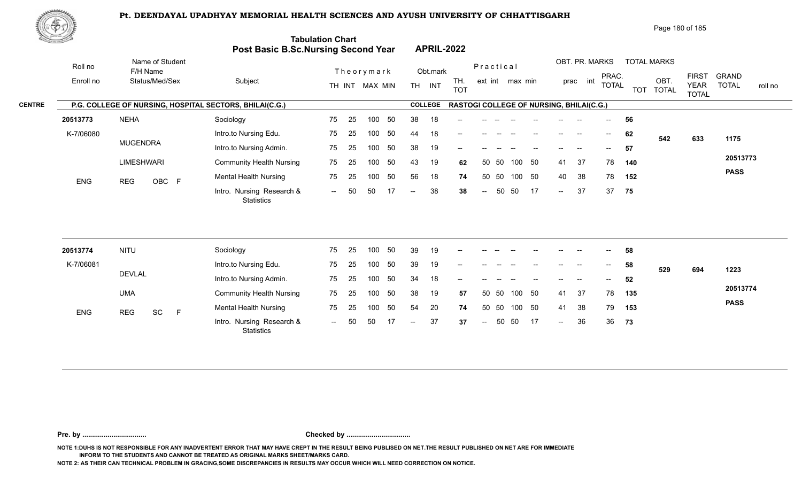

Page 180 of 185

| <u>Cardinal Co</u> |            |                                                         | Post Basic B.Sc.Nursing Second Year            | <b>Tabulation Chart</b> |    |                |     |                          |                             | <b>APRIL-2022</b>                        |                          |           |        |          |                            |                          |                         |                             |                         |              |              |
|--------------------|------------|---------------------------------------------------------|------------------------------------------------|-------------------------|----|----------------|-----|--------------------------|-----------------------------|------------------------------------------|--------------------------|-----------|--------|----------|----------------------------|--------------------------|-------------------------|-----------------------------|-------------------------|--------------|--------------|
|                    | Roll no    | Name of Student<br>F/H Name                             |                                                |                         |    | Theorymark     |     |                          | Obt.mark                    |                                          |                          | Practical |        |          |                            |                          | OBT. PR. MARKS<br>PRAC. |                             | <b>TOTAL MARKS</b>      | <b>FIRST</b> | <b>GRAND</b> |
|                    | Enroll no  | Status/Med/Sex                                          | Subject                                        |                         |    | TH INT MAX MIN |     |                          | TH.<br>TH INT<br><b>TOT</b> |                                          | ext int max min          |           |        | prac int | <b>TOTAL</b>               |                          | OBT.<br>TOT TOTAL       | <b>YEAR</b><br><b>TOTAL</b> | <b>TOTAL</b><br>roll no |              |              |
| <b>CENTRE</b>      |            | P.G. COLLEGE OF NURSING, HOSPITAL SECTORS, BHILAI(C.G.) |                                                |                         |    |                |     |                          | <b>COLLEGE</b>              | RASTOGI COLLEGE OF NURSING, BHILAI(C.G.) |                          |           |        |          |                            |                          |                         |                             |                         |              |              |
|                    | 20513773   | <b>NEHA</b>                                             | Sociology                                      | 75                      | 25 | 100            | 50  | 38                       | 18                          |                                          |                          |           |        |          |                            |                          |                         | 56                          |                         |              |              |
|                    | K-7/06080  |                                                         | Intro.to Nursing Edu.                          | 75                      | 25 | 100            | 50  | 44                       | 18                          |                                          |                          |           |        |          | $\qquad \qquad -$          | $\overline{\phantom{a}}$ | $--$                    | 62                          | 542                     | 633          | 1175         |
|                    |            | <b>MUGENDRA</b>                                         | Intro.to Nursing Admin.                        | 75                      | 25 | 100            | 50  | 38                       | 19                          | --                                       |                          |           |        |          |                            | --                       | $-$                     | 57                          |                         |              |              |
|                    |            | <b>LIMESHWARI</b>                                       | <b>Community Health Nursing</b>                | 75                      | 25 | 100            | 50  | 43                       | 19                          | 62                                       | 50                       | 50        | 100    | 50       | 41                         | 37                       | 78                      | 140                         |                         |              | 20513773     |
|                    | <b>ENG</b> | OBC F<br><b>REG</b>                                     | <b>Mental Health Nursing</b>                   | 75                      | 25 | 100            | 50  | 56                       | 18                          | 74                                       |                          | 50 50     | 100 50 |          | 40                         | 38                       | 78                      | 152                         |                         |              | <b>PASS</b>  |
|                    |            |                                                         | Intro. Nursing Research &<br>Statistics        | $\sim$                  | 50 | 50             | -17 | $-$                      | 38                          | 38                                       | $\overline{\phantom{a}}$ | 50        | 50     | 17       | $\sim$                     | 37                       | 37                      | 75                          |                         |              |              |
|                    |            |                                                         |                                                |                         |    |                |     |                          |                             |                                          |                          |           |        |          |                            |                          |                         |                             |                         |              |              |
|                    | 20513774   | <b>NITU</b>                                             | Sociology                                      | 75                      | 25 | 100            | 50  | 39                       | 19                          | --                                       |                          |           |        |          |                            |                          | $-$                     | 58                          |                         |              |              |
|                    | K-7/06081  |                                                         | Intro.to Nursing Edu.                          | 75                      | 25 | 100            | 50  | 39                       | 19                          |                                          |                          |           |        |          |                            |                          | $--$                    | 58                          | 529<br>694              |              | 1223         |
|                    |            | <b>DEVLAL</b>                                           | Intro.to Nursing Admin.                        | 75                      | 25 | 100            | 50  | 34                       | 18                          | --                                       |                          |           |        |          |                            |                          |                         | 52                          |                         |              |              |
|                    |            | <b>UMA</b>                                              | <b>Community Health Nursing</b>                | 75                      | 25 | 100            | 50  | 38                       | 19                          | 57                                       | 50                       | 50        | 100    | 50       | 41                         | 37                       | 78                      | 135                         |                         |              | 20513774     |
|                    | <b>ENG</b> | <b>REG</b><br>SC<br>$\mathsf{F}$                        | <b>Mental Health Nursing</b>                   | 75                      | 25 | 100            | 50  | 54                       | 20                          | 74                                       |                          | 50 50     | 100 50 |          | 41                         | 38                       | 79                      | 153                         |                         |              | <b>PASS</b>  |
|                    |            |                                                         | Intro. Nursing Research &<br><b>Statistics</b> | $\sim$ $\sim$           | 50 | 50             | 17  | $\overline{\phantom{a}}$ | 37                          | 37                                       | $\overline{\phantom{a}}$ | 50        | 50     | 17       | $\mathcal{L}(\mathcal{L})$ | 36                       | 36                      | 73                          |                         |              |              |
|                    |            |                                                         |                                                |                         |    |                |     |                          |                             |                                          |                          |           |        |          |                            |                          |                         |                             |                         |              |              |

**Pre. by ................................. Checked by .................................**

**NOTE 1:DUHS IS NOT RESPONSIBLE FOR ANY INADVERTENT ERROR THAT MAY HAVE CREPT IN THE RESULT BEING PUBLISED ON NET.THE RESULT PUBLISHED ON NET ARE FOR IMMEDIATE INFORM TO THE STUDENTS AND CANNOT BE TREATED AS ORIGINAL MARKS SHEET/MARKS CARD.**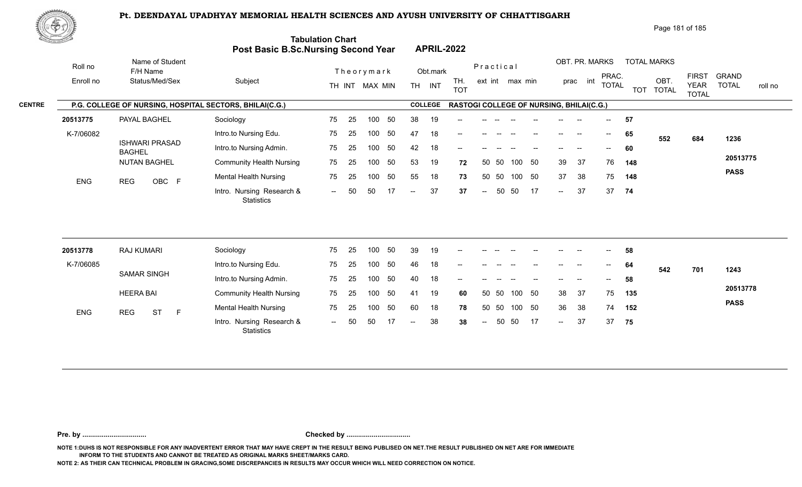

Page 181 of 185

| <u> Carl Co</u>      |                                                         | Post Basic B.Sc.Nursing Second Year            | <b>Tabulation Chart</b>      |    |     |    |                          |                   | <b>APRIL-2022</b>                        |                |                              |        |    |                   |    |                            |                       |     |                                         |                             |                                         |
|----------------------|---------------------------------------------------------|------------------------------------------------|------------------------------|----|-----|----|--------------------------|-------------------|------------------------------------------|----------------|------------------------------|--------|----|-------------------|----|----------------------------|-----------------------|-----|-----------------------------------------|-----------------------------|-----------------------------------------|
| Roll no<br>Enroll no | Name of Student<br>F/H Name<br>Status/Med/Sex           | Subject                                        | Theorymark<br>TH INT MAX MIN |    |     |    | Obt.mark<br>TH INT       | TH.<br><b>TOT</b> |                                          |                | Practical<br>ext int max min |        |    |                   |    | OBT. PR. MARKS<br>prac int | PRAC.<br><b>TOTAL</b> |     | <b>TOTAL MARKS</b><br>OBT.<br>TOT TOTAL | <b>FIRST</b><br><b>YEAR</b> | <b>GRAND</b><br><b>TOTAL</b><br>roll no |
|                      | P.G. COLLEGE OF NURSING, HOSPITAL SECTORS, BHILAI(C.G.) |                                                |                              |    |     |    |                          | <b>COLLEGE</b>    | RASTOGI COLLEGE OF NURSING, BHILAI(C.G.) |                |                              |        |    |                   |    |                            |                       |     | <b>TOTAL</b>                            |                             |                                         |
| 20513775             | PAYAL BAGHEL                                            | Sociology                                      | 75                           | 25 | 100 | 50 | 38                       | 19                |                                          |                |                              |        |    |                   |    |                            | 57                    |     |                                         |                             |                                         |
| K-7/06082            |                                                         | Intro.to Nursing Edu.                          | 75                           | 25 | 100 | 50 | 47                       | 18                |                                          |                |                              |        |    | $\qquad \qquad -$ |    | $--$                       | 65                    | 552 | 684                                     | 1236                        |                                         |
|                      | <b>ISHWARI PRASAD</b><br><b>BAGHEL</b>                  | Intro.to Nursing Admin.                        | 75                           | 25 | 100 | 50 | 42                       | 18                |                                          |                |                              |        |    |                   |    | $-$                        | 60                    |     |                                         |                             |                                         |
|                      | <b>NUTAN BAGHEL</b>                                     | <b>Community Health Nursing</b>                | 75                           | 25 | 100 | 50 | 53                       | 19                | 72                                       | 50             | 50                           | 100    | 50 | 39                | 37 | 76                         | 148                   |     |                                         | 20513775                    |                                         |
| ENG                  | <b>REG</b><br>OBC F                                     | <b>Mental Health Nursing</b>                   | 75                           | 25 | 100 | 50 | 55                       | 18                | 73                                       |                | 50 50                        | 100 50 |    | 37                | 38 | 75                         | 148                   |     |                                         | <b>PASS</b>                 |                                         |
|                      |                                                         | Intro. Nursing Research &<br><b>Statistics</b> | $\sim$                       | 50 | 50  | 17 | $\overline{\phantom{a}}$ | 37                | 37                                       | $\overline{a}$ | 50                           | 50     | 17 | $\sim$ $\sim$     | 37 | 37                         | 74                    |     |                                         |                             |                                         |
|                      |                                                         |                                                |                              |    |     |    |                          |                   |                                          |                |                              |        |    |                   |    |                            |                       |     |                                         |                             |                                         |
| 20513778             | <b>RAJ KUMARI</b>                                       | Sociology                                      | 75                           | 25 | 100 | 50 | 39                       | 19                |                                          |                |                              |        |    |                   |    |                            | 58                    |     |                                         |                             |                                         |
| K-7/06085            | <b>SAMAR SINGH</b>                                      | Intro.to Nursing Edu.                          | 75                           | 25 | 100 | 50 | 46                       | 18                |                                          |                |                              |        |    |                   |    | $\overline{\phantom{a}}$   | 64                    | 542 | 701                                     | 1243                        |                                         |
|                      |                                                         | Intro.to Nursing Admin.                        | 75                           | 25 | 100 | 50 | 40                       | 18                |                                          |                |                              |        |    |                   |    |                            | 58                    |     |                                         | 20513778                    |                                         |
|                      | <b>HEERA BAI</b>                                        | <b>Community Health Nursing</b>                | 75                           | 25 | 100 | 50 | 41                       | 19                | 60                                       |                | 50 50                        | 100 50 |    | 38                | 37 | 75                         | 135                   |     |                                         | <b>PASS</b>                 |                                         |
| ENG                  | <b>ST</b><br>F<br><b>REG</b>                            | <b>Mental Health Nursing</b>                   | 75                           | 25 | 100 | 50 | 60                       | 18                | 78                                       |                | 50 50                        | 100 50 |    | 36                | 38 | 74                         | 152                   |     |                                         |                             |                                         |
|                      |                                                         | Intro. Nursing Research &<br><b>Statistics</b> | $\sim$                       | 50 | 50  | 17 | $\overline{\phantom{a}}$ | 38                | 38                                       | $\overline{a}$ | 50                           | 50     | 17 | $\sim$            | 37 | 37                         | 75                    |     |                                         |                             |                                         |
|                      |                                                         |                                                |                              |    |     |    |                          |                   |                                          |                |                              |        |    |                   |    |                            |                       |     |                                         |                             |                                         |

**Pre. by ................................. Checked by .................................**

**NOTE 1:DUHS IS NOT RESPONSIBLE FOR ANY INADVERTENT ERROR THAT MAY HAVE CREPT IN THE RESULT BEING PUBLISED ON NET.THE RESULT PUBLISHED ON NET ARE FOR IMMEDIATE INFORM TO THE STUDENTS AND CANNOT BE TREATED AS ORIGINAL MARKS SHEET/MARKS CARD.**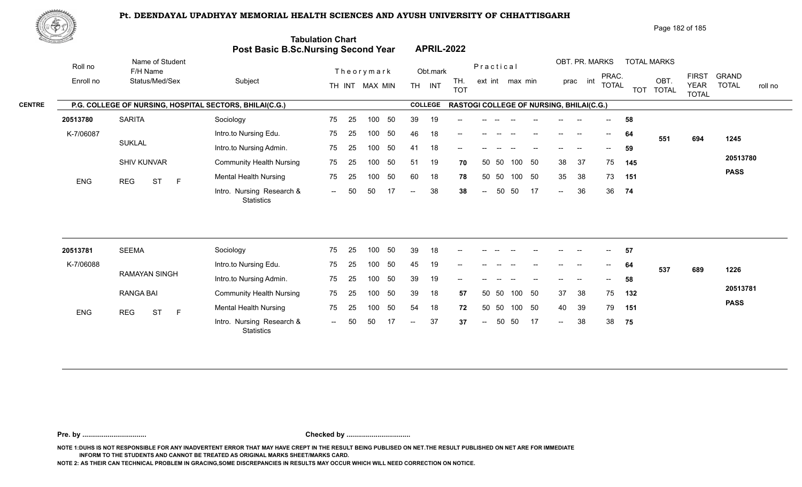

Page 182 of 185

| <u>Carl Carl Co</u>            |                                                         | Post Basic B.Sc.Nursing Second Year            | <b>Tabulation Chart</b> |    |                |          |                |                | <b>APRIL-2022</b>                               |                |       |                 |                                       |                            |                    |                          |              |                   |                             |                         |
|--------------------------------|---------------------------------------------------------|------------------------------------------------|-------------------------|----|----------------|----------|----------------|----------------|-------------------------------------------------|----------------|-------|-----------------|---------------------------------------|----------------------------|--------------------|--------------------------|--------------|-------------------|-----------------------------|-------------------------|
| Roll no                        | Name of Student<br>F/H Name                             |                                                | Theorymark              |    |                | Obt.mark |                |                | Practical                                       |                |       |                 | OBT. PR. MARKS                        | PRAC.                      | <b>TOTAL MARKS</b> | <b>FIRST</b>             | <b>GRAND</b> |                   |                             |                         |
| Enroll no                      | Status/Med/Sex                                          | Subject                                        |                         |    | TH INT MAX MIN |          |                | TH INT         | TH.<br><b>TOT</b>                               |                |       | ext int max min |                                       |                            | prac int           | <b>TOTAL</b>             |              | OBT.<br>TOT TOTAL | <b>YEAR</b><br><b>TOTAL</b> | <b>TOTAL</b><br>roll no |
|                                | P.G. COLLEGE OF NURSING, HOSPITAL SECTORS, BHILAI(C.G.) |                                                |                         |    |                |          |                | <b>COLLEGE</b> | <b>RASTOGI COLLEGE OF NURSING, BHILAI(C.G.)</b> |                |       |                 |                                       |                            |                    |                          |              |                   |                             |                         |
| 20513780                       | <b>SARITA</b>                                           | Sociology                                      | 75                      | 25 | 100            | 50       | 39             | 19             |                                                 |                |       |                 |                                       |                            |                    |                          | 58           |                   |                             |                         |
| K-7/06087                      |                                                         | Intro.to Nursing Edu.                          | 75                      | 25 | 100            | 50       | 46             | 18             | --                                              |                |       |                 | $\hspace{0.05cm}$ – $\hspace{0.05cm}$ | $\overline{\phantom{a}}$   | $\rightarrow$      | $--$                     | 64           | 551               | 694                         | 1245                    |
|                                | <b>SUKLAL</b>                                           | Intro.to Nursing Admin.                        | 75                      | 25 | 100            | 50       | 41             | 18             |                                                 |                |       |                 |                                       |                            |                    | $\overline{\phantom{a}}$ | 59           |                   |                             |                         |
|                                | <b>SHIV KUNVAR</b>                                      | <b>Community Health Nursing</b>                | 75                      | 25 | 100            | 50       | 51             | 19             | 70                                              |                | 50 50 | 100             | 50                                    | 38                         | 37                 | 75                       | 145          |                   |                             | 20513780                |
| ENG<br><b>ST</b><br><b>REG</b> | $\mathsf{F}$                                            | <b>Mental Health Nursing</b>                   | 75                      | 25 | 100            | 50       | 60             | 18             | 78                                              | 50             | 50    | 100 50          |                                       | 35                         | 38                 | 73                       | 151          |                   |                             | <b>PASS</b>             |
|                                |                                                         | Intro. Nursing Research &<br><b>Statistics</b> | $\sim$ $\sim$           | 50 | 50             | -17      | $\overline{a}$ | 38             | 38                                              | $\overline{a}$ | 50    | 50              | 17                                    | $\mathcal{L}(\mathcal{L})$ | 36                 | 36                       | 74           |                   |                             |                         |
| 20513781                       | <b>SEEMA</b>                                            | Sociology                                      | 75                      | 25 | 100            | 50       | 39             | 18             |                                                 |                |       |                 |                                       |                            |                    |                          | 57           |                   |                             |                         |
|                                |                                                         |                                                |                         |    |                | 50       |                |                |                                                 |                |       |                 |                                       |                            |                    |                          |              |                   |                             |                         |
| K-7/06088                      | <b>RAMAYAN SINGH</b>                                    | Intro.to Nursing Edu.                          | 75                      | 25 | 100            |          | 45             | 19             |                                                 |                |       |                 |                                       |                            |                    |                          | 64           | 537               | 689                         | 1226                    |
|                                |                                                         | Intro.to Nursing Admin.                        | 75                      | 25 | 100            | 50       | 39             | 19             |                                                 |                |       |                 |                                       |                            |                    |                          | 58           |                   |                             | 20513781                |
|                                | <b>RANGA BAI</b>                                        | <b>Community Health Nursing</b>                | 75                      | 25 | 100            | 50       | 39             | 18             | 57                                              | 50             | 50    | 100             | 50                                    | 37                         | 38                 | 75                       | 132          |                   |                             | <b>PASS</b>             |
| <b>ENG</b>                     | <b>ST</b><br>$\mathsf F$<br><b>REG</b>                  | <b>Mental Health Nursing</b>                   | 75                      | 25 | 100            | 50       | 54             | 18             | 72                                              | 50             | 50    | 100             | 50                                    | 40                         | 39                 | 79                       | 151          |                   |                             |                         |
|                                |                                                         | Intro. Nursing Research &                      | $\sim$                  | 50 | 50             | 17       | $\sim$         | 37             | 37                                              | $\sim$         | 50    | 50              | 17                                    | $\sim$                     | 38                 | 38                       | 75           |                   |                             |                         |

**Pre. by ................................. Checked by .................................**

**NOTE 1:DUHS IS NOT RESPONSIBLE FOR ANY INADVERTENT ERROR THAT MAY HAVE CREPT IN THE RESULT BEING PUBLISED ON NET.THE RESULT PUBLISHED ON NET ARE FOR IMMEDIATE INFORM TO THE STUDENTS AND CANNOT BE TREATED AS ORIGINAL MARKS SHEET/MARKS CARD.**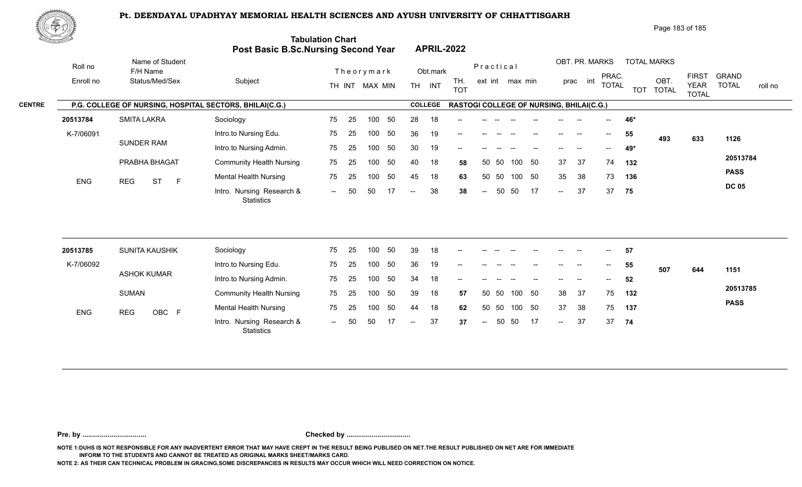

Page 183 of 185

| RE STATISTICS OF THE STATISTICS OF THE STATISTICS OF THE STATISTICS OF THE STATISTICS OF THE STATISTICS OF THE |                                                         | Post Basic B.Sc.Nursing Second Year            | <b>Tabulation Chart</b> |    |                              |     |                          |                    | <b>APRIL-2022</b>                        |                          |       |                 |    |                   |                            |                          |     |                                         |                             |                                         |
|----------------------------------------------------------------------------------------------------------------|---------------------------------------------------------|------------------------------------------------|-------------------------|----|------------------------------|-----|--------------------------|--------------------|------------------------------------------|--------------------------|-------|-----------------|----|-------------------|----------------------------|--------------------------|-----|-----------------------------------------|-----------------------------|-----------------------------------------|
| Roll no<br>Enroll no                                                                                           | Name of Student<br>F/H Name<br>Status/Med/Sex           | Subject                                        |                         |    | Theorymark<br>TH INT MAX MIN |     |                          | Obt.mark<br>TH INT | TH.<br><b>TOT</b>                        | Practical                |       | ext int max min |    |                   | OBT. PR. MARKS<br>prac int | PRAC.<br><b>TOTAL</b>    |     | <b>TOTAL MARKS</b><br>OBT.<br>TOT TOTAL | <b>FIRST</b><br><b>YEAR</b> | <b>GRAND</b><br><b>TOTAL</b><br>roll no |
|                                                                                                                | P.G. COLLEGE OF NURSING, HOSPITAL SECTORS, BHILAI(C.G.) |                                                |                         |    |                              |     |                          | <b>COLLEGE</b>     | RASTOGI COLLEGE OF NURSING, BHILAI(C.G.) |                          |       |                 |    |                   |                            |                          |     |                                         | <b>TOTAL</b>                |                                         |
| 20513784                                                                                                       | <b>SMITA LAKRA</b>                                      | Sociology                                      | 75                      | 25 | 100                          | 50  | 28                       | 18                 |                                          |                          |       |                 |    |                   |                            |                          | 46* |                                         |                             |                                         |
| K-7/06091                                                                                                      |                                                         | Intro.to Nursing Edu.                          | 75                      | 25 | 100                          | 50  | 36                       | 19                 | --                                       |                          |       |                 |    | $\qquad \qquad -$ | $\overline{\phantom{a}}$   | $--$                     | 55  |                                         |                             |                                         |
|                                                                                                                | <b>SUNDER RAM</b>                                       | Intro.to Nursing Admin.                        | 75                      | 25 | 100                          | 50  | 30                       | 19                 |                                          |                          |       |                 |    |                   |                            | $\overline{\phantom{a}}$ | 49* | 493                                     | 633                         | 1126                                    |
|                                                                                                                | PRABHA BHAGAT                                           | <b>Community Health Nursing</b>                | 75                      | 25 | 100                          | 50  | 40                       | 18                 | 58                                       |                          | 50 50 | 100             | 50 | 37                | 37                         | 74                       | 132 |                                         |                             | 20513784                                |
|                                                                                                                |                                                         | <b>Mental Health Nursing</b>                   | 75                      | 25 | 100                          | 50  | 45                       | 18                 | 63                                       |                          | 50 50 | 100 50          |    | 35                | 38                         | 73                       | 136 |                                         |                             | <b>PASS</b>                             |
| <b>ENG</b>                                                                                                     | <b>REG</b><br><b>ST</b><br>$\mathsf{F}$                 | Intro. Nursing Research &<br><b>Statistics</b> | $\sim$ $\sim$           | 50 | 50                           | 17  | $\overline{\phantom{a}}$ | 38                 | 38                                       | $\overline{\phantom{a}}$ | 50    | 50              | 17 | $\sim$            | 37                         | 37                       | 75  |                                         |                             | <b>DC 05</b>                            |
| 20513785                                                                                                       | SUNITA KAUSHIK                                          | Sociology                                      | 75                      | 25 | 100                          | 50  | 39                       | 18                 | --                                       |                          |       |                 |    |                   |                            | $\overline{\phantom{a}}$ | 57  |                                         |                             |                                         |
| K-7/06092                                                                                                      |                                                         | Intro.to Nursing Edu.                          | 75                      | 25 | 100                          | 50  | 36                       | 19                 |                                          |                          |       |                 |    |                   |                            | $\overline{\phantom{a}}$ | 55  | 507                                     |                             |                                         |
|                                                                                                                | <b>ASHOK KUMAR</b>                                      | Intro.to Nursing Admin.                        | 75                      | 25 | 100                          | 50  | 34                       | 18                 |                                          |                          |       |                 |    |                   |                            | $-$                      | 52  |                                         | 644                         | 1151                                    |
|                                                                                                                | <b>SUMAN</b>                                            | <b>Community Health Nursing</b>                | 75                      | 25 | 100                          | 50  | 39                       | 18                 | 57                                       |                          | 50 50 | 100 50          |    | 38                | 37                         | 75                       | 132 |                                         |                             | 20513785                                |
| ENG                                                                                                            | <b>REG</b><br>OBC F                                     | <b>Mental Health Nursing</b>                   | 75                      | 25 | 100                          | 50  | 44                       | 18                 | 62                                       | 50                       | 50    | 100 50          |    | 37                | 38                         | 75                       | 137 |                                         |                             | <b>PASS</b>                             |
|                                                                                                                |                                                         | Intro. Nursing Research &<br>Statistics        | $\sim$                  | 50 | 50                           | -17 | $\overline{\phantom{a}}$ | 37                 | 37                                       | $\overline{\phantom{a}}$ | 50    | 50              | 17 | $\sim$            | 37                         | 37                       | 74  |                                         |                             |                                         |

**Pre. by ................................. Checked by .................................**

**NOTE 1:DUHS IS NOT RESPONSIBLE FOR ANY INADVERTENT ERROR THAT MAY HAVE CREPT IN THE RESULT BEING PUBLISED ON NET.THE RESULT PUBLISHED ON NET ARE FOR IMMEDIATE INFORM TO THE STUDENTS AND CANNOT BE TREATED AS ORIGINAL MARKS SHEET/MARKS CARD.**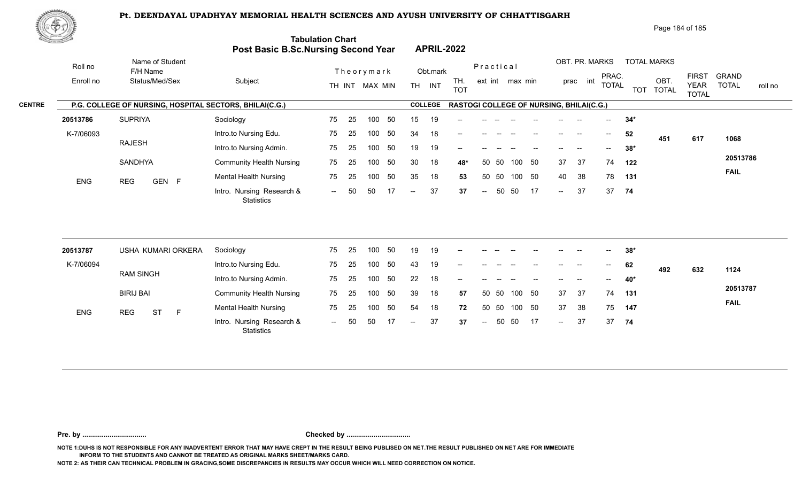

Page 184 of 185

| <u> Estados de</u> |                                            |                                                                                                                             |                                                                                                          |          |     |     |                                                             |    |                                |                                      |      |                                        |    |                                                      |    |                          |                                                                        |                                                              |                                                 |                                                |
|--------------------|--------------------------------------------|-----------------------------------------------------------------------------------------------------------------------------|----------------------------------------------------------------------------------------------------------|----------|-----|-----|-------------------------------------------------------------|----|--------------------------------|--------------------------------------|------|----------------------------------------|----|------------------------------------------------------|----|--------------------------|------------------------------------------------------------------------|--------------------------------------------------------------|-------------------------------------------------|------------------------------------------------|
| Roll no            | Name of Student<br>F/H Name                |                                                                                                                             | Theorymark                                                                                               |          |     |     |                                                             |    |                                | Practical                            |      |                                        |    |                                                      |    |                          |                                                                        |                                                              | <b>GRAND</b>                                    |                                                |
| Enroll no          |                                            |                                                                                                                             |                                                                                                          |          |     |     |                                                             |    | <b>TOT</b>                     |                                      |      |                                        |    |                                                      |    |                          |                                                                        | <b>TOTAL</b>                                                 | <b>YEAR</b><br><b>TOTAL</b>                     | <b>TOTAL</b><br>roll no                        |
|                    |                                            |                                                                                                                             |                                                                                                          |          |     |     |                                                             |    |                                |                                      |      |                                        |    |                                                      |    |                          |                                                                        |                                                              |                                                 |                                                |
| 20513786           | <b>SUPRIYA</b>                             | Sociology                                                                                                                   | 75                                                                                                       | 25       | 100 | 50  | 15 <sub>1</sub>                                             | 19 |                                |                                      |      |                                        |    |                                                      |    |                          | $34*$                                                                  |                                                              |                                                 |                                                |
| K-7/06093          |                                            | Intro.to Nursing Edu.                                                                                                       | 75                                                                                                       | 25       | 100 | 50  | 34                                                          | 18 |                                |                                      |      |                                        |    |                                                      |    | $--$                     | 52                                                                     |                                                              |                                                 | 1068                                           |
|                    |                                            | Intro.to Nursing Admin.                                                                                                     | 75                                                                                                       | 25       | 100 | 50  | 19                                                          | 19 |                                |                                      |      |                                        |    |                                                      |    |                          | $38*$                                                                  |                                                              |                                                 |                                                |
|                    | <b>SANDHYA</b>                             | <b>Community Health Nursing</b>                                                                                             | 75                                                                                                       | 25       | 100 | 50  | 30                                                          | 18 | 48*                            |                                      | - 50 |                                        |    | 37                                                   | 37 |                          | 122                                                                    |                                                              |                                                 | 20513786                                       |
|                    |                                            | <b>Mental Health Nursing</b>                                                                                                | 75                                                                                                       | 25       | 100 | 50  | 35                                                          | 18 | 53                             |                                      |      |                                        |    | 40                                                   | 38 |                          | 131                                                                    |                                                              |                                                 | <b>FAIL</b>                                    |
|                    |                                            | Intro. Nursing Research &<br><b>Statistics</b>                                                                              | $\sim$ $\sim$                                                                                            | 50       | 50  | 17  | $\overline{\phantom{a}}$                                    | 37 | 37                             | $\overline{\phantom{a}}$             |      | 50                                     | 17 | $\sim$                                               | 37 |                          | 74                                                                     |                                                              |                                                 |                                                |
|                    |                                            |                                                                                                                             |                                                                                                          |          |     |     |                                                             |    |                                |                                      |      |                                        |    |                                                      |    |                          |                                                                        |                                                              |                                                 |                                                |
|                    |                                            |                                                                                                                             |                                                                                                          |          |     |     |                                                             |    |                                |                                      |      |                                        |    |                                                      |    |                          |                                                                        |                                                              |                                                 |                                                |
|                    |                                            |                                                                                                                             |                                                                                                          | 25       | 100 | 50  | 43                                                          | 19 |                                |                                      |      |                                        |    |                                                      |    | $\overline{\phantom{a}}$ | 62                                                                     | 492                                                          | 632                                             | 1124                                           |
|                    |                                            | Intro.to Nursing Admin.                                                                                                     | 75                                                                                                       | 25       | 100 | 50  | 22                                                          | 18 |                                |                                      |      |                                        |    |                                                      |    |                          | 40*                                                                    |                                                              |                                                 |                                                |
|                    | <b>BIRIJ BAI</b>                           | <b>Community Health Nursing</b>                                                                                             | 75                                                                                                       | 25       | 100 | 50  | 39                                                          | 18 | 57                             |                                      |      |                                        | 50 | 37                                                   | 37 |                          | 131                                                                    |                                                              |                                                 | 20513787                                       |
|                    | F                                          | <b>Mental Health Nursing</b>                                                                                                | 75                                                                                                       | 25       | 100 | 50  | 54                                                          | 18 | 72                             |                                      | 50   |                                        |    | 37                                                   | 38 |                          | 147                                                                    |                                                              |                                                 | <b>FAIL</b>                                    |
|                    |                                            | Intro. Nursing Research &<br>Statistics                                                                                     | $-$                                                                                                      | 50       | 50  | -17 | $-$                                                         | 37 | 37                             | $\sim$                               |      | 50                                     | 17 | $\mathcal{L}(\mathcal{L})$                           | 37 | 37                       | 74                                                                     |                                                              |                                                 |                                                |
|                    | ENG<br>20513787<br>K-7/06094<br><b>ENG</b> | Status/Med/Sex<br><b>RAJESH</b><br><b>REG</b><br>GEN F<br>USHA KUMARI ORKERA<br><b>RAM SINGH</b><br><b>ST</b><br><b>REG</b> | Subject<br>P.G. COLLEGE OF NURSING, HOSPITAL SECTORS, BHILAI(C.G.)<br>Sociology<br>Intro.to Nursing Edu. | 75<br>75 | 25  | 100 | Post Basic B.Sc.Nursing Second Year<br>TH INT MAX MIN<br>50 | 19 | TH INT<br><b>COLLEGE</b><br>19 | <b>APRIL-2022</b><br>Obt.mark<br>TH. |      | 50<br>50 50<br>50<br>50 50<br>50<br>50 |    | ext int max min<br>100 50<br>100 50<br>100<br>100 50 |    |                          | OBT. PR. MARKS<br>prac int<br>RASTOGI COLLEGE OF NURSING, BHILAI(C.G.) | PRAC.<br><b>TOTAL</b><br>74<br>78<br>37<br>$38*$<br>74<br>75 | <b>TOTAL MARKS</b><br>OBT.<br><b>TOT</b><br>451 | <b>Tabulation Chart</b><br><b>FIRST</b><br>617 |

**Pre. by ................................. Checked by .................................**

**NOTE 1:DUHS IS NOT RESPONSIBLE FOR ANY INADVERTENT ERROR THAT MAY HAVE CREPT IN THE RESULT BEING PUBLISED ON NET.THE RESULT PUBLISHED ON NET ARE FOR IMMEDIATE INFORM TO THE STUDENTS AND CANNOT BE TREATED AS ORIGINAL MARKS SHEET/MARKS CARD.**